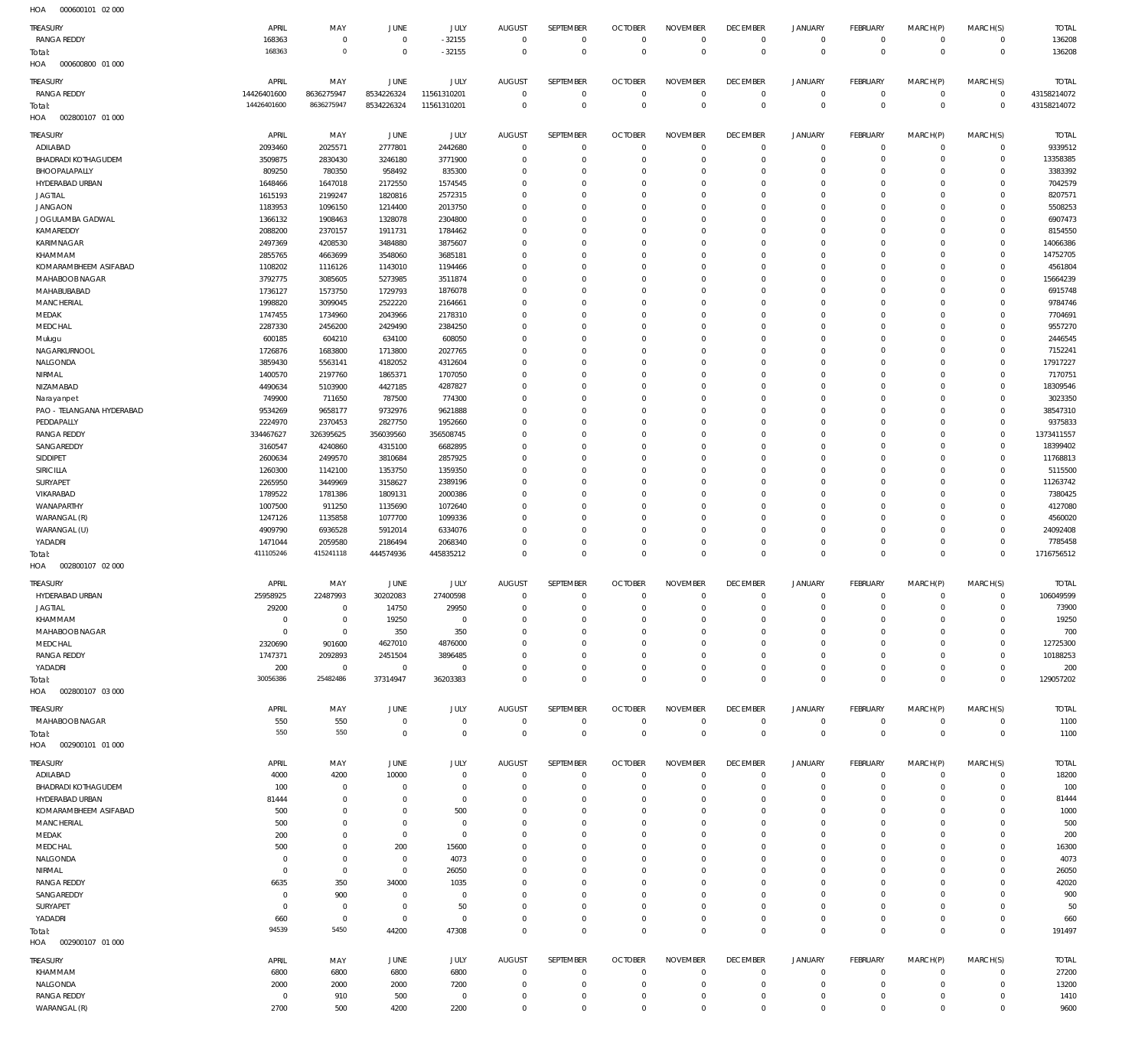| HOA<br>000600101 02 000          |             |             |             |             |               |                  |                      |                         |                 |                |                 |             |                |                    |
|----------------------------------|-------------|-------------|-------------|-------------|---------------|------------------|----------------------|-------------------------|-----------------|----------------|-----------------|-------------|----------------|--------------------|
| TREASURY                         | APRIL       | MAY         | JUNE        | <b>JULY</b> | <b>AUGUST</b> | SEPTEMBER        | <b>OCTOBER</b>       | <b>NOVEMBER</b>         | <b>DECEMBER</b> | <b>JANUARY</b> | <b>FEBRUARY</b> | MARCH(P)    | MARCH(S)       | <b>TOTAL</b>       |
| <b>RANGA REDDY</b>               | 168363      | $\mathbf 0$ | $\mathbf 0$ | $-32155$    | $^{\circ}$    | $\mathbf 0$      | $^{\circ}$           | $\mathbf 0$             | $\mathbf 0$     | $\mathbf 0$    | $\mathbf 0$     | $\mathbf 0$ | $\mathbf 0$    | 136208             |
| Total:                           | 168363      | $\mathbf 0$ | $\mathbf 0$ | $-32155$    | $\mathbf 0$   | $\mathbf 0$      | $\overline{0}$       | $\mathbf 0$             | $\mathbf 0$     | $\mathbf 0$    | $\overline{0}$  | $\mathbf 0$ | $\mathbb O$    | 136208             |
| 000600800 01 000<br>HOA          |             |             |             |             |               |                  |                      |                         |                 |                |                 |             |                |                    |
|                                  |             |             |             |             |               |                  |                      |                         |                 |                |                 |             |                |                    |
| TREASURY                         | APRIL       | MAY         | JUNE        | <b>JULY</b> | <b>AUGUST</b> | SEPTEMBER        | <b>OCTOBER</b>       | <b>NOVEMBER</b>         | <b>DECEMBER</b> | <b>JANUARY</b> | <b>FEBRUARY</b> | MARCH(P)    | MARCH(S)       | <b>TOTAL</b>       |
| <b>RANGA REDDY</b>               | 14426401600 | 8636275947  | 8534226324  | 11561310201 | $^{\circ}$    | $\mathbb O$      | $\circ$              | $\circ$                 | $\mathbf 0$     | $\mathbf 0$    | $\overline{0}$  | $\mathbf 0$ | $\overline{0}$ | 43158214072        |
| Total:                           | 14426401600 | 8636275947  | 8534226324  | 11561310201 | $\circ$       | $\mathbb O$      | $\circ$              | $\mathbf 0$             | $\overline{0}$  | $\mathbf 0$    | $\overline{0}$  | $\mathbf 0$ | $\mathbf{0}$   | 43158214072        |
| HOA<br>002800107 01 000          |             |             |             |             |               |                  |                      |                         |                 |                |                 |             |                |                    |
| TREASURY                         | APRIL       | MAY         | JUNE        | <b>JULY</b> | <b>AUGUST</b> | SEPTEMBER        | <b>OCTOBER</b>       | <b>NOVEMBER</b>         | <b>DECEMBER</b> | <b>JANUARY</b> | <b>FEBRUARY</b> | MARCH(P)    | MARCH(S)       | <b>TOTAL</b>       |
| ADILABAD                         | 2093460     | 2025571     | 2777801     | 2442680     | $\mathbf 0$   | $\mathbf 0$      | $\circ$              | $\mathbf 0$             | $\mathbf 0$     | $\mathbf 0$    | $\mathbf 0$     | $^{\circ}$  | $\mathbf 0$    | 9339512            |
| <b>BHADRADI KOTHAGUDEM</b>       | 3509875     | 2830430     | 3246180     | 3771900     | 0             | $\mathbf 0$      | $^{\circ}$           | $\circ$                 | $^{\circ}$      | $\mathbf 0$    | $^{\circ}$      | $\Omega$    | 0              | 13358385           |
| BHOOPALAPALLY                    | 809250      | 780350      | 958492      | 835300      | $\Omega$      | $\mathbf 0$      | $^{\circ}$           | $\mathbf 0$             | $\mathbf 0$     | $\mathbf 0$    | $^{\circ}$      | $\Omega$    | 0              | 3383392            |
| HYDERABAD URBAN                  | 1648466     | 1647018     | 2172550     | 1574545     | $\Omega$      | $\mathbf 0$      | 0                    | $\Omega$                | 0               | $^{\circ}$     | 0               | $\Omega$    | $\mathbf 0$    | 7042579            |
|                                  |             |             |             |             | $\Omega$      | $\mathbf 0$      | $\Omega$             | $\mathbf 0$             | $\Omega$        | $\mathbf 0$    | $\Omega$        | $\Omega$    | 0              |                    |
| <b>JAGTIAL</b><br><b>JANGAON</b> | 1615193     | 2199247     | 1820816     | 2572315     | $\Omega$      | $\mathbf 0$      |                      | $\Omega$                |                 | $^{\circ}$     | $^{\circ}$      | $\Omega$    | $\mathbf 0$    | 8207571<br>5508253 |
|                                  | 1183953     | 1096150     | 1214400     | 2013750     |               | $\mathbf 0$      | 0                    |                         | 0               | $\mathbf 0$    | $\Omega$        | $\Omega$    |                |                    |
| JOGULAMBA GADWAL                 | 1366132     | 1908463     | 1328078     | 2304800     | $\Omega$      |                  | $\Omega$<br>$\Omega$ | $\mathbf 0$<br>$\Omega$ | $\mathbf 0$     |                |                 | $\Omega$    | 0              | 6907473            |
| KAMAREDDY                        | 2088200     | 2370157     | 1911731     | 1784462     | $\Omega$      | $\mathbf 0$      |                      |                         | $\Omega$        | $\mathbf 0$    | $^{\circ}$      |             | 0              | 8154550            |
| KARIMNAGAR                       | 2497369     | 4208530     | 3484880     | 3875607     | $\Omega$      | $\mathbf 0$      | $\Omega$             | $\mathbf 0$             | 0               | $\mathbf 0$    | $\Omega$        | $\Omega$    | 0              | 14066386           |
| KHAMMAM                          | 2855765     | 4663699     | 3548060     | 3685181     | $\Omega$      | $\mathbf 0$      | $\Omega$             | $\Omega$                | $\Omega$        | $^{\circ}$     | $^{\circ}$      | $\Omega$    | 0              | 14752705           |
| KOMARAMBHEEM ASIFABAD            | 1108202     | 1116126     | 1143010     | 1194466     | $\Omega$      | $\mathbf 0$      | 0                    | $\mathbf 0$             | $\mathbf 0$     | $\mathbf 0$    | $^{\circ}$      | $\Omega$    | 0              | 4561804            |
| MAHABOOB NAGAR                   | 3792775     | 3085605     | 5273985     | 3511874     | $\Omega$      | $\mathbf 0$      | $\Omega$             | $\Omega$                | $\Omega$        | $^{\circ}$     | $^{\circ}$      | $\Omega$    | $\mathbf 0$    | 15664239           |
| MAHABUBABAD                      | 1736127     | 1573750     | 1729793     | 1876078     | $\Omega$      | $\mathbf 0$      | $^{\circ}$           | $\mathbf 0$             | $\mathbf 0$     | $\mathbf 0$    | $\Omega$        | $\Omega$    | 0              | 6915748            |
| MANCHERIAL                       | 1998820     | 3099045     | 2522220     | 2164661     | $\Omega$      | $\mathbf 0$      | $\Omega$             | $\Omega$                | 0               | $^{\circ}$     | 0               | $\Omega$    | $\mathbf 0$    | 9784746            |
| MEDAK                            | 1747455     | 1734960     | 2043966     | 2178310     | $\Omega$      | $\mathbf 0$      | $^{\circ}$           | $\mathbf 0$             | $\mathbf 0$     | $\mathbf 0$    | $\Omega$        | $\Omega$    | 0              | 7704691            |
| MEDCHAL                          | 2287330     | 2456200     | 2429490     | 2384250     | $\Omega$      | $\mathbf 0$      | 0                    | $\Omega$                | 0               | $^{\circ}$     | $^{\circ}$      | $\Omega$    | $\mathbf 0$    | 9557270            |
| Mulugu                           | 600185      | 604210      | 634100      | 608050      | $\Omega$      | $\mathbf 0$      | $\Omega$             | $\Omega$                | $\Omega$        | $\mathbf 0$    | $\Omega$        | $\Omega$    | 0              | 2446545            |
| NAGARKURNOOL                     | 1726876     | 1683800     | 1713800     | 2027765     | $\Omega$      | $\mathbf 0$      | 0                    | $\Omega$                | 0               | $^{\circ}$     | $^{\circ}$      | $\Omega$    | $\mathbf 0$    | 7152241            |
| NALGONDA                         | 3859430     | 5563141     | 4182052     | 4312604     | $\Omega$      | $\mathbf 0$      | 0                    | $\mathbf 0$             | $^{\circ}$      | $\mathbf 0$    | $\Omega$        | $\Omega$    | 0              | 17917227           |
| NIRMAL                           | 1400570     | 2197760     | 1865371     | 1707050     | $\Omega$      | $\Omega$         | $\Omega$             | $\Omega$                | $\Omega$        | $^{\circ}$     | $^{\circ}$      | $\Omega$    | 0              | 7170751            |
| NIZAMABAD                        | 4490634     | 5103900     | 4427185     | 4287827     | $\Omega$      | $\mathbf 0$      | 0                    | $\mathbf 0$             | $\mathbf 0$     | $\mathbf 0$    | $\Omega$        | $\Omega$    | 0              | 18309546           |
| Narayanpet                       | 749900      | 711650      | 787500      | 774300      | $\Omega$      | $\mathbf 0$      | $\Omega$             | $\Omega$                | 0               | $^{\circ}$     | $^{\circ}$      | $\Omega$    | $\mathbf 0$    | 3023350            |
| PAO - TELANGANA HYDERABAD        | 9534269     | 9658177     | 9732976     | 9621888     | $\Omega$      | $\mathbf 0$      | $^{\circ}$           | $\mathbf 0$             | $\mathbf 0$     | $\mathbf 0$    | $^{\circ}$      | $\Omega$    | 0              | 38547310           |
| PEDDAPALLY                       | 2224970     | 2370453     | 2827750     | 1952660     | $\Omega$      | $\mathbf 0$      | $\Omega$             | $\Omega$                | 0               | $^{\circ}$     | $^{\circ}$      | $\Omega$    | 0              | 9375833            |
| <b>RANGA REDDY</b>               | 334467627   | 326395625   | 356039560   | 356508745   | $\Omega$      | $\mathbf 0$      | $\Omega$             | $\mathbf 0$             | $\Omega$        | $\mathbf 0$    | $\Omega$        | $\Omega$    | $\mathbf 0$    | 1373411557         |
| SANGAREDDY                       | 3160547     | 4240860     | 4315100     | 6682895     | $\Omega$      | $\mathbf 0$      | 0                    | $\Omega$                | 0               | $^{\circ}$     | $^{\circ}$      | $\Omega$    | 0              | 18399402           |
| SIDDIPET                         | 2600634     | 2499570     | 3810684     | 2857925     | $\Omega$      | $\mathbf 0$      | $\Omega$             | $\mathbf 0$             | $\Omega$        | $\mathbf 0$    | $\Omega$        | $\Omega$    | $\Omega$       | 11768813           |
| SIRICILLA                        | 1260300     | 1142100     | 1353750     | 1359350     | $\Omega$      | $\mathbf 0$      | $\Omega$             | $\Omega$                | $\Omega$        | $^{\circ}$     | $^{\circ}$      | $\Omega$    | 0              | 5115500            |
| SURYAPET                         | 2265950     | 3449969     | 3158627     | 2389196     | $\Omega$      | $\mathbf 0$      | $\Omega$             | $\mathbf 0$             | 0               | $\mathbf 0$    | $\Omega$        | $\Omega$    | 0              | 11263742           |
| VIKARABAD                        | 1789522     | 1781386     | 1809131     | 2000386     | $\Omega$      | $\mathbf 0$      | $\Omega$             | $\Omega$                | $\Omega$        | $^{\circ}$     | $^{\circ}$      | $\Omega$    | $\mathbf 0$    | 7380425            |
| WANAPARTHY                       | 1007500     | 911250      | 1135690     | 1072640     | $\Omega$      | $\mathbf 0$      | 0                    | $\mathbf 0$             | $\mathbf 0$     | $\mathbf 0$    | $^{\circ}$      | $\Omega$    | 0              | 4127080            |
| WARANGAL (R)                     | 1247126     | 1135858     | 1077700     | 1099336     | $\Omega$      | $\Omega$         | $\Omega$             | $\Omega$                | 0               | $^{\circ}$     | 0               | $\Omega$    | 0              | 4560020            |
| WARANGAL (U)                     | 4909790     | 6936528     | 5912014     | 6334076     | $\Omega$      | $\mathbf 0$      | 0                    | $^{\circ}$              | $^{\circ}$      | $\mathbf 0$    | $^{\circ}$      | $\Omega$    | 0              | 24092408           |
| YADADRI                          | 1471044     | 2059580     | 2186494     | 2068340     | 0             | $^{\circ}$       | $^{\circ}$           | $^{\circ}$              | $^{\circ}$      | $\mathbf 0$    | $^{\circ}$      | $^{\circ}$  | $\mathbf 0$    | 7785458            |
| Total:                           | 411105246   | 415241118   | 444574936   | 445835212   | $\Omega$      | $\mathbf 0$      | $\Omega$             | $\mathbf 0$             | $\mathbf 0$     | $\mathbf 0$    | $\Omega$        | $\Omega$    | $\mathbf 0$    | 1716756512         |
| HOA<br>002800107 02 000          |             |             |             |             |               |                  |                      |                         |                 |                |                 |             |                |                    |
|                                  |             |             |             |             |               |                  |                      |                         |                 |                |                 |             |                |                    |
|                                  |             |             |             |             |               |                  |                      |                         |                 |                |                 |             |                |                    |
| TREASURY                         | APRIL       | MAY         | JUNE        | <b>JULY</b> | <b>AUGUST</b> | SEPTEMBER        | <b>OCTOBER</b>       | <b>NOVEMBER</b>         | <b>DECEMBER</b> | <b>JANUARY</b> | <b>FEBRUARY</b> | MARCH(P)    | MARCH(S)       | <b>TOTAL</b>       |
| HYDERABAD URBAN                  | 25958925    | 22487993    | 30202083    | 27400598    | $\mathbf 0$   | $\mathbf 0$      | $\overline{0}$       | $\mathbf 0$             | $\mathbf 0$     | $\mathsf{O}$   | $\circ$         | $\mathbf 0$ | $\mathbf 0$    | 106049599          |
| <b>JAGTIAL</b>                   | 29200       | $\mathbf 0$ | 14750       | 29950       | 0             | 0                | 0                    | 0                       | 0               | 0              | $\Omega$        | $\Omega$    | 0              | 73900              |
| KHAMMAM                          | $\mathbf 0$ | $\mathbf 0$ | 19250       | $\mathbf 0$ | $\mathbf 0$   | $\mathbf 0$      | $\mathbf 0$          | $\mathbf 0$             | $^{\circ}$      | $\mathbf 0$    | $^{\circ}$      | $\mathbf 0$ | $\mathbf 0$    | 19250              |
| MAHABOOB NAGAR                   | $\mathbf 0$ | $\mathbf 0$ | 350         | 350         | $\mathbf 0$   | $\mathbb O$      | $^{\circ}$           | $\mathbf 0$             | 0               | 0              | $^{\circ}$      | $^{\circ}$  | $\mathbf 0$    | 700                |
| MEDCHAL                          | 2320690     | 901600      | 4627010     | 4876000     | $\Omega$      | $\mathbf 0$      | $^{\circ}$           | $\mathbf 0$             | $\mathbf 0$     | $\mathbf 0$    | $^{\circ}$      | $^{\circ}$  | 0              | 12725300           |
| <b>RANGA REDDY</b>               | 1747371     | 2092893     | 2451504     | 3896485     | $\Omega$      | $\mathbf 0$      | $^{\circ}$           | $\mathbf 0$             | $\mathbf 0$     | 0              | $^{\circ}$      | $\mathbf 0$ | 0              | 10188253           |
| YADADRI                          | 200         | $\mathbb O$ | $\mathbf 0$ | $\mathbf 0$ | $\Omega$      | $\mathbf 0$      | $^{\circ}$           | $\mathbf 0$             | $\mathbf 0$     | $\mathbf 0$    | $^{\circ}$      | $\mathbf 0$ | $\mathbf 0$    | 200                |
| Total:                           | 30056386    | 25482486    | 37314947    | 36203383    | $\Omega$      | $\mathbf 0$      | $\mathbf 0$          | $\mathbf 0$             | $\mathbf 0$     | $\mathbf 0$    | $\mathbf 0$     | $\mathbf 0$ | $\mathbf 0$    | 129057202          |
| 002800107 03 000<br>HOA          |             |             |             |             |               |                  |                      |                         |                 |                |                 |             |                |                    |
| TREASURY                         | APRIL       | MAY         | JUNE        | <b>JULY</b> | <b>AUGUST</b> | <b>SEPTEMBER</b> | <b>OCTOBER</b>       | <b>NOVEMBER</b>         | <b>DECEMBER</b> | <b>JANUARY</b> | <b>FEBRUARY</b> | MARCH(P)    | MARCH(S)       | <b>TOTAL</b>       |
| MAHABOOB NAGAR                   | 550         | 550         | $\mathbf 0$ | $\mathbf 0$ | $\mathbf 0$   | $\mathbf 0$      | $^{\circ}$           | $^{\circ}$              | $\mathbf 0$     | 0              | $\mathbf 0$     | $^{\circ}$  | $\mathbf 0$    | 1100               |
| Total:                           | 550         | 550         | $\mathbf 0$ | $\mathbf 0$ | $\mathbf 0$   | $\mathbf 0$      | $\overline{0}$       | $\mathbf 0$             | $\mathbf 0$     | $\mathbf 0$    | $\overline{0}$  | $\mathbf 0$ | $\mathbb O$    | 1100               |
| HOA<br>002900101 01 000          |             |             |             |             |               |                  |                      |                         |                 |                |                 |             |                |                    |
|                                  |             |             |             |             |               |                  |                      |                         |                 |                |                 |             |                |                    |
| TREASURY                         | APRIL       | MAY         | <b>JUNE</b> | JULY        | <b>AUGUST</b> | <b>SEPTEMBER</b> | <b>OCTOBER</b>       | <b>NOVEMBER</b>         | <b>DECEMBER</b> | <b>JANUARY</b> | <b>FEBRUARY</b> | MARCH(P)    | MARCH(S)       | <b>TOTAL</b>       |
| ADILABAD                         | 4000        | 4200        | 10000       | $\mathbb O$ | $^{\circ}$    | $\mathbf 0$      | $\circ$              | $^{\circ}$              | $\mathbf 0$     | 0              | $\mathbf 0$     | $^{\circ}$  | $\mathbf 0$    | 18200              |
| BHADRADI KOTHAGUDEM              | 100         | $\mathbb O$ | 0           | $\mathbf 0$ | 0             | $\mathbb O$      | $^{\circ}$           | $^{\circ}$              | $^{\circ}$      | $\mathbf 0$    | $^{\circ}$      | $^{\circ}$  | $\mathbf 0$    | 100                |
| HYDERABAD URBAN                  | 81444       | $\mathbf 0$ | $^{\circ}$  | $\mathbf 0$ | 0             | $\mathbf 0$      | $^{\circ}$           | $\mathbf 0$             | $^{\circ}$      | 0              | $^{\circ}$      | 0           | $\mathbf 0$    | 81444              |
| KOMARAMBHEEM ASIFABAD            | 500         | $\mathbf 0$ | $\mathbf 0$ | 500         | 0             | $\mathbf 0$      | $^{\circ}$           | $\mathbf 0$             | $^{\circ}$      | $\mathbf 0$    | $^{\circ}$      | $^{\circ}$  | $\mathbf 0$    | 1000               |
| MANCHERIAL                       | 500         | $\mathbf 0$ | $\mathbf 0$ | $\mathbf 0$ | $\Omega$      | $\mathbf 0$      | $^{\circ}$           | $\mathbf 0$             | $^{\circ}$      | $\mathbf 0$    | $^{\circ}$      | $\Omega$    | $\mathbf 0$    | 500                |
| MEDAK                            | 200         | $\mathbf 0$ | $\mathbf 0$ | $\mathbb O$ | 0             | $\mathbf 0$      | $^{\circ}$           | $\mathbf 0$             | $^{\circ}$      | $\mathbf 0$    | $^{\circ}$      | $^{\circ}$  | $\mathbf 0$    | 200                |
| MEDCHAL                          | 500         | $\mathbf 0$ | 200         | 15600       | $\Omega$      | $\mathbf 0$      | $^{\circ}$           | $\mathbf 0$             | $^{\circ}$      | $\mathbf 0$    | $^{\circ}$      | $\Omega$    | $\mathbf 0$    | 16300              |
| NALGONDA                         | $\mathbf 0$ | $\mathbf 0$ | $\mathbf 0$ | 4073        | $\Omega$      | $\mathbf 0$      | $^{\circ}$           | $\mathbf 0$             | $^{\circ}$      | $\mathbf 0$    | $^{\circ}$      | $^{\circ}$  | $\mathbf 0$    | 4073               |
| NIRMAL                           | $\mathbf 0$ | $\mathbf 0$ | $\mathbf 0$ | 26050       | 0             | $\mathbf 0$      | $^{\circ}$           | $^{\circ}$              | $^{\circ}$      | 0              | $^{\circ}$      | $^{\circ}$  | $\mathbf 0$    | 26050              |
| <b>RANGA REDDY</b>               | 6635        | 350         | 34000       | 1035        | $\Omega$      | $\mathbf 0$      | $^{\circ}$           | $^{\circ}$              | $^{\circ}$      | $\mathbf 0$    | $^{\circ}$      | $^{\circ}$  | $\mathbf 0$    | 42020              |
| SANGAREDDY                       | 0           | 900         | 0           | $\mathbf 0$ | 0             | $\mathbf 0$      | $^{\circ}$           | $^{\circ}$              | $^{\circ}$      | $\mathbf 0$    | 0               | 0           | $\mathbf 0$    | 900                |
| SURYAPET                         | $^{\circ}$  | $\mathbf 0$ | $\mathbf 0$ | 50          | $\Omega$      | $\mathbf 0$      | $^{\circ}$           | $^{\circ}$              | $^{\circ}$      | $\mathbf 0$    | $^{\circ}$      | $^{\circ}$  | $\mathbf 0$    | 50                 |
| YADADRI                          | 660         | $\mathbf 0$ | $\mathbb O$ | $\mathbf 0$ | $^{\circ}$    | $\mathbb O$      | $^{\circ}$           | $\mathbf 0$             | $^{\circ}$      | $\mathsf{O}$   | $^{\circ}$      | $\mathbf 0$ | $\mathbf 0$    | 660                |
| Total:                           | 94539       | 5450        | 44200       | 47308       | $^{\circ}$    | $\mathbf 0$      | $^{\circ}$           | $\mathbf 0$             | $\mathbf 0$     | $\mathbb O$    | $\overline{0}$  | $\mathbf 0$ | $\mathbf 0$    | 191497             |
| HOA<br>002900107 01 000          |             |             |             |             |               |                  |                      |                         |                 |                |                 |             |                |                    |
| TREASURY                         | APRIL       | MAY         | JUNE        | <b>JULY</b> | <b>AUGUST</b> | SEPTEMBER        | <b>OCTOBER</b>       | <b>NOVEMBER</b>         | <b>DECEMBER</b> | <b>JANUARY</b> | FEBRUARY        | MARCH(P)    | MARCH(S)       | <b>TOTAL</b>       |
| KHAMMAM                          | 6800        | 6800        | 6800        | 6800        | $^{\circ}$    | $^{\circ}$       | $^{\circ}$           | $\Omega$                | $^{\circ}$      | $^{\circ}$     | $^{\circ}$      | $\Omega$    | 0              | 27200              |
| NALGONDA                         | 2000        | 2000        | 2000        | 7200        | 0             | $\mathbf 0$      | $^{\circ}$           | $\mathbf 0$             | $\mathbf 0$     | $\mathbf 0$    | $\mathbf 0$     | $^{\circ}$  | 0              | 13200              |
| <b>RANGA REDDY</b>               | $^{\circ}$  | 910         | 500         | $\mathbf 0$ | 0             | $\mathbf 0$      | $^{\circ}$           | $\mathbf 0$             | $\mathbf 0$     | 0              | $\mathbf 0$     | $\mathbf 0$ | 0              | 1410               |
| WARANGAL (R)                     | 2700        | 500         | 4200        | 2200        | $\mathbf 0$   | $\mathbf 0$      | $\mathbf 0$          | $\mathbf 0$             | $\mathbf 0$     | $\mathbf 0$    | $\mathbf 0$     | $\mathbf 0$ | $\mathbf 0$    | 9600               |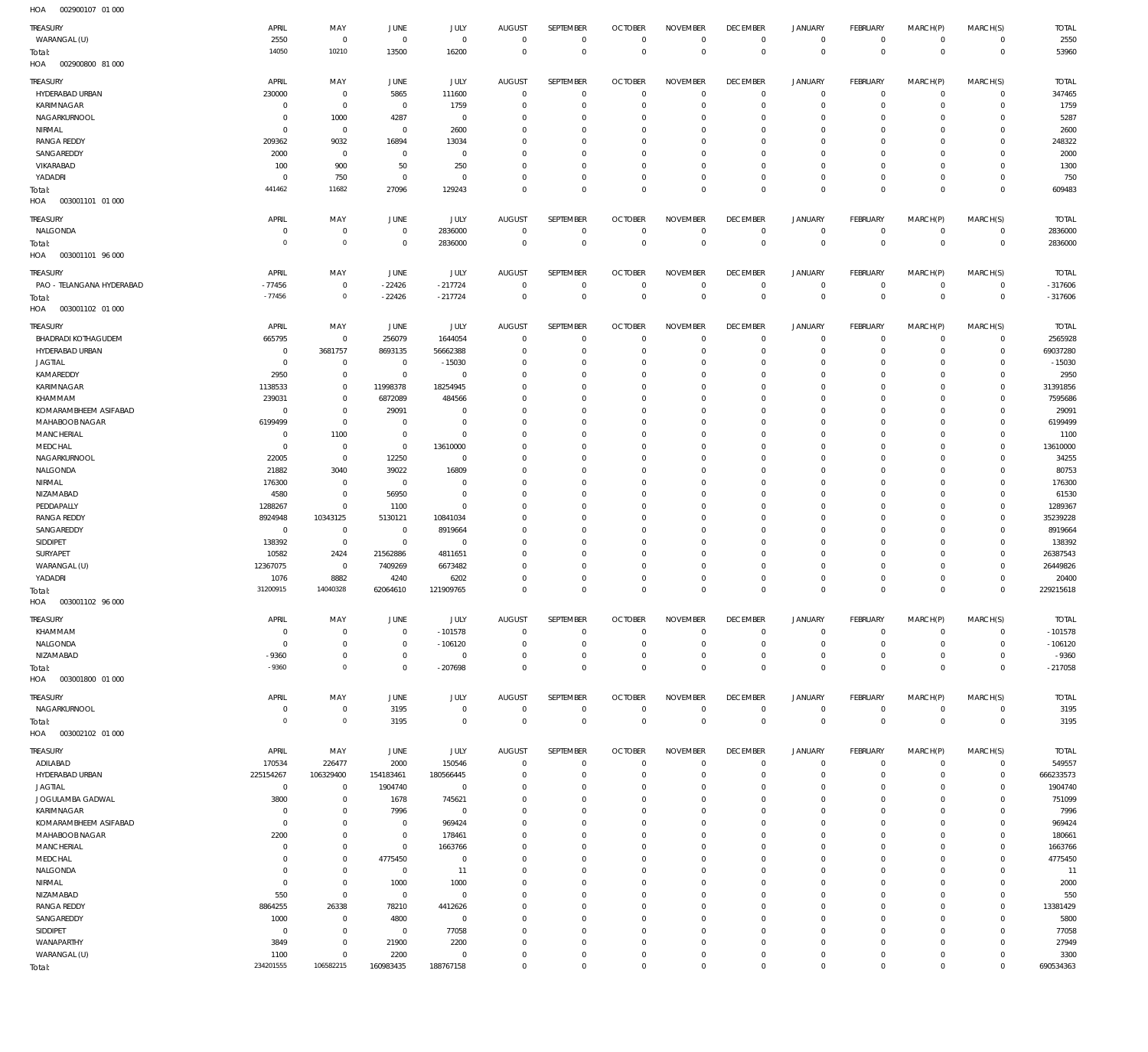| HOA<br>002900107 01 000           |                |             |                |             |                              |             |                                  |                                |                 |                |                |                |                |              |
|-----------------------------------|----------------|-------------|----------------|-------------|------------------------------|-------------|----------------------------------|--------------------------------|-----------------|----------------|----------------|----------------|----------------|--------------|
| <b>TREASURY</b>                   | APRIL          | MAY         | JUNE           | <b>JULY</b> | <b>AUGUST</b>                | SEPTEMBER   | <b>OCTOBER</b>                   | <b>NOVEMBER</b>                | <b>DECEMBER</b> | <b>JANUARY</b> | FEBRUARY       | MARCH(P)       | MARCH(S)       | <b>TOTAL</b> |
| WARANGAL (U)                      | 2550           | $\mathbf 0$ | $\mathbb O$    | $\mathbf 0$ | $\mathbf 0$                  | $\mathbf 0$ | $\overline{0}$                   | $\mathbf 0$                    | $\overline{0}$  | $\circ$        | $\overline{0}$ | $\mathbf{0}$   | $\overline{0}$ | 2550         |
|                                   | 14050          | 10210       | 13500          | 16200       | $\mathbf 0$                  | $\mathbf 0$ | $\overline{0}$                   | $\mathbf 0$                    | $\overline{0}$  | $\overline{0}$ | $\overline{0}$ | $\overline{0}$ | $\overline{0}$ | 53960        |
| Total:<br>HOA<br>002900800 81 000 |                |             |                |             |                              |             |                                  |                                |                 |                |                |                |                |              |
|                                   |                |             |                |             |                              |             |                                  |                                |                 |                |                |                |                |              |
| TREASURY                          | APRIL          | MAY         | JUNE           | JULY        | <b>AUGUST</b>                | SEPTEMBER   | <b>OCTOBER</b>                   | <b>NOVEMBER</b>                | <b>DECEMBER</b> | <b>JANUARY</b> | FEBRUARY       | MARCH(P)       | MARCH(S)       | <b>TOTAL</b> |
| HYDERABAD URBAN                   | 230000         | $\mathbf 0$ | 5865           | 111600      | $^{\circ}$                   | 0           | $\overline{0}$                   | $\mathbf 0$                    | $\mathbf 0$     | $\circ$        | $\overline{0}$ | $\mathbf 0$    | $\overline{0}$ | 347465       |
| KARIMNAGAR                        | $\overline{0}$ | $\mathbf 0$ | $\overline{0}$ | 1759        | $^{\circ}$                   | $\bf 0$     | $\mathbf 0$                      | $\mathbf 0$                    | $\mathbf 0$     | 0              | $\overline{0}$ | $\mathbf 0$    | $\mathbf 0$    | 1759         |
| NAGARKURNOOL                      | - 0            | 1000        | 4287           | $\mathbf 0$ | 0                            | $\mathbf 0$ | $\mathbf 0$                      | $\mathbf 0$                    | $\mathbf 0$     | 0              | $\mathbf{0}$   | 0              | $\mathbf 0$    | 5287         |
| NIRMAL                            | $\Omega$       | $\mathbf 0$ | $\mathbf 0$    | 2600        | $^{\circ}$                   | $\mathbf 0$ | $\mathbf 0$                      | $\mathbf 0$                    | $\mathbf 0$     | 0              | $\mathbf{0}$   | $\Omega$       | $\mathbf 0$    | 2600         |
| <b>RANGA REDDY</b>                | 209362         | 9032        | 16894          | 13034       | $^{\circ}$                   | $\mathbf 0$ | $\mathbf 0$                      | $\mathbf 0$                    | $\mathbf 0$     | 0              | $\mathbf{0}$   | 0              | $\mathbf 0$    | 248322       |
| SANGAREDDY                        | 2000           | $\mathbf 0$ | 0              | $\mathbf 0$ | $^{\circ}$                   | $\mathbf 0$ | $\mathbf 0$                      | $\mathbf 0$                    | $\mathbf 0$     | 0              | $\mathbf{0}$   | $\Omega$       | $\mathbf 0$    | 2000         |
| VIKARABAD                         | 100            | 900         | 50             | 250         | $\mathbf 0$                  | $\mathbf 0$ | $\mathbf 0$                      | $\mathbf 0$                    | $\mathbf 0$     | 0              | $\mathbf{0}$   | 0              | $\mathbf 0$    | 1300         |
| YADADRI                           | 0              | 750         | $\mathbf 0$    | $\mathbf 0$ | $^{\circ}$                   | $\bf 0$     | $\mathbf 0$                      | $\mathbf 0$                    | $\mathbf 0$     | 0              | $\mathbf{0}$   | $\mathbf 0$    | $\mathbf 0$    | 750          |
| Total:                            | 441462         | 11682       | 27096          | 129243      | $\overline{0}$               | $\mathbf 0$ | $\mathbf 0$                      | $\mathbf 0$                    | $\mathbf 0$     | $\mathbf 0$    | $\overline{0}$ | $\mathbf 0$    | $\mathbf 0$    | 609483       |
| HOA<br>003001101 01 000           |                |             |                |             |                              |             |                                  |                                |                 |                |                |                |                |              |
|                                   |                |             |                |             |                              |             |                                  |                                |                 |                |                |                |                |              |
| TREASURY                          | APRIL          | MAY         | JUNE           | <b>JULY</b> | <b>AUGUST</b>                | SEPTEMBER   | <b>OCTOBER</b>                   | <b>NOVEMBER</b>                | <b>DECEMBER</b> | <b>JANUARY</b> | FEBRUARY       | MARCH(P)       | MARCH(S)       | <b>TOTAL</b> |
| NALGONDA                          | - 0            | $\mathbf 0$ | $\mathbf 0$    | 2836000     | $^{\circ}$                   | 0           | $\overline{0}$                   | $\mathbf 0$                    | $\mathbf 0$     | $\mathbf 0$    | $\overline{0}$ | $\mathbf 0$    | $\overline{0}$ | 2836000      |
| Total:                            | $\overline{0}$ | $\mathbf 0$ | $\mathbf 0$    | 2836000     | $\mathbf 0$                  | $\mathbf 0$ | $\overline{0}$                   | $\mathbf 0$                    | $\overline{0}$  | $\overline{0}$ | $\overline{0}$ | $\overline{0}$ | $\overline{0}$ | 2836000      |
| HOA<br>003001101 96 000           |                |             |                |             |                              |             |                                  |                                |                 |                |                |                |                |              |
|                                   |                |             |                |             |                              | SEPTEMBER   |                                  |                                |                 |                |                |                |                |              |
| TREASURY                          | APRIL          | MAY         | JUNE           | JULY        | <b>AUGUST</b>                |             | <b>OCTOBER</b>                   | <b>NOVEMBER</b>                | <b>DECEMBER</b> | <b>JANUARY</b> | FEBRUARY       | MARCH(P)       | MARCH(S)       | <b>TOTAL</b> |
| PAO - TELANGANA HYDERABAD         | $-77456$       | $\mathbf 0$ | $-22426$       | $-217724$   | $\overline{0}$               | 0           | $\overline{0}$                   | $\mathbf 0$                    | $\overline{0}$  | $\circ$        | $\overline{0}$ | $\circ$        | $\overline{0}$ | $-317606$    |
| Total:                            | $-77456$       | $\mathbf 0$ | $-22426$       | $-217724$   | $\overline{0}$               | $\bf 0$     | $\overline{0}$                   | $\mathbf 0$                    | $\overline{0}$  | $\mathbf 0$    | $\overline{0}$ | $\mathbf 0$    | $\overline{0}$ | $-317606$    |
| HOA<br>003001102 01 000           |                |             |                |             |                              |             |                                  |                                |                 |                |                |                |                |              |
| TREASURY                          | APRIL          | MAY         | JUNE           | JULY        | <b>AUGUST</b>                | SEPTEMBER   | <b>OCTOBER</b>                   | <b>NOVEMBER</b>                | <b>DECEMBER</b> | <b>JANUARY</b> | FEBRUARY       | MARCH(P)       | MARCH(S)       | <b>TOTAL</b> |
| <b>BHADRADI KOTHAGUDEM</b>        | 665795         | $\mathbf 0$ | 256079         | 1644054     | $\mathbf 0$                  | $\mathbf 0$ | $\overline{0}$                   | $\Omega$                       | $\mathbf 0$     | $\circ$        | $\overline{0}$ | $^{\circ}$     | $\overline{0}$ | 2565928      |
| HYDERABAD URBAN                   | $\circ$        | 3681757     | 8693135        | 56662388    | 0                            | $\mathbf 0$ | $\mathbf 0$                      | $\Omega$                       | $\mathbf 0$     | $\mathbf 0$    | $\circ$        | $\mathbf 0$    | $\mathbf 0$    | 69037280     |
| <b>JAGTIAL</b>                    | 0              | $\mathbf 0$ | $^{\circ}$     | $-15030$    | 0                            | $\mathbf 0$ | $\mathbf 0$                      | $\mathbf 0$                    | $\mathbf 0$     | $\mathbf 0$    | $\mathbf{0}$   | $\Omega$       | $\mathbf 0$    | $-15030$     |
| KAMAREDDY                         | 2950           | $\mathbf 0$ | $^{\circ}$     | $^{\circ}$  | $\Omega$                     | $\mathbf 0$ | $\mathbf 0$                      | $\Omega$                       | $\mathbf 0$     | $\mathbf 0$    | $\mathbf{0}$   | $\Omega$       | $\mathbf 0$    | 2950         |
| KARIMNAGAR                        | 1138533        | $\mathbf 0$ | 11998378       | 18254945    | $\Omega$                     | $\mathbf 0$ | $\mathbf 0$                      | $\Omega$                       | $\mathbf 0$     | $\mathbf 0$    | $\mathbf{0}$   | $\Omega$       | $\mathbf 0$    | 31391856     |
|                                   |                |             |                |             |                              |             |                                  |                                |                 |                |                |                |                |              |
| KHAMMAM                           | 239031         | 0           | 6872089        | 484566      | 0                            | $\mathbf 0$ | $\mathbf 0$                      | $\Omega$                       | $\mathbf 0$     | $\mathbf 0$    | $\mathbf{0}$   | $\Omega$       | $\mathbf 0$    | 7595686      |
| KOMARAMBHEEM ASIFABAD             | $\overline{0}$ | $\mathbf 0$ | 29091          | $\mathbf 0$ | $\Omega$                     | $\mathbf 0$ | $\mathbf 0$                      | $\Omega$                       | $\mathbf 0$     | $\mathbf 0$    | $\mathbf{0}$   | $\Omega$       | $\mathbf 0$    | 29091        |
| MAHABOOB NAGAR                    | 6199499        | $\mathbf 0$ | $^{\circ}$     | $\mathbf 0$ | $\Omega$                     | $\mathbf 0$ | $\mathbf 0$                      | $\Omega$                       | $\mathbf 0$     | $\mathbf 0$    | $\mathbf{0}$   | $\Omega$       | $\mathbf 0$    | 6199499      |
| MANCHERIAL                        | 0              | 1100        | $\mathbf 0$    | $\mathbf 0$ | $\Omega$                     | $\mathbf 0$ | $\mathbf 0$                      | $\Omega$                       | $\mathbf 0$     | $\mathbf 0$    | $\mathbf{0}$   | $\Omega$       | $\mathbf 0$    | 1100         |
| MEDCHAL                           | $\overline{0}$ | $\mathbf 0$ | $\mathbf 0$    | 13610000    | $\Omega$                     | $\mathbf 0$ | $\mathbf 0$                      | $\Omega$                       | $\mathbf 0$     | $\mathbf 0$    | $\mathbf{0}$   | $\Omega$       | $\mathbf 0$    | 13610000     |
| NAGARKURNOOL                      | 22005          | $\mathbf 0$ | 12250          | $^{\circ}$  | $\Omega$                     | $\mathbf 0$ | $\mathbf 0$                      | $\Omega$                       | $\mathbf 0$     | $\mathbf 0$    | $\mathbf{0}$   | $\Omega$       | $\mathbf 0$    | 34255        |
| NALGONDA                          | 21882          | 3040        | 39022          | 16809       | $\Omega$                     | $\mathbf 0$ | $\mathbf 0$                      | $\Omega$                       | $\mathbf 0$     | $\mathbf 0$    | $\mathbf{0}$   | $\Omega$       | $\mathbf 0$    | 80753        |
| NIRMAL                            | 176300         | 0           | $\overline{0}$ | $^{\circ}$  | $^{\circ}$                   | $\mathbf 0$ | $\mathbf 0$                      | $\Omega$                       | $\mathbf 0$     | $\mathbf 0$    | $\mathbf{0}$   | $\Omega$       | $\mathbf 0$    | 176300       |
| NIZAMABAD                         | 4580           | $\mathbf 0$ | 56950          | $\mathbf 0$ | $\Omega$                     | $\mathbf 0$ | $\mathbf 0$                      | $\Omega$                       | $\mathbf 0$     | $\mathbf 0$    | $\mathbf 0$    | $\Omega$       | $\mathbf 0$    | 61530        |
| PEDDAPALLY                        | 1288267        | $\mathbf 0$ | 1100           | $^{\circ}$  | $\Omega$                     | $\mathbf 0$ | $\mathbf 0$                      | $\Omega$                       | $\mathbf 0$     | $\mathbf 0$    | $\mathbf{0}$   | $\Omega$       | $\mathbf 0$    | 1289367      |
| <b>RANGA REDDY</b>                | 8924948        | 10343125    | 5130121        | 10841034    | $\Omega$                     | $\mathbf 0$ | $\mathbf 0$                      | $\Omega$                       | $\mathbf 0$     | $\mathbf 0$    | $\mathbf 0$    | $\Omega$       | $\mathbf 0$    | 35239228     |
| SANGAREDDY                        | $\mathbf{0}$   | $\mathbf 0$ | $^{\circ}$     | 8919664     | $\Omega$                     | $\mathbf 0$ | $\mathbf 0$                      | $\Omega$                       | $\mathbf 0$     | $\mathbf 0$    | $\mathbf{0}$   | $\Omega$       | $\mathbf 0$    | 8919664      |
| SIDDIPET                          | 138392         | $\mathbf 0$ | $\mathbb O$    | $^{\circ}$  | 0                            | $\mathbf 0$ | $\mathbf 0$                      | $\Omega$                       | $\mathbf 0$     | $\mathbf 0$    | $\mathbf 0$    | $\Omega$       | $\mathbf 0$    | 138392       |
| SURYAPET                          | 10582          | 2424        | 21562886       | 4811651     | $\Omega$                     | $\mathbf 0$ | $\mathbf 0$                      | $\Omega$                       | $\mathbf 0$     | $\mathbf 0$    | $\mathbf{0}$   | $\Omega$       | $\mathbf 0$    | 26387543     |
| WARANGAL (U)                      | 12367075       | $\mathbf 0$ | 7409269        | 6673482     | $\Omega$                     | $\mathbf 0$ | $\mathbf 0$                      | $\Omega$                       | $\mathbf 0$     | $\mathbf 0$    | $\mathbf{0}$   | $\Omega$       | $\mathbf 0$    | 26449826     |
| YADADRI                           | 1076           | 8882        | 4240           | 6202        | $\Omega$                     | $\mathbf 0$ | 0                                | $\Omega$                       | $\mathbf 0$     | $\mathbf 0$    | $\mathbf 0$    | $\Omega$       | $\mathbf 0$    | 20400        |
| Total:                            | 31200915       | 14040328    | 62064610       | 121909765   | $\Omega$                     | $\Omega$    | $\Omega$                         | $\Omega$                       | $\mathbf 0$     | $\mathbf 0$    | $\overline{0}$ | $\Omega$       | $\mathbf{0}$   | 229215618    |
| HOA<br>003001102 96 000           |                |             |                |             |                              |             |                                  |                                |                 |                |                |                |                |              |
|                                   |                |             |                |             |                              |             |                                  |                                |                 |                |                |                |                |              |
| TREASURY                          | APRIL          | MAY         | <b>JUNE</b>    | JULY        | <b>AUGUST</b>                | SEPTEMBER   | <b>OCTOBER</b>                   | <b>NOVEMBER</b>                | <b>DECEMBER</b> | <b>JANUARY</b> | FEBRUARY       | MARCH(P)       | MARCH(S)       | <b>TOTAL</b> |
| KHAMMAM                           | $\mathbf 0$    | $\mathbf 0$ | $\mathbf 0$    | $-101578$   | $\mathbf 0$                  | $\bf 0$     | $\overline{0}$                   | $\mathbf 0$                    | $\overline{0}$  | $\circ$        | $\overline{0}$ | $\mathbf 0$    | $\mathbf 0$    | $-101578$    |
| NALGONDA                          | $\overline{0}$ | $\mathbf 0$ | $\mathbb O$    | $-106120$   | $\mathbf 0$                  | $\mathbb O$ | $\overline{0}$                   | $\mathbf 0$                    | $\overline{0}$  | $\mathbf 0$    | $\overline{0}$ | $\mathbf 0$    | $\overline{0}$ | $-106120$    |
| NIZAMABAD                         | $-9360$        | $\mathbf 0$ | $\mathbb O$    | $\mathbf 0$ | $\mathbf 0$                  | $\mathbb O$ | $\mathbf 0$                      | $\mathbf 0$                    | $\mathbf 0$     | $\mathbf 0$    | $\overline{0}$ | $\mathbf 0$    | $\overline{0}$ | $-9360$      |
| Total:                            | $-9360$        | $\circ$     | $\mathbb O$    | $-207698$   | $\mathbf 0$                  | $\mathbf 0$ | $\overline{0}$                   | $\mathbf 0$                    | $\overline{0}$  | $\mathbf 0$    | $\overline{0}$ | $\mathbf 0$    | $\overline{0}$ | $-217058$    |
| HOA<br>003001800 01 000           |                |             |                |             |                              |             |                                  |                                |                 |                |                |                |                |              |
|                                   |                |             |                |             |                              |             |                                  |                                |                 |                |                |                |                |              |
| TREASURY                          | APRIL          | MAY         | JUNE           | <b>JULY</b> | AUGUST                       | SEPTEMBER   | <b>OCTOBER</b>                   | <b>NOVEMBER</b>                | <b>DECEMBER</b> | <b>JANUARY</b> | FEBRUARY       | MARCH(P)       | MARCH(S)       | <b>TOTAL</b> |
| NAGARKURNOOL                      | 0              | $\mathbf 0$ | 3195           | $\mathbf 0$ | $\mathbf 0$                  | $\mathbb O$ | $\overline{0}$                   | $\mathbf 0$                    | $\overline{0}$  | $\overline{0}$ | $\overline{0}$ | $\mathbf{0}$   | $\overline{0}$ | 3195         |
| Total:                            | $^{\circ}$     | $\mathbf 0$ | 3195           | $\mathbf 0$ | $\overline{0}$               | $\mathbf 0$ | $\overline{0}$                   | $\overline{0}$                 | $\overline{0}$  | $\overline{0}$ | $\overline{0}$ | $\overline{0}$ | $\overline{0}$ | 3195         |
| HOA<br>003002102 01 000           |                |             |                |             |                              |             |                                  |                                |                 |                |                |                |                |              |
|                                   |                |             |                |             |                              |             |                                  |                                |                 |                |                |                |                |              |
| TREASURY                          | APRIL          | MAY         | JUNE           | JULY        | <b>AUGUST</b><br>$\mathbf 0$ | SEPTEMBER   | <b>OCTOBER</b><br>$\overline{0}$ | <b>NOVEMBER</b><br>$\mathbf 0$ | <b>DECEMBER</b> | <b>JANUARY</b> | FEBRUARY       | MARCH(P)       | MARCH(S)       | <b>TOTAL</b> |
| ADILABAD                          | 170534         | 226477      | 2000           | 150546      |                              | $\mathbb O$ |                                  |                                | $\overline{0}$  | $\circ$        | $\overline{0}$ | $\circ$        | $\overline{0}$ | 549557       |
| HYDERABAD URBAN                   | 225154267      | 106329400   | 154183461      | 180566445   | $^{\circ}$                   | $\bf 0$     | $\overline{0}$                   | $\mathbf 0$                    | $\mathbf 0$     | 0              | $\overline{0}$ | $\mathbf 0$    | $\mathsf 0$    | 666233573    |
| <b>JAGTIAL</b>                    | $\mathbf 0$    | $\mathbf 0$ | 1904740        | $\mathbb O$ | $^{\circ}$                   | $\mathbf 0$ | $\mathbf 0$                      | $\mathbf 0$                    | $\mathbf 0$     | $\mathbf 0$    | $\overline{0}$ | $\mathbf 0$    | $\mathbf 0$    | 1904740      |
| JOGULAMBA GADWAL                  | 3800           | $\mathbf 0$ | 1678           | 745621      | $^{\circ}$                   | $\mathbb O$ | $\mathbf 0$                      | $\mathbf 0$                    | $\mathbf 0$     | 0              | $\mathbf{0}$   | 0              | $\mathbf 0$    | 751099       |
| KARIMNAGAR                        | $\overline{0}$ | $\mathbf 0$ | 7996           | $\mathbb O$ | $^{\circ}$                   | $\mathbf 0$ | $\mathbf 0$                      | $\mathbf 0$                    | $\mathbf 0$     | $\mathbf 0$    | $\mathbf{0}$   | $\Omega$       | $\mathbf 0$    | 7996         |
| KOMARAMBHEEM ASIFABAD             | $\mathbf 0$    | $\mathbf 0$ | $\overline{0}$ | 969424      | $\mathbf 0$                  | $\mathbf 0$ | $\mathbf 0$                      | $\mathbf 0$                    | $\mathbf 0$     | 0              | $\mathbf{0}$   | 0              | $\mathbf 0$    | 969424       |
| MAHABOOB NAGAR                    | 2200           | $\mathbf 0$ | $\,0\,$        | 178461      | $\Omega$                     | $\mathbf 0$ | $\mathbf 0$                      | $\mathbf 0$                    | $\mathbf 0$     | $\mathbf 0$    | $\mathbf{0}$   | $\Omega$       | $\mathbf 0$    | 180661       |
| MANCHERIAL                        | $\mathbf 0$    | $\mathbf 0$ | $\mathbf 0$    | 1663766     | $\mathbf 0$                  | $\mathbf 0$ | $\mathbf 0$                      | $\mathbf 0$                    | $\mathbf 0$     | 0              | $\mathbf{0}$   | 0              | $\mathbf 0$    | 1663766      |
| MEDCHAL                           | 0              | $\mathsf 0$ | 4775450        | $\mathbb O$ | $^{\circ}$                   | $\mathbf 0$ | $\mathbf 0$                      | $\mathbf 0$                    | $\mathbf 0$     | $\mathbf 0$    | $\mathbf{0}$   | $\mathbf 0$    | $\mathbf 0$    | 4775450      |
| NALGONDA                          | $^{\circ}$     | $\mathbf 0$ | $\,0\,$        | 11          | $\mathbf 0$                  | $\mathbf 0$ | $\mathbf 0$                      | $\mathbf 0$                    | $\mathbf 0$     | 0              | $\mathbf{0}$   | 0              | $\mathbf 0$    | 11           |
| NIRMAL                            | $\mathbf 0$    | $\mathsf 0$ | 1000           | 1000        | $^{\circ}$                   | $\mathbf 0$ | $\mathbf 0$                      | $\mathbf 0$                    | $\mathbf 0$     | $\mathbf 0$    | $\mathbf{0}$   | 0              | $\mathbf 0$    | 2000         |
| NIZAMABAD                         | 550            | $\mathsf 0$ | $\,0\,$        | $\mathbb O$ | $\Omega$                     | $\mathbf 0$ | $\mathbf 0$                      | $\mathbf 0$                    | $\mathbf 0$     | $\mathbf 0$    | $\mathbf{0}$   | $\Omega$       | $\mathbf 0$    | 550          |
| <b>RANGA REDDY</b>                | 8864255        | 26338       | 78210          | 4412626     | $^{\circ}$                   | $\mathbf 0$ | $\mathbf 0$                      | $\mathbf 0$                    | $\mathbf 0$     | $\mathbf 0$    | $\mathbf{0}$   | 0              | $\mathbf 0$    | 13381429     |
| SANGAREDDY                        | 1000           | $\mathbf 0$ | 4800           | $\mathbb O$ | $^{\circ}$                   | $\mathbf 0$ | $\mathbf 0$                      | $\mathbf 0$                    | $\mathbf 0$     | $\mathbf 0$    | $\mathbf{0}$   | $\Omega$       | $\mathbf 0$    | 5800         |
| SIDDIPET                          | $\mathbf 0$    | $\mathbf 0$ | $\overline{0}$ | 77058       | $^{\circ}$                   | $\mathbf 0$ | $\mathbf 0$                      | $\mathbf 0$                    | $\mathbf 0$     | $\mathbf 0$    | $\mathbf{0}$   | $\mathbf 0$    | $\mathbf 0$    | 77058        |
| WANAPARTHY                        | 3849           | $\mathbf 0$ | 21900          | 2200        | $^{\circ}$                   | $\mathbb O$ | $\mathbf 0$                      | $\mathbf 0$                    | $\mathbf 0$     | 0              | $\mathbf{0}$   | $\mathbf 0$    | $\mathbf 0$    | 27949        |
| WARANGAL (U)                      | 1100           | $\mathbf 0$ | 2200           | $\mathbb O$ | $^{\circ}$                   | $\mathbf 0$ | $\mathbf 0$                      | $\mathbf 0$                    | $\overline{0}$  | 0              | $\circ$        | $\mathbf 0$    | $\mathbf 0$    | 3300         |
| Total:                            | 234201555      | 106582215   | 160983435      | 188767158   | $\mathbf 0$                  | $\mathbf 0$ | $\mathbf 0$                      | $\mathsf{O}\xspace$            | $\,0\,$         | $\mathbf 0$    | $\overline{0}$ | $\mathbf 0$    | $\overline{0}$ | 690534363    |
|                                   |                |             |                |             |                              |             |                                  |                                |                 |                |                |                |                |              |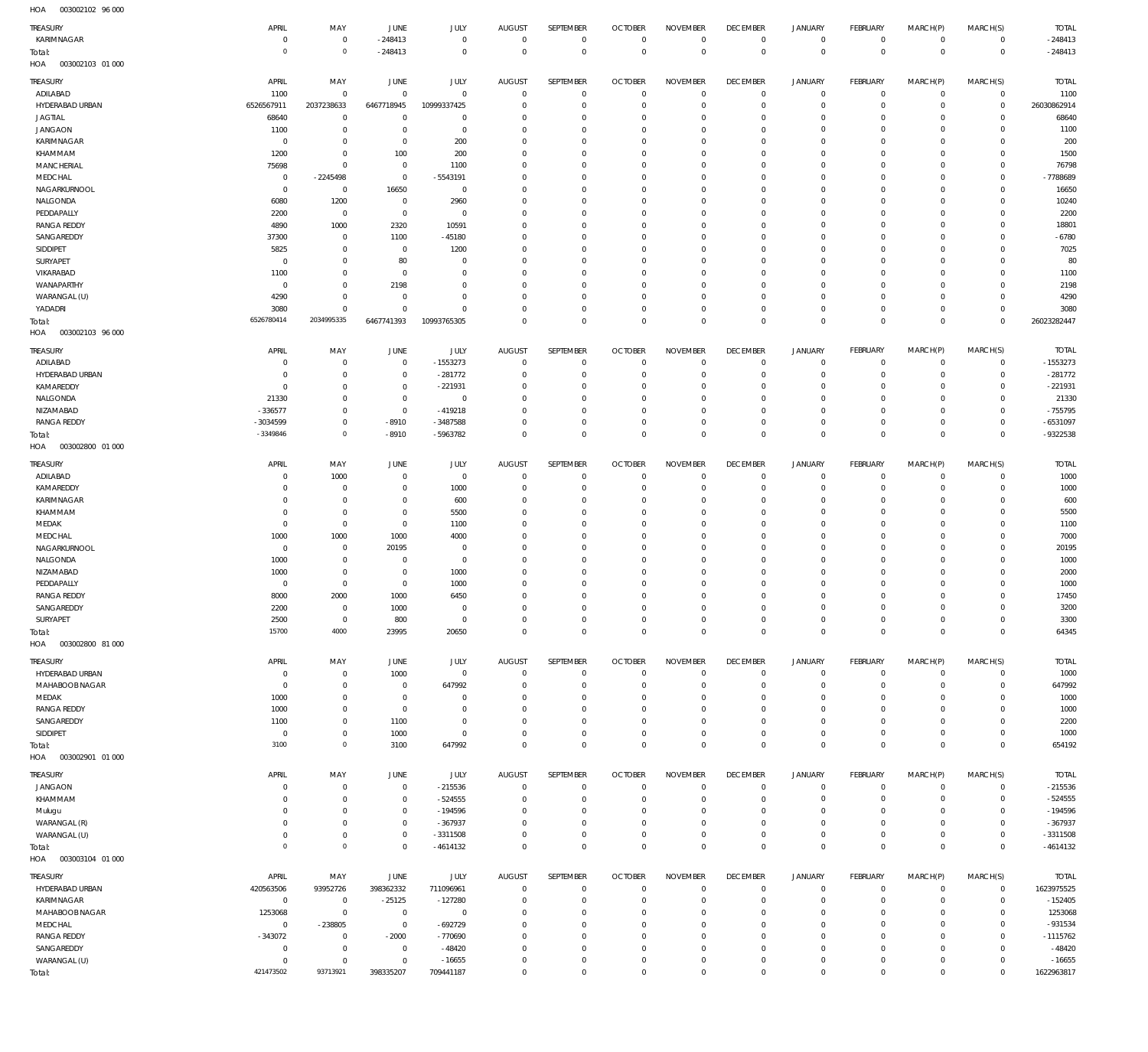003002102 96 000 HOA

| $\cdots$<br>TREASURY              | APRIL                      | MAY                              | JUNE                          | JULY                         | <b>AUGUST</b>              | SEPTEMBER                        | <b>OCTOBER</b>             | <b>NOVEMBER</b>                  | <b>DECEMBER</b>               | <b>JANUARY</b>                  | FEBRUARY                | MARCH(P)                   | MARCH(S)                 | <b>TOTAL</b>           |
|-----------------------------------|----------------------------|----------------------------------|-------------------------------|------------------------------|----------------------------|----------------------------------|----------------------------|----------------------------------|-------------------------------|---------------------------------|-------------------------|----------------------------|--------------------------|------------------------|
| KARIMNAGAR                        | $\mathbf{0}$               | $\overline{0}$                   | $-248413$                     | $\mathbf 0$                  | $^{\circ}$                 | $\overline{0}$                   | $\Omega$                   | $\overline{0}$                   | $\mathbf 0$                   | $\circ$                         | $\mathbf 0$             | $\mathbf 0$                | $\mathbf 0$              | $-248413$              |
| Total:<br>003002103 01 000<br>HOA | $\mathbf 0$                | $\,0\,$                          | $-248413$                     | $\mathbf 0$                  | $\Omega$                   | $\mathbb O$                      | $\Omega$                   | $\overline{0}$                   | $\overline{0}$                | $\mathbb O$                     | $\overline{0}$          | $\mathbf 0$                | $\mathbf 0$              | $-248413$              |
|                                   |                            |                                  |                               |                              |                            |                                  |                            |                                  |                               |                                 |                         |                            |                          |                        |
| TREASURY<br>ADILABAD              | APRIL<br>1100              | MAY<br>$\overline{0}$            | JUNE<br>$\Omega$              | JULY<br>$\mathbf 0$          | <b>AUGUST</b><br>$\Omega$  | <b>SEPTEMBER</b><br>$\Omega$     | <b>OCTOBER</b><br>$\Omega$ | <b>NOVEMBER</b><br>$\Omega$      | <b>DECEMBER</b><br>$^{\circ}$ | <b>JANUARY</b><br>0             | FEBRUARY<br>$\circ$     | MARCH(P)<br>$^{\circ}$     | MARCH(S)<br>$\mathbf 0$  | <b>TOTAL</b><br>1100   |
| HYDERABAD URBAN                   | 6526567911                 | 2037238633                       | 6467718945                    | 10999337425                  | $\Omega$                   | $\mathbf 0$                      | $\Omega$                   | $\overline{0}$                   | $\Omega$                      | $\mathbf 0$                     | $\circ$                 | $\mathbf 0$                | $\mathbf{0}$             | 26030862914            |
| <b>JAGTIAL</b>                    | 68640                      | $\overline{0}$                   | $\Omega$                      | $\Omega$                     | $\Omega$                   | $\Omega$                         | - 0                        | $\Omega$                         | $\Omega$                      | $\circ$                         | $\Omega$                | $\Omega$                   | $\mathbf 0$              | 68640                  |
| <b>JANGAON</b>                    | 1100                       | $\overline{0}$                   | $^{\circ}$                    | $\mathbf 0$                  | $\Omega$                   | $\Omega$                         | $\Omega$                   | $\overline{0}$                   | $\Omega$                      | $\circ$                         | $\Omega$                | $\mathbf 0$                | $\Omega$                 | 1100                   |
| KARIMNAGAR<br>KHAMMAM             | $^{\circ}$<br>1200         | $\mathbf{0}$<br>$\overline{0}$   | $^{\circ}$<br>100             | 200<br>200                   | $\Omega$<br>$\Omega$       | $\Omega$<br>$\mathbf{0}$         | - 0<br>$\Omega$            | $\Omega$<br>$\overline{0}$       | $\Omega$<br>$\Omega$          | $\circ$<br>$\circ$              | $\Omega$<br>$\Omega$    | $\Omega$<br>$\Omega$       | $\Omega$<br>$\Omega$     | 200<br>1500            |
| <b>MANCHERIAL</b>                 | 75698                      | $\overline{0}$                   | $^{\circ}$                    | 1100                         | $\Omega$                   | $\Omega$                         | - 0                        | $\Omega$                         | $\Omega$                      | $\mathbf 0$                     | $\Omega$                | $\Omega$                   | $^{\circ}$               | 76798                  |
| MEDCHAL                           | $^{\circ}$                 | $-2245498$                       | $^{\circ}$                    | $-5543191$                   | $\Omega$                   | $\mathbf{0}$                     | $\Omega$                   | $\overline{0}$                   | $\Omega$                      | $\circ$                         | $\Omega$                | $\Omega$                   | $\Omega$                 | -7788689               |
| NAGARKURNOOL                      | $\mathbf{0}$               | $\overline{0}$                   | 16650                         | $\mathbf 0$                  | $\Omega$                   | $\Omega$                         | - 0                        | $\Omega$                         | $\Omega$                      | $\mathbf 0$                     | $\Omega$                | $\mathbf 0$                | $^{\circ}$               | 16650                  |
| NALGONDA                          | 6080                       | 1200                             | $\overline{0}$                | 2960                         | $\Omega$                   | $\Omega$<br>$\Omega$             | $\Omega$                   | $\Omega$<br>$\Omega$             | $\Omega$                      | $\Omega$                        | $\Omega$                | $\Omega$<br>$\Omega$       | $\Omega$<br>$\Omega$     | 10240                  |
| PEDDAPALLY<br><b>RANGA REDDY</b>  | 2200<br>4890               | $\overline{0}$<br>1000           | $\overline{0}$<br>2320        | $\mathbf 0$<br>10591         | $\Omega$<br>$\Omega$       | $\Omega$                         | - 0<br>$\Omega$            | $\Omega$                         | $\Omega$<br>$\Omega$          | $\mathbf 0$<br>$\Omega$         | $\Omega$<br>$\Omega$    | $\Omega$                   | $\Omega$                 | 2200<br>18801          |
| SANGAREDDY                        | 37300                      | $\overline{0}$                   | 1100                          | $-45180$                     | $\Omega$                   | $\Omega$                         | - 0                        | $\overline{0}$                   | $\Omega$                      | $\circ$                         | $\Omega$                | $\Omega$                   | $\Omega$                 | $-6780$                |
| SIDDIPET                          | 5825                       | $\overline{0}$                   | $^{\circ}$                    | 1200                         | $\Omega$                   | $\Omega$                         | $\Omega$                   | $\Omega$                         | $\Omega$                      | $\Omega$                        | $\Omega$                | $\Omega$                   | $\Omega$                 | 7025                   |
| SURYAPET                          | $^{\circ}$                 | $\overline{0}$                   | 80                            | $\Omega$                     | $\Omega$                   | $\Omega$                         | $\Omega$                   | $\overline{0}$                   | $\Omega$                      | $\circ$                         | $\Omega$                | $\Omega$                   | $\Omega$                 | 80                     |
| VIKARABAD<br>WANAPARTHY           | 1100<br>$^{\circ}$         | $\mathbf 0$<br>$\overline{0}$    | $^{\circ}$<br>2198            | $\Omega$<br>$\Omega$         | $\Omega$<br>$\Omega$       | $\Omega$<br>$\Omega$             | - 0<br>- 0                 | $\Omega$<br>$\overline{0}$       | $\Omega$<br>$\Omega$          | $\mathbf 0$<br>$\circ$          | $\Omega$<br>$\Omega$    | $^{\circ}$<br>$\Omega$     | $^{\circ}$<br>$\Omega$   | 1100<br>2198           |
| WARANGAL (U)                      | 4290                       | $\overline{0}$                   | $\Omega$                      | $\Omega$                     | $\Omega$                   | $\Omega$                         | $\Omega$                   | $\Omega$                         | $\Omega$                      | $\circ$                         | $\Omega$                | $\mathbf 0$                | $\Omega$                 | 4290                   |
| YADADRI                           | 3080                       | $\overline{0}$                   | $\Omega$                      | $\overline{0}$               | $\Omega$                   | $\mathbf{0}$                     | $\Omega$                   | $\overline{0}$                   | $\Omega$                      | $\mathbf 0$                     | $\Omega$                | $\mathbf 0$                | $^{\circ}$               | 3080                   |
| Total:                            | 6526780414                 | 2034995335                       | 6467741393                    | 10993765305                  | $\Omega$                   | $\Omega$                         | $\Omega$                   | $\overline{0}$                   | $\Omega$                      | $\mathbf 0$                     | $\Omega$                | $\mathbf 0$                | $\mathbf 0$              | 26023282447            |
| HOA<br>003002103 96 000           |                            |                                  |                               |                              |                            |                                  |                            |                                  |                               |                                 |                         |                            |                          |                        |
| TREASURY                          | APRIL                      | MAY                              | JUNE                          | <b>JULY</b>                  | <b>AUGUST</b>              | SEPTEMBER                        | <b>OCTOBER</b>             | <b>NOVEMBER</b>                  | <b>DECEMBER</b>               | JANUARY                         | <b>FEBRUARY</b>         | MARCH(P)                   | MARCH(S)                 | <b>TOTAL</b>           |
| ADILABAD                          | $\Omega$                   | $^{\circ}$                       | $\Omega$                      | -1553273                     | $\Omega$                   | $\Omega$                         | $\Omega$                   | $\Omega$                         | $\Omega$                      | $\mathbf 0$                     | $\Omega$                | $\Omega$                   | $\mathbf 0$              | -1553273               |
| HYDERABAD URBAN<br>KAMAREDDY      | $\mathbf 0$<br>$\Omega$    | $\overline{0}$<br>$\mathbf{0}$   | $^{\circ}$<br>$\Omega$        | $-281772$<br>$-221931$       | $^{\circ}$<br>$\Omega$     | $\overline{0}$<br>$\Omega$       | $\Omega$                   | $\overline{0}$<br>$\Omega$       | $\Omega$<br>$\Omega$          | $\mathbf 0$<br>$\Omega$         | $\Omega$<br>$\Omega$    | $\Omega$<br>$\Omega$       | $\mathbf 0$<br>$\Omega$  | $-281772$<br>$-221931$ |
| NALGONDA                          | 21330                      | $^{\circ}$                       | $^{\circ}$                    | $\mathbf 0$                  | $\Omega$                   | $\Omega$                         | $\Omega$                   | $\overline{0}$                   | $\Omega$                      | $\Omega$                        | $\Omega$                | $\Omega$                   | $\Omega$                 | 21330                  |
| NIZAMABAD                         | $-336577$                  | $\mathbf 0$                      | $^{\circ}$                    | $-419218$                    | $\Omega$                   | $\Omega$                         |                            | $\Omega$                         | $\Omega$                      | $\Omega$                        | $\Omega$                | $\Omega$                   | $\Omega$                 | $-755795$              |
| <b>RANGA REDDY</b>                | -3034599                   | $\mathbf{0}$                     | $-8910$                       | $-3487588$                   | $^{\circ}$                 | $\mathbf{0}$                     | $\Omega$                   | $\overline{0}$                   | $^{\circ}$                    | $\mathbf 0$                     | $\Omega$                | $\Omega$                   | $\Omega$                 | $-6531097$             |
| Total:                            | $-3349846$                 | $\circ$                          | $-8910$                       | -5963782                     | $\Omega$                   | $\Omega$                         | $\Omega$                   | $\Omega$                         | $\Omega$                      | $\mathbf 0$                     | $\Omega$                | $\Omega$                   | $\mathbf 0$              | -9322538               |
| 003002800 01 000<br>HOA           |                            |                                  |                               |                              |                            |                                  |                            |                                  |                               |                                 |                         |                            |                          |                        |
| TREASURY                          | APRIL                      | MAY                              | JUNE                          | JULY                         | <b>AUGUST</b>              | SEPTEMBER                        | <b>OCTOBER</b>             | <b>NOVEMBER</b>                  | <b>DECEMBER</b>               | <b>JANUARY</b>                  | FEBRUARY                | MARCH(P)                   | MARCH(S)                 | <b>TOTAL</b>           |
| ADILABAD<br>KAMAREDDY             | $\mathbf 0$<br>$\mathbf 0$ | 1000<br>$\overline{0}$           | $^{\circ}$<br>$^{\circ}$      | $\mathbf 0$<br>1000          | $\Omega$<br>$\Omega$       | $\Omega$<br>$\overline{0}$       | $\Omega$<br>$\Omega$       | $\Omega$<br>$\overline{0}$       | $^{\circ}$<br>$\Omega$        | $\mathbf 0$<br>$\circ$          | $\circ$<br>$\circ$      | $^{\circ}$<br>$^{\circ}$   | $^{\circ}$<br>$^{\circ}$ | 1000<br>1000           |
| KARIMNAGAR                        | $\Omega$                   | $\overline{0}$                   | $\Omega$                      | 600                          | $\Omega$                   | $\Omega$                         | $\Omega$                   | $\overline{0}$                   | $\Omega$                      | $\circ$                         | $\Omega$                | $\Omega$                   | $^{\circ}$               | 600                    |
| KHAMMAM                           | $\mathbf 0$                | $\overline{0}$                   | $^{\circ}$                    | 5500                         | $\Omega$                   | $\Omega$                         | $\Omega$                   | $\overline{0}$                   | $\Omega$                      | $\circ$                         | $\Omega$                | $^{\circ}$                 | $^{\circ}$               | 5500                   |
| MEDAK                             | $\Omega$                   | $\overline{0}$                   | $^{\circ}$                    | 1100                         | $\Omega$                   | $\mathbf{0}$                     | - 0                        | $\Omega$                         | $\Omega$                      | $\circ$                         | $\Omega$                | $\Omega$                   | $\Omega$                 | 1100                   |
| MEDCHAL                           | 1000                       | 1000                             | 1000                          | 4000                         | $\Omega$                   | $\Omega$<br>$\Omega$             | $\Omega$                   | $\overline{0}$<br>$\Omega$       | $\Omega$<br>$\Omega$          | $\circ$                         | $\Omega$                | $\Omega$<br>$\Omega$       | $\Omega$                 | 7000                   |
| NAGARKURNOOL<br>NALGONDA          | $^{\circ}$<br>1000         | $\overline{0}$<br>$\overline{0}$ | 20195<br>$^{\circ}$           | $^{\circ}$<br>$\overline{0}$ | $\Omega$<br>$\Omega$       | $\mathbf{0}$                     | - 0<br>$\Omega$            | $\overline{0}$                   | $\Omega$                      | $\circ$<br>$\circ$              | $\Omega$<br>$\Omega$    | $\mathbf 0$                | $^{\circ}$<br>$\Omega$   | 20195<br>1000          |
| NIZAMABAD                         | 1000                       | $\overline{0}$                   | $^{\circ}$                    | 1000                         | $\Omega$                   | $^{\circ}$                       | - 0                        | $\Omega$                         | $\Omega$                      | $\mathbf 0$                     | $\Omega$                | $\mathbf 0$                | $^{\circ}$               | 2000                   |
| PEDDAPALLY                        | $\Omega$                   | $\mathbf 0$                      | $\Omega$                      | 1000                         | $\Omega$                   | $\Omega$                         | $\Omega$                   | $\Omega$                         | $\Omega$                      | $\circ$                         | $\Omega$                | $\Omega$                   | $\Omega$                 | 1000                   |
| <b>RANGA REDDY</b>                | 8000                       | 2000                             | 1000                          | 6450                         | $^{\circ}$                 | $\circ$                          | $\Omega$                   | $\overline{0}$                   | $\Omega$                      | $\circ$                         | $\Omega$                | $\Omega$                   | $\mathbf 0$              | 17450                  |
| SANGAREDDY<br>SURYAPET            | 2200<br>2500               | $\Omega$<br>$\overline{0}$       | 1000<br>800                   | $\Omega$<br>$\overline{0}$   | $\Omega$<br>$\overline{0}$ | $\Omega$<br>$\,0\,$              | $\Omega$<br>$\Omega$       | $\Omega$<br>$\overline{0}$       | $\Omega$<br>$\mathbf 0$       | $\Omega$<br>$\mathsf{O}\xspace$ | $\Omega$<br>$\mathbf 0$ | $\Omega$<br>$\mathbf 0$    | $\Omega$<br>$\mathbf 0$  | 3200<br>3300           |
| Total:                            | 15700                      | 4000                             | 23995                         | 20650                        | $\mathbf 0$                | $\mathbb O$                      | $\Omega$                   | $\mathbf 0$                      | $\mathbf 0$                   | $\,0\,$                         | $\mathbf{0}$            | $\mathbf 0$                | $\mathbf 0$              | 64345                  |
| 003002800 81 000<br>HOA           |                            |                                  |                               |                              |                            |                                  |                            |                                  |                               |                                 |                         |                            |                          |                        |
| TREASURY                          | APRIL                      | MAY                              | <b>JUNE</b>                   | JULY                         | <b>AUGUST</b>              | SEPTEMBER                        | <b>OCTOBER</b>             | <b>NOVEMBER</b>                  | <b>DECEMBER</b>               | <b>JANUARY</b>                  | FEBRUARY                | MARCH(P)                   | MARCH(S)                 | <b>TOTAL</b>           |
| HYDERABAD URBAN                   | $\mathbf 0$                | $\overline{0}$                   | 1000                          | $\mathbf 0$                  | $\overline{0}$             | $\overline{0}$                   | $\overline{0}$             | $\overline{0}$                   | $\overline{0}$                | $\circ$                         | $\mathbf 0$             | $\mathbf 0$                | $\mathbf 0$              | 1000                   |
| MAHABOOB NAGAR                    | $\mathbf{0}$               | $\overline{0}$                   | $^{\circ}$                    | 647992                       | $^{\circ}$                 | $\mathbb O$                      | $\Omega$                   | $\overline{0}$                   | $\Omega$                      | $\mathbf 0$                     | $\mathbf 0$             | $\mathbf 0$                | $\mathbf 0$              | 647992                 |
| MEDAK                             | 1000                       | $\mathbf 0$                      | $^{\circ}$                    | $\mathbf 0$                  | $\Omega$                   | $\overline{0}$                   | $\Omega$                   | $\overline{0}$                   | $\Omega$                      | $\circ$                         | $\Omega$                | $\Omega$                   | $\mathbf 0$              | 1000                   |
| RANGA REDDY<br>SANGAREDDY         | 1000<br>1100               | $\mathbf 0$<br>$\mathbf 0$       | $^{\circ}$<br>1100            | $\mathbf 0$<br>$\mathbf 0$   | $\Omega$<br>$\Omega$       | $\overline{0}$<br>$\mathbf{0}$   | $\Omega$<br>$\Omega$       | $\Omega$<br>$\overline{0}$       | $\Omega$<br>$\Omega$          | $\mathbf 0$<br>$\Omega$         | $\Omega$<br>$\Omega$    | $\Omega$<br>$\Omega$       | $\mathbf 0$<br>$\Omega$  | 1000<br>2200           |
| SIDDIPET                          | $\mathbf 0$                | $\mathbf 0$                      | 1000                          | $\mathbf 0$                  | $\mathbf 0$                | $\mathbb O$                      | $\Omega$                   | $\overline{0}$                   | $\mathbf 0$                   | $\mathbf 0$                     | $^{\circ}$              | $\mathbf 0$                | $\mathbf 0$              | 1000                   |
| Total:                            | 3100                       | $\,0\,$                          | 3100                          | 647992                       | $\overline{0}$             | $\circ$                          | $\Omega$                   | $\overline{0}$                   | $\overline{0}$                | $\mathbb O$                     | $\Omega$                | $\Omega$                   | $\mathbf 0$              | 654192                 |
| HOA<br>003002901 01 000           |                            |                                  |                               |                              |                            |                                  |                            |                                  |                               |                                 |                         |                            |                          |                        |
| TREASURY                          | APRIL                      | MAY                              | JUNE                          | JULY                         | AUGUST                     | <b>SEPTEMBER</b>                 | <b>OCTOBER</b>             | <b>NOVEMBER</b>                  | <b>DECEMBER</b>               | <b>JANUARY</b>                  | FEBRUARY                | MARCH(P)                   | MARCH(S)                 | <b>TOTAL</b>           |
| <b>JANGAON</b>                    | $\mathbf 0$                | $\overline{0}$                   | $\mathbf 0$                   | $-215536$                    | $^{\circ}$                 | $\overline{0}$                   | $\Omega$                   | $\Omega$                         | $^{\circ}$                    | 0                               | $\circ$                 | $^{\circ}$                 | 0                        | $-215536$              |
| KHAMMAM                           | $\mathbf 0$                | $\overline{0}$                   | $\,0\,$                       | $-524555$                    | $^{\circ}$                 | $\mathbb O$                      | $\Omega$                   | $\overline{0}$                   | $^{\circ}$                    | $\mathbf 0$                     | $^{\circ}$              | $\mathbf 0$                | $\mathbf 0$              | $-524555$              |
| Mulugu<br>WARANGAL (R)            | $\mathbf 0$<br>$\mathbf 0$ | $\overline{0}$<br>$\mathbf 0$    | $\mathbf 0$<br>$\mathbf 0$    | -194596<br>$-367937$         | $\mathbf 0$<br>$\Omega$    | $\overline{0}$<br>$\mathbb O$    | $\Omega$<br>$\Omega$       | $\overline{0}$<br>$\overline{0}$ | $^{\circ}$<br>$^{\circ}$      | $\circ$<br>$\mathbf 0$          | $\Omega$<br>$\Omega$    | $\mathbf 0$<br>$\mathbf 0$ | $^{\circ}$<br>$^{\circ}$ | -194596<br>$-367937$   |
| WARANGAL (U)                      | $\mathbf 0$                | $\overline{0}$                   | $^{\circ}$                    | $-3311508$                   | $\mathbf 0$                | $\mathbb O$                      | $\Omega$                   | $\overline{0}$                   | $\mathbf 0$                   | $\mathsf{O}\xspace$             | $^{\circ}$              | $\mathbf 0$                | $\mathbf 0$              | $-3311508$             |
| Total:                            | $\mathbf 0$                | $\circ$                          | $\mathbf 0$                   | $-4614132$                   | $\overline{0}$             | $\mathbb O$                      | $\Omega$                   | $\mathbf 0$                      | $\mathbf 0$                   | $\mathbb O$                     | $^{\circ}$              | $\mathbf 0$                | $\mathbf 0$              | $-4614132$             |
| 003003104 01 000<br>HOA           |                            |                                  |                               |                              |                            |                                  |                            |                                  |                               |                                 |                         |                            |                          |                        |
| TREASURY                          | APRIL                      | MAY                              | JUNE                          | JULY                         | <b>AUGUST</b>              | SEPTEMBER                        | <b>OCTOBER</b>             | <b>NOVEMBER</b>                  | <b>DECEMBER</b>               | JANUARY                         | FEBRUARY                | MARCH(P)                   | MARCH(S)                 | <b>TOTAL</b>           |
| HYDERABAD URBAN                   | 420563506                  | 93952726                         | 398362332                     | 711096961                    | $^{\circ}$                 | $\overline{0}$                   | $\Omega$                   | $\overline{0}$                   | $\mathbf 0$                   | $\circ$                         | $^{\circ}$              | $\mathbf 0$                | $\mathbf 0$              | 1623975525             |
| KARIMNAGAR                        | $\overline{0}$             | $\overline{0}$                   | $-25125$                      | $-127280$                    | $^{\circ}$                 | $\overline{0}$                   | $\Omega$                   | $\Omega$                         | $\Omega$                      | $\mathbf 0$                     | $\Omega$                | $\Omega$                   | $\mathbf 0$              | $-152405$              |
| MAHABOOB NAGAR<br>MEDCHAL         | 1253068<br>$^{\circ}$      | $\overline{0}$<br>-238805        | $\overline{0}$<br>$\mathbf 0$ | $\mathbf 0$<br>-692729       | $^{\circ}$<br>$^{\circ}$   | $\overline{0}$<br>$\overline{0}$ | $\Omega$<br>$\Omega$       | $\Omega$<br>$\overline{0}$       | $\Omega$<br>$^{\circ}$        | $\circ$<br>$\circ$              | 0<br>$\Omega$           | $\Omega$<br>$\Omega$       | $\Omega$<br>$\Omega$     | 1253068<br>$-931534$   |
| <b>RANGA REDDY</b>                | $-343072$                  | $\overline{0}$                   | $-2000$                       | -770690                      | $\Omega$                   | $\mathbf{0}$                     | $\Omega$                   | $\overline{0}$                   | $\Omega$                      | $\Omega$                        | $\Omega$                | $\Omega$                   | $\Omega$                 | $-1115762$             |
| SANGAREDDY                        | $^{\circ}$                 | $\overline{0}$                   | $\overline{0}$                | $-48420$                     | $^{\circ}$                 | $\overline{0}$                   | $\Omega$                   | $\overline{0}$                   | $^{\circ}$                    | $\mathbf 0$                     | $\Omega$                | $\Omega$                   | $\Omega$                 | $-48420$               |
| WARANGAL (U)                      | $\mathbf 0$                | $\overline{0}$                   | $\mathbf 0$                   | $-16655$                     | $\Omega$                   | $\overline{0}$                   | $\Omega$                   | $\overline{0}$                   | $^{\circ}$                    | $\mathbf 0$                     | 0                       | $\Omega$                   | $\mathbf 0$              | $-16655$               |
| Total:                            | 421473502                  | 93713921                         | 398335207                     | 709441187                    | $\mathbf 0$                | $\mathbb O$                      | $\Omega$                   | $\overline{0}$                   | $\overline{0}$                | $\mathbb O$                     | $^{\circ}$              | $\mathbf 0$                | $\mathbf 0$              | 1622963817             |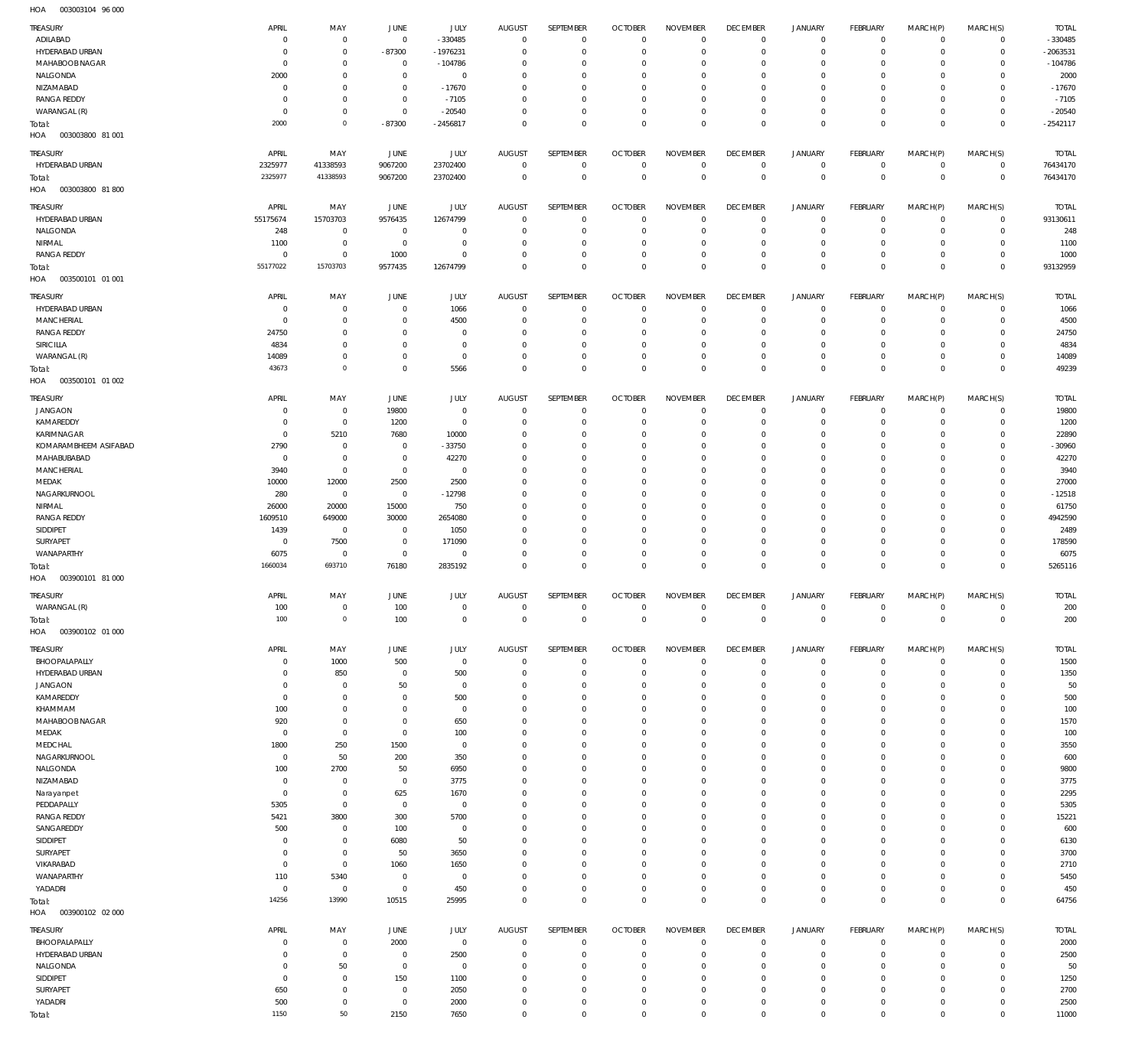003003104 96 000 HOA

| TREASURY                                | APRIL                  | MAY                              | JUNE                   | JULY                             | <b>AUGUST</b>        | SEPTEMBER                        | <b>OCTOBER</b>                   | <b>NOVEMBER</b>                | <b>DECEMBER</b>                | <b>JANUARY</b>                | FEBRUARY                     | MARCH(P)                   | MARCH(S)                      | <b>TOTAL</b>          |
|-----------------------------------------|------------------------|----------------------------------|------------------------|----------------------------------|----------------------|----------------------------------|----------------------------------|--------------------------------|--------------------------------|-------------------------------|------------------------------|----------------------------|-------------------------------|-----------------------|
| ADILABAD                                | $\circ$                | $^{\circ}$                       | $\overline{0}$         | $-330485$                        | $\overline{0}$       | $\overline{0}$                   | $\mathbf 0$                      | $^{\circ}$                     | $\mathbf 0$                    | 0                             | $\mathbf 0$                  | $\mathbf 0$                | $\mathbf{0}$                  | $-330485$             |
| HYDERABAD URBAN                         | $\circ$                | $\mathbf{0}$                     | $-87300$               | $-1976231$                       | $\Omega$             | $\mathbb O$                      | $\overline{0}$                   | $\mathbf{0}$                   | $^{\circ}$                     | $\mathbf 0$                   | $^{\circ}$                   | $\mathbf 0$                | $\mathbf 0$                   | -2063531              |
| MAHABOOB NAGAR                          | $\overline{0}$         | $\mathbf{0}$                     | $\Omega$               | $-104786$                        | 0                    | $\overline{0}$                   | 0                                | $^{\circ}$                     | 0                              | $\mathbf 0$                   | $^{\circ}$                   | $\mathbf 0$                | $\mathbf 0$                   | $-104786$             |
| NALGONDA                                | 2000                   | $\mathbf{0}$                     | $^{\circ}$             | $\overline{0}$                   | $\Omega$             | $\overline{0}$                   | 0                                | $^{\circ}$                     | $^{\circ}$                     | $\mathbf 0$                   | $^{\circ}$                   | $\mathbf 0$                | $\mathbf 0$                   | 2000                  |
| NIZAMABAD                               | $\circ$                | $^{\circ}$                       | $^{\circ}$             | $-17670$                         | 0                    | $\overline{0}$                   | 0                                | $^{\circ}$                     | $\mathbf{0}$                   | $\mathbf 0$                   | 0                            | $\mathbf 0$                | $\mathbf 0$                   | $-17670$              |
| <b>RANGA REDDY</b>                      | $\circ$                | $\mathbf{0}$                     | $^{\circ}$             | $-7105$                          | $\Omega$             | $\overline{0}$                   | 0                                | $\mathbf{0}$                   | $^{\circ}$                     | $\mathbf 0$                   | 0                            | $\mathbf 0$                | $\mathbf 0$                   | $-7105$               |
| WARANGAL (R)                            | $\mathbf{0}$           | $\overline{0}$                   | $^{\circ}$             | $-20540$                         | $\Omega$             | $\mathbb O$                      | $\circ$                          | $\mathbf 0$                    | $\mathbf 0$                    | $\mathbf 0$                   | $^{\circ}$                   | $\mathbf 0$                | $\mathbf 0$                   | $-20540$              |
| Total:                                  | 2000                   | $\circ$                          | $-87300$               | $-2456817$                       | $\Omega$             | $\mathbb O$                      | $^{\circ}$                       | $\mathbf 0$                    | $\mathbf 0$                    | $\mathbf 0$                   | $^{\circ}$                   | $\mathbf 0$                | $\overline{0}$                | $-2542117$            |
| HOA<br>003003800 81 001                 |                        |                                  |                        |                                  |                      |                                  |                                  |                                |                                |                               |                              |                            |                               |                       |
| TREASURY                                | APRIL                  | MAY                              | JUNE                   | JULY                             | <b>AUGUST</b>        | SEPTEMBER                        | <b>OCTOBER</b>                   | <b>NOVEMBER</b>                | <b>DECEMBER</b>                | <b>JANUARY</b>                | FEBRUARY                     | MARCH(P)                   | MARCH(S)                      | <b>TOTAL</b>          |
| HYDERABAD URBAN                         | 2325977                | 41338593                         | 9067200                | 23702400                         | $^{\circ}$           | $\mathbb O$                      | $\mathbf 0$                      | $\mathbf 0$                    | $\mathbf 0$                    | $\mathsf{O}$                  | $\overline{0}$               | $\mathbf 0$                | $\overline{0}$                | 76434170              |
| Total:                                  | 2325977                | 41338593                         | 9067200                | 23702400                         | $^{\circ}$           | $\mathbb O$                      | $\mathbf 0$                      | $\mathbb O$                    | $\mathbf 0$                    | $\mathbb O$                   | $\overline{0}$               | $\mathbf 0$                | $\overline{0}$                | 76434170              |
| 003003800 81800<br>HOA                  |                        |                                  |                        |                                  |                      |                                  |                                  |                                |                                |                               |                              |                            |                               |                       |
| TREASURY                                | APRIL                  | MAY                              | JUNE                   | JULY                             | <b>AUGUST</b>        | SEPTEMBER                        | <b>OCTOBER</b>                   | <b>NOVEMBER</b>                | <b>DECEMBER</b>                | <b>JANUARY</b>                | FEBRUARY                     | MARCH(P)                   | MARCH(S)                      | <b>TOTAL</b>          |
| HYDERABAD URBAN                         | 55175674               | 15703703                         | 9576435                | 12674799                         | $\overline{0}$       | $\overline{0}$                   | $^{\circ}$                       | $^{\circ}$                     | $\mathbf 0$                    | $\mathbf 0$                   | $\mathbf 0$                  | $\mathbf 0$                | $\mathbf 0$                   | 93130611              |
| NALGONDA                                | 248                    | $\overline{0}$                   | $\overline{0}$         | $\mathbf{0}$                     | 0                    | $\overline{0}$                   | 0                                | $\overline{0}$                 | $\mathbf 0$                    | 0                             | $\mathbf 0$                  | $\mathbf 0$                | $\circ$                       | 248                   |
| NIRMAL                                  | 1100                   | $\overline{0}$                   | $\overline{0}$         | $\overline{0}$                   | $\Omega$             | $\overline{0}$                   | $\circ$                          | $^{\circ}$                     | $\mathbf 0$                    | $\mathbf 0$                   | $^{\circ}$                   | $\mathbf 0$                | $\mathbf 0$                   | 1100                  |
| <b>RANGA REDDY</b>                      | $^{\circ}$<br>55177022 | $\overline{0}$<br>15703703       | 1000<br>9577435        | $\overline{0}$<br>12674799       | 0<br>$\Omega$        | $\overline{0}$<br>$\mathbb O$    | 0<br>$^{\circ}$                  | $^{\circ}$<br>$\mathbf 0$      | $^{\circ}$<br>$\mathbf 0$      | 0<br>$\mathbf 0$              | $^{\circ}$<br>$\overline{0}$ | $\mathbf 0$<br>$\mathbf 0$ | $\mathbf 0$<br>$\overline{0}$ | 1000<br>93132959      |
| Total:<br>HOA<br>003500101 01 001       |                        |                                  |                        |                                  |                      |                                  |                                  |                                |                                |                               |                              |                            |                               |                       |
|                                         |                        |                                  |                        |                                  |                      |                                  |                                  |                                |                                |                               |                              |                            |                               |                       |
| TREASURY                                | APRIL                  | MAY                              | JUNE                   | JULY                             | <b>AUGUST</b>        | SEPTEMBER                        | <b>OCTOBER</b>                   | <b>NOVEMBER</b>                | <b>DECEMBER</b>                | <b>JANUARY</b>                | FEBRUARY                     | MARCH(P)                   | MARCH(S)                      | <b>TOTAL</b>          |
| HYDERABAD URBAN                         | $\circ$                | $^{\circ}$                       | $\circ$                | 1066                             | $^{\circ}$           | $\overline{0}$                   | $\overline{0}$                   | $^{\circ}$                     | $\mathbf 0$                    | 0                             | $\mathbf 0$                  | $\mathbf 0$                | $\mathbf 0$                   | 1066                  |
| <b>MANCHERIAL</b><br><b>RANGA REDDY</b> | $\Omega$<br>24750      | $\mathbf{0}$<br>$^{\circ}$       | $\Omega$<br>$\Omega$   | 4500<br>0                        | $\Omega$<br>$\Omega$ | $\mathbb O$<br>$\overline{0}$    | C<br>0                           | $\overline{0}$<br>$^{\circ}$   | $^{\circ}$<br>0                | $\mathbf 0$<br>$\mathbf 0$    | $^{\circ}$<br>$^{\circ}$     | $\mathbf 0$<br>$\mathbf 0$ | $\mathbf 0$<br>$\mathbf 0$    | 4500<br>24750         |
| SIRICILLA                               | 4834                   | $^{\circ}$                       | $\Omega$               | $\mathbf 0$                      | $\Omega$             | $\overline{0}$                   | 0                                | $^{\circ}$                     | $^{\circ}$                     | 0                             | $^{\circ}$                   | $\mathbf 0$                | $\mathbf 0$                   | 4834                  |
| WARANGAL (R)                            | 14089                  | $\overline{0}$                   | $\Omega$               | $\overline{0}$                   | $\Omega$             | $\mathbb O$                      | $\circ$                          | $^{\circ}$                     | $\mathbf 0$                    | 0                             | $^{\circ}$                   | $\mathbf 0$                | $\mathbf 0$                   | 14089                 |
| Total:                                  | 43673                  | $\circ$                          | $\Omega$               | 5566                             | $\Omega$             | $\mathbb O$                      | $^{\circ}$                       | $\mathbb O$                    | $\mathbf 0$                    | $\mathsf{O}\xspace$           | $\overline{0}$               | $\mathbf 0$                | $\overline{0}$                | 49239                 |
| 003500101 01 002<br>HOA                 |                        |                                  |                        |                                  |                      |                                  |                                  |                                |                                |                               |                              |                            |                               |                       |
|                                         |                        |                                  |                        |                                  |                      |                                  |                                  |                                |                                |                               |                              |                            |                               |                       |
| TREASURY<br><b>JANGAON</b>              | APRIL                  | MAY                              | JUNE<br>19800          | JULY                             | <b>AUGUST</b>        | SEPTEMBER                        | <b>OCTOBER</b><br>$^{\circ}$     | <b>NOVEMBER</b><br>$^{\circ}$  | <b>DECEMBER</b><br>$\mathbf 0$ | <b>JANUARY</b><br>$\mathbf 0$ | FEBRUARY<br>$^{\circ}$       | MARCH(P)<br>$\mathbf 0$    | MARCH(S)<br>$\mathbf{0}$      | <b>TOTAL</b><br>19800 |
| KAMAREDDY                               | $\circ$<br>$\circ$     | $\overline{0}$<br>$\overline{0}$ | 1200                   | $\overline{0}$<br>$\overline{0}$ | $\overline{0}$<br>0  | $\overline{0}$<br>$\overline{0}$ | 0                                | $^{\circ}$                     | $\mathbf 0$                    | 0                             | $^{\circ}$                   | $\mathbf 0$                | $\mathbf 0$                   | 1200                  |
| KARIMNAGAR                              | $^{\circ}$             | 5210                             | 7680                   | 10000                            | $\Omega$             | $\overline{0}$                   | 0                                | $^{\circ}$                     | $\mathbf 0$                    | $\mathbf 0$                   | $^{\circ}$                   | $\mathbf 0$                | $\mathbf 0$                   | 22890                 |
| KOMARAMBHEEM ASIFABAD                   | 2790                   | $\overline{0}$                   | $^{\circ}$             | $-33750$                         | 0                    | $\overline{0}$                   | 0                                | $^{\circ}$                     | 0                              | $^{\circ}$                    | $^{\circ}$                   | $\mathbf 0$                | $\mathbf 0$                   | $-30960$              |
| MAHABUBABAD                             | $\circ$                | $\overline{0}$                   | $\overline{0}$         | 42270                            | $\Omega$             | $\overline{0}$                   | 0                                | $^{\circ}$                     | $\mathbf 0$                    | $\mathbf 0$                   | $^{\circ}$                   | $\Omega$                   | $\mathbf 0$                   | 42270                 |
| <b>MANCHERIAL</b>                       | 3940                   | $\overline{0}$                   | $\overline{0}$         | $\overline{0}$                   | 0                    | $\overline{0}$                   | 0                                | $^{\circ}$                     | 0                              | $^{\circ}$                    | $^{\circ}$                   | $\mathbf 0$                | $\mathbf 0$                   | 3940                  |
| MEDAK                                   | 10000                  | 12000                            | 2500                   | 2500                             | $\Omega$             | $\overline{0}$                   | 0                                | $^{\circ}$                     | $\mathbf 0$                    | $^{\circ}$                    | $^{\circ}$                   | $\mathbf 0$                | $\mathbf 0$                   | 27000                 |
| NAGARKURNOOL                            | 280                    | $\overline{0}$                   | $\overline{0}$         | $-12798$                         | $\Omega$             | $\overline{0}$                   | 0                                | $^{\circ}$                     | 0                              | $\mathbf 0$                   | $^{\circ}$                   | $\mathbf 0$                | $\mathbf 0$                   | $-12518$              |
| NIRMAL                                  | 26000                  | 20000                            | 15000                  | 750                              | $\Omega$             | $\overline{0}$                   | 0                                | $^{\circ}$                     | 0                              | $^{\circ}$                    | $^{\circ}$                   | $\mathbf 0$                | $\mathbf 0$                   | 61750                 |
| <b>RANGA REDDY</b>                      | 1609510                | 649000                           | 30000                  | 2654080                          | $\Omega$             | $\overline{0}$                   | 0                                | $\mathbf{0}$                   | $\mathbf{0}$                   | $^{\circ}$                    | $^{\circ}$                   | $\mathbf 0$                | $\mathbf 0$                   | 4942590               |
| SIDDIPET                                | 1439                   | $\overline{0}$                   | $\overline{0}$         | 1050                             | $\Omega$             | $\overline{0}$                   | 0                                | $^{\circ}$                     | 0                              | $^{\circ}$                    | 0                            | $\mathbf 0$                | $\mathbf 0$                   | 2489                  |
| SURYAPET                                | $^{\circ}$             | 7500                             | $\overline{0}$         | 171090                           | $\Omega$             | $\overline{0}$                   | 0                                | $^{\circ}$                     | $\mathbf 0$                    | $\mathbf 0$                   | $^{\circ}$                   | $\mathbf 0$                | $\mathbf 0$                   | 178590                |
| WANAPARTHY                              | 6075                   | $\circ$                          | $\overline{0}$         | $\overline{0}$                   | $\Omega$             | $\overline{0}$                   | $\circ$                          | $\mathbf{0}$                   | $\mathbf 0$                    | $\mathsf{O}$                  | $^{\circ}$                   | $\mathbf 0$                | $\mathbf 0$                   | 6075                  |
| Total:                                  | 1660034                | 693710                           | 76180                  | 2835192                          | $\Omega$             | $\mathbb O$                      | $^{\circ}$                       | $\mathbf 0$                    | $\mathbf 0$                    | $\mathbf 0$                   | $\mathbf 0$                  | $\mathbf 0$                | $\overline{0}$                | 5265116               |
| HOA<br>003900101 81 000                 |                        |                                  |                        |                                  |                      |                                  |                                  |                                |                                |                               |                              |                            |                               |                       |
| TREASURY                                | APRIL                  | MAY                              | JUNE                   | JULY                             | AUGUST               | SEPTEMBER                        | <b>OCTOBER</b>                   | <b>NOVEMBER</b>                | <b>DECEMBER</b>                | <b>JANUARY</b>                | FEBRUARY                     | MARCH(P)                   | MARCH(S)                      | <b>TOTAL</b>          |
| WARANGAL (R)                            | 100                    | $\overline{0}$                   | 100                    | $\overline{0}$                   | $\overline{0}$       | $\mathbb O$                      | $\mathbb O$                      | $\mathbf 0$                    | $\mathbf 0$                    | $\mathbf 0$                   | $\mathbf 0$                  | $\mathbf 0$                | $\overline{0}$                | 200                   |
| Total:                                  | 100                    | $\circ$                          | 100                    | $\mathbf 0$                      | $\mathbf 0$          | $\mathbb O$                      | $\mathbb O$                      | $\mathbf 0$                    | $\mathsf 0$                    | $\mathsf{O}\xspace$           | $\mathbf 0$                  | $\mathbf 0$                | $\overline{0}$                | 200                   |
| HOA<br>003900102 01 000                 |                        |                                  |                        |                                  |                      |                                  |                                  |                                |                                |                               |                              |                            |                               |                       |
| TREASURY                                | APRIL                  | MAY                              | JUNE                   | JULY                             | AUGUST               | <b>SEPTEMBER</b>                 | <b>OCTOBER</b>                   | <b>NOVEMBER</b>                | <b>DECEMBER</b>                | <b>JANUARY</b>                | FEBRUARY                     | MARCH(P)                   | MARCH(S)                      | <b>TOTAL</b>          |
| BHOOPALAPALLY                           | $\circ$                | 1000                             | 500                    | $\mathbf 0$                      | $\overline{0}$       | $\overline{0}$                   | $\mathbf{0}$                     | $^{\circ}$                     | $\mathbf 0$                    | 0                             | $\mathbf 0$                  | $\mathbf 0$                | $\mathbf{0}$                  | 1500                  |
| HYDERABAD URBAN                         | $^{\circ}$             | 850                              | $^{\circ}$             | 500                              | 0                    | $\mathbb O$                      | $\overline{0}$                   | $\mathbf{0}$                   | $\mathbf 0$                    | $\mathbf 0$                   | $\mathbf 0$                  | $\mathbf 0$                | $\mathbf 0$                   | 1350                  |
| <b>JANGAON</b>                          | $\mathbf{0}$           | $\overline{0}$                   | 50                     | $\overline{0}$                   | 0                    | $\overline{0}$                   | $\overline{0}$                   | $^{\circ}$                     | $\mathbf 0$                    | $^{\circ}$                    | $^{\circ}$                   | $\mathbf 0$                | $\mathbf 0$                   | 50                    |
| KAMAREDDY                               | $\overline{0}$         | $\overline{0}$                   | $\Omega$               | 500                              | $\Omega$             | $\overline{0}$                   | 0                                | $^{\circ}$                     | $\mathbf 0$                    | $\mathbf 0$<br>$\mathbf 0$    | $^{\circ}$                   | $\mathbf 0$<br>$\Omega$    | $\mathbf 0$<br>$\mathbf 0$    | 500                   |
| KHAMMAM<br>MAHABOOB NAGAR               | 100<br>920             | $\overline{0}$<br>$\overline{0}$ | $\Omega$<br>$\Omega$   | $\overline{0}$<br>650            | $\Omega$<br>$\Omega$ | $\overline{0}$<br>$\overline{0}$ | $\overline{0}$<br>0              | $\mathbf 0$<br>$\mathbf{0}$    | $\mathbf 0$<br>$\mathbf 0$     | $\mathbf 0$                   | $^{\circ}$<br>$^{\circ}$     | $\mathbf 0$                | $\mathbf 0$                   | 100<br>1570           |
| MEDAK                                   | $\overline{0}$         | $\overline{0}$                   | $\Omega$               | 100                              | $\Omega$             | $\overline{0}$                   | $\overline{0}$                   | $\mathbf 0$                    | $\mathbf 0$                    | $\mathbf 0$                   | $^{\circ}$                   | $\Omega$                   | $\mathbf 0$                   | 100                   |
| MEDCHAL                                 | 1800                   | 250                              | 1500                   | $\overline{0}$                   | 0                    | $\overline{0}$                   | 0                                | $\mathbf{0}$                   | $\mathbf 0$                    | $\mathbf 0$                   | $^{\circ}$                   | $\mathbf 0$                | $\mathbf 0$                   | 3550                  |
| NAGARKURNOOL                            | $\mathbb O$            | 50                               | 200                    | 350                              | $\Omega$             | $\overline{0}$                   | $\overline{0}$                   | $\mathbf{0}$                   | $\mathbf 0$                    | $\mathbf 0$                   | $^{\circ}$                   | $\Omega$                   | $\mathbf 0$                   | 600                   |
| NALGONDA                                | 100                    | 2700                             | 50                     | 6950                             | $\Omega$             | $\overline{0}$                   | 0                                | $\mathbf{0}$                   | $\mathbf 0$                    | $\mathbf 0$                   | $^{\circ}$                   | $\mathbf 0$                | $\mathbf 0$                   | 9800                  |
| NIZAMABAD                               | $\overline{0}$         | $\overline{0}$                   | $\circ$                | 3775                             | $\Omega$             | $\overline{0}$                   | 0                                | $^{\circ}$                     | $\mathbf 0$                    | $\mathbf 0$                   | $^{\circ}$                   | $\Omega$                   | $\mathbf 0$                   | 3775                  |
| Narayanpet                              | $\overline{0}$         | $\overline{0}$                   | 625                    | 1670                             | $\Omega$             | $\overline{0}$                   | $\circ$                          | $\mathbf{0}$                   | $\mathbf 0$                    | $\mathbf 0$                   | $^{\circ}$                   | $\mathbf 0$                | $\mathbf 0$                   | 2295                  |
| PEDDAPALLY                              | 5305                   | $\overline{0}$                   | $\overline{0}$         | $\mathbf 0$                      | 0                    | $\overline{0}$                   | 0                                | $^{\circ}$                     | $\mathbf 0$                    | $\mathbf 0$                   | $^{\circ}$                   | $\mathbf 0$                | $\mathbf 0$                   | 5305                  |
| <b>RANGA REDDY</b>                      | 5421                   | 3800                             | 300                    | 5700                             | $\Omega$             | $\mathbb O$                      | $^{\circ}$                       | $\mathbf 0$                    | $\mathbf 0$                    | $\mathbf 0$                   | $^{\circ}$                   | $\mathbf 0$                | $\mathbf 0$                   | 15221                 |
| SANGAREDDY                              | 500                    | $\overline{0}$                   | 100                    | $\overline{0}$                   | 0                    | $\overline{0}$                   | 0                                | $^{\circ}$                     | 0                              | $\mathbf 0$                   | $^{\circ}$                   | $\mathbf 0$                | $\mathbf 0$                   | 600                   |
| SIDDIPET                                | $^{\circ}$             | $\overline{0}$                   | 6080                   | 50                               | $\Omega$             | $\overline{0}$                   | $\circ$                          | $\mathbf 0$                    | $\mathbf 0$                    | $\mathbf 0$                   | $^{\circ}$                   | $\mathbf 0$                | $\mathbf 0$                   | 6130                  |
| SURYAPET                                | $\circ$                | $\overline{0}$                   | 50                     | 3650                             | 0                    | $\overline{0}$                   | 0                                | $^{\circ}$                     | $\mathbf 0$                    | $\mathbf 0$<br>$\mathbf 0$    | $^{\circ}$                   | $\mathbf 0$                | $\mathbf 0$<br>$\mathbf 0$    | 3700                  |
| VIKARABAD<br>WANAPARTHY                 | $\overline{0}$<br>110  | $\overline{0}$<br>5340           | 1060<br>$\overline{0}$ | 1650<br>$\overline{0}$           | $\Omega$<br>$\Omega$ | $\overline{0}$<br>$\overline{0}$ | 0<br>0                           | $^{\circ}$<br>$\mathbf{0}$     | $\mathbf 0$<br>$\mathbf 0$     | $\mathbf 0$                   | $^{\circ}$<br>$^{\circ}$     | $\mathbf 0$<br>$\mathbf 0$ | $\mathbf 0$                   | 2710<br>5450          |
| YADADRI                                 | $^{\circ}$             | $\overline{0}$                   | $\overline{0}$         | 450                              | $\Omega$             | $\mathbf 0$                      | 0                                | $\mathbf 0$                    | $\mathbf 0$                    | $\mathsf{O}$                  | $^{\circ}$                   | $\mathbf 0$                | $\mathbf 0$                   | 450                   |
| Total:                                  | 14256                  | 13990                            | 10515                  | 25995                            | $\overline{0}$       | $\mathbb O$                      | $\mathbf 0$                      | $\mathbb O$                    | $\mathbf 0$                    | $\mathbf 0$                   | $\mathbf 0$                  | $\mathbf 0$                | $\overline{0}$                | 64756                 |
| HOA<br>003900102 02 000                 |                        |                                  |                        |                                  |                      |                                  |                                  |                                |                                |                               |                              |                            |                               |                       |
|                                         |                        |                                  |                        |                                  |                      |                                  |                                  |                                |                                |                               |                              |                            |                               |                       |
| <b>TREASURY</b>                         | APRIL                  | MAY                              | JUNE                   | JULY                             | <b>AUGUST</b>        | SEPTEMBER                        | <b>OCTOBER</b>                   | <b>NOVEMBER</b>                | <b>DECEMBER</b>                | <b>JANUARY</b>                | FEBRUARY                     | MARCH(P)                   | MARCH(S)                      | <b>TOTAL</b>          |
| BHOOPALAPALLY<br>HYDERABAD URBAN        | $\circ$<br>$\circ$     | $\overline{0}$<br>$\overline{0}$ | 2000<br>$^{\circ}$     | $\mathbf 0$<br>2500              | $^{\circ}$<br>0      | $\mathbf 0$<br>$\mathbf 0$       | $\overline{0}$<br>$\overline{0}$ | $\overline{0}$<br>$\mathbf{0}$ | $\mathbf 0$<br>$\mathbf 0$     | 0<br>0                        | $^{\circ}$<br>$\mathbf 0$    | $\mathbf 0$<br>$\mathbf 0$ | $\mathbf 0$<br>$\mathbf{0}$   | 2000<br>2500          |
| NALGONDA                                | $\circ$                | 50                               | $^{\circ}$             | $\overline{0}$                   | 0                    | $\overline{0}$                   | 0                                | $^{\circ}$                     | $\mathbf 0$                    | 0                             | $^{\circ}$                   | $\mathbf 0$                | $\mathbf 0$                   | 50                    |
| SIDDIPET                                | $\circ$                | $\overline{0}$                   | 150                    | 1100                             | $\Omega$             | $\mathbf 0$                      | 0                                | $^{\circ}$                     | $\mathbf 0$                    | $\mathbf 0$                   | $^{\circ}$                   | $\mathbf 0$                | $\mathbf 0$                   | 1250                  |
| SURYAPET                                | 650                    | $\overline{0}$                   | $\overline{0}$         | 2050                             | 0                    | $\overline{0}$                   | 0                                | $\mathbf{0}$                   | $\mathbf 0$                    | 0                             | $^{\circ}$                   | $\mathbf 0$                | $\mathbf 0$                   | 2700                  |
| YADADRI                                 | 500                    | $\overline{0}$                   | $\overline{0}$         | 2000                             | $\Omega$             | $\mathbb O$                      | 0                                | $\mathbf 0$                    | $\mathbf 0$                    | $\mathsf{O}$                  | $^{\circ}$                   | $\mathbf 0$                | $\mathbf 0$                   | 2500                  |
| Total:                                  | 1150                   | 50                               | 2150                   | 7650                             | $\mathbf 0$          | $\mathbb O$                      | $^{\circ}$                       | $\mathbf 0$                    | $\mathbf 0$                    | $\mathbf 0$                   | $\overline{0}$               | $\mathbf 0$                | $\overline{0}$                | 11000                 |
|                                         |                        |                                  |                        |                                  |                      |                                  |                                  |                                |                                |                               |                              |                            |                               |                       |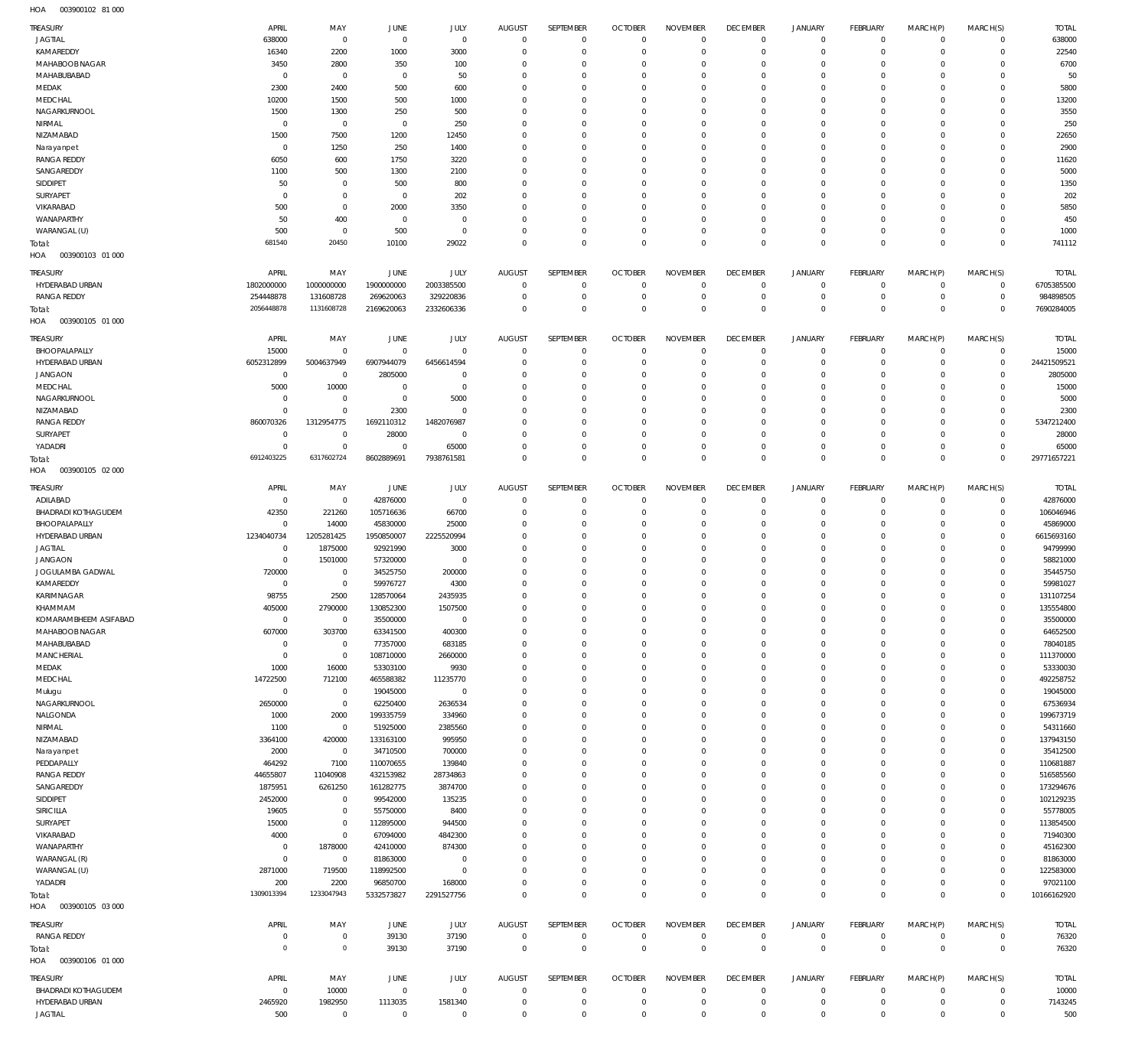003900102 81 000 HOA

| TREASURY                                      | APRIL                         | MAY                           | <b>JUNE</b>                   | JULY                          | <b>AUGUST</b>                   | SEPTEMBER                   | <b>OCTOBER</b>               | <b>NOVEMBER</b>                | <b>DECEMBER</b>                | <b>JANUARY</b>                | FEBRUARY                    | MARCH(P)                | MARCH(S)                      | <b>TOTAL</b>           |
|-----------------------------------------------|-------------------------------|-------------------------------|-------------------------------|-------------------------------|---------------------------------|-----------------------------|------------------------------|--------------------------------|--------------------------------|-------------------------------|-----------------------------|-------------------------|-------------------------------|------------------------|
| <b>JAGTIAL</b>                                | 638000                        | $\overline{0}$                | $\overline{0}$                | $\mathbb O$                   | $\overline{0}$                  | $\mathbf 0$                 | $\mathbf 0$                  | $\mathbf 0$                    | $\mathbf 0$                    | $\mathbf 0$                   | $\mathbf{0}$                | $^{\circ}$              | $\mathbf 0$                   | 638000                 |
| KAMAREDDY<br><b>MAHABOOB NAGAR</b>            | 16340<br>3450                 | 2200<br>2800                  | 1000<br>350                   | 3000<br>100                   | $\Omega$<br>0                   | $\mathbf 0$<br>$\mathbf 0$  | $^{\circ}$<br>$^{\circ}$     | $^{\circ}$<br>$^{\circ}$       | $\mathbf 0$<br>0               | $\mathbf 0$<br>$\mathbf 0$    | $^{\circ}$<br>$^{\circ}$    | 0<br>$\Omega$           | $\mathbf 0$<br>$^{\circ}$     | 22540<br>6700          |
| MAHABUBABAD                                   | $\mathbf 0$                   | $\overline{0}$                | $\overline{0}$                | 50                            | $\Omega$                        | $\mathbf 0$                 | 0                            | $^{\circ}$                     | $\mathbf 0$                    | $\mathbf 0$                   | $^{\circ}$                  | $\Omega$                | $^{\circ}$                    | 50                     |
| MEDAK                                         | 2300                          | 2400                          | 500                           | 600                           | 0                               | $\Omega$                    | 0                            | $^{\circ}$                     | 0                              | $\Omega$                      | $\Omega$                    | 0                       | $\Omega$                      | 5800                   |
| MEDCHAL                                       | 10200                         | 1500                          | 500                           | 1000                          | $\Omega$                        | $\mathbf 0$                 | 0                            | $\mathbf 0$                    | 0                              | $\mathbf 0$                   | $^{\circ}$                  | $\Omega$                | $^{\circ}$                    | 13200                  |
| NAGARKURNOOL<br>NIRMAL                        | 1500<br>$\mathbf 0$           | 1300<br>$\overline{0}$        | 250<br>$\overline{0}$         | 500<br>250                    | 0<br>$\Omega$                   | $\Omega$<br>$\mathbf 0$     | 0<br>0                       | 0<br>$\mathbf 0$               | 0<br>0                         | $\Omega$<br>$\mathbf 0$       | $\Omega$<br>$^{\circ}$      | 0<br>$\Omega$           | $\Omega$<br>$^{\circ}$        | 3550<br>250            |
| NIZAMABAD                                     | 1500                          | 7500                          | 1200                          | 12450                         | 0                               | $\Omega$                    | 0                            | $^{\circ}$                     | 0                              | $\Omega$                      | $\mathbf 0$                 | 0                       | $\Omega$                      | 22650                  |
| Narayanpet                                    | $\mathbf 0$                   | 1250                          | 250                           | 1400                          | $\Omega$                        | $\mathbf 0$                 | 0                            | $\mathbf 0$                    | 0                              | $\mathbf 0$                   | $^{\circ}$                  | 0                       | $^{\circ}$                    | 2900                   |
| <b>RANGA REDDY</b>                            | 6050                          | 600                           | 1750                          | 3220                          | 0                               | $\Omega$                    | 0                            | $^{\circ}$                     | 0                              | $\Omega$                      | $\mathbf 0$                 | 0                       | 0                             | 11620                  |
| SANGAREDDY<br>SIDDIPET                        | 1100<br>50                    | 500<br>$\overline{0}$         | 1300<br>500                   | 2100<br>800                   | $\Omega$<br>0                   | $\mathbf 0$<br>$\mathbf 0$  | 0<br>0                       | $^{\circ}$<br>$^{\circ}$       | $\mathbf 0$<br>0               | $\mathbf 0$<br>$\mathbf 0$    | $\Omega$<br>$\mathbf 0$     | 0<br>0                  | $^{\circ}$<br>0               | 5000<br>1350           |
| SURYAPET                                      | $\Omega$                      | $\overline{0}$                | $\overline{0}$                | 202                           | $\Omega$                        | $\mathbf 0$                 | 0                            | $^{\circ}$                     | $\mathbf 0$                    | $\Omega$                      | $\Omega$                    | 0                       | 0                             | 202                    |
| VIKARABAD                                     | 500                           | $\overline{0}$                | 2000                          | 3350                          | 0                               | $\mathbf 0$                 | 0                            | $^{\circ}$                     | 0                              | $\mathbf 0$                   | $\mathbf 0$                 | 0                       | 0                             | 5850                   |
| WANAPARTHY                                    | 50<br>500                     | 400                           | $\overline{0}$<br>500         | $\mathbf 0$<br>$\mathbf{0}$   | $\Omega$<br>$\Omega$            | $\mathbf 0$<br>$\mathbf 0$  | 0<br>$^{\circ}$              | $^{\circ}$<br>$\mathbf 0$      | $\mathbf 0$<br>$\mathbf 0$     | $\mathbf 0$<br>$\mathbf 0$    | $\mathbf 0$<br>$\mathbf 0$  | 0<br>0                  | 0<br>$\mathbf 0$              | 450                    |
| WARANGAL (U)<br>Total:                        | 681540                        | $\overline{0}$<br>20450       | 10100                         | 29022                         | $\Omega$                        | $\mathbf 0$                 | $\mathbf 0$                  | $\mathbf 0$                    | $\mathbf 0$                    | $\mathbf 0$                   | $\Omega$                    | $\Omega$                | $\mathbf{0}$                  | 1000<br>741112         |
| HOA<br>003900103 01 000                       |                               |                               |                               |                               |                                 |                             |                              |                                |                                |                               |                             |                         |                               |                        |
| <b>TREASURY</b>                               | APRIL                         | MAY                           | JUNE                          | JULY                          | AUGUST                          | SEPTEMBER                   | <b>OCTOBER</b>               | <b>NOVEMBER</b>                | <b>DECEMBER</b>                | <b>JANUARY</b>                | FEBRUARY                    | MARCH(P)                | MARCH(S)                      | <b>TOTAL</b>           |
| HYDERABAD URBAN                               | 1802000000                    | 1000000000                    | 1900000000                    | 2003385500                    | $\overline{0}$                  | $\mathbf 0$                 | $^{\circ}$                   | $\mathbf 0$                    | $\mathbf 0$                    | $\mathbf 0$                   | $^{\circ}$                  | $\mathbf 0$             | $\circ$                       | 6705385500             |
| <b>RANGA REDDY</b>                            | 254448878                     | 131608728                     | 269620063                     | 329220836                     | 0                               | $\mathbf 0$                 | $^{\circ}$                   | $^{\circ}$                     | $\mathbf 0$                    | $\mathbf 0$                   | $\mathbf{0}$                | $\mathbf 0$             | $\overline{0}$                | 984898505              |
| Total:<br>HOA<br>003900105 01 000             | 2056448878                    | 1131608728                    | 2169620063                    | 2332606336                    | $\Omega$                        | $\mathbf 0$                 | $^{\circ}$                   | $\mathbf 0$                    | $\mathbf 0$                    | $\mathbf 0$                   | $\overline{0}$              | $\mathbf 0$             | $\overline{0}$                | 7690284005             |
|                                               |                               |                               |                               |                               |                                 |                             |                              |                                |                                |                               |                             |                         |                               |                        |
| <b>TREASURY</b><br>BHOOPALAPALLY              | APRIL<br>15000                | MAY<br>$\overline{0}$         | JUNE<br>$\overline{0}$        | JULY<br>$\mathbf 0$           | <b>AUGUST</b><br>$\mathbf 0$    | SEPTEMBER<br>$\mathbf 0$    | <b>OCTOBER</b><br>$^{\circ}$ | <b>NOVEMBER</b><br>$^{\circ}$  | <b>DECEMBER</b><br>$\mathbf 0$ | <b>JANUARY</b><br>$\mathbf 0$ | FEBRUARY<br>$\mathbf 0$     | MARCH(P)<br>$\mathbf 0$ | MARCH(S)<br>$\mathbf 0$       | <b>TOTAL</b><br>15000  |
| HYDERABAD URBAN                               | 6052312899                    | 5004637949                    | 6907944079                    | 6456614594                    | $\Omega$                        | $\mathbf 0$                 | $^{\circ}$                   | $^{\circ}$                     | $\mathbf 0$                    | $\mathbf 0$                   | $\mathbf 0$                 | 0                       | $\mathbf 0$                   | 24421509521            |
| <b>JANGAON</b>                                | $\overline{0}$                | $\overline{0}$                | 2805000                       | $\mathbf 0$                   | 0                               | $\mathbf 0$                 | 0                            | $^{\circ}$                     | 0                              | $\mathbf 0$                   | $^{\circ}$                  | $\Omega$                | $^{\circ}$                    | 2805000                |
| MEDCHAL                                       | 5000                          | 10000                         | C                             | $\mathbf 0$                   | 0                               | $\mathbf 0$                 | 0                            | $^{\circ}$                     | $\mathbf 0$                    | $\mathbf 0$                   | $\Omega$                    | 0                       | $\Omega$                      | 15000                  |
| NAGARKURNOOL<br>NIZAMABAD                     | 0<br>$\Omega$                 | $\overline{0}$<br>$\mathbf 0$ | $\overline{0}$<br>2300        | 5000<br>$\mathbf 0$           | 0<br>0                          | $\mathbf 0$<br>$\mathbf 0$  | 0<br>0                       | $^{\circ}$<br>$^{\circ}$       | 0<br>0                         | $\mathbf 0$<br>0              | $\mathbf 0$<br>$\Omega$     | $\Omega$<br>0           | $^{\circ}$<br>$\mathbf 0$     | 5000<br>2300           |
| <b>RANGA REDDY</b>                            | 860070326                     | 1312954775                    | 1692110312                    | 1482076987                    | 0                               | $\mathbf 0$                 | 0                            | $^{\circ}$                     | 0                              | $\mathbf 0$                   | $^{\circ}$                  | $\Omega$                | $\mathbf 0$                   | 5347212400             |
| SURYAPET                                      | $\mathbf 0$                   | $^{\circ}$                    | 28000                         | $^{\circ}$                    | $\Omega$                        | $\mathbf 0$                 | 0                            | $^{\circ}$                     | $\mathbf 0$                    | $\mathbf 0$                   | $\mathbf 0$                 | 0                       | $\mathbf 0$                   | 28000                  |
| YADADRI                                       | $\Omega$<br>6912403225        | $\mathbf 0$<br>6317602724     | $\overline{0}$                | 65000                         | $\Omega$<br>$\Omega$            | $^{\circ}$<br>$\mathbf 0$   | $^{\circ}$<br>$\mathbf 0$    | $^{\circ}$<br>$\mathbf 0$      | $\mathbf 0$<br>$\mathbf 0$     | $\mathbf 0$<br>$\mathbf 0$    | $\mathbf 0$<br>$\mathbf 0$  | 0<br>$\Omega$           | $\mathbf 0$<br>$\overline{0}$ | 65000<br>29771657221   |
| Total:<br>003900105 02 000<br>HOA             |                               |                               | 8602889691                    | 7938761581                    |                                 |                             |                              |                                |                                |                               |                             |                         |                               |                        |
| <b>TREASURY</b>                               | APRIL                         | MAY                           | JUNE                          | JULY                          | <b>AUGUST</b>                   | SEPTEMBER                   | <b>OCTOBER</b>               | <b>NOVEMBER</b>                | <b>DECEMBER</b>                | <b>JANUARY</b>                | FEBRUARY                    | MARCH(P)                | MARCH(S)                      | <b>TOTAL</b>           |
| ADILABAD                                      | $\overline{0}$                | $\overline{0}$                | 42876000                      | $\overline{0}$                | 0                               | $\mathbf 0$                 | $^{\circ}$                   | $^{\circ}$                     | $\mathbf 0$                    | $\mathbf 0$                   | $^{\circ}$                  | $\mathbf 0$             | $\mathbf 0$                   | 42876000               |
|                                               |                               |                               |                               |                               |                                 |                             |                              |                                |                                |                               |                             |                         |                               |                        |
| <b>BHADRADI KOTHAGUDEM</b>                    | 42350                         | 221260                        | 105716636                     | 66700                         | 0                               | $\mathbf 0$                 | $^{\circ}$                   | $^{\circ}$                     | $\mathbf 0$                    | $\mathbf 0$                   | $^{\circ}$                  | 0                       | $\mathbf 0$                   | 106046946              |
| BHOOPALAPALLY<br>HYDERABAD URBAN              | $\Omega$<br>1234040734        | 14000                         | 45830000                      | 25000                         | $\Omega$<br>$\Omega$            | $\mathbf 0$<br>$\mathbf 0$  | $^{\circ}$<br>0              | $\mathbf 0$<br>$\mathbf 0$     | $\mathbf 0$<br>$\mathbf 0$     | $\mathbf 0$<br>$\mathbf 0$    | $^{\circ}$<br>$^{\circ}$    | $\Omega$<br>$\Omega$    | $\mathbf 0$<br>$\mathbf 0$    | 45869000               |
| <b>JAGTIAL</b>                                | $\mathbf 0$                   | 1205281425<br>1875000         | 1950850007<br>92921990        | 2225520994<br>3000            | $\Omega$                        | $\mathbf 0$                 | $^{\circ}$                   | $\mathbf 0$                    | $\mathbf 0$                    | $\mathbf 0$                   | $^{\circ}$                  | $\Omega$                | $\mathbf 0$                   | 6615693160<br>94799990 |
| <b>JANGAON</b>                                | $\mathbf 0$                   | 1501000                       | 57320000                      | $^{\circ}$                    | $\Omega$                        | $\mathbf 0$                 | $^{\circ}$                   | $\mathbf 0$                    | $\mathbf 0$                    | $\mathbf 0$                   | $^{\circ}$                  | $\Omega$                | $\mathbf 0$                   | 58821000               |
| JOGULAMBA GADWAL                              | 720000                        | $^{\circ}$                    | 34525750                      | 200000                        | $\Omega$                        | $\mathbf 0$                 | $^{\circ}$                   | $\mathbf 0$                    | $\mathbf 0$                    | $\mathbf 0$                   | $^{\circ}$                  | $\Omega$                | $\mathbf 0$                   | 35445750               |
| KAMAREDDY<br>KARIMNAGAR                       | $\overline{0}$<br>98755       | $\mathbf 0$<br>2500           | 59976727<br>128570064         | 4300<br>2435935               | $\Omega$<br>$\Omega$            | $\mathbf 0$<br>$\mathbf 0$  | 0<br>$^{\circ}$              | $\mathbf 0$<br>$\mathbf 0$     | $\mathbf 0$<br>$\Omega$        | $\mathbf 0$<br>$\Omega$       | $^{\circ}$<br>$\Omega$      | $\Omega$<br>$\Omega$    | $\mathbf 0$<br>$\mathbf 0$    | 59981027<br>131107254  |
| KHAMMAM                                       | 405000                        | 2790000                       | 130852300                     | 1507500                       | $\Omega$                        | $\mathbf{0}$                | $\Omega$                     | $\mathbf{0}$                   | $\Omega$                       | $\Omega$                      | $\Omega$                    | $\Omega$                | $\Omega$                      | 135554800              |
| KOMARAMBHEEM ASIFABAD                         | $\overline{0}$                | $\overline{0}$                | 35500000                      | $\overline{0}$                | $^{\circ}$                      | $\mathbf{0}$                | $\mathbf 0$                  | $\mathbf 0$                    | $\mathbf 0$                    | 0                             | $^{\circ}$                  | 0                       | $\mathbf 0$                   | 35500000               |
| MAHABOOB NAGAR                                | 607000                        | 303700                        | 63341500                      | 400300                        | $\mathbf 0$<br>0                | $\mathbf 0$<br>$\mathbf 0$  | $^{\circ}$<br>$^{\circ}$     | $\mathbf 0$<br>$\mathbf 0$     | $\mathbf 0$<br>$\mathbf 0$     | $\mathbf 0$<br>$\mathbf 0$    | $\mathbf{0}$<br>$\mathbf 0$ | 0<br>0                  | $\mathbf 0$<br>$\mathbf 0$    | 64652500               |
| MAHABUBABAD<br><b>MANCHERIAL</b>              | $\overline{0}$<br>$\mathbf 0$ | $\overline{0}$<br>$\mathbf 0$ | 77357000<br>108710000         | 683185<br>2660000             | 0                               | $\mathbf 0$                 | $^{\circ}$                   | $\mathbf 0$                    | $\mathbf 0$                    | $\mathbf 0$                   | $^{\circ}$                  | 0                       | $\mathbf 0$                   | 78040185<br>111370000  |
| MEDAK                                         | 1000                          | 16000                         | 53303100                      | 9930                          | 0                               | $\mathbf 0$                 | $^{\circ}$                   | $\mathbf 0$                    | $\mathbf 0$                    | $\mathbf 0$                   | $^{\circ}$                  | 0                       | $\mathbf 0$                   | 53330030               |
| MEDCHAL                                       | 14722500                      | 712100                        | 465588382                     | 11235770                      | 0                               | $\mathbf 0$                 | $^{\circ}$                   | $\mathbf 0$                    | $\mathbf 0$                    | $\mathbf 0$                   | $^{\circ}$                  | 0                       | $\mathbf 0$                   | 492258752              |
| Mulugu<br>NAGARKURNOOL                        | $\overline{0}$<br>2650000     | $\mathbf 0$<br>$\mathbf 0$    | 19045000<br>62250400          | $\mathbb O$                   | $\Omega$<br>0                   | $\mathbf{0}$<br>$\mathbf 0$ | $^{\circ}$<br>$^{\circ}$     | $\mathbf 0$<br>$\mathbf 0$     | $\mathbf 0$<br>$\mathbf 0$     | $\mathbf 0$<br>$\mathbf 0$    | $\mathbf 0$<br>$^{\circ}$   | 0<br>0                  | $\mathbf 0$<br>$\mathbf 0$    | 19045000<br>67536934   |
| NALGONDA                                      | 1000                          | 2000                          | 199335759                     | 2636534<br>334960             | $\Omega$                        | $\mathbf 0$                 | $^{\circ}$                   | $\mathbf 0$                    | $\mathbf 0$                    | $\mathbf 0$                   | $^{\circ}$                  | 0                       | $\mathbf 0$                   | 199673719              |
| NIRMAL                                        | 1100                          | $\mathbf 0$                   | 51925000                      | 2385560                       | 0                               | $\mathbf 0$                 | $^{\circ}$                   | $\mathbf 0$                    | $\mathbf 0$                    | $\mathbf 0$                   | $\mathbf 0$                 | 0                       | $\mathbf 0$                   | 54311660               |
| NIZAMABAD                                     | 3364100                       | 420000                        | 133163100                     | 995950                        | $\Omega$                        | $\mathbf 0$                 | $^{\circ}$                   | $\mathbf 0$                    | $\mathbf 0$                    | $\mathbf 0$                   | $\mathbf 0$                 | 0                       | $\mathbf 0$                   | 137943150              |
| Narayanpet<br>PEDDAPALLY                      | 2000<br>464292                | $\overline{0}$<br>7100        | 34710500<br>110070655         | 700000<br>139840              | 0<br>$\Omega$                   | $\mathbf 0$<br>$\mathbf 0$  | $^{\circ}$<br>$^{\circ}$     | $\mathbf 0$<br>$^{\circ}$      | $\mathbf 0$<br>$\mathbf 0$     | $\mathbf 0$<br>$\mathbf 0$    | $\mathbf 0$<br>$^{\circ}$   | 0<br>0                  | $\mathbf 0$<br>$\mathbf 0$    | 35412500<br>110681887  |
| <b>RANGA REDDY</b>                            | 44655807                      | 11040908                      | 432153982                     | 28734863                      | 0                               | $\mathbf 0$                 | $^{\circ}$                   | $^{\circ}$                     | $\mathbf 0$                    | $\mathbf 0$                   | $\mathbf 0$                 | 0                       | $\mathbf 0$                   | 516585560              |
| SANGAREDDY                                    | 1875951                       | 6261250                       | 161282775                     | 3874700                       | $\Omega$                        | $\mathbf 0$                 | $^{\circ}$                   | $^{\circ}$                     | $\mathbf 0$                    | $\mathbf 0$                   | $^{\circ}$                  | 0                       | $\mathbf 0$                   | 173294676              |
| SIDDIPET                                      | 2452000                       | $\overline{0}$                | 99542000                      | 135235                        | 0<br>0                          | $\mathbf 0$<br>$\mathbf 0$  | $^{\circ}$<br>$^{\circ}$     | $^{\circ}$<br>$^{\circ}$       | $\mathbf 0$<br>$\mathbf 0$     | $\mathbf 0$<br>$\mathbf 0$    | $\mathbf 0$<br>$^{\circ}$   | 0<br>0                  | $\mathbf 0$<br>$\mathbf 0$    | 102129235              |
| SIRICILLA<br>SURYAPET                         | 19605<br>15000                | $\mathbf 0$<br>$\mathbf 0$    | 55750000<br>112895000         | 8400<br>944500                | $\Omega$                        | $\mathbf 0$                 | $^{\circ}$                   | $^{\circ}$                     | $\mathbf 0$                    | $\mathbf 0$                   | $^{\circ}$                  | $\Omega$                | $\mathbf 0$                   | 55778005<br>113854500  |
| VIKARABAD                                     | 4000                          | $\mathbf 0$                   | 67094000                      | 4842300                       | $\Omega$                        | $\mathbf 0$                 | $^{\circ}$                   | $\mathbf 0$                    | $\mathbf 0$                    | $\mathbf 0$                   | $^{\circ}$                  | 0                       | $\mathbf 0$                   | 71940300               |
| WANAPARTHY                                    | $\overline{0}$                | 1878000                       | 42410000                      | 874300                        | 0                               | $\mathbf 0$                 | $^{\circ}$                   | $^{\circ}$                     | $\mathbf 0$                    | $\mathbf 0$                   | $^{\circ}$                  | $\Omega$                | $\mathbf 0$                   | 45162300               |
| WARANGAL (R)                                  | $\overline{0}$<br>2871000     | $\mathbf 0$<br>719500         | 81863000<br>118992500         | $\overline{0}$<br>$\mathbb O$ | 0<br>$\Omega$                   | $\mathbf 0$<br>$\mathbf 0$  | $^{\circ}$<br>$^{\circ}$     | $\mathbf 0$<br>$^{\circ}$      | $\mathbf 0$<br>$\mathbf 0$     | $\mathbf 0$<br>$\mathbf 0$    | $\mathbf 0$<br>$\mathbf 0$  | 0<br>0                  | $\mathbf 0$<br>$\mathbf 0$    | 81863000<br>122583000  |
| WARANGAL (U)<br>YADADRI                       | 200                           | 2200                          | 96850700                      | 168000                        | $\mathbf 0$                     | $\mathbf 0$                 | $^{\circ}$                   | $\mathbf 0$                    | $\mathbf 0$                    | $\mathbf 0$                   | $\mathbf{0}$                | 0                       | $\mathbf 0$                   | 97021100               |
| Total:                                        | 1309013394                    | 1233047943                    | 5332573827                    | 2291527756                    | $\Omega$                        | $\mathbf 0$                 | $^{\circ}$                   | $\mathbf 0$                    | $\mathbf 0$                    | $\mathbf 0$                   | $\overline{0}$              | $\mathbf 0$             | $\overline{0}$                | 10166162920            |
| HOA<br>003900105 03 000<br>TREASURY           | APRIL                         | MAY                           | JUNE                          | JULY                          | <b>AUGUST</b>                   | SEPTEMBER                   | <b>OCTOBER</b>               | <b>NOVEMBER</b>                | <b>DECEMBER</b>                | <b>JANUARY</b>                | FEBRUARY                    | MARCH(P)                | MARCH(S)                      | <b>TOTAL</b>           |
| RANGA REDDY                                   | 0                             | $\overline{0}$                | 39130                         | 37190                         | $\overline{0}$                  | $\mathbf 0$                 | $^{\circ}$                   | $^{\circ}$                     | $\mathbf 0$                    | $\mathbf 0$                   | $^{\circ}$                  | $\mathbf 0$             | $\mathbf 0$                   | 76320                  |
| Total:                                        | $^{\circ}$                    | $\mathbb O$                   | 39130                         | 37190                         | $\overline{0}$                  | $\mathsf 0$                 | $\overline{0}$               | $\mathbf 0$                    | $\mathbf{0}$                   | $\mathbf 0$                   | $\overline{0}$              | $\mathbf 0$             | $\overline{0}$                | 76320                  |
| 003900106 01 000<br>HOA                       |                               |                               |                               |                               |                                 |                             |                              |                                |                                |                               |                             |                         |                               |                        |
| <b>TREASURY</b><br><b>BHADRADI KOTHAGUDEM</b> | APRIL<br>$\mathbf 0$          | MAY<br>10000                  | <b>JUNE</b><br>$\overline{0}$ | JULY<br>$\mathbb O$           | <b>AUGUST</b><br>$\overline{0}$ | SEPTEMBER<br>$\mathbf 0$    | <b>OCTOBER</b><br>0          | <b>NOVEMBER</b><br>$\mathbf 0$ | <b>DECEMBER</b><br>$\mathbf 0$ | <b>JANUARY</b><br>$\mathbf 0$ | FEBRUARY<br>$\overline{0}$  | MARCH(P)<br>$\mathbf 0$ | MARCH(S)<br>$\mathbf 0$       | <b>TOTAL</b>           |
| HYDERABAD URBAN                               | 2465920                       | 1982950                       | 1113035                       | 1581340                       | 0                               | $\mathbf 0$                 | $^{\circ}$                   | $\mathbf 0$                    | $\mathbf 0$                    | $\mathbf 0$                   | $\circ$                     | $\mathbf 0$             | $\mathbf 0$                   | 10000<br>7143245       |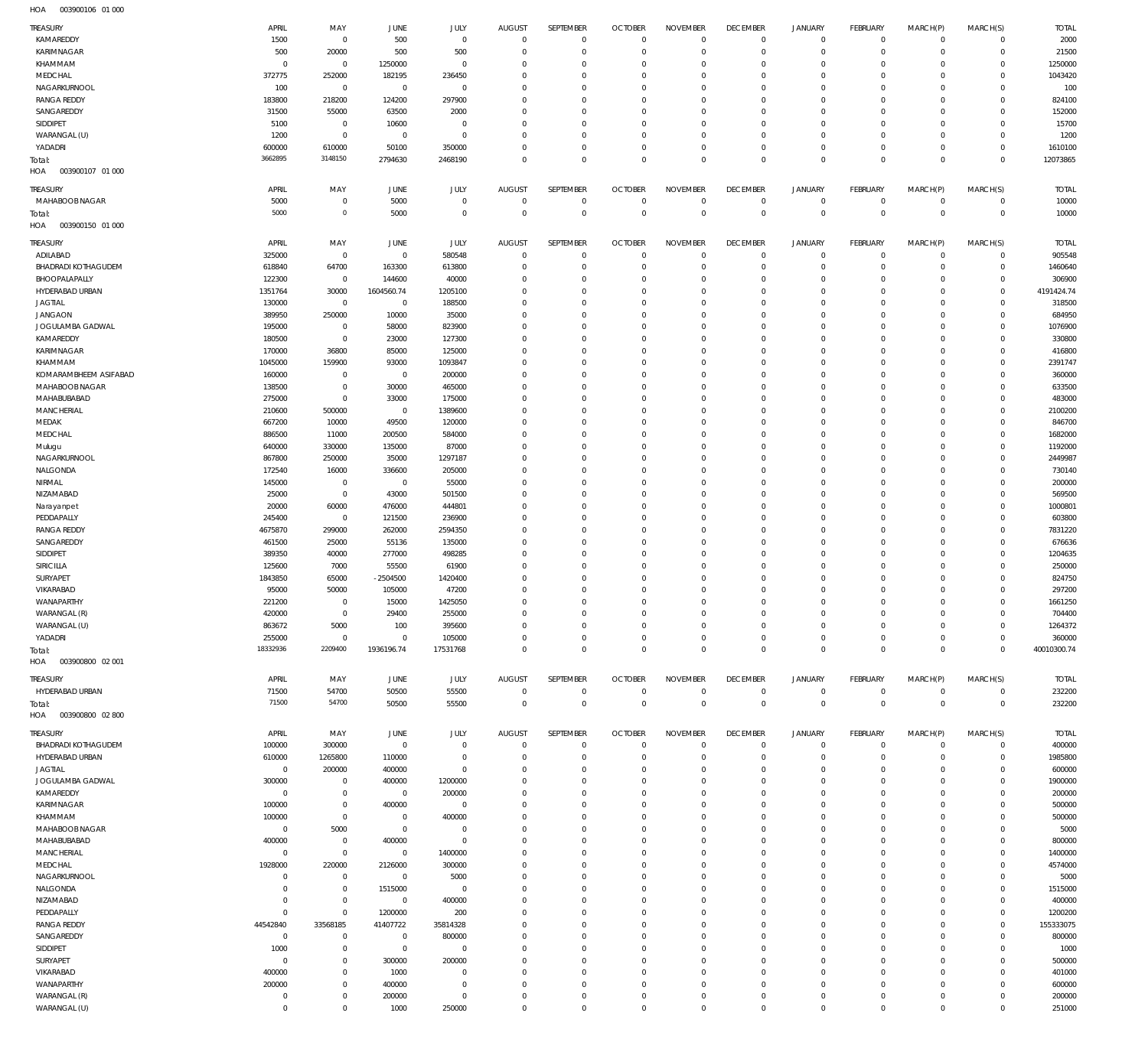| TREASURY                   | APRIL          | MAY            | <b>JUNE</b>    | JULY           | <b>AUGUST</b>  | SEPTEMBER    | <b>OCTOBER</b> | <b>NOVEMBER</b> | <b>DECEMBER</b> | <b>JANUARY</b>      | FEBRUARY       | MARCH(P)     | MARCH(S)       | <b>TOTAL</b> |
|----------------------------|----------------|----------------|----------------|----------------|----------------|--------------|----------------|-----------------|-----------------|---------------------|----------------|--------------|----------------|--------------|
| KAMAREDDY                  | 1500           | $\overline{0}$ | 500            | $\mathbb O$    | $\mathbf 0$    | $\mathbf 0$  | $\overline{0}$ | $\mathbf 0$     | $\mathbf 0$     | $\overline{0}$      | $\overline{0}$ | $^{\circ}$   | $\mathbf 0$    | 2000         |
| KARIMNAGAR                 | 500            | 20000          | 500            | 500            | 0              | $\mathbf 0$  | $^{\circ}$     | $\mathbf 0$     | $\mathbf 0$     | $\mathbf 0$         | $\mathbf{0}$   | $\mathbf 0$  | $\mathbf 0$    | 21500        |
| KHAMMAM                    | $^{\circ}$     | $\mathbf 0$    | 1250000        | $\mathbb O$    | $\Omega$       | $\mathbf 0$  | $^{\circ}$     | $\mathbf 0$     | $\mathbf 0$     | $\mathbf 0$         | $\mathbf{0}$   | 0            | $\mathbf 0$    | 1250000      |
| MEDCHAL                    | 372775         | 252000         | 182195         | 236450         | $\Omega$       | $\mathbf 0$  | $^{\circ}$     | $\mathbf 0$     | $\mathbf 0$     | $\mathbf 0$         | $^{\circ}$     | 0            | $\mathbf 0$    | 1043420      |
| NAGARKURNOOL               | 100            | $\overline{0}$ | $\overline{0}$ | $\mathbb O$    | $\Omega$       | $\mathbf 0$  | $^{\circ}$     | $\mathbf 0$     | $\mathbf 0$     | $\mathbf 0$         | $\mathbf 0$    | $\Omega$     | $\mathbf 0$    | 100          |
| <b>RANGA REDDY</b>         | 183800         | 218200         | 124200         | 297900         | 0              | $\mathbf 0$  | $^{\circ}$     | $\mathbf 0$     | 0               | $\mathbf 0$         | $^{\circ}$     | 0            | $^{\circ}$     | 824100       |
| SANGAREDDY                 | 31500          | 55000          | 63500          | 2000           | $\Omega$       | $\mathbf 0$  | $^{\circ}$     | $\mathbf 0$     | $\mathbf 0$     | $\mathbf 0$         | $\mathbf 0$    | $\Omega$     | $\mathbf 0$    | 152000       |
| SIDDIPET                   | 5100           | $\mathbf 0$    | 10600          | $\mathbb O$    | $\Omega$       | $\mathbf 0$  | $^{\circ}$     | $\mathbf 0$     | 0               | $\mathbf 0$         | $\mathbf 0$    | 0            | $\mathbf 0$    | 15700        |
| WARANGAL (U)               | 1200           | $\mathbb O$    | $\overline{0}$ | $\mathbb O$    | $\Omega$       | $\mathbf 0$  | $^{\circ}$     | $\mathbf 0$     | $\mathbf 0$     | $\mathbf 0$         | $\mathbf 0$    | 0            | $\mathbf 0$    | 1200         |
| YADADRI                    | 600000         | 610000         | 50100          | 350000         | $\Omega$       | $\mathbf 0$  | $^{\circ}$     | $\mathbf 0$     | $\mathbf 0$     | $\mathbf 0$         | $\mathbf{0}$   | 0            | $\mathbf 0$    | 1610100      |
| Total:                     | 3662895        | 3148150        | 2794630        | 2468190        | $\Omega$       | $\mathsf 0$  | $\mathbf 0$    | $\mathbf 0$     | $\mathbf 0$     | $\mathbf 0$         | $\overline{0}$ | $\mathbf 0$  | $\overline{0}$ | 12073865     |
| 003900107 01 000<br>HOA    |                |                |                |                |                |              |                |                 |                 |                     |                |              |                |              |
| TREASURY                   | APRIL          | MAY            | <b>JUNE</b>    | JULY           | <b>AUGUST</b>  | SEPTEMBER    | <b>OCTOBER</b> | <b>NOVEMBER</b> | <b>DECEMBER</b> | JANUARY             | FEBRUARY       | MARCH(P)     | MARCH(S)       | <b>TOTAL</b> |
| MAHABOOB NAGAR             | 5000           | $\overline{0}$ | 5000           | $\mathbb O$    | $\overline{0}$ | $\mathbf 0$  | $\mathbf 0$    | $\mathbf 0$     | $\mathbf{0}$    | $\mathbf 0$         | $\overline{0}$ | $\mathbf{0}$ | $\mathbf 0$    | 10000        |
| Total:                     | 5000           | $\mathbf 0$    | 5000           | $\mathbb O$    | $\overline{0}$ | $\mathsf 0$  | $\overline{0}$ | $\overline{0}$  | $\mathbf 0$     | $\mathbf 0$         | $\overline{0}$ | $\mathbf 0$  | $\mathbf 0$    | 10000        |
| HOA<br>003900150 01 000    |                |                |                |                |                |              |                |                 |                 |                     |                |              |                |              |
|                            |                |                |                |                |                |              |                |                 |                 |                     |                |              |                |              |
| TREASURY                   | APRIL          | MAY            | <b>JUNE</b>    | JULY           | <b>AUGUST</b>  | SEPTEMBER    | <b>OCTOBER</b> | <b>NOVEMBER</b> | <b>DECEMBER</b> | JANUARY             | FEBRUARY       | MARCH(P)     | MARCH(S)       | <b>TOTAL</b> |
| ADILABAD                   | 325000         | $\overline{0}$ | $\overline{0}$ | 580548         | $\overline{0}$ | $\mathbf 0$  | $^{\circ}$     | $^{\circ}$      | $\mathbf 0$     | $\mathbf 0$         | $\mathbf{0}$   | $\mathbf 0$  | $\mathbf 0$    | 905548       |
| <b>BHADRADI KOTHAGUDEM</b> | 618840         | 64700          | 163300         | 613800         | 0              | $\mathbf 0$  | $^{\circ}$     | $\overline{0}$  | $\mathbf 0$     | $\mathbf 0$         | $\mathbf{0}$   | 0            | $\mathbf 0$    | 1460640      |
| BHOOPALAPALLY              | 122300         | $\overline{0}$ | 144600         | 40000          | 0              | $\mathbf 0$  | $^{\circ}$     | $\mathbf 0$     | $\mathbf 0$     | $\mathbf 0$         | $\mathbf{0}$   | 0            | $\mathbf 0$    | 306900       |
| HYDERABAD URBAN            | 1351764        | 30000          | 1604560.74     | 1205100        | 0              | $\mathbf 0$  | $^{\circ}$     | $\mathbf 0$     | $\mathbf 0$     | $\mathbf 0$         | $^{\circ}$     | 0            | $\mathbf 0$    | 4191424.74   |
| <b>JAGTIAL</b>             | 130000         | $\overline{0}$ | $\overline{0}$ | 188500         | $\Omega$       | $\mathbf 0$  | $^{\circ}$     | $^{\circ}$      | $\mathbf 0$     | $\mathbf 0$         | $\mathbf 0$    | $\Omega$     | $\mathbf 0$    | 318500       |
| <b>JANGAON</b>             | 389950         | 250000         | 10000          | 35000          | $\Omega$       | $\mathbf 0$  | $^{\circ}$     | $^{\circ}$      | $\mathbf 0$     | $\mathbf 0$         | $\mathbf 0$    | 0            | $\mathbf 0$    | 684950       |
| JOGULAMBA GADWAL           | 195000         | $\mathbf 0$    | 58000          | 823900         | 0              | $\mathbf 0$  | $^{\circ}$     | $^{\circ}$      | $\mathbf 0$     | $\mathbf 0$         | $\mathbf 0$    | $\Omega$     | $\mathbf 0$    | 1076900      |
| KAMAREDDY                  | 180500         | $\mathbf 0$    | 23000          | 127300         | $\Omega$       | $\mathbf 0$  | $^{\circ}$     | $^{\circ}$      | $\mathbf 0$     | $\mathbf 0$         | $\mathbf 0$    | 0            | $^{\circ}$     | 330800       |
| KARIMNAGAR                 | 170000         | 36800          | 85000          | 125000         | 0              | $\mathbf 0$  | $^{\circ}$     | $^{\circ}$      | $\mathbf 0$     | $\mathbf 0$         | $\mathbf 0$    | 0            | $\mathbf 0$    | 416800       |
| KHAMMAM                    | 1045000        | 159900         | 93000          | 1093847        | $\Omega$       | $\mathbf 0$  | $^{\circ}$     | $^{\circ}$      | $\mathbf 0$     | $\mathbf 0$         | $\mathbf 0$    | $\Omega$     | $\mathbf 0$    | 2391747      |
| KOMARAMBHEEM ASIFABAD      | 160000         | $\overline{0}$ | $\,0\,$        | 200000         | 0              | $\mathbf 0$  | $^{\circ}$     | $^{\circ}$      | $\mathbf 0$     | $\mathbf 0$         | $^{\circ}$     | 0            | $\mathbf 0$    | 360000       |
| MAHABOOB NAGAR             | 138500         | $\mathbf 0$    | 30000          | 465000         | $\Omega$       | $\mathbf 0$  | $^{\circ}$     | $^{\circ}$      | $\mathbf 0$     | $\mathbf 0$         | $\mathbf 0$    | $\Omega$     | $^{\circ}$     | 633500       |
| MAHABUBABAD                | 275000         | $\mathbf 0$    | 33000          | 175000         | 0              | $\mathbf 0$  | $^{\circ}$     | $^{\circ}$      | $\mathbf 0$     | $\mathbf 0$         | $\mathbf 0$    | 0            | $\mathbf 0$    | 483000       |
| MANCHERIAL                 | 210600         | 500000         | $\mathbf 0$    | 1389600        | $\Omega$       | $\mathbf 0$  | $^{\circ}$     | $^{\circ}$      | $\mathbf 0$     | $\mathbf 0$         | $\mathbf 0$    | $\Omega$     | $\mathbf 0$    | 2100200      |
| MEDAK                      | 667200         | 10000          | 49500          | 120000         | 0              | $\mathbf 0$  | $^{\circ}$     | $^{\circ}$      | $\mathbf 0$     | $\mathbf 0$         | $\mathbf 0$    | 0            | $\mathbf 0$    | 846700       |
| MEDCHAL                    | 886500         | 11000          | 200500         | 584000         | $\Omega$       | $\mathbf 0$  | $^{\circ}$     | $^{\circ}$      | $\mathbf 0$     | $\mathbf 0$         | $\mathbf 0$    | 0            | $\mathbf 0$    | 1682000      |
| Mulugu                     | 640000         | 330000         | 135000         | 87000          | 0              | $\mathbf 0$  | $^{\circ}$     | $^{\circ}$      | $\mathbf 0$     | $\mathbf 0$         | $\mathbf{0}$   | 0            | $\mathbf 0$    | 1192000      |
| NAGARKURNOOL               | 867800         | 250000         | 35000          | 1297187        | $\Omega$       | $\mathbf 0$  | $^{\circ}$     | $\mathbf 0$     | $\mathbf 0$     | $\mathbf 0$         | $\mathbf 0$    | 0            | $\mathbf 0$    | 2449987      |
| NALGONDA                   | 172540         | 16000          | 336600         | 205000         | 0              | $\mathbf 0$  | $^{\circ}$     | $\mathbf 0$     | $\mathbf 0$     | $\mathbf 0$         | $\mathbf 0$    | $\Omega$     | $\mathbf 0$    | 730140       |
| NIRMAL                     | 145000         | $\overline{0}$ | $\overline{0}$ | 55000          | 0              | $\mathbf 0$  | $^{\circ}$     | $\mathbf 0$     | 0               | $\mathbf 0$         | $^{\circ}$     | 0            | $^{\circ}$     | 200000       |
| NIZAMABAD                  | 25000          | $\mathbb O$    | 43000          | 501500         | $\Omega$       | $\mathbf 0$  | $^{\circ}$     | $\mathbf 0$     | $\mathbf 0$     | $\mathbf 0$         | $\mathbf 0$    | $\Omega$     | $\mathbf 0$    | 569500       |
|                            | 20000          | 60000          | 476000         | 444801         | $\Omega$       | $\mathbf 0$  | $^{\circ}$     | $\mathbf 0$     | $\mathbf 0$     | $\mathbf 0$         | $\mathbf 0$    | 0            | $\mathbf 0$    | 1000801      |
| Narayanpet<br>PEDDAPALLY   | 245400         |                | 121500         | 236900         | $\Omega$       | $\mathbf 0$  | $^{\circ}$     | $\mathbf 0$     | $\mathbf 0$     | $\mathbf 0$         | $\mathbf 0$    | $\Omega$     | $\mathbf 0$    | 603800       |
|                            |                | $\overline{0}$ |                |                |                |              |                |                 |                 |                     |                |              |                |              |
| <b>RANGA REDDY</b>         | 4675870        | 299000         | 262000         | 2594350        | $\Omega$       | $\mathbf 0$  | $^{\circ}$     | $\mathbf 0$     | $\mathbf 0$     | $\mathbf 0$         | $\mathbf 0$    | 0            | $^{\circ}$     | 7831220      |
| SANGAREDDY                 | 461500         | 25000          | 55136          | 135000         | 0              | $\mathbf 0$  | $^{\circ}$     | $\mathbf 0$     | $\mathbf 0$     | $\mathbf 0$         | $\mathbf 0$    | 0            | $\mathbf 0$    | 676636       |
| SIDDIPET                   | 389350         | 40000          | 277000         | 498285         | $\Omega$       | $\mathbf 0$  | $^{\circ}$     | $\mathbf 0$     | $\mathbf 0$     | $\mathbf 0$         | $\mathbf 0$    | 0            | $\mathbf 0$    | 1204635      |
| SIRICILLA                  | 125600         | 7000           | 55500          | 61900          | 0              | $\mathbf 0$  | $^{\circ}$     | $\mathbf 0$     | $\mathbf 0$     | $\mathbf 0$         | $^{\circ}$     | 0            | $\mathbf 0$    | 250000       |
| SURYAPET                   | 1843850        | 65000          | $-2504500$     | 1420400        | $\Omega$       | $\mathbf 0$  | $^{\circ}$     | $\mathbf 0$     | $\mathbf 0$     | $\mathbf 0$         | $\mathbf 0$    | 0            | $^{\circ}$     | 824750       |
| VIKARABAD                  | 95000          | 50000          | 105000         | 47200          | 0              | $\mathbf 0$  | 0              | $\mathbf 0$     | $\mathbf 0$     | $\mathbf 0$         | $\mathbf 0$    | 0            | $\mathbf 0$    | 297200       |
| WANAPARTHY                 | 221200         | $\mathbb O$    | 15000          | 1425050        | $\Omega$       | $\mathsf 0$  | $\mathbf 0$    | $\mathbf 0$     | $\mathbf 0$     | $\mathbf 0$         | $\mathbf 0$    | $\Omega$     | $\mathbf 0$    | 1661250      |
| WARANGAL (R)               | 420000         | $\mathbf 0$    | 29400          | 255000         | 0              | $\mathbf{0}$ | 0              | 0               | 0               | 0                   | 0              | 0            | $\circ$        | 704400       |
| WARANGAL (U)               | 863672         | 5000           | 100            | 395600         | 0              | $\mathbf 0$  | $\mathbf 0$    | $\mathbf 0$     | $\mathbf 0$     | $\mathbf 0$         | $\mathbf{0}$   | 0            | $\mathbf 0$    | 1264372      |
| YADADRI                    | 255000         | $\overline{0}$ | $\mathbb O$    | 105000         | $\mathbf 0$    | $\mathbf 0$  | $\mathbf 0$    | $\mathbf 0$     | $\mathbf 0$     | $\mathsf{O}\xspace$ | $\mathbf{0}$   | $\mathbf 0$  | $\mathbf 0$    | 360000       |
| Total:                     | 18332936       | 2209400        | 1936196.74     | 17531768       | $\mathbf 0$    | $\mathbf 0$  | $\mathbf 0$    | $\mathbf 0$     | $\mathbf 0$     | $\mathbf 0$         | $\overline{0}$ | $\mathbf 0$  | $\overline{0}$ | 40010300.74  |
| HOA<br>003900800 02 001    |                |                |                |                |                |              |                |                 |                 |                     |                |              |                |              |
| TREASURY                   | APRIL          | MAY            | JUNE           | <b>JULY</b>    | <b>AUGUST</b>  | SEPTEMBER    | <b>OCTOBER</b> | <b>NOVEMBER</b> | <b>DECEMBER</b> | JANUARY             | FEBRUARY       | MARCH(P)     | MARCH(S)       | <b>TOTAL</b> |
| HYDERABAD URBAN            | 71500          | 54700          | 50500          | 55500          | $^{\circ}$     | $\mathbf{0}$ | $\overline{0}$ | $\mathbf 0$     | $\mathbf 0$     | $\overline{0}$      | $\overline{0}$ | $\mathbf{0}$ | $\mathbf 0$    | 232200       |
| Total:                     | 71500          | 54700          | 50500          | 55500          | $^{\circ}$     | $\mathsf 0$  | $\overline{0}$ | $\mathbf 0$     | $\overline{0}$  | $\mathbf 0$         | $\overline{0}$ | $\mathbf 0$  | $\overline{0}$ | 232200       |
| HOA<br>003900800 02 800    |                |                |                |                |                |              |                |                 |                 |                     |                |              |                |              |
|                            |                |                |                |                |                |              |                |                 |                 |                     |                |              |                |              |
| TREASURY                   | APRIL          | MAY            | <b>JUNE</b>    | JULY           | <b>AUGUST</b>  | SEPTEMBER    | <b>OCTOBER</b> | <b>NOVEMBER</b> | <b>DECEMBER</b> | JANUARY             | FEBRUARY       | MARCH(P)     | MARCH(S)       | <b>TOTAL</b> |
| <b>BHADRADI KOTHAGUDEM</b> | 100000         | 300000         | $\mathbb O$    | $\mathbb O$    | $^{\circ}$     | $\mathbf 0$  | $\overline{0}$ | $\mathbf 0$     | $\mathbf 0$     | $\overline{0}$      | $\overline{0}$ | $\mathbf{0}$ | $\mathbf 0$    | 400000       |
| HYDERABAD URBAN            | 610000         | 1265800        | 110000         | $\mathbb O$    | 0              | $\mathbf 0$  | $^{\circ}$     | $^{\circ}$      | $\mathbf 0$     | $\mathbf 0$         | $\mathbf{0}$   | 0            | $\mathbf 0$    | 1985800      |
| <b>JAGTIAL</b>             | $\mathbf 0$    | 200000         | 400000         | $\mathbb O$    | $\Omega$       | $\mathbf 0$  | $^{\circ}$     | $^{\circ}$      | $\mathbf 0$     | $\mathbf 0$         | $^{\circ}$     | 0            | $\mathbf 0$    | 600000       |
| JOGULAMBA GADWAL           | 300000         | $\mathbf 0$    | 400000         | 1200000        | 0              | $\mathbf 0$  | 0              | $^{\circ}$      | $\mathbf 0$     | $\mathbf 0$         | $\mathbf 0$    | 0            | $^{\circ}$     | 1900000      |
| KAMAREDDY                  | $\overline{0}$ | $\mathbf 0$    | $\overline{0}$ | 200000         | $\Omega$       | $\mathbf 0$  | $^{\circ}$     | $^{\circ}$      | $\mathbf 0$     | $\mathbf 0$         | $\mathbf 0$    | $\Omega$     | $^{\circ}$     | 200000       |
| KARIMNAGAR                 | 100000         | $\overline{0}$ | 400000         | $\,0\,$        | 0              | $\mathbf 0$  | 0              | $^{\circ}$      | $\mathbf 0$     | $\mathbf 0$         | $\mathbf 0$    | 0            | $\mathbf 0$    | 500000       |
| KHAMMAM                    | 100000         | $\mathbb O$    | $\mathbb O$    | 400000         | $\Omega$       | $\mathbf 0$  | $^{\circ}$     | $^{\circ}$      | $\mathbf 0$     | $\mathbf 0$         | $\mathbf 0$    | 0            | $\mathbf 0$    | 500000       |
| MAHABOOB NAGAR             | $\overline{0}$ | 5000           | $\overline{0}$ | $\mathbb O$    | 0              | $\mathbf 0$  | $^{\circ}$     | $\mathbf 0$     | $\mathbf 0$     | $\mathbf 0$         | $\mathbf 0$    | 0            | $^{\circ}$     | 5000         |
| MAHABUBABAD                | 400000         | $\overline{0}$ | 400000         | $\mathbb O$    | $\Omega$       | $\mathbf 0$  | $^{\circ}$     | $^{\circ}$      | $\mathbf 0$     | $\mathbf 0$         | $^{\circ}$     | 0            | $^{\circ}$     | 800000       |
| MANCHERIAL                 | $\mathbf 0$    | $\mathbb O$    | $\overline{0}$ | 1400000        | 0              | $\mathbf 0$  | $^{\circ}$     | $\mathbf 0$     | $\mathbf 0$     | $\mathbf 0$         | $\mathbf 0$    | 0            | $\mathbf 0$    | 1400000      |
| MEDCHAL                    | 1928000        | 220000         | 2126000        | 300000         | $\Omega$       | $\mathbf 0$  | $^{\circ}$     | $^{\circ}$      | $\mathbf 0$     | $\mathbf 0$         | $^{\circ}$     | 0            | $^{\circ}$     | 4574000      |
| NAGARKURNOOL               | $\mathbf{0}$   | $\mathbf 0$    | $\overline{0}$ | 5000           | 0              | $\mathbf 0$  | $^{\circ}$     | $\mathbf 0$     | $\mathbf 0$     | $\mathbf 0$         | $\mathbf 0$    | $\Omega$     | $\mathbf 0$    | 5000         |
| NALGONDA                   | 0              | $\mathbf 0$    | 1515000        | $\mathbb O$    | 0              | $\mathbf 0$  | $^{\circ}$     | $^{\circ}$      | $\mathbf 0$     | $\mathbf 0$         | $^{\circ}$     | 0            | $^{\circ}$     | 1515000      |
| NIZAMABAD                  | $\Omega$       | $\mathbf 0$    | $\overline{0}$ | 400000         | $\Omega$       | $\mathbf 0$  | $^{\circ}$     | $^{\circ}$      | $\mathbf 0$     | $\mathbf 0$         | $\mathbf 0$    | $\Omega$     | $\mathbf 0$    | 400000       |
| PEDDAPALLY                 | $\mathbf 0$    | $\mathbb O$    | 1200000        | 200            | $\Omega$       | $\mathbf 0$  | $^{\circ}$     | $^{\circ}$      | $\mathbf 0$     | $\mathbf 0$         | $\mathbf 0$    | 0            | $\mathbf 0$    | 1200200      |
| <b>RANGA REDDY</b>         | 44542840       | 33568185       | 41407722       | 35814328       | 0              | $\mathbf 0$  | $^{\circ}$     | $\mathbf 0$     | $\mathbf 0$     | $\mathbf 0$         | $\mathbf 0$    | 0            | $\mathbf 0$    | 155333075    |
| SANGAREDDY                 | $\overline{0}$ | $\mathbf 0$    | $\overline{0}$ | 800000         | 0              | $\mathbf 0$  | $\mathbf 0$    | $\mathbf 0$     | $\mathbf 0$     | $\mathbf 0$         | $\mathbf 0$    | 0            | $\mathbf 0$    | 800000       |
| SIDDIPET                   | 1000           | $\mathbf 0$    | $\overline{0}$ | $\mathbb O$    | 0              | $\mathbf 0$  | $^{\circ}$     | $\mathbf 0$     | $\mathbf 0$     | $\mathbf 0$         | $^{\circ}$     | 0            | $\mathbf 0$    | 1000         |
| SURYAPET                   | $\mathbf 0$    | $\mathbf 0$    | 300000         | 200000         | $\Omega$       | $\mathbf 0$  | $\mathbf 0$    | $\mathbf 0$     | $\mathbf 0$     | $\mathbf 0$         | $\mathbf 0$    | 0            | $\mathbf 0$    | 500000       |
| VIKARABAD                  | 400000         | $\mathbf 0$    | 1000           | $\overline{0}$ | 0              | $\mathbf 0$  | $^{\circ}$     | $\mathbf 0$     | $\mathbf 0$     | $\mathbf 0$         | $^{\circ}$     | 0            | $\mathbf 0$    | 401000       |
| WANAPARTHY                 | 200000         | $\mathbf 0$    | 400000         | $\mathbb O$    | $\Omega$       | $\mathbf 0$  | $\mathbf 0$    | $\mathbf 0$     | $\mathbf 0$     | $\mathbf 0$         | $\mathbf 0$    | 0            | $^{\circ}$     | 600000       |
| WARANGAL (R)               | 0              | $\overline{0}$ | 200000         | $\mathbb O$    | 0              | $\mathbf 0$  | 0              | $\mathbf 0$     | 0               | $\mathbf 0$         | $\mathbf 0$    | 0            | $^{\circ}$     | 200000       |
|                            | $\Omega$       | $\mathbb O$    | 1000           | 250000         | $\Omega$       | $\mathsf 0$  | $^{\circ}$     | $\mathbf 0$     | $\mathbf 0$     | $\mathbf 0$         | $\mathbf 0$    | $\mathbf 0$  | $\mathbf 0$    | 251000       |
| WARANGAL (U)               |                |                |                |                |                |              |                |                 |                 |                     |                |              |                |              |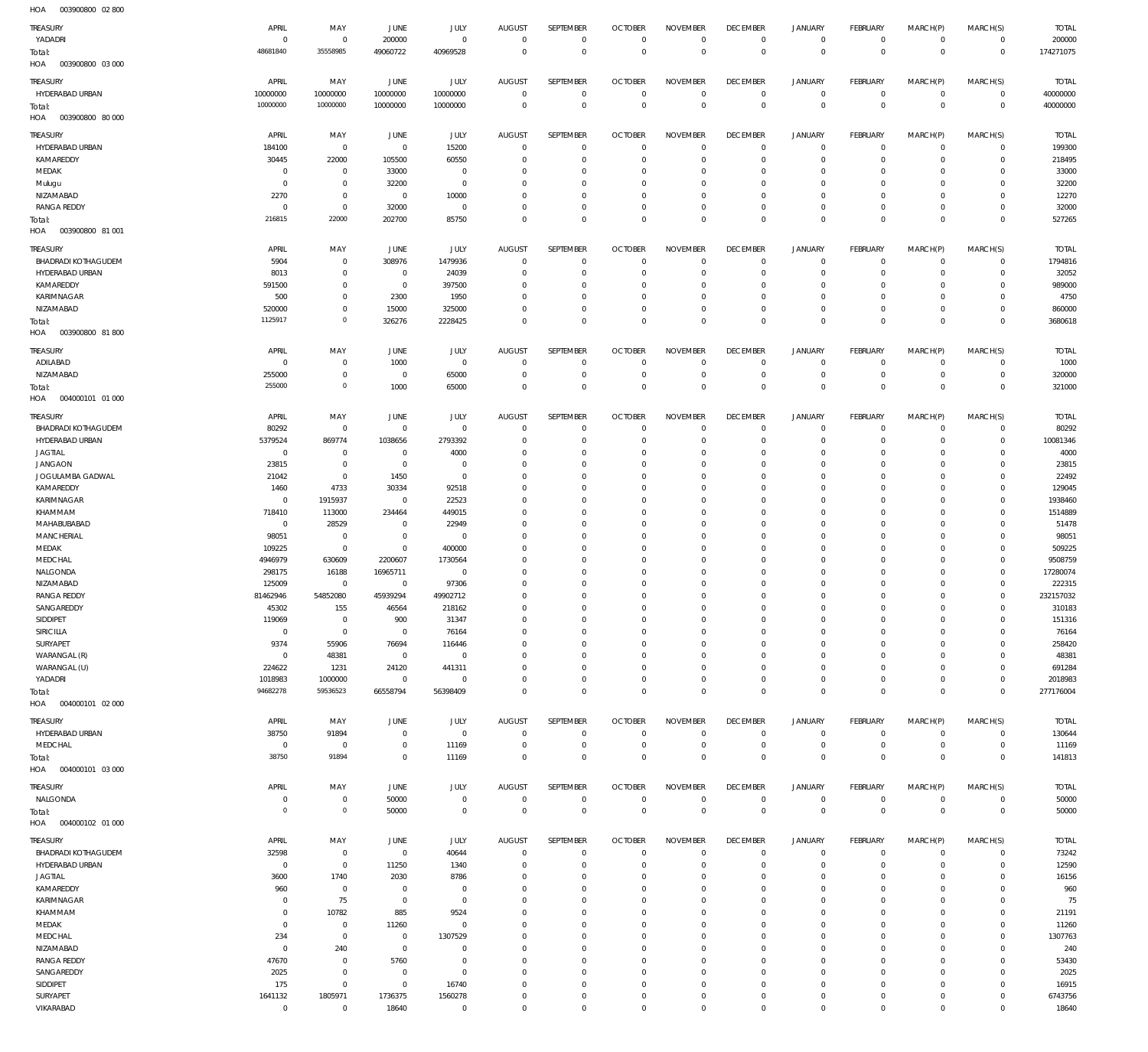003900800 02 800 HOA

| 10.011<br><u>vuu</u>              |                      |                            |                                  |                         |                            |                            |                               |                            |                            |                             |                               |                            |                             |                     |
|-----------------------------------|----------------------|----------------------------|----------------------------------|-------------------------|----------------------------|----------------------------|-------------------------------|----------------------------|----------------------------|-----------------------------|-------------------------------|----------------------------|-----------------------------|---------------------|
| TREASURY                          | APRIL                | MAY                        | JUNE                             | JULY                    | <b>AUGUST</b>              | SEPTEMBER                  | <b>OCTOBER</b>                | <b>NOVEMBER</b>            | <b>DECEMBER</b>            | <b>JANUARY</b>              | <b>FEBRUARY</b>               | MARCH(P)                   | MARCH(S)                    | <b>TOTAL</b>        |
| YADADRI                           | $\Omega$<br>48681840 | $\overline{0}$<br>35558985 | 200000<br>49060722               | $\mathbf 0$<br>40969528 | $\overline{0}$<br>$\Omega$ | $\mathbf 0$<br>$\mathbf 0$ | $^{\circ}$<br>$\mathbf 0$     | $\mathbf 0$<br>$\mathbf 0$ | $\mathbb O$<br>$\mathbf 0$ | $\mathsf{O}$<br>$\mathbf 0$ | $\mathbf 0$<br>$\overline{0}$ | $\mathbf 0$<br>$\mathbf 0$ | $\overline{0}$<br>$\,0\,$   | 200000<br>174271075 |
| Total:<br>HOA<br>003900800 03 000 |                      |                            |                                  |                         |                            |                            |                               |                            |                            |                             |                               |                            |                             |                     |
|                                   |                      |                            |                                  |                         |                            |                            |                               |                            |                            |                             |                               |                            |                             |                     |
| TREASURY                          | APRIL                | MAY                        | JUNE                             | <b>JULY</b>             | <b>AUGUST</b>              | SEPTEMBER                  | <b>OCTOBER</b>                | <b>NOVEMBER</b>            | <b>DECEMBER</b>            | <b>JANUARY</b>              | FEBRUARY                      | MARCH(P)                   | MARCH(S)                    | <b>TOTAL</b>        |
| HYDERABAD URBAN                   | 10000000             | 10000000                   | 10000000                         | 10000000                | $\overline{0}$             | $\mathbf 0$                | 0                             | $\mathbf 0$                | 0                          | 0                           | $\overline{0}$                | $\mathbf 0$                | $\overline{0}$              | 40000000            |
| Total:                            | 10000000             | 10000000                   | 10000000                         | 10000000                | $\Omega$                   | $\mathbb O$                | $\mathbf{0}$                  | $\mathbb O$                | $\mathbf 0$                | $\mathbb O$                 | $\overline{0}$                | $\mathbf 0$                | $\overline{0}$              | 40000000            |
| HOA<br>003900800 80 000           |                      |                            |                                  |                         |                            |                            |                               |                            |                            |                             |                               |                            |                             |                     |
| <b>TREASURY</b>                   | APRIL                | MAY                        | JUNE                             | JULY                    | <b>AUGUST</b>              | SEPTEMBER                  | <b>OCTOBER</b>                | <b>NOVEMBER</b>            | <b>DECEMBER</b>            | <b>JANUARY</b>              | FEBRUARY                      | MARCH(P)                   | MARCH(S)                    | <b>TOTAL</b>        |
| HYDERABAD URBAN                   | 184100               | $\mathbf 0$                | $\overline{0}$                   | 15200                   | $\Omega$                   | $\mathbf{0}$               | $\overline{0}$                | $^{\circ}$                 | $^{\circ}$                 | $\mathbf 0$                 | $\mathbf 0$                   | $\mathbf 0$                | $^{\circ}$                  | 199300              |
| KAMAREDDY                         | 30445                | 22000                      | 105500                           | 60550                   | $\Omega$                   | $\mathbf 0$                | $\Omega$                      | $^{\circ}$                 | $^{\circ}$                 | $\mathbf 0$                 | $^{\circ}$                    | $\Omega$                   | $\mathbf 0$                 | 218495              |
| MEDAK                             | $\Omega$             | $\overline{0}$             | 33000                            | $\overline{0}$          | $\Omega$                   | $\mathbf{0}$               | - 0                           | $^{\circ}$                 | 0                          | $\mathbf 0$                 | $\mathbf 0$                   | $\Omega$                   | $^{\circ}$                  | 33000               |
| Mulugu                            | $\Omega$             | $\mathbf 0$                | 32200                            | $\mathbf 0$             | $\Omega$                   | $\mathbf{0}$               | $\Omega$                      | $^{\circ}$                 | $^{\circ}$                 | $\mathbf 0$                 | $\Omega$                      | $\Omega$                   | $\mathbf 0$                 | 32200               |
| NIZAMABAD                         | 2270                 | $\overline{0}$             | $\mathbf 0$                      | 10000                   | $\Omega$                   | $\mathbf{0}$               | $\Omega$                      | $\mathbf 0$                | $^{\circ}$                 | $\mathbf 0$                 | $\mathbf 0$                   | $\Omega$                   | $\mathbf 0$                 | 12270               |
| <b>RANGA REDDY</b>                | - 0                  | $\mathbf 0$                | 32000                            | $\overline{0}$          | $\Omega$                   | $\mathbf 0$                | 0                             | $^{\circ}$                 | $^{\circ}$                 | $\mathbf 0$                 | $\mathbf 0$                   | $\mathbf 0$                | $\mathbf 0$                 | 32000               |
| Total:                            | 216815               | 22000                      | 202700                           | 85750                   | $\Omega$                   | $\mathbf 0$                | $\Omega$                      | $\mathbf 0$                | $\mathbf 0$                | $\mathbf 0$                 | $\mathbf 0$                   | $\Omega$                   | $\overline{0}$              | 527265              |
| HOA<br>003900800 81 001           |                      |                            |                                  |                         |                            |                            |                               |                            |                            |                             |                               |                            |                             |                     |
| <b>TREASURY</b>                   | APRIL                | MAY                        | JUNE                             | JULY                    | <b>AUGUST</b>              | SEPTEMBER                  | <b>OCTOBER</b>                | <b>NOVEMBER</b>            | <b>DECEMBER</b>            | <b>JANUARY</b>              | FEBRUARY                      | MARCH(P)                   | MARCH(S)                    | <b>TOTAL</b>        |
| <b>BHADRADI KOTHAGUDEM</b>        | 5904                 | $\,0\,$                    | 308976                           | 1479936                 | $^{\circ}$                 | $\mathbf 0$                | 0                             | $^{\circ}$                 | $\mathbf 0$                | 0                           | $\overline{0}$                | $\mathbf 0$                | $\circ$                     | 1794816             |
| HYDERABAD URBAN                   | 8013                 | $\mathbf 0$                | $^{\circ}$                       | 24039                   | $\Omega$                   | $\mathbf 0$                | 0                             | $^{\circ}$                 | $^{\circ}$                 | $\mathbf 0$                 | $\mathbf 0$                   | $\mathbf 0$                | $\circ$                     | 32052               |
| KAMAREDDY                         | 591500               | $\,0\,$                    | $\overline{0}$                   | 397500                  | 0                          | $\mathbf 0$                | - 0                           | $^{\circ}$                 | $\mathbf 0$                | 0                           | $\mathbf 0$                   | $\mathbf 0$                | $\circ$                     | 989000              |
| KARIMNAGAR                        | 500                  | $\overline{0}$             | 2300                             | 1950                    | $\Omega$                   | $\mathbf 0$                | $\Omega$                      | $\mathbf 0$                | $^{\circ}$                 | $\mathbf 0$                 | $\mathbf 0$                   | $\mathbf 0$                | $\mathbf{0}$                | 4750                |
| NIZAMABAD                         | 520000               | $\mathbf 0$                | 15000                            | 325000                  | $\Omega$                   | $\mathbf 0$                | $\overline{0}$                | $\mathbf 0$                | $\mathbf 0$                | $\mathsf{O}$                | $\mathbf 0$                   | $\mathbf 0$                | $\circ$                     | 860000              |
| Total:                            | 1125917              | $\mathbf 0$                | 326276                           | 2228425                 | $\Omega$                   | $\mathbf 0$                | $\Omega$                      | $\mathbf 0$                | $\mathbf 0$                | $\mathbf 0$                 | $\mathbf 0$                   | $\mathbf 0$                | $\overline{0}$              | 3680618             |
| HOA<br>003900800 81 800           |                      |                            |                                  |                         |                            |                            |                               |                            |                            |                             |                               |                            |                             |                     |
|                                   |                      |                            |                                  |                         |                            |                            |                               |                            |                            |                             |                               |                            |                             |                     |
| TREASURY                          | APRIL                | MAY                        | JUNE                             | JULY                    | <b>AUGUST</b>              | SEPTEMBER                  | <b>OCTOBER</b>                | <b>NOVEMBER</b>            | <b>DECEMBER</b>            | <b>JANUARY</b>              | FEBRUARY                      | MARCH(P)                   | MARCH(S)                    | <b>TOTAL</b>        |
| ADILABAD                          | $\Omega$             | $\overline{0}$             | 1000                             | $\mathbf 0$             | $^{\circ}$                 | $\mathbf 0$                | $\overline{0}$                | $^{\circ}$                 | $\mathbf 0$                | $\mathbf 0$                 | $\mathbf 0$                   | $\mathbf 0$                | $\mathbf 0$                 | 1000                |
| NIZAMABAD                         | 255000<br>255000     | $\mathbf 0$<br>$\circ$     | $\overline{0}$                   | 65000                   | $\Omega$<br>$\Omega$       | $\mathbf 0$                | $\overline{0}$<br>$\mathbf 0$ | $\mathbf 0$<br>$\mathbf 0$ | $\mathbf 0$<br>$\mathbf 0$ | $\mathbf 0$<br>$\mathbf 0$  | $\mathbf 0$<br>$\mathbf 0$    | $\mathbf 0$<br>$\mathbf 0$ | $\mathbf{0}$<br>$\mathbf 0$ | 320000              |
| Total:<br>HOA<br>004000101 01 000 |                      |                            | 1000                             | 65000                   |                            | $\mathbf 0$                |                               |                            |                            |                             |                               |                            |                             | 321000              |
|                                   |                      |                            |                                  |                         |                            |                            |                               |                            |                            |                             |                               |                            |                             |                     |
| <b>TREASURY</b>                   | APRIL                | MAY                        | JUNE                             | <b>JULY</b>             | <b>AUGUST</b>              | SEPTEMBER                  | <b>OCTOBER</b>                | <b>NOVEMBER</b>            | <b>DECEMBER</b>            | <b>JANUARY</b>              | FEBRUARY                      | MARCH(P)                   | MARCH(S)                    | <b>TOTAL</b>        |
| <b>BHADRADI KOTHAGUDEM</b>        | 80292                | $\,0\,$                    | $^{\circ}$                       | $\overline{0}$          | $^{\circ}$                 | $\mathbf 0$                | 0                             | $^{\circ}$                 | 0                          | $\mathbf 0$                 | $\mathbf 0$                   | $\mathbf 0$                | $\circ$                     | 80292               |
| HYDERABAD URBAN                   | 5379524              | 869774                     | 1038656                          | 2793392                 | $\Omega$                   | $\mathbf 0$                | $\overline{0}$                | $\mathbf 0$                | $\mathbf 0$                | $\mathsf{O}$                | $\mathbf 0$                   | $\mathbf 0$                | $\overline{0}$              | 10081346            |
| <b>JAGTIAL</b>                    | $\overline{0}$       | $\mathbf 0$                | $^{\circ}$                       | 4000                    | $\Omega$                   | $\mathbf 0$                | $\Omega$                      | $\mathbf 0$                | $^{\circ}$                 | 0                           | $\mathbf 0$                   | $\mathbf 0$                | $\mathbf 0$                 | 4000                |
| <b>JANGAON</b>                    | 23815                | $\overline{0}$             | $\mathbf 0$                      | $\overline{0}$          | $\Omega$                   | $\mathbf 0$                | $\Omega$                      | $\mathbf 0$                | $\mathbf 0$                | $\mathbf 0$                 | $\mathbf 0$                   | $\mathbf 0$                | $\mathbf{0}$                | 23815               |
| JOGULAMBA GADWAL                  | 21042                | $\overline{0}$             | 1450                             | $\overline{0}$          | $\Omega$                   | $\mathbf 0$                | $\Omega$                      | $\mathbf 0$                | $\mathbf 0$                | 0                           | $\mathbf 0$                   | $\Omega$                   | $\mathbf 0$                 | 22492               |
| KAMAREDDY                         | 1460                 | 4733                       | 30334                            | 92518                   | $\Omega$                   | $\mathbf 0$                | $\Omega$                      | $\mathbf 0$                | $\mathbf 0$                | $\mathbf 0$                 | $\mathbf 0$                   | $\Omega$                   | $\mathbf 0$                 | 129045              |
| KARIMNAGAR                        | $\overline{0}$       | 1915937                    | $\overline{0}$                   | 22523                   | $\Omega$                   | $\mathbf 0$                | - 0                           | $\mathbf 0$                | $\mathbf 0$                | $\mathbf 0$                 | $\mathbf 0$                   | $\mathbf 0$                | $\mathbf 0$                 | 1938460             |
| KHAMMAM                           | 718410               | 113000                     | 234464                           | 449015                  | $\Omega$                   | $\mathbf 0$                | $\Omega$                      | $\mathbf 0$                | $\mathbf 0$                | $\mathbf 0$                 | $\mathbf 0$                   | $\Omega$                   | $\mathbf 0$                 | 1514889             |
| MAHABUBABAD                       | $\overline{0}$       | 28529                      | $^{\circ}$                       | 22949                   | $\Omega$                   | $\mathbf 0$                | $\Omega$                      | $\mathbf 0$                | $\mathbf 0$                | $\mathbf 0$                 | $\mathbf 0$                   | $\mathbf 0$                | $\circ$                     | 51478               |
| MANCHERIAL                        | 98051                | $\mathbf 0$                | $\overline{0}$                   | $\mathbf 0$             | $\Omega$                   | $\mathbf 0$                | $\Omega$                      | $\mathbf 0$                | $^{\circ}$                 | $\mathbf 0$                 | $\mathbf 0$                   | $\Omega$                   | $\mathbf 0$                 | 98051               |
| MEDAK                             | 109225               | $\overline{0}$             | $\mathbf 0$                      | 400000                  | $\Omega$                   | $\mathbf 0$                | - 0                           | $\mathbf 0$                | $\mathbf 0$                | $\mathbf 0$                 | $\mathbf 0$                   | $\mathbf 0$                | $\circ$                     | 509225              |
| MEDCHAL                           | 4946979              | 630609                     | 2200607                          | 1730564                 | $\Omega$                   | $\mathbf 0$                | - 0                           | $\mathbf 0$                | $^{\circ}$                 | $\mathbf 0$                 | $\mathbf 0$                   | $\mathbf 0$                | $\mathbf 0$                 | 9508759             |
| NALGONDA<br>NIZAMABAD             | 298175               | 16188                      | 16965711                         | $\mathbf 0$             | $\Omega$                   | $\mathbf 0$                | $\Omega$                      | $\mathbf 0$                | $\mathbf 0$                | $\mathbf 0$<br>$\mathbf 0$  | $\mathbf 0$                   | $\mathbf 0$<br>$\Omega$    | $\circ$<br>$\mathbf 0$      | 17280074            |
| <b>RANGA REDDY</b>                | 125009<br>81462946   | $\mathbf 0$<br>54852080    | 0<br>45939294                    | 97306<br>49902712       | $\Omega$<br>$\Omega$       | $\mathbf 0$<br>$\mathbf 0$ | 0<br>$\Omega$                 | $\mathbf 0$<br>$\mathbf 0$ | $\mathbf 0$<br>$\mathbf 0$ | $\mathbf 0$                 | $\mathbf 0$<br>$\mathbf 0$    | $\mathbf 0$                | $\mathbf 0$                 | 222315<br>232157032 |
| SANGAREDDY                        | 45302                | 155                        | 46564                            | 218162                  | $\cap$                     | $\cap$                     | $\cap$                        | $\cap$                     | $\Omega$                   | $\cap$                      | $\Omega$                      | $\Omega$                   | $\cap$                      | 310183              |
| SIDDIPET                          | 119069               | $\,0\,$                    | 900                              | 31347                   | 0                          | $\mathbf 0$                | $\overline{0}$                | $\mathbf 0$                | $^{\circ}$                 | $\mathbf 0$                 | $\mathbf 0$                   | $\mathbf 0$                | $\circ$                     | 151316              |
| SIRICILLA                         | $\overline{0}$       | $\,0\,$                    | $\overline{0}$                   | 76164                   | $\Omega$                   | $\mathbf 0$                | $^{\circ}$                    | $\mathbf 0$                | $\mathbf 0$                | $\mathsf{O}$                | $\mathbf 0$                   | $\mathbf 0$                | $\mathbf{0}$                | 76164               |
| SURYAPET                          | 9374                 | 55906                      | 76694                            | 116446                  | $\Omega$                   | $\mathbf 0$                | $\Omega$                      | $\mathbf 0$                | $^{\circ}$                 | 0                           | $\mathbf 0$                   | $\Omega$                   | $\mathbf 0$                 | 258420              |
| WARANGAL (R)                      | $\Omega$             | 48381                      | $\overline{0}$                   | $\overline{0}$          | $\Omega$                   | $\mathbf 0$                | $\Omega$                      | $\mathbf 0$                | $^{\circ}$                 | $\mathbf 0$                 | $\mathbf 0$                   | $\Omega$                   | $\mathbf{0}$                | 48381               |
| WARANGAL (U)                      | 224622               | 1231                       | 24120                            | 441311                  | $\Omega$                   | $\mathbf 0$                | - 0                           | $\mathbf 0$                | $\mathbf 0$                | 0                           | $\mathbf 0$                   | $\mathbf 0$                | $\circ$                     | 691284              |
| YADADRI                           | 1018983              | 1000000                    | $\mathbf 0$                      | $\mathbf 0$             | $\Omega$                   | $\mathbf 0$                | $\overline{0}$                | $\mathbf 0$                | $\mathbf 0$                | $\mathsf{O}$                | $\mathbf 0$                   | $\mathbf 0$                | $\circ$                     | 2018983             |
| Total:                            | 94682278             | 59536523                   | 66558794                         | 56398409                | $\Omega$                   | $\mathbb O$                | $\mathbf{0}$                  | $\mathbf 0$                | $\mathbf 0$                | $\mathbf 0$                 | $\mathbf 0$                   | $\mathbf 0$                | $\overline{0}$              | 277176004           |
| HOA<br>004000101 02 000           |                      |                            |                                  |                         |                            |                            |                               |                            |                            |                             |                               |                            |                             |                     |
|                                   |                      |                            |                                  |                         |                            |                            |                               |                            |                            |                             |                               |                            |                             |                     |
| TREASURY                          | APRIL                | MAY                        | JUNE                             | <b>JULY</b>             | <b>AUGUST</b>              | SEPTEMBER                  | <b>OCTOBER</b>                | <b>NOVEMBER</b>            | <b>DECEMBER</b>            | <b>JANUARY</b>              | FEBRUARY                      | MARCH(P)                   | MARCH(S)                    | <b>TOTAL</b>        |
| HYDERABAD URBAN                   | 38750<br>$^{\circ}$  | 91894                      | $\mathbf 0$                      | $\overline{0}$          | $\mathbf 0$                | $\mathbf 0$                | $\mathbf{0}$                  | $\mathbf 0$<br>$\mathbb O$ | $\mathbb O$                | $\mathbf 0$<br>$\mathsf{O}$ | $\mathbf 0$<br>$\overline{0}$ | $\mathbf 0$<br>$\mathbf 0$ | $\mathbf{0}$<br>$\circ$     | 130644              |
| MEDCHAL                           | 38750                | $\,0\,$<br>91894           | $\overline{0}$<br>$\overline{0}$ | 11169<br>11169          | $\circ$<br>$\Omega$        | $\mathbf 0$<br>$\mathbf 0$ | $\mathbf 0$<br>$^{\circ}$     | $\mathbf 0$                | $\mathbf 0$<br>$\mathbf 0$ | $\mathbf 0$                 | $\mathbf 0$                   | $\mathbf 0$                | $\overline{0}$              | 11169<br>141813     |
| Total:<br>HOA<br>004000101 03 000 |                      |                            |                                  |                         |                            |                            |                               |                            |                            |                             |                               |                            |                             |                     |
|                                   |                      |                            |                                  |                         |                            |                            |                               |                            |                            |                             |                               |                            |                             |                     |
| TREASURY                          | APRIL                | MAY                        | JUNE                             | JULY                    | <b>AUGUST</b>              | SEPTEMBER                  | <b>OCTOBER</b>                | <b>NOVEMBER</b>            | <b>DECEMBER</b>            | <b>JANUARY</b>              | FEBRUARY                      | MARCH(P)                   | MARCH(S)                    | <b>TOTAL</b>        |
| NALGONDA                          | $\Omega$             | $\,0\,$                    | 50000                            | $\overline{0}$          | $\mathbf 0$                | $\mathbf 0$                | $\mathbf 0$                   | $\mathbb O$                | $\mathbf 0$                | $\mathsf{O}$                | $\overline{0}$                | $\overline{0}$             | $\overline{0}$              | 50000               |
| Total:                            | $\Omega$             | $\circ$                    | 50000                            | $\overline{0}$          | $\mathbf 0$                | $\mathbf 0$                | $\mathbf 0$                   | $\mathbb O$                | $\mathbf 0$                | $\mathbb O$                 | $\overline{0}$                | $\bf 0$                    | $\overline{0}$              | 50000               |
| HOA<br>004000102 01 000           |                      |                            |                                  |                         |                            |                            |                               |                            |                            |                             |                               |                            |                             |                     |
| TREASURY                          | APRIL                | MAY                        | JUNE                             | JULY                    | <b>AUGUST</b>              | SEPTEMBER                  | <b>OCTOBER</b>                | <b>NOVEMBER</b>            | <b>DECEMBER</b>            | <b>JANUARY</b>              | FEBRUARY                      | MARCH(P)                   | MARCH(S)                    | <b>TOTAL</b>        |
| <b>BHADRADI KOTHAGUDEM</b>        | 32598                | $\,0\,$                    | $\mathbf 0$                      | 40644                   | $^{\circ}$                 | $\mathbf 0$                | $\overline{0}$                | $^{\circ}$                 | $\mathbf 0$                | 0                           | $\overline{0}$                | $\mathbf 0$                | $\circ$                     | 73242               |
| HYDERABAD URBAN                   | $\Omega$             | $\mathbf 0$                | 11250                            | 1340                    | $\Omega$                   | $\mathbf 0$                | - 0                           | $^{\circ}$                 | $^{\circ}$                 | $\mathbf 0$                 | $^{\circ}$                    | $\Omega$                   | $\circ$                     | 12590               |
| <b>JAGTIAL</b>                    | 3600                 | 1740                       | 2030                             | 8786                    | $\Omega$                   | $\mathbf{0}$               | 0                             | $^{\circ}$                 | $^{\circ}$                 | $\mathbf 0$                 | $\mathbf 0$                   | $\mathbf 0$                | $\mathbf 0$                 | 16156               |
| KAMAREDDY                         | 960                  | $\,0\,$                    | $\overline{0}$                   | $\overline{0}$          | $\Omega$                   | $^{\circ}$                 | 0                             | $^{\circ}$                 | 0                          | $\mathbf 0$                 | $\mathbf 0$                   | $\Omega$                   | $\circ$                     | 960                 |
| KARIMNAGAR                        | $\Omega$             | 75                         | $\mathbf 0$                      | $\mathbf 0$             | $\Omega$                   | $\mathbf{0}$               | 0                             | $\mathbf 0$                | $^{\circ}$                 | $\mathbf 0$                 | $\mathbf 0$                   | $\Omega$                   | $\mathbf 0$                 | 75                  |
| KHAMMAM                           | $\Omega$             | 10782                      | 885                              | 9524                    | $\Omega$                   | $^{\circ}$                 | $\Omega$                      | $^{\circ}$                 | 0                          | $\mathbf 0$                 | $\mathbf 0$                   | $\Omega$                   | $\circ$                     | 21191               |
| MEDAK                             | $\Omega$             | $\,0\,$                    | 11260                            | $\mathbf 0$             | $\Omega$                   | $\mathbf 0$                | 0                             | $\mathbf 0$                | $\mathbf 0$                | $\mathbf 0$                 | $\mathbf 0$                   | $\Omega$                   | $\mathbf 0$                 | 11260               |
| MEDCHAL                           | 234                  | $\mathbf 0$                | $\mathbf 0$                      | 1307529                 | $\Omega$                   | $^{\circ}$                 | $\Omega$                      | $^{\circ}$                 | 0                          | $\mathbf 0$                 | $\mathbf 0$                   | $\Omega$                   | $\mathbf 0$                 | 1307763             |
| NIZAMABAD                         | $\Omega$             | 240                        | $\mathbf 0$                      | $\overline{0}$          | $\Omega$                   | $\mathbf{0}$               | $\Omega$                      | $\mathbf 0$                | $^{\circ}$                 | $\mathbf 0$                 | $\Omega$                      | $\Omega$                   | $\circ$                     | 240                 |
| <b>RANGA REDDY</b>                | 47670                | $\mathbf 0$                | 5760                             | $\mathbf 0$             | $\Omega$                   | $\mathbf{0}$               | $\Omega$                      | $\mathbf 0$                | $\mathbf 0$                | $^{\circ}$                  | $\mathbf 0$                   | $\Omega$                   | $\circ$                     | 53430               |
| SANGAREDDY                        | 2025                 | $\mathbf 0$                | $\overline{0}$                   | $\mathbf 0$             | $\Omega$                   | $\mathbf 0$                | $\Omega$                      | $\mathbf 0$                | $\mathbf 0$                | $\mathbf 0$                 | $\Omega$                      | $\Omega$                   | $\mathbf 0$                 | 2025                |
| SIDDIPET                          | 175                  | $\overline{0}$             | $\mathbf 0$                      | 16740                   | $\Omega$                   | $\mathbf{0}$               | 0                             | $\mathbf 0$                | $\mathbf 0$                | $\mathbf 0$                 | $\mathbf 0$                   | $\mathbf 0$                | $\mathbf 0$                 | 16915               |
| SURYAPET                          | 1641132              | 1805971                    | 1736375                          | 1560278                 | $\Omega$                   | $\mathbf 0$                | $\circ$                       | $\mathbf 0$                | $\mathbf 0$                | $\mathbf 0$                 | $\mathbf 0$                   | $\mathbf 0$                | $\mathbf 0$                 | 6743756             |
| VIKARABAD                         | $\mathbf 0$          | $\mathbf 0$                | 18640                            | $\mathbf 0$             | $\Omega$                   | $\mathbf 0$                | $\Omega$                      | $\mathbf 0$                | $\mathbf 0$                | $\mathbf 0$                 | $\mathbf 0$                   | $\mathbf 0$                | $\mathbf 0$                 | 18640               |
|                                   |                      |                            |                                  |                         |                            |                            |                               |                            |                            |                             |                               |                            |                             |                     |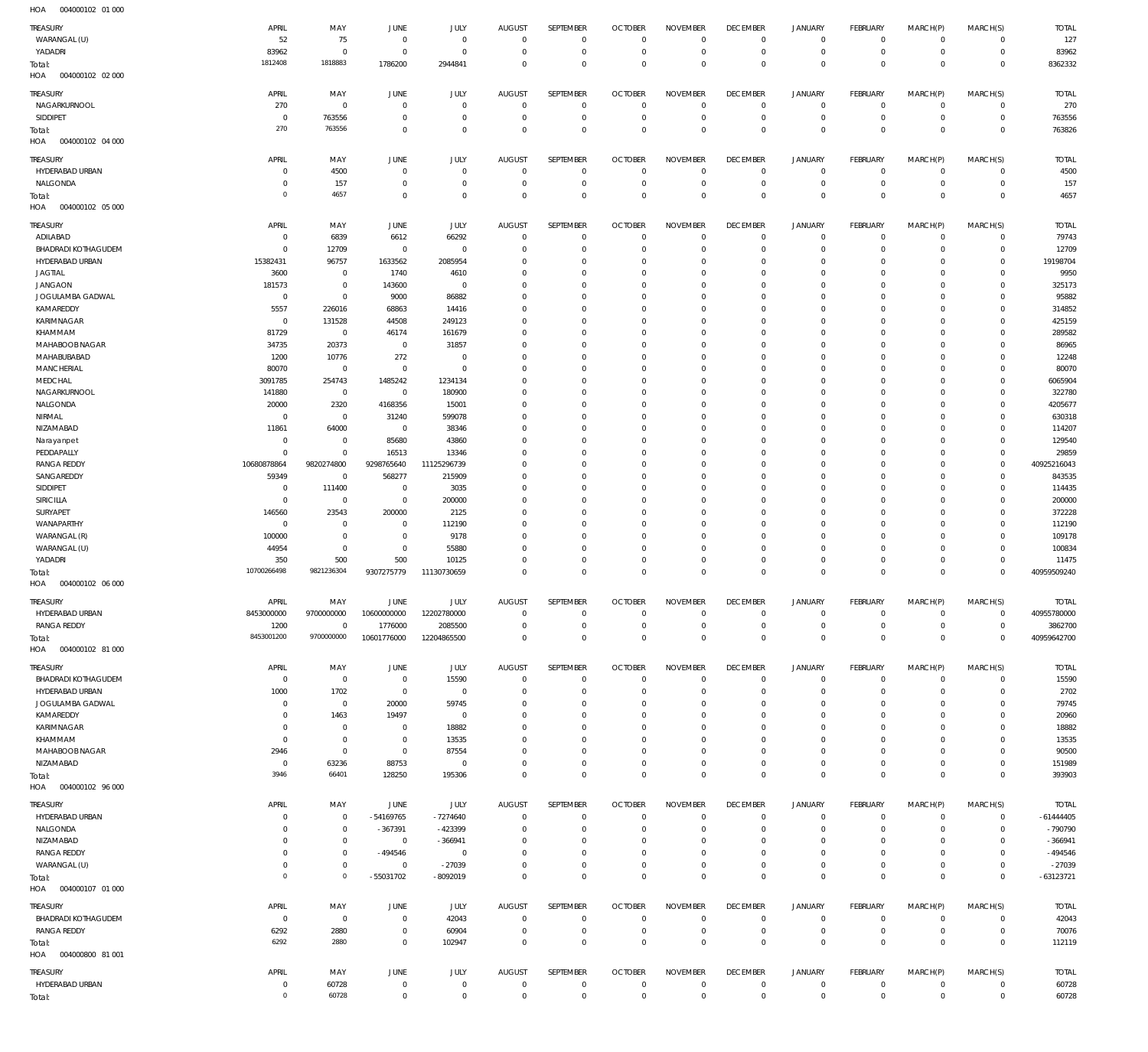| TREASURY                   | APRIL                 | MAY            | JUNE                       | JULY                       | <b>AUGUST</b>              | SEPTEMBER                  | <b>OCTOBER</b>                   | <b>NOVEMBER</b>            | <b>DECEMBER</b>               | <b>JANUARY</b>                     | <b>FEBRUARY</b>             | MARCH(P)                   | MARCH(S)            | <b>TOTAL</b>   |
|----------------------------|-----------------------|----------------|----------------------------|----------------------------|----------------------------|----------------------------|----------------------------------|----------------------------|-------------------------------|------------------------------------|-----------------------------|----------------------------|---------------------|----------------|
| WARANGAL (U)               | 52                    | 75             | $^{\circ}$                 | $\mathbf 0$                | $\mathbf 0$                | $\mathbf 0$                | $\overline{0}$                   | $\mathbf 0$                | $\overline{0}$                | $\overline{0}$                     | $\circ$                     | $\mathbf 0$                | $\mathbf 0$         | 127            |
| YADADRI                    | 83962                 | $\mathbf 0$    | $^{\circ}$                 | $\mathbf 0$                | $^{\circ}$                 | $\mathbf 0$                | $\overline{0}$                   | $\mathbf 0$                | $\overline{0}$                | $\mathbf 0$                        | $\mathbf 0$                 | $^{\circ}$                 | $\mathbf 0$         | 83962          |
| Total:                     | 1812408               | 1818883        | 1786200                    | 2944841                    | $\Omega$                   | $\mathbf 0$                | $\overline{0}$                   | $\Omega$                   | $\overline{0}$                | $\mathbf 0$                        | $\mathbf 0$                 | $\Omega$                   | $\mathbf 0$         | 8362332        |
| HOA<br>004000102 02 000    |                       |                |                            |                            |                            |                            |                                  |                            |                               |                                    |                             |                            |                     |                |
|                            |                       |                |                            |                            |                            |                            |                                  |                            |                               |                                    |                             |                            |                     |                |
| TREASURY                   | APRIL                 | MAY            | JUNE                       | JULY                       | <b>AUGUST</b>              | SEPTEMBER                  | <b>OCTOBER</b>                   | <b>NOVEMBER</b>            | <b>DECEMBER</b>               | <b>JANUARY</b>                     | FEBRUARY                    | MARCH(P)                   | MARCH(S)            | <b>TOTAL</b>   |
| NAGARKURNOOL               | 270                   | $\,0\,$        | $\mathbf 0$                | $\mathbf 0$                | $\overline{0}$             | 0                          | $\overline{0}$                   | $\mathbf 0$                | $\overline{0}$                | $\mathbf 0$                        | 0                           | $\circ$                    | $\mathbf 0$         | 270            |
| SIDDIPET                   | $^{\circ}$            | 763556         | $^{\circ}$                 | $\mathbb O$                | $^{\circ}$                 | $\bf 0$                    | $\overline{0}$                   | $\mathbf 0$                | $\overline{0}$                | $\mathbf 0$                        | $\mathbb O$                 | $^{\circ}$                 | $\mathbf 0$         | 763556         |
| Total:                     | 270                   | 763556         | $\mathbf 0$                | $\mathbb O$                | $^{\circ}$                 | $\bf 0$                    | $\overline{0}$                   | $\mathbf 0$                | $\overline{0}$                | $\bf 0$                            | $\mathbf 0$                 | $^{\circ}$                 | $\mathbf 0$         | 763826         |
| HOA<br>004000102 04 000    |                       |                |                            |                            |                            |                            |                                  |                            |                               |                                    |                             |                            |                     |                |
|                            |                       |                |                            |                            |                            |                            |                                  |                            |                               |                                    |                             |                            |                     |                |
| TREASURY                   | APRIL                 | MAY            | JUNE                       | JULY                       | <b>AUGUST</b>              | SEPTEMBER                  | <b>OCTOBER</b>                   | <b>NOVEMBER</b>            | <b>DECEMBER</b>               | <b>JANUARY</b>                     | <b>FEBRUARY</b>             | MARCH(P)                   | MARCH(S)            | <b>TOTAL</b>   |
| HYDERABAD URBAN            | 0                     | 4500           | $^{\circ}$                 | $\mathbf 0$                | $\mathbf 0$                | $\mathbf 0$                | $\overline{0}$                   | $\mathbf 0$                | $\overline{0}$                | $\mathsf 0$                        | $\circ$                     | $^{\circ}$                 | $\mathbf 0$         | 4500           |
| NALGONDA                   | $\Omega$              | 157            | 0                          | $\mathbf 0$                | $^{\circ}$                 | $\mathbf 0$                | $\overline{0}$                   | $\mathbf 0$                | $\overline{0}$                | $\mathbf 0$                        | $\mathbb O$                 | $^{\circ}$                 | $\mathbf 0$         | 157            |
| Total:                     | $\Omega$              | 4657           | $^{\circ}$                 | $\mathbf 0$                | $\Omega$                   | $\mathbf 0$                | $\overline{0}$                   | $\mathbf 0$                | $\overline{0}$                | $\mathbf 0$                        | $\mathbf 0$                 | $\overline{0}$             | $\mathbf 0$         | 4657           |
| HOA<br>004000102 05 000    |                       |                |                            |                            |                            |                            |                                  |                            |                               |                                    |                             |                            |                     |                |
| TREASURY                   | APRIL                 | MAY            | JUNE                       | JULY                       | <b>AUGUST</b>              | SEPTEMBER                  | <b>OCTOBER</b>                   | <b>NOVEMBER</b>            | <b>DECEMBER</b>               | <b>JANUARY</b>                     | <b>FEBRUARY</b>             | MARCH(P)                   | MARCH(S)            | <b>TOTAL</b>   |
| ADILABAD                   | 0                     | 6839           | 6612                       | 66292                      | $^{\circ}$                 | 0                          | $\overline{0}$                   | $\mathbf 0$                | $\overline{0}$                | $\overline{0}$                     | $\mathbb O$                 | $^{\circ}$                 | $\mathbf 0$         | 79743          |
| <b>BHADRADI KOTHAGUDEM</b> | -C                    | 12709          | $\mathbf 0$                | $\mathbf 0$                | $^{\circ}$                 | $\bf 0$                    | $\overline{0}$                   | $\mathbf 0$                | $\overline{0}$                | $\mathbf 0$                        | $\mathbf 0$                 | $\Omega$                   | $\mathbf 0$         | 12709          |
| HYDERABAD URBAN            | 15382431              | 96757          | 1633562                    | 2085954                    | 0                          | $\mathbf 0$                | $\overline{0}$                   | $\mathbf 0$                | $\mathbf 0$                   | 0                                  | $\mathbf{0}$                | $\Omega$                   | $\mathbf 0$         | 19198704       |
| <b>JAGTIAL</b>             | 3600                  | $\,0\,$        | 1740                       | 4610                       | 0                          | $\mathbf 0$                | $\overline{0}$                   | $\mathbf 0$                | $\overline{0}$                | 0                                  | $\mathbf 0$                 | $\Omega$                   | $\Omega$            | 9950           |
|                            |                       |                |                            |                            |                            |                            |                                  |                            |                               |                                    |                             |                            |                     |                |
| <b>JANGAON</b>             | 181573                | $\,0\,$        | 143600                     | $\mathbf 0$                | 0                          | $\mathbf 0$                | $\mathbf 0$                      | $\mathbf 0$                | $\mathbf 0$                   | 0                                  | $^{\circ}$                  | $\Omega$                   | $\Omega$            | 325173         |
| JOGULAMBA GADWAL           | 0                     | $\mathbf 0$    | 9000                       | 86882                      | $^{\circ}$                 | $\mathbf 0$                | $\mathbf 0$                      | $\Omega$                   | $\mathbf 0$                   | 0                                  | $\mathbf 0$                 | $\Omega$                   | $\Omega$            | 95882          |
| KAMAREDDY                  | 5557                  | 226016         | 68863                      | 14416                      | $^{\circ}$                 | $\mathbf 0$                | $\mathbf 0$                      | $\mathbf 0$                | $\mathbf 0$                   | 0                                  | $\mathbf{0}$                | $\Omega$                   | $\Omega$            | 314852         |
| KARIMNAGAR                 | 0                     | 131528         | 44508                      | 249123                     | $^{\circ}$                 | $\mathbf 0$                | $\mathbf 0$                      | $\Omega$                   | $\mathbf 0$                   | 0                                  | $\mathbf 0$                 | $\Omega$                   | $\Omega$            | 425159         |
| KHAMMAM                    | 81729                 | $\,0\,$        | 46174                      | 161679                     | $^{\circ}$                 | $\mathbf 0$                | $\overline{0}$                   | $\mathbf 0$                | $\mathbf 0$                   | 0                                  | $\mathbf{0}$                | $\Omega$                   | $\Omega$            | 289582         |
| MAHABOOB NAGAR             | 34735                 | 20373          | $\mathbf 0$                | 31857                      | 0                          | $\mathbf 0$                | $\mathbf 0$                      | $\Omega$                   | $\mathbf 0$                   | 0                                  | $\mathbf{0}$                | $\Omega$                   | $\Omega$            | 86965          |
| MAHABUBABAD                | 1200                  | 10776          | 272                        | $\mathbf 0$                | $^{\circ}$                 | $\mathbf 0$                | $\mathbf 0$                      | $\mathbf 0$                | $\mathbf 0$                   | 0                                  | $\mathbf{0}$                | $\Omega$                   | $\Omega$            | 12248          |
| <b>MANCHERIAL</b>          | 80070                 | $\,0\,$        | $\mathbf{0}$               | $\mathbb O$                | $^{\circ}$                 | $\mathbf 0$                | $\mathbf 0$                      | $\Omega$                   | $\mathbf 0$                   | 0                                  | $\mathbf{0}$                | $\Omega$                   | $\Omega$            | 80070          |
| MEDCHAL                    | 3091785               | 254743         | 1485242                    | 1234134                    | $^{\circ}$                 | $\mathbf 0$                | $\overline{0}$                   | $\mathbf 0$                | $\mathbf 0$                   | 0                                  | $\mathbf{0}$                | $\Omega$                   | $\Omega$            | 6065904        |
| NAGARKURNOOL               | 141880                | $\,0\,$        | $\mathbf 0$                | 180900                     | 0                          | $\mathbf 0$                | $\mathbf 0$                      | $\Omega$                   | $\mathbf 0$                   | 0                                  | $\mathbf{0}$                | $\Omega$                   | $\Omega$            | 322780         |
| NALGONDA                   | 20000                 | 2320           | 4168356                    | 15001                      | $\Omega$                   | $\mathbf 0$                | $\mathbf 0$                      | $\mathbf 0$                | $\mathbf 0$                   | 0                                  | $\mathbf{0}$                | $\Omega$                   | $\Omega$            | 4205677        |
| NIRMAL                     | $^{\circ}$            | $\,0\,$        | 31240                      | 599078                     | 0                          | $\mathbf 0$                | $\mathbf 0$                      | $\mathbf 0$                | $\mathbf 0$                   | 0                                  | $\mathbf{0}$                | $\Omega$                   | $\Omega$            | 630318         |
| NIZAMABAD                  | 11861                 | 64000          | $\mathbf 0$                | 38346                      | $\Omega$                   | $\mathbf 0$                | $\mathbf 0$                      | $\mathbf 0$                | $\mathbf 0$                   | 0                                  | $\mathbf{0}$                | $\Omega$                   | $\Omega$            | 114207         |
| Narayanpet                 | - 0                   | $\,0\,$        | 85680                      | 43860                      | 0                          | $\mathbf 0$                | $\mathbf 0$                      | $\mathbf 0$                | $\mathbf 0$                   | 0                                  | $\mathbf 0$                 | $\Omega$                   | $\Omega$            | 129540         |
| PEDDAPALLY                 | $^{\circ}$            | $\,0\,$        | 16513                      | 13346                      | $\Omega$                   | $\mathbf 0$                | $\mathbf 0$                      | $\Omega$                   | $\mathbf 0$                   | 0                                  | $\mathbf{0}$                | $\Omega$                   | $\Omega$            | 29859          |
| <b>RANGA REDDY</b>         | 10680878864           | 9820274800     | 9298765640                 | 11125296739                | $^{\circ}$                 | $\mathbf 0$                | $\mathbf 0$                      | $\mathbf 0$                | $\mathbf 0$                   | 0                                  | $\mathbf{0}$                | $\Omega$                   | $\mathbf 0$         | 40925216043    |
| SANGAREDDY                 | 59349                 | $\,0\,$        | 568277                     | 215909                     | $^{\circ}$                 | $\mathbf 0$                | $\mathbf 0$                      | $\Omega$                   | $\mathbf 0$                   | 0                                  | $\mathbf{0}$                | $\Omega$                   | $\Omega$            | 843535         |
| SIDDIPET                   | - 0                   | 111400         | $\mathbf 0$                | 3035                       | $\mathbf 0$                | $\mathbf 0$                | $\mathbf 0$                      | $\mathbf 0$                | $\mathbf 0$                   | 0                                  | $\mathbf 0$                 | $\Omega$                   | $\Omega$            | 114435         |
| SIRICILLA                  | 0                     | $\,0\,$        | $\mathbf 0$                | 200000                     | $^{\circ}$                 | $\mathbf 0$                | $\mathbf 0$                      | $\Omega$                   | $\mathbf 0$                   | 0                                  | $\mathbf{0}$                | $\Omega$                   | $\Omega$            | 200000         |
|                            |                       |                |                            |                            |                            |                            |                                  |                            |                               |                                    |                             |                            |                     |                |
| SURYAPET                   | 146560                | 23543          | 200000                     | 2125                       | $\mathbf 0$                | $\mathbf 0$                | $\overline{0}$                   | $\mathbf 0$                | $\overline{0}$                | 0                                  | $\mathbf 0$                 | $\Omega$                   | $\Omega$            | 372228         |
| WANAPARTHY                 | $^{\circ}$            | $\,0\,$        | $\mathbf 0$                | 112190                     | $^{\circ}$                 | $\mathbf 0$                | $\mathbf 0$                      | $\mathbf 0$                | $\mathbf 0$                   | 0                                  | $\mathbf{0}$                | $\Omega$                   | $\Omega$            | 112190         |
| WARANGAL (R)               | 100000                | $\,0\,$        | $^{\circ}$                 | 9178                       | $\mathbf 0$                | $\mathbf 0$                | $\mathbf 0$                      | $\mathbf 0$                | $\overline{0}$                | 0                                  | $\mathbf 0$                 | $\Omega$                   | $\mathbf 0$         | 109178         |
| WARANGAL (U)               | 44954                 | $\,0\,$        | $^{\circ}$                 | 55880                      | $^{\circ}$                 | $\mathbf 0$                | $\mathbf 0$                      | $\mathbf 0$                | $\mathbf 0$                   | 0                                  | $\mathbf{0}$                | $\Omega$                   | $\Omega$            | 100834         |
| YADADRI                    | 350                   | 500            | 500                        | 10125                      | $^{\circ}$                 | $\mathbf 0$                | $\overline{0}$                   | $\mathbf 0$                | $\overline{0}$                | $\mathbf 0$                        | $\mathbf 0$                 | $\Omega$                   | $\mathbf 0$         | 11475          |
|                            |                       |                |                            |                            | $\mathbf 0$                | $\mathbf 0$                | $\overline{0}$                   | $\mathbf 0$                | $\mathbf 0$                   | $\mathbf 0$                        | $\mathbf 0$                 | $^{\circ}$                 | $\mathbf 0$         | 40959509240    |
| Total:                     | 10700266498           | 9821236304     | 9307275779                 | 11130730659                |                            |                            |                                  |                            |                               |                                    |                             |                            |                     |                |
| HOA<br>004000102 06 000    |                       |                |                            |                            |                            |                            |                                  |                            |                               |                                    |                             |                            |                     |                |
|                            |                       |                |                            |                            |                            |                            |                                  |                            |                               |                                    |                             |                            |                     |                |
| TREASURY                   | APRIL                 | MAY            | JUNE                       | JULY                       | <b>AUGUST</b>              | <b>SFPTFMBFR</b>           | <b>OCTOBER</b>                   | <b>NOVEMBER</b>            | <b>DECEMBER</b>               | <b>JANUARY</b>                     | FFBRUARY                    | MARCH(P)                   | MARCH(S)            | <b>TOTAL</b>   |
| HYDERABAD URBAN            | 8453000000            | 9700000000     | 10600000000                | 12202780000                | $\mathbf 0$                | $\mathbf 0$                | $\overline{0}$                   | $\mathbf 0$                | $\mathbf 0$                   | $\mathbf 0$                        | $\mathbf 0$                 | $\Omega$                   | $\mathbf 0$         | 40955780000    |
| <b>RANGA REDDY</b>         | 1200                  | $\mathbf 0$    | 1776000                    | 2085500                    | $\mathbf 0$                | $\bf 0$                    | $\overline{0}$                   | $\mathbf 0$                | $\overline{0}$                | $\mathbf 0$                        | $\mathbb O$                 | $\mathbf 0$                | $\Omega$            | 3862700        |
| Total:                     | 8453001200            | 9700000000     | 10601776000                | 12204865500                | $\mathbf 0$                | $\mathbf 0$                | $\overline{0}$                   | $\mathbf 0$                | $\overline{0}$                | $\overline{0}$                     | $\,0\,$                     | $\mathbf 0$                | $\mathbf 0$         | 40959642700    |
| HOA<br>004000102 81 000    |                       |                |                            |                            |                            |                            |                                  |                            |                               |                                    |                             |                            |                     |                |
| TREASURY                   | APRIL                 | MAY            | JUNE                       | JULY                       | <b>AUGUST</b>              | SEPTEMBER                  | <b>OCTOBER</b>                   | <b>NOVEMBER</b>            | <b>DECEMBER</b>               | <b>JANUARY</b>                     | FEBRUARY                    | MARCH(P)                   | MARCH(S)            | <b>TOTAL</b>   |
| <b>BHADRADI KOTHAGUDEM</b> | $\overline{0}$        | $\,0\,$        | $\mathbf 0$                |                            | $\mathbf 0$                | $\bf 0$                    | $\overline{0}$                   | $\mathbf 0$                | $\overline{0}$                | $\mathsf 0$                        | $\mathbb O$                 | $^{\circ}$                 | $\Omega$            |                |
| HYDERABAD URBAN            | 1000                  | 1702           | $\mathbf 0$                | 15590<br>$\mathbb O$       | $^{\circ}$                 | $\bf 0$                    | $\overline{0}$                   | $\mathbf 0$                | $\overline{0}$                | $\mathbf 0$                        | $\mathbb O$                 | $\circ$                    | $\mathbf 0$         | 15590<br>2702  |
| JOGULAMBA GADWAL           | 0                     | $\,0\,$        | 20000                      | 59745                      | 0                          | 0                          | $\overline{0}$                   | $\mathbf 0$                | $\overline{0}$                | 0                                  | $\mathbb O$                 | $\Omega$                   | $\mathbf 0$         | 79745          |
| KAMAREDDY                  | $\Omega$              |                | 19497                      | $\mathbb O$                | $^{\circ}$                 | $\mathbf 0$                | $\overline{0}$                   | $\mathbf 0$                | $\overline{0}$                | $\mathbf 0$                        | $\mathbf 0$                 | $\Omega$                   | $\Omega$            | 20960          |
|                            | 0                     | 1463           |                            |                            | $\mathbf 0$                | $\mathbf 0$                | $\overline{0}$                   | $\mathbf 0$                | $\overline{0}$                | 0                                  | $\mathbf 0$                 | $\Omega$                   | $\Omega$            |                |
| KARIMNAGAR                 |                       | $\,0\,$        | $\mathbf 0$                | 18882                      | $\Omega$                   |                            |                                  |                            |                               |                                    |                             | $\Omega$                   | $\Omega$            | 18882          |
| KHAMMAM                    | $^{\circ}$            | $\,0\,$        | $\mathbf 0$                | 13535                      | $\mathbf 0$                | $\mathbf 0$<br>$\mathbf 0$ | $\overline{0}$<br>$\overline{0}$ | $\mathbf 0$<br>$\mathbf 0$ | $\mathbf 0$<br>$\overline{0}$ | $\mathbf 0$<br>$\mathsf{O}\xspace$ | $\mathbf{0}$<br>$\mathbf 0$ | $\Omega$                   | $\mathbf 0$         | 13535          |
| MAHABOOB NAGAR             | 2946                  | $\,0\,$        | $\mathbf 0$                | 87554                      |                            |                            |                                  |                            |                               |                                    |                             |                            |                     | 90500          |
| NIZAMABAD                  | $\overline{0}$        | 63236          | 88753                      | $\mathbb O$                | $^{\circ}$                 | $\mathbf 0$                | $\overline{0}$                   | $\mathbf 0$                | $\overline{0}$                | $\mathsf{O}\xspace$                | $\mathbf 0$                 | $^{\circ}$                 | $\mathbf 0$         | 151989         |
| Total:                     | 3946                  | 66401          | 128250                     | 195306                     | $\mathbf 0$                | $\mathbf 0$                | $\overline{0}$                   | $\mathbf 0$                | $\overline{0}$                | $\bf 0$                            | $\,0\,$                     | $\mathbf 0$                | $\mathbf 0$         | 393903         |
| HOA<br>004000102 96 000    |                       |                |                            |                            |                            |                            |                                  |                            |                               |                                    |                             |                            |                     |                |
| TREASURY                   | APRIL                 | MAY            | JUNE                       | JULY                       | <b>AUGUST</b>              | SEPTEMBER                  | <b>OCTOBER</b>                   | <b>NOVEMBER</b>            | <b>DECEMBER</b>               | <b>JANUARY</b>                     | FEBRUARY                    | MARCH(P)                   | MARCH(S)            | <b>TOTAL</b>   |
| HYDERABAD URBAN            | $\Omega$              | $\mathbf 0$    | $-54169765$                | $-7274640$                 | $\mathbf 0$                | $\mathbf 0$                | $\overline{0}$                   | $\mathbf 0$                | $\overline{0}$                | $\mathbf 0$                        | $\circ$                     | $^{\circ}$                 | $\circ$             | $-61444405$    |
| NALGONDA                   | $\Omega$              | $\,0\,$        | $-367391$                  | $-423399$                  | 0                          | $\mathbf 0$                | $\overline{0}$                   | $\mathbf 0$                | $\overline{0}$                | $\mathbf 0$                        | $\mathbf 0$                 | $^{\circ}$                 | $\circ$             | -790790        |
| NIZAMABAD                  | $\Omega$              | $\,0\,$        | $^{\circ}$                 | $-366941$                  | $\Omega$                   | $\mathbf 0$                | $\mathbf 0$                      | $\mathbf 0$                | $\mathbf 0$                   | 0                                  | $\circ$                     | $\Omega$                   | $\Omega$            | $-366941$      |
| <b>RANGA REDDY</b>         | $\mathbf{0}$          | $\,0\,$        | $-494546$                  | $\mathbf 0$                | 0                          | $\mathbf 0$                | $\overline{0}$                   | $\mathbf 0$                | $\overline{0}$                | $\mathbf 0$                        | 0                           | $\Omega$                   | $\mathbf 0$         | $-494546$      |
|                            | $\mathbf 0$           | $\,0\,$        | $^{\circ}$                 | $-27039$                   | $\Omega$                   | $\mathbf 0$                | $\mathbf 0$                      | $\mathbf 0$                | $\overline{0}$                | $\mathsf{O}\xspace$                | $\mathbf 0$                 | $\Omega$                   | $\Omega$            |                |
| WARANGAL (U)               | $^{\circ}$            | $\circ$        |                            |                            | $\mathbf 0$                | $\mathbf 0$                | $\overline{0}$                   | $\mathbf 0$                | $\overline{0}$                | $\overline{0}$                     | $\,0\,$                     | $\overline{0}$             | $\mathbf 0$         | $-27039$       |
| Total:                     |                       |                | $-55031702$                | $-8092019$                 |                            |                            |                                  |                            |                               |                                    |                             |                            |                     | $-63123721$    |
| HOA<br>004000107 01 000    |                       |                |                            |                            |                            |                            |                                  |                            |                               |                                    |                             |                            |                     |                |
| TREASURY                   | APRIL                 | MAY            | JUNE                       | JULY                       | <b>AUGUST</b>              | SEPTEMBER                  | <b>OCTOBER</b>                   | <b>NOVEMBER</b>            | <b>DECEMBER</b>               | <b>JANUARY</b>                     | FEBRUARY                    | MARCH(P)                   | MARCH(S)            | <b>TOTAL</b>   |
| <b>BHADRADI KOTHAGUDEM</b> | $\overline{0}$        | $\,0\,$        | $\mathbf 0$                | 42043                      | $\mathbf 0$                | 0                          | $\overline{0}$                   | $\mathbf 0$                | $\overline{0}$                | $\mathsf 0$                        | $\mathbb O$                 | $\circ$                    | $\mathbf 0$         | 42043          |
| <b>RANGA REDDY</b>         | 6292                  | 2880           | $\mathbf 0$                | 60904                      | $\mathbf 0$                | $\mathsf{O}\xspace$        | $\overline{0}$                   | $\mathbf 0$                | $\overline{0}$                | $\mathsf 0$                        | $\mathbb O$                 | $^{\circ}$                 | $\mathsf{O}\xspace$ | 70076          |
| Total:                     | 6292                  | 2880           | $\mathbf 0$                | 102947                     | $\mathbf 0$                | $\mathsf{O}\xspace$        | $\overline{0}$                   | $\mathbf 0$                | $\mathbf 0$                   | $\mathbf 0$                        | $\,0\,$                     | $\mathbf 0$                | $\mathbf 0$         | 112119         |
| 004000800 81 001<br>HOA    |                       |                |                            |                            |                            |                            |                                  |                            |                               |                                    |                             |                            |                     |                |
|                            |                       |                |                            |                            |                            |                            |                                  |                            |                               |                                    |                             |                            |                     |                |
| TREASURY                   | APRIL                 | MAY            | JUNE                       | JULY                       | <b>AUGUST</b>              | SEPTEMBER                  | <b>OCTOBER</b>                   | <b>NOVEMBER</b>            | <b>DECEMBER</b>               | <b>JANUARY</b>                     | FEBRUARY                    | MARCH(P)                   | MARCH(S)            | <b>TOTAL</b>   |
| HYDERABAD URBAN<br>Total:  | $^{\circ}$<br>$\circ$ | 60728<br>60728 | $\mathbf 0$<br>$\mathbf 0$ | $\mathbf 0$<br>$\mathbf 0$ | $\mathbf 0$<br>$\mathbb O$ | 0<br>$\mathsf{O}\xspace$   | $\overline{0}$<br>$\mathbf 0$    | $\mathbf 0$<br>$\mathbb O$ | $\overline{0}$<br>$\mathbf 0$ | $\mathsf 0$<br>$\mathbf 0$         | $\mathbb O$<br>$\,0\,$      | $\mathbf 0$<br>$\mathbf 0$ | $\circ$<br>$\,0\,$  | 60728<br>60728 |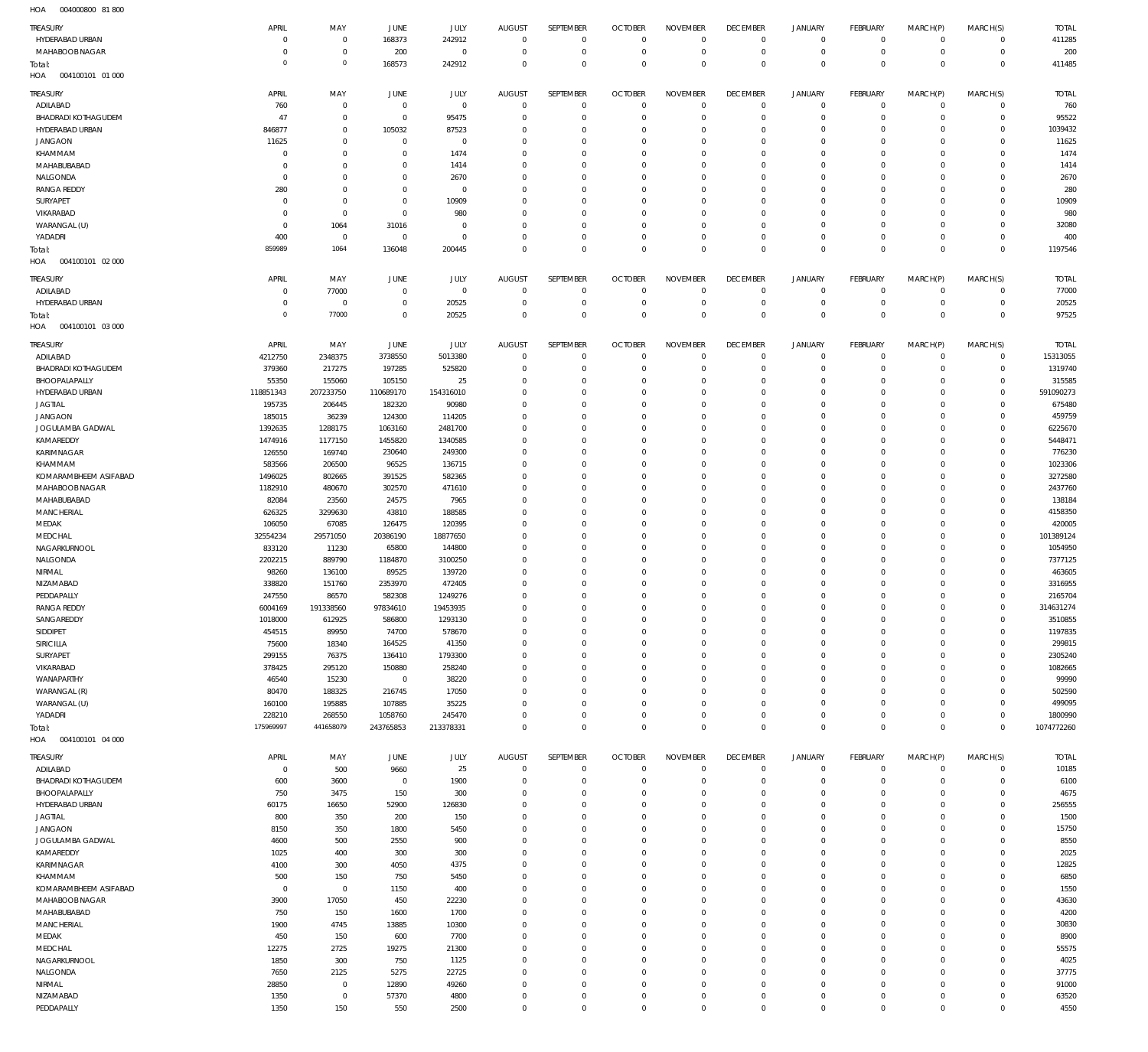004000800 81 800 HOA

| <b>TREASURY</b>            | APRIL               | MAY                   | JUNE           | JULY           | <b>AUGUST</b>              | SEPTEMBER                     | <b>OCTOBER</b>             | <b>NOVEMBER</b>               | <b>DECEMBER</b>             | <b>JANUARY</b>         | <b>FEBRUARY</b>      | MARCH(P)                   | MARCH(S)                   | <b>TOTAL</b>  |
|----------------------------|---------------------|-----------------------|----------------|----------------|----------------------------|-------------------------------|----------------------------|-------------------------------|-----------------------------|------------------------|----------------------|----------------------------|----------------------------|---------------|
| HYDERABAD URBAN            | $\mathbf 0$         | $\overline{0}$        | 168373         | 242912         | $\overline{0}$             | $\overline{0}$                | $\overline{0}$             | $^{\circ}$                    | $^{\circ}$                  | $\circ$                | $^{\circ}$           | $\mathbf 0$                | $\mathbf 0$                | 411285        |
| MAHABOOB NAGAR             | $\mathbf 0$         | $\mathbf 0$           | 200            | $\mathbf 0$    | $\mathbf 0$                | $\overline{0}$                | $\overline{0}$             | $\mathbf{0}$                  | $^{\circ}$                  | $\mathbf 0$            | $\mathbf 0$          | $\mathbf 0$                | $^{\circ}$                 | 200           |
| Total:                     | $\mathsf{O}\xspace$ | $\,0\,$               | 168573         | 242912         | $\mathbf 0$                | $\overline{0}$                | $\Omega$                   | $\Omega$                      | $\mathbf{0}$                | $\mathbf{0}$           | $\Omega$             | $\Omega$                   | $\mathbf 0$                | 411485        |
| 004100101 01 000<br>HOA    |                     |                       |                |                |                            |                               |                            |                               |                             |                        |                      |                            |                            |               |
|                            |                     |                       |                |                |                            |                               |                            |                               |                             |                        |                      |                            |                            |               |
| <b>TREASURY</b>            | APRIL               | MAY                   | <b>JUNE</b>    | JULY           | <b>AUGUST</b>              | SEPTEMBER                     | <b>OCTOBER</b>             | <b>NOVEMBER</b>               | <b>DECEMBER</b>             | <b>JANUARY</b>         | <b>FEBRUARY</b>      | MARCH(P)                   | MARCH(S)                   | <b>TOTAL</b>  |
| ADILABAD                   | 760                 | $\overline{0}$        | $^{\circ}$     | $\mathbf 0$    | $\overline{0}$             | $\overline{0}$                | $\overline{0}$             | $\Omega$                      | $^{\circ}$                  | $\circ$                | $\circ$              | $\circ$                    | $^{\circ}$                 | 760           |
| <b>BHADRADI KOTHAGUDEM</b> | 47                  | $\overline{0}$        | $\mathbf{0}$   | 95475          | $\mathbf 0$                | $\overline{0}$                | $\Omega$                   | $^{\circ}$                    | $^{\circ}$                  | $\mathbf 0$            | $\mathbf 0$          | $\mathbf 0$                | $\mathbf 0$                | 95522         |
| HYDERABAD URBAN            | 846877              | $\mathbf{0}$          | 105032         | 87523          | $\Omega$                   | $\overline{0}$                | $\Omega$                   | $\mathbf{0}$                  | $\Omega$                    | $\mathbf 0$            | $\Omega$             | $\Omega$                   | $\Omega$                   | 1039432       |
| <b>JANGAON</b>             | 11625               | $\mathbf{0}$          | $\mathbf 0$    | $\overline{0}$ | $\mathbf 0$                | $\overline{0}$                | $\Omega$                   | $\Omega$                      | $\Omega$                    | $\mathbf 0$            | $\Omega$             | $\Omega$                   | $\mathbf 0$                | 11625         |
| KHAMMAM                    | $\mathbf 0$         | $\mathbf{0}$          | $\mathbf 0$    | 1474           | $\mathbf 0$                | $\overline{0}$                | $\Omega$                   | $^{\circ}$                    | $\Omega$                    | $\mathbf 0$            | $\Omega$             | $\Omega$                   | $\Omega$                   | 1474          |
|                            |                     | $\mathbf{0}$          |                |                |                            | $\overline{0}$                | $\Omega$                   | $\Omega$                      | $\Omega$                    |                        | $\Omega$             | $\Omega$                   | $\Omega$                   |               |
| MAHABUBABAD                | $\mathbf 0$         |                       | $\mathbf 0$    | 1414           | $\mathbf 0$                |                               |                            |                               |                             | $\mathbf 0$            |                      |                            |                            | 1414          |
| NALGONDA                   | $\mathbf 0$         | $\overline{0}$        | $\mathbf 0$    | 2670           | $\mathbf 0$                | $\overline{0}$                | $\Omega$                   | $^{\circ}$                    | $\Omega$                    | $\mathbf 0$            | $\Omega$             | $\Omega$                   | $\mathbf 0$                | 2670          |
| <b>RANGA REDDY</b>         | 280                 | $\mathbf{0}$          | 0              | $^{\circ}$     | $\mathbf 0$                | $\overline{0}$                | $\Omega$                   | $\Omega$                      | $\Omega$                    | $\mathbf 0$            | $\Omega$             | $\Omega$                   | $\Omega$                   | 280           |
| SURYAPET                   | $\mathbf 0$         | $\overline{0}$        | $\mathbf{0}$   | 10909          | $\mathbf 0$                | $\overline{0}$                | $\Omega$                   | $\Omega$                      | $\Omega$                    | $\mathbf 0$            | $\Omega$             | $\Omega$                   | $\mathbf 0$                | 10909         |
| VIKARABAD                  | $\mathbf 0$         | $\overline{0}$        | $\mathbf 0$    | 980            | $\mathbf 0$                | $\overline{0}$                | $\Omega$                   | $^{\circ}$                    | $^{\circ}$                  | $\mathbf 0$            | $\Omega$             | $\Omega$                   | $\Omega$                   | 980           |
| WARANGAL (U)               | $\mathbf 0$         | 1064                  | 31016          | $^{\circ}$     | $\Omega$                   | $\overline{0}$                | $\Omega$                   | $\Omega$                      | $\Omega$                    | $\mathbf 0$            | $\Omega$             | $\Omega$                   | $\Omega$                   | 32080         |
| YADADRI                    | 400                 | $\overline{0}$        | $^{\circ}$     | $\overline{0}$ | $\mathbf 0$                | $\overline{0}$                | $\Omega$                   | $\mathbf{0}$                  | $^{\circ}$                  | $\mathbf 0$            | $\Omega$             | $\mathbf 0$                | $\mathbf 0$                | 400           |
| Total:                     | 859989              | 1064                  | 136048         | 200445         | $\Omega$                   | $\Omega$                      | $\Omega$                   | $\Omega$                      | $\Omega$                    | $\Omega$               | $\Omega$             | $\Omega$                   | $\Omega$                   | 1197546       |
| 004100101 02 000<br>HOA    |                     |                       |                |                |                            |                               |                            |                               |                             |                        |                      |                            |                            |               |
|                            |                     |                       |                |                |                            |                               |                            |                               |                             |                        |                      |                            |                            |               |
| <b>TREASURY</b>            | APRIL               | MAY                   | JUNE           | JULY           | <b>AUGUST</b>              | SEPTEMBER                     | <b>OCTOBER</b>             | <b>NOVEMBER</b>               | <b>DECEMBER</b>             | <b>JANUARY</b>         | <b>FEBRUARY</b>      | MARCH(P)                   | MARCH(S)                   | <b>TOTAL</b>  |
| ADILABAD                   | $\mathbf 0$         | 77000                 | $\mathbf{0}$   | $\mathbf 0$    | $\overline{0}$             | $^{\circ}$                    | $\overline{0}$             | $^{\circ}$                    | $\circ$                     | $\circ$                | $^{\circ}$           | $\mathbf 0$                | $\mathbf 0$                | 77000         |
| HYDERABAD URBAN            | 0                   | $\overline{0}$        | 0              | 20525          | $\mathbf 0$                | $\overline{0}$                | $\Omega$                   | $^{\circ}$                    | $^{\circ}$                  | $\mathbf 0$            | $\Omega$             | $\mathbf 0$                | $\mathbf 0$                | 20525         |
| Total:                     | $\mathsf{O}\xspace$ | 77000                 | $\mathbf{0}$   | 20525          | $\mathbf 0$                | $\overline{0}$                | $\overline{0}$             | $\mathbf{0}$                  | $^{\circ}$                  | $\mathbf{0}$           | $\mathbf{0}$         | $\mathbf 0$                | $\mathbf 0$                | 97525         |
| HOA<br>004100101 03 000    |                     |                       |                |                |                            |                               |                            |                               |                             |                        |                      |                            |                            |               |
|                            |                     |                       |                |                |                            |                               |                            |                               |                             |                        |                      |                            |                            |               |
| <b>TREASURY</b>            | APRIL               | MAY                   | JUNE           | <b>JULY</b>    | <b>AUGUST</b>              | SEPTEMBER                     | <b>OCTOBER</b>             | <b>NOVEMBER</b>               | <b>DECEMBER</b>             | <b>JANUARY</b>         | <b>FEBRUARY</b>      | MARCH(P)                   | MARCH(S)                   | <b>TOTAL</b>  |
| ADILABAD                   | 4212750             | 2348375               | 3738550        | 5013380        | $^{\circ}$                 | $^{\circ}$                    | $\Omega$                   | $^{\circ}$                    | $^{\circ}$                  | $\mathbf 0$            | $\Omega$             | $\mathbf 0$                | $\mathbf 0$                | 15313055      |
| <b>BHADRADI KOTHAGUDEM</b> | 379360              | 217275                | 197285         | 525820         | $\mathbf 0$                | $\overline{0}$                | $\overline{0}$             | $^{\circ}$                    | $^{\circ}$                  | $\mathbf 0$            | $\mathbf 0$          | $\mathbf 0$                | $\mathbf 0$                | 1319740       |
| BHOOPALAPALLY              | 55350               | 155060                | 105150         | 25             | $\mathbf 0$                | $\overline{0}$                | $\Omega$                   | $^{\circ}$                    | $^{\circ}$                  | $\mathbf 0$            | $\Omega$             | $\mathbf 0$                | $\mathbf 0$                | 315585        |
| HYDERABAD URBAN            | 118851343           | 207233750             | 110689170      | 154316010      | $\Omega$                   | $\overline{0}$                | $\Omega$                   | $\Omega$                      | $\Omega$                    | $\mathbf 0$            | $\Omega$             | $\Omega$                   | $\Omega$                   | 591090273     |
| <b>JAGTIAL</b>             | 195735              | 206445                | 182320         | 90980          | $\mathbf 0$                | $\overline{0}$                | $\Omega$                   | $^{\circ}$                    | $^{\circ}$                  | $\mathbf 0$            | $\Omega$             | $\mathbf 0$                | $\mathbf 0$                | 675480        |
| <b>JANGAON</b>             | 185015              | 36239                 | 124300         | 114205         | $\Omega$                   | $\overline{0}$                | $\Omega$                   | $\Omega$                      | $\Omega$                    | $\mathbf 0$            | $\Omega$             | $\Omega$                   | $\Omega$                   | 459759        |
|                            |                     |                       |                |                |                            | $\overline{0}$                | $\Omega$                   |                               | $\Omega$                    | $\mathbf 0$            | $\Omega$             |                            | $\Omega$                   |               |
| JOGULAMBA GADWAL           | 1392635             | 1288175               | 1063160        | 2481700        | $\mathbf 0$                |                               |                            | $^{\circ}$                    |                             |                        |                      | $\mathbf 0$                |                            | 6225670       |
| KAMAREDDY                  | 1474916             | 1177150               | 1455820        | 1340585        | $\Omega$                   | $\overline{0}$                | $\Omega$                   | $\Omega$                      | $\Omega$                    | $\mathbf 0$            | $\Omega$             | $\Omega$                   | $\Omega$                   | 5448471       |
| KARIMNAGAR                 | 126550              | 169740                | 230640         | 249300         | $\mathbf 0$                | $\overline{0}$                | $\Omega$                   | $\Omega$                      | $\Omega$                    | $\mathbf 0$            | $\Omega$             | $\Omega$                   | $\Omega$                   | 776230        |
| KHAMMAM                    | 583566              | 206500                | 96525          | 136715         | $\mathbf 0$                | $\overline{0}$                | $\Omega$                   | $^{\circ}$                    | $\Omega$                    | $\mathbf 0$            | $\Omega$             | $\Omega$                   | $\Omega$                   | 1023306       |
| KOMARAMBHEEM ASIFABAD      | 1496025             | 802665                | 391525         | 582365         | $\mathbf 0$                | $\overline{0}$                | $\Omega$                   | $\Omega$                      | $\Omega$                    | $\mathbf 0$            | $\Omega$             | $\Omega$                   | $\Omega$                   | 3272580       |
| MAHABOOB NAGAR             | 1182910             | 480670                | 302570         | 471610         | $\Omega$                   | $\overline{0}$                | $\Omega$                   | $^{\circ}$                    | $\Omega$                    | $\mathbf 0$            | $\Omega$             | $\mathbf 0$                | $\Omega$                   | 2437760       |
| MAHABUBABAD                | 82084               | 23560                 | 24575          | 7965           | $\mathbf 0$                | $\overline{0}$                | $\Omega$                   | $^{\circ}$                    | $\Omega$                    | $\mathbf 0$            | $\Omega$             | $\Omega$                   | $\Omega$                   | 138184        |
| <b>MANCHERIAL</b>          | 626325              | 3299630               | 43810          | 188585         | $\Omega$                   | $\overline{0}$                | $\Omega$                   | $\Omega$                      | $\Omega$                    | $\mathbf 0$            | $\Omega$             | $\mathbf 0$                | $\Omega$                   | 4158350       |
| MEDAK                      | 106050              | 67085                 | 126475         | 120395         | $\mathbf 0$                | $\overline{0}$                | $\Omega$                   | $^{\circ}$                    | $\Omega$                    | $\mathbf 0$            | $\Omega$             | $\Omega$                   | $\mathbf 0$                | 420005        |
| MEDCHAL                    | 32554234            | 29571050              | 20386190       | 18877650       | $\Omega$                   | $\overline{0}$                | $\Omega$                   | $\Omega$                      | $\Omega$                    | $\mathbf 0$            | $\Omega$             | $\Omega$                   | $\Omega$                   | 101389124     |
| NAGARKURNOOL               | 833120              | 11230                 | 65800          | 144800         | $\mathbf 0$                | $\overline{0}$                | $\Omega$                   | $^{\circ}$                    | $^{\circ}$                  | $\mathbf 0$            | $\Omega$             | $\mathbf 0$                | $\mathbf 0$                | 1054950       |
|                            |                     |                       |                |                |                            |                               |                            | $\Omega$                      |                             |                        |                      |                            |                            |               |
| NALGONDA                   | 2202215             | 889790                | 1184870        | 3100250        | $\Omega$                   | $\overline{0}$                | $\Omega$                   |                               | $\Omega$                    | $\mathbf 0$            | $\Omega$             | $\Omega$                   | $\Omega$                   | 7377125       |
|                            |                     | 136100                | 89525          | 139720         | $\mathbf 0$                | $\overline{0}$                | $\Omega$                   | $^{\circ}$                    | $\Omega$                    | $\mathbf 0$            | $\Omega$             | $\mathbf 0$                | 0                          | 463605        |
| NIRMAL                     | 98260               |                       |                | 472405         | $\Omega$                   | $\overline{0}$                | $\Omega$                   | $\mathbf 0$                   | $\Omega$                    | $\Omega$               | $\Omega$             | $\Omega$                   | $\Omega$                   | 3316955       |
| NIZAMABAD                  | 338820              | 151760                | 2353970        |                |                            |                               |                            | $\overline{0}$                | $\mathbf{0}$                |                        |                      |                            |                            |               |
| PEDDAPALLY                 | 247550              | 86570                 | 582308         | 1249276        | $\mathbf 0$                | $\overline{0}$                | $\overline{0}$             |                               |                             | $\Omega$               | $\Omega$             | $\circ$                    | $\mathbf 0$                | 2165704       |
| <b>RANGA REDDY</b>         | 6004169             | 191338560             | 97834610       | 19453935       | $\Omega$                   | $\overline{0}$                | $\overline{0}$             | $\overline{0}$                | $\mathbf{0}$                | $\Omega$               | $\Omega$             | $\circ$                    | $\mathbf{0}$               | 314631274     |
| SANGAREDDY                 | 1018000             | 612925                | 586800         | 1293130        | $\mathbf 0$                | $\overline{0}$                | $\Omega$                   | $\Omega$                      | $\Omega$                    | $\mathbf 0$            | $\Omega$             | $\mathbf 0$                | $\Omega$                   | 3510855       |
| SIDDIPET                   | 454515              | 89950                 | 74700          | 578670         | $\mathbf 0$                | $^{\circ}$                    | $\overline{0}$             | $^{\circ}$                    | $^{\circ}$                  | $\mathbf 0$            | $\mathbf 0$          | $\mathbf 0$                | $\Omega$                   | 1197835       |
|                            |                     |                       |                |                | $\mathbf 0$                | $\overline{0}$                | $\Omega$                   | $\mathbf{0}$                  | $^{\circ}$                  | $\mathbf 0$            | $\Omega$             | $\Omega$                   | $\Omega$                   |               |
| <b>SIRICILLA</b>           | 75600               | 18340                 | 164525         | 41350          |                            |                               |                            |                               |                             |                        |                      |                            |                            | 299815        |
| SURYAPET                   | 299155              | 76375                 | 136410         | 1793300        | $\mathbf 0$                | $\overline{0}$                | $\Omega$                   | $^{\circ}$                    | $\Omega$                    | $\circ$                | $\Omega$             | $\mathbf 0$                | $\mathbf 0$                | 2305240       |
| VIKARABAD                  | 378425              | 295120                | 150880         | 258240         | $\mathbf 0$                | $\overline{0}$                | $\Omega$                   | $^{\circ}$                    | $^{\circ}$                  | $\mathbf 0$            | $\Omega$             | $\mathbf 0$                | $\mathbf 0$                | 1082665       |
| WANAPARTHY                 | 46540               | 15230                 | $\mathbf 0$    | 38220          | $\mathbf 0$                | $\overline{0}$                | $\Omega$                   | $\Omega$                      | $\Omega$                    | $\mathbf 0$            | $\Omega$             | $\mathbf 0$                | $\Omega$                   | 99990         |
| WARANGAL (R)               | 80470               | 188325                | 216745         | 17050          | $\mathbf 0$                | $\overline{0}$                | $\Omega$                   | $^{\circ}$                    | $^{\circ}$                  | $\mathbf 0$            | $\Omega$             | $\mathbf 0$                | $\mathbf 0$                | 502590        |
| WARANGAL (U)               | 160100              | 195885                | 107885         | 35225          | $\mathbf 0$                | $\overline{0}$                | $\Omega$                   | $\mathbf{0}$                  | $\Omega$                    | $\mathbf 0$            | $\Omega$             | $\mathbf 0$                | $\Omega$                   | 499095        |
| YADADRI                    | 228210              | 268550                | 1058760        | 245470         | $\mathbf 0$                | $\overline{0}$                | $\mathbf 0$                | $\mathbf 0$                   | $\mathbf{0}$                | $\mathbf 0$            | $\mathbf 0$          | $\mathbf 0$                | $\mathbf 0$                | 1800990       |
| Total:                     | 175969997           | 441658079             | 243765853      | 213378331      | $\mathbf 0$                | $\overline{0}$                | $\overline{0}$             | $\overline{0}$                | $\mathbf{0}$                | $\overline{0}$         | $\Omega$             | $\mathbf 0$                | $\Omega$                   | 1074772260    |
| HOA   004100101   04   000 |                     |                       |                |                |                            |                               |                            |                               |                             |                        |                      |                            |                            |               |
|                            |                     |                       |                |                |                            |                               |                            |                               |                             |                        |                      |                            |                            |               |
| <b>TREASURY</b>            | APRIL               | MAY                   | JUNE           | JULY           | AUGUST                     | SEPTEMBER                     | <b>OCTOBER</b>             | <b>NOVEMBER</b>               | <b>DECEMBER</b>             | <b>JANUARY</b>         | FEBRUARY             | MARCH(P)                   | MARCH(S)                   | <b>TOTAL</b>  |
| ADILABAD                   | $^{\circ}$          | 500                   | 9660           | 25             | $\mathbf 0$                | $\mathbf 0$                   | $\overline{0}$             | $^{\circ}$                    | $^{\circ}$                  | $\circ$                | $\mathbf 0$          | $\mathbf 0$                | $\mathbf 0$                | 10185         |
| <b>BHADRADI KOTHAGUDEM</b> | 600                 | 3600                  | $\overline{0}$ | 1900           | $\mathbf 0$                | $\overline{0}$                | $\mathbf 0$                | $^{\circ}$                    | $\circ$                     | $\mathbf 0$            | $\Omega$             | $\mathbf 0$                | $\mathbf 0$                | 6100          |
| BHOOPALAPALLY              | 750                 | 3475                  | 150            | 300            | $\mathbf 0$                | $^{\circ}$                    | $\Omega$                   | $\Omega$                      | $\Omega$                    | $\mathbf 0$            | $\Omega$             | $\Omega$                   | $\Omega$                   | 4675          |
| HYDERABAD URBAN            | 60175               | 16650                 | 52900          | 126830         | 0                          | $^{\circ}$                    | $\Omega$                   | $^{\circ}$                    | $\circ$                     | $\mathbf 0$            | $\Omega$             | $\Omega$                   | $\mathbf 0$                | 256555        |
| <b>JAGTIAL</b>             | 800                 | 350                   | 200            | 150            | 0                          | $\overline{0}$                | $\Omega$                   | $\Omega$                      | $\Omega$                    | $\Omega$               |                      | $\Omega$                   | $\Omega$                   | 1500          |
| <b>JANGAON</b>             | 8150                | 350                   | 1800           | 5450           | $\mathbf 0$                | $\overline{0}$                | $\Omega$                   | $^{\circ}$                    | $^{\circ}$                  | $\mathbf 0$            | $\Omega$             | $\Omega$                   | $\mathbf 0$                | 15750         |
| JOGULAMBA GADWAL           | 4600                | 500                   | 2550           | 900            | 0                          | $\overline{0}$                | $\Omega$                   | $\Omega$                      | $\Omega$                    | $\Omega$               |                      | $\Omega$                   | $\Omega$                   | 8550          |
| KAMAREDDY                  | 1025                | 400                   | 300            | 300            | 0                          | $\overline{0}$                | $\Omega$                   | $^{\circ}$                    | $^{\circ}$                  | $\mathbf 0$            | $\Omega$             | $\Omega$                   | $\mathbf 0$                | 2025          |
| KARIMNAGAR                 |                     | 300                   | 4050           |                | $\mathbf 0$                | $\overline{0}$                | $\Omega$                   | $\Omega$                      | $\Omega$                    | $\mathbf 0$            | $\Omega$             | $\Omega$                   | $\Omega$                   |               |
|                            | 4100                |                       |                | 4375           |                            |                               | $\Omega$                   | $\Omega$                      | $\Omega$                    |                        | $\Omega$             | $\Omega$                   | $\Omega$                   | 12825         |
| KHAMMAM                    | 500                 | 150                   | 750            | 5450           | 0                          | $\overline{0}$                |                            |                               |                             | $\mathbf 0$            |                      |                            |                            | 6850          |
| KOMARAMBHEEM ASIFABAD      | $^{\circ}$          | $\overline{0}$        | 1150           | 400            | 0                          | $^{\circ}$                    | $\Omega$                   | $^{\circ}$                    | $\circ$                     | $\mathbf 0$            | $\Omega$             | $\Omega$                   | $\Omega$                   | 1550          |
| MAHABOOB NAGAR             | 3900                | 17050                 | 450            | 22230          | 0                          | $\overline{0}$                | $\Omega$                   | $\Omega$                      | $\Omega$                    | $\mathbf 0$            |                      | $\Omega$                   | $\Omega$                   | 43630         |
| MAHABUBABAD                | 750                 | 150                   | 1600           | 1700           | 0                          | $\overline{0}$                | $\Omega$                   | $\Omega$                      | $\Omega$                    | $\mathbf 0$            | $\Omega$             | $\Omega$                   | $\Omega$                   | 4200          |
| <b>MANCHERIAL</b>          | 1900                | 4745                  | 13885          | 10300          | 0                          | $\overline{0}$                | $\Omega$                   | $^{\circ}$                    | $\mathbf 0$                 | $\mathbf 0$            |                      | $\Omega$                   | $^{\circ}$                 | 30830         |
| MEDAK                      | 450                 | 150                   | 600            | 7700           | $\mathbf 0$                | $^{\circ}$                    | $\Omega$                   | $\Omega$                      | $\Omega$                    | $\mathbf 0$            | $\Omega$             | $\Omega$                   | $\Omega$                   | 8900          |
| MEDCHAL                    | 12275               | 2725                  | 19275          | 21300          | 0                          | $\overline{0}$                | $\Omega$                   | $^{\circ}$                    | $\circ$                     | $\mathbf 0$            | $\Omega$             | $\Omega$                   | $^{\circ}$                 | 55575         |
| NAGARKURNOOL               | 1850                | 300                   | 750            | 1125           | $\mathbf 0$                | $\overline{0}$                | $\Omega$                   | $\Omega$                      | $\Omega$                    | $\Omega$               | $\Omega$             | $\Omega$                   | $\Omega$                   | 4025          |
| NALGONDA                   | 7650                | 2125                  | 5275           | 22725          | $\mathbf 0$                | $^{\circ}$                    | $\Omega$                   | $^{\circ}$                    | $^{\circ}$                  | $\mathbf 0$            | $\Omega$             | $\Omega$                   | $\mathbf 0$                | 37775         |
|                            |                     |                       |                |                | 0                          | $\overline{0}$                | $\Omega$                   | $^{\circ}$                    | $\Omega$                    | $\mathbf 0$            |                      | $\Omega$                   | $\Omega$                   |               |
| NIRMAL                     | 28850               | $\overline{0}$        | 12890          | 49260          |                            |                               |                            |                               |                             |                        |                      |                            |                            | 91000         |
| NIZAMABAD<br>PEDDAPALLY    | 1350<br>1350        | $\overline{0}$<br>150 | 57370<br>550   | 4800<br>2500   | $\mathbf 0$<br>$\mathbf 0$ | $\overline{0}$<br>$\mathbf 0$ | $\mathbf 0$<br>$\mathbf 0$ | $\overline{0}$<br>$\mathbf 0$ | $\mathbf{0}$<br>$\mathbf 0$ | $\circ$<br>$\mathbf 0$ | $\Omega$<br>$\Omega$ | $\mathbf 0$<br>$\mathbf 0$ | $\mathbf 0$<br>$\mathbf 0$ | 63520<br>4550 |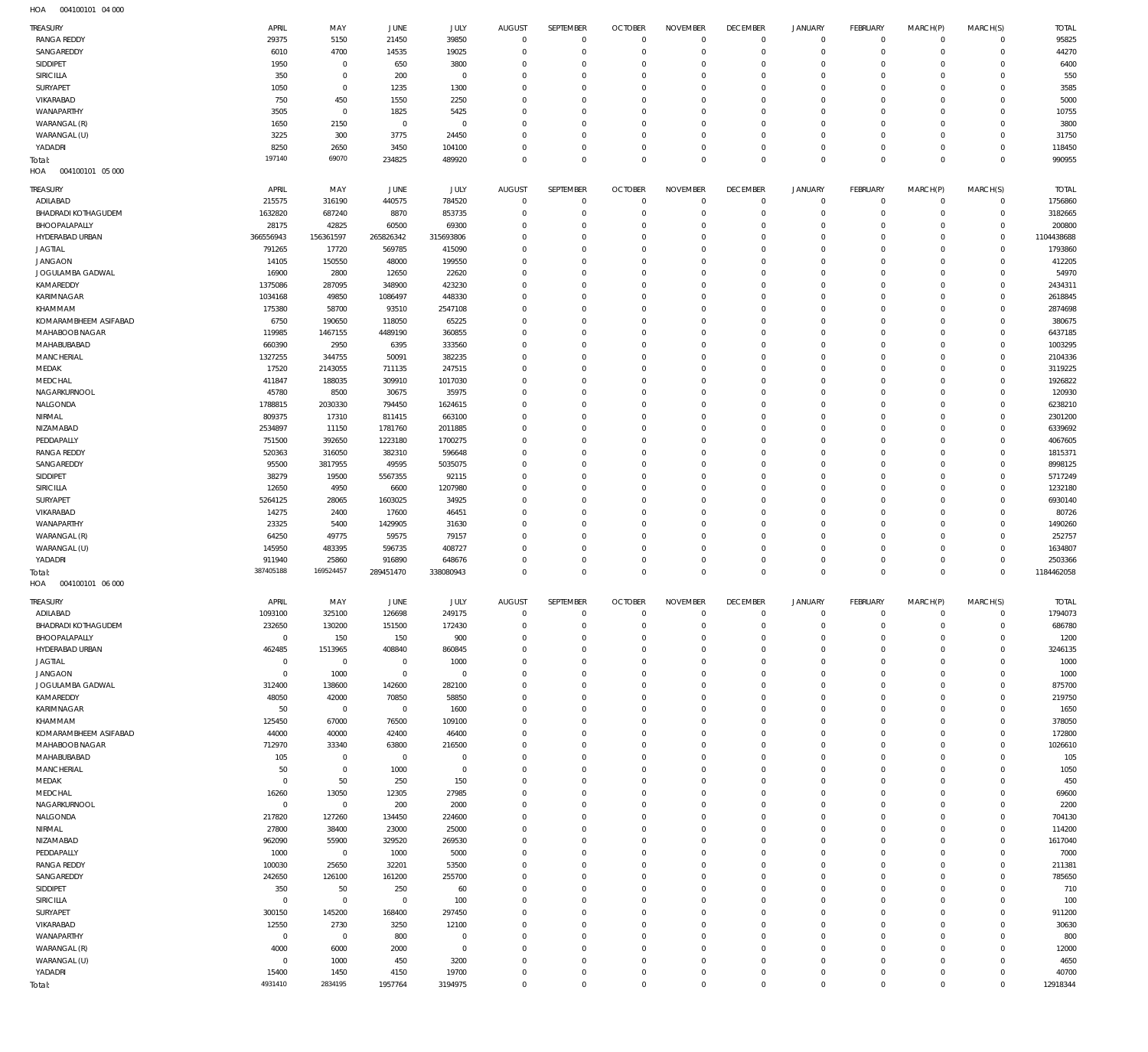004100101 04 000 HOA

| <b>TREASURY</b>                   | APRIL                | MAY                 | <b>JUNE</b>             | JULY                  | <b>AUGUST</b>              | SEPTEMBER                  | <b>OCTOBER</b>                   | <b>NOVEMBER</b>                | <b>DECEMBER</b>                   | <b>JANUARY</b>                | FEBRUARY                          | MARCH(P)                | MARCH(S)                     | <b>TOTAL</b>       |
|-----------------------------------|----------------------|---------------------|-------------------------|-----------------------|----------------------------|----------------------------|----------------------------------|--------------------------------|-----------------------------------|-------------------------------|-----------------------------------|-------------------------|------------------------------|--------------------|
| <b>RANGA REDDY</b>                | 29375                | 5150                | 21450                   | 39850                 | $\overline{0}$             | $\mathbf 0$                | $\overline{0}$                   | $\mathbf 0$                    | $\overline{0}$                    | $\mathbf 0$                   | $\overline{0}$                    | $\mathbf 0$             | $\mathbf{0}$                 | 95825              |
| SANGAREDDY                        | 6010                 | 4700                | 14535                   | 19025                 | $\mathbf 0$                | $\mathbf 0$                | $\overline{0}$                   | $\mathbf 0$                    | $\mathbf 0$                       | $\mathbf 0$                   | $\mathbf 0$                       | $\mathbf 0$             | $\mathbf{0}$                 | 44270              |
| SIDDIPET                          | 1950                 | 0                   | 650                     | 3800                  | $\mathbf 0$                | $\mathbf 0$                | $\mathbf 0$                      | $\mathbf 0$                    | $\mathbf 0$                       | $\mathbf 0$                   | $\mathbf 0$                       | $\Omega$                | $\mathbf 0$                  | 6400               |
| SIRICILLA                         | 350                  | 0                   | 200                     | $\mathbf 0$           | 0                          | $\mathbf 0$                | $\mathbf 0$                      | $\mathbf 0$                    | $\mathbf 0$                       | $\mathbf 0$                   | $\mathbf 0$                       | $\Omega$                | $\mathbf 0$                  | 550                |
| SURYAPET                          | 1050                 | $\mathbf 0$         | 1235                    | 1300                  | $\mathbf 0$                | $\mathbf 0$                | $\mathbf 0$                      | 0                              | $\mathbf 0$                       | $\mathbf 0$                   | 0                                 | 0                       | $\mathbf 0$                  | 3585               |
| VIKARABAD                         | 750                  | 450                 | 1550                    | 2250                  | $\mathbf 0$                | $\mathbf 0$                | $\mathbf 0$                      | $\mathbf 0$                    | $\mathbf 0$                       | $\mathbf 0$                   | $\mathbf 0$                       | $\Omega$                | $\mathbf 0$                  | 5000               |
| WANAPARTHY                        | 3505                 | $\bf 0$             | 1825                    | 5425                  | $\mathbf 0$                | $\mathbf 0$                | $\mathbf 0$                      | 0                              | $\mathbf 0$                       | $\mathbf 0$                   | $\mathbf 0$                       | 0                       | $\mathbf 0$                  | 10755              |
| WARANGAL (R)                      | 1650                 | 2150                | $\overline{0}$          | $\mathbf 0$           | $\mathbf 0$                | $\mathbf 0$                | $\mathbf 0$                      | $\Omega$                       | $\mathbf 0$                       | $\mathbf 0$                   | $\mathbf 0$                       | $\Omega$                | $\mathbf 0$                  | 3800               |
| WARANGAL (U)                      | 3225                 | 300                 | 3775                    | 24450                 | $\mathbf 0$                | $\mathbf 0$                | $\mathbf 0$                      | $\mathbf 0$                    | $\mathbf 0$                       | $\mathbf 0$                   | $^{\circ}$                        | 0                       | $\mathbf 0$                  | 31750              |
| YADADRI                           | 8250<br>197140       | 2650<br>69070       | 3450                    | 104100                | $\mathbf 0$                | $\mathbf 0$                | $\mathbf 0$                      | $\mathbf 0$                    | $\mathbf 0$                       | $\mathbf 0$                   | $\mathbf 0$                       | $\mathbf 0$             | $\mathbf 0$                  | 118450             |
| Total:<br>004100101 05 000<br>HOA |                      |                     | 234825                  | 489920                | $\mathbf 0$                | $\mathbf 0$                | $\overline{0}$                   | $\mathbf 0$                    | $\overline{0}$                    | $\mathbf 0$                   | $\overline{0}$                    | $\mathbf 0$             | $\mathbf 0$                  | 990955             |
|                                   |                      |                     |                         |                       |                            |                            |                                  |                                |                                   |                               |                                   |                         |                              |                    |
| <b>TREASURY</b>                   | APRIL<br>215575      | MAY                 | JUNE<br>440575          | JULY<br>784520        | AUGUST<br>$\mathbf 0$      | SEPTEMBER<br>$\mathbf 0$   | <b>OCTOBER</b><br>$\overline{0}$ | <b>NOVEMBER</b><br>$\mathbf 0$ | <b>DECEMBER</b><br>$\overline{0}$ | <b>JANUARY</b><br>$\mathbf 0$ | <b>FEBRUARY</b><br>$\overline{0}$ | MARCH(P)<br>$\mathbf 0$ | MARCH(S)<br>$\mathbf{0}$     | <b>TOTAL</b>       |
| ADILABAD<br>BHADRADI KOTHAGUDEM   | 1632820              | 316190<br>687240    | 8870                    | 853735                | $\mathbf 0$                | $\mathbf 0$                | $\overline{0}$                   | $\mathbf 0$                    | $\mathbf 0$                       | $\mathbf 0$                   | $\overline{0}$                    | $\mathbf 0$             | $\mathbf{0}$                 | 1756860<br>3182665 |
| BHOOPALAPALLY                     | 28175                | 42825               | 60500                   | 69300                 | $\mathbf 0$                | $\mathbf 0$                | $\mathbf 0$                      | $\mathbf 0$                    | $\mathbf 0$                       | $\mathbf 0$                   | $^{\circ}$                        | $\circ$                 | $\mathbf{0}$                 | 200800             |
| HYDERABAD URBAN                   | 366556943            | 156361597           | 265826342               | 315693806             | $\mathbf 0$                | $\mathbf 0$                | $\mathbf 0$                      | 0                              | $\mathbf 0$                       | $\mathbf 0$                   | 0                                 | $\Omega$                | $\circ$                      | 1104438688         |
| <b>JAGTIAL</b>                    | 791265               | 17720               | 569785                  | 415090                | $\Omega$                   | $\mathbf 0$                | $\mathbf 0$                      | $\mathbf 0$                    | $\mathbf 0$                       | $\mathbf 0$                   | $^{\circ}$                        | $\Omega$                | $\mathbf{0}$                 | 1793860            |
| <b>JANGAON</b>                    | 14105                | 150550              | 48000                   | 199550                | $\mathbf 0$                | $\mathbf 0$                | $\mathbf 0$                      | 0                              | $\mathbf 0$                       | $\mathbf 0$                   | 0                                 | 0                       | $\mathbf 0$                  | 412205             |
| JOGULAMBA GADWAL                  | 16900                | 2800                | 12650                   | 22620                 | $\Omega$                   | $\mathbf 0$                | $\mathbf 0$                      | $\mathbf 0$                    | $\mathbf 0$                       | $\mathbf 0$                   | $\Omega$                          | $\Omega$                | $\mathbf 0$                  | 54970              |
| KAMAREDDY                         | 1375086              | 287095              | 348900                  | 423230                | $\mathbf 0$                | $\mathbf 0$                | $\mathbf 0$                      | $\mathbf 0$                    | $\mathbf 0$                       | $\mathbf 0$                   | $^{\circ}$                        | $\Omega$                | $\mathbf 0$                  | 2434311            |
| KARIMNAGAR                        | 1034168              | 49850               | 1086497                 | 448330                | $\Omega$                   | $\mathbf 0$                | $\mathbf 0$                      | $\mathbf 0$                    | $\mathbf 0$                       | $\mathbf 0$                   | $\mathbf 0$                       | $\Omega$                | $\mathbf 0$                  | 2618845            |
| KHAMMAM                           | 175380               | 58700               | 93510                   | 2547108               | $\mathbf 0$                | $\mathbf 0$                | $\mathbf 0$                      | $\mathbf 0$                    | $\mathbf 0$                       | $\mathbf 0$                   | $\mathbf 0$                       | $\Omega$                | $\mathbf 0$                  | 2874698            |
| KOMARAMBHEEM ASIFABAD             | 6750                 | 190650              | 118050                  | 65225                 | $\mathbf 0$                | $\mathbf 0$                | $\mathbf 0$                      | $\mathbf 0$                    | $\mathbf 0$                       | $\mathbf 0$                   | $\mathbf 0$                       | $\Omega$                | $\mathbf 0$                  | 380675             |
| MAHABOOB NAGAR                    | 119985               | 1467155             | 4489190                 | 360855                | $\mathbf 0$                | $\mathbf 0$                | $\mathbf 0$                      | $\Omega$                       | $\mathbf 0$                       | $\mathbf 0$                   | $\mathbf 0$                       | $\Omega$                | $\mathbf 0$                  | 6437185            |
| MAHABUBABAD                       | 660390               | 2950                | 6395                    | 333560                | $\mathbf 0$                | $\mathbf 0$                | $\mathbf 0$                      | $\mathbf 0$                    | $\mathbf 0$                       | $\mathbf 0$                   | $^{\circ}$                        | $\Omega$                | $\mathbf 0$                  | 1003295            |
| MANCHERIAL                        | 1327255              | 344755              | 50091                   | 382235                | $\mathbf 0$                | $\mathbf 0$                | $\mathbf 0$                      | 0                              | $\mathbf 0$                       | $\mathbf 0$                   | 0                                 | $\Omega$                | 0                            | 2104336            |
| MEDAK                             | 17520                | 2143055             | 711135                  | 247515                | $\Omega$                   | $\mathbf 0$                | $\mathbf 0$                      | $\mathbf 0$                    | $\mathbf 0$                       | $\mathbf 0$                   | $^{\circ}$                        | $\Omega$                | $\mathbf 0$                  | 3119225            |
| MEDCHAL                           | 411847               | 188035              | 309910                  | 1017030               | $\mathbf 0$                | $\mathbf 0$                | $\mathbf 0$                      | $\mathbf 0$                    | $\mathbf 0$                       | $\mathbf 0$                   | $\mathbf 0$                       | 0                       | $\mathbf 0$                  | 1926822            |
| NAGARKURNOOL                      | 45780                | 8500                | 30675                   | 35975                 | $\Omega$                   | $\mathbf 0$                | $\mathbf 0$                      | $\mathbf 0$                    | $\mathbf 0$                       | $\mathbf 0$                   | $\Omega$                          | $\Omega$<br>$\Omega$    | $\mathbf 0$                  | 120930             |
| NALGONDA<br>NIRMAL                | 1788815<br>809375    | 2030330<br>17310    | 794450<br>811415        | 1624615<br>663100     | $\mathbf 0$<br>$\mathbf 0$ | $\mathbf 0$<br>$\mathbf 0$ | $\mathbf 0$<br>$\mathbf 0$       | $\mathbf 0$<br>$\mathbf 0$     | $\mathbf 0$<br>$\mathbf 0$        | $\mathbf 0$<br>$\mathbf 0$    | $\mathbf 0$<br>0                  | $\Omega$                | $\mathbf 0$<br>$\mathbf 0$   | 6238210<br>2301200 |
| NIZAMABAD                         | 2534897              | 11150               | 1781760                 | 2011885               | $\mathbf 0$                | $\mathbf 0$                | $\mathbf 0$                      | $\Omega$                       | $\mathbf 0$                       | $\mathbf 0$                   | $\mathbf 0$                       | $\Omega$                | $\mathbf 0$                  | 6339692            |
| PEDDAPALLY                        | 751500               | 392650              | 1223180                 | 1700275               | $\mathbf 0$                | $\mathbf 0$                | $\mathbf 0$                      | $\mathbf 0$                    | $\mathbf 0$                       | $\mathbf 0$                   | $\mathbf 0$                       | $\Omega$                | $\mathbf 0$                  | 4067605            |
| <b>RANGA REDDY</b>                | 520363               | 316050              | 382310                  | 596648                | $\mathbf 0$                | $\mathbf 0$                | $\mathbf 0$                      | $\mathbf 0$                    | $\mathbf 0$                       | $\mathbf 0$                   | $\mathbf 0$                       | $\Omega$                | $\mathbf 0$                  | 1815371            |
| SANGAREDDY                        | 95500                | 3817955             | 49595                   | 5035075               | $\mathbf 0$                | $\mathbf 0$                | $\mathbf 0$                      | $\mathbf 0$                    | $\mathbf 0$                       | $\mathbf 0$                   | $\mathbf 0$                       | $\Omega$                | $\mathbf 0$                  | 8998125            |
| SIDDIPET                          | 38279                | 19500               | 5567355                 | 92115                 | $\mathbf 0$                | $\mathbf 0$                | $\mathbf 0$                      | $\Omega$                       | $\mathbf 0$                       | $\mathbf 0$                   | $\mathbf 0$                       | $\Omega$                | 0                            | 5717249            |
| SIRICILLA                         | 12650                | 4950                | 6600                    | 1207980               | $\Omega$                   | $\mathbf 0$                | $\mathbf 0$                      | $\mathbf 0$                    | $\mathbf 0$                       | $\mathbf 0$                   | $\mathbf 0$                       | $\Omega$                | $\mathbf 0$                  | 1232180            |
|                                   |                      |                     |                         |                       |                            |                            |                                  |                                |                                   |                               |                                   |                         |                              |                    |
| SURYAPET                          | 5264125              | 28065               | 1603025                 | 34925                 | $\mathbf 0$                | $\mathbf 0$                | $\mathbf 0$                      | $\mathbf 0$                    | $\mathbf 0$                       | $\mathbf 0$                   | 0                                 | 0                       | $\mathbf 0$                  | 6930140            |
| VIKARABAD                         | 14275                | 2400                | 17600                   | 46451                 | $\Omega$                   | $\mathbf 0$                | $\mathbf 0$                      | $\mathbf 0$                    | $\mathbf 0$                       | $\mathbf 0$                   | $\Omega$                          | $\Omega$                | $\mathbf 0$                  | 80726              |
| WANAPARTHY                        | 23325                | 5400                | 1429905                 | 31630                 | $\mathbf 0$                | $\mathbf 0$                | $\mathbf 0$                      | $\mathbf 0$                    | $\mathbf 0$                       | $\mathbf 0$                   | $^{\circ}$                        | $\Omega$                | $\mathbf 0$                  | 1490260            |
| WARANGAL (R)                      | 64250                | 49775               | 59575                   | 79157                 | $\Omega$                   | $\mathbf 0$                | $\mathbf 0$                      | $\mathbf 0$                    | $\mathbf 0$                       | $\mathbf 0$                   | $\Omega$                          | $\Omega$                | $\mathbf 0$                  | 252757             |
| WARANGAL (U)                      | 145950               | 483395              | 596735                  | 408727                | $\mathbf 0$                | $\mathbf 0$                | $\mathbf 0$                      | $\mathbf 0$                    | $\mathbf 0$                       | $\mathbf 0$                   | $^{\circ}$                        | $\Omega$                | $\mathbf 0$                  | 1634807            |
| YADADRI                           | 911940               | 25860               | 916890                  | 648676                | $\mathbf 0$                | $\mathbf 0$                | $\mathbf 0$                      | $\mathbf 0$                    | $\mathbf 0$                       | $\mathbf 0$                   | $^{\circ}$                        | $\mathbf 0$             | $\mathbf 0$                  | 2503366            |
| Total:                            | 387405188            | 169524457           | 289451470               | 338080943             | $\mathbf 0$                | $\mathbf 0$                | $\overline{0}$                   | $\mathbf 0$                    | $\overline{0}$                    | $\mathbf 0$                   | $\overline{0}$                    | $\mathbf 0$             | $\overline{0}$               | 1184462058         |
| HOA<br>004100101 06 000           |                      |                     |                         |                       |                            |                            |                                  |                                |                                   |                               |                                   |                         |                              |                    |
| <b>TREASURY</b>                   | APRIL                | MAY                 | JUNE                    | JULY                  | AUGUST                     | SEPTEMBER                  | <b>OCTOBER</b>                   | <b>NOVEMBER</b>                | <b>DECEMBER</b>                   | <b>JANUARY</b>                | <b>FEBRUARY</b>                   | MARCH(P)                | MARCH(S)                     | <b>TOTAL</b>       |
| ADILABAD                          | 1093100              | 325100              | 126698                  | 249175                | 0                          | 0                          | 0                                | 0                              | 0                                 | 0                             | 0                                 | 0                       | $\circ$                      | 1794073            |
| <b>BHADRADI KOTHAGUDEM</b>        | 232650               | 130200              | 151500                  | 172430                | $\mathbf 0$                | $\mathbf 0$                | $\overline{0}$                   | $\mathbf 0$                    | $\mathbf 0$                       | $\mathbf 0$                   | $\mathbf 0$                       | $\mathbf 0$             | $\mathbf{0}$                 | 686780             |
| BHOOPALAPALLY                     | $\overline{0}$       | 150                 | 150                     | 900                   | $\mathbf 0$                | $\mathbf 0$                | $\overline{0}$                   | $\mathbf 0$                    | $\overline{0}$                    | $\mathbf 0$                   | $\overline{0}$                    | $\mathbf 0$             | $\mathbf{0}$                 | 1200               |
| HYDERABAD URBAN                   | 462485               | 1513965             | 408840                  | 860845                | $\mathbf 0$                | $\mathbf 0$                | $\mathbf 0$                      | $\mathbf 0$                    | $\mathbf 0$                       | $\mathbf 0$                   | $\mathbf 0$                       | $\mathbf 0$             | $\mathbf 0$                  | 3246135            |
| <b>JAGTIAL</b>                    | $\mathbf 0$          | $\,0\,$             | $\mathbf 0$             | 1000                  | $\mathbf 0$                | $\mathbf 0$                | $\mathbf 0$                      | $\mathbf 0$                    | $\mathbf 0$                       | $\mathbf 0$                   | $\mathbf 0$                       | $\Omega$                | $\mathbf{0}$                 | 1000               |
| <b>JANGAON</b>                    | $\mathbf{0}$         | 1000                | $\overline{0}$          | $\mathbf 0$           | $\mathbf 0$                | $\mathbf 0$                | $\mathbf 0$                      | $\mathbf 0$                    | $\mathbf 0$                       | $\mathbf 0$                   | $\mathbf 0$                       | $\circ$                 | $\mathbf{0}$                 | 1000               |
| JOGULAMBA GADWAL                  | 312400               | 138600              | 142600                  | 282100                | $\mathbf 0$                | $\mathbf 0$                | $\mathbf 0$                      | $\mathbf 0$                    | $\mathbf 0$                       | $\mathbf 0$                   | $\mathbf 0$                       | $\Omega$                | $\mathbf 0$                  | 875700             |
| KAMAREDDY                         | 48050                | 42000               | 70850                   | 58850                 | $\mathbf 0$                | $\mathbf 0$                | $\mathbf 0$                      | $\mathbf 0$                    | $\mathbf 0$                       | $\mathbf 0$                   | $\mathbf 0$                       | $\Omega$                | $\mathbf 0$                  | 219750             |
| KARIMNAGAR                        | 50                   | $\mathbf 0$         | $\overline{0}$          | 1600                  | $\mathbf 0$<br>$\mathbf 0$ | $\mathbf 0$<br>$\mathbf 0$ | $\mathbf 0$<br>$\mathbf 0$       | $\mathbf 0$<br>$\Omega$        | $\mathbf 0$<br>$\mathbf 0$        | $\mathbf 0$<br>$\mathbf 0$    | $\mathbf 0$<br>$\mathbf 0$        | 0<br>$\Omega$           | $\mathbf 0$<br>$\mathbf 0$   | 1650               |
| KHAMMAM                           | 125450               | 67000               | 76500                   | 109100                | $\mathbf 0$                | $\mathbf 0$                | $\mathbf 0$                      | $\mathbf 0$                    | $\mathbf 0$                       | $\mathbf 0$                   | $\mathbf 0$                       | $\circ$                 | $\mathbf{0}$                 | 378050             |
| KOMARAMBHEEM ASIFABAD             | 44000                | 40000               | 42400                   | 46400                 | $\mathbf 0$                | $\mathbf 0$                | $\mathbf 0$                      | $\mathbf 0$                    | $\mathbf 0$                       | $\mathbf 0$                   | $\mathbf 0$                       | $\Omega$                | $\mathbf 0$                  | 172800             |
| MAHABOOB NAGAR<br>MAHABUBABAD     | 712970<br>105        | 33340<br>$\bf 0$    | 63800<br>$\overline{0}$ | 216500<br>$\mathbf 0$ | $\mathbf 0$                | $\mathbf 0$                | $\mathbf 0$                      | $\mathbf 0$                    | $\mathbf 0$                       | $\mathbf 0$                   | $\mathbf 0$                       | $\Omega$                | $\mathbf{0}$                 | 1026610<br>105     |
| MANCHERIAL                        | 50                   | $\mathsf{O}\xspace$ | 1000                    | $\bf 0$               | $\mathbf 0$                | $\mathbf 0$                | $\mathbf 0$                      | $\mathbf 0$                    | $\mathbf 0$                       | $\mathbf 0$                   | $\mathbf 0$                       | $\Omega$                | $\mathbf{0}$                 | 1050               |
| MEDAK                             | $\overline{0}$       | 50                  | 250                     | 150                   | $\mathbf 0$                | $\mathbf 0$                | $\mathbf 0$                      | $\mathbf 0$                    | $\mathbf 0$                       | $\mathbf 0$                   | $\mathbf 0$                       | $\Omega$                | $\mathbf{0}$                 | 450                |
| MEDCHAL                           | 16260                | 13050               | 12305                   | 27985                 | $\mathbf 0$                | $\mathbf 0$                | $\mathbf 0$                      | $\mathbf 0$                    | $\mathbf 0$                       | $\mathbf 0$                   | $\mathbf 0$                       | $\circ$                 | $\mathbf 0$                  | 69600              |
| NAGARKURNOOL                      | $\mathbf{0}$         | $\bf 0$             | 200                     | 2000                  | $\mathbf 0$                | $\mathbf 0$                | $\mathbf 0$                      | $\mathbf 0$                    | $\mathbf 0$                       | $\mathbf 0$                   | $\mathbf 0$                       | $\Omega$                | $\mathbf 0$                  | 2200               |
| NALGONDA                          | 217820               | 127260              | 134450                  | 224600                | $\mathbf 0$                | $\mathbf 0$                | $\mathbf 0$                      | $\mathbf 0$                    | $\mathbf 0$                       | $\mathbf 0$                   | $\mathbf 0$                       | $\Omega$                | $\mathbf 0$                  | 704130             |
| NIRMAL                            | 27800                | 38400               | 23000                   | 25000                 | $\mathbf 0$                | $\mathbf 0$                | $\mathbf 0$                      | $\mathbf 0$                    | $\mathbf 0$                       | $\mathbf 0$                   | $\mathbf 0$                       | $\circ$                 | $\mathbf 0$                  | 114200             |
| NIZAMABAD                         | 962090               | 55900               | 329520                  | 269530                | $\mathbf 0$                | $\mathbf 0$                | $\mathbf 0$                      | $\mathbf 0$                    | $\mathbf 0$                       | $\mathbf 0$                   | $\mathbf 0$                       | $\Omega$                | $\mathbf 0$                  | 1617040            |
| PEDDAPALLY                        | 1000                 | $\bf 0$             | 1000                    | 5000                  | $\mathbf 0$                | $\mathbf 0$                | $\mathbf 0$                      | $\mathbf 0$                    | $\mathbf 0$                       | $\mathbf 0$                   | $\mathbf 0$                       | $\mathbf 0$             | $\mathbf 0$                  | 7000               |
| <b>RANGA REDDY</b>                | 100030               | 25650               | 32201                   | 53500                 | $\mathbf 0$                | $\mathbf 0$                | $\mathbf 0$                      | $\mathbf 0$                    | $\mathbf 0$                       | $\mathbf 0$                   | $\mathbf 0$                       | $\Omega$                | $\mathbf 0$                  | 211381             |
| SANGAREDDY                        | 242650               | 126100              | 161200                  | 255700                | $\mathbf 0$                | $\mathbf 0$                | $\mathbf 0$                      | $\mathbf 0$                    | $\mathbf 0$                       | $\mathbf 0$                   | $\mathbf 0$                       | $\Omega$                | $\mathbf{0}$                 | 785650             |
| SIDDIPET                          | 350                  | 50                  | 250                     | 60                    | $\mathbf 0$                | $\mathbf 0$                | $\mathbf 0$                      | $\mathbf 0$                    | $\mathbf 0$                       | $\mathbf 0$                   | $\mathbf 0$                       | $\mathbf 0$             | $\mathbf 0$                  | 710                |
| SIRICILLA                         | $\overline{0}$       | $\bf 0$             | $\overline{0}$          | 100                   | $\mathbf 0$                | $\mathbf 0$                | $\mathbf 0$                      | $\mathbf 0$                    | $\mathbf 0$                       | $\mathbf 0$                   | $\mathbf 0$                       | $\Omega$                | $\mathbf{0}$                 | 100                |
| SURYAPET                          | 300150               | 145200              | 168400                  | 297450                | $\mathbf 0$<br>$\mathbf 0$ | $\mathbf 0$<br>$\mathbf 0$ | $\mathbf 0$<br>$\mathbf 0$       | $\mathbf 0$<br>$\mathbf 0$     | $\mathbf 0$<br>$\mathbf 0$        | $\mathbf 0$<br>$\mathbf 0$    | $\mathbf 0$<br>$\mathbf 0$        | $\mathbf 0$<br>$\Omega$ | $\mathbf{0}$<br>$\mathbf{0}$ | 911200             |
| VIKARABAD                         | 12550<br>$\mathbf 0$ | 2730<br>$\mathbf 0$ | 3250                    | 12100<br>$\mathbf 0$  | $\mathbf 0$                | $\mathbf 0$                | $\mathbf 0$                      | $\mathbf 0$                    | $\mathbf 0$                       | $\mathbf 0$                   | $\mathbf 0$                       | $\Omega$                | $\mathbf{0}$                 | 30630              |
| WANAPARTHY<br>WARANGAL (R)        | 4000                 | 6000                | 800<br>2000             | $\mathbf 0$           | $\mathbf 0$                | $\mathbf 0$                | $\mathbf 0$                      | $\mathbf 0$                    | $\mathbf 0$                       | $\mathbf 0$                   | $\mathbf 0$                       | $\mathbf 0$             | $\mathbf{0}$                 | 800<br>12000       |
| WARANGAL (U)                      | $\overline{0}$       | 1000                | 450                     | 3200                  | $\mathbf 0$                | $\mathbf 0$                | $\mathbf 0$                      | $\mathbf 0$                    | $\mathbf 0$                       | $\mathbf 0$                   | $\mathbf 0$                       | $\Omega$                | $\mathbf{0}$                 | 4650               |
| YADADRI                           | 15400                | 1450                | 4150                    | 19700                 | $\mathbf 0$                | $\bf 0$                    | $\mathbf 0$                      | $\mathbf 0$                    | $\overline{0}$                    | $\bf 0$                       | $\mathbf 0$                       | $\mathbf 0$             | $\mathbf{0}$                 | 40700              |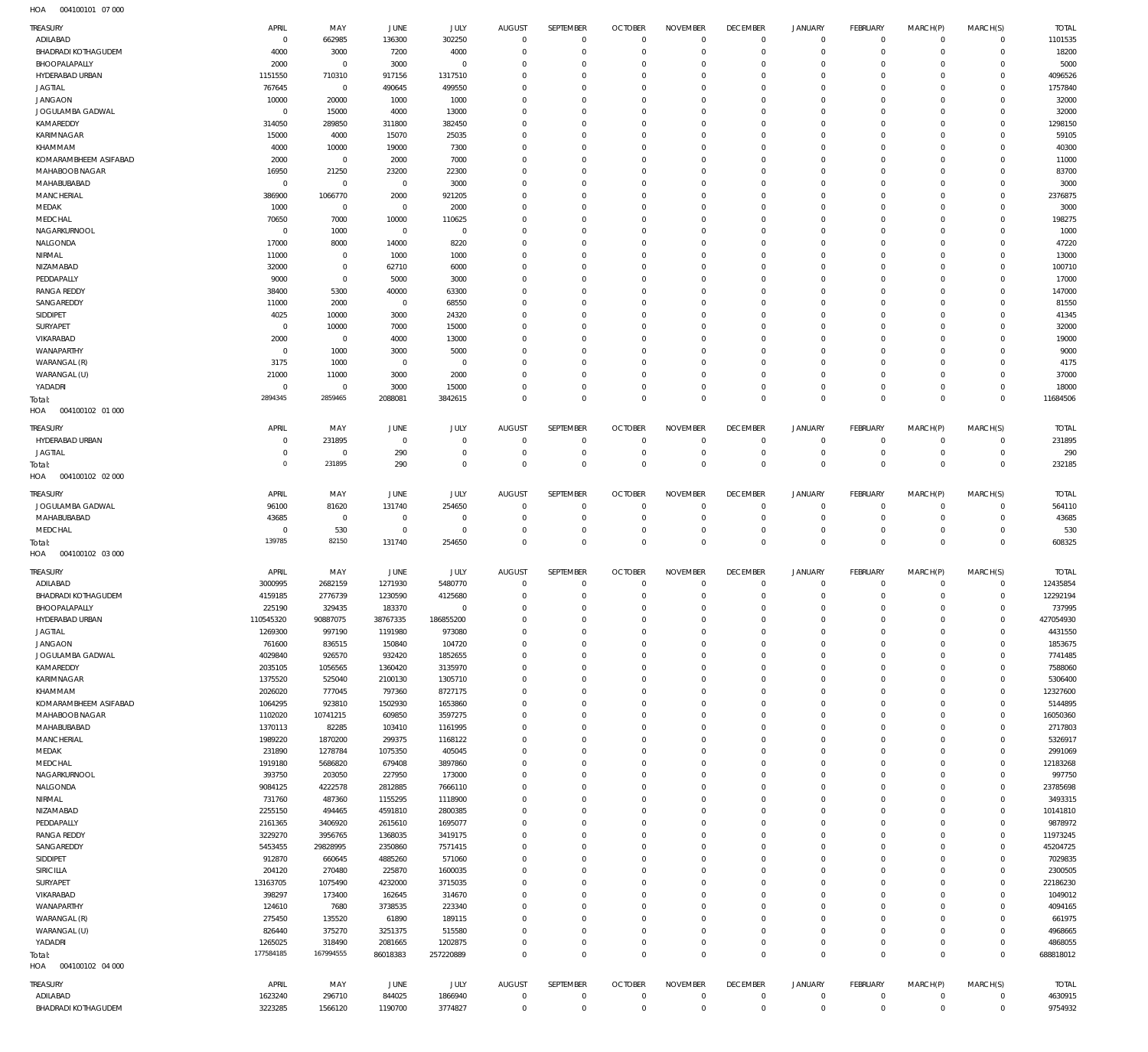004100101 07 000 HOA

| <b>TREASURY</b>                        | APRIL               | MAY                   | <b>JUNE</b>         | JULY                 | <b>AUGUST</b>          | SEPTEMBER                  | <b>OCTOBER</b>                | <b>NOVEMBER</b>            | <b>DECEMBER</b>            | <b>JANUARY</b>             | FEBRUARY                      | MARCH(P)                | MARCH(S)                     | <b>TOTAL</b>         |
|----------------------------------------|---------------------|-----------------------|---------------------|----------------------|------------------------|----------------------------|-------------------------------|----------------------------|----------------------------|----------------------------|-------------------------------|-------------------------|------------------------------|----------------------|
| ADILABAD                               | $^{\circ}$          | 662985                | 136300              | 302250               | $^{\circ}$             | $\mathbf 0$                | $\mathbf 0$                   | $\Omega$                   | $\mathbf 0$                | $\mathbf 0$                | $\overline{0}$                | $\mathbf 0$             | $\mathbf{0}$                 | 1101535              |
| <b>BHADRADI KOTHAGUDEM</b>             | 4000                | 3000                  | 7200                | 4000                 | $\Omega$               | $\Omega$                   | $\Omega$                      | $\Omega$                   | $\Omega$                   | $\mathbf 0$                | $\Omega$                      | $\Omega$                | $\mathbf 0$                  | 18200                |
| BHOOPALAPALLY<br>HYDERABAD URBAN       | 2000<br>1151550     | $^{\circ}$<br>710310  | 3000<br>917156      | $\Omega$<br>1317510  | $\Omega$<br>$\Omega$   | $\Omega$<br>$\Omega$       | $\Omega$<br>$\Omega$          | $\Omega$<br>$\Omega$       | $\Omega$<br>$\Omega$       | $\mathbf 0$<br>$\Omega$    | $\mathbf 0$<br>$\Omega$       | $\Omega$<br>$\Omega$    | $\mathbf 0$<br>$\Omega$      | 5000<br>4096526      |
| <b>JAGTIAL</b>                         | 767645              | $\mathbf 0$           | 490645              | 499550               | $\Omega$               | $\Omega$                   | $\Omega$                      | $\Omega$                   | $\Omega$                   | $\Omega$                   | $\Omega$                      | $\Omega$                | $\Omega$                     | 1757840              |
| <b>JANGAON</b>                         | 10000               | 20000                 | 1000                | 1000                 | $\Omega$               | $\Omega$                   | $\Omega$                      | $\Omega$                   | $\Omega$                   | $\Omega$                   | $\Omega$                      | $\Omega$                | $\Omega$                     | 32000                |
| JOGULAMBA GADWAL                       | $\Omega$            | 15000                 | 4000                | 13000                | $\Omega$               | $\Omega$                   | $\Omega$                      | $\Omega$                   | $\Omega$                   | $\Omega$                   | $\Omega$                      | $\Omega$                | $\Omega$                     | 32000                |
| KAMAREDDY                              | 314050              | 289850                | 311800              | 382450               | $\Omega$               | $\Omega$                   | $\Omega$                      | $\Omega$                   | $\Omega$                   | $\Omega$                   | $\Omega$                      | $\Omega$                | $\Omega$                     | 1298150              |
| KARIMNAGAR                             | 15000               | 4000                  | 15070               | 25035                | $\Omega$               | $\Omega$                   | $\Omega$                      | $\Omega$                   | $\Omega$                   | $\Omega$                   | $\Omega$                      | $\Omega$                | $\Omega$                     | 59105                |
| KHAMMAM<br>KOMARAMBHEEM ASIFABAD       | 4000<br>2000        | 10000<br>$^{\circ}$   | 19000<br>2000       | 7300<br>7000         | $\Omega$<br>$\Omega$   | $\Omega$<br>$\Omega$       | $\Omega$<br>$\Omega$          | $\Omega$<br>$\Omega$       | $\Omega$<br>$\Omega$       | $\Omega$<br>$\Omega$       | $\Omega$<br>$\Omega$          | $\Omega$<br>$\Omega$    | $\Omega$<br>$\Omega$         | 40300<br>11000       |
| MAHABOOB NAGAR                         | 16950               | 21250                 | 23200               | 22300                | $\Omega$               | $\Omega$                   | $\Omega$                      | $\Omega$                   | $\Omega$                   | $\Omega$                   | $\Omega$                      | $\Omega$                | $\Omega$                     | 83700                |
| MAHABUBABAD                            | $^{\circ}$          | $^{\circ}$            | 0                   | 3000                 | $\Omega$               | $\Omega$                   | $\Omega$                      | $\Omega$                   | $\Omega$                   | $\Omega$                   | $\Omega$                      | 0                       | $\Omega$                     | 3000                 |
| <b>MANCHERIAL</b>                      | 386900              | 1066770               | 2000                | 921205               | $\Omega$               | $\Omega$                   | $\Omega$                      | $\Omega$                   | $\Omega$                   | $\Omega$                   | $\Omega$                      | $\Omega$                | $\Omega$                     | 2376875              |
| MEDAK                                  | 1000                | $^{\circ}$            | $^{\circ}$          | 2000                 | $\Omega$               | $\Omega$                   | $\Omega$                      | $\Omega$                   | $\Omega$                   | $\Omega$                   | $\Omega$                      | 0                       | $\Omega$                     | 3000                 |
| MEDCHAL<br>NAGARKURNOOL                | 70650<br>$\Omega$   | 7000<br>1000          | 10000<br>$^{\circ}$ | 110625<br>$^{\circ}$ | $\Omega$<br>$\Omega$   | $\Omega$<br>$\Omega$       | $\Omega$<br>$\Omega$          | $\Omega$<br>$\Omega$       | $\Omega$<br>$\Omega$       | $\Omega$<br>$\Omega$       | $\Omega$<br>$\Omega$          | $\Omega$<br>$\Omega$    | $\Omega$<br>$\Omega$         | 198275<br>1000       |
| NALGONDA                               | 17000               | 8000                  | 14000               | 8220                 | $\Omega$               | $\Omega$                   | $\Omega$                      | $\Omega$                   | $\Omega$                   | $\Omega$                   | $\Omega$                      | $\Omega$                | $\Omega$                     | 47220                |
| NIRMAL                                 | 11000               | $\mathbf 0$           | 1000                | 1000                 | $\Omega$               | $\Omega$                   | $\Omega$                      | $\Omega$                   | $\Omega$                   | $\Omega$                   | $\Omega$                      | $\Omega$                | $\Omega$                     | 13000                |
| NIZAMABAD                              | 32000               | $\mathbf 0$           | 62710               | 6000                 | $\Omega$               | $\Omega$                   | $\Omega$                      | $\Omega$                   | $\mathbf 0$                | $\Omega$                   | $\Omega$                      | $\Omega$                | $\Omega$                     | 100710               |
| PEDDAPALLY                             | 9000                | $\mathbf 0$           | 5000                | 3000                 | $\Omega$               | $\Omega$                   | $\Omega$                      | $\Omega$                   | $\Omega$                   | $\Omega$                   | $\Omega$                      | $\Omega$                | $\Omega$                     | 17000                |
| <b>RANGA REDDY</b>                     | 38400               | 5300                  | 40000               | 63300                | $\Omega$               | $\Omega$                   | $\Omega$                      | $\Omega$                   | $\Omega$                   | $\Omega$                   | $\Omega$                      | $\Omega$                | $\Omega$                     | 147000               |
| SANGAREDDY<br>SIDDIPET                 | 11000<br>4025       | 2000<br>10000         | $^{\circ}$<br>3000  | 68550<br>24320       | $\Omega$<br>$\Omega$   | $\Omega$<br>$\Omega$       | $\Omega$<br>$\Omega$          | $\Omega$<br>$\Omega$       | $\Omega$<br>$\Omega$       | $\Omega$<br>$\Omega$       | $\Omega$<br>$\Omega$          | $\Omega$<br>$\Omega$    | $\Omega$<br>$\Omega$         | 81550<br>41345       |
| SURYAPET                               | $^{\circ}$          | 10000                 | 7000                | 15000                | $\Omega$               | $\Omega$                   | $\Omega$                      | $\Omega$                   | $\Omega$                   | $\Omega$                   | $\Omega$                      | 0                       | $\Omega$                     | 32000                |
| VIKARABAD                              | 2000                | $^{\circ}$            | 4000                | 13000                | $\Omega$               | $\Omega$                   | $\Omega$                      | $\Omega$                   | $\Omega$                   | $\Omega$                   | $\Omega$                      | $\Omega$                | $\Omega$                     | 19000                |
| WANAPARTHY                             | $\Omega$            | 1000                  | 3000                | 5000                 | $\Omega$               | $\Omega$                   | $\Omega$                      | $\Omega$                   | $\Omega$                   | $\Omega$                   | $\Omega$                      | 0                       | $\Omega$                     | 9000                 |
| WARANGAL (R)                           | 3175                | 1000                  | 0                   | $^{\circ}$           | $\Omega$               | $\Omega$                   | $\Omega$                      | $\Omega$                   | $\Omega$                   | $\Omega$                   | $\Omega$                      | $\Omega$                | $\Omega$                     | 4175                 |
| WARANGAL (U)                           | 21000               | 11000                 | 3000                | 2000                 | $\Omega$               | $\Omega$                   | $\Omega$                      | $\Omega$                   | $\Omega$                   | $\Omega$                   | $\Omega$                      | $\Omega$                | $\Omega$                     | 37000                |
| YADADRI                                | $\Omega$<br>2894345 | $^{\circ}$<br>2859465 | 3000<br>2088081     | 15000                | $\Omega$<br>$\Omega$   | $\mathbf 0$<br>$\Omega$    | $\mathbf 0$<br>$\Omega$       | $\Omega$<br>$\Omega$       | $\mathbf 0$<br>$\Omega$    | $\mathbf 0$<br>$\Omega$    | $\Omega$<br>$\Omega$          | $\Omega$<br>$\Omega$    | $\mathbf 0$<br>$\Omega$      | 18000                |
| Total:<br>HOA<br>004100102 01 000      |                     |                       |                     | 3842615              |                        |                            |                               |                            |                            |                            |                               |                         |                              | 11684506             |
| TREASURY                               | APRIL               | MAY                   | <b>JUNE</b>         | JULY                 | <b>AUGUST</b>          | SEPTEMBER                  | <b>OCTOBER</b>                | <b>NOVEMBER</b>            | <b>DECEMBER</b>            | <b>JANUARY</b>             | FEBRUARY                      | MARCH(P)                | MARCH(S)                     | <b>TOTAL</b>         |
| HYDERABAD URBAN                        | $^{\circ}$          | 231895                | $\circ$             | $\mathbf 0$          | $^{\circ}$             | 0                          | $\mathbf 0$                   | $\mathbf 0$                | $\mathbf 0$                | 0                          | $\overline{0}$                | $\mathbf 0$             | $\circ$                      | 231895               |
| <b>JAGTIAL</b>                         | $^{\circ}$          | $\mathbf 0$           | 290                 | $\mathbf 0$          | $^{\circ}$             | $\mathbf 0$                | $\overline{0}$                | $\mathbf 0$                | $\overline{0}$             | $\mathbf 0$                | $\overline{0}$                | $\mathbf 0$             | $\mathbf{0}$                 | 290                  |
| Total:                                 | $\circ$             | 231895                | 290                 | $\mathbf 0$          | $\Omega$               | $\mathbf 0$                | $\overline{0}$                | $\mathbf 0$                | $\overline{0}$             | $\mathbf 0$                | $\overline{0}$                | $\mathbf 0$             | $\overline{0}$               | 232185               |
| HOA<br>004100102 02 000                |                     |                       |                     |                      |                        |                            |                               |                            |                            |                            |                               |                         |                              |                      |
| TREASURY                               | <b>APRIL</b>        | MAY                   | <b>JUNE</b>         | <b>JULY</b>          | <b>AUGUST</b>          | SEPTEMBER                  | <b>OCTOBER</b>                | <b>NOVEMBER</b>            | <b>DECEMBER</b>            | <b>JANUARY</b>             | <b>FEBRUARY</b>               | MARCH(P)                | MARCH(S)                     | <b>TOTAL</b>         |
| JOGULAMBA GADWAL                       | 96100               | 81620                 | 131740              | 254650               | $\Omega$               | $\Omega$                   | $\Omega$                      | $\Omega$                   | $\mathbf 0$                | $\mathbf 0$                | $\Omega$                      | $\Omega$                | $\mathbf 0$                  | 564110               |
| MAHABUBABAD                            | 43685               | $\mathbf 0$           | $^{\circ}$          | $^{\circ}$           | $\Omega$               | $\mathbf 0$                | $\mathbf 0$                   | $\Omega$                   | $\mathbf 0$                | $\mathbf 0$                | $\overline{0}$                | $\mathbf 0$             | $^{\circ}$                   | 43685                |
| MEDCHAL                                | $\Omega$            | 530                   | $^{\circ}$          | $^{\circ}$           | $\Omega$               | $\mathbf 0$                | $\mathbf 0$                   | $\mathbf 0$                | $\mathbf 0$                | $\mathbf 0$                | $\mathbf 0$                   | $\Omega$                | $\mathbf 0$                  | 530                  |
| Total:<br>HOA<br>004100102 03 000      | 139785              | 82150                 | 131740              | 254650               | $\Omega$               | $\Omega$                   | $\mathbf 0$                   | $\Omega$                   | $\mathbf 0$                | $\mathbf 0$                | $\overline{0}$                | $\Omega$                | $\mathbf 0$                  | 608325               |
|                                        |                     |                       |                     |                      |                        |                            |                               |                            |                            |                            |                               |                         |                              |                      |
| TREASURY                               | APRIL               | MAY                   | JUNE                | JULY                 | <b>AUGUST</b>          | SEPTEMBER                  | <b>OCTOBER</b>                | <b>NOVEMBER</b>            | <b>DECEMBER</b>            | <b>JANUARY</b>             | FEBRUARY                      | MARCH(P)                | MARCH(S)                     | <b>TOTAL</b>         |
| ADILABAD<br><b>BHADRADI KOTHAGUDEM</b> | 3000995<br>4159185  | 2682159<br>2776739    | 1271930<br>1230590  | 5480770<br>4125680   | $^{\circ}$<br>$\Omega$ | $\mathbf 0$<br>$\mathbf 0$ | $\mathbf 0$<br>$\overline{0}$ | $\mathbf 0$<br>$\mathbf 0$ | $\mathbf 0$<br>$\Omega$    | 0<br>$\mathbf 0$           | $\overline{0}$<br>$\Omega$    | $\mathbf 0$<br>$\Omega$ | $^{\circ}$<br>$\mathbf{0}$   | 12435854<br>12292194 |
| BHOOPALAPALLY                          | 225190              | 329435                | 183370              | $\Omega$             | $\Omega$               | $\Omega$                   | $\Omega$                      | $\Omega$                   | $\Omega$                   | $\Omega$                   | $\Omega$                      | $\Omega$                | $\Omega$                     | 737995               |
| HYDERABAD URBAN                        | 110545320           | 90887075              | 38767335            | 186855200            | $\mathbf{0}$           | $\mathbf 0$                | $\mathbf 0$                   | $\mathbf 0$                | $\mathbf 0$                | $\mathbf 0$                | $\overline{0}$                | $\Omega$                | $\mathbf{0}$                 | 427054930            |
| <b>JAGTIAL</b>                         | 1269300             | 997190                | 1191980             | 973080               | $^{\circ}$             | $\mathbf 0$                | $\mathbf 0$                   | $\mathbf 0$                | $\mathbf 0$                | $\mathbf 0$                | $\overline{0}$                | $\Omega$                | $\mathbf{0}$                 | 4431550              |
| <b>JANGAON</b>                         | 761600              | 836515                | 150840              | 104720               | $\Omega$               | $\mathbf 0$                | $\mathbf 0$                   | $\mathbf 0$                | $\mathbf 0$                | $\mathbf 0$                | $\mathbf 0$                   | $\Omega$                | $\mathbf 0$                  | 1853675              |
| JOGULAMBA GADWAL                       | 4029840             | 926570                | 932420              | 1852655              | $\Omega$               | $\mathbf 0$                | $\mathbf 0$                   | $\Omega$                   | $\mathbf 0$                | $\mathbf 0$                | $\overline{0}$                | $\Omega$                | $\mathbf{0}$                 | 7741485              |
| KAMAREDDY<br>KARIMNAGAR                | 2035105<br>1375520  | 1056565<br>525040     | 1360420<br>2100130  | 3135970<br>1305710   | $^{\circ}$<br>$\Omega$ | $\mathbf 0$<br>$\mathbf 0$ | $\mathbf 0$<br>$\mathbf 0$    | $\mathbf 0$<br>$\Omega$    | $\mathbf 0$<br>$\mathbf 0$ | $\mathbf 0$<br>$\mathbf 0$ | $\mathbf 0$<br>$\overline{0}$ | $\Omega$<br>$\Omega$    | $\mathbf 0$<br>$\mathbf{0}$  | 7588060<br>5306400   |
| KHAMMAM                                | 2026020             | 777045                | 797360              | 8727175              | $\Omega$               | $\mathbf 0$                | $\mathbf 0$                   | $\mathbf 0$                | $\mathbf 0$                | $\mathbf 0$                | $\mathbf 0$                   | $\Omega$                | $\mathbf{0}$                 | 12327600             |
| KOMARAMBHEEM ASIFABAD                  | 1064295             | 923810                | 1502930             | 1653860              | $\Omega$               | $\mathbf 0$                | $\mathbf 0$                   | $\Omega$                   | $\mathbf 0$                | $\mathbf 0$                | $\mathbf 0$                   | $\Omega$                | $\mathbf 0$                  | 5144895              |
| MAHABOOB NAGAR                         | 1102020             | 10741215              | 609850              | 3597275              | $\Omega$               | $\mathbf 0$                | $\mathbf 0$                   | $\mathbf 0$                | $\mathbf 0$                | $\mathbf 0$                | $\overline{0}$                | $\Omega$                | $\mathbf{0}$                 | 16050360             |
| MAHABUBABAD                            | 1370113             | 82285                 | 103410              | 1161995              | $^{\circ}$             | $\mathbf 0$                | $\mathbf 0$                   | $\mathbf 0$                | $\mathbf 0$                | $\mathbf 0$                | $\mathbf 0$                   | $\Omega$                | $\mathbf 0$                  | 2717803              |
| <b>MANCHERIAL</b>                      | 1989220             | 1870200               | 299375              | 1168122              | $\Omega$               | $\Omega$                   | $\mathbf 0$                   | $\Omega$                   | $\mathbf 0$                | $\Omega$                   | $\mathbf 0$                   | $\Omega$                | $\mathbf{0}$                 | 5326917              |
| MEDAK<br>MEDCHAL                       | 231890<br>1919180   | 1278784<br>5686820    | 1075350<br>679408   | 405045<br>3897860    | $^{\circ}$<br>$\Omega$ | $\mathbf 0$<br>$\mathbf 0$ | $\mathbf 0$<br>$\mathbf 0$    | $\mathbf 0$<br>$\mathbf 0$ | $\mathbf 0$<br>$\mathbf 0$ | $\mathbf 0$<br>$\mathbf 0$ | $\mathbf 0$<br>$\mathbf 0$    | $\Omega$<br>$\Omega$    | $\mathbf{0}$<br>$\mathbf{0}$ | 2991069<br>12183268  |
| NAGARKURNOOL                           | 393750              | 203050                | 227950              | 173000               | $\Omega$               | $\mathbf 0$                | $\mathbf 0$                   | $\Omega$                   | $\mathbf 0$                | $\mathbf 0$                | $\overline{0}$                | $\Omega$                | $\mathbf{0}$                 | 997750               |
| NALGONDA                               | 9084125             | 4222578               | 2812885             | 7666110              | $\Omega$               | $\mathbf 0$                | $\mathbf 0$                   | $\mathbf 0$                | $\mathbf 0$                | $\mathbf 0$                | $\mathbf 0$                   | $\Omega$                | $\mathbf{0}$                 | 23785698             |
| NIRMAL                                 | 731760              | 487360                | 1155295             | 1118900              | $\Omega$               | $\mathbf 0$                | $\mathbf 0$                   | $\Omega$                   | $\mathbf 0$                | $\mathbf 0$                | $\overline{0}$                | $\Omega$                | $\mathbf{0}$                 | 3493315              |
| NIZAMABAD                              | 2255150             | 494465                | 4591810             | 2800385              | $^{\circ}$             | $\mathbf 0$                | $\mathbf 0$                   | $\mathbf 0$                | $\mathbf 0$                | $\mathbf 0$                | $\mathbf 0$                   | $\Omega$                | $\mathbf{0}$                 | 10141810             |
| PEDDAPALLY                             | 2161365             | 3406920               | 2615610             | 1695077              | $\Omega$               | $\Omega$                   | $\mathbf 0$                   | $\Omega$                   | $\mathbf 0$                | $\Omega$                   | $\overline{0}$                | $\Omega$                | $\mathbf{0}$                 | 9878972              |
| <b>RANGA REDDY</b><br>SANGAREDDY       | 3229270<br>5453455  | 3956765               | 1368035<br>2350860  | 3419175<br>7571415   | $\Omega$<br>$^{\circ}$ | $\mathbf 0$<br>$\mathbf 0$ | $\mathbf 0$<br>$\mathbf 0$    | $\mathbf 0$<br>$\Omega$    | $\mathbf 0$<br>$\mathbf 0$ | $\mathbf 0$<br>$\mathbf 0$ | $\mathbf 0$<br>$\mathbf 0$    | $\Omega$<br>$\Omega$    | $\mathbf{0}$<br>$\mathbf{0}$ | 11973245<br>45204725 |
| SIDDIPET                               | 912870              | 29828995<br>660645    | 4885260             | 571060               | $\Omega$               | $\mathbf 0$                | $\mathbf 0$                   | $\mathbf 0$                | $\mathbf 0$                | $\mathbf 0$                | $\overline{0}$                | $\Omega$                | $\mathbf{0}$                 | 7029835              |
| SIRICILLA                              | 204120              | 270480                | 225870              | 1600035              | $^{\circ}$             | $\mathbf 0$                | $\mathbf 0$                   | $\mathbf 0$                | $\mathbf 0$                | $\mathbf 0$                | $\mathbf 0$                   | $\Omega$                | $\mathbf 0$                  | 2300505              |
| SURYAPET                               | 13163705            | 1075490               | 4232000             | 3715035              | $\Omega$               | $\Omega$                   | $\mathbf 0$                   | $\Omega$                   | $\mathbf 0$                | $\Omega$                   | $\mathbf 0$                   | $\Omega$                | $\mathbf{0}$                 | 22186230             |
| VIKARABAD                              | 398297              | 173400                | 162645              | 314670               | $^{\circ}$             | $\mathbf 0$                | $\mathbf 0$                   | $\mathbf 0$                | $\mathbf 0$                | $\mathbf 0$                | $\mathbf 0$                   | $\Omega$                | $\mathbf 0$                  | 1049012              |
| WANAPARTHY                             | 124610              | 7680                  | 3738535             | 223340               | $\Omega$               | $\Omega$                   | $\mathbf 0$                   | $\mathbf 0$                | $\mathbf 0$                | $\Omega$                   | $\mathbf 0$                   | $\Omega$                | $\Omega$                     | 4094165              |
| WARANGAL (R)                           | 275450              | 135520                | 61890               | 189115               | $\Omega$               | $\mathbf 0$                | $\mathbf 0$                   | $\mathbf 0$                | $\mathbf 0$                | $\mathbf 0$                | $\overline{0}$                | $\Omega$                | $\mathbf{0}$                 | 661975               |
| WARANGAL (U)<br>YADADRI                | 826440<br>1265025   | 375270<br>318490      | 3251375<br>2081665  | 515580<br>1202875    | $\Omega$<br>$^{\circ}$ | $\mathbf 0$<br>$\mathbf 0$ | $\mathbf 0$<br>$\mathbf 0$    | $\mathbf 0$<br>$\mathbf 0$ | $\mathbf 0$<br>$\mathbf 0$ | $\mathbf 0$<br>$\mathbf 0$ | $\mathbf 0$<br>$\overline{0}$ | $\Omega$<br>$\mathbf 0$ | $\mathbf{0}$<br>$\mathbf{0}$ | 4968665<br>4868055   |
| Total:                                 | 177584185           | 167994555             | 86018383            | 257220889            | $\Omega$               | $\mathbf 0$                | $\mathbf 0$                   | $\mathbf 0$                | $\mathbf 0$                | $\mathbf 0$                | $\overline{0}$                | $\mathbf 0$             | $\overline{0}$               | 688818012            |
| 004100102 04 000<br>HOA                |                     |                       |                     |                      |                        |                            |                               |                            |                            |                            |                               |                         |                              |                      |
| TREASURY                               | APRIL               | MAY                   | JUNE                | <b>JULY</b>          | <b>AUGUST</b>          | SEPTEMBER                  | <b>OCTOBER</b>                | <b>NOVEMBER</b>            | <b>DECEMBER</b>            | <b>JANUARY</b>             | FEBRUARY                      | MARCH(P)                | MARCH(S)                     | <b>TOTAL</b>         |
| ADILABAD                               | 1623240             | 296710                | 844025              | 1866940              | $^{\circ}$             | $\mathbf 0$                | $\mathbf{0}$                  | $\mathbf 0$                | $\overline{0}$             | $\mathbf 0$                | $\overline{0}$                | $\mathbf 0$             | $^{\circ}$                   | 4630915              |
| BHADRADI KOTHAGUDEM                    | 3223285             | 1566120               | 1190700             | 3774827              | $\mathbf 0$            | $\mathbf 0$                | $\mathbf 0$                   | $\mathbf 0$                | $\bf 0$                    | $\bf 0$                    | $\overline{0}$                | $\mathbf 0$             | $\circ$                      | 9754932              |
|                                        |                     |                       |                     |                      |                        |                            |                               |                            |                            |                            |                               |                         |                              |                      |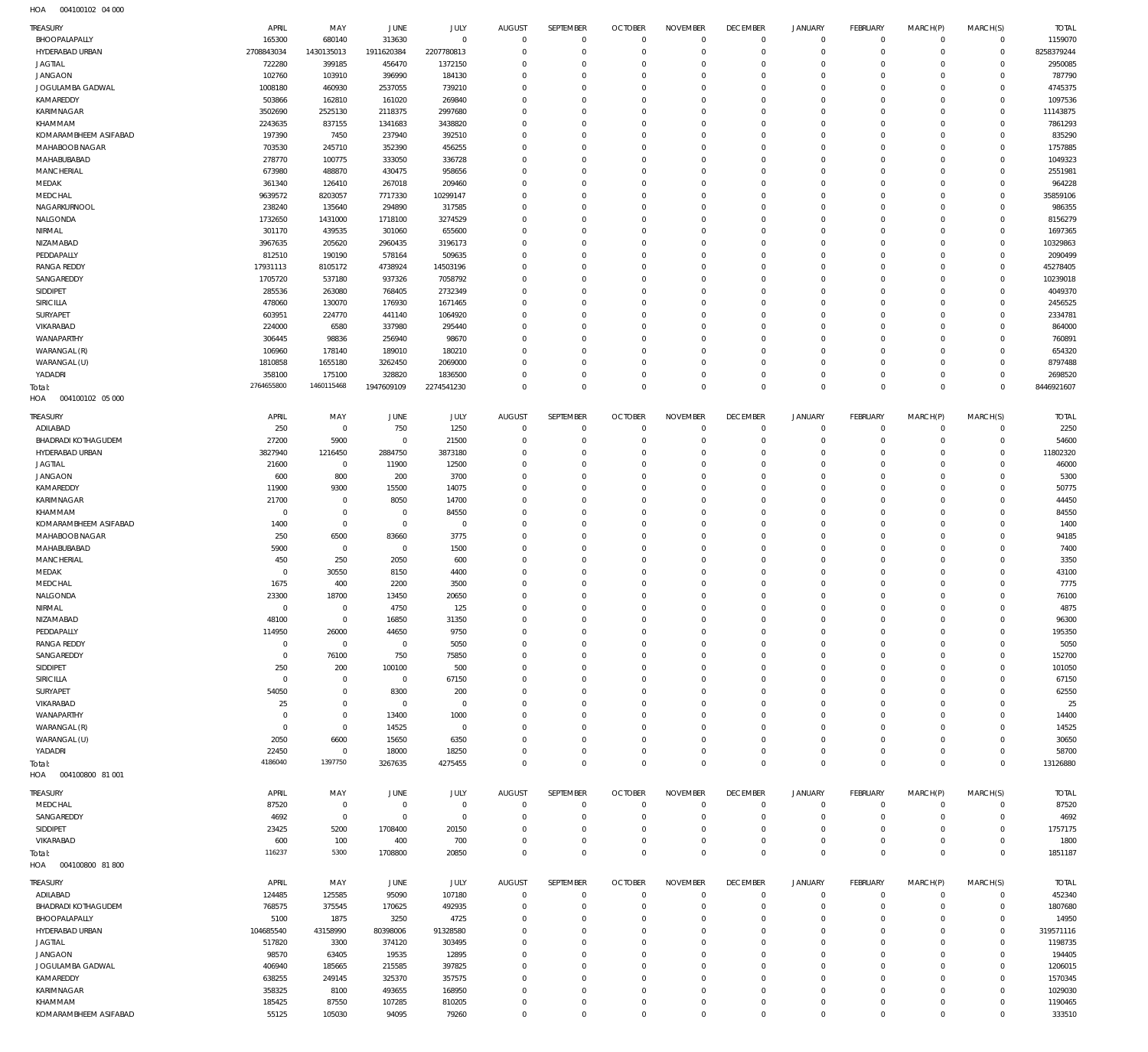004100102 04 000 HOA

| TREASURY                             | APRIL                   | MAY                    | JUNE                      | JULY                    | AUGUST                           | SEPTEMBER                  | <b>OCTOBER</b>               | <b>NOVEMBER</b>            | <b>DECEMBER</b>            | JANUARY                   | FEBRUARY                   | MARCH(P)             | MARCH(S)                   | <b>TOTAL</b>        |
|--------------------------------------|-------------------------|------------------------|---------------------------|-------------------------|----------------------------------|----------------------------|------------------------------|----------------------------|----------------------------|---------------------------|----------------------------|----------------------|----------------------------|---------------------|
| BHOOPALAPALLY                        | 165300                  | 680140                 | 313630                    | $\mathbf 0$             | $\mathbf 0$                      | $\mathbf 0$                | $\mathbf{0}$                 | $\mathbf{0}$               | $\mathbf{0}$               | $^{\circ}$                | $\mathbf 0$                | $\mathbf 0$          | $\mathbf 0$                | 1159070             |
| HYDERABAD URBAN                      | 2708843034              | 1430135013             | 1911620384                | 2207780813              | $\overline{0}$                   | $\mathbf 0$                | $\mathbf{0}$                 | $\Omega$                   | $\mathbf{0}$               | $^{\circ}$                | $\mathbf 0$                | $\Omega$             | $\mathbf 0$                | 8258379244          |
| <b>JAGTIAL</b>                       | 722280                  | 399185                 | 456470                    | 1372150                 | $\Omega$                         | $\mathbf 0$                | $\mathbf{0}$                 | $\Omega$                   | $^{\circ}$                 | $\circ$                   | $\mathbf 0$                |                      | $\Omega$                   | 2950085             |
| <b>JANGAON</b>                       | 102760                  | 103910                 | 396990                    | 184130                  | $\Omega$                         | $\mathbf 0$                | $\mathbf{0}$                 | $\Omega$                   | $\mathbf{0}$               | $^{\circ}$                | $\Omega$                   |                      | $\Omega$                   | 787790              |
| JOGULAMBA GADWAL                     | 1008180                 | 460930                 | 2537055                   | 739210                  | $\Omega$<br>$\Omega$             | $\mathbf 0$                | $\mathbf{0}$                 | $\Omega$                   | $\Omega$                   | $\Omega$                  | $\Omega$<br>$\Omega$       |                      | $\Omega$<br>$\Omega$       | 4745375             |
| KAMAREDDY<br>KARIMNAGAR              | 503866<br>3502690       | 162810<br>2525130      | 161020<br>2118375         | 269840<br>2997680       | $\Omega$                         | $\mathbf 0$<br>$\Omega$    | $\mathbf{0}$<br>$\mathbf{0}$ | $\Omega$<br>$\Omega$       | $^{\circ}$<br>$\Omega$     | $\Omega$<br>$\Omega$      | $\Omega$                   |                      | $\Omega$                   | 1097536<br>11143875 |
| KHAMMAM                              | 2243635                 | 837155                 | 1341683                   | 3438820                 | $\Omega$                         | $\mathbf 0$                | $\mathbf{0}$                 | $\Omega$                   | $^{\circ}$                 | $\Omega$                  | $\Omega$                   |                      | $\Omega$                   | 7861293             |
| KOMARAMBHEEM ASIFABAD                | 197390                  | 7450                   | 237940                    | 392510                  | $\Omega$                         | $\Omega$                   | $\mathbf{0}$                 | $\Omega$                   | $\Omega$                   | $\Omega$                  | $\Omega$                   |                      | $\Omega$                   | 835290              |
| MAHABOOB NAGAR                       | 703530                  | 245710                 | 352390                    | 456255                  | $\Omega$                         | $\mathbf 0$                | $\mathbf{0}$                 | $\Omega$                   | $^{\circ}$                 | 0                         | $\Omega$                   |                      | $\Omega$                   | 1757885             |
| MAHABUBABAD                          | 278770                  | 100775                 | 333050                    | 336728                  | $\Omega$                         | $\Omega$                   | $\mathbf{0}$                 | $\Omega$                   | $\Omega$                   | $\Omega$                  | $\Omega$                   |                      | $\Omega$                   | 1049323             |
| MANCHERIAL                           | 673980                  | 488870                 | 430475                    | 958656                  | $\Omega$                         | $\mathbf 0$                | $\mathbf{0}$                 | $\Omega$                   | $^{\circ}$                 | 0                         | $\Omega$                   |                      | $\Omega$                   | 2551981             |
| MEDAK                                | 361340                  | 126410                 | 267018                    | 209460                  | $\Omega$                         | $\Omega$                   | $\mathbf{0}$                 | $\Omega$                   | $\Omega$                   | $\Omega$                  | $\Omega$                   |                      | $\Omega$                   | 964228              |
| MEDCHAL                              | 9639572                 | 8203057                | 7717330                   | 10299147                | $\Omega$                         | $\mathbf 0$                | $\mathbf{0}$                 | $\Omega$                   | $^{\circ}$                 | $\Omega$                  | $\Omega$                   |                      | $\Omega$                   | 35859106            |
| NAGARKURNOOL                         | 238240                  | 135640                 | 294890                    | 317585                  | $\Omega$                         | $\Omega$                   | $\mathbf{0}$                 | $\Omega$                   | $\Omega$                   | $\Omega$                  | $\Omega$                   |                      | $\Omega$                   | 986355              |
| NALGONDA                             | 1732650                 | 1431000                | 1718100                   | 3274529                 | $\Omega$                         | $\mathbf 0$                | $\mathbf{0}$                 | $\Omega$                   | $\Omega$                   | $\Omega$                  | $\Omega$                   |                      | $\Omega$                   | 8156279             |
| NIRMAL                               | 301170                  | 439535                 | 301060                    | 655600                  | $\Omega$                         | $\mathbf 0$                | $\mathbf{0}$                 | $\Omega$                   | $\Omega$                   | $\Omega$                  | $\Omega$                   |                      | $\Omega$                   | 1697365             |
| NIZAMABAD<br>PEDDAPALLY              | 3967635<br>812510       | 205620<br>190190       | 2960435<br>578164         | 3196173<br>509635       | $\Omega$<br>$\Omega$             | $\Omega$<br>$\Omega$       | $\mathbf{0}$<br>$\mathbf{0}$ | $\Omega$<br>$\Omega$       | $\Omega$<br>$\Omega$       | $\Omega$<br>$\Omega$      | $\Omega$<br>$\Omega$       |                      | $\Omega$<br>$\Omega$       | 10329863<br>2090499 |
| <b>RANGA REDDY</b>                   | 17931113                | 8105172                | 4738924                   | 14503196                | $\Omega$                         | $\mathbf 0$                | $\mathbf{0}$                 | $\Omega$                   | $^{\circ}$                 | $\Omega$                  | $\Omega$                   |                      | $\Omega$                   | 45278405            |
| SANGAREDDY                           | 1705720                 | 537180                 | 937326                    | 7058792                 | $\Omega$                         | $\Omega$                   | $\mathbf{0}$                 | $\Omega$                   | $\Omega$                   | $\Omega$                  | $\Omega$                   |                      | $\Omega$                   | 10239018            |
| SIDDIPET                             | 285536                  | 263080                 | 768405                    | 2732349                 | $\Omega$                         | $\mathbf 0$                | $\mathbf{0}$                 | $\Omega$                   | $^{\circ}$                 | 0                         | $\Omega$                   |                      | $\Omega$                   | 4049370             |
| SIRICILLA                            | 478060                  | 130070                 | 176930                    | 1671465                 | $\Omega$                         | $\Omega$                   | $\mathbf{0}$                 | $\Omega$                   | $\Omega$                   | $\Omega$                  | $\Omega$                   |                      | $\Omega$                   | 2456525             |
| SURYAPET                             | 603951                  | 224770                 | 441140                    | 1064920                 | $\Omega$                         | $\mathbf 0$                | $\mathbf{0}$                 | $\Omega$                   | $^{\circ}$                 | 0                         | $\Omega$                   |                      | $\Omega$                   | 2334781             |
| VIKARABAD                            | 224000                  | 6580                   | 337980                    | 295440                  | $\Omega$                         | $\Omega$                   | $\mathbf{0}$                 | $\Omega$                   | $\Omega$                   | $\Omega$                  | $\Omega$                   |                      | $\Omega$                   | 864000              |
| WANAPARTHY                           | 306445                  | 98836                  | 256940                    | 98670                   | $\Omega$                         | $\mathbf 0$                | $\mathbf{0}$                 | $\Omega$                   | $^{\circ}$                 | $\Omega$                  | $\Omega$                   |                      | $\Omega$                   | 760891              |
| WARANGAL (R)                         | 106960                  | 178140                 | 189010                    | 180210                  | $\Omega$                         | $\Omega$                   | $\mathbf{0}$                 | $\Omega$                   | $\Omega$                   | $\Omega$                  | $\Omega$                   |                      | $\Omega$                   | 654320              |
| WARANGAL (U)                         | 1810858                 | 1655180                | 3262450                   | 2069000                 | $\Omega$                         | $\mathbf 0$                | $\mathbf{0}$                 | $\Omega$                   | $^{\circ}$                 | $\circ$                   | $\Omega$                   |                      | $\Omega$                   | 8797488             |
| YADADRI                              | 358100                  | 175100                 | 328820                    | 1836500                 | $\Omega$                         | $\mathbf 0$                | $\mathbf{0}$                 | $^{\circ}$                 | $^{\circ}$                 | $^{\circ}$                | $\mathbf 0$                | $\Omega$             | $\Omega$                   | 2698520             |
| Total:                               | 2764655800              | 1460115468             | 1947609109                | 2274541230              | $\mathbf 0$                      | $\mathbf 0$                | $\circ$                      | $\Omega$                   | $\mathbb O$                | $\mathbf{0}$              | $\Omega$                   | $\Omega$             | $\Omega$                   | 8446921607          |
| 004100102 05 000<br>HOA              |                         |                        |                           |                         |                                  |                            |                              |                            |                            |                           |                            |                      |                            |                     |
| <b>TREASURY</b>                      | APRIL                   | MAY                    | JUNE                      | JULY                    | AUGUST                           | SEPTEMBER                  | <b>OCTOBER</b>               | <b>NOVEMBER</b>            | <b>DECEMBER</b>            | JANUARY                   | FEBRUARY                   | MARCH(P)             | MARCH(S)                   | <b>TOTAL</b>        |
| ADILABAD                             | 250                     | $\mathbf 0$            | 750                       | 1250                    | $\overline{0}$                   | $\circ$                    | $\mathbf{0}$                 | $^{\circ}$                 | $\mathbf{0}$               | $^{\circ}$                | $\mathbf 0$                | $\circ$              | $\mathbf 0$                | 2250                |
| <b>BHADRADI KOTHAGUDEM</b>           | 27200                   | 5900                   | $\overline{0}$            | 21500                   | $\overline{0}$                   | $\mathbf 0$                | $\mathbf{0}$                 | $\Omega$                   | $\mathbf{0}$               | $^{\circ}$                | $\mathbf 0$                | $\Omega$             | $\mathbf 0$                | 54600               |
| HYDERABAD URBAN                      | 3827940                 | 1216450                | 2884750                   | 3873180                 | $\Omega$                         | $\mathbf 0$                | $\mathbf{0}$                 | $^{\circ}$                 | $\mathbf{0}$               | $^{\circ}$                | $\mathbf 0$                | $\Omega$             | $\mathbf 0$                | 11802320            |
| <b>JAGTIAL</b>                       | 21600                   | $\overline{0}$         | 11900                     | 12500                   | $\Omega$                         | $\circ$                    | $\mathbf{0}$                 | $\Omega$                   | $^{\circ}$                 | $^{\circ}$                | $\mathbf 0$                |                      | $\mathbf 0$                | 46000               |
| <b>JANGAON</b>                       | 600                     | 800                    | 200                       | 3700                    | $\Omega$                         | $\Omega$                   | $\mathbf{0}$                 | $\Omega$                   | $\Omega$                   | $\Omega$                  | $\Omega$                   | $\Omega$             | $\Omega$                   | 5300                |
| KAMAREDDY<br>KARIMNAGAR              | 11900                   | 9300<br>$\mathbf 0$    | 15500                     | 14075                   | $\overline{0}$<br>$\Omega$       | $\mathbf 0$<br>$\Omega$    | $\mathbf{0}$<br>$\mathbf{0}$ | $\Omega$<br>$\Omega$       | $^{\circ}$<br>$\Omega$     | $\circ$<br>$\Omega$       | $\mathbf 0$<br>$\Omega$    | $\Omega$             | $\Omega$<br>$\Omega$       | 50775               |
| KHAMMAM                              | 21700<br>$\overline{0}$ | $\mathbf 0$            | 8050<br>$\overline{0}$    | 14700<br>84550          | $\overline{0}$                   | $\mathbf 0$                | $\mathbf{0}$                 | $\Omega$                   | $\Omega$                   | $^{\circ}$                | $\mathbf 0$                | $\Omega$             | $\Omega$                   | 44450<br>84550      |
| KOMARAMBHEEM ASIFABAD                | 1400                    | $\mathbf 0$            | $\mathbb O$               | $\circ$                 | $\Omega$                         | $\Omega$                   | $\mathbf{0}$                 | $\Omega$                   | $\Omega$                   | $\Omega$                  | $\Omega$                   |                      | $\Omega$                   | 1400                |
| MAHABOOB NAGAR                       | 250                     | 6500                   | 83660                     | 3775                    | $\overline{0}$                   | $\mathbf 0$                | $\mathbf{0}$                 | $\Omega$                   | $\mathbf{0}$               | $^{\circ}$                | $\mathbf 0$                | $\Omega$             | $\Omega$                   | 94185               |
| MAHABUBABAD                          | 5900                    | $\mathbf 0$            | $\mathsf 0$               | 1500                    | $\Omega$                         | $\mathbf 0$                | $\mathbf{0}$                 | $\Omega$                   | $\mathbf{0}$               | $^{\circ}$                | $\Omega$                   |                      | $\Omega$                   | 7400                |
| MANCHERIAL                           | 450                     | 250                    | 2050                      | 600                     | $\Omega$                         | $\mathbf 0$                | $\mathbf{0}$                 | $\Omega$                   | $\Omega$                   | $\Omega$                  | $\Omega$                   |                      | $\Omega$                   | 3350                |
| MEDAK                                | $\mathbf 0$             | 30550                  | 8150                      | 4400                    | $\Omega$                         | $\mathbf 0$                | $\mathbf{0}$                 | $^{\circ}$                 | $\mathbf{0}$               | $^{\circ}$                | $\mathbf 0$                | $\Omega$             | $\Omega$                   | 43100               |
| MEDCHAL                              | 1675                    | 400                    | 2200                      | 3500                    | $\Omega$                         | $\mathbf 0$                | $\mathbf{0}$                 | $\Omega$                   | $\Omega$                   | $^{\circ}$                | $\Omega$                   |                      | $\Omega$                   | 7775                |
| NALGONDA                             | 23300                   | 18700                  | 13450                     | 20650                   | $\Omega$                         | $\Omega$                   | $\mathbf{0}$                 | $^{\circ}$                 | $\Omega$                   | $\Omega$                  | $\Omega$                   | $\Omega$             | $\Omega$                   | 76100               |
| NIRMAL                               | $\mathbf 0$             | $\mathbf 0$            | 4750                      | 125                     | $\mathbf 0$                      | $\Omega$                   | $\mathbf 0$                  | $\circ$                    | $\mathbf 0$                | $\circ$                   | $\Omega$                   | $\Omega$             | $\Omega$                   | 4875                |
| NIZAMABAD                            | 48100                   | $\overline{0}$         | 16850                     | 31350                   | $\circ$                          | $\circ$                    | $\circ$                      | $\circ$                    | $^{\circ}$                 | $\mathbf 0$               | $\mathbf 0$                | $\Omega$             | $\mathbf 0$                | 96300               |
| PEDDAPALLY                           | 114950                  | 26000                  | 44650                     | 9750                    | $\overline{0}$                   | $\mathbf 0$                | $\mathbf{0}$                 | 0                          | $^{\circ}$                 | $\circ$                   |                            |                      |                            |                     |
| <b>RANGA REDDY</b>                   | $\mathbf 0$             | $\mathbf 0$            |                           |                         |                                  |                            |                              |                            |                            |                           | $\mathbf 0$                | $\Omega$             | $\mathbf 0$                | 195350              |
| SANGAREDDY                           | $\mathbf 0$             |                        | $\mathsf 0$               | 5050                    | $\Omega$                         | $\mathbf 0$                | $\mathbf{0}$                 | $^{\circ}$                 | $\mathbf{0}$               | $^{\circ}$                | $\mathbf 0$                | $\Omega$             | $\Omega$                   | 5050                |
| SIDDIPET                             |                         | 76100                  | 750                       | 75850                   | $\overline{0}$                   | $\mathbf 0$                | $^{\circ}$                   | 0                          | $^{\circ}$                 | $\circ$                   | $\mathbf 0$                | $\Omega$             | $\Omega$                   | 152700              |
| SIRICILLA                            | 250                     | 200                    | 100100                    | 500                     | $\Omega$                         | $\circ$                    | $\mathbf{0}$                 | $^{\circ}$                 | $\mathbf{0}$               | $^{\circ}$                | $\mathbf 0$                |                      | $\Omega$                   | 101050              |
|                                      | $\mathbf 0$             | $\mathbf 0$            | $\overline{0}$            | 67150                   | $\Omega$                         | $\mathbf 0$                | $\mathbf{0}$                 | $\Omega$                   | $^{\circ}$                 | $\circ$                   | $\mathbf 0$                | $\Omega$             | $\Omega$                   | 67150               |
| SURYAPET                             | 54050                   | $\mathbf 0$            | 8300                      | 200                     | $\Omega$                         | $\circ$                    | $\mathbf{0}$                 | $^{\circ}$                 | $\mathbf{0}$               | $^{\circ}$                | $\mathbf 0$                | $\Omega$             | $\Omega$                   | 62550               |
| VIKARABAD                            | 25                      | $\mathbf 0$            | $\overline{0}$            | $\circ$                 | $\Omega$<br>$\Omega$             | $\mathbf 0$                | $^{\circ}$                   | $\Omega$                   | $^{\circ}$                 | $\circ$                   | $\mathbf 0$                | $\Omega$<br>$\Omega$ | $\Omega$<br>$\Omega$       | 25                  |
| WANAPARTHY                           | $\mathbf 0$             | $\mathbf 0$            | 13400                     | 1000                    |                                  | $\circ$                    | $^{\circ}$                   | $^{\circ}$                 | $^{\circ}$                 | $\circ$                   | $\mathbf 0$                |                      |                            | 14400               |
| WARANGAL (R)                         | $\mathbf 0$<br>2050     | $\mathbf 0$<br>6600    | 14525<br>15650            | $\circ$<br>6350         | $\Omega$<br>$\Omega$             | $\circ$<br>$\mathbf 0$     | $^{\circ}$<br>$\mathbf{0}$   | $\Omega$<br>$^{\circ}$     | $^{\circ}$<br>$^{\circ}$   | $\circ$<br>$^{\circ}$     | $\mathbf 0$<br>$\mathbf 0$ | $\Omega$             | $\Omega$<br>$\Omega$       | 14525<br>30650      |
| WARANGAL (U)<br>YADADRI              | 22450                   | $\mathbf 0$            | 18000                     | 18250                   | $\overline{0}$                   | $\mathbf 0$                | $\mathbf{0}$                 | $^{\circ}$                 | $\mathbf{0}$               | $^{\circ}$                | $\mathbf 0$                | $\Omega$             | $\mathbf 0$                | 58700               |
| Total:                               | 4186040                 | 1397750                | 3267635                   | 4275455                 | $\mathbf 0$                      | $\mathbf 0$                | $\circ$                      | $\mathbf 0$                | $\mathbb O$                | $\mathbf 0$               | $\mathbf 0$                | $\Omega$             | $\mathbf 0$                | 13126880            |
| 004100800 81 001<br>HOA              |                         |                        |                           |                         |                                  |                            |                              |                            |                            |                           |                            |                      |                            |                     |
|                                      |                         |                        |                           |                         |                                  |                            |                              |                            |                            |                           |                            |                      |                            |                     |
| <b>TREASURY</b>                      | APRIL                   | MAY                    | <b>JUNE</b>               | JULY                    | AUGUST                           | SEPTEMBER                  | <b>OCTOBER</b>               | <b>NOVEMBER</b>            | <b>DECEMBER</b>            | JANUARY                   | FEBRUARY                   | MARCH(P)             | MARCH(S)                   | <b>TOTAL</b>        |
| MEDCHAL                              | 87520                   | $\overline{0}$         | $\mathsf 0$               | $\overline{0}$          | $\overline{0}$                   | $\circ$                    | $\mathbf{0}$                 | $^{\circ}$                 | $^{\circ}$                 | $\circ$                   | $\mathbf 0$                | $\circ$              | $\mathbf 0$                | 87520               |
| SANGAREDDY<br>SIDDIPET               | 4692<br>23425           | $\overline{0}$<br>5200 | $\overline{0}$<br>1708400 | $\overline{0}$<br>20150 | $\overline{0}$<br>0              | $\mathbf 0$<br>0           | $^{\circ}$<br>$^{\circ}$     | $\circ$<br>$\circ$         | $^{\circ}$<br>$\circ$      | $\circ$<br>$\circ$        | $\mathbf 0$<br>$\mathbf 0$ | $\Omega$             | $\mathbf 0$<br>$\mathbf 0$ | 4692<br>1757175     |
| VIKARABAD                            | 600                     | 100                    | 400                       | 700                     | $\overline{0}$                   | $\mathbf 0$                | $\mathbf{0}$                 | 0                          | $^{\circ}$                 | $^{\circ}$                | $\mathbf 0$                | $\Omega$             | $\mathbf 0$                | 1800                |
| Total:                               | 116237                  | 5300                   | 1708800                   | 20850                   | $\overline{0}$                   | $\mathbf 0$                | $\mathbf{0}$                 | $^{\circ}$                 | $\mathbf{0}$               | $^{\circ}$                | $\mathbf 0$                | $\Omega$             | $\mathbf 0$                | 1851187             |
| 004100800 81 800<br>HOA              |                         |                        |                           |                         |                                  |                            |                              |                            |                            |                           |                            |                      |                            |                     |
|                                      |                         |                        |                           |                         |                                  |                            |                              |                            |                            |                           |                            |                      |                            |                     |
| <b>TREASURY</b>                      | APRIL                   | MAY                    | JUNE                      | JULY                    | <b>AUGUST</b>                    | SEPTEMBER                  | <b>OCTOBER</b>               | <b>NOVEMBER</b>            | <b>DECEMBER</b>            | JANUARY                   | FEBRUARY                   | MARCH(P)<br>$\Omega$ | MARCH(S)                   | <b>TOTAL</b>        |
| ADILABAD                             | 124485                  | 125585                 | 95090                     | 107180                  | $\overline{0}$<br>$\overline{0}$ | $\circ$<br>$\circ$         | $\mathbf{0}$<br>$\mathbf{0}$ | $\mathbf{0}$<br>$^{\circ}$ | $^{\circ}$<br>$\mathbf{0}$ | $^{\circ}$<br>$^{\circ}$  | $\mathbf 0$<br>$\mathbf 0$ | $\Omega$             | $\mathbf 0$<br>$\mathbf 0$ | 452340              |
| BHADRADI KOTHAGUDEM<br>BHOOPALAPALLY | 768575<br>5100          | 375545<br>1875         | 170625<br>3250            | 492935<br>4725          | $\overline{0}$                   | $^{\circ}$                 | $^{\circ}$                   | $\circ$                    | $^{\circ}$                 | $\circ$                   | $\mathbf 0$                |                      | $\mathbf 0$                | 1807680<br>14950    |
| HYDERABAD URBAN                      | 104685540               | 43158990               | 80398006                  | 91328580                | $\Omega$                         | $^{\circ}$                 | $\mathbf{0}$                 | $^{\circ}$                 | $\mathbf{0}$               | $^{\circ}$                | $\mathbf 0$                | $\Omega$             | $\mathbf 0$                | 319571116           |
| JAGTIAL                              | 517820                  | 3300                   | 374120                    | 303495                  | $^{\circ}$                       | $\circ$                    | $^{\circ}$                   | 0                          | $^{\circ}$                 | $\circ$                   | $\mathbf 0$                | $\Omega$             | $\mathbf 0$                | 1198735             |
| <b>JANGAON</b>                       | 98570                   | 63405                  | 19535                     | 12895                   | $\Omega$                         | $\circ$                    | $\mathbf{0}$                 | $^{\circ}$                 | $\mathbf{0}$               | $^{\circ}$                | $\Omega$                   | $\Omega$             | $\Omega$                   | 194405              |
| JOGULAMBA GADWAL                     | 406940                  | 185665                 | 215585                    | 397825                  | $\overline{0}$                   | $\mathbf 0$                | $\mathbf{0}$                 | 0                          | $^{\circ}$                 | $\circ$                   | $\mathbf 0$                | $\Omega$             | $\mathbf 0$                | 1206015             |
| KAMAREDDY                            | 638255                  | 249145                 | 325370                    | 357575                  | $\Omega$                         | $^{\circ}$                 | $\mathbf{0}$                 | $^{\circ}$                 | $\mathbf{0}$               | $^{\circ}$                | $\mathbf 0$                | $\Omega$             | $\Omega$                   | 1570345             |
| KARIMNAGAR                           | 358325                  | 8100                   | 493655                    | 168950                  | $\overline{0}$                   | $\mathbf 0$                | $\mathbf{0}$                 | $^{\circ}$                 | $\mathbf 0$                | $\mathbf 0$               | $\mathbf 0$                | $\Omega$             | $\mathbf 0$                | 1029030             |
| KHAMMAM<br>KOMARAMBHEEM ASIFABAD     | 185425<br>55125         | 87550<br>105030        | 107285<br>94095           | 810205<br>79260         | $\overline{0}$<br>$\mathbf 0$    | $\mathbf 0$<br>$\mathbf 0$ | $^{\circ}$<br>$\mathbf 0$    | $^{\circ}$<br>$\mathbf 0$  | $\mathbf 0$<br>$\mathbb O$ | $^{\circ}$<br>$\mathbf 0$ | $\mathbf 0$<br>$\mathbf 0$ | $\Omega$<br>$\Omega$ | $\mathbf 0$<br>$\mathbf 0$ | 1190465<br>333510   |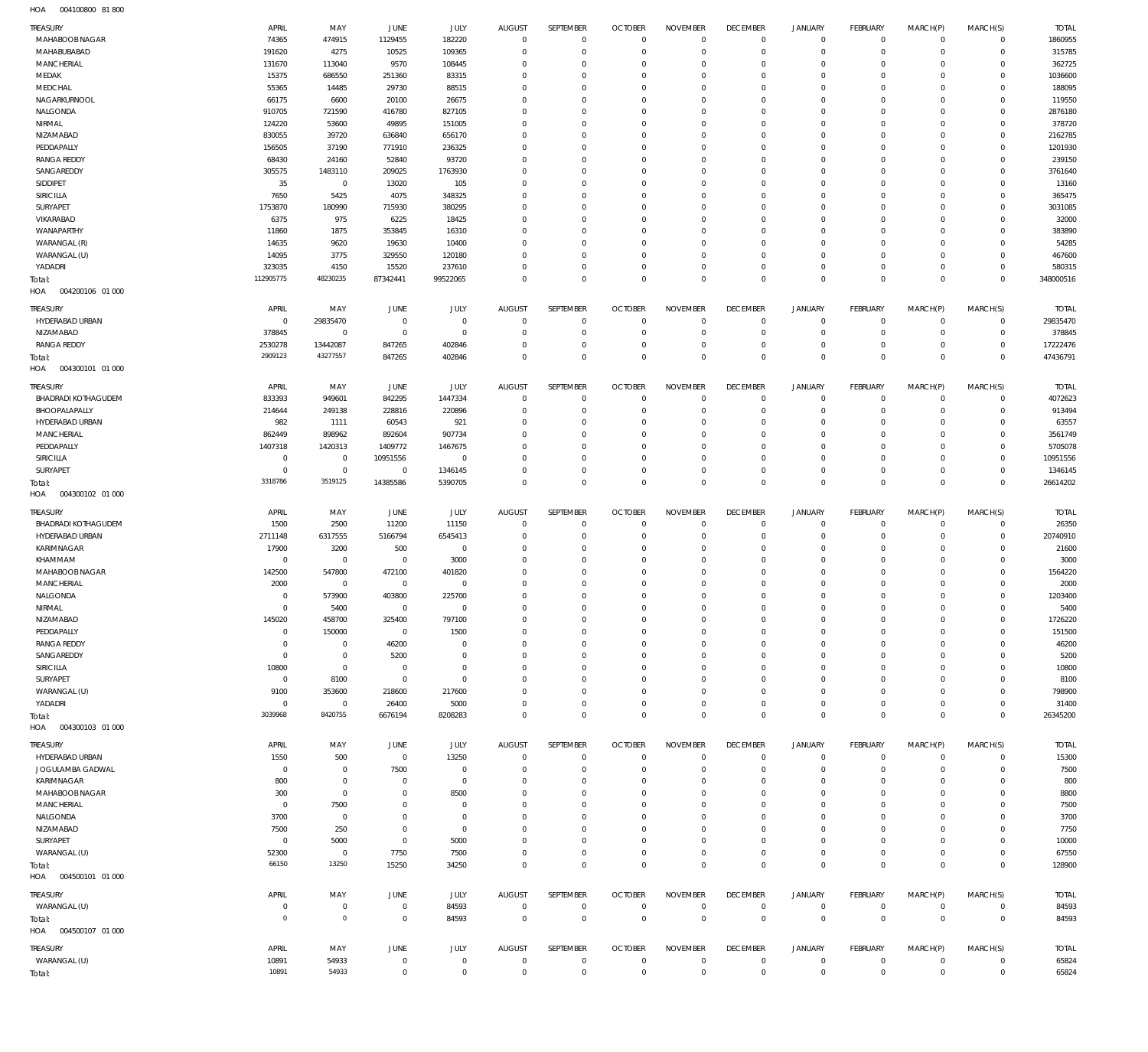004100800 81 800 HOA

| <b>TREASURY</b>            | APRIL                      | MAY                    | <b>JUNE</b>                      | JULY                      | <b>AUGUST</b>                | SEPTEMBER                  | <b>OCTOBER</b>                   | <b>NOVEMBER</b>             | <b>DECEMBER</b>                  | JANUARY                    | <b>FEBRUARY</b>              | MARCH(P)                   | MARCH(S)                   | <b>TOTAL</b>    |
|----------------------------|----------------------------|------------------------|----------------------------------|---------------------------|------------------------------|----------------------------|----------------------------------|-----------------------------|----------------------------------|----------------------------|------------------------------|----------------------------|----------------------------|-----------------|
| MAHABOOB NAGAR             | 74365                      | 474915                 | 1129455                          | 182220                    | $\overline{0}$               | $\mathbf 0$                | $\overline{0}$                   | $\mathbf 0$                 | $\overline{0}$                   | $^{\circ}$                 | $^{\circ}$                   | $\Omega$                   | $\mathbf 0$                | 1860955         |
| MAHABUBABAD                | 191620                     | 4275                   | 10525                            | 109365                    | $\mathbf 0$                  | $\mathbf 0$                | $\overline{0}$                   | $\mathbf 0$                 | $\overline{0}$                   | $\mathbf{0}$               | $\mathbf{0}$                 | $\Omega$                   | $\mathbf 0$                | 315785          |
| MANCHERIAL                 | 131670                     | 113040                 | 9570                             | 108445                    | $\mathbf 0$                  | 0                          | $\overline{0}$                   | $\Omega$                    | $\overline{0}$                   | $^{\circ}$                 | $\mathbf{0}$                 | $\Omega$                   | $\mathbf 0$                | 362725          |
| MEDAK                      | 15375                      | 686550                 | 251360                           | 83315                     | $\mathbf 0$                  | 0                          | $\overline{0}$                   | $\mathbf 0$                 | $\overline{0}$                   | $\Omega$                   | $\mathbf{0}$                 | $\Omega$                   | $\Omega$                   | 1036600         |
| MEDCHAL                    | 55365                      | 14485                  | 29730                            | 88515                     | $\mathbf 0$                  | 0                          | $\overline{0}$                   | $\Omega$                    | $\overline{0}$                   | $^{\circ}$                 | $^{\circ}$                   |                            | $\Omega$                   | 188095          |
| NAGARKURNOOL               | 66175                      | 6600                   | 20100                            | 26675                     | $\mathbf 0$                  | 0                          | $\overline{0}$                   | $\mathbf 0$                 | $\overline{0}$                   | $\Omega$                   | $\Omega$                     |                            | $\Omega$                   | 119550          |
| NALGONDA                   | 910705                     | 721590                 | 416780                           | 827105                    | $\mathbf 0$                  | 0                          | $\overline{0}$                   | $\Omega$                    | $\overline{0}$                   | $\mathbf 0$                | $\mathbf{0}$                 | $\Omega$                   | $\mathbf 0$                | 2876180         |
| NIRMAL                     | 124220                     | 53600                  | 49895                            | 151005                    | $\mathbf 0$                  | $\mathbf 0$                | $\overline{0}$                   | $\Omega$                    | $\overline{0}$                   | $\Omega$                   | $\Omega$                     | $\Omega$                   | $\Omega$                   | 378720          |
| NIZAMABAD                  | 830055                     | 39720                  | 636840                           | 656170                    | $\mathbf 0$                  | 0                          | $\overline{0}$                   | $\Omega$                    | $\overline{0}$                   | $\mathbf 0$                | $\mathbf{0}$                 | $\Omega$                   | $\Omega$                   | 2162785         |
| PEDDAPALLY                 | 156505                     | 37190                  | 771910                           | 236325                    | $\mathbf 0$                  | 0                          | $\overline{0}$                   | $\mathbf 0$                 | $\overline{0}$                   | $\Omega$                   | $^{\circ}$                   |                            | $\Omega$                   | 1201930         |
| <b>RANGA REDDY</b>         | 68430                      | 24160                  | 52840                            | 93720                     | $\mathbf 0$                  | 0                          | $\overline{0}$                   | $\Omega$                    | $\overline{0}$                   | $\Omega$                   | $\mathbf{0}$                 |                            | $\Omega$                   | 239150          |
| SANGAREDDY                 | 305575                     | 1483110                | 209025                           | 1763930                   | $\mathbf 0$<br>$\mathbf 0$   | 0                          | $\overline{0}$<br>$\overline{0}$ | $\mathbf 0$<br>$\Omega$     | $\overline{0}$<br>$\overline{0}$ | $\Omega$<br>$\Omega$       | $\mathbf{0}$<br>$\mathbf{0}$ | $\Omega$                   | $\Omega$<br>$\Omega$       | 3761640         |
| SIDDIPET<br>SIRICILLA      | 35<br>7650                 | $\overline{0}$<br>5425 | 13020<br>4075                    | 105<br>348325             | $\mathbf 0$                  | 0<br>0                     | $\overline{0}$                   | $\mathbf 0$                 | $\overline{0}$                   | $\Omega$                   | $^{\circ}$                   | $\Omega$                   | $\Omega$                   | 13160<br>365475 |
| SURYAPET                   | 1753870                    | 180990                 | 715930                           | 380295                    | $\mathbf 0$                  | 0                          | $\overline{0}$                   | $\Omega$                    | $\overline{0}$                   | $\Omega$                   | $\mathbf{0}$                 |                            | $\Omega$                   | 3031085         |
| VIKARABAD                  | 6375                       | 975                    | 6225                             | 18425                     | $\mathbf 0$                  | 0                          | $\overline{0}$                   | $\mathbf 0$                 | $\Omega$                         | $\Omega$                   | $\Omega$                     | $\Omega$                   | $\Omega$                   | 32000           |
| WANAPARTHY                 | 11860                      | 1875                   | 353845                           | 16310                     | $\mathbf 0$                  | 0                          | $\overline{0}$                   | $\Omega$                    | $\overline{0}$                   | $\mathbf 0$                | $^{\circ}$                   |                            | $\Omega$                   | 383890          |
| WARANGAL (R)               | 14635                      | 9620                   | 19630                            | 10400                     | $\mathbf 0$                  | 0                          | $\overline{0}$                   | $\mathbf 0$                 | $\overline{0}$                   | $\Omega$                   | $\Omega$                     |                            | $\Omega$                   | 54285           |
| WARANGAL (U)               | 14095                      | 3775                   | 329550                           | 120180                    | $\mathbf 0$                  | 0                          | $\overline{0}$                   | $\Omega$                    | $\overline{0}$                   | $\mathbf 0$                | $\mathbf{0}$                 | $\Omega$                   | $\mathbf 0$                | 467600          |
| YADADRI                    | 323035                     | 4150                   | 15520                            | 237610                    | $\mathbf 0$                  | 0                          | $\overline{0}$                   | $\mathbf 0$                 | $\overline{0}$                   | $\mathbf 0$                | $\mathbf{0}$                 | $\Omega$                   | $\Omega$                   | 580315          |
| Total:                     | 112905775                  | 48230235               | 87342441                         | 99522065                  | $\Omega$                     | 0                          | $\overline{0}$                   | $\Omega$                    | $\mathbb O$                      | $\mathbf 0$                | $\mathbb O$                  | $\Omega$                   | $\mathbb O$                | 348000516       |
| 004200106 01 000<br>HOA    |                            |                        |                                  |                           |                              |                            |                                  |                             |                                  |                            |                              |                            |                            |                 |
| <b>TREASURY</b>            | APRIL                      | MAY                    | <b>JUNE</b>                      | JULY                      | <b>AUGUST</b>                | <b>SEPTEMBER</b>           | <b>OCTOBER</b>                   | <b>NOVEMBER</b>             | <b>DECEMBER</b>                  | <b>JANUARY</b>             | <b>FEBRUARY</b>              | MARCH(P)                   | MARCH(S)                   | <b>TOTAL</b>    |
| HYDERABAD URBAN            | $\mathbf 0$                | 29835470               | $\overline{0}$                   | $\mathbf 0$               | $\mathbf 0$                  | $\mathbf 0$                | $^{\circ}$                       | $\mathbf 0$                 | $\overline{0}$                   | $^{\circ}$                 | $^{\circ}$                   | $\Omega$                   | $\mathbf 0$                | 29835470        |
| NIZAMABAD                  | 378845                     | $\mathbf 0$            | $\overline{0}$                   | $\overline{0}$            | $^{\circ}$                   | 0                          | $\overline{0}$                   | $\mathbf 0$                 | $\overline{0}$                   | $^{\circ}$                 | $\mathbf{0}$                 | $\Omega$                   | $\mathbf 0$                | 378845          |
| <b>RANGA REDDY</b>         | 2530278                    | 13442087               | 847265                           | 402846                    | $\mathbf 0$                  | 0                          | $\mathbf{0}$                     | $\mathbf 0$                 | $\overline{0}$                   | $^{\circ}$                 | $\mathbf{0}$                 | $\Omega$                   | $\mathbf 0$                | 17222476        |
| Total:                     | 2909123                    | 43277557               | 847265                           | 402846                    | $\Omega$                     | 0                          | $\overline{0}$                   | $\mathbf 0$                 | $\mathbf 0$                      | $\mathbf 0$                | $\mathbb O$                  | $\Omega$                   | $\mathbf{0}$               | 47436791        |
| HOA<br>004300101 01 000    |                            |                        |                                  |                           |                              |                            |                                  |                             |                                  |                            |                              |                            |                            |                 |
| <b>TREASURY</b>            | APRIL                      | MAY                    | JUNE                             | JULY                      | <b>AUGUST</b>                | SEPTEMBER                  | <b>OCTOBER</b>                   | <b>NOVEMBER</b>             | <b>DECEMBER</b>                  | <b>JANUARY</b>             | <b>FEBRUARY</b>              | MARCH(P)                   | MARCH(S)                   | <b>TOTAL</b>    |
| BHADRADI KOTHAGUDEM        | 833393                     | 949601                 | 842295                           | 1447334                   | $\mathbf{0}$                 | $\mathbf 0$                | $\overline{0}$                   | $\mathbf 0$                 | $^{\circ}$                       | $^{\circ}$                 | $^{\circ}$                   | $\Omega$                   | $\mathbf 0$                | 4072623         |
| BHOOPALAPALLY              | 214644                     | 249138                 | 228816                           | 220896                    | $\mathbf{0}$                 | 0                          | $\overline{0}$                   | $\mathbf 0$                 | $\overline{0}$                   | $^{\circ}$                 | $\mathbf{0}$                 | $\Omega$                   | $\mathbf 0$                | 913494          |
| HYDERABAD URBAN            | 982                        | 1111                   | 60543                            | 921                       | $\mathbf 0$                  | 0                          | $\overline{0}$                   | $\mathbf 0$                 | $\overline{0}$                   | $^{\circ}$                 | $^{\circ}$                   | $\Omega$                   | $\mathbf 0$                | 63557           |
| <b>MANCHERIAL</b>          | 862449                     | 898962                 | 892604                           | 907734                    | $\mathbf 0$                  | 0                          | $\overline{0}$                   | $\mathbf 0$                 | $\overline{0}$                   | $\Omega$                   | $\mathbf{0}$                 | $\Omega$                   | $\Omega$                   | 3561749         |
| PEDDAPALLY                 | 1407318                    | 1420313                | 1409772                          | 1467675                   | $\mathbf 0$                  | 0                          | $\overline{0}$                   | $\Omega$                    | $\overline{0}$                   | $\mathbf 0$                | $\mathbf{0}$                 | $\Omega$                   | $\mathbf 0$                | 5705078         |
| SIRICILLA                  | $\overline{0}$             | $\mathbf 0$            | 10951556                         | $\mathbf 0$               | $\mathbf 0$                  | 0                          | $\overline{0}$                   | $\mathbf 0$                 | $\overline{0}$                   | $\mathbf 0$                | $\mathbf{0}$                 | $\Omega$                   | $\mathbf 0$                | 10951556        |
| SURYAPET                   | $\overline{0}$             | $\overline{0}$         | $\overline{0}$                   | 1346145                   | $\mathbf{0}$                 | 0                          | $\overline{0}$                   | $\mathbf 0$                 | $\overline{0}$                   | $\mathbf 0$                | $\mathbf{0}$                 | $\Omega$                   | $\mathbf 0$                | 1346145         |
|                            | 3318786                    | 3519125                | 14385586                         | 5390705                   | $\overline{0}$               | $\mathbf 0$                | $\overline{0}$                   | $\mathbf 0$                 | $\mathbb O$                      | $\mathbb O$                | $\mathbb O$                  | $\Omega$                   | $\mathbb O$                | 26614202        |
| Total:                     |                            |                        |                                  |                           |                              |                            |                                  |                             |                                  |                            |                              |                            |                            |                 |
| 004300102 01 000<br>HOA    |                            |                        |                                  |                           |                              |                            |                                  |                             |                                  |                            |                              |                            |                            |                 |
| TREASURY                   | APRIL                      | MAY                    | JUNE                             | JULY                      | <b>AUGUST</b>                | SEPTEMBER                  | <b>OCTOBER</b>                   | <b>NOVEMBER</b>             | <b>DECEMBER</b>                  | <b>JANUARY</b>             | <b>FEBRUARY</b>              | MARCH(P)                   | MARCH(S)                   | <b>TOTAL</b>    |
| BHADRADI KOTHAGUDEM        | 1500                       | 2500                   | 11200                            | 11150                     | $\mathbf 0$                  | 0                          | $\overline{0}$                   | $\mathbf 0$                 | $^{\circ}$                       | $^{\circ}$                 | $^{\circ}$                   | $\Omega$                   | $\mathbf 0$                | 26350           |
| HYDERABAD URBAN            | 2711148                    | 6317555                | 5166794                          | 6545413                   | $\mathbf 0$                  | 0                          | $\overline{0}$                   | $\mathbf 0$                 | $\mathbf 0$                      | $^{\circ}$                 | $^{\circ}$                   | $\Omega$                   | $\mathbf 0$                | 20740910        |
| KARIMNAGAR                 | 17900                      | 3200                   | 500                              | $\mathbf 0$               | 0                            | 0                          | $\mathbf 0$                      | 0                           | $\overline{0}$                   | $\mathbf 0$                | $^{\circ}$                   |                            | $\Omega$                   | 21600           |
| KHAMMAM                    | $\mathbf 0$                | $\mathbf 0$            | $\overline{0}$                   | 3000                      | $\mathbf 0$                  | 0                          | $\overline{0}$                   | $\mathbf 0$                 | $\overline{0}$                   | $\mathbf 0$                | $^{\circ}$                   | $\Omega$                   | $\Omega$                   | 3000            |
| MAHABOOB NAGAR             | 142500                     | 547800                 | 472100                           | 401820                    | 0                            | 0                          | $\mathbf 0$                      | $\Omega$                    | $\mathbf 0$                      | $\Omega$                   | $\Omega$                     |                            | $\Omega$                   | 1564220         |
| MANCHERIAL                 | 2000                       | $\mathbf 0$            | $\overline{0}$                   | $\mathbf 0$               | 0                            | 0                          | $\overline{0}$                   | $\Omega$                    | $^{\circ}$                       | $\Omega$                   | $\Omega$                     |                            | $\Omega$                   | 2000            |
| NALGONDA                   | $\overline{0}$             | 573900                 | 403800                           | 225700                    | $\mathbf 0$                  | 0                          | $\overline{0}$                   | $\Omega$                    | $\overline{0}$                   | $\Omega$                   | $\Omega$                     | $\Omega$                   | $\Omega$                   | 1203400         |
| NIRMAL                     | $\Omega$                   | 5400                   | $\Omega$                         | $\Omega$                  | $\Omega$                     | $\Omega$                   | $\Omega$                         | $\Omega$                    | $\mathbf{0}$                     | $\Omega$                   | $\Omega$                     | $\Omega$                   | $\Omega$                   | 5400            |
| NIZAMABAD                  | 145020                     | 458700                 | 325400                           | 797100                    | $\mathbf 0$                  | 0                          | $^{\circ}$                       | $\mathbf 0$                 | $\mathbf 0$                      | $\mathbf 0$                | $^{\circ}$                   | $\Omega$                   | $\Omega$                   | 1726220         |
| PEDDAPALLY                 | $\mathbf 0$<br>$\mathbf 0$ | 150000<br>$\mathbf 0$  | $\overline{0}$                   | 1500<br>$\mathbf 0$       | $\mathbf 0$<br>$\Omega$      | 0<br>0                     | $\mathbf{0}$<br>$\overline{0}$   | $\mathbf 0$<br>0            | $^{\circ}$<br>$^{\circ}$         | $\mathbf 0$<br>$\mathbf 0$ | $^{\circ}$<br>$^{\circ}$     | $\Omega$                   | $\Omega$<br>$\Omega$       | 151500          |
| <b>RANGA REDDY</b>         | $\mathbf 0$                | $\mathbf 0$            | 46200                            | $\mathbf 0$               | 0                            | 0                          | $^{\circ}$                       | $\mathbf 0$                 | $\overline{0}$                   | $\mathbf 0$                | $^{\circ}$                   |                            | $\Omega$                   | 46200           |
| SANGAREDDY<br>SIRICILLA    | 10800                      | $\mathbf 0$            | 5200<br>$\overline{0}$           | $\mathbf 0$               | $\Omega$                     | O                          | $\mathbf 0$                      | $\Omega$                    | $\mathbf 0$                      | $\Omega$                   | $\Omega$                     |                            |                            | 5200<br>10800   |
| SURYAPET                   | $\mathbf 0$                | 8100                   | $\overline{0}$                   | $\mathbf 0$               | 0                            | 0                          | $^{\circ}$                       | $\mathbf 0$                 | $\overline{0}$                   | 0                          | $\circ$                      |                            | $\Omega$                   | 8100            |
| WARANGAL (U)               | 9100                       | 353600                 | 218600                           | 217600                    | $\Omega$                     | $\Omega$                   | $\mathbf 0$                      | $\Omega$                    | $\mathbf 0$                      | $^{\circ}$                 | $\Omega$                     |                            | $\Omega$                   | 798900          |
| YADADRI                    | $\mathbf 0$                | $\overline{0}$         | 26400                            | 5000                      | $\mathbf 0$                  | 0                          | $^{\circ}$                       | $\mathbf 0$                 | $\mathbf 0$                      | $\mathbf 0$                | $^{\circ}$                   | $\Omega$                   | $\mathbf 0$                | 31400           |
| Total:                     | 3039968                    | 8420755                | 6676194                          | 8208283                   | $\mathbf 0$                  | 0                          | $\overline{0}$                   | $\mathbf 0$                 | $\mathbf 0$                      | $\mathbf 0$                | $\overline{0}$               | $\Omega$                   | $\mathbf 0$                | 26345200        |
| HOA   004300103   01   000 |                            |                        |                                  |                           |                              |                            |                                  |                             |                                  |                            |                              |                            |                            |                 |
| TREASURY                   | APRIL                      | MAY                    | JUNE                             | JULY                      | <b>AUGUST</b>                | SEPTEMBER                  | <b>OCTOBER</b>                   | <b>NOVEMBER</b>             | <b>DECEMBER</b>                  | <b>JANUARY</b>             | <b>FEBRUARY</b>              | MARCH(P)                   | MARCH(S)                   | <b>TOTAL</b>    |
| HYDERABAD URBAN            | 1550                       | 500                    | $\mathbf 0$                      | 13250                     | $\mathbf 0$                  | $\mathbf 0$                | $\overline{0}$                   | $\mathbf 0$                 | $^{\circ}$                       | $^{\circ}$                 | $^{\circ}$                   | $\Omega$                   | $\mathbf 0$                | 15300           |
| JOGULAMBA GADWAL           | $^{\circ}$                 | $\mathbf 0$            | 7500                             | $\overline{0}$            | $^{\circ}$                   | $\mathbf 0$                | $\overline{0}$                   | $\mathbf 0$                 | $\overline{0}$                   | $^{\circ}$                 | $^{\circ}$                   | $\circ$                    | $\mathbf 0$                | 7500            |
| KARIMNAGAR                 | 800                        | $\mathbf 0$            | $\overline{0}$                   | $\mathbf 0$               | $\mathbf 0$                  | 0                          | $\overline{0}$                   | $\mathbf 0$                 | $^{\circ}$                       | $^{\circ}$                 | $^{\circ}$                   |                            | $\Omega$                   | 800             |
| MAHABOOB NAGAR             | 300                        | $\mathbf 0$            | $\overline{0}$                   | 8500                      | 0                            | 0                          | $\overline{0}$                   | $\mathbf 0$                 | $^{\circ}$                       | $^{\circ}$                 | $^{\circ}$                   | $\Omega$                   | $\mathbf 0$                | 8800            |
| MANCHERIAL                 | $\overline{0}$             | 7500                   | $\overline{0}$                   | 0                         | 0                            | 0                          | $\overline{0}$                   | 0                           | $\overline{0}$                   | $^{\circ}$                 | $^{\circ}$                   |                            | $\Omega$                   | 7500            |
| NALGONDA                   | 3700                       | $\overline{0}$         | $\overline{0}$                   | $\mathbf 0$               | $\mathbf 0$                  | 0                          | $\overline{0}$                   | $\mathbf 0$                 | $^{\circ}$                       | $^{\circ}$                 | $^{\circ}$                   | $\Omega$                   | $\Omega$                   | 3700            |
| NIZAMABAD                  | 7500                       | 250                    | $\overline{0}$                   | $\mathbf 0$               | 0                            | 0                          | $\overline{0}$                   | 0                           | $^{\circ}$                       | $\mathbf 0$                | $^{\circ}$                   |                            | $\Omega$                   | 7750            |
| SURYAPET                   | $\overline{0}$             | 5000                   | $\overline{0}$                   | 5000                      | 0                            | 0                          | $\overline{0}$                   | $\mathbf 0$                 | $\overline{0}$                   | $\mathbf 0$                | $^{\circ}$                   |                            | $\Omega$                   | 10000           |
| WARANGAL (U)               | 52300                      | $\overline{0}$         | 7750                             | 7500                      | $\mathbf 0$                  | 0                          | $\mathbf{0}$                     | $\mathbf 0$                 | $\mathbf 0$                      | $\mathbf 0$                | $^{\circ}$                   | $\Omega$                   | $\mathbf 0$                | 67550           |
| Total:                     | 66150                      | 13250                  | 15250                            | 34250                     | $\mathbf{0}$                 | 0                          | $\overline{0}$                   | $\mathbf 0$                 | $\,0\,$                          | $\mathbf 0$                | $\overline{0}$               | $\Omega$                   | $\mathbf{0}$               | 128900          |
| HOA   004500101   01   000 |                            |                        |                                  |                           |                              |                            |                                  |                             |                                  |                            |                              |                            |                            |                 |
| TREASURY                   | APRIL                      | MAY                    | JUNE                             | JULY                      | AUGUST                       | SEPTEMBER                  | <b>OCTOBER</b>                   | <b>NOVEMBER</b>             | <b>DECEMBER</b>                  | <b>JANUARY</b>             | FEBRUARY                     | MARCH(P)                   | MARCH(S)                   | <b>TOTAL</b>    |
| WARANGAL (U)               | $^{\circ}$                 | $\mathbf 0$            | $\overline{0}$                   | 84593                     | $\mathbf{0}$                 | $\mathbf{0}$               | $\overline{0}$                   | $\mathbf 0$                 | $\,0\,$                          | $\mathbf 0$                | $^{\circ}$                   | $\mathbf 0$                | $\mathbf 0$                | 84593           |
| Total:                     | $\overline{0}$             | $\mathbf 0$            | $\overline{0}$                   | 84593                     | $\mathbf{0}$                 | $\mathbf 0$                | $\mathbb O$                      | $\mathbf 0$                 | $\mathbb O$                      | $\mathbb O$                | $\mathbb O$                  | $\mathbf{0}$               | $\mathbf{0}$               | 84593           |
| HOA<br>004500107 01 000    |                            |                        |                                  |                           |                              |                            |                                  |                             |                                  |                            |                              |                            |                            |                 |
| <b>TREASURY</b>            | APRIL                      | MAY                    | JUNE                             | JULY                      | <b>AUGUST</b>                | SEPTEMBER                  | <b>OCTOBER</b>                   | <b>NOVEMBER</b>             | <b>DECEMBER</b>                  | <b>JANUARY</b>             | <b>FEBRUARY</b>              | MARCH(P)                   | MARCH(S)                   | <b>TOTAL</b>    |
| WARANGAL (U)<br>Total:     | 10891<br>10891             | 54933<br>54933         | $\overline{0}$<br>$\overline{0}$ | $^{\circ}$<br>$\mathbf 0$ | $^{\circ}$<br>$\overline{0}$ | $\mathbf 0$<br>$\mathbf 0$ | $\overline{0}$<br>$\mathbb O$    | $\mathbf{0}$<br>$\mathbf 0$ | $^{\circ}$<br>$\,0\,$            | $\mathbf 0$<br>$\,0\,$     | $^{\circ}$<br>$\,0\,$        | $\mathbf 0$<br>$\mathbb O$ | $\mathbf 0$<br>$\mathbb O$ | 65824<br>65824  |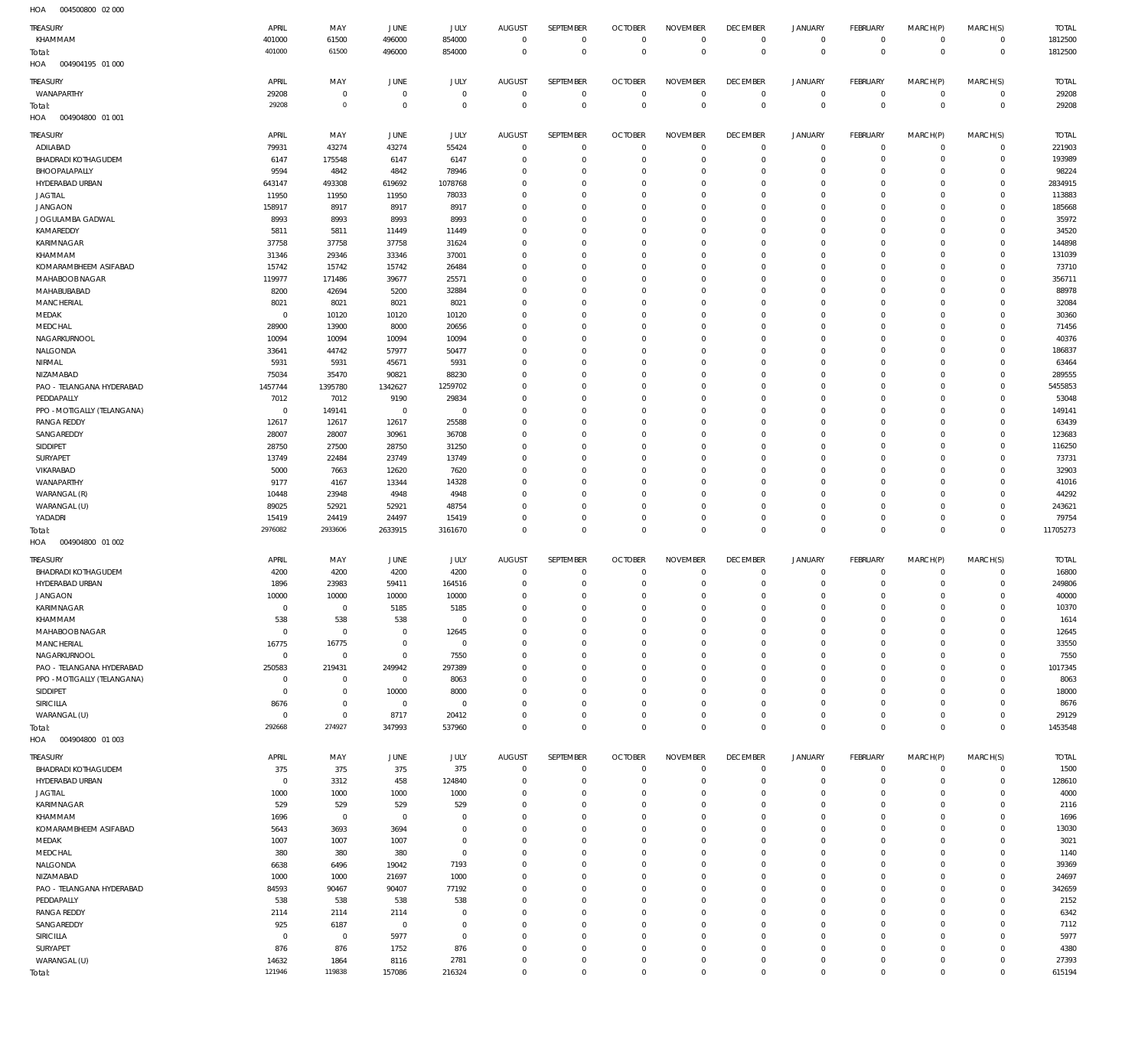| HOA<br>004500800 02 000          |                     |                        |                      |                     |                            |                                    |                                  |                            |                                  |                            |                            |                         |                         |                  |
|----------------------------------|---------------------|------------------------|----------------------|---------------------|----------------------------|------------------------------------|----------------------------------|----------------------------|----------------------------------|----------------------------|----------------------------|-------------------------|-------------------------|------------------|
| TREASURY                         | APRIL               | MAY                    | JUNE                 | <b>JULY</b>         | <b>AUGUST</b>              | SEPTEMBER                          | <b>OCTOBER</b>                   | <b>NOVEMBER</b>            | <b>DECEMBER</b>                  | <b>JANUARY</b>             | FEBRUARY                   | MARCH(P)                | MARCH(S)                | <b>TOTAL</b>     |
| KHAMMAM                          | 401000              | 61500                  | 496000               | 854000              | $\mathbf 0$                | $\mathbf 0$                        | $\overline{0}$                   | $\mathbf 0$                | $\overline{0}$                   | $\mathsf 0$                | $\mathbb O$                | $\mathbf 0$             | $\mathbf 0$             | 1812500          |
| Total:                           | 401000              | 61500                  | 496000               | 854000              | $\overline{0}$             | $\mathbf 0$                        | $\overline{0}$                   | $\overline{0}$             | $\overline{0}$                   | $\overline{0}$             | $\mathbb O$                | $\mathbf 0$             | $\mathbb O$             | 1812500          |
| HOA<br>004904195 01 000          |                     |                        |                      |                     |                            |                                    |                                  |                            |                                  |                            |                            |                         |                         |                  |
| TREASURY                         | APRIL               | MAY                    | JUNE                 | <b>JULY</b>         | <b>AUGUST</b>              | SEPTEMBER                          | <b>OCTOBER</b>                   | <b>NOVEMBER</b>            | <b>DECEMBER</b>                  | <b>JANUARY</b>             | <b>FEBRUARY</b>            | MARCH(P)                | MARCH(S)                | <b>TOTAL</b>     |
| WANAPARTHY                       | 29208               | $\mathbb O$            | $\mathbf 0$          | $\mathbb O$         | $^{\circ}$                 | $\bf 0$                            | $\overline{0}$                   | $\mathbf 0$                | $\overline{0}$                   | $\mathsf 0$                | $\mathbb O$                | $\mathbf 0$             | $\mathbf 0$             | 29208            |
| Total:                           | 29208               | $\mathbb O$            | $\mathbf{0}$         | $\mathbb O$         | $\overline{0}$             | $\mathsf{O}\xspace$                | $\overline{0}$                   | $\mathbf 0$                | $\mathbf 0$                      | $\mathbf 0$                | $\mathbb O$                | $\overline{0}$          | $\mathbb O$             | 29208            |
| HOA<br>004904800 01 001          |                     |                        |                      |                     |                            |                                    |                                  |                            |                                  |                            |                            |                         |                         |                  |
|                                  |                     |                        |                      |                     |                            |                                    |                                  |                            |                                  |                            |                            |                         |                         |                  |
| TREASURY                         | APRIL               | MAY                    | JUNE                 | <b>JULY</b>         | <b>AUGUST</b>              | SEPTEMBER                          | <b>OCTOBER</b>                   | <b>NOVEMBER</b>            | <b>DECEMBER</b>                  | <b>JANUARY</b>             | <b>FEBRUARY</b>            | MARCH(P)                | MARCH(S)                | <b>TOTAL</b>     |
| ADILABAD                         | 79931               | 43274                  | 43274                | 55424               | $\mathbf 0$                | $\mathbf 0$                        | $\overline{0}$                   | $\mathbf 0$                | $\overline{0}$                   | $\mathsf 0$                | $\mathbb O$                | $\mathbf 0$             | $\mathbf 0$             | 221903           |
| <b>BHADRADI KOTHAGUDEM</b>       | 6147                | 175548                 | 6147                 | 6147                | 0                          | 0                                  | $\overline{0}$                   | $\mathbf 0$                | $\mathbf 0$                      | 0                          | $\circ$                    | $^{\circ}$              | $\mathbf 0$             | 193989           |
| BHOOPALAPALLY                    | 9594                | 4842                   | 4842                 | 78946               | 0                          | $\mathbf 0$                        | $\mathbf 0$                      | $\mathbf 0$<br>$\Omega$    | $\overline{0}$<br>$\mathbf 0$    | $\mathbf 0$                | $\circ$                    | $\Omega$                | $\mathbf 0$             | 98224            |
| HYDERABAD URBAN                  | 643147              | 493308                 | 619692               | 1078768             | 0<br>$\Omega$              | $\mathbf 0$<br>$\mathbf 0$         | $\mathbf 0$                      |                            | $\mathbf 0$                      | 0<br>$\mathbf 0$           | $^{\circ}$                 | $\Omega$                | $\mathbf 0$<br>$\Omega$ | 2834915          |
| <b>JAGTIAL</b><br><b>JANGAON</b> | 11950<br>158917     | 11950<br>8917          | 11950<br>8917        | 78033<br>8917       | 0                          | $\mathbf 0$                        | $\mathbf 0$<br>$\mathbf 0$       | $\mathbf 0$<br>$\mathbf 0$ | $\mathbf 0$                      | 0                          | $\mathbf 0$<br>$^{\circ}$  | $\Omega$<br>$\Omega$    | $\Omega$                | 113883<br>185668 |
| JOGULAMBA GADWAL                 | 8993                | 8993                   | 8993                 | 8993                | $\Omega$                   | $\mathbf 0$                        | $\mathbf 0$                      | $\mathbf 0$                | $\mathbf 0$                      | 0                          | $\circ$                    | $\Omega$                | $\Omega$                | 35972            |
| KAMAREDDY                        | 5811                | 5811                   | 11449                | 11449               | $\Omega$                   | $\mathbf 0$                        | $\mathbf 0$                      | $\Omega$                   | $\mathbf 0$                      | 0                          | $^{\circ}$                 | $\Omega$                | $\mathbf 0$             | 34520            |
| <b>KARIMNAGAR</b>                | 37758               | 37758                  | 37758                | 31624               | $\Omega$                   | $\mathbf 0$                        | $\Omega$                         | $\Omega$                   | $\mathbf 0$                      | $\mathbf 0$                | $\mathbf 0$                | $\Omega$                | $\Omega$                | 144898           |
| KHAMMAM                          | 31346               | 29346                  | 33346                | 37001               | 0                          | $\mathbf 0$                        | $\mathbf 0$                      | $\mathbf 0$                | $\mathbf 0$                      | 0                          | $^{\circ}$                 | $\Omega$                | $\mathbf 0$             | 131039           |
| KOMARAMBHEEM ASIFABAD            | 15742               | 15742                  | 15742                | 26484               | $\Omega$                   | $\mathbf 0$                        | $\mathbf 0$                      | $\mathbf 0$                | $\mathbf 0$                      | 0                          | $^{\circ}$                 | $\Omega$                | $\Omega$                | 73710            |
| MAHABOOB NAGAR                   | 119977              | 171486                 | 39677                | 25571               | $\Omega$                   | $\mathbf 0$                        | $\mathbf 0$                      | $\Omega$                   | $\mathbf 0$                      | 0                          | $\mathbf 0$                | $\Omega$                | $\mathbf 0$             | 356711           |
| MAHABUBABAD                      | 8200                | 42694                  | 5200                 | 32884               | $\Omega$                   | $\mathbf 0$                        | $\Omega$                         | $\Omega$                   | $\mathbf 0$                      | 0                          | $\mathbf 0$                | $\Omega$                | $\Omega$                | 88978            |
| <b>MANCHERIAL</b>                | 8021                | 8021                   | 8021                 | 8021                | $\Omega$                   | $\mathbf 0$                        | $\mathbf 0$                      | $\mathbf 0$                | $\mathbf 0$                      | 0                          | $\circ$                    | $\Omega$                | $\Omega$                | 32084            |
| MEDAK                            | $^{\circ}$          | 10120                  | 10120                | 10120               | $\Omega$                   | $\mathbf 0$                        | $\mathbf 0$                      | $\mathbf 0$                | $\mathbf 0$                      | 0                          | $^{\circ}$                 | $\Omega$                | $\Omega$                | 30360            |
| MEDCHAL                          | 28900               | 13900                  | 8000                 | 20656               | $\Omega$                   | $\mathbf 0$                        | $\mathbf 0$                      | $\Omega$                   | $\mathbf 0$                      | 0                          | $\mathbf 0$                | $\Omega$                | $\Omega$                | 71456            |
| NAGARKURNOOL                     | 10094               | 10094                  | 10094                | 10094               | $\Omega$                   | $\mathbf 0$                        | $\mathbf 0$                      | $\mathbf 0$                | $\mathbf 0$                      | 0                          | $\mathbf 0$                | $\Omega$                | $\Omega$                | 40376            |
| NALGONDA                         | 33641               | 44742                  | 57977                | 50477               | $\Omega$                   | $\mathbf 0$                        | $\mathbf 0$                      | $\Omega$                   | $\mathbf 0$                      | 0                          | $^{\circ}$                 | $\Omega$                | $\Omega$                | 186837           |
| NIRMAL                           | 5931                | 5931                   | 45671                | 5931                | $^{\circ}$                 | $\mathbf 0$                        | $\mathbf 0$                      | $\mathbf 0$                | $\mathbf 0$                      | 0                          | $\circ$                    | $\Omega$                | $\Omega$                | 63464            |
| NIZAMABAD                        | 75034               | 35470                  | 90821                | 88230               | $\Omega$                   | $\mathbf 0$                        | $\mathbf 0$                      | $\Omega$                   | $\mathbf 0$                      | 0                          | $^{\circ}$                 | $\Omega$                | $\Omega$                | 289555           |
| PAO - TELANGANA HYDERABAD        | 1457744             | 1395780                | 1342627              | 1259702             | $\Omega$                   | $\mathbf 0$                        | $\mathbf 0$                      | $\mathbf 0$                | $\mathbf 0$                      | $\mathbf 0$                | $\mathbf 0$                | $\Omega$                | $\Omega$                | 5455853          |
| PEDDAPALLY                       | 7012                | 7012                   | 9190                 | 29834               | 0                          | $\mathbf 0$                        | $\mathbf 0$                      | $\Omega$                   | $\mathbf 0$                      | 0                          | $^{\circ}$                 | $\Omega$                | $\Omega$                | 53048            |
| PPO - MOTIGALLY (TELANGANA)      | 0                   | 149141                 | $\mathbf 0$          | $\mathbf 0$         | $\mathbf 0$                | $\mathbf 0$                        | $\mathbf 0$                      | $\mathbf 0$                | $\mathbf 0$                      | $\mathbf 0$                | $\mathbf 0$                | $\Omega$                | $\Omega$                | 149141           |
| <b>RANGA REDDY</b>               | 12617               | 12617                  | 12617                | 25588               | $\Omega$                   | $\mathbf 0$                        | $\mathbf 0$                      | $\Omega$                   | $\mathbf 0$                      | 0                          | $^{\circ}$                 | $\Omega$                | $\mathbf 0$             | 63439            |
| SANGAREDDY                       | 28007               | 28007                  | 30961                | 36708               | $\Omega$                   | $\mathbf 0$                        | $\mathbf 0$                      | $\mathbf 0$                | $\overline{0}$                   | $\mathbf 0$                | $\mathbf 0$                | $\Omega$                | $\Omega$                | 123683           |
| SIDDIPET                         | 28750               | 27500                  | 28750                | 31250               | 0                          | $\mathbf 0$                        | $\mathbf 0$                      | $\Omega$                   | $\mathbf 0$                      | 0                          | $^{\circ}$                 | $\Omega$                | $\Omega$                | 116250           |
| SURYAPET                         | 13749               | 22484                  | 23749                | 13749               | $\Omega$                   | $\mathbf 0$                        | $\mathbf 0$                      | $\mathbf 0$                | $\mathbf 0$                      | $\mathbf 0$                | $\mathbf 0$                | $\Omega$                | $\Omega$                | 73731            |
| VIKARABAD                        | 5000                | 7663                   | 12620                | 7620                | 0                          | $\mathbf 0$                        | $\mathbf 0$                      | $\Omega$                   | $\mathbf 0$                      | 0                          | $^{\circ}$                 | $\Omega$                | $\Omega$                | 32903            |
| WANAPARTHY                       | 9177                | 4167                   | 13344                | 14328               | $\Omega$                   | $\mathbf 0$                        | $\mathbf 0$                      | $\mathbf 0$                | $\mathbf 0$                      | $\mathbf 0$                | $\mathbf 0$                | $\Omega$                | $\Omega$                | 41016            |
|                                  |                     |                        |                      |                     |                            |                                    |                                  |                            |                                  |                            |                            |                         |                         |                  |
| WARANGAL (R)                     | 10448               | 23948                  | 4948                 | 4948                | 0                          | $\mathbf 0$                        | $\mathbf 0$                      | $\mathbf 0$                | $\mathbf 0$                      | 0                          | $^{\circ}$                 | $\Omega$                | $\mathbf 0$             | 44292            |
| WARANGAL (U)                     | 89025               | 52921                  | 52921                | 48754               | $\Omega$                   | $\mathbf 0$                        | $\mathbf 0$                      | $\mathbf 0$                | $\mathbf 0$                      | $\mathbf 0$                | $\mathbf 0$                | $\Omega$                | $\Omega$                | 243621           |
| YADADRI                          | 15419               | 24419                  | 24497                | 15419               | $^{\circ}$                 | $\mathbf 0$                        | $\mathbf 0$                      | $\mathbf 0$                | $\overline{0}$                   | $\mathsf{O}\xspace$        | $\mathbb O$                | $\circ$                 | $\mathbf 0$             | 79754            |
| Total:                           | 2976082             | 2933606                | 2633915              | 3161670             | $\Omega$                   | $\mathbf 0$                        | $\overline{0}$                   | $\mathbf 0$                | $\overline{0}$                   | $\mathbf 0$                | $\mathbf 0$                | $\overline{0}$          | $\mathbb O$             | 11705273         |
| HOA<br>004904800 01 002          |                     |                        |                      |                     |                            |                                    |                                  |                            |                                  |                            |                            |                         |                         |                  |
| <b>TREASURY</b>                  | APRIL               | MAY                    | JUNE                 | JULY                | <b>AUGUST</b>              | SEPTEMBER                          | <b>OCTOBER</b>                   | <b>NOVEMBER</b>            | <b>DECEMBER</b>                  | <b>JANUARY</b>             | FEBRUARY                   | MARCH(P)                | MARCH(S)                | <b>TOTAL</b>     |
| <b>BHADRADI KOTHAGUDEM</b>       | 4200                | 4200                   | 4200                 | 4200                | $\overline{0}$             | 0                                  | $\overline{0}$                   | $\mathbf 0$                | $\overline{0}$                   | $\overline{0}$             | 0                          | $^{\circ}$              | $\mathbf 0$             | 16800            |
| HYDERABAD URBAN                  | 1896                | 23983                  | 59411                | 164516              | 0                          | 0                                  | $\overline{0}$                   | $\mathbf 0$                | $\overline{0}$                   | $\mathbf 0$                | $\mathbb O$                | $\circ$                 | $\mathbf 0$             | 249806           |
| <b>JANGAON</b>                   | 10000               | 10000                  | 10000                | 10000               | $\Omega$                   | $\mathbf 0$                        | $\overline{0}$                   | $\mathbf 0$                | $\overline{0}$                   | $\mathbf 0$                | $\mathbf 0$                | $^{\circ}$              | $\mathbf 0$             | 40000            |
| KARIMNAGAR                       | $\Omega$            | $\mathbb O$            | 5185                 | 5185                | 0                          | $\mathbf 0$                        | $\Omega$                         | 0                          | $\mathbf 0$                      | 0                          | $\mathbf{0}$               | $\Omega$                | $\Omega$                | 10370            |
| KHAMMAM                          | 538                 | 538                    | 538                  | $\mathbf 0$         | $\mathbf 0$                | $\mathsf{O}\xspace$                | $\overline{0}$                   | $\mathbf 0$                | $\overline{0}$                   | $\mathbf 0$                | $\mathbb O$                | $^{\circ}$              | $\Omega$                | 1614             |
| MAHABOOB NAGAR                   | $\overline{0}$      | $\mathbb O$            | $\mathbf 0$          | 12645               | $\mathbf 0$                | $\mathsf{O}\xspace$                | $\overline{0}$                   | $\mathbf 0$                | $\overline{0}$                   | $\mathbf 0$                | $\mathbf 0$                | $\Omega$                | $\circ$                 | 12645            |
| <b>MANCHERIAL</b>                | 16775               | 16775                  | $\mathbf 0$          | $\mathbf 0$         | $\mathbf 0$                | $\mathbf 0$                        | $\overline{0}$                   | $\mathbf 0$                | $\overline{0}$                   | $\mathbf 0$                | $\mathbf 0$                | $\Omega$                | $\circ$                 | 33550            |
| NAGARKURNOOL                     | $\overline{0}$      | $\mathbb O$            | $\mathbf 0$          | 7550                | $\mathbf 0$                | $\mathbf 0$                        | $\overline{0}$                   | $\mathbf 0$                | $\overline{0}$                   | $\mathbf 0$                | $\mathbf 0$                | $\Omega$                | $\circ$                 | 7550             |
| PAO - TELANGANA HYDERABAD        | 250583              | 219431                 | 249942               | 297389              | $\Omega$                   | $\mathbf 0$                        | $\overline{0}$                   | $\mathbf 0$                | $\overline{0}$                   | $\mathbf 0$                | $\mathbf 0$                | $\Omega$<br>$\Omega$    | $\circ$                 | 1017345          |
| PPO - MOTIGALLY (TELANGANA)      | $\overline{0}$      | $\mathbb O$            | $\mathbf 0$          | 8063                | $\mathbf 0$                | $\mathbf 0$                        | $\overline{0}$                   | $\mathbf 0$                | $\overline{0}$                   | $\mathsf{O}\xspace$        | $\mathbf 0$                | $\Omega$                | $\circ$<br>$\Omega$     | 8063             |
| SIDDIPET<br>SIRICILLA            | $\mathbf 0$<br>8676 | $\,0\,$<br>$\mathbb O$ | 10000<br>$\mathbf 0$ | 8000<br>$\mathbb O$ | $\mathbf 0$<br>$\mathbf 0$ | $\mathbf 0$<br>$\mathbf 0$         | $\overline{0}$<br>$\overline{0}$ | $\mathbf 0$<br>$\mathbf 0$ | $\overline{0}$<br>$\overline{0}$ | $\mathbf 0$<br>$\mathbf 0$ | $\mathbf 0$<br>$\mathbf 0$ | $\Omega$                | $\circ$                 | 18000<br>8676    |
| WARANGAL (U)                     | $\overline{0}$      | $\,0\,$                | 8717                 | 20412               | $\mathbf 0$                | $\mathbf 0$                        | $\overline{0}$                   | $\mathbf 0$                | $\overline{0}$                   | $\mathbf 0$                | $\mathbf 0$                | $^{\circ}$              | $\mathbf 0$             | 29129            |
| Total:                           | 292668              | 274927                 | 347993               | 537960              | $\mathbf 0$                | $\mathbf 0$                        | $\overline{0}$                   | $\mathbf 0$                | $\overline{0}$                   | $\mathbf 0$                | $\mathbb O$                | $\mathbf 0$             | $\mathbb O$             | 1453548          |
| 004904800 01 003<br>HOA          |                     |                        |                      |                     |                            |                                    |                                  |                            |                                  |                            |                            |                         |                         |                  |
|                                  |                     |                        |                      |                     |                            |                                    |                                  |                            |                                  |                            |                            |                         |                         |                  |
| <b>TREASURY</b>                  | APRIL               | MAY                    | JUNE                 | JULY                | <b>AUGUST</b>              | SEPTEMBER                          | <b>OCTOBER</b>                   | <b>NOVEMBER</b>            | <b>DECEMBER</b>                  | JANUARY                    | FEBRUARY                   | MARCH(P)                | MARCH(S)                | <b>TOTAL</b>     |
| <b>BHADRADI KOTHAGUDEM</b>       | 375                 | 375                    | 375                  | 375                 | $\mathbf 0$                | $\mathbf 0$                        | $\overline{0}$                   | $\mathbf 0$                | $\overline{0}$                   | $\mathsf 0$                | $\mathbb O$                | $^{\circ}$              | $\mathbf 0$             | 1500             |
| HYDERABAD URBAN                  | $\overline{0}$      | 3312                   | 458                  | 124840              | $\mathbf 0$                | $\bf 0$                            | $\overline{0}$                   | $\Omega$                   | $\overline{0}$                   | $\mathbf 0$                | $\mathbb O$                | $^{\circ}$              | $\mathbf 0$             | 128610           |
| <b>JAGTIAL</b>                   | 1000                | 1000                   | 1000                 | 1000                | $\Omega$                   | $\mathbf 0$                        | $\overline{0}$                   | $\mathbf 0$                | $\overline{0}$                   | $\mathbf 0$                | $\mathbf 0$                | $\Omega$                | $\circ$                 | 4000             |
| KARIMNAGAR                       | 529                 | 529                    | 529<br>$\mathbf{0}$  | 529<br>$\mathbf 0$  | $\mathbf 0$<br>$\Omega$    | $\mathbf 0$<br>$\mathbf 0$         | $\mathbf 0$<br>$\mathbf 0$       | $\mathbf 0$<br>$\Omega$    | $\overline{0}$<br>$\overline{0}$ | $\mathbf 0$<br>$\mathbf 0$ | $\mathbf 0$                | $\Omega$<br>$\Omega$    | $\mathbf 0$<br>$\Omega$ | 2116             |
| KHAMMAM                          | 1696                | $\,0\,$                |                      | $\mathbf 0$         | $\Omega$                   | $\mathbf 0$                        | $\mathbf 0$                      | $\Omega$                   | $\overline{0}$                   | $\mathbf 0$                | $\mathbf 0$<br>$\mathbf 0$ | $\Omega$                | $\circ$                 | 1696             |
| KOMARAMBHEEM ASIFABAD            | 5643                | 3693                   | 3694                 | $\mathbf 0$         | $\Omega$                   | $\mathbf 0$                        | $\mathbf 0$                      | $\Omega$                   | $\overline{0}$                   | $\mathbf 0$                | $\mathbf 0$                | $\Omega$                | $\circ$                 | 13030            |
| MEDAK<br>MEDCHAL                 | 1007<br>380         | 1007<br>380            | 1007<br>380          | $\mathbf 0$         | $\Omega$                   | $\mathbf 0$                        | $\mathbf 0$                      | $\mathbf 0$                | $\overline{0}$                   | $\mathbf 0$                | $\mathbf 0$                | $\Omega$                | $\circ$                 | 3021<br>1140     |
| NALGONDA                         | 6638                | 6496                   | 19042                | 7193                | $\Omega$                   | $\mathbf 0$                        | $\mathbf 0$                      | $\Omega$                   | $\mathbf 0$                      | $\mathbf 0$                | $\mathbf 0$                | $\Omega$                | $\Omega$                | 39369            |
| NIZAMABAD                        | 1000                | 1000                   | 21697                | 1000                | $\Omega$                   | $\mathbf 0$                        | $\mathbf 0$                      | $\Omega$                   | $\overline{0}$                   | $\mathbf 0$                | $\mathbf 0$                | $\Omega$                | $\circ$                 | 24697            |
| PAO - TELANGANA HYDERABAD        | 84593               | 90467                  | 90407                | 77192               | $\Omega$                   | $\mathbf 0$                        | $\mathbf 0$                      | $\Omega$                   | $\overline{0}$                   | $\mathbf 0$                | $\mathbf 0$                | $\Omega$                | $\circ$                 | 342659           |
| PEDDAPALLY                       | 538                 | 538                    | 538                  | 538                 | $\mathbf 0$                | $\mathbf 0$                        | $\overline{0}$                   | $\Omega$                   | $\overline{0}$                   | $\mathbf 0$                | $\mathbf 0$                | $\Omega$                | $\circ$                 | 2152             |
| <b>RANGA REDDY</b>               | 2114                | 2114                   | 2114                 | $\mathbf 0$         | $\mathbf 0$                | $\mathbf 0$                        | $\mathbf 0$                      | $\mathbf 0$                | $\mathbf 0$                      | $\mathbf 0$                | $\mathbf 0$                | $\Omega$                | $\Omega$                | 6342             |
| SANGAREDDY                       | 925                 | 6187                   | $\mathbf 0$          | $\mathbf 0$         | $\Omega$                   | $\mathbf 0$                        | $\mathbf 0$                      | $\Omega$                   | $\overline{0}$                   | $\mathbf 0$                | $\mathbf 0$                | $\Omega$                | $\circ$                 | 7112             |
| SIRICILLA                        | $\overline{0}$      | $\,0\,$                | 5977                 | $\mathbf 0$         | $\Omega$                   | $\mathbf 0$                        | $\mathbf 0$                      | $\mathbf 0$                | $\overline{0}$                   | $\mathbf 0$                | $\mathbf 0$                | $\Omega$                | $\circ$                 | 5977             |
| SURYAPET                         | 876                 | 876                    | 1752                 | 876                 | $\Omega$                   | $\mathbf 0$                        | $\mathbf 0$                      | $\mathbf 0$                | $\overline{0}$                   | $\mathbf 0$                | $\mathbf 0$                | $\Omega$                | $\circ$                 | 4380             |
| WARANGAL (U)<br>Total:           | 14632<br>121946     | 1864<br>119838         | 8116<br>157086       | 2781<br>216324      | $\mathbf 0$<br>$\mathbf 0$ | $\mathsf{O}\xspace$<br>$\mathbf 0$ | $\mathbf 0$<br>$\mathbf 0$       | $\mathbf 0$<br>$\mathbf 0$ | $\overline{0}$<br>$\overline{0}$ | $\mathbf 0$<br>$\mathbf 0$ | $\mathbf 0$<br>$\mathbb O$ | $\Omega$<br>$\mathbf 0$ | $\circ$<br>$\mathbb O$  | 27393<br>615194  |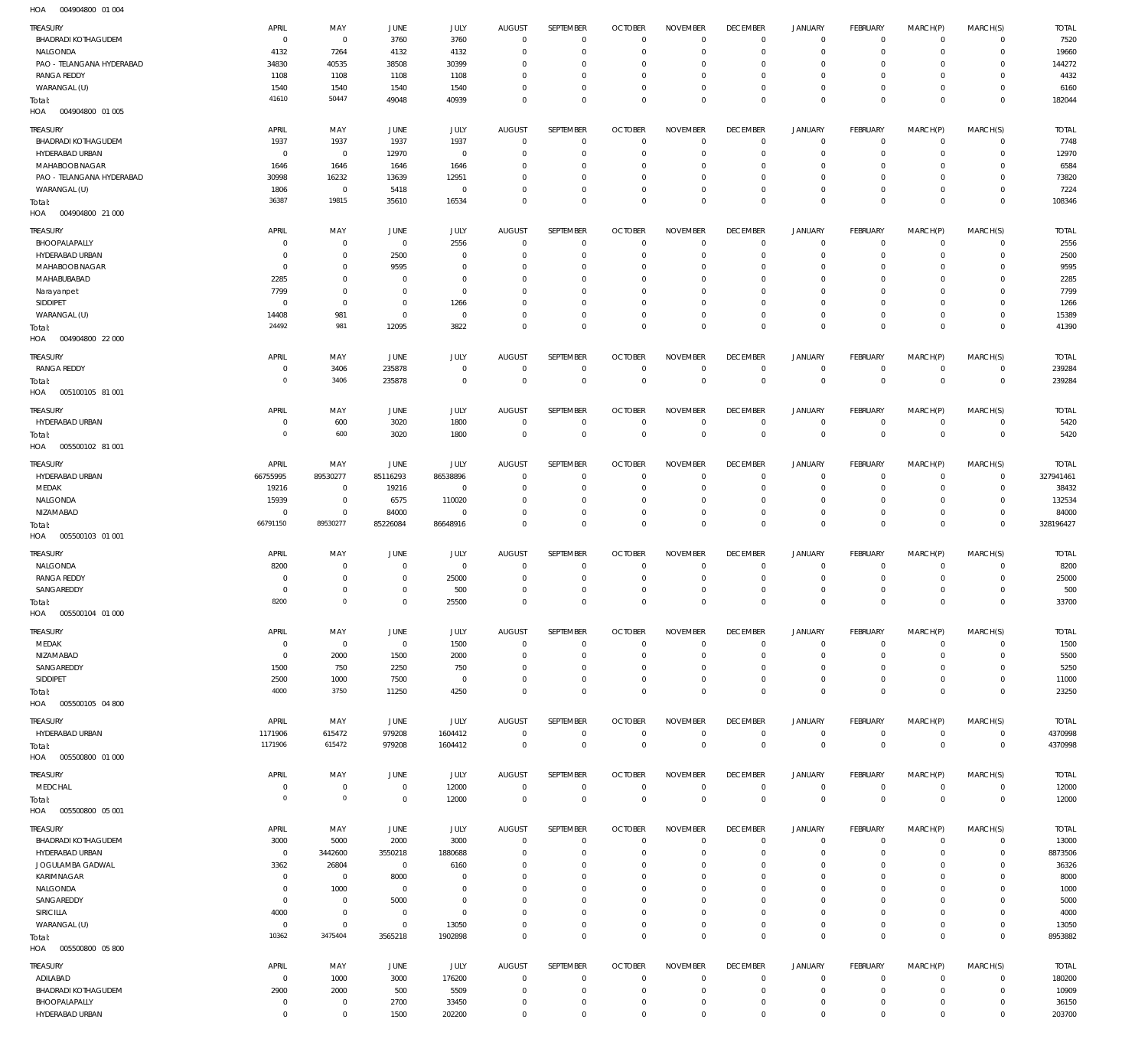004904800 01 004 HOA

| <b>TREASURY</b>                                 | APRIL                  | MAY                        | <b>JUNE</b>                      | JULY                | <b>AUGUST</b>                 | SEPTEMBER                | <b>OCTOBER</b>                   | <b>NOVEMBER</b>                 | <b>DECEMBER</b>                   | JANUARY                       | <b>FEBRUARY</b>               | MARCH(P)                | MARCH(S)                   | <b>TOTAL</b>           |
|-------------------------------------------------|------------------------|----------------------------|----------------------------------|---------------------|-------------------------------|--------------------------|----------------------------------|---------------------------------|-----------------------------------|-------------------------------|-------------------------------|-------------------------|----------------------------|------------------------|
| <b>BHADRADI KOTHAGUDEM</b>                      | $\overline{0}$         | $^{\circ}$                 | 3760                             | 3760                | $\mathbf{0}$                  | $\mathbf 0$              | $\overline{0}$                   | $^{\circ}$                      | $\overline{0}$                    | $^{\circ}$                    | $^{\circ}$                    | $\Omega$                | $\Omega$                   | 7520                   |
| NALGONDA                                        | 4132                   | 7264                       | 4132                             | 4132                | $\overline{0}$                | $\mathbf 0$              | $\overline{0}$                   | $^{\circ}$                      | $\overline{0}$                    | $^{\circ}$                    | $\mathbf{0}$                  | $\Omega$                | $\mathbf 0$                | 19660                  |
| PAO - TELANGANA HYDERABAD<br><b>RANGA REDDY</b> | 34830<br>1108          | 40535<br>1108              | 38508<br>1108                    | 30399<br>1108       | $\mathbf 0$<br>$\Omega$       | 0<br>0                   | $\overline{0}$<br>$\overline{0}$ | $\mathbf 0$<br>$\mathbf 0$      | $^{\circ}$<br>$\overline{0}$      | $^{\circ}$<br>$^{\circ}$      | $^{\circ}$<br>$^{\circ}$      | $\Omega$                | $\mathbf 0$<br>$\Omega$    | 144272<br>4432         |
| WARANGAL (U)                                    | 1540                   | 1540                       | 1540                             | 1540                | $\mathbf 0$                   | 0                        | $\overline{0}$                   | $\mathbf 0$                     | $\overline{0}$                    | $\mathbf 0$                   | $\mathbf{0}$                  | $\Omega$                | $\mathbf 0$                | 6160                   |
| Total:<br>HOA<br>004904800 01 005               | 41610                  | 50447                      | 49048                            | 40939               | $\Omega$                      | 0                        | $\overline{0}$                   | $\mathbf 0$                     | $\overline{0}$                    | $\mathbf 0$                   | $\overline{0}$                | $\Omega$                | $\mathbf{0}$               | 182044                 |
|                                                 |                        |                            |                                  |                     |                               |                          |                                  |                                 |                                   |                               |                               |                         |                            |                        |
| TREASURY<br>BHADRADI KOTHAGUDEM                 | APRIL<br>1937          | MAY<br>1937                | <b>JUNE</b><br>1937              | JULY<br>1937        | <b>AUGUST</b><br>$\mathbf{0}$ | SEPTEMBER<br>$\mathbf 0$ | <b>OCTOBER</b><br>$\overline{0}$ | <b>NOVEMBER</b><br>$\mathbf 0$  | <b>DECEMBER</b><br>$\mathbf 0$    | <b>JANUARY</b><br>$\mathbf 0$ | <b>FEBRUARY</b><br>$^{\circ}$ | MARCH(P)<br>$\mathbf 0$ | MARCH(S)<br>$\mathbf 0$    | <b>TOTAL</b><br>7748   |
| HYDERABAD URBAN                                 | $^{\circ}$             | $^{\circ}$                 | 12970                            | $\overline{0}$      | $\mathbf 0$                   | 0                        | $\overline{0}$                   | $\mathbf 0$                     | $\overline{0}$                    | $^{\circ}$                    | $^{\circ}$                    | $\Omega$                | $\Omega$                   | 12970                  |
| MAHABOOB NAGAR                                  | 1646                   | 1646                       | 1646                             | 1646                | $\mathbf 0$                   | 0                        | $\overline{0}$                   | $\mathbf 0$                     | $^{\circ}$                        | $\mathbf 0$                   | $^{\circ}$                    | $\Omega$                | $\Omega$                   | 6584                   |
| PAO - TELANGANA HYDERABAD                       | 30998                  | 16232                      | 13639                            | 12951               | 0                             | 0                        | $\overline{0}$                   | 0                               | $\overline{0}$                    | $\mathbf 0$                   | $^{\circ}$                    | $\Omega$                | $\Omega$                   | 73820                  |
| WARANGAL (U)                                    | 1806                   | $^{\circ}$                 | 5418                             | $\overline{0}$      | $\mathbf 0$                   | 0                        | $\overline{0}$                   | $\mathbf 0$                     | $\overline{0}$                    | $\mathbf 0$                   | $^{\circ}$                    | $\Omega$                | $\Omega$                   | 7224                   |
| Total:                                          | 36387                  | 19815                      | 35610                            | 16534               | $\mathbf 0$                   | 0                        | $\overline{0}$                   | $\mathbf 0$                     | $\mathbb O$                       | $\mathbf 0$                   | $\overline{0}$                | $\Omega$                | $\mathbf{0}$               | 108346                 |
| HOA<br>004904800 21 000                         |                        |                            |                                  |                     |                               |                          |                                  |                                 |                                   |                               |                               |                         |                            |                        |
| <b>TREASURY</b>                                 | APRIL                  | MAY                        | <b>JUNE</b>                      | JULY                | <b>AUGUST</b>                 | SEPTEMBER                | <b>OCTOBER</b>                   | <b>NOVEMBER</b>                 | <b>DECEMBER</b>                   | <b>JANUARY</b>                | <b>FEBRUARY</b>               | MARCH(P)                | MARCH(S)                   | <b>TOTAL</b>           |
| BHOOPALAPALLY                                   | $^{\circ}$             | $\mathbf 0$                | $\overline{0}$                   | 2556                | $\mathbf{0}$                  | $\mathbf 0$              | $\overline{0}$                   | $\mathbf 0$                     | $\overline{0}$                    | $^{\circ}$                    | $^{\circ}$                    | $\mathbf 0$             | $\mathbf 0$                | 2556                   |
| HYDERABAD URBAN                                 | $\mathbf 0$            | $\mathbf 0$                | 2500                             | $\mathbf 0$         | $\overline{0}$                | 0                        | $\overline{0}$                   | $\Omega$                        | $\overline{0}$                    | $^{\circ}$                    | $^{\circ}$                    | $\Omega$                | $\mathbf 0$                | 2500                   |
| MAHABOOB NAGAR                                  | $^{\circ}$             | $\mathbf 0$                | 9595                             | $\mathbf 0$         | $\mathbf 0$                   | 0                        | $\overline{0}$                   | $\mathbf 0$                     | $\overline{0}$                    | $\Omega$                      | $^{\circ}$                    | $\Omega$                | $\Omega$                   | 9595                   |
| MAHABUBABAD                                     | 2285                   | $\mathbf 0$                | $\overline{0}$                   | $\mathbf 0$         | $\mathbf 0$                   | 0                        | $\overline{0}$                   | $\Omega$                        | $\overline{0}$                    | $^{\circ}$                    | $^{\circ}$                    | $\Omega$                | $\Omega$                   | 2285                   |
| Narayanpet<br>SIDDIPET                          | 7799<br>$\mathbf 0$    | $\mathbf 0$<br>$\mathbf 0$ | $\overline{0}$<br>$\overline{0}$ | $\mathbf 0$<br>1266 | $\mathbf 0$<br>$\mathbf 0$    | 0<br>0                   | $\overline{0}$<br>$\overline{0}$ | $\mathbf 0$<br>$\Omega$         | $\overline{0}$<br>$\overline{0}$  | $\mathbf 0$<br>$\mathbf 0$    | $^{\circ}$<br>$^{\circ}$      | $\Omega$<br>$\Omega$    | $\Omega$<br>$\Omega$       | 7799<br>1266           |
| WARANGAL (U)                                    | 14408                  | 981                        | $\overline{0}$                   | $\overline{0}$      | $\mathbf 0$                   | 0                        | $\overline{0}$                   | $\mathbf 0$                     | $\overline{0}$                    | $^{\circ}$                    | $\mathbf{0}$                  | $\Omega$                | $\mathbf 0$                | 15389                  |
| Total:                                          | 24492                  | 981                        | 12095                            | 3822                | $\overline{0}$                | 0                        | $\overline{0}$                   | $\Omega$                        | $\,0\,$                           | $\mathbf 0$                   | $\mathbb O$                   | $\Omega$                | $\mathbf{0}$               | 41390                  |
| HOA<br>004904800 22 000                         |                        |                            |                                  |                     |                               |                          |                                  |                                 |                                   |                               |                               |                         |                            |                        |
|                                                 |                        |                            |                                  |                     |                               | <b>SEPTEMBER</b>         |                                  |                                 |                                   |                               |                               |                         |                            |                        |
| TREASURY<br><b>RANGA REDDY</b>                  | APRIL<br>$\mathbf 0$   | MAY<br>3406                | <b>JUNE</b><br>235878            | JULY<br>$\mathbf 0$ | <b>AUGUST</b><br>$^{\circ}$   | $\mathbf 0$              | <b>OCTOBER</b><br>$^{\circ}$     | <b>NOVEMBER</b><br>$\mathbf 0$  | <b>DECEMBER</b><br>$\overline{0}$ | <b>JANUARY</b><br>$\mathbf 0$ | FEBRUARY<br>$^{\circ}$        | MARCH(P)<br>$\circ$     | MARCH(S)<br>$\mathbf 0$    | <b>TOTAL</b><br>239284 |
| Total:                                          | $\mathbf 0$            | 3406                       | 235878                           | $\mathbf 0$         | $\mathbf{0}$                  | $\mathbf 0$              | $\mathbb O$                      | $\mathbf 0$                     | $\,0\,$                           | $\mathbf 0$                   | $\overline{0}$                | $^{\circ}$              | $\mathbf{0}$               | 239284                 |
| 005100105 81 001<br>HOA                         |                        |                            |                                  |                     |                               |                          |                                  |                                 |                                   |                               |                               |                         |                            |                        |
| <b>TREASURY</b>                                 | APRIL                  | MAY                        | <b>JUNE</b>                      | JULY                | AUGUST                        | SEPTEMBER                | <b>OCTOBER</b>                   | <b>NOVEMBER</b>                 | <b>DECEMBER</b>                   | <b>JANUARY</b>                | <b>FEBRUARY</b>               | MARCH(P)                | MARCH(S)                   | <b>TOTAL</b>           |
| HYDERABAD URBAN                                 | $^{\circ}$             | 600                        | 3020                             | 1800                | $\mathbf{0}$                  | $\mathbf 0$              | $\overline{0}$                   | $\mathbf 0$                     | $^{\circ}$                        | $^{\circ}$                    | $^{\circ}$                    | $\mathbf 0$             | $\mathbf 0$                | 5420                   |
| Total:<br>005500102 81 001<br>HOA               | $\mathbf 0$            | 600                        | 3020                             | 1800                | $\overline{0}$                | $\mathbf 0$              | $\overline{0}$                   | $\mathbf 0$                     | $\overline{0}$                    | $\overline{0}$                | $\overline{0}$                | $^{\circ}$              | $\mathbf{0}$               | 5420                   |
| TREASURY                                        | APRIL                  | MAY                        | <b>JUNE</b>                      | JULY                | <b>AUGUST</b>                 | SEPTEMBER                | <b>OCTOBER</b>                   | <b>NOVEMBER</b>                 | <b>DECEMBER</b>                   | <b>JANUARY</b>                | <b>FEBRUARY</b>               | MARCH(P)                | MARCH(S)                   | <b>TOTAL</b>           |
| HYDERABAD URBAN                                 | 66755995               | 89530277                   | 85116293                         | 86538896            | $^{\circ}$                    | $\mathbf 0$              | $\overline{0}$                   | $\mathbf{0}$                    | $\overline{0}$                    | $^{\circ}$                    | $^{\circ}$                    | $\mathbf 0$             | $\mathbf 0$                | 327941461              |
| MEDAK                                           | 19216                  | $\mathbf 0$                | 19216                            | $\overline{0}$      | $\mathbf 0$                   | 0                        | $\overline{0}$                   | $\mathbf 0$                     | $\mathbf 0$                       | $^{\circ}$                    | $^{\circ}$                    | $\Omega$                | $\mathbf 0$                | 38432                  |
| NALGONDA                                        | 15939                  | $\mathbf 0$                | 6575                             | 110020              | $\mathbf 0$                   | 0                        | $\overline{0}$                   | $\mathbf 0$                     | $^{\circ}$                        | $\mathbf 0$                   | $^{\circ}$                    | $\Omega$                | $\Omega$                   | 132534                 |
|                                                 |                        | $\mathbf 0$                | 84000                            | $\mathbf 0$         | $\mathbf 0$                   | 0                        | $\mathbf{0}$                     | $\mathbf 0$                     | $\overline{0}$                    | $\mathbf 0$                   | $^{\circ}$                    | $\Omega$                | $\mathbf 0$                | 84000                  |
| NIZAMABAD                                       | $\mathbf 0$            |                            |                                  |                     |                               |                          |                                  |                                 |                                   |                               |                               |                         |                            |                        |
| Total:<br>005500103 01 001                      | 66791150               | 89530277                   | 85226084                         | 86648916            | $\overline{0}$                | 0                        | $\mathbb O$                      | $\mathbf 0$                     | $\mathbf 0$                       | $\mathbf 0$                   | $\overline{0}$                | $\Omega$                | $\mathbf{0}$               | 328196427              |
| HOA                                             |                        |                            |                                  |                     |                               |                          |                                  |                                 |                                   |                               |                               |                         |                            |                        |
| TREASURY                                        | APRIL                  | MAY                        | <b>JUNE</b>                      | JULY                | AUGUST                        | SEPTEMBER                | <b>OCTOBER</b>                   | <b>NOVEMBER</b>                 | <b>DECEMBER</b>                   | <b>JANUARY</b>                | <b>FEBRUARY</b>               | MARCH(P)                | MARCH(S)                   | <b>TOTAL</b>           |
| NALGONDA                                        | 8200                   | $\mathbf 0$                | $\overline{0}$                   | $\overline{0}$      | $\mathbf{0}$                  | $\mathbf 0$              | $^{\circ}$                       | $\mathbf 0$                     | $^{\circ}$                        | $^{\circ}$                    | $^{\circ}$                    | $\Omega$                | $\mathbf 0$                | 8200                   |
| <b>RANGA REDDY</b><br>SANGAREDDY                | 0<br>$^{\circ}$        | $\mathbf 0$<br>$\mathbf 0$ | $\overline{0}$<br>$\overline{0}$ | 25000<br>500        | $^{\circ}$<br>$^{\circ}$      | 0<br>0                   | $\overline{0}$<br>$\overline{0}$ | $\mathbf 0$<br>$\mathbf 0$      | $\overline{0}$<br>$\overline{0}$  | $^{\circ}$<br>$^{\circ}$      | $^{\circ}$<br>$^{\circ}$      | $\Omega$<br>$\Omega$    | $\mathbf 0$<br>$\mathbf 0$ | 25000<br>500           |
| Total:                                          | 8200                   | $\mathbf 0$                | $\overline{0}$                   | 25500               | $\Omega$                      | 0                        | $\overline{0}$                   | $\mathbf 0$                     | $\,0\,$                           | $\mathbf 0$                   | $\overline{0}$                | $\Omega$                | $\mathbf{0}$               | 33700                  |
| HOA<br>005500104 01 000                         |                        |                            |                                  |                     |                               |                          |                                  |                                 |                                   |                               |                               |                         |                            |                        |
|                                                 |                        |                            |                                  |                     |                               |                          |                                  |                                 |                                   |                               |                               |                         |                            |                        |
| TREASURY<br>MEDAK                               | APRIL<br>$\mathbf 0$   | MAY<br>$\mathbf 0$         | JUNE<br>$\overline{0}$           | JULY<br>1500        | <b>AUGUST</b><br>$\mathbf{0}$ | SEPTEMBER<br>$\mathbf 0$ | <b>OCTOBER</b><br>$\overline{0}$ | <b>NOVEMBER</b><br>$\mathbf 0$  | <b>DECEMBER</b><br>$\overline{0}$ | <b>JANUARY</b><br>$\mathbf 0$ | FEBRUARY<br>$^{\circ}$        | MARCH(P)<br>$\mathbf 0$ | MARCH(S)<br>$\Omega$       | <b>TOTAL</b><br>1500   |
| NIZAMABAD                                       | $\mathbf 0$            | 2000                       | 1500                             | 2000                | $\mathbf 0$                   | 0                        | $\overline{0}$                   | $\mathbf 0$                     | $\overline{0}$                    | $\mathbf 0$                   | $^{\circ}$                    | $\circ$                 | $\mathbf 0$                | 5500                   |
| SANGAREDDY                                      | 1500                   | 750                        | 2250                             | 750                 | 0                             | 0                        | $\mathbf 0$                      | $\mathbf 0$                     | $\mathbf 0$                       | $\mathbf 0$                   | $^{\circ}$                    |                         | $\Omega$                   | 5250                   |
| SIDDIPET                                        | 2500                   | 1000                       | 7500                             | $\overline{0}$      | $\mathbf 0$                   | 0                        | $^{\circ}$                       | $\mathbf 0$                     | $\overline{0}$                    | $\mathbf 0$                   | $^{\circ}$                    | $\circ$                 | $\mathbf 0$                | 11000                  |
| Total:                                          | 4000                   | 3750                       | 11250                            | 4250                | $\mathbf 0$                   | 0                        | $\mathbf{0}$                     | $\mathbf 0$                     | $\overline{0}$                    | $\mathbf 0$                   | $\overline{0}$                | $\Omega$                | $\mathbf{0}$               | 23250                  |
| 005500105 04 800<br>HOA                         |                        |                            |                                  |                     |                               |                          |                                  |                                 |                                   |                               |                               |                         |                            |                        |
| <b>TREASURY</b>                                 | APRIL                  | MAY                        | JUNE                             | JULY                | <b>AUGUST</b>                 | SEPTEMBER                | <b>OCTOBER</b>                   | <b>NOVEMBER</b>                 | <b>DECEMBER</b>                   | <b>JANUARY</b>                | FEBRUARY                      | MARCH(P)                | MARCH(S)                   | <b>TOTAL</b>           |
| HYDERABAD URBAN                                 | 1171906                | 615472                     | 979208                           | 1604412             | $\overline{0}$                | $\mathbf{0}$             | $\overline{0}$                   | $\mathbf 0$                     | $\overline{0}$                    | $\mathbf 0$                   | $\mathbf{0}$                  | $\mathbf 0$             | $\mathbf 0$                | 4370998                |
| Total:                                          | 1171906                | 615472                     | 979208                           | 1604412             | $\overline{0}$                | $\mathbf 0$              | $\mathbb O$                      | $\mathbf 0$                     | $\overline{0}$                    | $\mathbb O$                   | $\overline{0}$                | $\mathbf{0}$            | $\mathbb O$                | 4370998                |
| 005500800 01 000<br>HOA                         |                        |                            |                                  |                     |                               |                          |                                  |                                 |                                   |                               |                               |                         |                            |                        |
| TREASURY                                        | APRIL                  | MAY                        | JUNE                             | JULY                | <b>AUGUST</b>                 | SEPTEMBER                | <b>OCTOBER</b>                   | <b>NOVEMBER</b>                 | <b>DECEMBER</b>                   | <b>JANUARY</b>                | FEBRUARY                      | MARCH(P)                | MARCH(S)                   | <b>TOTAL</b>           |
| MEDCHAL                                         | $\mathbf 0$            | $\mathbf 0$                | $\overline{0}$                   | 12000               | $\mathbf{0}$                  | $\mathbf{0}$             | $\overline{0}$                   | $\mathbf 0$                     | $\mathbf 0$                       | $\mathbf 0$                   | $^{\circ}$                    | $\mathbf 0$             | $\mathbf 0$                | 12000                  |
| Total:<br>005500800 05 001<br>HOA               | $\overline{0}$         | $\mathbf 0$                | $\overline{0}$                   | 12000               | $\mathbf{0}$                  | $\overline{0}$           | $\mathbb O$                      | $\mathbf 0$                     | $\,0\,$                           | $\mathbf 0$                   | $\overline{0}$                | $\mathbf{0}$            | $\mathbf{0}$               | 12000                  |
|                                                 |                        |                            |                                  |                     |                               |                          |                                  |                                 |                                   |                               |                               |                         |                            |                        |
| <b>TREASURY</b>                                 | APRIL                  | MAY                        | JUNE                             | JULY                | <b>AUGUST</b><br>$\mathbf{0}$ | SEPTEMBER<br>$\mathbf 0$ | <b>OCTOBER</b>                   | <b>NOVEMBER</b><br>$\mathbf{0}$ | <b>DECEMBER</b><br>$^{\circ}$     | <b>JANUARY</b><br>$^{\circ}$  | FEBRUARY<br>$^{\circ}$        | MARCH(P)<br>$\Omega$    | MARCH(S)<br>$\mathbf 0$    | <b>TOTAL</b>           |
| BHADRADI KOTHAGUDEM                             | 3000<br>$\overline{0}$ | 5000                       | 2000                             | 3000                | $\mathbf 0$                   | 0                        | $\overline{0}$<br>$\overline{0}$ | $\mathbf 0$                     | $\overline{0}$                    | $^{\circ}$                    | $^{\circ}$                    | $\Omega$                | $\mathbf 0$                | 13000                  |
| HYDERABAD URBAN<br>JOGULAMBA GADWAL             | 3362                   | 3442600<br>26804           | 3550218<br>$\overline{0}$        | 1880688<br>6160     | $\mathbf 0$                   | 0                        | $\overline{0}$                   | $\mathbf 0$                     | $^{\circ}$                        | $\mathbf 0$                   | $^{\circ}$                    | $\Omega$                | $\Omega$                   | 8873506<br>36326       |
| <b>KARIMNAGAR</b>                               | $\mathbf 0$            | $\overline{0}$             | 8000                             | $\mathbf 0$         | $\mathbf 0$                   | 0                        | $^{\circ}$                       | $\mathbf 0$                     | $\overline{0}$                    | $\mathbf 0$                   | $^{\circ}$                    | $\Omega$                | $\mathbf 0$                | 8000                   |
| NALGONDA                                        | $\mathbf 0$            | 1000                       | $\overline{0}$                   | $\mathbf 0$         | 0                             | 0                        | $\overline{0}$                   | $\mathbf 0$                     | $\mathbf 0$                       | $\mathbf 0$                   | $^{\circ}$                    |                         | $\Omega$                   | 1000                   |
| SANGAREDDY                                      | $\overline{0}$         | $\overline{0}$             | 5000                             | $\mathbf 0$         | $\mathbf 0$                   | 0                        | $\overline{0}$                   | 0                               | $^{\circ}$                        | $\mathbf 0$                   | $^{\circ}$                    |                         | $\Omega$                   | 5000                   |
| SIRICILLA                                       | 4000                   | $\mathbf 0$                | $\overline{0}$                   | $\mathbf 0$         | $\mathbf 0$                   | 0                        | $\overline{0}$                   | $\mathbf 0$                     | $\overline{0}$                    | $\mathbf 0$                   | $^{\circ}$                    | $\Omega$                | $\mathbf 0$                | 4000                   |
| WARANGAL (U)                                    | $\overline{0}$         | $\mathbf 0$                | $\overline{0}$                   | 13050               | $\mathbf 0$                   | 0                        | $\mathbf 0$                      | $\mathbf 0$                     | $\mathbf 0$                       | $\mathbf 0$                   | $\mathbf{0}$                  | $\Omega$                | $\mathbf 0$                | 13050                  |
| Total:<br>HOA   005500800   05 800              | 10362                  | 3475404                    | 3565218                          | 1902898             | $\overline{0}$                | 0                        | $\mathbb O$                      | $\mathbf 0$                     | $\,0\,$                           | $\mathbf 0$                   | $\mathbb O$                   | $^{\circ}$              | $\mathbf{0}$               | 8953882                |
|                                                 |                        |                            |                                  |                     |                               |                          |                                  |                                 |                                   |                               |                               |                         |                            |                        |
| TREASURY<br>ADILABAD                            | APRIL<br>$\mathbf 0$   | MAY<br>1000                | JUNE<br>3000                     | JULY<br>176200      | <b>AUGUST</b><br>$\mathbf{0}$ | SEPTEMBER<br>$\mathbf 0$ | <b>OCTOBER</b><br>$\overline{0}$ | <b>NOVEMBER</b><br>$\mathbf 0$  | <b>DECEMBER</b><br>$^{\circ}$     | <b>JANUARY</b><br>$^{\circ}$  | FEBRUARY<br>$^{\circ}$        | MARCH(P)<br>$\mathbf 0$ | MARCH(S)<br>$\mathbf 0$    | <b>TOTAL</b><br>180200 |
| <b>BHADRADI KOTHAGUDEM</b>                      | 2900                   | 2000                       | 500                              | 5509                | $\mathbf 0$                   | 0                        | $\overline{0}$                   | $\mathbf{0}$                    | $\overline{0}$                    | $\mathbf 0$                   | $^{\circ}$                    | $\circ$                 | $\mathbf 0$                | 10909                  |
| BHOOPALAPALLY                                   | $\mathbf 0$            | $\mathbf 0$                | 2700                             | 33450               | $\mathbf{0}$                  | 0                        | $\mathbf 0$                      | $\mathbf 0$                     | $\overline{0}$<br>$\,0\,$         | $\mathbf 0$                   | $^{\circ}$                    | $\circ$                 | $\mathbf 0$                | 36150                  |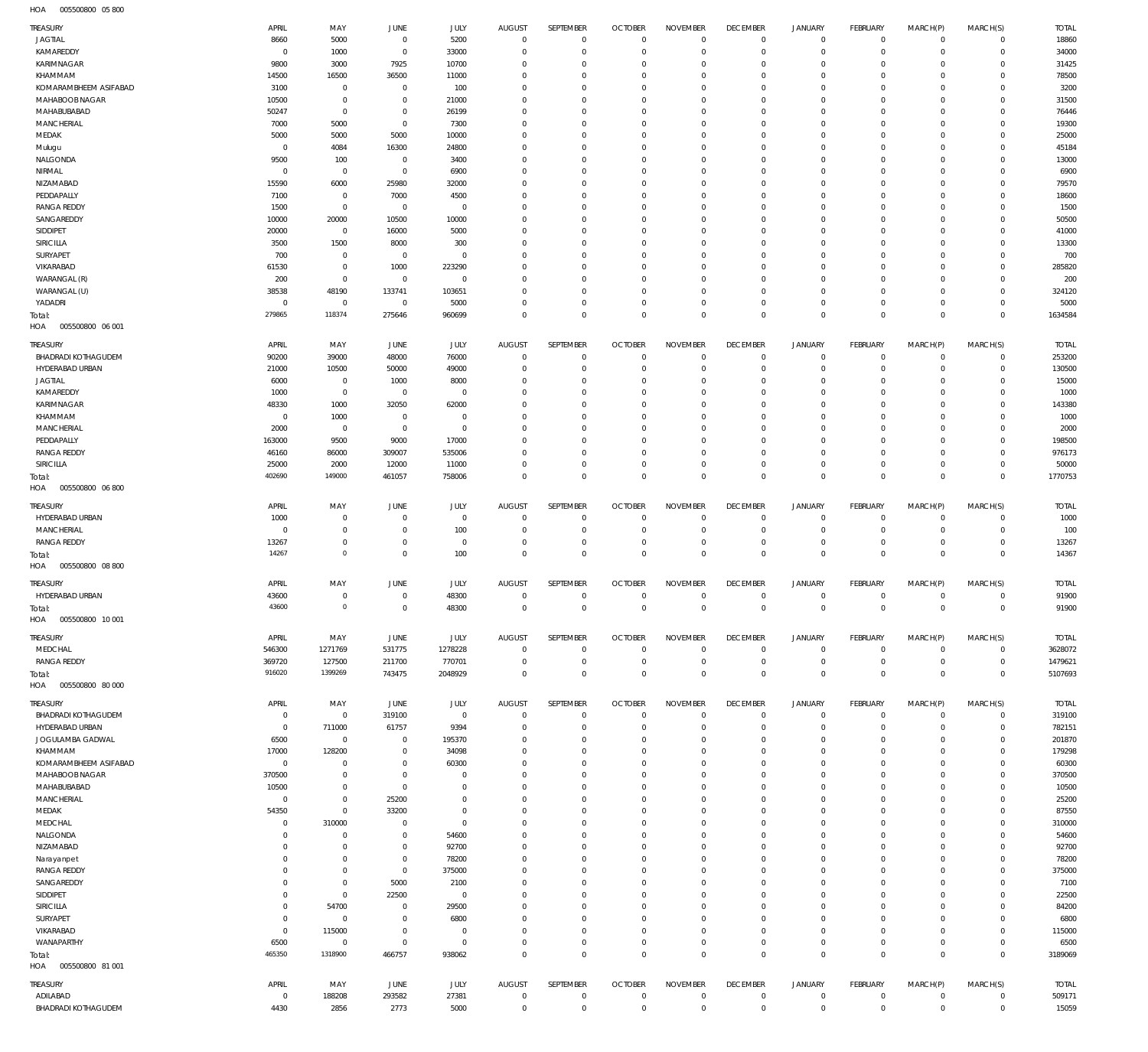005500800 05 800 HOA

| TREASURY                               | APRIL                            | MAY                      | JUNE            | JULY                   | <b>AUGUST</b>                 | SEPTEMBER                  | <b>OCTOBER</b>                   | <b>NOVEMBER</b>               | <b>DECEMBER</b>               | <b>JANUARY</b>            | FEBRUARY                   | MARCH(P)                   | MARCH(S)                   | <b>TOTAL</b>     |
|----------------------------------------|----------------------------------|--------------------------|-----------------|------------------------|-------------------------------|----------------------------|----------------------------------|-------------------------------|-------------------------------|---------------------------|----------------------------|----------------------------|----------------------------|------------------|
| <b>JAGTIAL</b>                         | 8660                             | 5000                     | $\overline{0}$  | 5200                   | $\overline{0}$                | $\mathbf 0$                | $\overline{0}$                   | $\mathbf 0$                   | $\mathbf 0$                   | $\mathbf 0$               | $\mathbf 0$                | $\Omega$                   | $\mathbf 0$                | 18860            |
| KAMAREDDY                              | $\overline{0}$                   | 1000                     | $\overline{0}$  | 33000                  | $\mathbf 0$                   | $\mathbf 0$                | $\overline{0}$                   | $\mathbf 0$                   | $\mathbf 0$                   | $\mathbf 0$               | $\mathbf 0$                | $\Omega$                   | $\Omega$                   | 34000            |
| KARIMNAGAR                             | 9800                             | 3000                     | 7925            | 10700                  | $\mathbf 0$                   | 0                          | $\mathbf 0$                      | $\Omega$                      | $\mathbf 0$                   | $^{\circ}$                | $\mathbf{0}$               | $\Omega$                   | $\Omega$                   | 31425            |
| KHAMMAM                                | 14500                            | 16500                    | 36500           | 11000                  | $\mathbf 0$                   | 0                          | $\overline{0}$                   | $\Omega$                      | $\mathbf 0$                   | $\mathbf 0$               | $\mathbf{0}$               | $\Omega$                   | $\Omega$                   | 78500            |
| KOMARAMBHEEM ASIFABAD                  | 3100                             | $\mathbf 0$              | $\overline{0}$  | 100                    | $\mathbf 0$                   | 0                          | $\mathbf{0}$                     | $\Omega$                      | $\mathbf 0$                   | $^{\circ}$                | $^{\circ}$                 | $\Omega$                   | $\Omega$                   | 3200             |
| MAHABOOB NAGAR                         | 10500                            | $\mathbf 0$              | $\overline{0}$  | 21000                  | $\Omega$                      | 0                          | $\overline{0}$                   | $\Omega$                      | $\mathbf 0$                   | $\mathbf{0}$              | $\Omega$                   | $\Omega$                   | $\Omega$                   | 31500            |
| MAHABUBABAD                            | 50247                            | $\mathbf 0$              | $\overline{0}$  | 26199                  | $\mathbf 0$                   | 0                          | $\mathbf{0}$                     | $\Omega$                      | $\mathbf 0$                   | $^{\circ}$                | $\mathbf{0}$               | $\Omega$                   | $\Omega$                   | 76446            |
| MANCHERIAL                             | 7000                             | 5000                     | $\overline{0}$  | 7300                   | $\Omega$                      | 0                          | $\overline{0}$                   | $\Omega$                      | $\mathbf 0$                   | $\mathbf{0}$              | $\Omega$                   | $\Omega$                   | $\Omega$                   | 19300            |
| MEDAK                                  | 5000                             | 5000                     | 5000            | 10000                  | $\mathbf 0$                   | 0                          | $\overline{0}$                   | $\Omega$                      | $\mathbf 0$                   | $\mathbf 0$               | $\mathbf{0}$               | $\Omega$                   | $\Omega$                   | 25000            |
| Mulugu                                 | $\mathbf 0$                      | 4084                     | 16300           | 24800                  | $\Omega$                      | 0                          | $\mathbf{0}$                     | $\Omega$                      | $\mathbf 0$                   | $\Omega$                  | $\Omega$                   | $\Omega$                   | $\Omega$                   | 45184            |
| NALGONDA                               | 9500                             | 100                      | $\overline{0}$  | 3400                   | $\mathbf 0$                   | 0                          | $\overline{0}$                   | $\Omega$                      | $\mathbf 0$                   | $\Omega$                  | $\mathbf{0}$               | $\Omega$                   | $\Omega$                   | 13000            |
| NIRMAL                                 | $\mathbf 0$                      | $\mathbf 0$              | $\overline{0}$  | 6900                   | $\Omega$                      | 0                          | $\overline{0}$                   | $\Omega$                      | $\mathbf 0$                   | $\Omega$                  | $\Omega$                   | $\Omega$                   | $\Omega$                   | 6900             |
| NIZAMABAD                              | 15590                            | 6000                     | 25980           | 32000                  | $\Omega$                      | 0                          | $\mathbf{0}$                     | $\Omega$                      | $\mathbf 0$                   | $\mathbf{0}$              | $\Omega$                   | $\Omega$                   | $\Omega$                   | 79570            |
| PEDDAPALLY                             | 7100                             | $\mathbf 0$              | 7000            | 4500                   | $\mathbf 0$                   | 0                          | $\overline{0}$                   | $\Omega$                      | $\mathbf 0$                   | $\mathbf 0$               | $\mathbf{0}$               | $\Omega$                   | $\Omega$                   | 18600            |
| <b>RANGA REDDY</b>                     | 1500                             | $\mathbf 0$              | $\overline{0}$  | $\overline{0}$         | $\Omega$                      | 0                          | $\mathbf{0}$                     | $\Omega$                      | $\overline{0}$                | $\Omega$                  | $\Omega$                   | $\Omega$                   | $\Omega$<br>$\Omega$       | 1500             |
| SANGAREDDY<br>SIDDIPET                 | 10000<br>20000                   | 20000<br>$\overline{0}$  | 10500<br>16000  | 10000<br>5000          | $\mathbf 0$<br>$\mathbf 0$    | 0<br>0                     | $\overline{0}$<br>$\mathbf{0}$   | $\Omega$<br>$\Omega$          | $\mathbf 0$<br>$\mathbf 0$    | $\mathbf 0$<br>$^{\circ}$ | $\mathbf{0}$<br>$\Omega$   | $\Omega$<br>$\Omega$       | $\Omega$                   | 50500<br>41000   |
| SIRICILLA                              | 3500                             | 1500                     | 8000            | 300                    | $\mathbf 0$                   | 0                          | $\overline{0}$                   | $\Omega$                      | $\mathbf 0$                   | $\mathbf{0}$              | $\Omega$                   | $\Omega$                   | $\Omega$                   | 13300            |
| SURYAPET                               | 700                              | $\mathbf 0$              | $\overline{0}$  | $\mathbf 0$            | $\mathbf 0$                   | 0                          | $\mathbf{0}$                     | $\Omega$                      | $\mathbf 0$                   | $^{\circ}$                | $\mathbf{0}$               | $\Omega$                   | $\Omega$                   | 700              |
| VIKARABAD                              | 61530                            | $\mathbf 0$              | 1000            | 223290                 | $\Omega$                      | 0                          | $\overline{0}$                   | $\Omega$                      | $\mathbf 0$                   | $\mathbf{0}$              | $\Omega$                   | $\Omega$                   | $\Omega$                   | 285820           |
| WARANGAL (R)                           | 200                              | $\mathbf 0$              | $\overline{0}$  | $\overline{0}$         | $\mathbf 0$                   | 0                          | $\mathbf{0}$                     | $\Omega$                      | $\mathbf 0$                   | $\mathbf 0$               | $\mathbf{0}$               | $\Omega$                   | $\Omega$                   | 200              |
| WARANGAL (U)                           | 38538                            | 48190                    | 133741          | 103651                 | $\Omega$                      | 0                          | $\mathbf{0}$                     | $\Omega$                      | $\mathbf 0$                   | $\mathbf 0$               | $\Omega$                   | $\Omega$                   | $\Omega$                   | 324120           |
| YADADRI                                | $\mathbf 0$                      | $\overline{0}$           | $\overline{0}$  | 5000                   | $\mathbf 0$                   | 0                          | $\overline{0}$                   | $\Omega$                      | $\mathbf 0$                   | $\mathbf 0$               | $\mathbf 0$                | $\Omega$                   | $\mathbf 0$                | 5000             |
| Total:                                 | 279865                           | 118374                   | 275646          | 960699                 | $\Omega$                      | 0                          | $\overline{0}$                   | $\Omega$                      | $\mathbf{0}$                  | $\mathbf 0$               | $\overline{0}$             | $\Omega$                   | $\overline{0}$             | 1634584          |
| HOA<br>005500800 06 001                |                                  |                          |                 |                        |                               |                            |                                  |                               |                               |                           |                            |                            |                            |                  |
| TREASURY                               | APRIL                            | MAY                      | JUNE            | <b>JULY</b>            | <b>AUGUST</b>                 | SEPTEMBER                  | <b>OCTOBER</b>                   | <b>NOVEMBER</b>               | <b>DECEMBER</b>               | <b>JANUARY</b>            | FEBRUARY                   | MARCH(P)                   | MARCH(S)                   | <b>TOTAL</b>     |
| BHADRADI KOTHAGUDEM                    | 90200                            | 39000                    | 48000           | 76000                  | $\overline{0}$                | $\mathbf 0$                | $\overline{0}$                   | $\mathbf 0$                   | $\mathbf 0$                   | $\mathbf 0$               | $\mathbf 0$                | $\mathbf 0$                | $\mathbf 0$                | 253200           |
| HYDERABAD URBAN                        | 21000                            | 10500                    | 50000           | 49000                  | $\mathbf{0}$                  | 0                          | $\overline{0}$                   | $\mathbf 0$                   | $\mathbf 0$                   | $^{\circ}$                | $\mathbf{0}$               | $\Omega$                   | $\Omega$                   | 130500           |
| <b>JAGTIAL</b>                         | 6000                             | $\overline{0}$           | 1000            | 8000                   | $\Omega$                      | 0                          | $\overline{0}$                   | $\mathbf 0$                   | $\mathbf 0$                   | $^{\circ}$                | $\mathbf{0}$               | $\Omega$                   | $\Omega$                   | 15000            |
| KAMAREDDY                              | 1000                             | $\overline{0}$           | $\overline{0}$  | $\overline{0}$         | $\mathbf 0$                   | 0                          | $\overline{0}$                   | $\mathbf 0$                   | $\mathbf 0$                   | $^{\circ}$                | $\mathbf{0}$               | $\Omega$                   | $\Omega$                   | 1000             |
| KARIMNAGAR                             | 48330                            | 1000                     | 32050           | 62000                  | $\Omega$                      | 0                          | $\mathbf{0}$                     | $\mathbf 0$                   | $\overline{0}$                | $\Omega$                  | $\mathbf{0}$               | $\Omega$                   | $\Omega$                   | 143380           |
| KHAMMAM                                | $\overline{0}$                   | 1000                     | $\overline{0}$  | $\overline{0}$         | $\mathbf 0$                   | 0                          | $\overline{0}$                   | $\mathbf 0$                   | $\mathbf 0$                   | $^{\circ}$                | $\mathbf{0}$               | $\Omega$                   | $\Omega$                   | 1000             |
| <b>MANCHERIAL</b>                      | 2000                             | $\overline{0}$           | $\mathbf 0$     | $\overline{0}$         | $\Omega$                      | 0                          | $\mathbf{0}$                     | $\mathbf 0$                   | $\overline{0}$                | $\Omega$                  | $\mathbf{0}$               | $\Omega$                   | $\Omega$                   | 2000             |
| PEDDAPALLY                             | 163000                           | 9500                     | 9000            | 17000                  | $\mathbf 0$                   | 0                          | $\overline{0}$                   | $\mathbf 0$                   | $\mathbf 0$                   | $^{\circ}$                | $\mathbf{0}$               | $\Omega$                   | $\Omega$                   | 198500           |
| <b>RANGA REDDY</b>                     | 46160                            | 86000                    | 309007          | 535006                 | $\mathbf 0$                   | 0                          | $\overline{0}$                   | $\mathbf 0$                   | $\mathbf 0$                   | $^{\circ}$                | $\mathbf{0}$               | $\Omega$                   | $\Omega$                   | 976173           |
| SIRICILLA                              | 25000                            | 2000                     | 12000           | 11000                  | $\mathbf 0$                   | 0                          | $\overline{0}$                   | $\mathbf 0$                   | $\mathbf 0$                   | $^{\circ}$                | $\mathbf 0$                | $\Omega$                   | $\Omega$                   | 50000            |
| Total:                                 | 402690                           | 149000                   | 461057          | 758006                 | $\overline{0}$                | $\mathbf 0$                | $\mathbb O$                      | $\mathbf 0$                   | $\mathbb O$                   | $\mathbf 0$               | $\mathbb O$                | $^{\circ}$                 | $\mathbb O$                | 1770753          |
| HOA<br>005500800 06 800                |                                  |                          |                 |                        |                               |                            |                                  |                               |                               |                           |                            |                            |                            |                  |
| <b>TREASURY</b>                        | APRIL                            | MAY                      | JUNE            | JULY                   | <b>AUGUST</b>                 | SEPTEMBER                  | <b>OCTOBER</b>                   | <b>NOVEMBER</b>               | <b>DECEMBER</b>               | <b>JANUARY</b>            | FEBRUARY                   | MARCH(P)                   | MARCH(S)                   | <b>TOTAL</b>     |
| HYDERABAD URBAN                        | 1000                             | $\mathbf 0$              | $\overline{0}$  | $\overline{0}$         | $\mathbf{0}$                  | $\bf 0$                    | $\overline{0}$                   | $\Omega$                      | $\mathbf 0$                   | $^{\circ}$                | $^{\circ}$                 | $\Omega$                   | $\mathbf 0$                | 1000             |
| MANCHERIAL                             | $^{\circ}$                       | $\mathbf 0$              | $\overline{0}$  | 100                    | $\mathbf{0}$                  | $\mathbf 0$                | $\overline{0}$                   | $\mathbf 0$                   | $\mathbf 0$                   | $\mathbf 0$               | $\circ$                    | $\Omega$                   | $\overline{0}$             | 100              |
| <b>RANGA REDDY</b>                     | 13267                            | $\mathbf 0$              | $\overline{0}$  | $\overline{0}$         | $\mathbf{0}$                  | 0                          | $\overline{0}$                   | $\mathbf 0$                   | $\mathbf 0$                   | $\mathbf 0$               | $\mathbf 0$                | $\Omega$                   | $\mathbf 0$                | 13267            |
| Total:                                 | 14267                            | $\mathbf 0$              | $\overline{0}$  | 100                    | $\Omega$                      | $\mathbf 0$                | $\mathbb O$                      | $\mathbf 0$                   | $\mathbb O$                   | $\mathbf 0$               | $\mathbb O$                | $\overline{0}$             | $\overline{0}$             | 14367            |
| HOA<br>005500800 08 800                |                                  |                          |                 |                        |                               |                            |                                  |                               |                               |                           |                            |                            |                            |                  |
| <b>TREASURY</b>                        | APRIL                            | MAY                      | <b>JUNE</b>     | JULY                   | <b>AUGUST</b>                 | SEPTEMBER                  | <b>OCTOBER</b>                   | <b>NOVEMBER</b>               | <b>DECEMBER</b>               | <b>JANUARY</b>            | FEBRUARY                   | MARCH(P)                   | MARCH(S)                   | <b>TOTAL</b>     |
| HYDERABAD URBAN                        | 43600                            | $\mathbf 0$              | $\overline{0}$  | 48300                  | $\overline{0}$                | $\mathbf 0$                | $\overline{0}$                   | $\,0\,$                       | $\,0\,$                       | 0                         | $\mathbf 0$                | $\mathbf 0$                | $\mathbf 0$                | 91900            |
| Total:                                 | 43600                            | $\mathbf 0$              | $\overline{0}$  | 48300                  | $\Omega$                      | $\Omega$                   | $\overline{0}$                   | $\overline{0}$                | $\mathbf{0}$                  | $\overline{0}$            | $\mathbf{0}$               | $\overline{0}$             | $\overline{0}$             | 91900            |
| HOA<br>005500800 10 001                |                                  |                          |                 |                        |                               |                            |                                  |                               |                               |                           |                            |                            |                            |                  |
| TREASURY                               | APRIL                            | MAY                      | <b>JUNE</b>     | JULY                   | <b>AUGUST</b>                 | <b>SEPTEMBER</b>           | <b>OCTOBER</b>                   | <b>NOVEMBER</b>               | <b>DECEMBER</b>               | <b>JANUARY</b>            | FEBRUARY                   | MARCH(P)                   | MARCH(S)                   | <b>TOTAL</b>     |
| MEDCHAL                                | 546300                           | 1271769                  | 531775          | 1278228                | $\mathbf 0$                   | $\mathbf 0$                | $\overline{0}$                   | $\mathbf 0$                   | $\,0\,$                       | $\overline{0}$            | $\circ$                    | $\mathbf 0$                | $\circ$                    | 3628072          |
| <b>RANGA REDDY</b>                     | 369720                           | 127500                   | 211700          | 770701                 | $\mathbf 0$                   | $\bf 0$                    | $\overline{0}$                   | $\mathbf 0$                   | $\mathbf 0$                   | $\mathbf 0$               | $\circ$                    | $\mathbf 0$                | $\circ$                    | 1479621          |
| Total:                                 | 916020                           | 1399269                  | 743475          | 2048929                | $\mathbf{0}$                  | $\mathbf 0$                | $\overline{0}$                   | $\mathbf 0$                   | $\mathbf 0$                   | $\mathbf 0$               | $\mathbf 0$                | $\mathbf 0$                | $\mathbf 0$                | 5107693          |
| 005500800 80 000<br>HOA                |                                  |                          |                 |                        |                               |                            |                                  |                               |                               |                           |                            |                            |                            |                  |
|                                        |                                  |                          |                 |                        |                               |                            |                                  |                               |                               |                           |                            |                            |                            |                  |
| TREASURY                               | APRIL                            | MAY                      | JUNE            | JULY                   | <b>AUGUST</b>                 | SEPTEMBER                  | <b>OCTOBER</b>                   | <b>NOVEMBER</b>               | <b>DECEMBER</b>               | <b>JANUARY</b>            | FEBRUARY                   | MARCH(P)                   | MARCH(S)                   | <b>TOTAL</b>     |
| BHADRADI KOTHAGUDEM<br>HYDERABAD URBAN | $\overline{0}$<br>$\overline{0}$ | $\overline{0}$<br>711000 | 319100<br>61757 | $\overline{0}$<br>9394 | $\mathbf 0$<br>$\mathbf{0}$   | $\mathbf 0$<br>$\bf 0$     | $\overline{0}$<br>$\overline{0}$ | $\,0\,$<br>$\mathbf 0$        | $\,0\,$<br>$\mathbf 0$        | 0<br>$^{\circ}$           | $\mathbf 0$<br>$\mathbf 0$ | $\mathbf 0$<br>$\Omega$    | $\mathbf 0$<br>$\mathbf 0$ | 319100<br>782151 |
| JOGULAMBA GADWAL                       | 6500                             | $\overline{0}$           | $\overline{0}$  | 195370                 | $\mathbf 0$                   | 0                          | $\overline{0}$                   | $\mathbf 0$                   | $\overline{0}$                | $\circ$                   | $^{\circ}$                 | $\Omega$                   | $\Omega$                   | 201870           |
| KHAMMAM                                | 17000                            | 128200                   | $\overline{0}$  | 34098                  | $\mathbf 0$                   | 0                          | $\overline{0}$                   | $\mathbf 0$                   | $\mathbf 0$                   | $\mathbf 0$               | $\mathbf 0$                | $\Omega$                   | $\Omega$                   | 179298           |
| KOMARAMBHEEM ASIFABAD                  | $\overline{0}$                   | $\mathbf 0$              | $\overline{0}$  | 60300                  | $\mathbf 0$                   | 0                          | $\overline{0}$                   | $\mathbf{0}$                  | $\mathbf 0$                   | $^{\circ}$                | $^{\circ}$                 | $\Omega$                   | $\Omega$                   | 60300            |
| MAHABOOB NAGAR                         | 370500                           | $\mathbf 0$              | $\overline{0}$  | $\mathbf 0$            | $\mathbf 0$                   | 0                          | $\overline{0}$                   | $\mathbf 0$                   | $\mathbf 0$                   | $^{\circ}$                | $\mathbf 0$                | $\Omega$                   | $\Omega$                   | 370500           |
| MAHABUBABAD                            | 10500                            | $\mathbf 0$              | $\overline{0}$  | $\mathbf 0$            | $\mathbf 0$                   | 0                          | $\overline{0}$                   | $\mathbf{0}$                  | $\mathbf 0$                   | $^{\circ}$                | $\mathbf{0}$               | $\Omega$                   | $\Omega$                   | 10500            |
| MANCHERIAL                             | $\overline{0}$                   | $\mathbf 0$              | 25200           | $\mathbf 0$            | $\mathbf 0$                   | 0                          | $\overline{0}$                   | $\mathbf 0$                   | $\mathbf 0$                   | $\circ$                   | $\mathbf{0}$               | $\Omega$                   | $\Omega$                   | 25200            |
| MEDAK                                  | 54350                            | $\mathbf 0$              | 33200           | $\mathbf 0$            | $\mathbf 0$                   | 0                          | $\overline{0}$                   | $\mathbf{0}$                  | $\mathbf 0$                   | $^{\circ}$                | $\mathbf{0}$               | $\Omega$                   | $\Omega$                   | 87550            |
| MEDCHAL                                | $\mathbf 0$                      | 310000                   | $\overline{0}$  | $\mathbf 0$            | $\mathbf 0$                   | 0                          | $\overline{0}$                   | $\mathbf 0$                   | $\mathbf 0$                   | $\mathbf 0$               | $\mathbf{0}$               | $\Omega$                   | $\Omega$                   | 310000           |
| NALGONDA                               | $\mathbf 0$                      | $\mathbf 0$              | $\overline{0}$  | 54600                  | $\mathbf 0$                   | 0                          | $\mathbf{0}$                     | $\mathbf 0$                   | $\mathbf 0$                   | $\Omega$                  | $\mathbf{0}$               | $\Omega$                   | $\Omega$                   | 54600            |
| NIZAMABAD                              | $\mathbf 0$                      | $\mathbf 0$              | $\overline{0}$  | 92700                  | $\mathbf 0$                   | 0                          | $\overline{0}$                   | $\mathbf 0$                   | $\mathbf 0$                   | $\mathbf 0$               | $\mathbf 0$                | $\Omega$                   | $\Omega$                   | 92700            |
| Narayanpet                             | $\mathbf 0$                      | $\mathbf 0$              | $\overline{0}$  | 78200                  | $\mathbf 0$                   | 0                          | $\mathbf{0}$                     | $\mathbf 0$                   | $\mathbf 0$                   | $^{\circ}$                | $\mathbf{0}$               | $\Omega$                   | $\Omega$                   | 78200            |
| <b>RANGA REDDY</b>                     | $\mathbf 0$                      | $\mathbf 0$              | $\overline{0}$  | 375000                 | $\mathbf 0$                   | 0                          | $\overline{0}$                   | $\mathbf{0}$                  | $\mathbf 0$                   | $\mathbf 0$               | $\mathbf 0$                | $\Omega$                   | $\Omega$                   | 375000           |
| SANGAREDDY                             | $\mathbf 0$                      | $\mathbf 0$              | 5000            | 2100                   | $\mathbf 0$                   | 0                          | $\mathbf{0}$                     | $\mathbf 0$                   | $\mathbf 0$                   | $^{\circ}$                | $\mathbf{0}$               | $\Omega$                   | $\Omega$                   | 7100             |
| SIDDIPET                               | $\mathbf 0$                      | $\mathbf 0$              | 22500           | $\overline{0}$         | $\mathbf 0$                   | 0                          | $\overline{0}$                   | $\mathbf 0$                   | $\mathbf 0$                   | $\mathbf 0$               | $\mathbf 0$                | $\Omega$                   | $\Omega$                   | 22500            |
| SIRICILLA                              | $\mathbf 0$                      | 54700                    | $\overline{0}$  | 29500                  | $\mathbf 0$                   | 0                          | $\mathbf 0$                      | $\mathbf{0}$                  | $\mathbf 0$                   | $^{\circ}$                | $^{\circ}$                 | $\Omega$                   | $\Omega$                   | 84200            |
|                                        |                                  |                          | $\overline{0}$  | 6800                   | $\mathbf 0$                   | 0                          | $\overline{0}$                   | $\mathbf 0$                   | $\mathbf 0$                   | $^{\circ}$                | $\mathbf 0$                | $\Omega$                   | $\Omega$                   | 6800             |
| SURYAPET                               | $\overline{0}$                   | $\overline{0}$           |                 |                        |                               |                            |                                  |                               |                               |                           |                            |                            |                            |                  |
| VIKARABAD                              | $\overline{0}$                   | 115000                   | $\overline{0}$  | $\overline{0}$         | $\mathbf{0}$                  | 0                          | $\overline{0}$                   | $\mathbf{0}$                  | $\mathbf 0$                   | $\mathbf 0$               | $\mathbf 0$                | $\Omega$                   | $\Omega$                   | 115000           |
| WANAPARTHY                             | 6500                             | $\overline{0}$           | $\mathbf 0$     | $\overline{0}$         | $\mathbf{0}$                  | 0                          | $\overline{0}$                   | $\mathbf{0}$                  | $\,0\,$                       | 0                         | $\mathbf 0$                | $\Omega$                   | $\mathbf 0$                | 6500             |
| Total:                                 | 465350                           | 1318900                  | 466757          | 938062                 | $\mathbf{0}$                  | $\mathbf 0$                | $\overline{0}$                   | $\mathbf 0$                   | $\mathbf 0$                   | $\mathbf 0$               | $\mathbf 0$                | $^{\circ}$                 | $\mathbb O$                | 3189069          |
| HOA<br>005500800 81 001                |                                  |                          |                 |                        |                               |                            |                                  |                               |                               |                           |                            |                            |                            |                  |
| <b>TREASURY</b>                        | APRIL                            | MAY                      | JUNE            | JULY                   | <b>AUGUST</b>                 | SEPTEMBER                  | <b>OCTOBER</b>                   | <b>NOVEMBER</b>               | <b>DECEMBER</b>               | <b>JANUARY</b>            | FEBRUARY                   | MARCH(P)                   | MARCH(S)                   | <b>TOTAL</b>     |
| ADILABAD<br><b>BHADRADI KOTHAGUDEM</b> | $\mathbf 0$<br>4430              | 188208<br>2856           | 293582<br>2773  | 27381<br>5000          | $\mathbf 0$<br>$\overline{0}$ | $\mathbf 0$<br>$\mathbf 0$ | $\overline{0}$<br>$\mathbb O$    | $\overline{0}$<br>$\mathbf 0$ | $\overline{0}$<br>$\mathbb O$ | 0<br>$\mathbf 0$          | $\mathbf 0$<br>$\circ$     | $\mathbf 0$<br>$\mathbf 0$ | $\mathbf 0$<br>$\circ$     | 509171<br>15059  |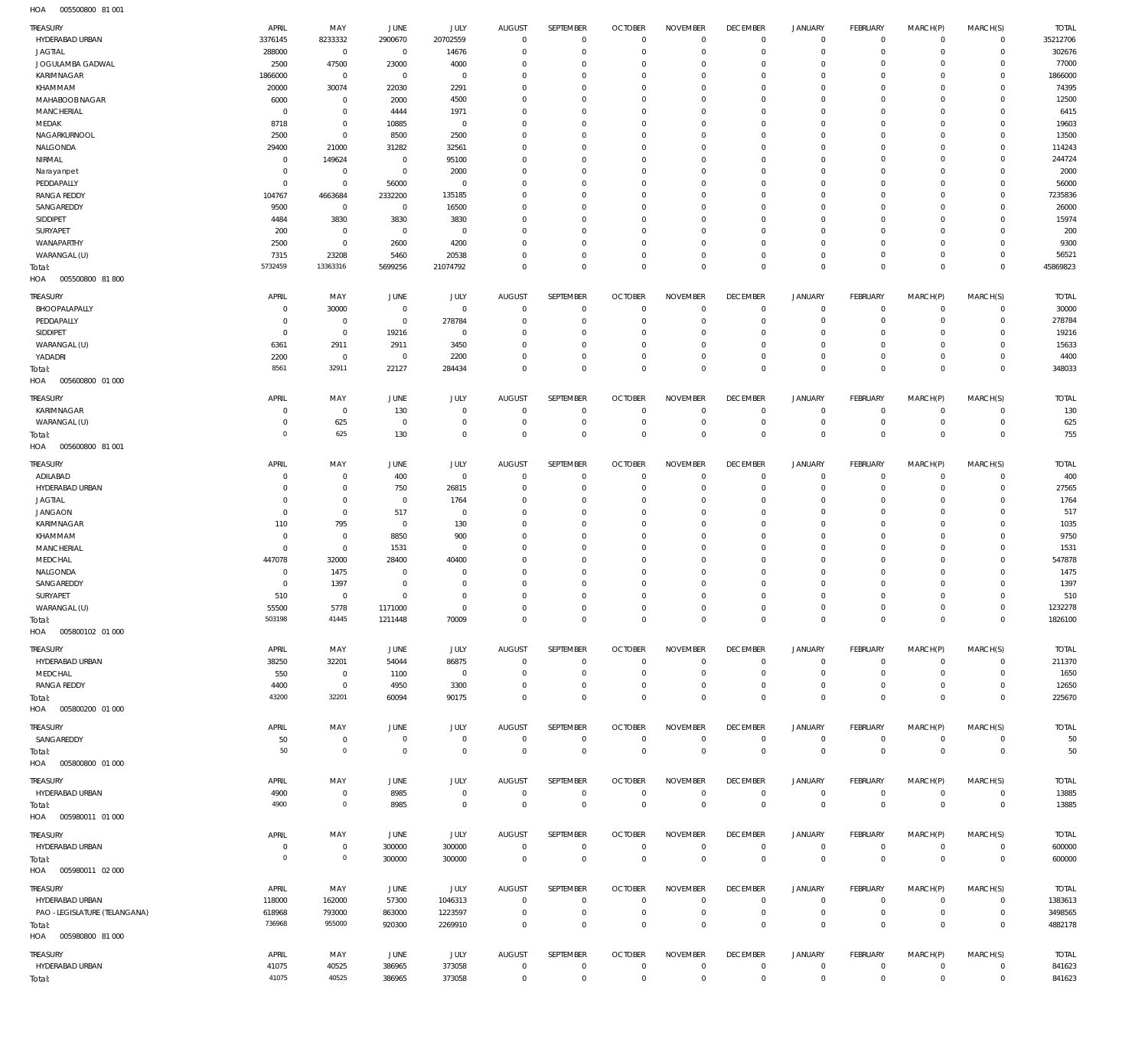005500800 81 001 HOA

| TREASURY                               | APRIL                        | MAY                        | JUNE                      | JULY                  | <b>AUGUST</b>                    | SEPTEMBER                      | <b>OCTOBER</b>                   | <b>NOVEMBER</b>              | <b>DECEMBER</b>                  | <b>JANUARY</b>             | <b>FEBRUARY</b>           | MARCH(P)               | MARCH(S)                   | <b>TOTAL</b>       |
|----------------------------------------|------------------------------|----------------------------|---------------------------|-----------------------|----------------------------------|--------------------------------|----------------------------------|------------------------------|----------------------------------|----------------------------|---------------------------|------------------------|----------------------------|--------------------|
| HYDERABAD URBAN<br><b>JAGTIAL</b>      | 3376145<br>288000            | 8233332<br>$\mathbf 0$     | 2900670<br>$\overline{0}$ | 20702559<br>14676     | $\overline{0}$<br>$\Omega$       | $^{\circ}$<br>$\mathbf 0$      | $\overline{0}$<br>$\mathbf{0}$   | $^{\circ}$<br>$\mathbf 0$    | $\mathbf 0$<br>$\overline{0}$    | $\mathbf 0$<br>$\Omega$    | $\circ$<br>$\Omega$       | $^{\circ}$<br>$\Omega$ | $\mathbf 0$<br>$\mathbf 0$ | 35212706<br>302676 |
| JOGULAMBA GADWAL                       | 2500                         | 47500                      | 23000                     | 4000                  | $^{\circ}$                       | $\mathbf 0$                    | $\mathbf{0}$                     | $\Omega$                     | $\mathbf 0$                      | $\mathbf{0}$               | $\Omega$                  | $\Omega$               | $\circ$                    | 77000              |
| KARIMNAGAR                             | 1866000                      | $\mathbf 0$                | $\overline{0}$            | $\mathbf 0$           | $\Omega$                         | $\mathbf 0$                    | $\mathbf{0}$                     | $\Omega$                     | $\overline{0}$                   | $\Omega$                   | $\Omega$                  | $\Omega$               | $\Omega$                   | 1866000            |
| KHAMMAM<br>MAHABOOB NAGAR              | 20000<br>6000                | 30074<br>$\mathbf 0$       | 22030<br>2000             | 2291<br>4500          | $\Omega$<br>$\Omega$             | $\Omega$<br>$\mathbf 0$        | $\mathbf 0$<br>$\mathbf 0$       | $\Omega$<br>$\Omega$         | $\overline{0}$<br>$\overline{0}$ | $\Omega$<br>$\Omega$       | $\Omega$<br>$\Omega$      | $\Omega$<br>$\Omega$   | $\Omega$<br>$\Omega$       | 74395<br>12500     |
| <b>MANCHERIAL</b>                      | $\circ$                      | $\mathbf 0$                | 4444                      | 1971                  | $\Omega$                         | $\Omega$                       | $\mathbf 0$                      | $\Omega$                     | $\overline{0}$                   | $\Omega$                   | $\Omega$                  | $\Omega$               | $\Omega$                   | 6415               |
| MEDAK                                  | 8718                         | $\mathbf 0$                | 10885                     | $^{\circ}$            | $\Omega$                         | $\Omega$                       | $\mathbf 0$                      | $\Omega$                     | $\Omega$                         | $\Omega$                   | $\Omega$                  | $\Omega$               | $\Omega$                   | 19603              |
| NAGARKURNOOL                           | 2500                         | $\mathbf 0$                | 8500                      | 2500                  | $\Omega$<br>$\Omega$             | $\Omega$                       | $\mathbf 0$                      | $\Omega$                     | $\overline{0}$<br>$\Omega$       | $\Omega$                   | $\Omega$                  | $\Omega$               | $\Omega$<br>$\Omega$       | 13500              |
| NALGONDA<br>NIRMAL                     | 29400<br>$^{\circ}$          | 21000<br>149624            | 31282<br>$\overline{0}$   | 32561<br>95100        | $\Omega$                         | $\Omega$<br>$\Omega$           | $\mathbf 0$<br>$\mathbf 0$       | $\Omega$<br>$\Omega$         | $\mathbf 0$                      | $\Omega$<br>$\Omega$       | $\Omega$<br>$\Omega$      | $\Omega$<br>$\Omega$   | $\Omega$                   | 114243<br>244724   |
| Narayanpet                             | $^{\circ}$                   | $\mathbf 0$                | $\overline{0}$            | 2000                  | $\Omega$                         | $\Omega$                       | $\mathbf 0$                      | $\Omega$                     | $\Omega$                         | $\Omega$                   | $\Omega$                  | $\Omega$               | $\circ$                    | 2000               |
| PEDDAPALLY                             | $^{\circ}$                   | $\mathbf 0$                | 56000                     | $\mathbf 0$           | $\Omega$                         | $\mathbf 0$                    | $\mathbf 0$                      | $\Omega$                     | $\mathbf 0$                      | $\Omega$                   | $\Omega$                  | $\Omega$               | $\Omega$                   | 56000              |
| <b>RANGA REDDY</b><br>SANGAREDDY       | 104767<br>9500               | 4663684<br>$\mathbf 0$     | 2332200<br>$\overline{0}$ | 135185<br>16500       | $\Omega$<br>$\mathbf 0$          | $\Omega$<br>$\mathbf 0$        | $\mathbf 0$<br>$\mathbf 0$       | $\Omega$<br>$\Omega$         | $\Omega$<br>$\mathbf 0$          | $\Omega$<br>$\Omega$       | $\Omega$<br>$\Omega$      | $\Omega$<br>$\Omega$   | $\Omega$<br>$\Omega$       | 7235836<br>26000   |
| SIDDIPET                               | 4484                         | 3830                       | 3830                      | 3830                  | $\Omega$                         | $\Omega$                       | $\Omega$                         | $\Omega$                     | $\Omega$                         | $\Omega$                   | $\Omega$                  | $\Omega$               | $\Omega$                   | 15974              |
| SURYAPET                               | 200                          | $\mathbf 0$                | $\overline{0}$            | $\mathbf 0$           | $\Omega$                         | $\mathbf 0$                    | $\mathbf 0$                      | $\Omega$                     | $\mathbf 0$                      | $\Omega$                   | $\Omega$                  | $\Omega$               | $\Omega$                   | 200                |
| WANAPARTHY                             | 2500                         | $\mathbf 0$                | 2600                      | 4200                  | $\Omega$                         | $\Omega$                       | $\mathbf 0$                      | $\Omega$                     | $\Omega$                         | $\Omega$                   | $\Omega$                  | $\Omega$               | $\Omega$                   | 9300               |
| WARANGAL (U)                           | 7315<br>5732459              | 23208<br>13363316          | 5460<br>5699256           | 20538<br>21074792     | $\Omega$<br>$\Omega$             | $\mathbf 0$<br>$\mathbf 0$     | $\mathbf 0$<br>$\mathbf 0$       | $\Omega$<br>$\mathbf 0$      | $\mathbf 0$<br>$\mathbb O$       | $\Omega$<br>$\Omega$       | $\circ$<br>$\Omega$       | $\Omega$<br>$\Omega$   | $\circ$<br>$\Omega$        | 56521<br>45869823  |
| Total:<br>HOA<br>005500800 81800       |                              |                            |                           |                       |                                  |                                |                                  |                              |                                  |                            |                           |                        |                            |                    |
| <b>TREASURY</b>                        | APRIL                        | MAY                        | JUNE                      | JULY                  | <b>AUGUST</b>                    | SEPTEMBER                      | <b>OCTOBER</b>                   | <b>NOVEMBER</b>              | <b>DECEMBER</b>                  | <b>JANUARY</b>             | FEBRUARY                  | MARCH(P)               | MARCH(S)                   | <b>TOTAL</b>       |
| BHOOPALAPALLY                          | $\Omega$                     | 30000                      | $\overline{0}$            | $\mathbf 0$           | $\mathbf 0$                      | $\mathbf{0}$                   | $\mathbf 0$                      | $\Omega$                     | $\mathbf 0$                      | $\mathbf{0}$               | $\overline{0}$            | $\Omega$               | $\circ$                    | 30000              |
| PEDDAPALLY<br>SIDDIPET                 | $\Omega$<br>$\Omega$         | $^{\circ}$<br>$\mathbf 0$  | $\overline{0}$<br>19216   | 278784<br>$\mathbf 0$ | $\Omega$<br>$\Omega$             | $\mathbf 0$<br>$\Omega$        | $\mathbf{0}$<br>$\mathbf 0$      | $\Omega$<br>$\Omega$         | $\overline{0}$<br>$^{\circ}$     | $\Omega$<br>$\Omega$       | $\Omega$<br>$\Omega$      | $\Omega$<br>$\Omega$   | $\Omega$<br>$\Omega$       | 278784<br>19216    |
| WARANGAL (U)                           | 6361                         | 2911                       | 2911                      | 3450                  | $\Omega$                         | $\mathbf 0$                    | $^{\circ}$                       | $\Omega$                     | $\mathbf 0$                      | $\mathbf{0}$               | $\Omega$                  | $\Omega$               | $\Omega$                   | 15633              |
| YADADRI                                | 2200                         | $\overline{0}$             | $\overline{0}$            | 2200                  | $\Omega$                         | $\Omega$                       | $\mathbf 0$                      | $\Omega$                     | $\mathbf 0$                      | $\mathbf{0}$               | $\Omega$                  | $\Omega$               | $\Omega$                   | 4400               |
| Total:<br>HOA<br>005600800 01 000      | 8561                         | 32911                      | 22127                     | 284434                | $\Omega$                         | $\Omega$                       | $\mathbf{0}$                     | $\Omega$                     | $\mathbf{0}$                     | $\overline{0}$             | $\overline{0}$            | $\Omega$               | $\Omega$                   | 348033             |
| TREASURY                               | APRIL                        | MAY                        | <b>JUNE</b>               | JULY                  | <b>AUGUST</b>                    | SEPTEMBER                      | <b>OCTOBER</b>                   | <b>NOVEMBER</b>              | <b>DECEMBER</b>                  | <b>JANUARY</b>             | <b>FEBRUARY</b>           | MARCH(P)               | MARCH(S)                   | <b>TOTAL</b>       |
| KARIMNAGAR                             | $\Omega$                     | $\mathbf 0$                | 130                       | $\mathbf 0$           | $\overline{0}$                   | $\mathbf{0}$                   | $\overline{0}$                   | $^{\circ}$                   | $\mathbf 0$                      | $\mathbf 0$                | $\overline{0}$            | $^{\circ}$             | $\mathbf 0$                | 130                |
| WARANGAL (U)                           | $^{\circ}$                   | 625                        | $\overline{0}$            | $\mathbf 0$           | $\overline{0}$                   | $\mathbf 0$                    | $\overline{0}$                   | $\overline{0}$               | $\overline{0}$                   | $^{\circ}$                 | $\circ$                   | $\Omega$               | $\mathbf 0$                | 625                |
| Total:<br>005600800 81 001<br>HOA      | $\circ$                      | 625                        | 130                       | $\mathbf 0$           | $\Omega$                         | $\mathbf 0$                    | $\mathbf{0}$                     | $\mathbf{0}$                 | $\mathbf 0$                      | $\mathbf 0$                | $\mathbb O$               | $\Omega$               | $\mathbf 0$                | 755                |
| TREASURY                               | APRIL                        | MAY                        | <b>JUNE</b>               | JULY                  | <b>AUGUST</b>                    | SEPTEMBER                      | <b>OCTOBER</b>                   | <b>NOVEMBER</b>              | <b>DECEMBER</b>                  | <b>JANUARY</b>             | FEBRUARY                  | MARCH(P)               | MARCH(S)                   | <b>TOTAL</b>       |
| ADILABAD                               | $\Omega$                     | $^{\circ}$                 | 400                       | $\mathbf 0$           | $^{\circ}$                       | $\mathbf{0}$                   | $\mathbf{0}$                     | $\Omega$                     | $\mathbf 0$                      | $^{\circ}$                 | $\Omega$                  | $\Omega$               | $\circ$                    | 400                |
| HYDERABAD URBAN                        | $\Omega$                     | $\mathbf 0$                | 750                       | 26815                 | $\Omega$                         | $\Omega$                       | $\mathbf 0$                      | $\Omega$                     | $\mathbf 0$                      | $\Omega$                   | $\Omega$                  | $\Omega$               | $\Omega$                   | 27565              |
| <b>JAGTIAL</b><br><b>JANGAON</b>       | $\Omega$<br>$\Omega$         | $\mathbf 0$<br>$\mathbf 0$ | $\overline{0}$<br>517     | 1764<br>$\mathbf 0$   | $\Omega$<br>$\Omega$             | $\Omega$<br>$\Omega$           | $^{\circ}$<br>$\mathbf 0$        | $\Omega$<br>$\Omega$         | $^{\circ}$<br>$\overline{0}$     | $\Omega$<br>$\Omega$       | $\Omega$<br>$\Omega$      | $\Omega$<br>$\Omega$   | $\Omega$<br>$\Omega$       | 1764<br>517        |
| KARIMNAGAR                             | 110                          | 795                        | $\overline{0}$            | 130                   | $\Omega$                         | $\Omega$                       | $\Omega$                         | $\Omega$                     | $\Omega$                         | $\Omega$                   | $\Omega$                  | $\Omega$               | $\Omega$                   | 1035               |
| KHAMMAM                                | $^{\circ}$                   | $^{\circ}$                 | 8850                      | 900                   | $\Omega$                         | $\Omega$                       | $\mathbf 0$                      | $\Omega$                     | $\overline{0}$                   | $\Omega$                   | $\Omega$                  | $\Omega$               | $\Omega$                   | 9750               |
| <b>MANCHERIAL</b>                      | $^{\circ}$                   | $\mathbf 0$                | 1531                      | $\Omega$              | $\Omega$                         | $\Omega$                       | $\Omega$                         | $\Omega$                     | $^{\circ}$                       | $\Omega$                   | $\Omega$                  | $\Omega$               | $\Omega$                   | 1531               |
| MEDCHAL<br>NALGONDA                    | 447078<br>$^{\circ}$         | 32000<br>1475              | 28400<br>$\mathbf 0$      | 40400<br>$\Omega$     | $\Omega$<br>$\Omega$             | $\Omega$<br>$\Omega$           | $\mathbf 0$<br>$\Omega$          | $\Omega$<br>$\Omega$         | $\overline{0}$<br>$\Omega$       | $\Omega$<br>$\Omega$       | $\Omega$<br>$\Omega$      | - 0<br>$\Omega$        | $\Omega$<br>$\Omega$       | 547878<br>1475     |
| SANGAREDDY                             | $\Omega$                     | 1397                       | $\overline{0}$            | $\Omega$              | $\Omega$                         | $\Omega$                       | $^{\circ}$                       | $\Omega$                     | $^{\circ}$                       | $\Omega$                   | $\Omega$                  | - 0                    | $\Omega$                   | 1397               |
| SURYAPET                               | 510                          | $\overline{0}$             | $\Omega$                  | $\Omega$              | $\Omega$                         | $\Omega$                       | $\Omega$                         | $\Omega$                     | $\overline{0}$                   | $\Omega$                   | $\Omega$                  | $\Omega$               | $\Omega$                   | 510                |
| WARANGAL (U)                           | 55500<br>503198              | 5778<br>41445              | 1171000                   | $\Omega$              | $\Omega$                         | $\Omega$<br>$\mathbf{0}$       | $\Omega$                         | $\Omega$<br>$\overline{0}$   | $\overline{0}$                   | $\Omega$                   | $\Omega$                  | $\Omega$               | $\circ$                    | 1232278            |
| Total:<br>HOA   005800102   01   000   |                              |                            | 1211448                   | 70009                 | $\overline{0}$                   |                                | $\overline{0}$                   |                              | $\,0\,$                          | $\overline{0}$             | $\overline{0}$            | $\mathbf 0$            | $\mathbf 0$                | 1826100            |
| TREASURY                               | APRIL                        | MAY                        | JUNE                      | JULY                  | <b>AUGUST</b>                    | SEPTEMBER                      | <b>OCTOBER</b>                   | <b>NOVEMBER</b>              | <b>DECEMBER</b>                  | <b>JANUARY</b>             | <b>FEBRUARY</b>           | MARCH(P)               | MARCH(S)                   | TOTAL              |
| HYDERABAD URBAN                        | 38250                        | 32201                      | 54044                     | 86875                 | $\overline{0}$                   | $\mathbf 0$                    | $\overline{0}$                   | $^{\circ}$                   | $\mathbf 0$                      | $\mathbf 0$                | $\overline{0}$            | $\Omega$               | $\mathbf 0$                | 211370             |
| MEDCHAL                                | 550                          | $\mathbf 0$                | 1100                      | $\overline{0}$        | $\overline{0}$                   | $\mathbf 0$                    | $\overline{0}$                   | $\mathbf 0$                  | $\mathbf 0$                      | $\mathbf 0$                | $\circ$                   | $^{\circ}$             | $\mathbf 0$                | 1650               |
| RANGA REDDY                            | 4400<br>43200                | $\mathbf 0$<br>32201       | 4950                      | 3300                  | $\overline{0}$<br>$\overline{0}$ | $\mathbf 0$<br>$\mathbf 0$     | $\overline{0}$<br>$\overline{0}$ | $\mathbf{0}$<br>$\mathbf{0}$ | $\mathbf 0$<br>$\mathbb O$       | $\mathbf 0$                | $\circ$                   | $^{\circ}$<br>$\Omega$ | $\mathbf 0$                | 12650              |
| Total:<br>HOA   005800200   01   000   |                              |                            | 60094                     | 90175                 |                                  |                                |                                  |                              |                                  | $\mathbf 0$                | $\mathbb O$               |                        | $\mathbf 0$                | 225670             |
| TREASURY                               | APRIL                        | MAY                        | JUNE                      | JULY                  | AUGUST                           | SEPTEMBER                      | <b>OCTOBER</b>                   | <b>NOVEMBER</b>              | <b>DECEMBER</b>                  | <b>JANUARY</b>             | FEBRUARY                  | MARCH(P)               | MARCH(S)                   | TOTAL              |
| SANGAREDDY                             | 50                           | $\mathbb O$                | $\overline{0}$            | $\mathbf 0$           | $\overline{0}$                   | $\mathbf{0}$                   | $\overline{0}$                   | $\,0\,$                      | $\overline{0}$                   | $\circ$                    | $\circ$                   | $\circ$                | $\mathbf 0$                | 50                 |
| Total:<br>HOA   005800800   01   000   | 50                           | $\mathbb O$                | $\overline{0}$            | $\mathbf 0$           | $\overline{0}$                   | $\overline{0}$                 | $\mathbb O$                      | $\,0\,$                      | $\mathbb O$                      | $\mathbf 0$                | $\overline{0}$            | $\overline{0}$         | $\mathbf 0$                | 50                 |
| TREASURY                               | APRIL                        | MAY                        | JUNE                      | JULY                  | <b>AUGUST</b>                    | SEPTEMBER                      | <b>OCTOBER</b>                   | <b>NOVEMBER</b>              | <b>DECEMBER</b>                  | <b>JANUARY</b>             | FEBRUARY                  | MARCH(P)               | MARCH(S)                   | TOTAL              |
| HYDERABAD URBAN                        | 4900                         | $\mathbf 0$                | 8985                      | $\mathbf 0$           | $\overline{0}$                   | $\mathbf 0$                    | $\overline{0}$                   | $\,0\,$                      | $\overline{0}$                   | $\circ$                    | $\circ$                   | $\circ$                | $\mathbf 0$                | 13885              |
| Total:<br>HOA   005980011   01   000   | 4900                         | $\mathbb O$                | 8985                      | $\mathbf 0$           | $\overline{0}$                   | $\mathbf 0$                    | $\mathbf 0$                      | $\,0\,$                      | $\,0\,$                          | $\overline{0}$             | $\overline{0}$            | $\mathbf 0$            | $\,0\,$                    | 13885              |
| TREASURY                               | APRIL                        | MAY                        | JUNE                      | JULY                  | <b>AUGUST</b>                    | SEPTEMBER                      | <b>OCTOBER</b>                   | <b>NOVEMBER</b>              | <b>DECEMBER</b>                  | <b>JANUARY</b>             | FEBRUARY                  | MARCH(P)               | MARCH(S)                   | TOTAL              |
| HYDERABAD URBAN<br>Total:              | $^{\circ}$<br>$\overline{0}$ | $\mathbb O$<br>$\mathbb O$ | 300000<br>300000          | 300000<br>300000      | $\overline{0}$<br>$\overline{0}$ | $\mathbf{0}$<br>$\overline{0}$ | $\overline{0}$<br>$\mathbf 0$    | $\mathbf{0}$<br>$\,0\,$      | $\overline{0}$<br>$\mathbb O$    | $\circ$<br>$\mathbf 0$     | $\circ$<br>$\overline{0}$ | $\circ$<br>$\mathbf 0$ | $\mathbf 0$<br>$\,0\,$     | 600000<br>600000   |
| HOA   005980011   02   000             |                              |                            |                           |                       |                                  |                                |                                  |                              |                                  |                            |                           |                        |                            |                    |
| TREASURY                               | APRIL                        | MAY                        | JUNE                      | JULY                  | <b>AUGUST</b>                    | SEPTEMBER                      | <b>OCTOBER</b>                   | <b>NOVEMBER</b>              | <b>DECEMBER</b>                  | <b>JANUARY</b>             | FEBRUARY                  | MARCH(P)               | MARCH(S)                   | TOTAL              |
| HYDERABAD URBAN                        | 118000                       | 162000                     | 57300                     | 1046313               | $\overline{0}$                   | $\mathbf 0$                    | $\overline{0}$                   | $\overline{0}$               | $\mathbf 0$                      | $\mathbf 0$                | $\overline{0}$            | $\Omega$               | $\mathbf 0$                | 1383613            |
| PAO -LEGISLATURE (TELANGANA)<br>Total: | 618968<br>736968             | 793000<br>955000           | 863000<br>920300          | 1223597<br>2269910    | $\overline{0}$<br>$\overline{0}$ | $\mathbf 0$<br>$\mathbf 0$     | $\mathbf 0$<br>$\mathbb O$       | $\,0\,$<br>$\mathbf{0}$      | $\overline{0}$<br>$\mathbb O$    | $\mathbf 0$<br>$\mathbf 0$ | $\circ$<br>$\mathbb O$    | $\circ$<br>$\Omega$    | $\mathbb O$<br>$\mathbf 0$ | 3498565<br>4882178 |
| HOA   005980800   81   000             |                              |                            |                           |                       |                                  |                                |                                  |                              |                                  |                            |                           |                        |                            |                    |
| TREASURY                               | APRIL                        | MAY                        | JUNE                      | JULY                  | <b>AUGUST</b>                    | SEPTEMBER                      | <b>OCTOBER</b>                   | <b>NOVEMBER</b>              | <b>DECEMBER</b>                  | <b>JANUARY</b>             | FEBRUARY                  | MARCH(P)               | MARCH(S)                   | TOTAL              |
| HYDERABAD URBAN                        | 41075                        | 40525                      | 386965                    | 373058                | $\overline{0}$                   | $\mathbf 0$                    | $\overline{0}$                   | $\mathbf 0$                  | $\overline{0}$                   | 0                          | $\overline{0}$            | $\mathbf 0$            | $\circ$                    | 841623             |
| Total:                                 | 41075                        | 40525                      | 386965                    | 373058                | $\mathbf 0$                      | $\mathbf 0$                    | $\mathbf 0$                      | $\mathbf{0}$                 | $\,0\,$                          | $\overline{0}$             | $\,0\,$                   | $\mathbf{0}$           | $\mathbf 0$                | 841623             |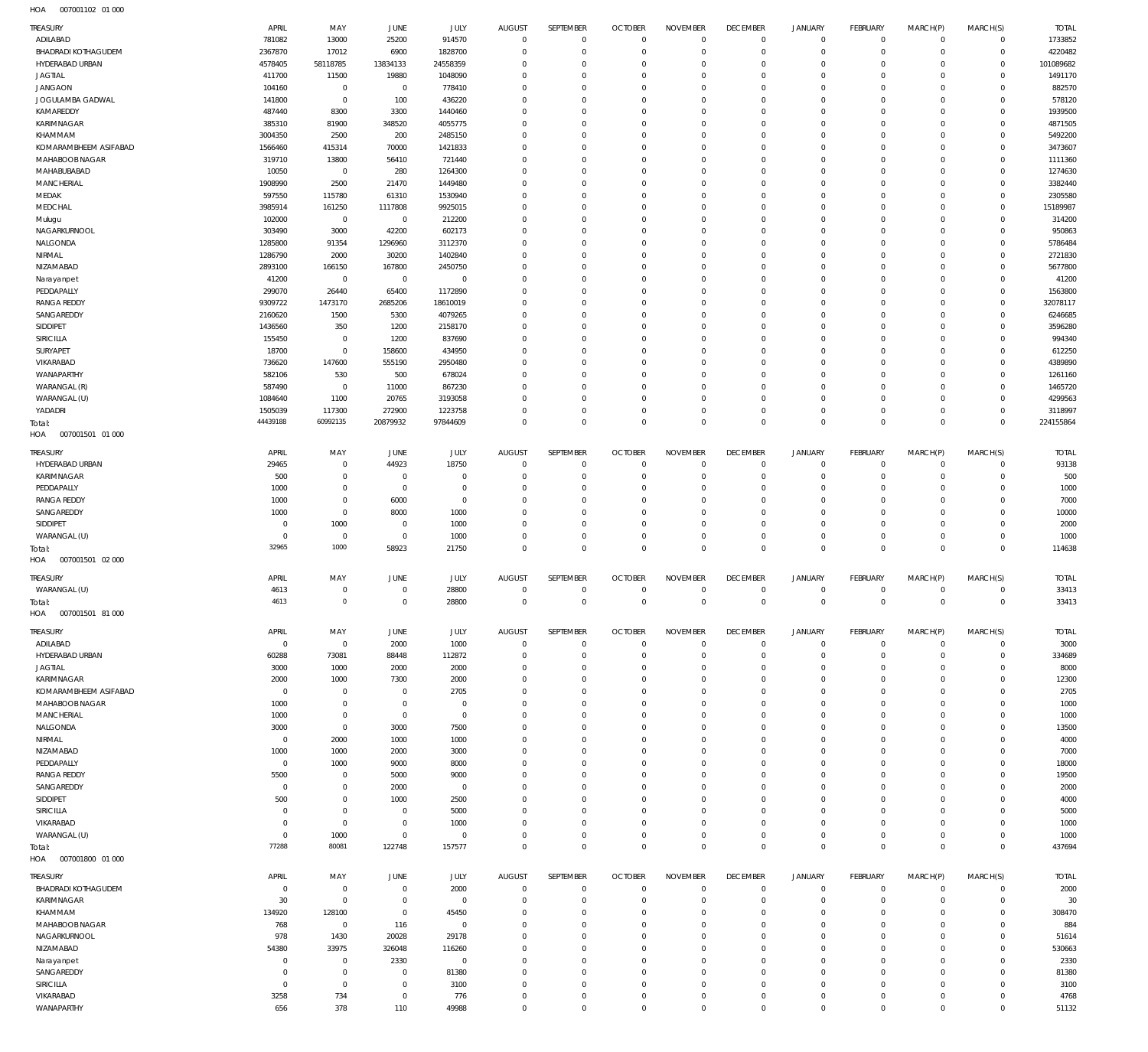| TREASURY<br>ADILABAD              | APRIL<br>781082         | MAY<br>13000               | <b>JUNE</b><br>25200             | JULY<br>914570          | <b>AUGUST</b><br>$\mathbf{0}$    | SEPTEMBER<br>$\mathbf 0$   | <b>OCTOBER</b><br>$\mathbf 0$    | <b>NOVEMBER</b><br>$\mathbf 0$ | <b>DECEMBER</b><br>$\mathbf 0$   | <b>JANUARY</b><br>$\mathbf 0$ | <b>FEBRUARY</b><br>$\overline{0}$ | MARCH(P)<br>$^{\circ}$  | MARCH(S)<br>$\mathbf 0$    | <b>TOTAL</b><br>1733852 |
|-----------------------------------|-------------------------|----------------------------|----------------------------------|-------------------------|----------------------------------|----------------------------|----------------------------------|--------------------------------|----------------------------------|-------------------------------|-----------------------------------|-------------------------|----------------------------|-------------------------|
| <b>BHADRADI KOTHAGUDEM</b>        | 2367870                 | 17012                      | 6900                             | 1828700                 | $\mathbf 0$                      | $\mathbf 0$                | $\overline{0}$                   | $\overline{0}$                 | $\overline{0}$                   | $\mathbf 0$                   | $\mathbf 0$                       | $\mathbf 0$             | $\mathbf 0$                | 4220482                 |
| HYDERABAD URBAN<br><b>JAGTIAL</b> | 4578405<br>411700       | 58118785<br>11500          | 13834133<br>19880                | 24558359<br>1048090     | $^{\circ}$<br>$\overline{0}$     | 0<br>0                     | $\overline{0}$<br>$\overline{0}$ | $\Omega$<br>$^{\circ}$         | $\overline{0}$<br>$\overline{0}$ | $\mathbf 0$<br>$\Omega$       | $\mathbf 0$<br>$\mathbf 0$        | $\Omega$<br>$\Omega$    | $\mathbf 0$<br>$\mathbf 0$ | 101089682<br>1491170    |
| <b>JANGAON</b>                    | 104160                  | $\overline{0}$             | $\overline{0}$                   | 778410                  | $\overline{0}$                   | 0                          | $\overline{0}$                   | $\Omega$                       | $\overline{0}$                   | $\mathbf 0$                   | $\mathbf 0$                       | $\Omega$                | $\mathbf 0$                | 882570                  |
| JOGULAMBA GADWAL                  | 141800                  | $\overline{0}$             | 100                              | 436220                  | $\overline{0}$                   | 0                          | $\overline{0}$                   | $^{\circ}$                     | $\overline{0}$                   | $\Omega$                      | $\mathbf 0$                       | $\Omega$                | $\mathbf 0$                | 578120                  |
| KAMAREDDY                         | 487440                  | 8300                       | 3300                             | 1440460                 | $\overline{0}$                   | 0                          | $\overline{0}$                   | $\Omega$                       | $\overline{0}$                   | $\Omega$                      | $\mathbf 0$                       | $\Omega$                | $\mathbf 0$                | 1939500                 |
| KARIMNAGAR                        | 385310                  | 81900                      | 348520                           | 4055775                 | $\overline{0}$                   | 0                          | $\overline{0}$                   | $\Omega$                       | $\overline{0}$                   | $\Omega$                      | $\Omega$                          | $\Omega$                | $\mathbf 0$                | 4871505                 |
| KHAMMAM                           | 3004350                 | 2500                       | 200                              | 2485150                 | $\overline{0}$                   | 0                          | $\overline{0}$                   | $\Omega$                       | $\overline{0}$                   | $\mathbf 0$                   | $\mathbf 0$                       | $\Omega$                | $\mathbf 0$                | 5492200                 |
| KOMARAMBHEEM ASIFABAD             | 1566460                 | 415314                     | 70000                            | 1421833                 | $\overline{0}$                   | 0                          | $\overline{0}$                   | $\mathbf 0$                    | $\overline{0}$                   | $\Omega$                      | $\mathbf 0$                       | $\Omega$                | $\mathbf 0$                | 3473607                 |
| MAHABOOB NAGAR                    | 319710                  | 13800                      | 56410                            | 721440                  | $\overline{0}$                   | 0                          | $\overline{0}$                   | $\Omega$                       | $\overline{0}$                   | $\Omega$                      | $\mathbf 0$                       | $\Omega$                | $\mathbf 0$                | 1111360                 |
| MAHABUBABAD<br>MANCHERIAL         | 10050<br>1908990        | $\overline{0}$<br>2500     | 280<br>21470                     | 1264300<br>1449480      | $\overline{0}$<br>$\overline{0}$ | 0<br>0                     | $\overline{0}$<br>$\overline{0}$ | $\Omega$<br>$\Omega$           | $\overline{0}$<br>$\overline{0}$ | $\Omega$<br>$\Omega$          | $\Omega$<br>$\mathbf 0$           | $\Omega$<br>$\Omega$    | $\mathbf 0$<br>$\mathbf 0$ | 1274630<br>3382440      |
| MEDAK                             | 597550                  | 115780                     | 61310                            | 1530940                 | $\overline{0}$                   | 0                          | $\overline{0}$                   | $\mathbf 0$                    | $\overline{0}$                   | $\Omega$                      | $\mathbf 0$                       | $\Omega$                | $\mathbf 0$                | 2305580                 |
| MEDCHAL                           | 3985914                 | 161250                     | 1117808                          | 9925015                 | $\overline{0}$                   | 0                          | $\overline{0}$                   | $\Omega$                       | $\overline{0}$                   | $\Omega$                      | $\mathbf 0$                       | $\Omega$                | $\mathbf 0$                | 15189987                |
| Mulugu                            | 102000                  | $\overline{0}$             | $\overline{0}$                   | 212200                  | $\overline{0}$                   | 0                          | $\overline{0}$                   | $\mathbf 0$                    | $\overline{0}$                   | $\Omega$                      | $\mathbf 0$                       | $\Omega$                | $\mathbf 0$                | 314200                  |
| NAGARKURNOOL                      | 303490                  | 3000                       | 42200                            | 602173                  | $\overline{0}$                   | 0                          | $\overline{0}$                   | $\Omega$                       | $\overline{0}$                   | $\Omega$                      | $\mathbf 0$                       | $\Omega$                | $\mathbf 0$                | 950863                  |
| NALGONDA                          | 1285800                 | 91354                      | 1296960                          | 3112370                 | $\overline{0}$                   | 0                          | $\overline{0}$                   | $\mathbf 0$                    | $\overline{0}$                   | $\Omega$                      | $\mathbf 0$                       | $\Omega$                | $\mathbf 0$                | 5786484                 |
| NIRMAL                            | 1286790                 | 2000                       | 30200                            | 1402840                 | $\overline{0}$                   | 0                          | $\overline{0}$                   | $\Omega$                       | $\overline{0}$                   | $\Omega$                      | $\mathbf 0$                       | $\Omega$                | $\mathbf 0$                | 2721830                 |
| NIZAMABAD                         | 2893100                 | 166150                     | 167800                           | 2450750                 | $\overline{0}$                   | 0                          | $\overline{0}$                   | $\mathbf 0$                    | $\overline{0}$                   | $\Omega$                      | $\mathbf 0$                       | $\Omega$                | $\mathbf 0$                | 5677800                 |
| Narayanpet<br>PEDDAPALLY          | 41200<br>299070         | $\,0\,$<br>26440           | $\overline{0}$<br>65400          | $\mathbf 0$<br>1172890  | $\overline{0}$<br>$\overline{0}$ | 0<br>0                     | $\overline{0}$<br>$\overline{0}$ | $\Omega$<br>$\mathbf 0$        | $\overline{0}$<br>$\overline{0}$ | $\Omega$<br>$\Omega$          | $\mathbf 0$<br>$\mathbf 0$        | $\Omega$<br>$\Omega$    | $\mathbf 0$<br>$\mathbf 0$ | 41200<br>1563800        |
| RANGA REDDY                       | 9309722                 | 1473170                    | 2685206                          | 18610019                | $\overline{0}$                   | 0                          | $\overline{0}$                   | $\Omega$                       | $\overline{0}$                   | $\Omega$                      | $\mathbf 0$                       | $\Omega$                | $\mathbf 0$                | 32078117                |
| SANGAREDDY                        | 2160620                 | 1500                       | 5300                             | 4079265                 | $\overline{0}$                   | 0                          | $\overline{0}$                   | $\Omega$                       | $\overline{0}$                   | $\Omega$                      | $\Omega$                          | $\Omega$                | $\mathbf 0$                | 6246685                 |
| SIDDIPET                          | 1436560                 | 350                        | 1200                             | 2158170                 | $\overline{0}$                   | 0                          | $\overline{0}$                   | $\Omega$                       | $\overline{0}$                   | $\Omega$                      | $\mathbf 0$                       | $\Omega$                | $\mathbf 0$                | 3596280                 |
| SIRICILLA                         | 155450                  | $\overline{0}$             | 1200                             | 837690                  | $\overline{0}$                   | 0                          | $\overline{0}$                   | $\mathbf 0$                    | $\overline{0}$                   | $\Omega$                      | $\Omega$                          | $\Omega$                | $\mathbf 0$                | 994340                  |
| SURYAPET                          | 18700                   | $\mathbf 0$                | 158600                           | 434950                  | $\overline{0}$                   | 0                          | $\overline{0}$                   | $\Omega$                       | $\overline{0}$                   | $\Omega$                      | $\mathbf 0$                       | $\Omega$                | $\mathbf 0$                | 612250                  |
| VIKARABAD                         | 736620                  | 147600                     | 555190                           | 2950480                 | $\overline{0}$                   | 0                          | $\overline{0}$                   | $\Omega$                       | $\overline{0}$                   | $\Omega$                      | $\Omega$                          | $\Omega$                | $\mathbf 0$                | 4389890                 |
| WANAPARTHY                        | 582106                  | 530                        | 500                              | 678024                  | $\overline{0}$                   | 0                          | $\overline{0}$                   | $\Omega$                       | $\overline{0}$                   | $\Omega$                      | $\mathbf 0$                       | $\Omega$                | $\mathbf 0$                | 1261160                 |
| WARANGAL (R)<br>WARANGAL (U)      | 587490<br>1084640       | $\overline{0}$<br>1100     | 11000<br>20765                   | 867230<br>3193058       | $\overline{0}$<br>$\overline{0}$ | 0<br>0                     | $\overline{0}$<br>$\overline{0}$ | $\mathbf 0$<br>$\Omega$        | $\overline{0}$<br>$\overline{0}$ | $\Omega$<br>$\Omega$          | $\mathbf 0$<br>$\mathbf 0$        | $\Omega$<br>$\Omega$    | $\mathbf 0$<br>$\mathbf 0$ | 1465720<br>4299563      |
| YADADRI                           | 1505039                 | 117300                     | 272900                           | 1223758                 | $\overline{0}$                   | 0                          | $\overline{0}$                   | $\mathbf 0$                    | $\overline{0}$                   | $\mathbf 0$                   | $\mathbf 0$                       | $\Omega$                | $\mathbf 0$                | 3118997                 |
| Total:                            | 44439188                | 60992135                   | 20879932                         | 97844609                | $\Omega$                         | 0                          | $\,0\,$                          | $\Omega$                       | $\mathbb O$                      | $\mathbf 0$                   | $\overline{0}$                    | $\Omega$                | $\mathbb O$                | 224155864               |
| 007001501 01 000<br>HOA           |                         |                            |                                  |                         |                                  |                            |                                  |                                |                                  |                               |                                   |                         |                            |                         |
| <b>TREASURY</b>                   | APRIL                   | MAY                        | <b>JUNE</b>                      | JULY                    | <b>AUGUST</b>                    | SEPTEMBER                  | <b>OCTOBER</b>                   | <b>NOVEMBER</b>                | <b>DECEMBER</b>                  | <b>JANUARY</b>                | <b>FEBRUARY</b>                   | MARCH(P)                | MARCH(S)                   | <b>TOTAL</b>            |
| HYDERABAD URBAN                   | 29465                   | $\mathbf 0$                | 44923                            | 18750                   | $\mathbf{0}$                     | $\mathbf 0$                | $\overline{0}$                   | $\mathbf 0$                    | $^{\circ}$                       | $\circ$                       | $\circ$                           | 0                       | $\mathbf 0$                | 93138                   |
| KARIMNAGAR                        | 500                     | $\mathbf 0$                | $\overline{0}$                   | $\mathbf 0$             | $^{\circ}$                       | 0                          | $\overline{0}$                   | $\Omega$                       | $\overline{0}$                   | $\Omega$                      | $\mathbf 0$                       | $\Omega$                | $\mathbf 0$                | 500                     |
| PEDDAPALLY                        | 1000                    | $\mathbf 0$                | $\overline{0}$                   | $\mathbf 0$             | $\mathbf{0}$                     | 0                          | $\overline{0}$                   | $\mathbf 0$                    | $^{\circ}$                       | $\circ$                       | $\mathbf 0$                       | $\Omega$                | $\mathbf 0$                | 1000                    |
| <b>RANGA REDDY</b>                | 1000                    | $\mathbf 0$                | 6000                             | $\mathbf 0$             | $\Omega$                         | $\Omega$                   | $\overline{0}$                   | $\Omega$                       | $\overline{0}$                   | $\Omega$                      | $\Omega$                          |                         | $\Omega$                   | 7000                    |
| SANGAREDDY                        | 1000                    | $\mathbf 0$                | 8000                             | 1000                    | $\mathbf{0}$                     | 0                          | $\overline{0}$                   | $\mathbf 0$                    | $^{\circ}$                       | $\mathbf 0$                   | $\mathbf 0$                       | $\Omega$                | $\mathbf 0$                | 10000                   |
| SIDDIPET                          | $\mathbf 0$             | 1000                       | $\mathbf 0$                      | 1000                    | $\Omega$                         | 0                          | $\overline{0}$                   | $\Omega$                       | $^{\circ}$                       | $\Omega$                      | $\Omega$                          |                         | $\Omega$                   | 2000                    |
| WARANGAL (U)                      | $\mathbf 0$             | $\mathbf 0$                | $\overline{0}$                   | 1000                    | $\mathbf 0$                      | 0                          | $\mathbf 0$                      | $\mathbf 0$                    | $\overline{0}$                   | $\mathbf 0$                   | $\mathbf 0$                       | $\Omega$                | $\mathbf 0$                | 1000                    |
| Total:<br>007001501 02 000        | 32965                   | 1000                       | 58923                            | 21750                   | $\mathbf 0$                      | 0                          | $\overline{0}$                   | $\Omega$                       | $\overline{0}$                   | $\mathbf{0}$                  | $\overline{0}$                    | $\Omega$                | $\mathbf 0$                | 114638                  |
| HOA                               |                         |                            |                                  |                         |                                  |                            |                                  |                                |                                  |                               |                                   |                         |                            |                         |
| TREASURY                          | APRIL                   | MAY                        | <b>JUNE</b>                      | JULY                    | AUGUST                           | SEPTEMBER                  | <b>OCTOBER</b>                   | <b>NOVEMBER</b>                | <b>DECEMBER</b>                  | <b>JANUARY</b>                | <b>FEBRUARY</b>                   | MARCH(P)                | MARCH(S)                   | <b>TOTAL</b>            |
| WARANGAL (U)                      | 4613<br>4613            | $\mathbf 0$<br>$\mathbf 0$ | $\overline{0}$<br>$\overline{0}$ | 28800<br>28800          | $^{\circ}$<br>$\overline{0}$     | $\mathbf 0$<br>$\mathbf 0$ | $^{\circ}$<br>$\,0\,$            | $^{\circ}$<br>$\mathbf 0$      | $^{\circ}$<br>$\mathbb O$        | $\circ$<br>$\mathbf 0$        | $\mathbf 0$<br>$\mathbf{0}$       | $\mathbf 0$<br>$\Omega$ | $\mathbf 0$<br>$\mathbf 0$ | 33413<br>33413          |
| Total:<br>HOA<br>007001501 81 000 |                         |                            |                                  |                         |                                  |                            |                                  |                                |                                  |                               |                                   |                         |                            |                         |
|                                   |                         |                            |                                  |                         |                                  |                            |                                  |                                |                                  |                               |                                   |                         |                            |                         |
| TREASURY                          | APRIL                   | MAY                        | <b>JUNE</b>                      | JULY                    | <b>AUGUST</b>                    | SEPTEMBER                  | <b>OCTOBER</b>                   | <b>NOVEMBER</b>                | <b>DECEMBER</b>                  | <b>JANUARY</b>                | <b>FEBRUARY</b>                   | MARCH(P)                | MARCH(S)                   | <b>TOTAL</b>            |
| ADILABAD<br>HYDERABAD URBAN       | $\overline{0}$<br>60288 | $\mathbf 0$<br>73081       | 2000<br>88448                    | 1000<br>112872          | $\mathbf{0}$<br>$\mathbf{0}$     | $\mathbf 0$<br>0           | $\mathbf 0$<br>$\mathbf 0$       | $\mathbf 0$<br>$^{\circ}$      | $\mathbf 0$<br>$^{\circ}$        | $\mathbf 0$<br>$\circ$        | $\mathbf 0$<br>$\mathbf 0$        | $\mathbf 0$<br>0        | $\mathbf 0$<br>$\mathbf 0$ | 3000<br>334689          |
| <b>JAGTIAL</b>                    | 3000                    | 1000                       | 2000                             | 2000                    | $^{\circ}$                       | 0                          | $\overline{0}$                   | $^{\circ}$                     | $^{\circ}$                       | $\Omega$                      | $\mathbf 0$                       | $\Omega$                | $\mathbf 0$                | 8000                    |
| KARIMNAGAR                        | 2000                    | 1000                       | 7300                             | 2000                    | $\mathbf 0$                      | 0                          | $^{\circ}$                       | $\Omega$                       | $^{\circ}$                       | $\circ$                       | $\mathbf 0$                       | $\Omega$                | $\mathbf 0$                | 12300                   |
| KOMARAMBHEEM ASIFABAD             | $\mathbf 0$             | $\mathbf 0$                | $\overline{0}$                   | 2705                    | 0                                | 0                          | $\overline{0}$                   | $\Omega$                       | $\Omega$                         | $\Omega$                      | $\Omega$                          |                         | $\Omega$                   | 2705                    |
| MAHABOOB NAGAR                    | 1000                    | $\mathbf 0$                | $\overline{0}$                   | $^{\circ}$              | $\mathbf{0}$                     | 0                          | $\overline{0}$                   | $\mathbf 0$                    | $^{\circ}$                       | $\circ$                       | $\mathbf 0$                       | $\Omega$                | $\mathbf 0$                | 1000                    |
| MANCHERIAL                        | 1000                    | $\mathbf 0$                | $\overline{0}$                   | $\mathbf 0$             | 0                                | 0                          | $\overline{0}$                   | $\Omega$                       | $^{\circ}$                       | $\Omega$                      | $\Omega$                          |                         | $\Omega$                   | 1000                    |
| NALGONDA                          | 3000                    | $\mathbf 0$                | 3000                             | 7500                    | $\mathbf{0}$                     | 0                          | $\overline{0}$                   | $\mathbf 0$                    | $^{\circ}$                       | $\circ$                       | $\mathbf 0$                       | $\Omega$                | $\mathbf 0$                | 13500                   |
| NIRMAL                            | $\mathbf 0$             | 2000                       | 1000                             | 1000                    | 0                                | 0                          | $\overline{0}$                   | $\Omega$                       | $^{\circ}$                       | $\Omega$                      | $\Omega$                          | $\Omega$                | $\mathbf 0$                | 4000                    |
| NIZAMABAD<br>PEDDAPALLY           | 1000<br>$\mathbf 0$     | 1000<br>1000               | 2000<br>9000                     | 3000<br>8000            | $\mathbf{0}$<br>0                | 0<br>0                     | $\overline{0}$<br>$\overline{0}$ | $\Omega$<br>$\Omega$           | $^{\circ}$<br>$^{\circ}$         | $\Omega$<br>$\Omega$          | $\mathbf 0$<br>$\mathbf 0$        | $\Omega$<br>$\Omega$    | $\mathbf 0$<br>$\mathbf 0$ | 7000<br>18000           |
| <b>RANGA REDDY</b>                | 5500                    | $\mathbf 0$                | 5000                             | 9000                    | $\mathbf 0$                      | 0                          | $\overline{0}$                   | $\Omega$                       | $^{\circ}$                       | $\Omega$                      | $\mathbf 0$                       | $\Omega$                | $\mathbf 0$                | 19500                   |
| SANGAREDDY                        | $\mathbf 0$             | $\mathbf 0$                | 2000                             | $^{\circ}$              | 0                                | 0                          | $\overline{0}$                   | $\Omega$                       | $^{\circ}$                       | $\Omega$                      | $\mathbf 0$                       | $\Omega$                | $\mathbf 0$                | 2000                    |
| SIDDIPET                          | 500                     | $\mathbf 0$                | 1000                             | 2500                    | $\mathbf{0}$                     | 0                          | $\overline{0}$                   | $\Omega$                       | $^{\circ}$                       | $\Omega$                      | $\mathbf 0$                       |                         | $\mathbf 0$                | 4000                    |
| SIRICILLA                         | $\mathbf 0$             | $\mathbf 0$                | $\overline{0}$                   | 5000                    | $\mathbf 0$                      | 0                          | $\overline{0}$                   | $\Omega$                       | $^{\circ}$                       | $\Omega$                      | $\mathbf 0$                       | $\Omega$                | $\mathbf 0$                | 5000                    |
| VIKARABAD                         | $\mathbf 0$             | $\mathbf 0$                | $\overline{0}$                   | 1000                    | $\mathbf 0$                      | 0                          | $\overline{0}$                   | $\Omega$                       | $^{\circ}$                       | $\circ$                       | $\mathbf 0$                       | $\Omega$                | $\mathbf 0$                | 1000                    |
| WARANGAL (U)                      | $\mathbf 0$             | 1000                       | $\overline{0}$                   | $\mathbf 0$             | $\mathbf 0$                      | 0                          | $\overline{0}$                   | $\mathbf 0$                    | $\overline{0}$                   | $\mathbf 0$                   | $\mathbf 0$                       | $\mathbf 0$             | $\mathbf 0$                | 1000                    |
| Total:                            | 77288                   | 80081                      | 122748                           | 157577                  | $\overline{0}$                   | 0                          | $\,0\,$                          | $\mathbf 0$                    | $\mathbb O$                      | $\mathbf 0$                   | $\mathbf{0}$                      | $\Omega$                | $\mathbf 0$                | 437694                  |
| HOA<br>007001800 01 000           |                         |                            |                                  |                         |                                  |                            |                                  |                                |                                  |                               |                                   |                         |                            |                         |
| <b>TREASURY</b>                   | APRIL                   | MAY                        | JUNE                             | JULY                    | AUGUST                           | SEPTEMBER                  | <b>OCTOBER</b>                   | <b>NOVEMBER</b>                | <b>DECEMBER</b>                  | <b>JANUARY</b>                | <b>FEBRUARY</b>                   | MARCH(P)                | MARCH(S)                   | <b>TOTAL</b>            |
| BHADRADI KOTHAGUDEM               | $\overline{0}$          | $\mathbf 0$                | $\overline{0}$                   | 2000                    | $\mathbf{0}$                     | $^{\circ}$                 | $\mathbf 0$                      | $\overline{0}$                 | $\overline{0}$                   | $\mathbf 0$                   | $\mathbf 0$                       | $\mathbf 0$             | $\mathbf 0$                | 2000                    |
| KARIMNAGAR                        | 30                      | $\overline{0}$             | $\overline{0}$                   | $\mathbf 0$             | $\mathbf{0}$                     | 0                          | $\overline{0}$                   | $\Omega$                       | $\overline{0}$                   | $\mathbf 0$                   | $\mathbf 0$                       | $\circ$                 | $\mathbf 0$                | 30                      |
| KHAMMAM<br>MAHABOOB NAGAR         | 134920<br>768           | 128100<br>$\overline{0}$   | $\overline{0}$<br>116            | 45450<br>$\overline{0}$ | $\overline{0}$<br>$\mathbf{0}$   | 0<br>0                     | $\overline{0}$<br>$\overline{0}$ | $\mathbf 0$<br>$\Omega$        | $\overline{0}$<br>$\overline{0}$ | $\Omega$<br>$\mathbf 0$       | $\mathbf 0$<br>$\mathbf 0$        | $\Omega$<br>$\Omega$    | $\mathbf 0$<br>$\mathbf 0$ | 308470<br>884           |
| NAGARKURNOOL                      | 978                     | 1430                       | 20028                            | 29178                   | $\overline{0}$                   | 0                          | $\overline{0}$                   | $\mathbf 0$                    | $\overline{0}$                   | $\Omega$                      | $\mathbf 0$                       | $\Omega$                | $\mathbf 0$                | 51614                   |
| NIZAMABAD                         | 54380                   | 33975                      | 326048                           | 116260                  | $\mathbf 0$                      | 0                          | $\overline{0}$                   | $\Omega$                       | $\overline{0}$                   | $\mathbf 0$                   | $\mathbf 0$                       | $\Omega$                | $\mathbf 0$                | 530663                  |
| Narayanpet                        | $\mathbf 0$             | $\mathbf 0$                | 2330                             | $\overline{0}$          | $\mathbf 0$                      | 0                          | $\overline{0}$                   | $\mathbf 0$                    | $\overline{0}$                   | $\Omega$                      | $\mathbf 0$                       | $\Omega$                | $\mathbf 0$                | 2330                    |
| SANGAREDDY                        | $\mathbf 0$             | $\mathbf{0}$               | $\overline{0}$                   | 81380                   | $\mathbf 0$                      | 0                          | $\overline{0}$                   | $\Omega$                       | $\overline{0}$                   | $\mathbf 0$                   | $\mathbf 0$                       | $\Omega$                | $\mathbf 0$                | 81380                   |
| SIRICILLA                         | $\mathbf 0$             | $\mathbf 0$                | $\overline{0}$                   | 3100                    | $\overline{0}$                   | 0                          | $\overline{0}$                   | $\mathbf 0$                    | $\overline{0}$                   | $\Omega$                      | $\mathbf 0$                       | $\Omega$                | $\mathbf 0$                | 3100                    |
| VIKARABAD                         | 3258                    | 734                        | $\overline{0}$                   | 776                     | $\mathbf{0}$                     | 0                          | $\mathbf 0$                      | $\mathbf 0$                    | $\mathbf 0$                      | $\circ$                       | $\overline{0}$                    | $\mathbf 0$             | $\mathbf 0$                | 4768                    |
| WANAPARTHY                        | 656                     | 378                        | 110                              | 49988                   | $\overline{0}$                   | $\mathbf 0$                | $\,0\,$                          | $\mathbf 0$                    | $\mathbb O$                      | $\mathsf{O}\xspace$           | $\mathbb O$                       | $\mathbf 0$             | $\mathbb O$                | 51132                   |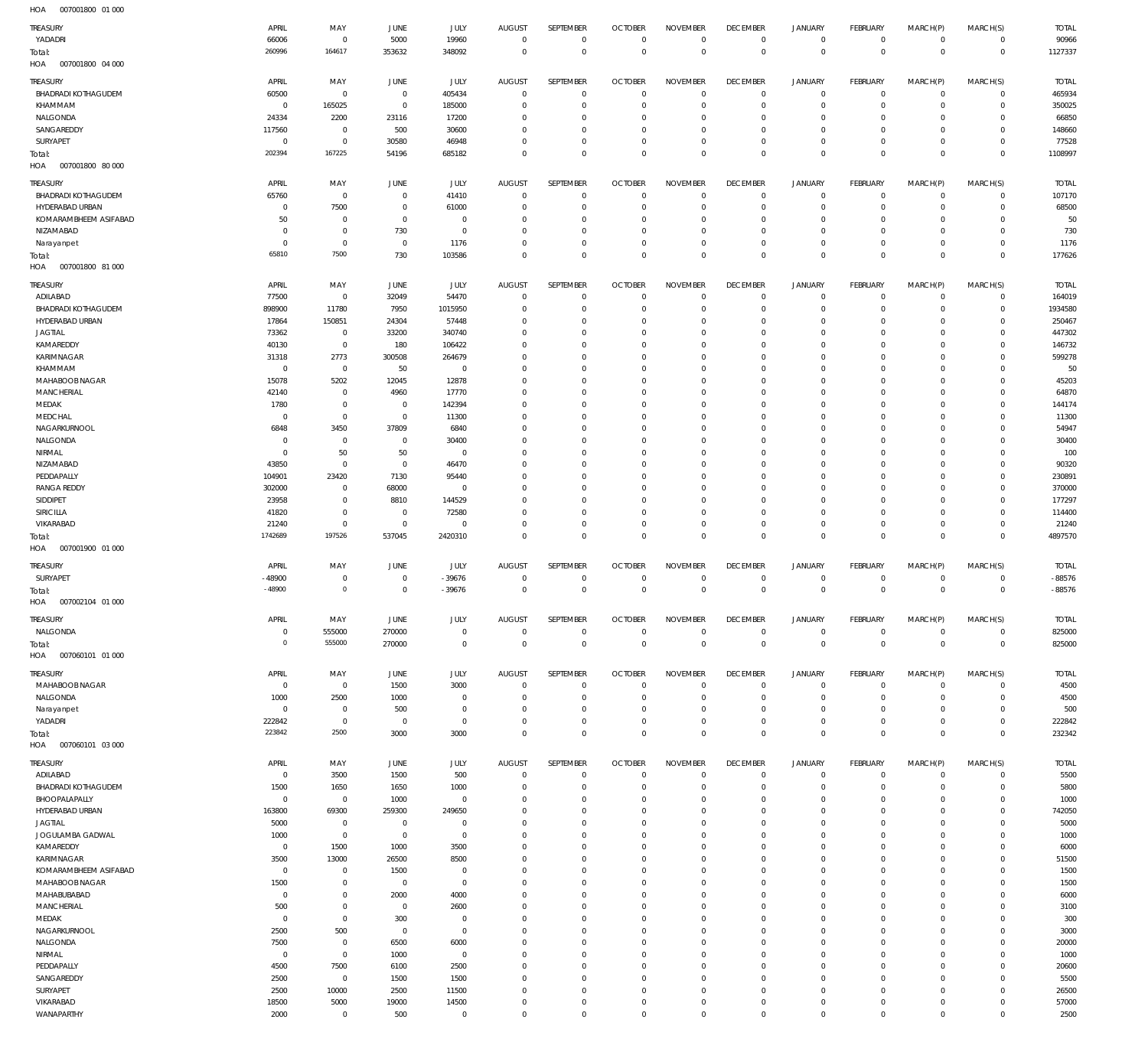| TREASURY                                | APRIL                | MAY                           | JUNE                          | <b>JULY</b>                  | <b>AUGUST</b><br>$\overline{0}$ | SEPTEMBER<br>$\mathbf 0$   | <b>OCTOBER</b><br>$\overline{0}$ | <b>NOVEMBER</b><br>$\mathbf 0$ | <b>DECEMBER</b><br>$\overline{0}$ | <b>JANUARY</b>                   | FEBRUARY                         | MARCH(P)<br>$\mathbf{0}$ | MARCH(S)                         | <b>TOTAL</b>           |
|-----------------------------------------|----------------------|-------------------------------|-------------------------------|------------------------------|---------------------------------|----------------------------|----------------------------------|--------------------------------|-----------------------------------|----------------------------------|----------------------------------|--------------------------|----------------------------------|------------------------|
| YADADRI<br>Total:                       | 66006<br>260996      | $\overline{0}$<br>164617      | 5000<br>353632                | 19960<br>348092              | $\overline{0}$                  | $\mathbf 0$                | $\overline{0}$                   | $\mathbf 0$                    | $\overline{0}$                    | $\circ$<br>$\bf 0$               | $\overline{0}$<br>$\overline{0}$ | $\mathbf 0$              | $\overline{0}$<br>$\overline{0}$ | 90966<br>1127337       |
| HOA<br>007001800 04 000                 |                      |                               |                               |                              |                                 |                            |                                  |                                |                                   |                                  |                                  |                          |                                  |                        |
| TREASURY                                | APRIL                | MAY<br>$\mathbf 0$            | <b>JUNE</b><br>$\overline{0}$ | <b>JULY</b>                  | <b>AUGUST</b><br>$\overline{0}$ | SEPTEMBER<br>$\mathbf 0$   | <b>OCTOBER</b><br>$\overline{0}$ | <b>NOVEMBER</b><br>$\Omega$    | <b>DECEMBER</b><br>$\overline{0}$ | <b>JANUARY</b><br>$\mathbf 0$    | FEBRUARY<br>$\mathbf{0}$         | MARCH(P)<br>$\mathbf 0$  | MARCH(S)<br>$^{\circ}$           | <b>TOTAL</b><br>465934 |
| <b>BHADRADI KOTHAGUDEM</b><br>KHAMMAM   | 60500<br>$\mathbf 0$ | 165025                        | $\overline{0}$                | 405434<br>185000             | $^{\circ}$                      | $\mathbf 0$                | $\mathbf 0$                      | $\mathbf 0$                    | $\mathbf 0$                       | $\mathbf 0$                      | $\mathbf 0$                      | $\circ$                  | $\mathbf 0$                      | 350025                 |
| NALGONDA                                | 24334                | 2200                          | 23116                         | 17200                        | $\Omega$                        | $\Omega$                   | $\Omega$                         | $\Omega$                       | $\Omega$                          | $\mathbf 0$                      | $\mathbf 0$                      | $\Omega$                 | $\Omega$                         | 66850                  |
| SANGAREDDY                              | 117560               | $\mathbf 0$                   | 500                           | 30600                        | $\Omega$                        | $\mathbf 0$                | $\mathbf 0$                      | $\Omega$                       | $\mathbf 0$                       | $\mathbf 0$                      | $\mathbf 0$                      | $\Omega$                 | $\mathbf 0$                      | 148660                 |
| SURYAPET                                | $\mathbf 0$          | $\mathbf 0$                   | 30580                         | 46948                        | $\Omega$                        | $\Omega$                   | $\mathbf 0$                      | $\Omega$                       | $\mathbf 0$                       | $\mathbf 0$                      | $\mathbf 0$                      | $\Omega$                 | $\mathbf 0$                      | 77528                  |
| Total:                                  | 202394               | 167225                        | 54196                         | 685182                       | $\Omega$                        | $\Omega$                   | $\Omega$                         | $\Omega$                       | $\Omega$                          | $\Omega$                         | $\Omega$                         | $\Omega$                 | $\mathbf 0$                      | 1108997                |
| HOA<br>007001800 80 000                 |                      |                               |                               |                              |                                 |                            |                                  |                                |                                   |                                  |                                  |                          |                                  |                        |
| TREASURY<br>BHADRADI KOTHAGUDEM         | APRIL                | MAY                           | JUNE                          | JULY                         | <b>AUGUST</b><br>$\overline{0}$ | <b>SEPTEMBER</b>           | <b>OCTOBER</b><br>$\mathbf 0$    | <b>NOVEMBER</b><br>$\mathbf 0$ | <b>DECEMBER</b>                   | <b>JANUARY</b>                   | FEBRUARY                         | MARCH(P)                 | MARCH(S)                         | <b>TOTAL</b>           |
| HYDERABAD URBAN                         | 65760<br>$^{\circ}$  | $\mathbb O$<br>7500           | $\mathbf 0$<br>$\overline{0}$ | 41410<br>61000               | $^{\circ}$                      | $\bf 0$<br>$\mathbf 0$     | $\mathbf 0$                      | $\Omega$                       | $\mathbf 0$<br>$\mathbf 0$        | $\mathbf 0$<br>$\mathbf 0$       | $\circ$<br>$\overline{0}$        | $\circ$<br>$\circ$       | $\circ$<br>$\mathbf{0}$          | 107170<br>68500        |
| KOMARAMBHEEM ASIFABAD                   | 50                   | $\mathbb O$                   | $\circ$                       | $\mathbf 0$                  | $\Omega$                        | $\mathbf 0$                | $\mathbf 0$                      | $\mathbf 0$                    | $\mathbf 0$                       | $\mathbf 0$                      | $\mathbf{0}$                     | $\circ$                  | $\mathbf{0}$                     | 50                     |
| NIZAMABAD                               | $^{\circ}$           | $\mathbf 0$                   | 730                           | $\mathbf 0$                  | $\Omega$                        | $\mathbf 0$                | $\mathbf 0$                      | $\Omega$                       | $\mathbf 0$                       | $\mathbf 0$                      | $\mathbf{0}$                     | $\Omega$                 | $\mathbf{0}$                     | 730                    |
| Narayanpet                              | $^{\circ}$           | $\mathbb O$                   | $\overline{0}$                | 1176                         | $^{\circ}$                      | $\mathbf 0$                | $\mathbf 0$                      | $\mathbf 0$                    | $\mathbf 0$                       | $\mathbf 0$                      | $\mathbf{0}$                     | $\circ$                  | $\mathbf{0}$                     | 1176                   |
| Total:<br>HOA<br>007001800 81 000       | 65810                | 7500                          | 730                           | 103586                       | $\Omega$                        | $\mathbf 0$                | $\mathbf 0$                      | $\mathbf 0$                    | $\overline{0}$                    | $\mathbf 0$                      | $\overline{0}$                   | $\Omega$                 | $\overline{0}$                   | 177626                 |
|                                         |                      |                               |                               |                              |                                 |                            |                                  |                                |                                   |                                  |                                  |                          |                                  |                        |
| TREASURY<br>ADILABAD                    | APRIL<br>77500       | MAY<br>$\mathbf 0$            | <b>JUNE</b><br>32049          | JULY<br>54470                | <b>AUGUST</b><br>$\mathbf{0}$   | SEPTEMBER<br>$\mathbf 0$   | <b>OCTOBER</b><br>$\overline{0}$ | <b>NOVEMBER</b><br>$\Omega$    | <b>DECEMBER</b><br>$\mathbf 0$    | <b>JANUARY</b><br>$\mathbf 0$    | FEBRUARY<br>$\mathbf{0}$         | MARCH(P)<br>$\mathbf 0$  | MARCH(S)<br>$\mathbf{0}$         | <b>TOTAL</b><br>164019 |
| <b>BHADRADI KOTHAGUDEM</b>              | 898900               | 11780                         | 7950                          | 1015950                      | $\Omega$                        | $\mathbf 0$                | $\mathbf 0$                      | $\Omega$                       | $\mathbf 0$                       | $\mathbf 0$                      | $\mathbf 0$                      | $\Omega$                 | $\mathbf 0$                      | 1934580                |
| HYDERABAD URBAN                         | 17864                | 150851                        | 24304                         | 57448                        | $\Omega$                        | $\Omega$                   | $\Omega$                         | $\Omega$                       | $\mathbf 0$                       | $\mathbf 0$                      | $\mathbf 0$                      | $\Omega$                 | $\mathbf 0$                      | 250467                 |
| <b>JAGTIAL</b>                          | 73362                | $^{\circ}$                    | 33200                         | 340740                       | $\Omega$                        | $\Omega$                   | $\Omega$                         | $\Omega$                       | $\mathbf 0$                       | $\mathbf 0$                      | $\mathbf 0$                      | $\Omega$                 | $\mathbf 0$                      | 447302                 |
| KAMAREDDY                               | 40130                | $\mathbf 0$                   | 180                           | 106422                       | $\Omega$                        | $\Omega$                   | $\Omega$                         | $\Omega$                       | $\Omega$                          | $\Omega$                         | $\Omega$                         | $\Omega$                 | $\Omega$                         | 146732                 |
| KARIMNAGAR<br>KHAMMAM                   | 31318<br>$^{\circ}$  | 2773<br>$\mathbf 0$           | 300508<br>50                  | 264679<br>$\mathbf 0$        | $\Omega$<br>$\Omega$            | $\Omega$<br>$\Omega$       | $\Omega$<br>$\Omega$             | $\Omega$<br>$\Omega$           | $\Omega$<br>$\Omega$              | $\mathbf 0$<br>$\Omega$          | $\mathbf 0$<br>$\Omega$          | $\Omega$<br>$\Omega$     | $\mathbf 0$<br>$\Omega$          | 599278<br>50           |
| MAHABOOB NAGAR                          | 15078                | 5202                          | 12045                         | 12878                        | $\Omega$                        | $\Omega$                   | $\Omega$                         | $\Omega$                       | $\Omega$                          | $\Omega$                         | $\mathbf 0$                      | $\Omega$                 | $\Omega$                         | 45203                  |
| <b>MANCHERIAL</b>                       | 42140                | $\mathbf 0$                   | 4960                          | 17770                        | $\Omega$                        | $\Omega$                   | $\Omega$                         | $\Omega$                       | $\mathbf 0$                       | $\mathbf 0$                      | $\Omega$                         | $\Omega$                 | $\Omega$                         | 64870                  |
| MEDAK                                   | 1780                 | $\mathbf 0$                   | $\overline{0}$                | 142394                       | $\Omega$                        | $\Omega$                   | $\Omega$                         | $\Omega$                       | $\Omega$                          | $\Omega$                         | $\mathbf 0$                      | $\Omega$                 | $\Omega$                         | 144174                 |
| MEDCHAL                                 | $^{\circ}$           | $\mathbf 0$                   | $\circ$                       | 11300                        | $\Omega$                        | $\mathbf 0$                | $\Omega$                         | $\Omega$                       | $\mathbf 0$                       | $\mathbf 0$                      | $\mathbf 0$                      | $\Omega$                 | $\mathbf 0$                      | 11300                  |
| NAGARKURNOOL<br>NALGONDA                | 6848<br>$\mathbf 0$  | 3450<br>$\mathbf 0$           | 37809<br>$\mathbf 0$          | 6840<br>30400                | $\Omega$<br>$\Omega$            | $\Omega$<br>$\Omega$       | $\Omega$<br>$\Omega$             | $\Omega$<br>$\Omega$           | $\Omega$<br>$\mathbf 0$           | $\Omega$<br>$\mathbf 0$          | $\Omega$<br>$\mathbf 0$          | $\Omega$<br>$\Omega$     | $\Omega$<br>$\mathbf 0$          | 54947<br>30400         |
| NIRMAL                                  | $^{\circ}$           | 50                            | 50                            | $^{\circ}$                   | $\Omega$                        | $\Omega$                   | $\Omega$                         | $\Omega$                       | $\Omega$                          | $\Omega$                         | $\Omega$                         | $\Omega$                 | $\Omega$                         | 100                    |
| NIZAMABAD                               | 43850                | $\mathbf 0$                   | $\overline{0}$                | 46470                        | $\Omega$                        | $\Omega$                   | $\Omega$                         | $\Omega$                       | $\Omega$                          | $\Omega$                         | $\Omega$                         | $\Omega$                 | $\Omega$                         | 90320                  |
| PEDDAPALLY                              | 104901               | 23420                         | 7130                          | 95440                        | $\Omega$                        | $\Omega$                   | $\Omega$                         | $\Omega$                       | $\Omega$                          | $\mathbf 0$                      | $\mathbf 0$                      | $\Omega$                 | $\mathbf 0$                      | 230891                 |
| <b>RANGA REDDY</b>                      | 302000               | $\mathbf 0$                   | 68000                         | $^{\circ}$                   | $\Omega$                        | $\Omega$                   | $\Omega$                         | $\Omega$                       | $\Omega$                          | $\Omega$                         | $\Omega$                         | $\Omega$                 | $\Omega$                         | 370000                 |
| SIDDIPET<br>SIRICILLA                   | 23958<br>41820       | $\mathbf 0$<br>$\mathbf 0$    | 8810<br>$^{\circ}$            | 144529<br>72580              | $\Omega$<br>$\Omega$            | $\Omega$<br>$\Omega$       | $\Omega$<br>$\Omega$             | $\Omega$<br>$\Omega$           | $\mathbf 0$<br>$\mathbf 0$        | $\mathbf 0$<br>$\mathbf 0$       | $\mathbf 0$<br>$\Omega$          | $\Omega$<br>$\Omega$     | $\mathbf 0$<br>$\Omega$          | 177297<br>114400       |
| VIKARABAD                               | 21240                | $\mathbf 0$                   | $\overline{0}$                | $^{\circ}$                   | $\Omega$                        | $\Omega$                   | $\mathbf 0$                      | $\Omega$                       | $\mathbf 0$                       | $\mathbf 0$                      | $\mathbf 0$                      | $\Omega$                 | $\mathbf 0$                      | 21240                  |
| Total:                                  | 1742689              | 197526                        | 537045                        | 2420310                      | $\Omega$                        | $\Omega$                   | $\Omega$                         | $\mathbf 0$                    | $\mathbf 0$                       | $\mathbf 0$                      | $\Omega$                         | $\Omega$                 | $\overline{0}$                   | 4897570                |
| HOA<br>007001900 01 000                 |                      |                               |                               |                              |                                 |                            |                                  |                                |                                   |                                  |                                  |                          |                                  |                        |
| TREASURY                                | APRIL                | MAY                           | <b>JUNE</b>                   | <b>JULY</b>                  | <b>AUGUST</b>                   | SEPTEMBER                  | <b>OCTOBER</b>                   | <b>NOVEMBER</b>                | <b>DECEMBER</b>                   | <b>JANUARY</b>                   | FEBRUARY                         | MARCH(P)                 | MARCH(S)                         | <b>TOTAL</b>           |
| SURYAPET                                | $-48900$             | $\mathbf 0$                   | $\circ$                       | $-39676$                     | $^{\circ}$                      | $\mathbf 0$                | $\overline{0}$                   | $\mathbf 0$                    | $\overline{0}$                    | $^{\circ}$                       | $\overline{0}$                   | $\mathbf 0$              | $\overline{0}$                   | $-88576$               |
| Total:<br>HOA<br>007002104 01 000       | $-48900$             | $\mathbb O$                   | $\mathbf 0$                   | $-39676$                     | $\overline{0}$                  | $\mathbf 0$                | $\overline{0}$                   | $\bf 0$                        | $\overline{0}$                    | $\bf 0$                          | $\overline{0}$                   | $\mathbf 0$              | $\overline{0}$                   | $-88576$               |
|                                         |                      |                               |                               |                              |                                 |                            |                                  |                                |                                   |                                  |                                  |                          |                                  |                        |
| TREASURY<br>NALGONDA                    | APRIL<br>$^{\circ}$  | MAY<br>555000                 | JUNE<br>270000                | <b>JULY</b><br>$\mathbf 0$   | <b>AUGUST</b><br>$\mathbf 0$    | SEPTEMBER<br>$\mathbf 0$   | <b>OCTOBER</b><br>$\overline{0}$ | <b>NOVEMBER</b><br>$\mathbf 0$ | <b>DECEMBER</b><br>$\overline{0}$ | <b>JANUARY</b><br>$\overline{0}$ | FEBRUARY<br>$\mathbf{0}$         | MARCH(P)<br>$\mathbf 0$  | MARCH(S)<br>$\mathbf{0}$         | <b>TOTAL</b><br>825000 |
| Total:                                  | $\circ$              | 555000                        | 270000                        | $\mathbf 0$                  | $\overline{0}$                  | $\mathbf 0$                | $\mathbf{0}$                     | $\mathbf 0$                    | $\overline{0}$                    | $\bf 0$                          | $\overline{0}$                   | $\mathbf 0$              | $\overline{0}$                   | 825000                 |
| HOA<br>007060101 01 000                 |                      |                               |                               |                              |                                 |                            |                                  |                                |                                   |                                  |                                  |                          |                                  |                        |
| TREASURY                                | APRIL                | MAY                           | JUNE                          | JULY                         | <b>AUGUST</b>                   | SEPTEMBER                  | <b>OCTOBER</b>                   | <b>NOVEMBER</b>                | <b>DECEMBER</b>                   | <b>JANUARY</b>                   | FEBRUARY                         | MARCH(P)                 | MARCH(S)                         | <b>TOTAL</b>           |
| MAHABOOB NAGAR                          | $\circ$              | $\overline{0}$                | 1500                          | 3000                         | $\overline{0}$                  | $\mathbf 0$                | $\overline{0}$                   | $\mathbf 0$                    | $\mathbf 0$                       | $\overline{0}$                   | $\overline{0}$                   | $\mathbf 0$              | $\mathbf{0}$                     | 4500                   |
| NALGONDA                                | 1000                 | 2500                          | 1000                          | $\mathbf 0$                  | $^{\circ}$                      | $\mathbf 0$                | $\mathbf 0$                      | $\mathbf 0$                    | $\mathbf 0$                       | $\mathbf 0$                      | $\mathbf{0}$                     | $\mathbf 0$              | $\mathbf{0}$                     | 4500                   |
| Narayanpet<br>YADADRI                   | $\circ$<br>222842    | $\mathbb O$<br>$\overline{0}$ | 500<br>$\overline{0}$         | $\mathbf 0$<br>$\mathbf 0$   | $^{\circ}$<br>$\Omega$          | $\mathbf 0$<br>$\mathbf 0$ | $\mathbf 0$<br>$\mathbf 0$       | $\mathbf 0$<br>$\mathbf 0$     | $\mathbf 0$<br>$\overline{0}$     | $\mathbf 0$<br>$\mathbf 0$       | $\mathbf{0}$<br>$\mathbf{0}$     | $\Omega$<br>$\mathbf 0$  | $\mathbf{0}$<br>$\overline{0}$   | 500<br>222842          |
| Total:                                  | 223842               | 2500                          | 3000                          | 3000                         | $\Omega$                        | $\mathbf 0$                | $\mathbf 0$                      | $\mathbf 0$                    | $\mathbf 0$                       | $\mathbf 0$                      | $\overline{0}$                   | $\mathbf 0$              | $\overline{0}$                   | 232342                 |
| 007060101 03 000<br>HOA                 |                      |                               |                               |                              |                                 |                            |                                  |                                |                                   |                                  |                                  |                          |                                  |                        |
| TREASURY                                | APRIL                | MAY                           | <b>JUNE</b>                   | <b>JULY</b>                  | <b>AUGUST</b>                   | SEPTEMBER                  | <b>OCTOBER</b>                   | <b>NOVEMBER</b>                | <b>DECEMBER</b>                   | <b>JANUARY</b>                   | FEBRUARY                         | MARCH(P)                 | MARCH(S)                         | <b>TOTAL</b>           |
| ADILABAD                                | $\mathbf 0$          | 3500                          | 1500                          | 500                          | $^{\circ}$                      | $\mathbf 0$                | $\mathbf 0$                      | $\mathbf 0$                    | $\mathbf 0$                       | $\mathbf 0$                      | $^{\circ}$                       | $\mathbf 0$              | $^{\circ}$                       | 5500                   |
| <b>BHADRADI KOTHAGUDEM</b>              | 1500                 | 1650                          | 1650                          | 1000                         | $^{\circ}$                      | $\mathbf 0$                | $\mathbf 0$                      | $\Omega$                       | $\mathbf 0$                       | $\mathbf 0$                      | $\circ$                          | $\mathbf 0$              | $\mathbf 0$                      | 5800                   |
| BHOOPALAPALLY<br>HYDERABAD URBAN        | $^{\circ}$<br>163800 | $\mathbf 0$<br>69300          | 1000<br>259300                | $\overline{0}$<br>249650     | $\Omega$<br>$\Omega$            | $\Omega$<br>$\mathbf 0$    | $\mathbf 0$<br>$\mathbf 0$       | $\Omega$<br>$\Omega$           | $\mathbf 0$<br>$\mathbf 0$        | $\mathbf 0$<br>$\mathbf 0$       | $\mathbf 0$<br>$\mathbf 0$       | $\Omega$<br>$\Omega$     | $\mathbf 0$<br>$\mathbf 0$       | 1000<br>742050         |
| JAGTIAL                                 | 5000                 | $\mathbf 0$                   | $^{\circ}$                    | $^{\circ}$                   | $\Omega$                        | $\Omega$                   | $\mathbf 0$                      | $\Omega$                       | $\mathbf 0$                       | $\mathbf 0$                      | $\Omega$                         | $\Omega$                 | $\Omega$                         | 5000                   |
| JOGULAMBA GADWAL                        | 1000                 | $\mathbf 0$                   | $\overline{0}$                | $\mathbf 0$                  | $\Omega$                        | $\Omega$                   | $\Omega$                         | $\Omega$                       | $\Omega$                          | $\Omega$                         | $\mathbf 0$                      | $\Omega$                 | $\mathbf 0$                      | 1000                   |
| KAMAREDDY                               | $^{\circ}$           | 1500                          | 1000                          | 3500                         | $\Omega$                        | $\mathbf 0$                | $\mathbf 0$                      | $\Omega$                       | $\mathbf 0$                       | $\mathbf 0$                      | $\mathbf 0$                      | $\Omega$                 | $\mathbf 0$                      | 6000                   |
| KARIMNAGAR                              | 3500                 | 13000                         | 26500                         | 8500                         | $\Omega$                        | $\Omega$                   | $\Omega$                         | $\Omega$                       | $\Omega$                          | $\Omega$                         | $\mathbf 0$                      | $\Omega$                 | $\Omega$                         | 51500                  |
| KOMARAMBHEEM ASIFABAD<br>MAHABOOB NAGAR | $^{\circ}$<br>1500   | $^{\circ}$<br>$\mathbf 0$     | 1500<br>$^{\circ}$            | $^{\circ}$<br>$\overline{0}$ | $\Omega$<br>$\Omega$            | $\mathbf 0$<br>$\Omega$    | $\mathbf 0$<br>$\Omega$          | $\Omega$<br>$\Omega$           | $\mathbf 0$<br>$\Omega$           | $\mathbf 0$<br>$\Omega$          | $\mathbf 0$<br>$\mathbf 0$       | $\Omega$<br>$\Omega$     | $\mathbf 0$<br>$\mathbf 0$       | 1500<br>1500           |
| MAHABUBABAD                             | $\mathbf 0$          | $\mathbf 0$                   | 2000                          | 4000                         | $\Omega$                        | $\Omega$                   | $\mathbf 0$                      | $\Omega$                       | $\mathbf 0$                       | $\mathbf 0$                      | $\mathbf 0$                      | $\Omega$                 | $\mathbf 0$                      | 6000                   |
| MANCHERIAL                              | 500                  | $\mathbf 0$                   | $^{\circ}$                    | 2600                         | $\Omega$                        | $\Omega$                   | $\mathbf 0$                      | $\Omega$                       | $\mathbf 0$                       | $\mathbf 0$                      | $\mathbf 0$                      | $\Omega$                 | $\mathbf 0$                      | 3100                   |
| MEDAK                                   | $^{\circ}$           | $\mathbf 0$                   | 300                           | $^{\circ}$                   | $\Omega$                        | $\Omega$                   | $\Omega$                         | $\Omega$                       | $\mathbf 0$                       | $\mathbf 0$                      | $\mathbf 0$                      | $\Omega$                 | $\Omega$                         | 300                    |
| NAGARKURNOOL                            | 2500                 | 500                           | $\circ$                       | $\overline{0}$               | $\Omega$                        | $\Omega$                   | $\mathbf 0$                      | $\Omega$                       | $\mathbf 0$                       | $\mathbf 0$                      | $\mathbf 0$                      | $\Omega$                 | $\mathbf 0$                      | 3000                   |
| NALGONDA<br>NIRMAL                      | 7500<br>$^{\circ}$   | $\mathbf 0$<br>$\mathbf 0$    | 6500<br>1000                  | 6000<br>$^{\circ}$           | $\Omega$<br>$\Omega$            | $\Omega$<br>$\Omega$       | $\Omega$<br>$\mathbf 0$          | $\Omega$<br>$\Omega$           | $\mathbf 0$<br>$\mathbf 0$        | $\Omega$<br>$\mathbf 0$          | $\Omega$<br>$\mathbf 0$          | $\Omega$<br>$\Omega$     | $\Omega$<br>$\mathbf 0$          | 20000<br>1000          |
| PEDDAPALLY                              | 4500                 | 7500                          | 6100                          | 2500                         | $\Omega$                        | $\Omega$                   | $\Omega$                         | $\Omega$                       | $\mathbf 0$                       | $\mathbf 0$                      | $\Omega$                         | $\Omega$                 | $\Omega$                         | 20600                  |
| SANGAREDDY                              | 2500                 | $\mathbf 0$                   | 1500                          | 1500                         | $\Omega$                        | $\Omega$                   | $\Omega$                         | $\Omega$                       | $\Omega$                          | $\Omega$                         | $\mathbf 0$                      | $\Omega$                 | $\mathbf 0$                      | 5500                   |
| SURYAPET                                | 2500                 | 10000                         | 2500                          | 11500                        | $\Omega$                        | $\mathbf 0$                | $\mathbf 0$                      | $\mathbf 0$                    | $\mathbf 0$                       | $\mathbf 0$                      | $\mathbf 0$                      | $\Omega$                 | $\mathbf 0$                      | 26500                  |
| VIKARABAD                               | 18500                | 5000                          | 19000                         | 14500                        | $\mathbf{0}$<br>$\mathbf 0$     | $\mathbf 0$<br>$\mathbf 0$ | $\mathbf 0$<br>$\mathbf 0$       | $\mathbf 0$<br>$\mathbf 0$     | $\mathbf 0$<br>$\mathbf 0$        | $\mathbf 0$<br>$\mathbf 0$       | $\mathbf 0$<br>$\mathbf 0$       | $\Omega$<br>$\mathbf 0$  | $\mathbf 0$<br>$\mathbf 0$       | 57000                  |
| WANAPARTHY                              | 2000                 | $\mathbf 0$                   | 500                           | $\mathbf 0$                  |                                 |                            |                                  |                                |                                   |                                  |                                  |                          |                                  | 2500                   |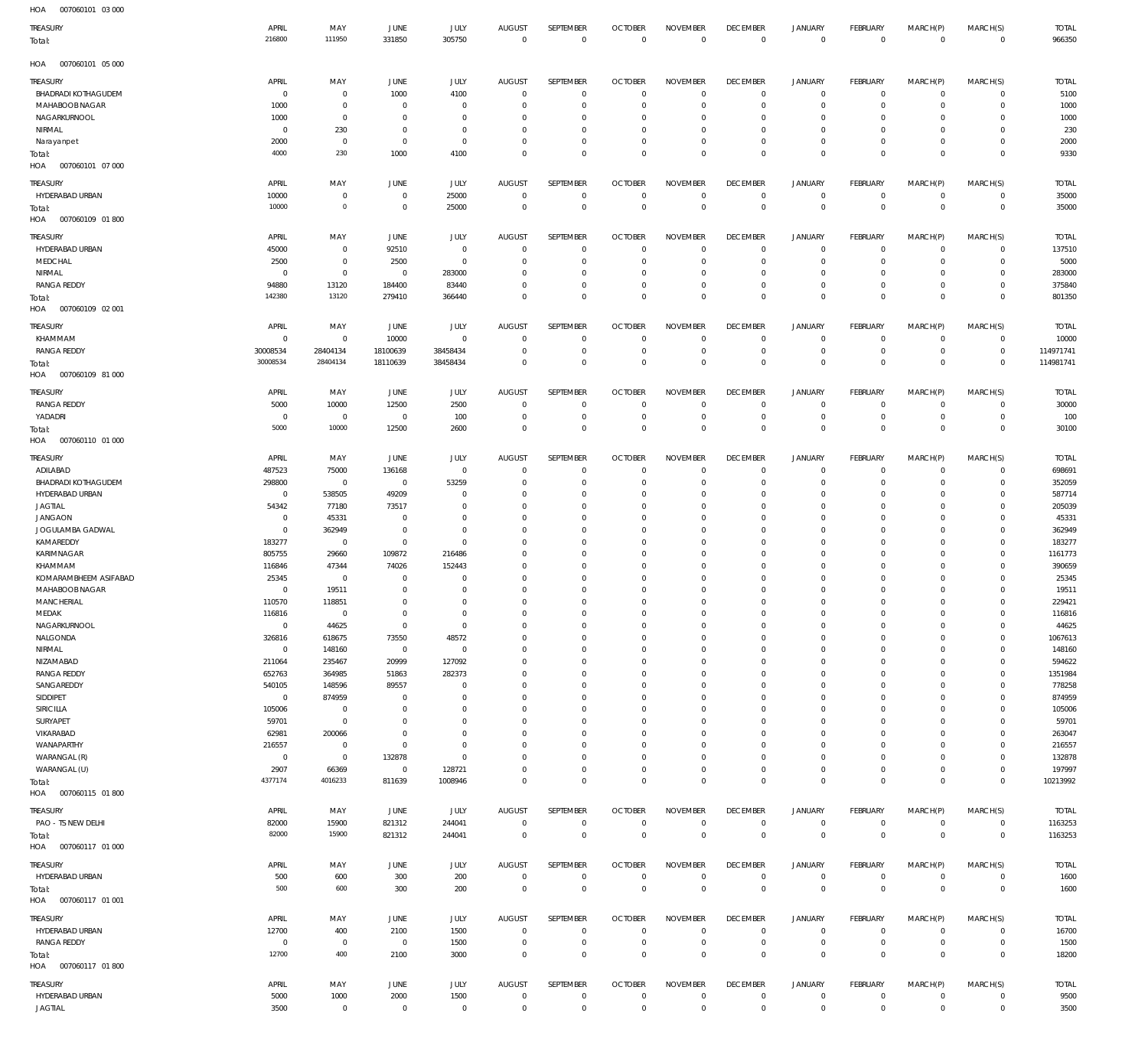| HOA<br>007060101 03 000              |                          |                         |                          |                        |                               |                                  |                                  |                               |                                  |                            |                                  |                           |                                  |                    |
|--------------------------------------|--------------------------|-------------------------|--------------------------|------------------------|-------------------------------|----------------------------------|----------------------------------|-------------------------------|----------------------------------|----------------------------|----------------------------------|---------------------------|----------------------------------|--------------------|
| TREASURY                             | APRIL                    | MAY                     | JUNE                     | JULY                   | <b>AUGUST</b>                 | SEPTEMBER                        | <b>OCTOBER</b>                   | <b>NOVEMBER</b>               | <b>DECEMBER</b>                  | <b>JANUARY</b>             | FEBRUARY                         | MARCH(P)                  | MARCH(S)                         | <b>TOTAL</b>       |
| Total:                               | 216800                   | 111950                  | 331850                   | 305750                 | $\overline{0}$                | $\overline{0}$                   | $\overline{0}$                   | $\overline{0}$                | $\overline{0}$                   | $\mathbf 0$                | $\mathbf 0$                      | $\mathbf 0$               | $\overline{0}$                   | 966350             |
| HOA<br>007060101 05 000              |                          |                         |                          |                        |                               |                                  |                                  |                               |                                  |                            |                                  |                           |                                  |                    |
| <b>TREASURY</b>                      | APRIL                    | MAY                     | JUNE                     | JULY                   | <b>AUGUST</b>                 | SEPTEMBER                        | <b>OCTOBER</b>                   | <b>NOVEMBER</b>               | <b>DECEMBER</b>                  | <b>JANUARY</b>             | FEBRUARY                         | MARCH(P)                  | MARCH(S)                         | <b>TOTAL</b>       |
| <b>BHADRADI KOTHAGUDEM</b>           | $\mathbf 0$              | 0                       | 1000                     | 4100                   | $\overline{0}$                | $\overline{0}$                   | $\overline{0}$                   | $\mathbf 0$                   | $\overline{0}$                   | 0                          | $\circ$                          | 0                         | $\overline{0}$                   | 5100               |
| MAHABOOB NAGAR                       | 1000                     | $\bf 0$                 | $\overline{0}$           | $\mathbf{0}$           | $\overline{0}$                | 0                                | $\overline{0}$                   | 0                             | $\mathbf 0$                      | 0                          | $\overline{0}$                   | $\mathbf 0$               | $\overline{0}$                   | 1000               |
| NAGARKURNOOL                         | 1000                     | $\mathbf 0$             | $\overline{0}$           | $\mathbf{0}$           | $\overline{0}$                | $\mathbf 0$                      | $^{\circ}$                       | $\mathbf 0$                   | $\mathbf 0$                      | 0                          | $\overline{0}$                   | $\mathbf 0$               | $\mathbf 0$                      | 1000               |
| NIRMAL                               | $\overline{0}$           | 230                     | $\overline{0}$           | $\mathbf{0}$           | $\mathbf 0$                   | $\mathbf 0$                      | $\overline{0}$                   | $\mathbf 0$                   | $\mathbf 0$                      | 0                          | $\overline{0}$                   | 0                         | $\mathbf 0$                      | 230                |
| Narayanpet                           | 2000                     | $\overline{0}$          | $\overline{0}$           | $\mathbf 0$            | $\overline{0}$                | $\mathbf 0$                      | $\overline{0}$                   | $\mathbf 0$                   | $\mathbf 0$                      | $\mathbf 0$                | $\circ$                          | $\mathbf 0$               | $\overline{0}$                   | 2000               |
| Total:                               | 4000                     | 230                     | 1000                     | 4100                   | $\overline{0}$                | $\mathbf 0$                      | $\overline{0}$                   | $\mathbf 0$                   | $\overline{0}$                   | $\mathbf 0$                | $\overline{0}$                   | $\mathbf 0$               | $\mathbf 0$                      | 9330               |
| HOA<br>007060101 07 000              |                          |                         |                          |                        |                               |                                  |                                  |                               |                                  |                            |                                  |                           |                                  |                    |
| <b>TREASURY</b>                      | APRIL                    | MAY                     | <b>JUNE</b>              | JULY                   | <b>AUGUST</b>                 | SEPTEMBER                        | <b>OCTOBER</b>                   | <b>NOVEMBER</b>               | <b>DECEMBER</b>                  | <b>JANUARY</b>             | FEBRUARY                         | MARCH(P)                  | MARCH(S)                         | <b>TOTAL</b>       |
| HYDERABAD URBAN                      | 10000                    | $\bf 0$                 | $\overline{0}$           | 25000                  | $\overline{0}$                | $\mathbf 0$                      | $\overline{0}$                   | $\mathbf 0$                   | $\overline{0}$                   | $\mathbf 0$                | $\overline{0}$                   | $\mathbf 0$               | $\mathbf 0$                      | 35000              |
| Total:                               | 10000                    | $\mathbf 0$             | $\overline{0}$           | 25000                  | $\overline{0}$                | $\overline{0}$                   | $\overline{0}$                   | $\mathbf 0$                   | $\overline{0}$                   | $\overline{0}$             | $\overline{0}$                   | $\mathbf 0$               | $\mathbf 0$                      | 35000              |
| HOA<br>007060109 01 800              |                          |                         |                          |                        |                               |                                  |                                  |                               |                                  |                            |                                  |                           |                                  |                    |
| <b>TREASURY</b>                      | APRIL                    | MAY                     | <b>JUNE</b>              | JULY                   | <b>AUGUST</b>                 | SEPTEMBER                        | <b>OCTOBER</b>                   | <b>NOVEMBER</b>               | <b>DECEMBER</b>                  | <b>JANUARY</b>             | FEBRUARY                         | MARCH(P)                  | MARCH(S)                         | <b>TOTAL</b>       |
| HYDERABAD URBAN                      | 45000                    | $\mathbf 0$             | 92510                    | $\mathbf 0$            | $\overline{0}$                | $\mathbf 0$                      | $\overline{0}$                   | 0                             | $\mathbf 0$                      | 0                          | $\circ$                          | $\mathbf 0$               | $\overline{0}$                   | 137510             |
| MEDCHAL                              | 2500                     | $\bf 0$                 | 2500                     | $\mathbf{0}$           | $\overline{0}$                | $\mathbf 0$                      | $\overline{0}$                   | $\mathbf 0$                   | $\overline{0}$                   | $\mathbf 0$                | $\circ$                          | $\mathbf 0$               | $\overline{0}$                   | 5000               |
| NIRMAL                               | $\overline{0}$           | $\mathbf 0$             | $\overline{0}$           | 283000                 | $\overline{0}$                | 0                                | $\overline{0}$                   | $\mathbf 0$                   | $\mathbf 0$                      | 0                          | $\overline{0}$                   | 0                         | $\overline{0}$                   | 283000             |
| <b>RANGA REDDY</b>                   | 94880                    | 13120                   | 184400                   | 83440                  | $\overline{0}$                | 0                                | $\overline{0}$                   | 0                             | $\mathbf 0$                      | $\mathbf 0$                | $\circ$                          | $\mathbf 0$               | $\overline{0}$                   | 375840             |
| Total:                               | 142380                   | 13120                   | 279410                   | 366440                 | $\overline{0}$                | $\mathbf 0$                      | $\overline{0}$                   | $\mathbf 0$                   | $\overline{0}$                   | $\mathbf 0$                | $\overline{0}$                   | $\mathbf 0$               | $\mathbf 0$                      | 801350             |
| HOA<br>007060109 02 001              |                          |                         |                          |                        |                               |                                  |                                  |                               |                                  |                            |                                  |                           |                                  |                    |
| TREASURY                             | APRIL                    | MAY                     | JUNE                     | JULY                   | <b>AUGUST</b>                 | SEPTEMBER                        | <b>OCTOBER</b>                   | <b>NOVEMBER</b>               | <b>DECEMBER</b>                  | <b>JANUARY</b>             | FEBRUARY                         | MARCH(P)                  | MARCH(S)                         | <b>TOTAL</b>       |
| KHAMMAM                              | $\overline{0}$           | $\overline{0}$          | 10000                    | $\mathbf{0}$           | $\overline{0}$                | $\overline{0}$                   | $\overline{0}$                   | $\mathbf 0$                   | $\overline{0}$                   | 0                          | $\overline{0}$                   | $\mathbf 0$               | $\overline{0}$                   | 10000              |
| <b>RANGA REDDY</b>                   | 30008534                 | 28404134                | 18100639                 | 38458434               | $\overline{0}$                | $\mathbf 0$                      | $\overline{0}$                   | $\mathbf 0$                   | $\mathbf 0$                      | $\mathbf 0$                | $\circ$                          | $\mathbf 0$               | $\mathbf 0$                      | 114971741          |
| Total:                               | 30008534                 | 28404134                | 18110639                 | 38458434               | $\overline{0}$                | $\mathbf 0$                      | $\overline{0}$                   | $\mathbf 0$                   | $\mathbf 0$                      | $\mathbf 0$                | $\overline{0}$                   | $\mathbf 0$               | $\mathbf{0}$                     | 114981741          |
| HOA<br>007060109 81 000              |                          |                         |                          |                        |                               |                                  |                                  |                               |                                  |                            |                                  |                           |                                  |                    |
| TREASURY                             | APRIL                    | MAY                     | JUNE                     | JULY                   | <b>AUGUST</b>                 | SEPTEMBER                        | <b>OCTOBER</b>                   | <b>NOVEMBER</b>               | <b>DECEMBER</b>                  | <b>JANUARY</b>             | FEBRUARY                         | MARCH(P)                  | MARCH(S)                         | <b>TOTAL</b>       |
| <b>RANGA REDDY</b>                   | 5000                     | 10000                   | 12500                    | 2500                   | $\overline{0}$                | $\overline{0}$                   | $\overline{0}$                   | $\mathbf 0$                   | $\overline{0}$                   | $\mathbf 0$                | $\circ$                          | 0                         | $\overline{0}$                   | 30000              |
| YADADRI                              | $\overline{0}$           | $\overline{0}$          | $\overline{0}$           | 100                    | $\overline{0}$                | $\mathbf 0$                      | $\overline{0}$                   | $\mathbf 0$                   | $\overline{0}$                   | $\mathbf 0$                | $\circ$                          | $\mathbf 0$               | $\overline{0}$                   | 100                |
| Total:                               | 5000                     | 10000                   | 12500                    | 2600                   | $\overline{0}$                | $\mathbf 0$                      | $\overline{0}$                   | $\mathbf 0$                   | $\overline{0}$                   | $\bf 0$                    | $\overline{0}$                   | $\mathbf 0$               | $\mathbf{0}$                     | 30100              |
| HOA<br>007060110 01 000              |                          |                         |                          |                        |                               |                                  |                                  |                               |                                  |                            |                                  |                           |                                  |                    |
| <b>TREASURY</b>                      | APRIL                    | MAY                     | JUNE                     | JULY                   | <b>AUGUST</b>                 | SEPTEMBER                        | <b>OCTOBER</b>                   | <b>NOVEMBER</b>               | <b>DECEMBER</b>                  | <b>JANUARY</b>             | FEBRUARY                         | MARCH(P)                  | MARCH(S)                         | <b>TOTAL</b>       |
| ADILABAD                             | 487523                   | 75000                   | 136168                   | $\mathbf 0$            | $\overline{0}$                | $\mathbf 0$                      | $\overline{0}$                   | $\mathbf 0$                   | $\mathbf 0$                      | 0                          | $\overline{0}$                   | $\mathbf 0$               | $\mathbf 0$                      | 698691             |
| <b>BHADRADI KOTHAGUDEM</b>           | 298800                   | $\overline{0}$          | $\overline{0}$           | 53259                  | $\overline{0}$                | $\mathbf 0$                      | $^{\circ}$                       | $\mathbf 0$                   | $\mathbf 0$                      | $\mathbf 0$                | $\overline{0}$                   | $\mathbf 0$               | $\mathbf 0$                      | 352059             |
| HYDERABAD URBAN<br>JAGTIAL           | $\overline{0}$<br>54342  | 538505<br>77180         | 49209<br>73517           | $^{\circ}$<br>$\Omega$ | $\mathbf 0$<br>$\mathbf 0$    | $\mathbf 0$<br>$\mathbf 0$       | $\mathbf 0$<br>$\mathbf 0$       | $\mathbf 0$<br>$\mathbf 0$    | $\mathbf 0$<br>$\mathbf 0$       | 0<br>$\mathbf 0$           | $\mathbf 0$<br>0                 | 0<br>$\Omega$             | $\mathbf 0$<br>$\mathbf 0$       | 587714<br>205039   |
| <b>JANGAON</b>                       | $^{\circ}$               | 45331                   | $\overline{0}$           | $\Omega$               | $\mathbf 0$                   | $\mathbf 0$                      | $\mathbf 0$                      | $\Omega$                      | $\mathbf 0$                      | $\mathbf 0$                | $\mathbf 0$                      | $\Omega$                  | $\mathbf 0$                      | 45331              |
| JOGULAMBA GADWAL                     | $\overline{0}$           | 362949                  | $\overline{0}$           | $\mathbf{0}$           | $\mathbf 0$                   | $\mathbf 0$                      | $\mathbf 0$                      | $\mathbf 0$                   | $\mathbf 0$                      | $\mathbf 0$                | $\mathbf 0$                      | $\mathbf 0$               | $\mathbf 0$                      | 362949             |
| KAMAREDDY                            | 183277                   | $\overline{0}$          | $\overline{0}$           | $\mathbf 0$            | $\Omega$                      | $\Omega$                         | 0                                | $\Omega$                      | $\mathbf 0$                      | $\mathbf 0$                | $\mathbf 0$                      | 0                         | 0                                | 183277             |
| KARIMNAGAR                           | 805755                   | 29660                   | 109872                   | 216486                 | $\Omega$                      | $\mathbf 0$                      | $\mathbf 0$                      | $\mathbf 0$                   | $\mathbf 0$                      | $\mathbf 0$                | $\mathbf 0$                      | $\mathbf 0$               | $\mathbf 0$                      | 1161773            |
| KHAMMAM                              | 116846                   | 47344                   | 74026                    | 152443                 | $\mathbf 0$                   | $\mathbf 0$                      | $\mathbf 0$                      | $\Omega$                      | $\mathbf 0$                      | $\mathbf 0$                | $\mathbf 0$                      | 0                         | 0                                | 390659             |
| KOMARAMBHEEM ASIFABAD                | 25345                    | $\mathbf 0$             | $^{\circ}$               | $\Omega$               | $\Omega$                      | $\Omega$                         | $\mathbf 0$                      | $\mathbf 0$                   | $\mathbf 0$                      | $\mathbf 0$                | $\Omega$                         | $\Omega$                  | $\mathbf 0$                      | 25345              |
| MAHABOOB NAGAR                       | $\overline{0}$           | 19511                   | $\overline{0}$           | $\Omega$               | $\Omega$                      | $\mathbf 0$                      | $\mathbf 0$                      | $\Omega$                      | $\mathbf 0$                      | $\mathbf 0$                | $\mathbf 0$                      | $\Omega$                  | $\mathbf 0$                      | 19511              |
| MANCHERIAL                           | 110570                   | 118851                  | 0                        | $\Omega$               | $\mathbf 0$                   | $\Omega$                         | $\Omega$                         | $\Omega$                      | $\mathbf 0$                      | $\Omega$                   | $\Omega$                         | $\Omega$                  | 0                                | 229421             |
| MEDAK                                | 116816                   | $\overline{0}$          | $\overline{0}$           | $\mathbf 0$            | $\overline{0}$                | $\mathbf 0$                      | $\overline{0}$                   | $\mathbf 0$                   | $\mathbf 0$                      | $\mathbf 0$                | $\overline{0}$                   | $\Omega$                  | $\mathbf 0$                      | 116816             |
| NAGARKURNOOL<br>NALGONDA             | $\overline{0}$<br>326816 | 44625<br>618675         | $\overline{0}$<br>73550  | $\mathbf 0$<br>48572   | $\mathbf 0$<br>$\mathbf 0$    | $\mathbf 0$<br>$\mathbf 0$       | $\overline{0}$<br>$\mathbf 0$    | $\mathbf 0$<br>$\mathbf 0$    | $\mathbf 0$<br>$\mathbf 0$       | $\mathbf 0$<br>$\mathbf 0$ | $\overline{0}$<br>$\mathbf 0$    | $\mathbf 0$<br>$\Omega$   | $\mathbf 0$<br>$\mathbf 0$       | 44625<br>1067613   |
| NIRMAL                               | $\overline{0}$           | 148160                  | $\overline{0}$           | $\mathbf 0$            | $\mathbf 0$                   | $\mathbf 0$                      | $\overline{0}$                   | $\mathbf 0$                   | $\mathbf 0$                      | $\mathbf 0$                | $\mathbf 0$                      | $\mathbf 0$               | $\mathbf 0$                      | 148160             |
| NIZAMABAD                            | 211064                   | 235467                  | 20999                    | 127092                 | $\mathbf 0$                   | $\mathbf 0$                      | $\mathbf 0$                      | $\mathbf 0$                   | $\mathbf 0$                      | 0                          | $\mathbf 0$                      | $\Omega$                  | $\mathbf 0$                      | 594622             |
| <b>RANGA REDDY</b>                   | 652763                   | 364985                  | 51863                    | 282373                 | $\Omega$                      | $\mathbf 0$                      | $\mathbf 0$                      | $\mathbf 0$                   | $\mathbf 0$                      | $\mathbf 0$                | $\mathbf 0$                      | $\Omega$                  | $\mathbf 0$                      | 1351984            |
| SANGAREDDY                           | 540105                   | 148596                  | 89557                    | $\mathbf 0$            | $\mathbf 0$                   | $\mathbf 0$                      | $\mathbf 0$                      | $\mathbf 0$                   | $\mathbf 0$                      | $\mathbf 0$                | $\mathbf 0$                      | $\Omega$                  | $\mathbf 0$                      | 778258             |
| SIDDIPET                             | $\overline{0}$           | 874959                  | $\overline{0}$           | $\mathbf 0$            | $\mathbf 0$                   | $\mathbf 0$                      | $\mathbf 0$                      | $\mathbf 0$                   | $\mathbf 0$                      | $\mathbf 0$                | $\mathbf 0$                      | $\Omega$                  | $\mathbf 0$                      | 874959             |
| SIRICILLA                            | 105006                   | $\overline{0}$          | $\overline{0}$           | $\mathbf 0$            | $\mathbf 0$                   | $\mathbf 0$                      | $\mathbf 0$                      | $\mathbf 0$                   | $\mathbf 0$                      | $\mathbf 0$                | $\mathbf 0$                      | $\Omega$                  | $\mathbf 0$                      | 105006             |
| SURYAPET                             | 59701                    | $\mathbf 0$             | $\overline{0}$           | $\Omega$               | $\mathbf 0$                   | $\mathbf 0$                      | $\mathbf 0$                      | $\mathbf 0$                   | $\mathbf 0$                      | $\mathbf 0$                | $\mathbf 0$                      | $\Omega$                  | $\mathbf 0$                      | 59701              |
| VIKARABAD                            | 62981                    | 200066                  | $\mathbf 0$              | $\Omega$               | $\mathbf 0$                   | $\mathbf 0$                      | $\mathbf 0$                      | $\mathbf 0$                   | $\mathbf 0$                      | $\mathbf 0$                | $\mathbf 0$                      | $\Omega$                  | $\mathbf 0$                      | 263047             |
| WANAPARTHY                           | 216557                   | $\overline{0}$          | $\overline{0}$           | $\mathbf 0$            | $\overline{0}$                | $\mathbf 0$                      | $\overline{0}$                   | $\mathbf 0$                   | $\mathbf 0$                      | $\mathbf 0$                | $\mathbf 0$                      | $\mathbf 0$               | $\mathbf 0$                      | 216557             |
| WARANGAL (R)<br>WARANGAL (U)         | $\overline{0}$<br>2907   | $\overline{0}$<br>66369 | 132878<br>$\overline{0}$ | $\mathbf 0$<br>128721  | $\mathbf 0$<br>$\mathbf 0$    | $\mathbf 0$<br>$\mathbf 0$       | $\mathbf 0$<br>$\overline{0}$    | $\mathbf 0$<br>$\mathbf 0$    | $\mathbf 0$<br>$\mathbf 0$       | 0<br>$\mathbf 0$           | $\mathbf 0$<br>$\overline{0}$    | $\Omega$<br>$\mathbf 0$   | $\mathbf 0$<br>$\mathbf 0$       | 132878<br>197997   |
| Total:                               | 4377174                  | 4016233                 | 811639                   | 1008946                | $\overline{0}$                | $\mathbf 0$                      | $\overline{0}$                   | $\mathbf 0$                   | $\overline{0}$                   | $\mathbf 0$                | $\overline{0}$                   | $\mathbf 0$               | $\mathbf 0$                      | 10213992           |
| HOA   007060115   01   800           |                          |                         |                          |                        |                               |                                  |                                  |                               |                                  |                            |                                  |                           |                                  |                    |
|                                      |                          |                         |                          |                        |                               |                                  |                                  |                               |                                  |                            |                                  |                           |                                  |                    |
| TREASURY                             | APRIL                    | MAY                     | JUNE                     | JULY                   | <b>AUGUST</b>                 | SEPTEMBER                        | <b>OCTOBER</b>                   | <b>NOVEMBER</b>               | <b>DECEMBER</b>                  | <b>JANUARY</b>             | FEBRUARY                         | MARCH(P)                  | MARCH(S)                         | <b>TOTAL</b>       |
| PAO - TS NEW DELHI                   | 82000<br>82000           | 15900<br>15900          | 821312<br>821312         | 244041<br>244041       | $\mathbf 0$<br>$\overline{0}$ | $\overline{0}$<br>$\overline{0}$ | $\overline{0}$<br>$\overline{0}$ | $\mathbf 0$<br>$\overline{0}$ | $\overline{0}$<br>$\overline{0}$ | $\circ$<br>$\mathbf 0$     | $\overline{0}$<br>$\overline{0}$ | $\overline{0}$<br>$\bf 0$ | $\overline{0}$<br>$\overline{0}$ | 1163253<br>1163253 |
| Total:<br>HOA   007060117   01   000 |                          |                         |                          |                        |                               |                                  |                                  |                               |                                  |                            |                                  |                           |                                  |                    |
|                                      |                          |                         |                          |                        |                               |                                  |                                  |                               |                                  |                            |                                  |                           |                                  |                    |
| <b>TREASURY</b>                      | APRIL                    | MAY                     | JUNE                     | JULY                   | AUGUST                        | SEPTEMBER                        | <b>OCTOBER</b>                   | <b>NOVEMBER</b>               | <b>DECEMBER</b>                  | <b>JANUARY</b>             | FEBRUARY                         | MARCH(P)                  | MARCH(S)                         | <b>TOTAL</b>       |
| HYDERABAD URBAN                      | 500                      | 600                     | 300                      | 200                    | $\overline{0}$                | $\overline{0}$                   | $\overline{0}$                   | $\overline{0}$                | $\overline{0}$                   | $\circ$                    | $\overline{0}$                   | $\mathbf 0$               | $\overline{0}$                   | 1600               |
| Total:                               | 500                      | 600                     | 300                      | 200                    | $\overline{0}$                | $\overline{0}$                   | $\overline{0}$                   | $\overline{0}$                | $\overline{0}$                   | $\mathbf 0$                | $\overline{0}$                   | $\overline{0}$            | $\overline{0}$                   | 1600               |
| HOA   007060117   01   001           |                          |                         |                          |                        |                               |                                  |                                  |                               |                                  |                            |                                  |                           |                                  |                    |
| TREASURY                             | APRIL                    | MAY                     | JUNE                     | <b>JULY</b>            | <b>AUGUST</b>                 | SEPTEMBER                        | <b>OCTOBER</b>                   | <b>NOVEMBER</b>               | <b>DECEMBER</b>                  | <b>JANUARY</b>             | FEBRUARY                         | MARCH(P)                  | MARCH(S)                         | <b>TOTAL</b>       |
| HYDERABAD URBAN                      | 12700                    | 400                     | 2100                     | 1500                   | $\overline{0}$                | $\overline{0}$                   | $\overline{0}$                   | $\overline{0}$                | $\overline{0}$                   | $\circ$                    | $\overline{0}$                   | $\overline{0}$            | $\overline{0}$                   | 16700              |
| <b>RANGA REDDY</b>                   | $\overline{0}$           | $\overline{0}$          | $\overline{0}$           | 1500                   | $\overline{0}$                | $\mathbf 0$                      | $\overline{0}$                   | $\mathbf 0$                   | $\overline{0}$                   | $\mathbf 0$                | $\overline{0}$                   | $\mathbf 0$               | $\overline{0}$                   | 1500               |
| Total:                               | 12700                    | 400                     | 2100                     | 3000                   | $\overline{0}$                | $\mathbf 0$                      | $\overline{0}$                   | $\mathbf 0$                   | $\overline{0}$                   | $\mathbf 0$                | $\overline{0}$                   | $\bf 0$                   | $\mathbf 0$                      | 18200              |
| HOA   007060117   01   800           |                          |                         |                          |                        |                               |                                  |                                  |                               |                                  |                            |                                  |                           |                                  |                    |
| TREASURY                             | APRIL                    | MAY                     | JUNE                     | JULY                   | AUGUST                        | SEPTEMBER                        | <b>OCTOBER</b>                   | <b>NOVEMBER</b>               | <b>DECEMBER</b>                  | <b>JANUARY</b>             | FEBRUARY                         | MARCH(P)                  | MARCH(S)                         | <b>TOTAL</b>       |
| HYDERABAD URBAN                      | 5000                     | 1000                    | 2000                     | 1500                   | $\overline{0}$                | $\overline{0}$                   | $\overline{0}$                   | $\overline{0}$                | $\overline{0}$                   | $\circ$                    | $\overline{0}$                   | $\mathbf 0$               | $\mathsf 0$                      | 9500               |
| JAGTIAL                              | 3500                     | $\mathbf 0$             | $\overline{0}$           | $\mathbf 0$            | $\overline{0}$                | $\mathbf 0$                      | $\overline{0}$                   | $\mathbf 0$                   | $\mathbf 0$                      | $\mathbf 0$                | $\overline{0}$                   | $\mathsf{O}\xspace$       | $\mathbf 0$                      | 3500               |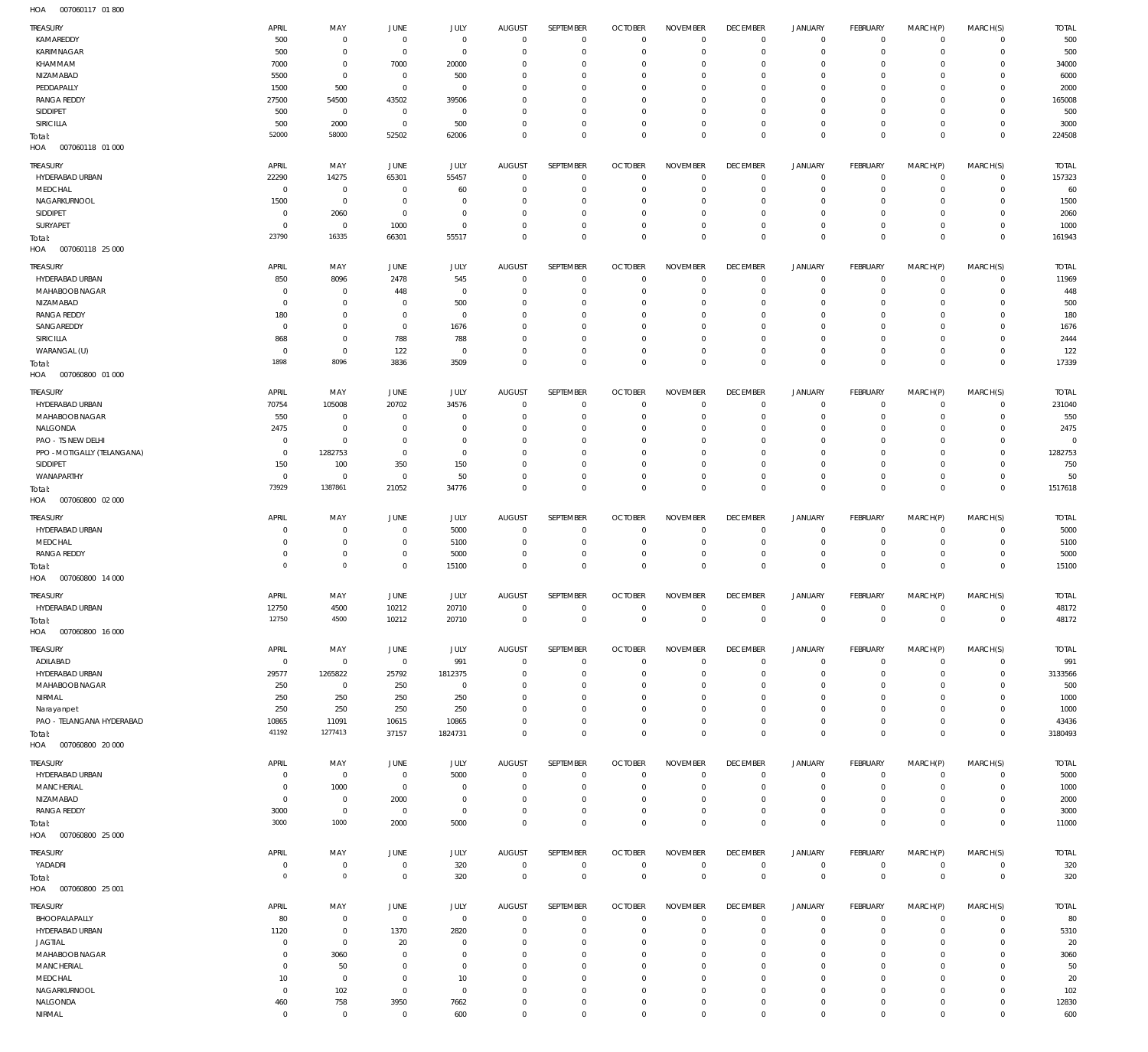007060117 01 800 HOA

| TREASURY                           | APRIL                   | MAY                           | <b>JUNE</b>                  | <b>JULY</b>                      | <b>AUGUST</b>                | SEPTEMBER                        | <b>OCTOBER</b>                   | <b>NOVEMBER</b>                  | <b>DECEMBER</b>                   | <b>JANUARY</b>                     | FEBRUARY                | MARCH(P)                   | MARCH(S)                | <b>TOTAL</b>          |
|------------------------------------|-------------------------|-------------------------------|------------------------------|----------------------------------|------------------------------|----------------------------------|----------------------------------|----------------------------------|-----------------------------------|------------------------------------|-------------------------|----------------------------|-------------------------|-----------------------|
| KAMAREDDY                          | 500                     | $\mathbf 0$                   | $^{\circ}$                   | $\mathbf 0$                      | $\overline{0}$               | $\mathbf 0$                      | $\overline{0}$                   | $\mathbf 0$                      | $\overline{0}$                    | $\mathsf{O}\xspace$                | $^{\circ}$              | $\mathbf 0$                | $\mathbf 0$             | 500                   |
| KARIMNAGAR                         | 500                     | $\mathbf 0$                   | $^{\circ}$                   | $\mathbf 0$                      | 0                            | $\mathbf 0$                      | 0                                | $\overline{0}$                   | 0                                 | $\mathbf 0$                        | 0                       | $\mathbf 0$                | 0                       | 500                   |
| KHAMMAM                            | 7000                    | $\mathbf 0$                   | 7000                         | 20000                            | $\Omega$                     | $\mathbf 0$                      | 0                                | $^{\circ}$                       | 0                                 | $\mathbf 0$                        | O                       | $\mathbf 0$                | 0                       | 34000                 |
| NIZAMABAD<br>PEDDAPALLY            | 5500<br>1500            | $\mathbf 0$<br>500            | $^{\circ}$<br>$^{\circ}$     | 500<br>$\mathbf 0$               | $\Omega$<br>$\Omega$         | $\overline{0}$<br>$^{\circ}$     | $\Omega$<br>0                    | $\overline{0}$<br>$^{\circ}$     | 0<br>0                            | $\circ$<br>$\mathbf 0$             | $\Omega$<br>0           | $\mathbf 0$<br>$\mathbf 0$ | 0<br>0                  | 6000<br>2000          |
| <b>RANGA REDDY</b>                 | 27500                   | 54500                         | 43502                        | 39506                            | $\Omega$                     | $\mathbf 0$                      | $\Omega$                         | $\overline{0}$                   | 0                                 | $\mathbf 0$                        | $\Omega$                | $\mathbf 0$                | 0                       | 165008                |
| SIDDIPET                           | 500                     | $\overline{0}$                | $\overline{0}$               | $^{\circ}$                       | $\Omega$                     | $\overline{0}$                   | $\Omega$                         | $\overline{0}$                   | $\Omega$                          | $\mathbf 0$                        | $\Omega$                | $\mathbf 0$                | 0                       | 500                   |
| SIRICILLA                          | 500                     | 2000                          | $^{\circ}$                   | 500                              | 0                            | $\mathbf 0$                      | 0                                | $\overline{0}$                   | 0                                 | $\mathbf 0$                        | 0                       | $\mathbf 0$                | 0                       | 3000                  |
| Total:                             | 52000                   | 58000                         | 52502                        | 62006                            | $\Omega$                     | $\mathbf 0$                      | $\mathbf 0$                      | $\mathbf 0$                      | $\overline{0}$                    | $\mathbb O$                        | $\mathbf 0$             | $\mathbf 0$                | $\mathbf 0$             | 224508                |
| HOA<br>007060118 01 000            |                         |                               |                              |                                  |                              |                                  |                                  |                                  |                                   |                                    |                         |                            |                         |                       |
| <b>TREASURY</b>                    | APRIL                   | MAY                           | JUNE                         | <b>JULY</b>                      | <b>AUGUST</b>                | SEPTEMBER                        | <b>OCTOBER</b>                   | <b>NOVEMBER</b>                  | <b>DECEMBER</b>                   | JANUARY                            | FEBRUARY                | MARCH(P)                   | MARCH(S)                | <b>TOTAL</b>          |
| HYDERABAD URBAN                    | 22290                   | 14275                         | 65301                        | 55457                            | $\overline{0}$               | $\overline{0}$                   | $\overline{0}$                   | $\overline{0}$                   | $\overline{0}$                    | 0                                  | $\mathbf 0$             | $\circ$                    | $\circ$                 | 157323                |
| MEDCHAL                            | 0                       | $\mathbf 0$                   | $^{\circ}$                   | 60                               | 0                            | $\mathbf 0$                      | $\overline{0}$                   | $\overline{0}$                   | $\overline{0}$                    | $\mathbf 0$                        | $^{\circ}$              | $\mathbf 0$                | $\mathbf 0$             | 60                    |
| NAGARKURNOOL                       | 1500                    | $\mathbf 0$                   | $^{\circ}$                   | $\mathbf 0$                      | 0                            | $\mathbf 0$                      | 0                                | $\mathbf 0$                      | 0                                 | $\circ$                            | 0                       | $\mathbf 0$                | 0                       | 1500                  |
| SIDDIPET                           | - 0                     | 2060                          | $^{\circ}$                   | $^{\circ}$                       | 0                            | $\mathbf 0$                      | 0                                | $\mathbf 0$                      | 0                                 | $\circ$                            | 0                       | $\mathbf 0$                | 0                       | 2060                  |
| SURYAPET                           | $\Omega$<br>23790       | $\mathbf 0$<br>16335          | 1000<br>66301                | $\mathbf 0$<br>55517             | $\Omega$<br>$\Omega$         | $\mathbf 0$<br>$\mathbf 0$       | 0<br>$^{\circ}$                  | $\mathbf 0$<br>$\mathbf 0$       | 0<br>$\mathbf 0$                  | $\mathbf 0$<br>$\mathbb O$         | 0<br>$\overline{0}$     | $\circ$<br>$\mathbf 0$     | 0<br>$\mathbf 0$        | 1000<br>161943        |
| Total:<br>HOA<br>007060118 25 000  |                         |                               |                              |                                  |                              |                                  |                                  |                                  |                                   |                                    |                         |                            |                         |                       |
|                                    |                         |                               |                              |                                  |                              |                                  |                                  |                                  |                                   |                                    |                         |                            |                         |                       |
| <b>TREASURY</b><br>HYDERABAD URBAN | APRIL<br>850            | MAY<br>8096                   | JUNE<br>2478                 | JULY<br>545                      | <b>AUGUST</b><br>$^{\circ}$  | SEPTEMBER<br>$\mathbf 0$         | <b>OCTOBER</b><br>$\overline{0}$ | <b>NOVEMBER</b><br>$\mathbf 0$   | <b>DECEMBER</b><br>$\overline{0}$ | JANUARY<br>$\mathsf{O}\xspace$     | FEBRUARY<br>$\mathbf 0$ | MARCH(P)<br>$\circ$        | MARCH(S)<br>$\mathbf 0$ | <b>TOTAL</b><br>11969 |
| MAHABOOB NAGAR                     | C                       | $\mathbf 0$                   | 448                          | $\mathbf 0$                      | 0                            | $\mathbf 0$                      | 0                                | $^{\circ}$                       | 0                                 | $\mathbf 0$                        | 0                       | $\mathbf 0$                | 0                       | 448                   |
| NIZAMABAD                          | 0                       | $\mathbf 0$                   | - 0                          | 500                              | 0                            | $\mathbf 0$                      | 0                                | $^{\circ}$                       | 0                                 | $\circ$                            | O                       | $\mathbf 0$                | 0                       | 500                   |
| <b>RANGA REDDY</b>                 | 180                     | $\mathbf 0$                   | - 0                          | $\mathbf 0$                      | $\Omega$                     | $\mathbf 0$                      | $\Omega$                         | $\mathbf 0$                      | 0                                 | $\circ$                            | $\Omega$                | $\mathbf 0$                | 0                       | 180                   |
| SANGAREDDY                         | $^{\circ}$              | $\mathbf 0$                   | $^{\circ}$                   | 1676                             | $\Omega$                     | $\mathbf 0$                      | 0                                | $^{\circ}$                       | 0                                 | $\mathbf 0$                        | 0                       | $\mathbf 0$                | 0                       | 1676                  |
| SIRICILLA                          | 868                     | $\mathbf 0$                   | 788                          | 788                              | $\Omega$                     | $\mathbf 0$                      | 0                                | $\mathbf 0$                      | 0                                 | $\circ$                            | 0                       | $\mathbf 0$                | 0                       | 2444                  |
| WARANGAL (U)                       | $^{\circ}$              | $\mathbf 0$                   | 122                          | $\mathbf 0$                      | $\Omega$                     | $\mathbf 0$                      | 0                                | $\overline{0}$                   | 0                                 | $\mathbf 0$                        | $\mathbf 0$             | $\mathbf 0$                | $\mathbf 0$             | 122                   |
| Total:<br>HOA<br>007060800 01 000  | 1898                    | 8096                          | 3836                         | 3509                             | $\mathbf 0$                  | $\mathbb O$                      | $\mathbf 0$                      | $\mathbf 0$                      | $\mathbf 0$                       | $\mathbb O$                        | $\overline{0}$          | $\mathbf 0$                | $\overline{0}$          | 17339                 |
|                                    |                         |                               |                              |                                  |                              |                                  |                                  |                                  |                                   |                                    |                         |                            |                         |                       |
| <b>TREASURY</b>                    | APRIL                   | MAY                           | JUNE                         | <b>JULY</b>                      | <b>AUGUST</b>                | SEPTEMBER                        | <b>OCTOBER</b>                   | <b>NOVEMBER</b>                  | <b>DECEMBER</b>                   | <b>JANUARY</b>                     | <b>FEBRUARY</b>         | MARCH(P)                   | MARCH(S)                | <b>TOTAL</b>          |
| HYDERABAD URBAN                    | 70754                   | 105008                        | 20702                        | 34576                            | $^{\circ}$                   | $\overline{0}$                   | $^{\circ}$                       | $^{\circ}$                       | $\overline{0}$                    | $\circ$                            | $\mathbf 0$             | $\mathbf 0$                | $\circ$                 | 231040                |
| MAHABOOB NAGAR<br>NALGONDA         | 550<br>2475             | $\overline{0}$<br>$\mathbf 0$ | $^{\circ}$<br>- 0            | $\overline{0}$<br>$^{\circ}$     | 0<br>$\Omega$                | $\overline{0}$<br>$\mathbf 0$    | 0<br>0                           | $^{\circ}$<br>$\overline{0}$     | $\overline{0}$<br>0               | $\circ$<br>$\circ$                 | 0<br>0                  | $\mathbf 0$<br>$\mathbf 0$ | 0<br>0                  | 550<br>2475           |
| PAO - TS NEW DELHI                 | $^{\circ}$              | $\mathbf 0$                   | - 0                          | $\overline{0}$                   | $\Omega$                     | $\overline{0}$                   | $\Omega$                         | $\overline{0}$                   | 0                                 | $\circ$                            | $\Omega$                | $\mathbf 0$                | 0                       | $\Omega$              |
| PPO - MOTIGALLY (TELANGANA)        | $^{\circ}$              | 1282753                       | - 0                          | $\overline{0}$                   | 0                            | $\overline{0}$                   | 0                                | $\overline{0}$                   | 0                                 | $\circ$                            | 0                       | $\mathbf 0$                | 0                       | 1282753               |
| SIDDIPET                           | 150                     | 100                           | 350                          | 150                              | $\Omega$                     | $\mathbf 0$                      | $\Omega$                         | $\mathbf 0$                      | 0                                 | $\circ$                            | $\Omega$                | $^{\circ}$                 | 0                       | 750                   |
| WANAPARTHY                         | $^{\circ}$              | $\overline{0}$                | $\overline{0}$               | 50                               | $\Omega$                     | $\overline{0}$                   | - 0                              | $\mathbf 0$                      | $\overline{0}$                    | $\mathbf 0$                        | 0                       | $\circ$                    | $\circ$                 | 50                    |
| Total:                             | 73929                   | 1387861                       | 21052                        | 34776                            | $\mathbf 0$                  | $\mathbf 0$                      | $\Omega$                         | $\mathbf 0$                      | $\mathbb O$                       | $\mathbb O$                        | $\overline{0}$          | $\mathbb O$                | $\mathbb O$             | 1517618               |
| HOA<br>007060800 02 000            |                         |                               |                              |                                  |                              |                                  |                                  |                                  |                                   |                                    |                         |                            |                         |                       |
| TREASURY                           | APRIL                   | MAY                           | <b>JUNE</b>                  | JULY                             | <b>AUGUST</b>                | SEPTEMBER                        | <b>OCTOBER</b>                   | <b>NOVEMBER</b>                  | <b>DECEMBER</b>                   | <b>JANUARY</b>                     | FEBRUARY                | MARCH(P)                   | MARCH(S)                | <b>TOTAL</b>          |
| HYDERABAD URBAN                    | 0                       | $\overline{0}$                | $^{\circ}$                   | 5000                             | $^{\circ}$                   | $\overline{0}$                   | $\overline{0}$                   | $^{\circ}$                       | 0                                 | $\mathbf 0$                        | 0                       | $\mathbf 0$                | $^{\circ}$              | 5000                  |
| MEDCHAL                            | 0                       | $\overline{0}$                | $^{\circ}$                   | 5100                             | 0                            | $\overline{0}$                   | 0                                | $^{\circ}$                       | $\overline{0}$                    | $\mathbf 0$                        | 0                       | $\mathbf 0$                | 0                       | 5100                  |
| <b>RANGA REDDY</b>                 | 0<br>$\Omega$           | $\mathbf 0$<br>$\mathbf 0$    | $\mathbf 0$                  | 5000                             | 0                            | $\mathbf 0$                      | 0                                | $\overline{0}$                   | $\overline{0}$                    | $\mathsf{O}\xspace$<br>$\mathbb O$ | $\mathbf 0$             | $\mathbf 0$                | $^{\circ}$              | 5000                  |
| Total:<br>HOA<br>007060800 14 000  |                         |                               | $\mathbf 0$                  | 15100                            | $\mathbf 0$                  | $\mathbf 0$                      | $^{\circ}$                       | $\mathbf 0$                      | $\overline{0}$                    |                                    | $\overline{0}$          | $\mathbb O$                | $\overline{0}$          | 15100                 |
|                                    |                         |                               |                              |                                  |                              |                                  |                                  |                                  |                                   |                                    |                         |                            |                         |                       |
| TREASURY<br>HYDERABAD URBAN        | APRIL<br>12750          | MAY<br>4500                   | JUNE<br>10212                | JULY<br>20710                    | <b>AUGUST</b><br>$\mathbf 0$ | SEPTEMBER<br>$\mathbf 0$         | <b>OCTOBER</b><br>$\mathbf 0$    | <b>NOVEMBER</b><br>$\mathbf 0$   | <b>DECEMBER</b><br>$\mathbb O$    | JANUARY<br>$\mathbf 0$             | FEBRUARY<br>$\mathbf 0$ | MARCH(P)<br>$\mathbf 0$    | MARCH(S)<br>$\mathbf 0$ | <b>TOTAL</b><br>48172 |
| Total:                             | 12750                   | 4500                          | 10212                        | 20710                            | $\mathbf 0$                  | $\mathbf 0$                      | $\mathbf 0$                      | $\mathbf 0$                      | $\mathbb O$                       | $\mathbb O$                        | $\mathbb O$             | $\mathbb O$                | $\mathbb O$             | 48172                 |
| HOA<br>007060800 16 000            |                         |                               |                              |                                  |                              |                                  |                                  |                                  |                                   |                                    |                         |                            |                         |                       |
|                                    |                         |                               |                              |                                  |                              |                                  |                                  |                                  |                                   |                                    |                         |                            |                         |                       |
| TREASURY<br>ADILABAD               | APRIL<br>$\overline{0}$ | MAY<br>$\overline{0}$         | JUNE<br>$\overline{0}$       | JULY<br>991                      | <b>AUGUST</b><br>$\mathbf 0$ | SEPTEMBER<br>$\mathbf 0$         | <b>OCTOBER</b><br>$\mathbf 0$    | <b>NOVEMBER</b><br>$\mathbf 0$   | <b>DECEMBER</b><br>$\overline{0}$ | <b>JANUARY</b><br>0                | FEBRUARY<br>$\mathbf 0$ | MARCH(P)<br>$\mathbf 0$    | MARCH(S)<br>$\mathbf 0$ | <b>TOTAL</b><br>991   |
| HYDERABAD URBAN                    | 29577                   | 1265822                       | 25792                        | 1812375                          | 0                            | $\mathbf 0$                      | 0                                | $^{\circ}$                       | 0                                 | $\mathsf{O}\xspace$                | 0                       | $\mathbf 0$                | $\mathbf 0$             | 3133566               |
| MAHABOOB NAGAR                     | 250                     | $\overline{0}$                | 250                          | $\overline{0}$                   | 0                            | $\mathbf 0$                      | 0                                | $^{\circ}$                       | 0                                 | $\circ$                            | 0                       | $^{\circ}$                 | 0                       | 500                   |
| NIRMAL                             | 250                     | 250                           | 250                          | 250                              | 0                            | $\overline{0}$                   | 0                                | $\overline{0}$                   | 0                                 | $\circ$                            | O                       | $^{\circ}$                 | 0                       | 1000                  |
| Narayanpet                         | 250                     | 250                           | 250                          | 250                              | $\Omega$                     | $\overline{0}$                   | 0                                | $\overline{0}$                   | 0                                 | $\mathbf 0$                        | 0                       | $\mathbf 0$                | 0                       | 1000                  |
| PAO - TELANGANA HYDERABAD          | 10865                   | 11091                         | 10615                        | 10865                            | 0                            | $\mathbf 0$                      | 0                                | $\mathbf 0$                      | $\overline{0}$                    | $\mathsf{O}\xspace$                | 0                       | $\mathbf 0$                | 0                       | 43436                 |
| Total:<br>HOA<br>007060800 20 000  | 41192                   | 1277413                       | 37157                        | 1824731                          | $\Omega$                     | $\mathbf 0$                      | $^{\circ}$                       | $\mathbf 0$                      | $\overline{0}$                    | $\mathbb O$                        | $\overline{0}$          | $\mathbf 0$                | $\mathbf 0$             | 3180493               |
|                                    |                         |                               |                              |                                  |                              |                                  |                                  |                                  |                                   |                                    |                         |                            |                         |                       |
| TREASURY                           | APRIL                   | MAY                           | JUNE                         | JULY                             | <b>AUGUST</b>                | SEPTEMBER                        | <b>OCTOBER</b>                   | <b>NOVEMBER</b>                  | <b>DECEMBER</b>                   | JANUARY                            | FEBRUARY                | MARCH(P)                   | MARCH(S)                | <b>TOTAL</b>          |
| HYDERABAD URBAN                    | 0                       | $\overline{0}$                | $\mathbf 0$                  | 5000                             | $\overline{0}$               | $\overline{0}$                   | $\overline{0}$                   | $\overline{0}$                   | $\overline{0}$                    | 0                                  | $\mathbf 0$             | $\circ$                    | $\mathbf 0$             | 5000                  |
| MANCHERIAL<br>NIZAMABAD            | 0<br>- 0                | 1000<br>$\mathbf 0$           | $\overline{0}$<br>2000       | $\overline{0}$<br>$\overline{0}$ | 0<br>0                       | $\mathbf 0$<br>$\overline{0}$    | $^{\circ}$<br>0                  | $\mathbf 0$<br>$\overline{0}$    | $\overline{0}$<br>$\overline{0}$  | $\mathsf{O}\xspace$<br>$\circ$     | 0<br>0                  | $\mathbf 0$<br>$\circ$     | $\mathbf 0$<br>0        | 1000<br>2000          |
| <b>RANGA REDDY</b>                 | 3000                    | $\overline{0}$                | $\mathbf 0$                  | $\overline{0}$                   | 0                            | $\overline{0}$                   | - 0                              | $\overline{0}$                   | $\overline{0}$                    | 0                                  | 0                       | $\circ$                    | $\mathbf 0$             | 3000                  |
| Total:                             | 3000                    | 1000                          | 2000                         | 5000                             | $^{\circ}$                   | $\mathbf 0$                      | $\overline{0}$                   | $\mathbf 0$                      | $\mathbf 0$                       | $\mathbb O$                        | $\Omega$                | $\mathbf 0$                | $\mathbf 0$             | 11000                 |
| HOA<br>007060800 25 000            |                         |                               |                              |                                  |                              |                                  |                                  |                                  |                                   |                                    |                         |                            |                         |                       |
| <b>TREASURY</b>                    | APRIL                   | MAY                           | <b>JUNE</b>                  | JULY                             | AUGUST                       | SEPTEMBER                        | <b>OCTOBER</b>                   | <b>NOVEMBER</b>                  | <b>DECEMBER</b>                   | <b>JANUARY</b>                     | FEBRUARY                | MARCH(P)                   | MARCH(S)                | <b>TOTAL</b>          |
| YADADRI                            | - 0                     | $\overline{0}$                | $\overline{0}$               | 320                              | $\overline{0}$               | $\mathbf 0$                      | $\overline{0}$                   | $\mathbf 0$                      | $\overline{0}$                    | $\mathsf{O}\xspace$                | $\mathbf 0$             | $\mathbf 0$                | $\mathbf 0$             | 320                   |
| Total:                             | $\Omega$                | $\mathbf 0$                   | $\overline{0}$               | 320                              | $^{\circ}$                   | $\mathbb O$                      | $\overline{0}$                   | $\mathbb O$                      | $\mathbf 0$                       | $\,0\,$                            | $\overline{0}$          | $\mathbb O$                | $\overline{0}$          | 320                   |
| HOA<br>007060800 25 001            |                         |                               |                              |                                  |                              |                                  |                                  |                                  |                                   |                                    |                         |                            |                         |                       |
| <b>TREASURY</b>                    | APRIL                   | MAY                           | JUNE                         | JULY                             | <b>AUGUST</b>                | SEPTEMBER                        | <b>OCTOBER</b>                   | <b>NOVEMBER</b>                  | <b>DECEMBER</b>                   | JANUARY                            | FEBRUARY                | MARCH(P)                   | MARCH(S)                | <b>TOTAL</b>          |
| BHOOPALAPALLY                      | 80                      | $\overline{0}$                | $\mathbf 0$                  | $\mathbf 0$                      | $\overline{0}$               | $\overline{0}$                   | $\overline{0}$                   | $\overline{0}$                   | $\overline{0}$                    | 0                                  | $\mathbf 0$             | $\mathbf 0$                | $\circ$                 | 80                    |
| HYDERABAD URBAN                    | 1120                    | $\overline{0}$                | 1370                         | 2820                             | 0                            | $\overline{0}$                   | $^{\circ}$                       | $\mathbf 0$                      | $\overline{0}$                    | $\mathsf{O}\xspace$                | 0                       | $\mathbf 0$                | $\mathbf 0$             | 5310                  |
| <b>JAGTIAL</b>                     | - 0                     | $\mathbf 0$                   | 20                           | $^{\circ}$                       | 0                            | $\mathbf 0$                      | 0                                | $\overline{0}$                   | 0                                 | $\circ$                            | 0                       | $\mathbf 0$                | 0                       | 20                    |
| MAHABOOB NAGAR                     | 0                       | 3060                          | $^{\circ}$                   | $\overline{0}$                   | 0                            | $\overline{0}$                   | $^{\circ}$                       | $\overline{0}$                   | 0                                 | $\circ$                            | 0                       | $\mathbf 0$                | 0                       | 3060                  |
| MANCHERIAL<br>MEDCHAL              | 0<br>10                 | 50<br>$\mathbf 0$             | $^{\circ}$<br>$\overline{0}$ | $\overline{0}$<br>10             | $\Omega$<br>$\Omega$         | $\overline{0}$<br>$\overline{0}$ | 0<br>$\mathbf 0$                 | $\overline{0}$<br>$\overline{0}$ | 0<br>$\mathbf{0}$                 | $\circ$<br>$\circ$                 | 0<br>$\Omega$           | $\mathbf 0$<br>$\circ$     | 0<br>$\mathbf 0$        | 50<br>20              |
| NAGARKURNOOL                       | $\overline{0}$          | 102                           | $\overline{0}$               | $\mathbf 0$                      | 0                            | $\overline{0}$                   | 0                                | $\overline{0}$                   | 0                                 | $\circ$                            | 0                       | $\mathbf 0$                | 0                       | 102                   |
| NALGONDA                           | 460                     | 758                           | 3950                         | 7662                             | $\Omega$                     | $\overline{0}$                   | $^{\circ}$                       | $\overline{0}$                   | $\mathbf{0}$                      | $\circ$                            | 0                       | $\mathbf 0$                | 0                       | 12830                 |
| NIRMAL                             | $\mathbf 0$             | $\mathbf 0$                   | $\mathbf 0$                  | 600                              | $\mathbf 0$                  | $\mathbf 0$                      | $\overline{0}$                   | $\mathbf 0$                      | $\mathbf 0$                       | $\mathbf 0$                        | $\mathbf 0$             | $\mathbf 0$                | $\circ$                 | 600                   |
|                                    |                         |                               |                              |                                  |                              |                                  |                                  |                                  |                                   |                                    |                         |                            |                         |                       |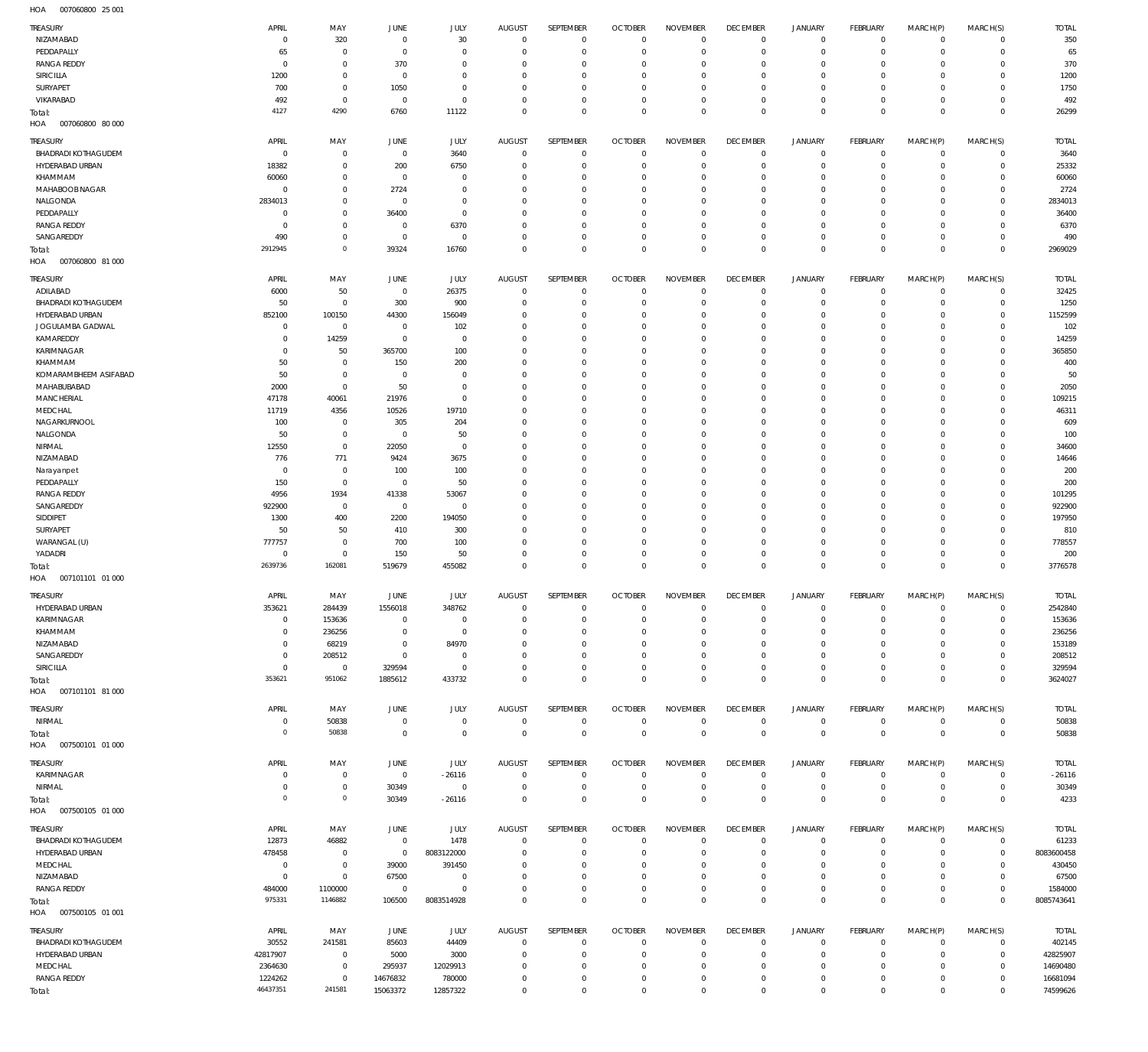007060800 25 001 HOA

| TREASURY                               | APRIL                      | MAY                              | <b>JUNE</b>                | JULY                             | <b>AUGUST</b>               | SEPTEMBER                     | <b>OCTOBER</b>                   | <b>NOVEMBER</b>               | <b>DECEMBER</b>            | <b>JANUARY</b>         | FEBRUARY                      | MARCH(P)                   | MARCH(S)                   | <b>TOTAL</b>           |
|----------------------------------------|----------------------------|----------------------------------|----------------------------|----------------------------------|-----------------------------|-------------------------------|----------------------------------|-------------------------------|----------------------------|------------------------|-------------------------------|----------------------------|----------------------------|------------------------|
| NIZAMABAD                              | $\mathbf 0$                | 320                              | $\overline{0}$             | 30                               | $\mathbf{0}$                | $\mathbf 0$                   | $^{\circ}$                       | $^{\circ}$                    | $^{\circ}$                 | $\circ$                | $^{\circ}$                    | $\circ$                    | $\mathbf 0$                | 350                    |
| PEDDAPALLY                             | 65                         | $\overline{0}$                   | $^{\circ}$                 | $\mathbf 0$                      | $\mathbf 0$                 | $\overline{0}$                | $^{\circ}$                       | $\mathbf 0$                   | $^{\circ}$                 | $\circ$                | $^{\circ}$                    | $\mathbf 0$                | $\mathbf 0$                | 65                     |
| <b>RANGA REDDY</b>                     | $\mathbf 0$                | $^{\circ}$                       | 370                        | $\overline{0}$                   | 0                           | $^{\circ}$                    | 0                                | $^{\circ}$                    | $\circ$                    | $\circ$                | $^{\circ}$                    | $\mathbf 0$                | 0                          | 370                    |
| <b>SIRICILLA</b><br>SURYAPET           | 1200<br>700                | $\overline{0}$<br>$\overline{0}$ | $\mathbf 0$<br>1050        | $^{\circ}$<br>$^{\circ}$         | 0<br>0                      | $^{\circ}$<br>$^{\circ}$      | $^{\circ}$<br>0                  | $^{\circ}$<br>$^{\circ}$      | $\circ$<br>$\circ$         | $\circ$<br>$\circ$     | $\Omega$<br>0                 | $\mathbf 0$<br>$\mathbf 0$ | 0<br>0                     | 1200<br>1750           |
| VIKARABAD                              | 492                        | $\overline{0}$                   | $\mathbf 0$                | $\mathbf{0}$                     | 0                           | $^{\circ}$                    | 0                                | $^{\circ}$                    | $^{\circ}$                 | $\circ$                | 0                             | $\circ$                    | 0                          | 492                    |
| Total:                                 | 4127                       | 4290                             | 6760                       | 11122                            | $\mathbf 0$                 | $\mathbf 0$                   | $\overline{0}$                   | $\mathbb O$                   | $\mathbf 0$                | $\mathbf 0$            | $\Omega$                      | $\mathbb O$                | $\mathbf{0}$               | 26299                  |
| HOA<br>007060800 80 000                |                            |                                  |                            |                                  |                             |                               |                                  |                               |                            |                        |                               |                            |                            |                        |
| TREASURY                               | APRIL                      | MAY                              | <b>JUNE</b>                | JULY                             | AUGUST                      | SEPTEMBER                     | <b>OCTOBER</b>                   | <b>NOVEMBER</b>               | <b>DECEMBER</b>            | <b>JANUARY</b>         | FEBRUARY                      | MARCH(P)                   | MARCH(S)                   | <b>TOTAL</b>           |
| <b>BHADRADI KOTHAGUDEM</b>             | $\mathbf 0$                | $\overline{0}$                   | $\overline{0}$             | 3640                             | $\mathbf{0}$                | $\overline{0}$                | $^{\circ}$                       | $^{\circ}$                    | $\circ$                    | $\circ$                | $^{\circ}$                    | $\mathbf 0$                | $\mathbf 0$                | 3640                   |
| HYDERABAD URBAN                        | 18382                      | $\overline{0}$                   | 200                        | 6750                             | $\mathbf 0$                 | $\overline{0}$                | $^{\circ}$                       | $^{\circ}$                    | $^{\circ}$                 | $\circ$                | $^{\circ}$                    | $\circ$                    | $\mathbf 0$                | 25332                  |
| KHAMMAM                                | 60060                      | $\mathbf 0$                      | $^{\circ}$                 | $\mathbf 0$                      | 0                           | $^{\circ}$                    | 0                                | $\circ$                       | $\circ$                    | $\mathbf 0$            | 0                             | $\mathbf 0$                | 0                          | 60060                  |
| MAHABOOB NAGAR<br>NALGONDA             | $\mathbf 0$<br>2834013     | $\mathbf 0$<br>$\mathbf 0$       | 2724<br>$\mathbf 0$        | $\overline{0}$<br>$\overline{0}$ | 0<br>0                      | $^{\circ}$<br>$^{\circ}$      | 0<br>0                           | $\Omega$<br>$\circ$           | $\Omega$<br>$\circ$        | $\mathbf 0$<br>$\circ$ | $\Omega$<br>0                 | $\mathbf 0$<br>$\mathbf 0$ | 0<br>0                     | 2724<br>2834013        |
| PEDDAPALLY                             | $\mathbf 0$                | $\mathbf 0$                      | 36400                      | $\mathbf{0}$                     | 0                           | $^{\circ}$                    | 0                                | $^{\circ}$                    | $\Omega$                   | $\mathbf 0$            | $\Omega$                      | $\mathbf 0$                | 0                          | 36400                  |
| <b>RANGA REDDY</b>                     | $\mathbf 0$                | $\mathbf 0$                      | 0                          | 6370                             | 0                           | $^{\circ}$                    | 0                                | $^{\circ}$                    | $\circ$                    | $\circ$                | 0                             | $\mathbf 0$                | 0                          | 637C                   |
| SANGAREDDY                             | 490                        | $\overline{0}$                   | $\mathbf 0$                | $\mathbf{0}$                     | 0                           | $\overline{0}$                | $^{\circ}$                       | $^{\circ}$                    | $\Omega$                   | $\mathbf 0$            | 0                             | $\mathbf 0$                | 0                          | 490                    |
| Total:                                 | 2912945                    | $\overline{0}$                   | 39324                      | 16760                            | $\mathbf 0$                 | $\mathbf 0$                   | $\overline{0}$                   | $\mathbb O$                   | $\mathbf{0}$               | $\mathbb O$            | $\Omega$                      | $\mathbb O$                | $\mathbf{0}$               | 2969029                |
| HOA<br>007060800 81 000                |                            |                                  |                            |                                  |                             |                               |                                  |                               |                            |                        |                               |                            |                            |                        |
| TREASURY                               | APRIL                      | MAY                              | JUNE                       | JULY                             | <b>AUGUST</b>               | SEPTEMBER                     | <b>OCTOBER</b>                   | <b>NOVEMBER</b>               | <b>DECEMBER</b>            | <b>JANUARY</b>         | FEBRUARY                      | MARCH(P)                   | MARCH(S)                   | <b>TOTAL</b>           |
| ADILABAD<br><b>BHADRADI KOTHAGUDEM</b> | 6000<br>50                 | 50<br>$\overline{0}$             | $\overline{0}$             | 26375<br>900                     | $\mathbf 0$<br>$\mathbf 0$  | $\mathbf 0$<br>$\overline{0}$ | $^{\circ}$                       | $^{\circ}$<br>$\Omega$        | $^{\circ}$<br>$^{\circ}$   | $\circ$                | $^{\circ}$                    | $\mathbf 0$<br>$\mathbf 0$ | $\mathbf 0$<br>$\mathbf 0$ | 32425<br>1250          |
| HYDERABAD URBAN                        | 852100                     | 100150                           | 300<br>44300               | 156049                           | 0                           | $^{\circ}$                    | - 0<br>- 0                       | $^{\circ}$                    | $\circ$                    | $\circ$<br>$\circ$     | - 0<br>0                      | $\mathbf 0$                | 0                          | 1152599                |
| JOGULAMBA GADWAL                       | $\mathbf 0$                | $\overline{0}$                   | $^{\circ}$                 | 102                              | 0                           | $^{\circ}$                    | $^{\circ}$                       | $^{\circ}$                    | $\circ$                    | $\circ$                | 0                             | $\mathbf 0$                | 0                          | 102                    |
| KAMAREDDY                              | $\mathbf 0$                | 14259                            | $^{\circ}$                 | $\overline{0}$                   | 0                           | $^{\circ}$                    | 0                                | $^{\circ}$                    | $\circ$                    | $\circ$                | 0                             | 0                          | 0                          | 14259                  |
| KARIMNAGAR                             | $\mathbf 0$                | 50                               | 365700                     | 100                              | 0                           | $^{\circ}$                    | $\Omega$                         | $^{\circ}$                    | $\circ$                    | $\mathbf 0$            | $\Omega$                      | $\mathbf 0$                | 0                          | 365850                 |
| KHAMMAM                                | 50                         | $\overline{0}$                   | 150                        | 200                              | 0                           | $^{\circ}$                    | - 0                              | $^{\circ}$                    | $\circ$                    | $\circ$                | 0                             | $\mathbf 0$                | 0                          | 400                    |
| KOMARAMBHEEM ASIFABAD<br>MAHABUBABAD   | 50<br>2000                 | $\overline{0}$<br>$\overline{0}$ | $^{\circ}$<br>50           | $\mathbf 0$<br>$^{\circ}$        | 0<br>$\mathbf 0$            | $^{\circ}$<br>$^{\circ}$      | $^{\circ}$<br>$^{\circ}$         | $^{\circ}$<br>$^{\circ}$      | $\circ$<br>$\circ$         | $\mathbf 0$<br>$\circ$ | $\Omega$<br>0                 | $\mathbf 0$<br>$\mathbf 0$ | 0<br>0                     | 50<br>2050             |
| MANCHERIAL                             | 47178                      | 40061                            | 21976                      | $\mathbf{0}$                     | 0                           | $^{\circ}$                    | $\Omega$                         | $^{\circ}$                    | $\circ$                    | $\mathbf 0$            | $\Omega$                      | $\mathbf 0$                | 0                          | 109215                 |
| MEDCHAL                                | 11719                      | 4356                             | 10526                      | 19710                            | 0                           | $^{\circ}$                    | $^{\circ}$                       | $^{\circ}$                    | $\circ$                    | $\circ$                | $\Omega$                      | $\circ$                    | 0                          | 46311                  |
| NAGARKURNOOL                           | 100                        | $\overline{0}$                   | 305                        | 204                              | 0                           | $^{\circ}$                    | 0                                | $^{\circ}$                    | $\circ$                    | $\mathbf 0$            | 0                             | $\mathbf 0$                | 0                          | 609                    |
| NALGONDA                               | 50                         | $\overline{0}$                   | $^{\circ}$                 | 50                               | 0                           | $^{\circ}$                    | $\overline{0}$                   | $^{\circ}$                    | $\Omega$                   | $\circ$                | $\Omega$                      | $\mathbf 0$                | 0                          | 100                    |
| NIRMAL                                 | 12550                      | $\overline{0}$                   | 22050                      | $\overline{0}$                   | 0                           | $^{\circ}$                    | 0                                | $^{\circ}$                    | $\circ$                    | $\circ$                | $^{\circ}$                    | $\mathbf 0$                | 0                          | 34600                  |
| NIZAMABAD<br>Narayanpet                | 776<br>$\overline{0}$      | 771<br>$\overline{0}$            | 9424<br>100                | 3675<br>100                      | 0<br>0                      | $\overline{0}$<br>$^{\circ}$  | $\Omega$<br>0                    | $^{\circ}$<br>$^{\circ}$      | $\Omega$<br>$\circ$        | $\mathbf 0$<br>$\circ$ | $\Omega$<br>$^{\circ}$        | $\mathbf 0$<br>$\mathbf 0$ | 0<br>0                     | 14646<br>200           |
| PEDDAPALLY                             | 150                        | $\overline{0}$                   | $^{\circ}$                 | 50                               | 0                           | $^{\circ}$                    | $^{\circ}$                       | $^{\circ}$                    | $\Omega$                   | $\mathbf 0$            | $\Omega$                      | $\mathbf 0$                | 0                          | 200                    |
| <b>RANGA REDDY</b>                     | 4956                       | 1934                             | 41338                      | 53067                            | 0                           | $^{\circ}$                    | 0                                | $^{\circ}$                    | $\circ$                    | $\circ$                | $^{\circ}$                    | $\mathbf 0$                | 0                          | 101295                 |
| SANGAREDDY                             | 922900                     | $\overline{0}$                   | $\overline{0}$             | $\mathbf{0}$                     | 0                           | $^{\circ}$                    | 0                                | $^{\circ}$                    | $\Omega$                   | $\mathbf 0$            | $^{\circ}$                    | $\mathbf 0$                | 0                          | 922900                 |
| SIDDIPET                               | 1300                       | 400                              | 2200                       | 194050                           | 0                           | $^{\circ}$                    | 0                                | $^{\circ}$                    | $\circ$                    | $\circ$                | $\Omega$                      | $\mathbf 0$                | 0                          | 197950                 |
| SURYAPET                               | 50                         | 50<br>$\overline{0}$             | 410                        | 300                              | 0                           | $^{\circ}$                    | 0                                | $^{\circ}$                    | $\circ$                    | $\circ$                | $^{\circ}$                    | $\circ$                    | 0                          | 810                    |
| WARANGAL (U)<br>YADADRI                | 777757<br>$\mathbf 0$      | $\overline{0}$                   | 700<br>150                 | 100<br>50                        | 0<br>0                      | $^{\circ}$<br>$^{\circ}$      | $\Omega$<br>$^{\circ}$           | $^{\circ}$<br>$^{\circ}$      | $\circ$<br>$^{\circ}$      | $\circ$<br>$\circ$     | $\Omega$<br>$\circ$           | $\mathbf 0$<br>$\circ$     | 0<br>$\circ$               | 778557<br>200          |
| Total:                                 | 2639736                    | 162081                           | 519679                     | 455082                           | $\mathbf 0$                 | $\,0\,$                       | $\Omega$                         | $\mathbf 0$                   | $\mathbf 0$                | $\mathbf 0$            | $\Omega$                      | $\mathbf 0$                | $\mathbf 0$                | 3776578                |
| HOA<br>007101101 01 000                |                            |                                  |                            |                                  |                             |                               |                                  |                               |                            |                        |                               |                            |                            |                        |
| TREASURY                               | APRIL                      | MAY                              | <b>JUNE</b>                | JULY                             | AUGUST                      | SEPTEMBER                     | <b>OCTOBER</b>                   | <b>NOVEMBER</b>               | <b>DECEMBER</b>            | <b>JANUARY</b>         | <b>FEBRUARY</b>               | MARCH(P)                   | MARCH(S)                   | <b>TOTAL</b>           |
| HYDERABAD URBAN                        | 353621                     | 284439                           | 1556018                    | 348762                           | $\mathbf{0}$                | $\mathbf 0$                   | $\overline{0}$                   | $\Omega$                      | $\mathbf 0$                | $\mathbf 0$            | $\mathbf{0}$                  | $\mathbf 0$                | $\circ$                    | 2542840                |
| KARIMNAGAR                             | $\bf 0$                    | 153636                           | $^{\circ}$                 | $\mathbf{0}$                     | $\mathbf 0$                 | $\mathbf 0$                   | $^{\circ}$                       | $^{\circ}$                    | $^{\circ}$                 | $\mathbf 0$            | $^{\circ}$                    | $\mathbf 0$                | $\mathbf 0$                | 153636                 |
| KHAMMAM                                | $\bf 0$                    | 236256                           | $^{\circ}$                 | $\overline{0}$                   | $\mathbf 0$                 | $\mathbf 0$                   | $^{\circ}$                       | $\overline{0}$                | $^{\circ}$                 | $\mathbf 0$            | $\circ$                       | $\circ$                    | 0                          | 236256                 |
| NIZAMABAD<br>SANGAREDDY                | $\mathbf 0$<br>$\mathbf 0$ | 68219<br>208512                  | $\mathbf 0$<br>$\mathbf 0$ | 84970<br>$^{\circ}$              | 0<br>0                      | $\overline{0}$<br>$\mathbf 0$ | $^{\circ}$<br>- 0                | $^{\circ}$<br>$\overline{0}$  | $\circ$<br>$\circ$         | $\mathbf 0$<br>$\circ$ | $^{\circ}$<br>$^{\circ}$      | $\mathbf 0$<br>$\circ$     | 0<br>$\circ$               | 153189<br>208512       |
| SIRICILLA                              | $\mathbf 0$                | $\overline{0}$                   | 329594                     | $\overline{0}$                   | 0                           | $\overline{0}$                | $^{\circ}$                       | $^{\circ}$                    | $^{\circ}$                 | $\mathbf 0$            | $^{\circ}$                    | $\circ$                    | 0                          | 329594                 |
| Total:                                 | 353621                     | 951062                           | 1885612                    | 433732                           | $\mathbf 0$                 | $\,0\,$                       | $\mathbf 0$                      | $\mathbb O$                   | $\mathbf 0$                | $\,0\,$                | $\Omega$                      | $\mathbf 0$                | $\mathbf{0}$               | 3624027                |
| HOA<br>007101101 81 000                |                            |                                  |                            |                                  |                             |                               |                                  |                               |                            |                        |                               |                            |                            |                        |
| TREASURY                               | APRIL                      | MAY                              | JUNE                       | JULY                             | AUGUST                      | SEPTEMBER                     | <b>OCTOBER</b>                   | <b>NOVEMBER</b>               | <b>DECEMBER</b>            | JANUARY                | FEBRUARY                      | MARCH(P)                   | MARCH(S)                   | <b>TOTAL</b>           |
| NIRMAL                                 | $\mathbf 0$                | 50838                            | $\overline{0}$             | $\mathbf 0$                      | $\mathbf{0}$                | $\mathbf 0$                   | $\mathbf 0$                      | $\mathbf 0$                   | $\overline{0}$             | $\mathbf 0$            | $\mathbf 0$                   | $\mathsf{O}\xspace$        | $\mathsf{O}$               | 50838                  |
| Total:                                 | $\mathbf 0$                | 50838                            | $\overline{0}$             | $\mathbb O$                      | $\overline{0}$              | $\overline{0}$                | $\mathbf 0$                      | $\overline{0}$                | $\overline{0}$             | $\,0\,$                | $\mathbf 0$                   | $\mathbb O$                | $\mathbf 0$                | 50838                  |
| HOA<br>007500101 01 000                |                            |                                  |                            |                                  |                             |                               |                                  |                               |                            |                        |                               |                            |                            |                        |
| TREASURY                               | APRIL                      | MAY                              | JUNE                       | JULY                             | AUGUST                      | SEPTEMBER                     | <b>OCTOBER</b>                   | <b>NOVEMBER</b>               | <b>DECEMBER</b>            | <b>JANUARY</b>         | <b>FEBRUARY</b>               | MARCH(P)                   | MARCH(S)                   | <b>TOTAL</b>           |
| KARIMNAGAR                             | $\mathbf 0$                | $\overline{0}$                   | $\overline{0}$             | $-26116$                         | $\mathbf 0$                 | $\overline{0}$                | - 0                              | $^{\circ}$                    | $\circ$                    | 0                      | $^{\circ}$                    | $\mathbf 0$                | $\mathbf 0$                | $-26116$               |
| NIRMAL<br>Total:                       | $\mathbf 0$<br>$\mathbf 0$ | $\overline{0}$<br>$\mathbf 0$    | 30349<br>30349             | $\overline{0}$<br>$-26116$       | $\mathbf 0$<br>$\mathbf{0}$ | $\,0\,$<br>$\,0\,$            | $\overline{0}$<br>$\overline{0}$ | $\mathbf{0}$<br>$\mathbf 0$   | $^{\circ}$<br>$\mathbf 0$  | $\mathbf 0$<br>$\,0\,$ | $^{\circ}$<br>$^{\circ}$      | $\mathbf 0$<br>$\mathbf 0$ | $\mathbf 0$<br>$\mathbf 0$ | 30349<br>4233          |
| 007500105 01 000<br>HOA                |                            |                                  |                            |                                  |                             |                               |                                  |                               |                            |                        |                               |                            |                            |                        |
| TREASURY                               | APRIL                      | MAY                              | JUNE                       | JULY                             | AUGUST                      | SEPTEMBER                     | <b>OCTOBER</b>                   | <b>NOVEMBER</b>               | <b>DECEMBER</b>            | JANUARY                | <b>FEBRUARY</b>               | MARCH(P)                   | MARCH(S)                   | <b>TOTAL</b>           |
| <b>BHADRADI KOTHAGUDEM</b>             | 12873                      | 46882                            | $\mathbf 0$                | 1478                             | $\mathbf{0}$                | $\mathbf 0$                   | $^{\circ}$                       | $^{\circ}$                    | $^{\circ}$                 | $\circ$                | $^{\circ}$                    | $\mathbf 0$                | $\mathsf{O}$               | 61233                  |
| HYDERABAD URBAN                        | 478458                     | $\overline{0}$                   | $\overline{0}$             | 8083122000                       | $\mathbf 0$                 | $\overline{0}$                | - 0                              | $^{\circ}$                    | $^{\circ}$                 | $\circ$                | $^{\circ}$                    | $\mathbf 0$                | $\circ$                    | 8083600458             |
| MEDCHAL                                | $\mathbf 0$                | $\overline{0}$                   | 39000                      | 391450                           | 0                           | $\overline{0}$                | $^{\circ}$                       | $^{\circ}$                    | $^{\circ}$                 | $\circ$                | $\circ$                       | $\mathbf 0$                | $\mathbf 0$                | 430450                 |
| NIZAMABAD                              | $\overline{0}$             | $\overline{0}$                   | 67500                      | $\overline{0}$                   | $\mathbf 0$                 | $\overline{0}$                | $^{\circ}$                       | $\overline{0}$                | $\mathbf{0}$               | $\circ$                | $\circ$                       | $\circ$                    | $\circ$                    | 67500                  |
| RANGA REDDY                            | 484000                     | 1100000                          | $\overline{0}$             | $\mathbf{0}$                     | 0                           | $\mathbf 0$                   | $\overline{0}$                   | $\mathbf 0$                   | $\mathbf 0$                | $\mathbf 0$            | $\circ$                       | $\mathbf 0$                | $\mathbf 0$                | 1584000                |
| Total:<br>HOA<br>007500105 01 001      | 975331                     | 1146882                          | 106500                     | 8083514928                       | $\overline{0}$              | $\,0\,$                       | $\mathbf 0$                      | $\mathbb O$                   | $\mathbb O$                | $\,0\,$                | $\mathbf 0$                   | $\mathbb O$                | $\mathbf 0$                | 8085743641             |
|                                        |                            |                                  |                            |                                  |                             |                               |                                  |                               |                            |                        |                               |                            |                            |                        |
| TREASURY<br><b>BHADRADI KOTHAGUDEM</b> | APRIL<br>30552             | MAY<br>241581                    | JUNE<br>85603              | JULY<br>44409                    | AUGUST<br>$\mathbf 0$       | SEPTEMBER<br>$\mathbf 0$      | <b>OCTOBER</b><br>$^{\circ}$     | <b>NOVEMBER</b><br>$^{\circ}$ | <b>DECEMBER</b><br>$\circ$ | JANUARY<br>$\mathbf 0$ | <b>FEBRUARY</b><br>$^{\circ}$ | MARCH(P)<br>$\mathbf 0$    | MARCH(S)<br>$\mathbf 0$    | <b>TOTAL</b><br>402145 |
| HYDERABAD URBAN                        | 42817907                   | $\overline{0}$                   | 5000                       | 3000                             | $\mathbf 0$                 | $\mathbf 0$                   | $^{\circ}$                       | $^{\circ}$                    | $^{\circ}$                 | $\mathbf 0$            | $^{\circ}$                    | $\mathbf 0$                | $\mathbf 0$                | 42825907               |
| MEDCHAL                                | 2364630                    | $\overline{0}$                   | 295937                     | 12029913                         | 0                           | $\mathbf 0$                   | - 0                              | $\overline{0}$                | $\circ$                    | $\circ$                | $^{\circ}$                    | $\circ$                    | $\mathbf 0$                | 14690480               |
| RANGA REDDY                            | 1224262                    | $\overline{0}$                   | 14676832                   | 780000                           | 0                           | $\overline{0}$                | $\overline{0}$                   | $\overline{0}$                | $^{\circ}$                 | $\mathbf 0$            | 0                             | $\circ$                    | 0                          | 16681094               |
| Total:                                 | 46437351                   | 241581                           | 15063372                   | 12857322                         | $\mathbf 0$                 | $\,0\,$                       | $\mathbf 0$                      | $\mathbb O$                   | $\mathbf 0$                | $\,0\,$                | $\mathbf 0$                   | $\mathbf 0$                | $\mathbf 0$                | 74599626               |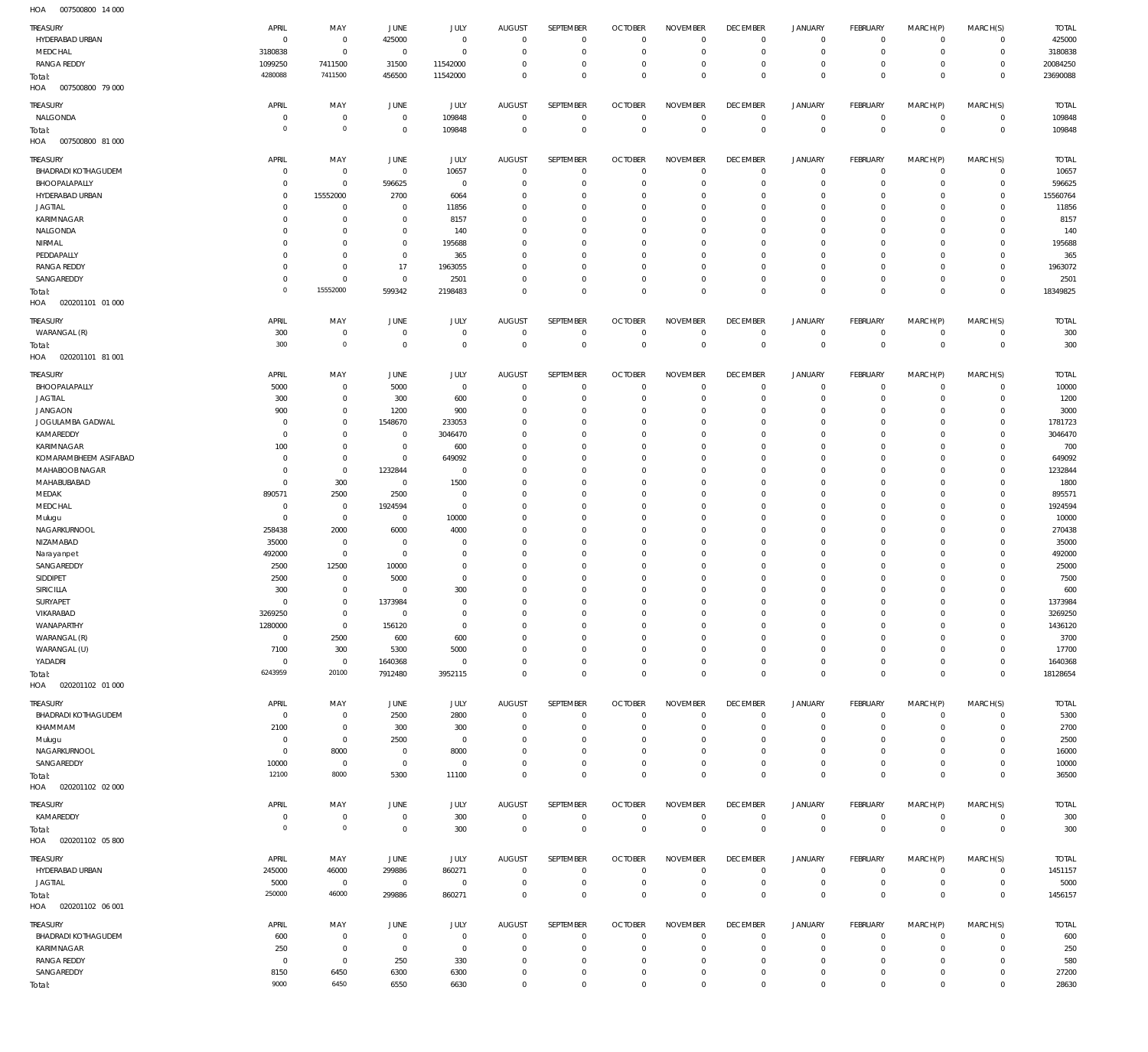007500800 14 000 HOA

| <b>TREASURY</b>                                                      | APRIL                                  | MAY                               | JUNE                                            | JULY                               | <b>AUGUST</b>                                 | SEPTEMBER                                  | <b>OCTOBER</b>                                     | <b>NOVEMBER</b>                               | <b>DECEMBER</b>                                 | <b>JANUARY</b>                             | <b>FEBRUARY</b>                               | MARCH(P)                                  | MARCH(S)                                  | <b>TOTAL</b>                     |
|----------------------------------------------------------------------|----------------------------------------|-----------------------------------|-------------------------------------------------|------------------------------------|-----------------------------------------------|--------------------------------------------|----------------------------------------------------|-----------------------------------------------|-------------------------------------------------|--------------------------------------------|-----------------------------------------------|-------------------------------------------|-------------------------------------------|----------------------------------|
| HYDERABAD URBAN                                                      | $\overline{0}$                         | $\mathbf 0$                       | 425000                                          | $\mathbf 0$                        | $\mathbf{0}$                                  | $\mathbf 0$                                | $\overline{0}$                                     | $^{\circ}$                                    | $^{\circ}$                                      | $\circ$                                    | $\mathbf 0$                                   | $\mathbf 0$                               | 0                                         | 425000                           |
| MEDCHAL                                                              | 3180838                                | $\mathbf 0$                       | $\overline{0}$                                  | $\mathbf 0$                        | $\overline{0}$                                | $\mathbf 0$                                | $\overline{0}$                                     | $\Omega$                                      | $\Omega$                                        | $\mathbf 0$                                | $\mathbf 0$                                   | $^{\circ}$                                | $\mathbf 0$                               | 3180838                          |
| <b>RANGA REDDY</b>                                                   | 1099250                                | 7411500                           | 31500                                           | 11542000                           | $\mathbf 0$                                   | $\mathbf 0$                                | $^{\circ}$                                         | $^{\circ}$                                    | $^{\circ}$                                      | 0                                          | $\mathbf 0$                                   | 0                                         | $\mathbf 0$                               | 20084250                         |
| Total:<br>HOA<br>007500800 79 000                                    | 4280088                                | 7411500                           | 456500                                          | 11542000                           | $\overline{0}$                                | $\mathbf 0$                                | $\overline{0}$                                     | $\Omega$                                      | $\Omega$                                        | $\Omega$                                   | $\mathbf 0$                                   | $\Omega$                                  | $\mathbf 0$                               | 23690088                         |
| <b>TREASURY</b><br>NALGONDA<br>Total:<br>007500800 81 000            | APRIL<br>$\mathbf 0$<br>$\overline{0}$ | MAY<br>$\mathbf 0$<br>$\mathbf 0$ | <b>JUNE</b><br>$\overline{0}$<br>$\overline{0}$ | JULY<br>109848<br>109848           | AUGUST<br>$\mathbf 0$<br>$\overline{0}$       | SEPTEMBER<br>$\overline{0}$<br>$\mathbf 0$ | <b>OCTOBER</b><br>$\overline{0}$<br>$\overline{0}$ | <b>NOVEMBER</b><br>$^{\circ}$<br>$\mathbf 0$  | <b>DECEMBER</b><br>$^{\circ}$<br>$\overline{0}$ | <b>JANUARY</b><br>$^{\circ}$<br>$\Omega$   | <b>FEBRUARY</b><br>$\mathbf 0$<br>$\mathbb O$ | MARCH(P)<br>$\mathbf 0$<br>$\overline{0}$ | MARCH(S)<br>$\mathbf 0$<br>$\mathbf 0$    | <b>TOTAL</b><br>109848<br>109848 |
| HOA<br>TREASURY                                                      | APRIL                                  | MAY                               | JUNE                                            | JULY                               | <b>AUGUST</b>                                 | <b>SEPTEMBER</b>                           | <b>OCTOBER</b>                                     | <b>NOVEMBER</b>                               | <b>DECEMBER</b>                                 | <b>JANUARY</b>                             | <b>FEBRUARY</b>                               | MARCH(P)                                  | MARCH(S)                                  | <b>TOTAL</b>                     |
| <b>BHADRADI KOTHAGUDEM</b>                                           | $\mathbf 0$                            | $\mathbf 0$                       | $\overline{0}$                                  | 10657                              | $^{\circ}$                                    | $\mathbf 0$                                | $\overline{0}$                                     | $^{\circ}$                                    | $^{\circ}$                                      | $\circ$                                    | $^{\circ}$                                    | $\mathbf 0$                               | $\mathbf 0$                               | 10657                            |
| BHOOPALAPALLY                                                        | $\mathbf 0$                            | $\mathbf 0$                       | 596625                                          | $^{\circ}$                         | $\mathbf 0$                                   | $\mathbf 0$                                | $\overline{0}$                                     | $\Omega$                                      | $^{\circ}$                                      | $\Omega$                                   | $^{\circ}$                                    | $^{\circ}$                                | $\mathbf 0$                               | 596625                           |
| HYDERABAD URBAN                                                      | $\mathbf 0$                            | 15552000                          | 2700                                            | 6064                               | $\mathbf 0$                                   | 0                                          | $^{\circ}$                                         | $\Omega$                                      | $^{\circ}$                                      | $\Omega$                                   | $\mathbf 0$                                   | 0                                         | $\mathbf 0$                               | 15560764                         |
| <b>JAGTIAL</b>                                                       | $\mathbf 0$                            | $\mathbf 0$                       | $^{\circ}$                                      | 11856                              | 0                                             | 0                                          | $^{\circ}$                                         | $\Omega$                                      | $\Omega$                                        | $\Omega$                                   | $\mathbf 0$                                   | -C                                        | $\mathbf 0$                               | 11856                            |
| KARIMNAGAR                                                           | $\mathbf 0$                            | $\mathbf 0$                       | $\overline{0}$                                  | 8157                               | $\Omega$                                      | 0                                          | $^{\circ}$                                         | $\Omega$                                      | $\Omega$                                        | $\Omega$                                   | $\mathbf 0$                                   | -C                                        | $\mathbf 0$                               | 8157                             |
| NALGONDA                                                             | $\mathbf 0$                            | $\mathbf 0$                       | $\overline{0}$                                  | 140                                | 0                                             | 0                                          | $^{\circ}$                                         | $\Omega$                                      | $\Omega$                                        | $\Omega$                                   | $\mathbf 0$                                   | -C                                        | $\mathbf 0$                               | 140                              |
| NIRMAL                                                               | $\mathbf 0$                            | $\mathbf 0$                       | $\overline{0}$                                  | 195688                             | $\Omega$                                      | $\Omega$                                   | $^{\circ}$                                         | $\Omega$                                      | $\Omega$                                        | $\Omega$                                   | $\mathbf 0$                                   | -C                                        | $\mathbf 0$                               | 195688                           |
| PEDDAPALLY                                                           | $\mathbf 0$                            | $\mathbf 0$                       | $\overline{0}$                                  | 365                                | 0                                             | 0                                          | $^{\circ}$                                         | $\Omega$                                      | $^{\circ}$                                      | $\Omega$                                   | $\mathbf 0$                                   | -C                                        | $\mathbf 0$                               | 365                              |
| <b>RANGA REDDY</b>                                                   | $\mathbf 0$                            | $\mathbf 0$                       | 17                                              | 1963055                            | $\Omega$                                      | $\Omega$                                   | $^{\circ}$                                         | $\Omega$                                      | $\Omega$                                        | $\Omega$                                   | $\mathbf 0$                                   | -C                                        | 0                                         | 1963072                          |
| SANGAREDDY                                                           | $\mathbf 0$                            | $\mathbf 0$                       | $\overline{0}$                                  | 2501                               | $\mathbf 0$                                   | $\mathbf 0$                                | $\overline{0}$                                     | $\Omega$                                      | $^{\circ}$                                      | $\mathbf 0$                                | $\mathbf 0$                                   | 0                                         | $\mathbf 0$                               | 2501                             |
| Total:<br>HOA<br>020201101 01 000                                    | $\circ$                                | 15552000                          | 599342                                          | 2198483                            | $\Omega$                                      | $\mathbf 0$                                | $\overline{0}$                                     | $\Omega$                                      | $\Omega$                                        | $\Omega$                                   | $\mathbf 0$                                   | $\Omega$                                  | $\mathbf 0$                               | 18349825                         |
| <b>TREASURY</b><br>WARANGAL (R)<br>Total:<br>020201101 81 001<br>HOA | APRIL<br>300<br>300                    | MAY<br>$\mathbf 0$<br>$\mathbf 0$ | JUNE<br>$\overline{0}$<br>$\overline{0}$        | JULY<br>$^{\circ}$<br>$\mathbf{0}$ | <b>AUGUST</b><br>$^{\circ}$<br>$\mathbb O$    | SEPTEMBER<br>$\mathbf 0$<br>$\,0\,$        | <b>OCTOBER</b><br>$^{\circ}$<br>$\mathbb O$        | <b>NOVEMBER</b><br>$^{\circ}$<br>$\mathbf{0}$ | <b>DECEMBER</b><br>$^{\circ}$<br>$\overline{0}$ | <b>JANUARY</b><br>$\circ$<br>$\mathbf{0}$  | <b>FEBRUARY</b><br>$\mathbf 0$<br>$\mathbb O$ | MARCH(P)<br>$^{\circ}$<br>$\overline{0}$  | MARCH(S)<br>$\mathbf 0$<br>$\mathbf 0$    | <b>TOTAL</b><br>300<br>300       |
| TREASURY                                                             | APRIL                                  | MAY                               | JUNE                                            | JULY                               | <b>AUGUST</b>                                 | <b>SEPTEMBER</b>                           | <b>OCTOBER</b>                                     | <b>NOVEMBER</b>                               | <b>DECEMBER</b>                                 | <b>JANUARY</b>                             | <b>FEBRUARY</b>                               | MARCH(P)                                  | MARCH(S)                                  | <b>TOTAL</b>                     |
| BHOOPALAPALLY                                                        | 5000                                   | $\mathbf 0$                       | 5000                                            | $^{\circ}$                         | $^{\circ}$                                    | $\mathbf 0$                                | $^{\circ}$                                         | $^{\circ}$                                    | $^{\circ}$                                      | $\circ$                                    | $\mathbf 0$                                   | $^{\circ}$                                | $\mathbf 0$                               | 10000                            |
| <b>JAGTIAL</b>                                                       | 300                                    | $\mathbf 0$                       | 300                                             | 600                                | 0                                             | $\mathbf 0$                                | $\overline{0}$                                     | $\Omega$                                      | $\Omega$                                        | $\Omega$                                   | $^{\circ}$                                    | -C                                        | $\mathbf 0$                               | 1200                             |
| <b>JANGAON</b>                                                       | 900                                    | $\mathbf 0$                       | 1200                                            | 900                                | $\Omega$                                      | $\mathbf 0$                                | $^{\circ}$                                         | $\Omega$                                      | $\Omega$                                        | $\Omega$                                   | $\mathbf 0$                                   | 0                                         | $\mathbf 0$                               | 3000                             |
| JOGULAMBA GADWAL                                                     | $\mathbf 0$                            | $\mathbf 0$                       | 1548670                                         | 233053                             | $\Omega$                                      | 0                                          | $^{\circ}$                                         | $\Omega$                                      | $\Omega$                                        | $\Omega$                                   | $\mathbf 0$                                   | -C                                        | $\mathbf 0$                               | 1781723                          |
| KAMAREDDY                                                            | $\mathbf 0$                            | $\mathbf 0$                       | $^{\circ}$                                      | 3046470                            | $\Omega$                                      | 0                                          | $^{\circ}$                                         | $\Omega$                                      | $\Omega$                                        | $\Omega$                                   | $\mathbf 0$                                   | -C                                        | 0                                         | 3046470                          |
| KARIMNAGAR                                                           | 100                                    | $\mathbf 0$                       | $\overline{0}$                                  | 600                                | 0                                             | 0                                          | $^{\circ}$                                         | $\Omega$                                      | $\Omega$                                        | $\Omega$                                   | $\mathbf 0$                                   | -C                                        | $\mathbf 0$                               | 700                              |
| KOMARAMBHEEM ASIFABAD                                                | $\mathbf 0$                            | $\mathbf 0$                       | $\overline{0}$                                  | 649092                             | $\Omega$                                      | $\Omega$                                   | $^{\circ}$                                         | $\Omega$                                      | $\Omega$                                        | $\Omega$                                   | $\mathbf 0$                                   | -C                                        | $\mathbf 0$                               | 649092                           |
| MAHABOOB NAGAR                                                       | $\mathbf 0$                            | $\mathbf 0$                       | 1232844                                         | $\mathbf 0$                        | 0                                             | 0                                          | $^{\circ}$                                         | $\Omega$                                      | $^{\circ}$                                      | $\Omega$                                   | $^{\circ}$                                    | -C                                        | $\mathbf 0$                               | 1232844                          |
| MAHABUBABAD                                                          | $\mathbf 0$                            | 300                               | $\overline{0}$                                  | 1500                               | $\Omega$                                      | $\Omega$                                   | $^{\circ}$                                         | $\Omega$                                      | $\Omega$                                        | $\Omega$                                   | $\mathbf 0$                                   | -C                                        | $\mathbf 0$                               | 1800                             |
| MEDAK                                                                | 890571                                 | 2500                              | 2500                                            | $\mathbf 0$                        | $\mathbf 0$                                   | $\mathbf 0$                                | $^{\circ}$                                         | $\Omega$                                      | $^{\circ}$                                      | $\Omega$                                   | $\mathbf 0$                                   | $\Omega$                                  | $\mathbf 0$                               | 895571                           |
| MEDCHAL                                                              | $\mathbf 0$                            | $\mathbf 0$                       | 1924594                                         | $\mathbf 0$                        | $\Omega$                                      | $\Omega$                                   | $^{\circ}$                                         | $\Omega$                                      | $\Omega$                                        | $\Omega$                                   | $\Omega$                                      | -C                                        | $\mathbf 0$                               | 1924594                          |
| Mulugu                                                               | $\overline{0}$                         | $\mathbf 0$                       | $\overline{0}$                                  | 10000                              | $\mathbf 0$                                   | $\mathbf 0$                                | $^{\circ}$                                         | $\Omega$                                      | $^{\circ}$                                      | $\circ$                                    | $\mathbf 0$                                   | $\Omega$                                  | $\mathbf 0$                               | 10000                            |
| NAGARKURNOOL                                                         | 258438                                 | 2000                              | 6000                                            | 4000                               | $\Omega$                                      | $\Omega$                                   | $^{\circ}$                                         | $\Omega$                                      | $\Omega$                                        | $\Omega$                                   | $\mathbf 0$                                   | -C                                        | $\mathbf 0$                               | 270438                           |
| NIZAMABAD                                                            | 35000                                  | $\mathbf 0$                       | $\overline{0}$                                  | 0                                  | $\mathbf 0$                                   | $\mathbf 0$                                | $^{\circ}$                                         | $\Omega$                                      | $\Omega$                                        | $\Omega$                                   | $\mathbf 0$                                   | -C                                        | $\mathbf 0$                               | 35000                            |
| Narayanpet                                                           | 492000                                 | $\mathbf 0$                       | $\overline{0}$                                  | 0                                  | $\Omega$                                      | $\Omega$                                   | $^{\circ}$                                         | $\Omega$                                      | $\Omega$                                        | $\Omega$                                   | $\mathbf 0$                                   | $\Omega$                                  | $\mathbf 0$                               | 492000                           |
| SANGAREDDY                                                           | 2500                                   | 12500                             | 10000                                           | 0                                  | $\mathbf 0$                                   | 0                                          | $^{\circ}$                                         | $\Omega$                                      | $\Omega$                                        | $\Omega$                                   | $\mathbf 0$                                   | $\Omega$                                  | 0                                         | 25000                            |
| SIDDIPET                                                             | 2500                                   | $\mathbf 0$                       | 5000                                            | $\mathbf 0$                        | $\mathbf 0$                                   | 0                                          | $^{\circ}$                                         | $\Omega$                                      | $\Omega$                                        | $\Omega$                                   | $\mathbf 0$                                   | $\Omega$                                  | $\mathbf 0$                               | 7500                             |
| SIRICILLA                                                            | 300                                    | $\mathbf 0$                       | $^{\circ}$                                      | 300                                | $\mathbf 0$                                   | 0                                          | $^{\circ}$                                         | $\Omega$                                      | $\Omega$                                        | $\Omega$                                   | $\mathbf 0$                                   | $\Omega$                                  | 0                                         | 600                              |
| SURYAPET                                                             | $\overline{0}$                         | $\mathbf 0$                       | 1373984                                         | $\Omega$                           | $\Omega$                                      | $\mathbf 0$                                | $\mathbf 0$                                        | $\Omega$                                      | $\Omega$                                        | $\Omega$                                   | $\mathbf 0$                                   | $\Omega$                                  | $\mathbf 0$                               | 1373984                          |
| VIKARABAD                                                            | 3269250                                | $\mathbf 0$                       | $^{\circ}$                                      | $\mathbf 0$                        | $\mathbf 0$                                   | $\mathbf{0}$                               | $\overline{0}$                                     | $\mathbf{0}$                                  | $\overline{0}$                                  | $\circ$                                    | $\mathbf 0$                                   | 0                                         | $\circ$                                   | 3269250                          |
| WANAPARTHY                                                           | 1280000                                | $\mathbf 0$                       | 156120                                          | $\mathbf 0$                        | $^{\circ}$                                    | $\mathbf 0$                                | $\mathbf 0$                                        | $^{\circ}$                                    | $\Omega$                                        | $\mathbf 0$                                | $\mathbf 0$                                   | $\mathbf 0$                               | $\mathbf 0$                               | 1436120                          |
| WARANGAL (R)                                                         | $\mathbf{0}$                           | 2500                              | 600                                             | 600                                | $\mathbf 0$                                   | $\mathbf 0$                                | $\mathbf 0$                                        | $\mathbf{0}$                                  | $^{\circ}$                                      | $\mathbf 0$                                | $\mathbf 0$                                   | 0                                         | $\mathbf 0$                               | 3700                             |
| WARANGAL (U)<br>YADADRI<br>Total:<br>HOA  020201102  01  000         | 7100<br>$\mathbf 0$<br>6243959         | 300<br>$\overline{0}$<br>20100    | 5300<br>1640368<br>7912480                      | 5000<br>$\mathbf 0$<br>3952115     | $\mathbf 0$<br>$\mathbf{0}$<br>$\overline{0}$ | $\mathbf 0$<br>$\mathbf 0$<br>$\mathbf 0$  | $^{\circ}$<br>$\mathbf 0$<br>$\mathbb O$           | $\Omega$<br>$^{\circ}$<br>$^{\circ}$          | $\Omega$<br>$^{\circ}$<br>$\mathbf{0}$          | $\Omega$<br>$\mathbf 0$<br>$\mathbf{0}$    | $\mathbf 0$<br>$\mathbf 0$<br>$\mathbb O$     | 0<br>$\mathbf 0$<br>$\overline{0}$        | 0<br>$\mathbf 0$<br>$\mathbb O$           | 17700<br>1640368<br>18128654     |
| <b>TREASURY</b>                                                      | APRIL                                  | MAY                               | JUNE                                            | JULY                               | <b>AUGUST</b>                                 | SEPTEMBER                                  | <b>OCTOBER</b>                                     | <b>NOVEMBER</b>                               | <b>DECEMBER</b>                                 | <b>JANUARY</b>                             | <b>FEBRUARY</b>                               | MARCH(P)                                  | MARCH(S)                                  | <b>TOTAL</b>                     |
| <b>BHADRADI KOTHAGUDEM</b>                                           | $\overline{0}$                         | $\mathbf 0$                       | 2500                                            | 2800                               | $\mathbf{0}$                                  | $\mathbf 0$                                | $\overline{0}$                                     | $^{\circ}$                                    | $^{\circ}$                                      | $\circ$                                    | $\mathbf 0$                                   | $\mathbf 0$                               | $\mathbf 0$                               | 5300                             |
| KHAMMAM                                                              | 2100                                   | $\mathbf 0$                       | 300                                             | 300                                | $\mathbf{0}$                                  | $\mathbf 0$                                | $\overline{0}$                                     | $^{\circ}$                                    | $\mathbf{0}$                                    | $\mathbf 0$                                | $\mathbf 0$                                   | $\mathbf 0$                               | $\mathbf 0$                               | 2700                             |
| Mulugu                                                               | $\overline{0}$                         | $\mathbf 0$                       | 2500                                            | $\mathbf{0}$                       | $^{\circ}$                                    | $\mathbf 0$                                | $\overline{0}$                                     | $^{\circ}$                                    | $^{\circ}$                                      | $\mathbf 0$                                | $\mathbf 0$                                   | 0                                         | $\mathbf 0$                               | 2500                             |
| NAGARKURNOOL                                                         | $\overline{0}$                         | 8000                              | $\mathbf 0$                                     | 8000                               | $\overline{0}$                                | $\mathbf 0$                                | $\overline{0}$                                     | $\mathbf{0}$                                  | $\mathbf{0}$                                    | $\mathbf 0$                                | $\mathbf 0$                                   | $\mathbf 0$                               | $\mathbf 0$                               | 16000                            |
| SANGAREDDY                                                           | 10000                                  | $\overline{0}$                    | $\mathbf 0$                                     | $\overline{0}$                     | $\mathbf{0}$                                  | $\mathbf 0$                                | $\mathbf 0$                                        | $^{\circ}$                                    | $\mathbf{0}$                                    | $\circ$                                    | $\mathbf 0$                                   | $\mathbf 0$                               | $\mathbf 0$                               | 10000                            |
| Total:<br>HOA<br>020201102 02 000                                    | 12100                                  | 8000                              | 5300                                            | 11100                              | $\overline{0}$                                | $\mathbf 0$                                | $\overline{0}$                                     | $\mathbf{0}$                                  | $\overline{0}$                                  | $\Omega$                                   | $\mathbb O$                                   | $\overline{0}$                            | $\mathbf 0$                               | 36500                            |
| TREASURY                                                             | APRIL                                  | MAY                               | JUNE                                            | JULY                               | AUGUST                                        | SEPTEMBER                                  | <b>OCTOBER</b>                                     | <b>NOVEMBER</b>                               | <b>DECEMBER</b>                                 | <b>JANUARY</b>                             | <b>FEBRUARY</b>                               | MARCH(P)                                  | MARCH(S)                                  | <b>TOTAL</b>                     |
| KAMAREDDY                                                            | $\overline{0}$                         | $\mathbf 0$                       | $\overline{0}$                                  | 300                                | $\overline{0}$                                | $\mathbf 0$                                | $\mathbf 0$                                        | $\mathbf 0$                                   | $^{\circ}$                                      | $\circ$                                    | $\mathbf 0$                                   | $\mathbf 0$                               | $\circ$                                   | 300                              |
| Total:                                                               | $\overline{0}$                         | $\mathbf 0$                       | $\overline{0}$                                  | 300                                | $\mathbb O$                                   | $\,0\,$                                    | $\overline{0}$                                     | $\mathbf 0$                                   | $\overline{0}$                                  | $\mathbf 0$                                | $\mathbb O$                                   | $\mathbf 0$                               | $\mathbb O$                               | 300                              |
| HOA<br>020201102 05 800<br>TREASURY                                  | APRIL                                  | MAY                               | JUNE                                            | JULY                               | AUGUST                                        | SEPTEMBER                                  | <b>OCTOBER</b>                                     | <b>NOVEMBER</b>                               | <b>DECEMBER</b>                                 | <b>JANUARY</b>                             | <b>FEBRUARY</b>                               | MARCH(P)                                  | MARCH(S)                                  | <b>TOTAL</b>                     |
| HYDERABAD URBAN                                                      | 245000                                 | 46000                             | 299886                                          | 860271                             | $\mathbf 0$                                   | $\mathbf 0$                                | $\overline{0}$                                     | $^{\circ}$                                    | $^{\circ}$                                      | $\circ$                                    | $\mathbf 0$                                   | $\mathbf 0$                               | $\circ$                                   | 1451157                          |
| <b>JAGTIAL</b>                                                       | 5000                                   | $\overline{0}$                    | $\overline{0}$                                  | $\mathbf 0$                        | $\overline{0}$                                | $\mathbf 0$                                | $\overline{0}$                                     | $^{\circ}$                                    | $\mathbf 0$                                     | $^{\circ}$                                 | $\mathbf 0$                                   | $\mathbf 0$                               | $\mathsf{O}\xspace$                       | 5000                             |
| Total:<br>HOA<br>020201102 06 001                                    | 250000                                 | 46000                             | 299886                                          | 860271                             | $\mathbb O$                                   | $\mathbf 0$                                | $\mathbb O$                                        | $\mathbb O$                                   | $\overline{0}$                                  | $\mathbf 0$                                | $\mathbb O$                                   | $\mathbb O$                               | $\mathbb O$                               | 1456157                          |
| TREASURY                                                             | APRIL                                  | MAY                               | JUNE                                            | JULY                               | AUGUST                                        | SEPTEMBER                                  | <b>OCTOBER</b>                                     | <b>NOVEMBER</b>                               | <b>DECEMBER</b>                                 | <b>JANUARY</b>                             | <b>FEBRUARY</b>                               | MARCH(P)                                  | MARCH(S)                                  | <b>TOTAL</b>                     |
| <b>BHADRADI KOTHAGUDEM</b>                                           | 600                                    | $\mathbf 0$                       | $\overline{0}$                                  | $\mathbf{0}$                       | $\mathbf{0}$                                  | $\mathbf 0$                                | $\overline{0}$                                     | $^{\circ}$                                    | $^{\circ}$                                      | $\circ$                                    | $\mathbf 0$                                   | $\mathbf 0$                               | $\mathbf 0$                               | 600                              |
| KARIMNAGAR                                                           | 250                                    | $\mathbf 0$                       | $\overline{0}$                                  | $^{\circ}$                         | $^{\circ}$                                    | $\mathbf 0$                                | $\mathbf 0$                                        | $^{\circ}$                                    | $^{\circ}$                                      | $\mathbf 0$                                | $\mathbf 0$                                   | $\mathbf 0$                               | $\mathbf 0$                               | 250                              |
| <b>RANGA REDDY</b><br>SANGAREDDY                                     | $\overline{0}$<br>8150<br>9000         | $\mathbf 0$<br>6450<br>6450       | 250<br>6300<br>6550                             | 330<br>6300<br>6630                | $^{\circ}$<br>$\mathbf 0$<br>$\mathbf 0$      | $\mathbf 0$<br>$\mathbf 0$<br>$\mathbf 0$  | $\mathbf 0$<br>$\mathbf 0$<br>$\mathbf 0$          | $^{\circ}$<br>$\mathbf{0}$<br>$\overline{0}$  | $^{\circ}$<br>$\mathbf{0}$<br>$\mathbf 0$       | $\mathbf 0$<br>$\mathbf 0$<br>$\mathbf{0}$ | $\mathbf 0$<br>$\mathbf 0$<br>$\mathbf 0$     | $^{\circ}$<br>$\mathbf 0$<br>$^{\circ}$   | $\mathbf 0$<br>$\mathbf 0$<br>$\mathbb O$ | 580<br>27200<br>28630            |
| Total:                                                               |                                        |                                   |                                                 |                                    |                                               |                                            |                                                    |                                               |                                                 |                                            |                                               |                                           |                                           |                                  |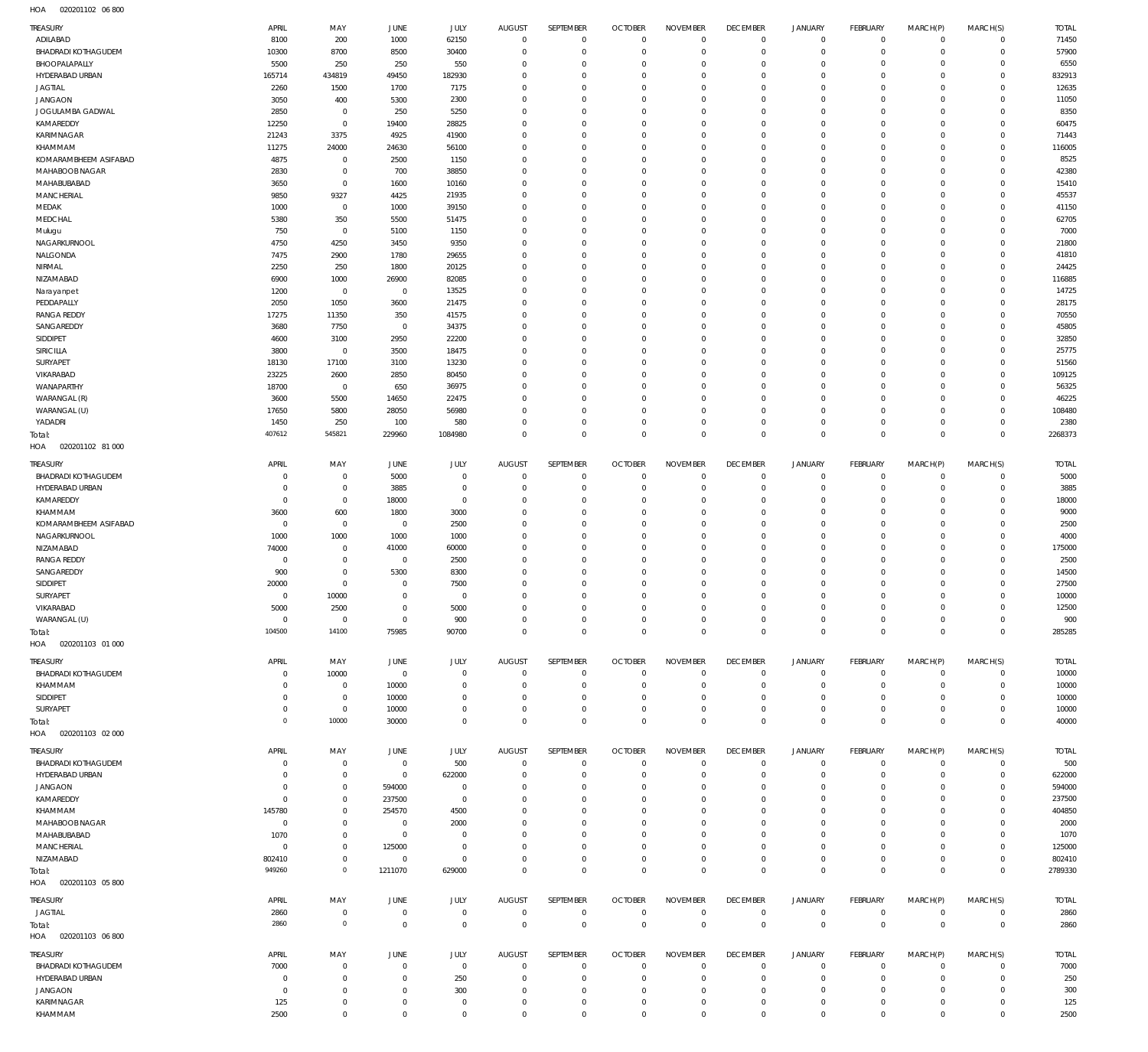020201102 06 800 HOA

| TREASURY                   | APRIL       | MAY                 | JUNE           | JULY        | <b>AUGUST</b>  | SEPTEMBER        | <b>OCTOBER</b> | <b>NOVEMBER</b> | <b>DECEMBER</b> | <b>JANUARY</b>     | <b>FEBRUARY</b> | MARCH(P)             | MARCH(S)       | <b>TOTAL</b> |
|----------------------------|-------------|---------------------|----------------|-------------|----------------|------------------|----------------|-----------------|-----------------|--------------------|-----------------|----------------------|----------------|--------------|
| ADILABAD                   | 8100        | 200                 | 1000           | 62150       | $\overline{0}$ | $\overline{0}$   | $\overline{0}$ | $\mathbf{0}$    | $\mathbf 0$     | $\overline{0}$     | $\circ$         | $\Omega$             | $\Omega$       | 71450        |
| BHADRADI KOTHAGUDEM        | 10300       | 8700                | 8500           | 30400       | $\overline{0}$ | $\mathbf 0$      | $\overline{0}$ | $\mathbf 0$     | $\mathbb O$     | $\mathbf 0$        | $\mathbf 0$     | $\Omega$             | $\circ$        | 57900        |
| BHOOPALAPALLY              | 5500        | 250                 | 250            | 550         | $\mathbf 0$    | $\mathbf 0$      | $\mathbf{0}$   | $\Omega$        | $\mathbf 0$     | $\mathbf 0$        | $\mathbf 0$     | $\Omega$             | $\circ$        | 6550         |
| HYDERABAD URBAN            | 165714      | 434819              | 49450          | 182930      | $\Omega$       | $\mathbf 0$      | $\mathbf{0}$   | 0               | $\mathbf 0$     | $\mathbf 0$        | $\mathbf 0$     | $\Omega$             | $\Omega$       | 832913       |
| <b>JAGTIAL</b>             | 2260        | 1500                | 1700           | 7175        | $\Omega$       | $\Omega$         | $\mathbf{0}$   | $\Omega$        | $\overline{0}$  | $\circ$            | $\circ$         | $\Omega$             | $\Omega$       | 12635        |
| <b>JANGAON</b>             | 3050        | 400                 | 5300           | 2300        | $\mathbf 0$    | $\mathbf 0$      | $\mathbf{0}$   | 0               | $\mathbf 0$     | $\circ$            | $\mathbf 0$     | $\Omega$             | $\Omega$       | 11050        |
| JOGULAMBA GADWAL           | 2850        | $\mathbf{0}$        | 250            | 5250        | $\Omega$       | $\Omega$         | $\mathbf{0}$   | $\Omega$        | $\Omega$        | $\circ$            | $\circ$         | $\Omega$             | $\Omega$       | 8350         |
| KAMAREDDY                  | 12250       | $\bf 0$             | 19400          | 28825       | $\Omega$       | $\mathbf 0$      | $\mathbf{0}$   | 0               | $\Omega$        | $\circ$            | $\mathbf 0$     | $\Omega$             | $\Omega$       | 60475        |
| KARIMNAGAR                 | 21243       | 3375                | 4925           | 41900       | $\Omega$       | $\mathbf 0$      | $\mathbf{0}$   | $\Omega$        | $\mathbf{0}$    | $\circ$            | $\mathbf 0$     | $\Omega$             | $\Omega$       | 71443        |
| KHAMMAM                    | 11275       | 24000               | 24630          | 56100       | $\Omega$       | $\mathbf 0$      | $\mathbf{0}$   | 0               | $\mathbf 0$     | $\circ$            | $\mathbf 0$     | $\Omega$             | $\Omega$       | 116005       |
| KOMARAMBHEEM ASIFABAD      | 4875        | $\mathbf 0$         | 2500           | 1150        | $\mathbf 0$    | $\mathbf 0$      | $\mathbf{0}$   | $\Omega$        | $\mathbf{0}$    | $\mathbf 0$        | $\mathbf 0$     | $\Omega$             | $\Omega$       | 8525         |
| MAHABOOB NAGAR             | 2830        | $\mathbf 0$         | 700            | 38850       | $\Omega$       | $\Omega$         | $\mathbf{0}$   | $\Omega$        | $\Omega$        | $\circ$            | $\circ$         | $\Omega$             | $\Omega$       | 42380        |
| MAHABUBABAD                | 3650        | $\bf 0$             | 1600           | 10160       | $\mathbf 0$    | $\mathbf 0$      | $\mathbf{0}$   | $\Omega$        | $\mathbf{0}$    | $\circ$            | $\mathbf 0$     | $\Omega$             | $\Omega$       | 15410        |
| <b>MANCHERIAL</b>          | 9850        | 9327                | 4425           | 21935       | $\Omega$       | $\Omega$         | $\mathbf{0}$   | $\Omega$        | $\Omega$        | $\circ$            | $\mathbf 0$     | $\Omega$             | $\Omega$       | 45537        |
| MEDAK                      | 1000        | $\mathbf 0$         | 1000           | 39150       | $\mathbf 0$    | $\mathbf 0$      | $\mathbf{0}$   | $\Omega$        | $\mathbf 0$     | $\circ$            | $\mathbf 0$     | $\Omega$             | $\Omega$       | 41150        |
| MEDCHAL                    | 5380        | 350                 | 5500           | 51475       | $\Omega$       | $\Omega$         | $\mathbf{0}$   | $\Omega$        | $\Omega$        | $\circ$            | $\circ$         | $\Omega$             | $\Omega$       | 62705        |
| Mulugu                     | 750         | $\mathbf 0$         | 5100           | 1150        | $\mathbf 0$    | $\mathbf 0$      | $\mathbf{0}$   | $\Omega$        | $\mathbf 0$     | $\circ$            | $\mathbf 0$     | $\Omega$             | $\Omega$       | 7000         |
| NAGARKURNOOL               | 4750        | 4250                | 3450           | 9350        | $\Omega$       | $\Omega$         | $\mathbf{0}$   | $\Omega$        | $\Omega$        | $\circ$            | $\mathbf 0$     | $\Omega$             | $\Omega$       | 21800        |
| NALGONDA                   | 7475        | 2900                | 1780           | 29655       | $\Omega$       | $\Omega$         | $\mathbf{0}$   | $\Omega$        | $\overline{0}$  | $\circ$            | $\circ$         | $\Omega$             | $\Omega$       | 41810        |
| NIRMAL                     | 2250        | 250                 | 1800           | 20125       | $\Omega$       | $\mathbf 0$      | $\mathbf{0}$   | $\Omega$        | $\Omega$        | $\circ$            | $\mathbf 0$     | $\Omega$             | $\Omega$       | 24425        |
| NIZAMABAD                  | 6900        | 1000                | 26900          | 82085       | $\Omega$       | $\Omega$         | $\mathbf{0}$   | $\Omega$        | $\overline{0}$  | $^{\circ}$         | $\circ$         | $\Omega$             | $\circ$        | 116885       |
|                            |             | $\overline{0}$      |                |             | $\mathbf 0$    | $\mathbf 0$      | $\mathbf{0}$   | 0               | $\mathbf{0}$    |                    | $\mathbf 0$     | $\Omega$             | $\Omega$       |              |
| Narayanpet                 | 1200        |                     | $\overline{0}$ | 13525       | $\Omega$       | $\Omega$         | $\mathbf{0}$   | $\Omega$        | $\Omega$        | $\circ$<br>$\circ$ | $\circ$         | $\Omega$             | $\Omega$       | 14725        |
| PEDDAPALLY                 | 2050        | 1050                | 3600           | 21475       | $\Omega$       |                  |                |                 | $\Omega$        |                    |                 |                      | $\Omega$       | 28175        |
| <b>RANGA REDDY</b>         | 17275       | 11350               | 350            | 41575       | $\Omega$       | $\mathbf 0$      | $\mathbf{0}$   | $\Omega$        | $\Omega$        | $^{\circ}$         | $\mathbf 0$     | $\Omega$<br>$\Omega$ | $\Omega$       | 70550        |
| SANGAREDDY                 | 3680        | 7750                | $\overline{0}$ | 34375       |                | $\Omega$         | $\mathbf{0}$   | $\Omega$        |                 | $\circ$            | $\circ$         |                      |                | 45805        |
| SIDDIPET                   | 4600        | 3100                | 2950           | 22200       | $\Omega$       | $\mathbf 0$      | $\mathbf{0}$   | 0               | $\mathbf 0$     | $^{\circ}$         | $\mathbf 0$     | $\Omega$             | $\Omega$       | 32850        |
| SIRICILLA                  | 3800        | $\mathbf 0$         | 3500           | 18475       | $\Omega$       | $\Omega$         | $\mathbf{0}$   | $\Omega$        | $\mathbf{0}$    | $\mathbf 0$        | $\mathbf 0$     | $\Omega$             | $\Omega$       | 25775        |
| <b>SURYAPET</b>            | 18130       | 17100               | 3100           | 13230       | $\Omega$       | $\Omega$         | $\mathbf{0}$   | $\Omega$        | $\Omega$        | $\circ$            | $\circ$         | $\Omega$             | $\Omega$       | 51560        |
| VIKARABAD                  | 23225       | 2600                | 2850           | 80450       | $\mathbf 0$    | $\mathbf 0$      | $\mathbf{0}$   | $\Omega$        | $\mathbf{0}$    | $\circ$            | $\mathbf 0$     | $\Omega$             | $\Omega$       | 109125       |
| WANAPARTHY                 | 18700       | $\mathbf 0$         | 650            | 36975       | $\Omega$       | $\Omega$         | $\mathbf{0}$   | $\Omega$        | $\overline{0}$  | $\circ$            | $\mathbf 0$     | $\Omega$             | $\Omega$       | 56325        |
| WARANGAL (R)               | 3600        | 5500                | 14650          | 22475       | $\mathbf 0$    | $\mathbf 0$      | $\mathbf{0}$   | $\Omega$        | $\mathbf 0$     | $\circ$            | $\mathbf 0$     | $\Omega$             | $\Omega$       | 46225        |
| WARANGAL (U)               | 17650       | 5800                | 28050          | 56980       | $\Omega$       | $\Omega$         | $\mathbf{0}$   | $\Omega$        | $\Omega$        | $\circ$            | $\circ$         | $\Omega$             | $\circ$        | 108480       |
| YADADRI                    | 1450        | 250                 | 100            | 580         | $\mathbf 0$    | $\mathbf 0$      | $\mathbf 0$    | 0               | $\mathbf 0$     | $\mathbf 0$        | $\circ$         | $\Omega$             | $\circ$        | 2380         |
| Total:                     | 407612      | 545821              | 229960         | 1084980     | $\Omega$       | $\Omega$         | $\overline{0}$ | 0               | $\mathbb O$     | $\mathbf 0$        | $\mathbb O$     | $\Omega$             | $\circ$        | 2268373      |
| HOA<br>020201102 81 000    |             |                     |                |             |                |                  |                |                 |                 |                    |                 |                      |                |              |
| TREASURY                   | APRIL       | MAY                 | JUNE           | JULY        | <b>AUGUST</b>  | SEPTEMBER        | <b>OCTOBER</b> | <b>NOVEMBER</b> | <b>DECEMBER</b> | <b>JANUARY</b>     | <b>FEBRUARY</b> | MARCH(P)             | MARCH(S)       | <b>TOTAL</b> |
| <b>BHADRADI KOTHAGUDEM</b> | $\mathbf 0$ | $\mathbf 0$         | 5000           | $\mathbf 0$ | $\mathbf 0$    | $\mathbf 0$      | $\overline{0}$ | $\mathbf 0$     | $\mathbf 0$     | $\circ$            | $^{\circ}$      | $\Omega$             | $\mathbf 0$    | 5000         |
| HYDERABAD URBAN            | $\mathbf 0$ | $\mathbf 0$         | 3885           | $\mathbf 0$ | $\mathbf 0$    | $\mathbf 0$      | $\mathbf{0}$   | $\Omega$        | $\mathbf 0$     | $\mathbf 0$        | $\mathbf 0$     | $\Omega$             | $\Omega$       | 3885         |
| KAMAREDDY                  | $\mathbf 0$ | $\mathbf 0$         | 18000          | $\mathbf 0$ | $\Omega$       | $\Omega$         | $\mathbf{0}$   | $\Omega$        | $\overline{0}$  | $\circ$            | $\circ$         | $\Omega$             | $\Omega$       | 18000        |
| KHAMMAM                    | 3600        | 600                 | 1800           | 3000        | $\Omega$       | $\Omega$         | $\mathbf 0$    | $\Omega$        | $\Omega$        | $\circ$            | $\Omega$        | $\Omega$             | $\Omega$       | 9000         |
| KOMARAMBHEEM ASIFABAD      | $\mathbf 0$ | $\mathbf 0$         | $\overline{0}$ | 2500        | $\Omega$       | $\Omega$         | $\mathbf{0}$   | $\Omega$        | $\Omega$        | $\circ$            | $\circ$         | $\Omega$             | $\Omega$       | 2500         |
| NAGARKURNOOL               | 1000        | 1000                | 1000           | 1000        | $\Omega$       | $\Omega$         | $\mathbf{0}$   | $\Omega$        | $\Omega$        | $\circ$            | $\circ$         | $\Omega$             | $\Omega$       | 4000         |
| NIZAMABAD                  | 74000       | $\mathbf 0$         | 41000          | 60000       | $\Omega$       | $\Omega$         | $\mathbf 0$    | $\Omega$        | $\Omega$        | $\circ$            | $\Omega$        | $\Omega$             | $\Omega$       | 175000       |
| <b>RANGA REDDY</b>         | $\mathbf 0$ | $\mathbf 0$         | $\overline{0}$ | 2500        | $\Omega$       | $\Omega$         | $\mathbf{0}$   | $\Omega$        | $\Omega$        | $\circ$            | $\circ$         | $\Omega$             | $\Omega$       | 2500         |
| SANGAREDDY                 | 900         | $\mathbf 0$         | 5300           | 8300        | $\Omega$       | $\Omega$         | $\Omega$       | $\Omega$        | $\Omega$        | $\circ$            | $\Omega$        | $\Omega$             | $\Omega$       | 14500        |
| SIDDIPET                   | 20000       | $\mathbf 0$         | $\overline{0}$ | 7500        | $\Omega$       | $\Omega$         | $\mathbf{0}$   | $\Omega$        | $\Omega$        | $\circ$            | $\Omega$        | $\Omega$             | $\Omega$       | 27500        |
| SURYAPET                   | $\mathbf 0$ | 10000               | $\overline{0}$ | $\Omega$    | $\Omega$       | $\Omega$         | $\Omega$       | $\Omega$        | $\Omega$        | $\Omega$           | $\circ$         | $\Omega$             | $\circ$        | 10000        |
| VIKARABAD                  | 5000        | 2500                | $\Omega$       | 5000        | $\Omega$       | $\Omega$         | $\Omega$       | $\Omega$        | $\Omega$        | $\circ$            | $\Omega$        | $\circ$              | $\circ$        | 12500        |
| WARANGAL (U)               | $\bf 0$     | $\bf 0$             | $\overline{0}$ | 900         | $\mathbf 0$    | $\mathbf 0$      | $\mathbf 0$    | $\mathbf 0$     | $^{\circ}$      | $\mathbb O$        | $\mathbf 0$     | $\circ$              | $\mathbf 0$    | 900          |
| Total:                     | 104500      | 14100               | 75985          | 90700       | $\Omega$       | $\mathbf 0$      | $\overline{0}$ | $\mathbf{0}$    | $\mathbf 0$     | $\mathbb O$        | $\mathbb O$     | $\mathbb O$          | $\mathbb O$    | 285285       |
| HOA<br>020201103 01 000    |             |                     |                |             |                |                  |                |                 |                 |                    |                 |                      |                |              |
|                            |             |                     |                |             |                |                  |                |                 |                 |                    |                 |                      |                |              |
| TREASURY                   | APRIL       | MAY                 | JUNE           | JULY        | <b>AUGUST</b>  | <b>SEPTEMBER</b> | <b>OCTOBER</b> | <b>NOVEMBER</b> | <b>DECEMBER</b> | <b>JANUARY</b>     | <b>FEBRUARY</b> | MARCH(P)             | MARCH(S)       | <b>TOTAL</b> |
| <b>BHADRADI KOTHAGUDEM</b> | $\mathbf 0$ | 10000               | $\overline{0}$ | $\mathbf 0$ | $\overline{0}$ | $\overline{0}$   | $\overline{0}$ | $\mathbf{0}$    | $\mathbf 0$     | 0                  | $\mathbf 0$     | $\mathbf 0$          | $\mathbf 0$    | 10000        |
| KHAMMAM                    | $\mathbf 0$ | $\mathbf 0$         | 10000          | $\mathbf 0$ | $^{\circ}$     | $^{\circ}$       | $\overline{0}$ | $\mathbf 0$     | $\overline{0}$  | $\circ$            | $\mathbf 0$     | $\Omega$             | $\Omega$       | 10000        |
| SIDDIPET                   | $\mathbf 0$ | $\bf 0$             | 10000          | $\mathbf 0$ | $^{\circ}$     | $\mathbf 0$      | $\mathbf 0$    | 0               | $\mathbf 0$     | $\circ$            | $\mathbf 0$     | $\Omega$             | $\Omega$       | 10000        |
| SURYAPET                   | $\mathbf 0$ | $\mathsf{O}\xspace$ | 10000          | $\Omega$    | $\overline{0}$ | $\mathbf 0$      | $\mathbf 0$    | $\mathbf 0$     | $\mathbf 0$     | $\circ$            | $\mathbf 0$     | $\Omega$             | $\Omega$       | 10000        |
| Total:                     | $\mathbf 0$ | 10000               | 30000          | $\mathbf 0$ | $\overline{0}$ | $\mathbf 0$      | $\mathbf 0$    | $\mathbf 0$     | $\mathbf 0$     | $\mathbf 0$        | $\mathbf 0$     | $^{\circ}$           | $\mathbb O$    | 40000        |
| HOA<br>020201103 02 000    |             |                     |                |             |                |                  |                |                 |                 |                    |                 |                      |                |              |
| TREASURY                   | APRIL       | MAY                 | JUNE           | JULY        | <b>AUGUST</b>  | SEPTEMBER        | <b>OCTOBER</b> | <b>NOVEMBER</b> | <b>DECEMBER</b> | <b>JANUARY</b>     | FEBRUARY        | MARCH(P)             | MARCH(S)       | <b>TOTAL</b> |
| <b>BHADRADI KOTHAGUDEM</b> | $\mathbf 0$ | 0                   | $\overline{0}$ | 500         | $\mathbf 0$    | $\mathbf 0$      | $\mathbf 0$    | $\mathbf 0$     | $\overline{0}$  | $\circ$            | $\mathbf 0$     | $\Omega$             | $\Omega$       | 500          |
| HYDERABAD URBAN            | $\mathbf 0$ | $\bf 0$             | $\overline{0}$ | 622000      | $\mathbf 0$    | $\mathbf 0$      | $\overline{0}$ | $\mathbf 0$     | $^{\circ}$      | $\circ$            | $\mathbf 0$     | $\Omega$             | $\mathbf 0$    | 622000       |
| <b>JANGAON</b>             | $\mathbf 0$ | $\mathbf 0$         | 594000         | $\mathbf 0$ | $\Omega$       | $\Omega$         | $\mathbf 0$    | $\Omega$        | $\Omega$        | $\circ$            | $^{\circ}$      | $\Omega$             | $\Omega$       | 594000       |
| KAMAREDDY                  | $\mathbf 0$ | $\mathbf 0$         | 237500         | $\mathbf 0$ | $\Omega$       | $\mathbf 0$      | $^{\circ}$     | $\Omega$        | $^{\circ}$      | $\circ$            | $\mathbf 0$     | $\Omega$             | $\Omega$       | 237500       |
| KHAMMAM                    | 145780      | $\mathbf 0$         | 254570         | 4500        | $\Omega$       | $\Omega$         | $\mathbf 0$    | $\Omega$        | $\Omega$        | $\circ$            | $^{\circ}$      | $\Omega$             | $\Omega$       | 404850       |
| MAHABOOB NAGAR             | $\mathbf 0$ | $\mathbf 0$         | $^{\circ}$     | 2000        | $\Omega$       | $\Omega$         | $\mathbf 0$    | $\Omega$        | $\Omega$        | $^{\circ}$         | $\Omega$        | $\Omega$             | $\Omega$       | 2000         |
| MAHABUBABAD                | 1070        | $\bf 0$             | $\overline{0}$ | $\Omega$    | $\Omega$       | $\Omega$         | $\mathbf 0$    | O               | $\Omega$        | $\circ$            | $^{\circ}$      | $\Omega$             | $\Omega$       | 1070         |
| MANCHERIAL                 | $\mathbf 0$ | $\mathsf{O}\xspace$ | 125000         | $\Omega$    | $\Omega$       | $\Omega$         | $\mathbf 0$    | $\Omega$        | $^{\circ}$      | $\circ$            | $\mathbf 0$     | $\Omega$             | $\Omega$       | 125000       |
| NIZAMABAD                  | 802410      | $\mathsf{O}\xspace$ | $\overline{0}$ | $\mathbf 0$ | $\mathbf 0$    | $\mathbf 0$      | $\mathbf 0$    | 0               | $\overline{0}$  | $\circ$            | $\mathbf 0$     | $\Omega$             | $\mathbf 0$    | 802410       |
| Total:                     | 949260      | $\mathsf{O}\xspace$ | 1211070        | 629000      | $\Omega$       | $\Omega$         | $\mathbf 0$    | $\mathbf 0$     | $\mathbf 0$     | $\mathbf 0$        | $\mathbf 0$     | $\Omega$             | $\overline{0}$ | 2789330      |
| HOA<br>020201103 05 800    |             |                     |                |             |                |                  |                |                 |                 |                    |                 |                      |                |              |
|                            |             |                     |                |             |                |                  |                |                 |                 |                    |                 |                      |                |              |
| TREASURY                   | APRIL       | MAY                 | JUNE           | JULY        | <b>AUGUST</b>  | SEPTEMBER        | <b>OCTOBER</b> | <b>NOVEMBER</b> | <b>DECEMBER</b> | <b>JANUARY</b>     | <b>FEBRUARY</b> | MARCH(P)             | MARCH(S)       | <b>TOTAL</b> |
| <b>JAGTIAL</b>             | 2860        | $\bf 0$             | $\overline{0}$ | $\mathbf 0$ | $\overline{0}$ | $\overline{0}$   | $\overline{0}$ | $\mathbf 0$     | $\mathbf 0$     | $\circ$            | $\circ$         | $\mathbf 0$          | $\overline{0}$ | 2860         |
| Total:                     | 2860        | $\mathsf{O}\xspace$ | $\overline{0}$ | $\mathbf 0$ | $\overline{0}$ | $\overline{0}$   | $\mathbb O$    | $\mathbf 0$     | $\mathbb O$     | $\,0\,$            | $\overline{0}$  | $\mathbb O$          | $\,0\,$        | 2860         |
| 020201103 06 800<br>HOA    |             |                     |                |             |                |                  |                |                 |                 |                    |                 |                      |                |              |
| TREASURY                   | APRIL       | MAY                 | JUNE           | JULY        | <b>AUGUST</b>  | SEPTEMBER        | <b>OCTOBER</b> | <b>NOVEMBER</b> | <b>DECEMBER</b> | <b>JANUARY</b>     | FEBRUARY        | MARCH(P)             | MARCH(S)       | <b>TOTAL</b> |
| <b>BHADRADI KOTHAGUDEM</b> | 7000        | $\mathbf 0$         | $\overline{0}$ | $\mathbf 0$ | $\mathbf 0$    | $\overline{0}$   | $\overline{0}$ | $\mathbf 0$     | $\overline{0}$  | 0                  | $\mathbf 0$     | $\Omega$             | $\mathbf 0$    | 7000         |
| HYDERABAD URBAN            | $\mathbf 0$ | $\mathbf 0$         | $\overline{0}$ | 250         | $\mathbf 0$    | $\mathbf 0$      | $\mathbf 0$    | $\Omega$        | $\Omega$        | $\circ$            | $\mathbf 0$     | $\Omega$             | $\Omega$       | 250          |
| <b>JANGAON</b>             | $\mathbf 0$ | $\mathbf 0$         | $\overline{0}$ | 300         | $\mathbf 0$    | $\mathbf 0$      | $^{\circ}$     | $\mathbf 0$     | $\overline{0}$  | $\circ$            | $\mathbf 0$     | $\Omega$             | $\Omega$       | 300          |
| KARIMNAGAR                 | 125         | $\bf 0$             | $\mathbf 0$    | $\mathbf 0$ | $\mathbf 0$    | $\mathbf 0$      | 0              | 0               | $\,0\,$         | 0                  | 0               | $\Omega$             | $\mathbf 0$    | 125          |
| KHAMMAM                    | 2500        | $\mathbf 0$         | $\mathbf 0$    | $\mathbf 0$ | $\mathbf 0$    | $\mathbf 0$      | $\mathbf 0$    | 0               | $\mathbf 0$     | $\mathbf 0$        | $\mathbf 0$     | $\circ$              | $\mathbf 0$    | 2500         |
|                            |             |                     |                |             |                |                  |                |                 |                 |                    |                 |                      |                |              |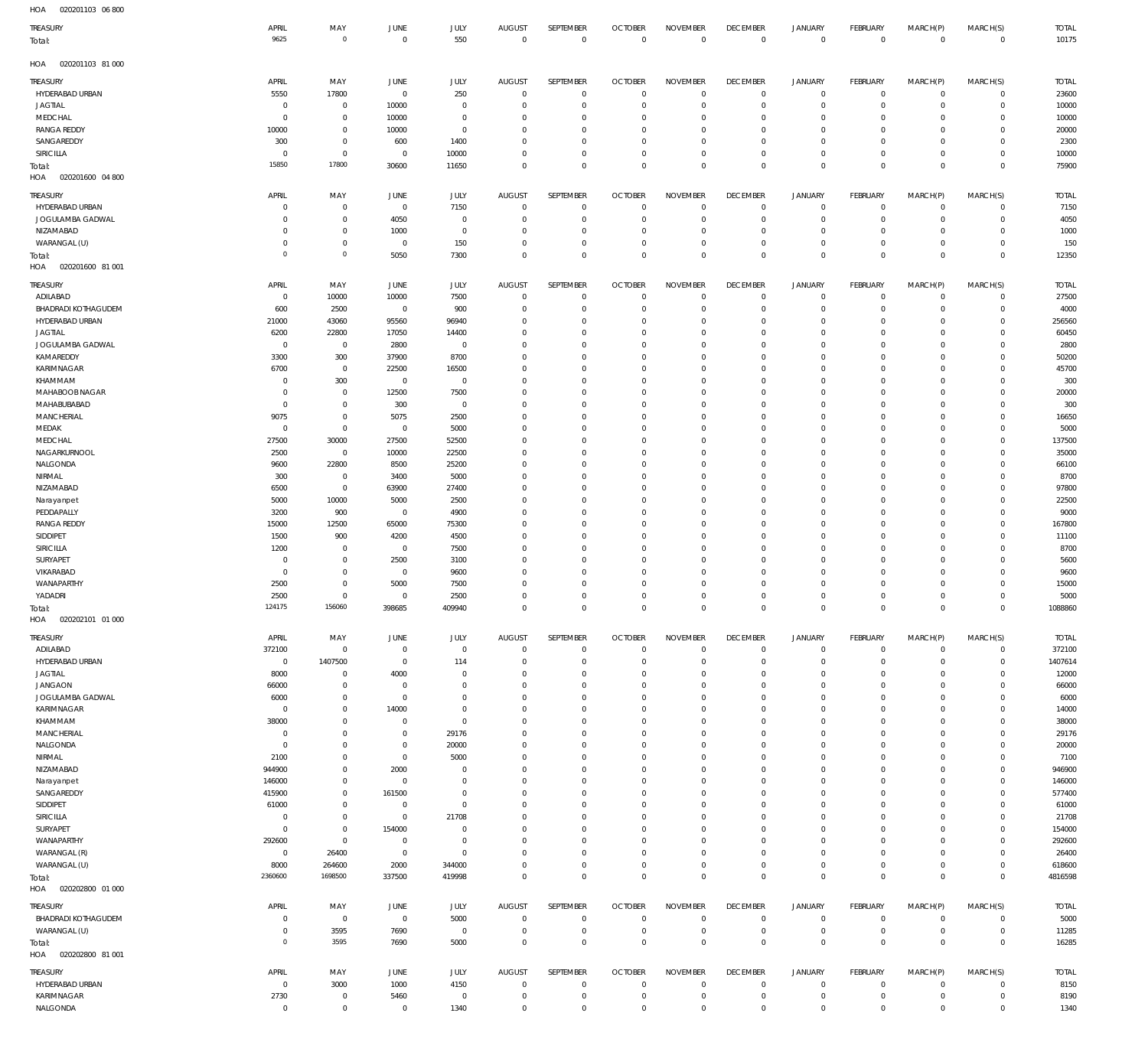| HOA<br>020201103 06 800            |                               |                               |                         |                            |                          |                               |                      |                      |                                  |                             |                      |                             |                                            |                |
|------------------------------------|-------------------------------|-------------------------------|-------------------------|----------------------------|--------------------------|-------------------------------|----------------------|----------------------|----------------------------------|-----------------------------|----------------------|-----------------------------|--------------------------------------------|----------------|
| TREASURY                           | APRIL                         | MAY                           | JUNE                    | JULY                       | <b>AUGUST</b>            | SEPTEMBER                     | <b>OCTOBER</b>       | <b>NOVEMBER</b>      | <b>DECEMBER</b>                  | JANUARY                     | FEBRUARY             | MARCH(P)                    | MARCH(S)                                   | <b>TOTAL</b>   |
| Total:                             | 9625                          | $\mathbf 0$                   | $\overline{0}$          | 550                        | $\mathbf 0$              | $\,0\,$                       | $\mathbf 0$          | $\overline{0}$       | $\overline{0}$                   | $\,0\,$                     | $\mathbf 0$          | $\overline{0}$              | $\mathbb O$                                | 10175          |
| HOA<br>020201103 81 000            |                               |                               |                         |                            |                          |                               |                      |                      |                                  |                             |                      |                             |                                            |                |
|                                    |                               |                               |                         |                            |                          |                               |                      |                      |                                  |                             |                      |                             |                                            |                |
| <b>TREASURY</b>                    | APRIL                         | MAY                           | JUNE                    | JULY                       | <b>AUGUST</b>            | SEPTEMBER                     | <b>OCTOBER</b>       | <b>NOVEMBER</b>      | <b>DECEMBER</b>                  | <b>JANUARY</b>              | FEBRUARY             | MARCH(P)                    | MARCH(S)                                   | <b>TOTAL</b>   |
| HYDERABAD URBAN                    | 5550                          | 17800                         | $\overline{0}$          | 250                        | $\mathbf 0$              | $\,0\,$                       | $\overline{0}$       | $\Omega$             | $\mathbf 0$                      | $\mathbb O$                 | $\mathbf 0$          | $\overline{0}$              | $\mathsf{O}\xspace$                        | 23600          |
| JAGTIAL                            | $\overline{0}$<br>$\mathbf 0$ | $\overline{0}$<br>$\mathbf 0$ | 10000<br>10000          | 0<br>0                     | 0<br>0                   | $\,0\,$<br>$\mathbb O$        | $\Omega$<br>$\Omega$ | $\Omega$<br>$\Omega$ | $\overline{0}$<br>0              | $\mathbb O$<br>$\mathbf{0}$ | $\mathbf 0$<br>0     | $\mathbf{0}$<br>$\mathbf 0$ | $\mathsf{O}\xspace$<br>$\mathsf{O}\xspace$ | 10000<br>10000 |
| MEDCHAL<br>RANGA REDDY             | 10000                         | $\mathbf 0$                   | 10000                   | 0                          | 0                        | $\mathbb O$                   | $\Omega$             | $\Omega$             | $\overline{0}$                   | $\mathbf 0$                 | 0                    | $\mathbf{0}$                | $\mathsf{O}\xspace$                        | 20000          |
| SANGAREDDY                         | 300                           | $\mathbf 0$                   | 600                     | 1400                       | $\mathbf 0$              | $\mathbb O$                   | $\Omega$             | $\Omega$             | $\overline{0}$                   | $\mathbf 0$                 | 0                    | $\mathbf 0$                 | $\mathsf{O}\xspace$                        | 2300           |
| SIRICILLA                          | $\overline{0}$                | $\overline{0}$                | $\overline{0}$          | 10000                      | $\mathbf 0$              | $\mathbb O$                   | $\Omega$             | $\Omega$             | $\overline{0}$                   | $\mathbf 0$                 | 0                    | $\mathbf{0}$                | $\mathbf 0$                                | 10000          |
| Total:                             | 15850                         | 17800                         | 30600                   | 11650                      | $\mathbf 0$              | $\mathbb O$                   | $\Omega$             | $\Omega$             | $\mathbb O$                      | $\mathbf 0$                 | $\mathbf 0$          | $\overline{0}$              | $\mathbb O$                                | 75900          |
| HOA<br>020201600 04 800            |                               |                               |                         |                            |                          |                               |                      |                      |                                  |                             |                      |                             |                                            |                |
| <b>TREASURY</b>                    | APRIL                         | MAY                           | JUNE                    | JULY                       | <b>AUGUST</b>            | SEPTEMBER                     | <b>OCTOBER</b>       | <b>NOVEMBER</b>      | <b>DECEMBER</b>                  | <b>JANUARY</b>              | <b>FEBRUARY</b>      | MARCH(P)                    | MARCH(S)                                   | <b>TOTAL</b>   |
| HYDERABAD URBAN                    | $\overline{0}$                | $\mathbf 0$                   | $\overline{0}$          | 7150                       | $\mathbf 0$              | $\overline{0}$                | $\Omega$             | $\Omega$             | $\overline{0}$                   | $\mathbf 0$                 | $\mathbf 0$          | $\mathbf{0}$                | $\mathsf{O}\xspace$                        | 7150           |
| JOGULAMBA GADWAL                   | $\Omega$                      | $\mathbf 0$                   | 4050                    | $\mathbf 0$                | 0                        | $\mathbb O$                   | 0                    | $\Omega$             | $\mathbb O$                      | $\mathbf 0$                 | $\mathbf 0$          | $\mathbf 0$                 | $\mathsf{O}\xspace$                        | 4050           |
| NIZAMABAD                          | $\Omega$                      | $\mathbf 0$                   | 1000                    | $\mathbf 0$                | 0                        | $\overline{0}$                | $\Omega$             | $\Omega$             | $\overline{0}$                   | $\mathbf 0$                 | 0                    | $\mathbf 0$                 | $\mathbf 0$                                | 1000           |
| WARANGAL (U)                       | $\overline{0}$                | $\mathbf 0$                   | $\overline{0}$          | 150                        | $\mathbf 0$              | $\mathbf 0$                   | $\Omega$             | $\Omega$             | $\mathbf 0$                      | $\mathbf 0$                 | $\mathbf 0$          | $\mathbf{0}$                | $\mathsf{O}\xspace$                        | 150            |
| Total:                             | $\mathbf 0$                   | $\mathbf 0$                   | 5050                    | 7300                       | $\mathbf 0$              | $\mathbf 0$                   | $\Omega$             | $\Omega$             | $\mathbf 0$                      | $\mathbf 0$                 | $\Omega$             | $\mathbf 0$                 | $\mathbb O$                                | 12350          |
| HOA<br>020201600 81 001            |                               |                               |                         |                            |                          |                               |                      |                      |                                  |                             |                      |                             |                                            |                |
| <b>TREASURY</b>                    | APRIL                         | MAY                           | JUNE                    | JULY                       | <b>AUGUST</b>            | <b>SEPTEMBER</b>              | <b>OCTOBER</b>       | <b>NOVEMBER</b>      | <b>DECEMBER</b>                  | JANUARY                     | FEBRUARY             | MARCH(P)                    | MARCH(S)                                   | <b>TOTAL</b>   |
| ADILABAD                           | $\,0\,$                       | 10000                         | 10000                   | 7500                       | 0                        | $\,0\,$                       | 0                    | $\Omega$             | $\mathbf 0$                      | $\mathbb O$                 | 0                    | $\circ$                     | 0                                          | 27500          |
| <b>BHADRADI KOTHAGUDEM</b>         | 600                           | 2500                          | $\overline{0}$          | 900                        | $^{\circ}$               | $\mathbf 0$                   | $\Omega$             | $\Omega$             | $\overline{0}$                   | $\mathbb O$                 | $\mathbf 0$          | $\mathbf{0}$                | $\mathsf{O}\xspace$                        | 4000           |
| HYDERABAD URBAN                    | 21000                         | 43060                         | 95560                   | 96940                      | 0                        | $\,0\,$                       | $\Omega$             | $\Omega$             | $\overline{0}$                   | $\mathbf 0$                 | $\mathbf 0$          | $\mathbf{0}$                | $\mathsf{O}\xspace$                        | 256560         |
| <b>JAGTIAL</b>                     | 6200                          | 22800                         | 17050                   | 14400                      | 0                        | $\mathbf 0$                   | $\Omega$             | $\Omega$             | $\overline{0}$                   | $\mathbf 0$                 | 0                    | $\mathbf 0$                 | $\mathsf{O}\xspace$                        | 60450          |
| JOGULAMBA GADWAL                   | $\overline{0}$                | $\overline{0}$                | 2800                    | $\bf 0$                    | $\mathbf 0$              | $\mathbf 0$                   | $\Omega$             | $\Omega$             | $\overline{0}$                   | $\mathbf 0$                 | $\Omega$             | $\mathbf 0$                 | $\mathbf 0$                                | 2800           |
| KAMAREDDY                          | 3300                          | 300                           | 37900                   | 8700                       | $\mathbf 0$              | $\mathbf 0$                   | $\Omega$             | $\Omega$             | $\Omega$                         | $\mathbf 0$                 | 0                    | $\mathbf 0$                 | $\mathbf 0$                                | 50200          |
| KARIMNAGAR                         | 6700                          | $\overline{0}$                | 22500                   | 16500                      | $^{\circ}$               | $\,0\,$                       | $\Omega$             | $\Omega$             | $\overline{0}$                   | $\mathbf 0$                 | 0                    | $\mathbf 0$                 | $\mathbf 0$                                | 45700          |
| KHAMMAM                            | $\overline{0}$                | 300                           | $\overline{0}$          | $\bf 0$                    | $^{\circ}$               | $\mathbf 0$                   | $\Omega$             | $\Omega$             | $\overline{0}$                   | $\mathbf{0}$                | 0                    | $\mathbf 0$                 | $\mathbf 0$                                | 300            |
| MAHABOOB NAGAR                     | $\mathbf 0$                   | $\overline{0}$                | 12500                   | 7500                       | $^{\circ}$               | $\mathbf 0$                   | $\Omega$             | $\Omega$             | $\overline{0}$                   | $\mathbf 0$                 | 0                    | $\mathbf 0$                 | $\mathbf 0$                                | 20000          |
| MAHABUBABAD                        | $\mathbf 0$                   | $\mathbf 0$                   | 300                     | 0                          | $^{\circ}$               | $\mathbf 0$                   | $\Omega$             | $\Omega$             | $\overline{0}$                   | $\mathbf 0$                 | 0                    | $\mathbf 0$                 | $\mathsf{O}\xspace$                        | 300            |
| <b>MANCHERIAL</b>                  | 9075                          | $\mathbf 0$                   | 5075                    | 2500                       | $^{\circ}$               | $\mathbf 0$                   | $\Omega$<br>$\Omega$ | $\Omega$<br>$\Omega$ | $\overline{0}$                   | $\mathbf 0$                 | $\Omega$             | $\mathbf 0$<br>$\mathbf 0$  | $\mathbf 0$<br>$\mathbf 0$                 | 16650          |
| MEDAK<br>MEDCHAL                   | $\,0\,$<br>27500              | $\overline{0}$<br>30000       | $\overline{0}$<br>27500 | 5000<br>52500              | $^{\circ}$<br>$^{\circ}$ | $\mathbf 0$<br>$\mathbf 0$    | $\Omega$             | $\Omega$             | $\overline{0}$<br>$\overline{0}$ | $\mathbf 0$<br>$\mathbf 0$  | 0<br>0               | $\mathbf 0$                 | $\mathsf{O}\xspace$                        | 5000<br>137500 |
| NAGARKURNOOL                       | 2500                          | $\overline{0}$                | 10000                   | 22500                      | $\Omega$                 | $\mathbf 0$                   | $\Omega$             | $\Omega$             | $\Omega$                         | $\mathbf 0$                 | 0                    | $\mathbf 0$                 | $\mathsf{O}\xspace$                        | 35000          |
| NALGONDA                           | 9600                          | 22800                         | 8500                    | 25200                      | $\mathbf 0$              | $\mathbf 0$                   | $\Omega$             | $\Omega$             | $\overline{0}$                   | $\mathbf 0$                 | $\Omega$             | $\mathbf 0$                 | $\mathsf{O}\xspace$                        | 66100          |
| NIRMAL                             | 300                           | $\overline{0}$                | 3400                    | 5000                       | $\mathbf 0$              | $\mathbf 0$                   | $\Omega$             | $\Omega$             | $\overline{0}$                   | $\mathbf 0$                 | 0                    | $\mathbf 0$                 | $\mathsf{O}\xspace$                        | 8700           |
| NIZAMABAD                          | 6500                          | $\mathbf 0$                   | 63900                   | 27400                      | $\mathbf 0$              | $\mathbf 0$                   | $\Omega$             | $\Omega$             | $\overline{0}$                   | $\mathbf 0$                 | 0                    | $\mathbf 0$                 | $\mathbf 0$                                | 97800          |
| Narayanpet                         | 5000                          | 10000                         | 5000                    | 2500                       | $\mathbf 0$              | $\mathbf 0$                   | $\Omega$             | $\Omega$             | $\Omega$                         | $\mathbf 0$                 | 0                    | $\mathbf 0$                 | $\mathbf 0$                                | 22500          |
| PEDDAPALLY                         | 3200                          | 900                           | $\overline{0}$          | 4900                       | $\mathbf 0$              | $\mathbf 0$                   | $\Omega$             | $\Omega$             | $\overline{0}$                   | $\mathbf 0$                 | 0                    | $\mathbf 0$                 | $\mathsf{O}\xspace$                        | 9000           |
| <b>RANGA REDDY</b>                 | 15000                         | 12500                         | 65000                   | 75300                      | $\mathbf 0$              | $\mathbf 0$                   | $\Omega$             | $\Omega$             | $\overline{0}$                   | $\mathbf{0}$                | 0                    | $\mathbf 0$                 | $\mathsf{O}\xspace$                        | 167800         |
| SIDDIPET                           | 1500                          | 900                           | 4200                    | 4500                       | $\mathbf 0$              | $\mathbf 0$                   | $\Omega$             | $\Omega$             | $\overline{0}$                   | $\mathbf 0$                 | 0                    | $\mathbf 0$                 | $\mathbf 0$                                | 11100          |
| SIRICILLA                          | 1200                          | $\overline{0}$                | $\overline{0}$          | 7500                       | $\mathbf 0$              | $\mathbf 0$                   | $\Omega$             | $\Omega$             | $\overline{0}$                   | $\mathbf 0$                 | 0                    | $\mathbf 0$                 | $\mathsf{O}\xspace$                        | 8700           |
| SURYAPET                           | $\overline{0}$                | $\mathbf 0$                   | 2500                    | 3100                       | $\mathbf 0$              | $\mathbf 0$                   | $\Omega$             | $\Omega$             | $\overline{0}$                   | $\mathbf 0$                 | 0                    | $\mathbf 0$                 | $\mathbf 0$                                | 5600           |
| VIKARABAD                          | $\mathbf 0$                   | $\mathbf 0$                   | $\overline{0}$          | 9600                       | $\Omega$                 | $\mathbf 0$                   | $\Omega$             | $\Omega$             | $\overline{0}$                   | $\mathbf 0$                 | 0                    | $\mathbf 0$                 | $\mathbf 0$                                | 9600           |
| WANAPARTHY                         | 2500                          | 0                             | 5000                    | 7500                       | $\mathbf 0$              | $\mathbf 0$                   | $\Omega$             | $\Omega$             | $\overline{0}$                   | $\mathbf 0$                 | 0                    | $\mathbf{0}$                | $\mathsf{O}\xspace$                        | 15000          |
| YADADRI                            | 2500                          | $\mathbf 0$                   | $\overline{0}$          | 2500                       | $\mathbf 0$              | $\mathbf 0$                   | $\Omega$             | $\Omega$             | $\mathbf 0$                      | $\mathbf 0$                 | $\mathbf 0$          | $\mathbf{0}$                | $\mathbf 0$                                | 5000           |
| Total:<br>HOA<br>020202101 01 000  | 124175                        | 156060                        | 398685                  | 409940                     | $\mathbf 0$              | $\,0\,$                       | $\mathbf 0$          | $\mathbf 0$          | $\,0\,$                          | $\,0\,$                     | $\mathbf 0$          | $\overline{0}$              | $\mathbf 0$                                | 1088860        |
|                                    |                               |                               |                         |                            |                          |                               |                      |                      |                                  |                             |                      |                             |                                            |                |
| Treasury                           | APRIL                         | MAY                           | JUNE                    | <b>JULY</b>                | <b>AUGUST</b>            | SEPTEMBER                     | <b>OCTOBER</b>       | <b>NOVEMBER</b>      | <b>DECEMBER</b>                  | <b>JANUARY</b>              | FEBRUARY             | MARCH(P)                    | MARCH(S)                                   | <b>TOTAL</b>   |
| ADILABAD                           | 372100                        | $\overline{0}$                | $\overline{0}$          | $\bf 0$                    | $\mathbf 0$              | $\mathbf 0$                   | $\overline{0}$       | $\overline{0}$       | $\,0\,$                          | $\mathbb O$                 | $\mathbf 0$          | $\circ$                     | $\mathbf 0$                                | 372100         |
| HYDERABAD URBAN                    | $\,0\,$                       | 1407500                       | $\overline{0}$          | 114                        | 0                        | $\mathbf 0$                   | $^{\circ}$           | $\Omega$             | $\mathbf 0$                      | $\mathbb O$                 | $\mathbf 0$          | $\mathbf 0$                 | $\mathsf{O}\xspace$                        | 1407614        |
| JAGTIAL                            | 8000                          | $\overline{0}$                | 4000                    | $\mathbf 0$                | 0                        | $\mathbf 0$                   | $\Omega$             | $\Omega$             | $\overline{0}$                   | $\circ$                     | 0                    | $\mathbf 0$                 | $\mathbf 0$                                | 12000          |
| <b>JANGAON</b><br>JOGULAMBA GADWAL | 66000                         | $\mathbf 0$<br>$\mathbf 0$    | $\overline{0}$          | $\mathbf 0$<br>$\mathbf 0$ | $\Omega$<br>$\Omega$     | $\overline{0}$<br>$\mathbf 0$ | $\Omega$<br>$\Omega$ | $\Omega$<br>$\Omega$ | $\overline{0}$                   | $\circ$<br>$\mathbf 0$      | $\Omega$<br>$\Omega$ | $\mathbf 0$<br>$\mathbf 0$  | $\mathbf 0$<br>$\mathbf 0$                 | 66000          |
| KARIMNAGAR                         | 6000<br>$\overline{0}$        | $\mathbf 0$                   | $\overline{0}$<br>14000 | $\mathbf 0$                | 0                        | $\overline{0}$                | $\Omega$             | $\Omega$             | $\overline{0}$<br>$\overline{0}$ | $\circ$                     | $\Omega$             | $\mathbf 0$                 | $\mathbf 0$                                | 6000<br>14000  |
| KHAMMAM                            | 38000                         | $\mathbf 0$                   | $\overline{0}$          | $\mathbf 0$                | $\Omega$                 | $\mathbb O$                   | $\Omega$             | $\Omega$             | $\overline{0}$                   | $\mathbf 0$                 | $\Omega$             | $\Omega$                    | $\mathbf 0$                                | 38000          |
| MANCHERIAL                         | $\overline{0}$                | $\mathbf 0$                   | $\overline{0}$          | 29176                      | $\Omega$                 | $\overline{0}$                | $\Omega$             | $\Omega$             | $\overline{0}$                   | $\mathbf 0$                 | $\Omega$             | $\mathbf 0$                 | $\mathbf 0$                                | 29176          |
| NALGONDA                           | $\overline{0}$                | $\mathbf 0$                   | $\overline{0}$          | 20000                      | $\Omega$                 | $\mathbb O$                   | $\Omega$             | $\Omega$             | $\overline{0}$                   | $\mathbf 0$                 | $\Omega$             | $\mathbf 0$                 | $\mathbf 0$                                | 20000          |
| NIRMAL                             | 2100                          | $\mathbf 0$                   | $\overline{0}$          | 5000                       | 0                        | $\overline{0}$                | $\Omega$             | $\Omega$             | $\overline{0}$                   | $\circ$                     | $\Omega$             | $\mathbf 0$                 | $\mathbf 0$                                | 7100           |
| NIZAMABAD                          | 944900                        | $\mathbf 0$                   | 2000                    | $\mathbf 0$                | $^{\circ}$               | $\mathbf 0$                   | $\Omega$             | $\mathbf{0}$         | $\overline{0}$                   | $\mathbf 0$                 | $\Omega$             | $\mathbf 0$                 | $\mathbf 0$                                | 946900         |
| Narayanpet                         | 146000                        | $\mathbf 0$                   | $\overline{0}$          | $\mathbf 0$                | 0                        | $\overline{0}$                | $\Omega$             | $\Omega$             | $\overline{0}$                   | $\mathbf 0$                 | $\Omega$             | $\mathbf 0$                 | $\mathsf{O}\xspace$                        | 146000         |
| SANGAREDDY                         | 415900                        | $\mathbf 0$                   | 161500                  | $\mathbf 0$                | $\Omega$                 | $\mathbf 0$                   | $\Omega$             | $\Omega$             | $\overline{0}$                   | $\mathbf 0$                 | $\Omega$             | $\Omega$                    | $\mathbf 0$                                | 577400         |
| SIDDIPET                           | 61000                         | $\mathbf 0$                   | $\overline{0}$          | $\mathbf 0$                | $\Omega$                 | $\overline{0}$                | $\Omega$             | $\Omega$             | $\overline{0}$                   | $\mathbf 0$                 | $\Omega$             | $^{\circ}$                  | $\mathbf 0$                                | 61000          |
| SIRICILLA                          | $\overline{0}$                | $\mathbf 0$                   | $\overline{0}$          | 21708                      | $\Omega$                 | $\mathbf 0$                   | $\Omega$             | $\Omega$             | $\overline{0}$                   | $\mathbf 0$                 | $\Omega$             | $^{\circ}$                  | $\mathbf 0$                                | 21708          |
| SURYAPET                           | $\mathbf 0$                   | $\mathbf 0$                   | 154000                  | $\mathbf 0$                | $\Omega$                 | $\overline{0}$                | $\Omega$             | $\Omega$             | $\overline{0}$                   | $\circ$                     | $\Omega$             | $\mathbf 0$                 | $\mathbf 0$                                | 154000         |
| WANAPARTHY                         | 292600                        | $\overline{0}$                | $\overline{0}$          | $\mathbf 0$                | $\Omega$                 | $\mathbf 0$                   | $\Omega$             | $\mathbf{0}$         | $\mathbf 0$                      | $\mathbf 0$                 | $\Omega$             | $\mathbf 0$                 | $\mathbf 0$                                | 292600         |
| WARANGAL (R)                       | $\overline{0}$                | 26400                         | $\overline{0}$          | $\mathbf 0$                | $\Omega$                 | $\overline{0}$                | $\Omega$             | $\Omega$             | $\overline{0}$                   | $\mathbb O$                 | 0                    | $\mathbf 0$                 | $\mathsf{O}\xspace$                        | 26400          |
| WARANGAL (U)                       | 8000<br>2360600               | 264600                        | 2000                    | 344000                     | $\Omega$                 | $\mathbf 0$                   | $\mathbf 0$          | $\Omega$             | $\mathbf 0$                      | $\mathbf 0$                 | $\mathbf 0$          | $\mathbf 0$                 | $\mathsf{O}\xspace$                        | 618600         |
| Total:<br>HOA  020202800  01  000  |                               | 1698500                       | 337500                  | 419998                     | $\mathbf 0$              | $\mathbf 0$                   | $\overline{0}$       | $\overline{0}$       | $\mathbf 0$                      | $\,0\,$                     | $\mathbf 0$          | $\overline{0}$              | $\mathbb O$                                | 4816598        |
|                                    |                               |                               |                         |                            |                          |                               |                      |                      |                                  |                             |                      |                             |                                            |                |
| <b>TREASURY</b>                    | APRIL                         | MAY                           | JUNE                    | <b>JULY</b>                | <b>AUGUST</b>            | SEPTEMBER                     | <b>OCTOBER</b>       | <b>NOVEMBER</b>      | <b>DECEMBER</b>                  | JANUARY                     | FEBRUARY             | MARCH(P)                    | MARCH(S)                                   | <b>TOTAL</b>   |
| <b>BHADRADI KOTHAGUDEM</b>         | $\overline{0}$                | $\overline{0}$                | $\overline{0}$          | 5000                       | $\mathbf 0$              | $\,0\,$                       | $^{\circ}$           | $\Omega$             | $\mathbf 0$                      | $\mathbb O$                 | $\mathbf 0$          | $\circ$                     | $\mathbf 0$                                | 5000           |
| WARANGAL (U)                       | $\overline{0}$                | 3595                          | 7690                    | $\mathbb O$                | $\mathbf 0$              | $\,0\,$                       | $\overline{0}$       | $\mathbf{0}$         | $\mathbf 0$                      | $\mathbb O$                 | $\mathbf 0$          | $\overline{0}$              | $\mathsf{O}\xspace$                        | 11285          |
| Total:                             | $\overline{0}$                | 3595                          | 7690                    | 5000                       | $\mathbf 0$              | $\,0\,$                       | $\mathbf 0$          | $\overline{0}$       | $\,0\,$                          | $\,0\,$                     | $\mathbf 0$          | $\overline{0}$              | $\mathbb O$                                | 16285          |
| HOA<br>020202800 81 001            |                               |                               |                         |                            |                          |                               |                      |                      |                                  |                             |                      |                             |                                            |                |
| Treasury                           | APRIL                         | MAY                           | JUNE                    | JULY                       | <b>AUGUST</b>            | SEPTEMBER                     | <b>OCTOBER</b>       | <b>NOVEMBER</b>      | <b>DECEMBER</b>                  | <b>JANUARY</b>              | <b>FEBRUARY</b>      | MARCH(P)                    | MARCH(S)                                   | <b>TOTAL</b>   |
| HYDERABAD URBAN                    | $\,0\,$                       | 3000                          | 1000                    | 4150                       | $\mathbf 0$              | $\mathbf 0$                   | $\mathbf 0$          | $^{\circ}$           | $\,0\,$                          | $\mathbb O$                 | $\mathbf 0$          | $\circ$                     | $\mathbf 0$                                | 8150           |
| KARIMNAGAR                         | 2730                          | $\overline{0}$                | 5460                    | $\mathbb O$                | $\mathbf 0$              | $\mathbb O$                   | $\overline{0}$       | $\overline{0}$       | $\mathbb O$                      | $\mathbb O$                 | $\mathbf 0$          | $\circ$                     | $\mathsf{O}\xspace$                        | 8190           |
| NALGONDA                           | $\,0\,$                       | $\overline{0}$                | $\overline{0}$          | 1340                       | $\mathbf 0$              | $\mathbb O$                   | $\overline{0}$       | $\mathbf 0$          | $\mathbb O$                      | $\mathbb O$                 | $\mathbf 0$          | $\circ$                     | $\mathsf{O}\xspace$                        | 1340           |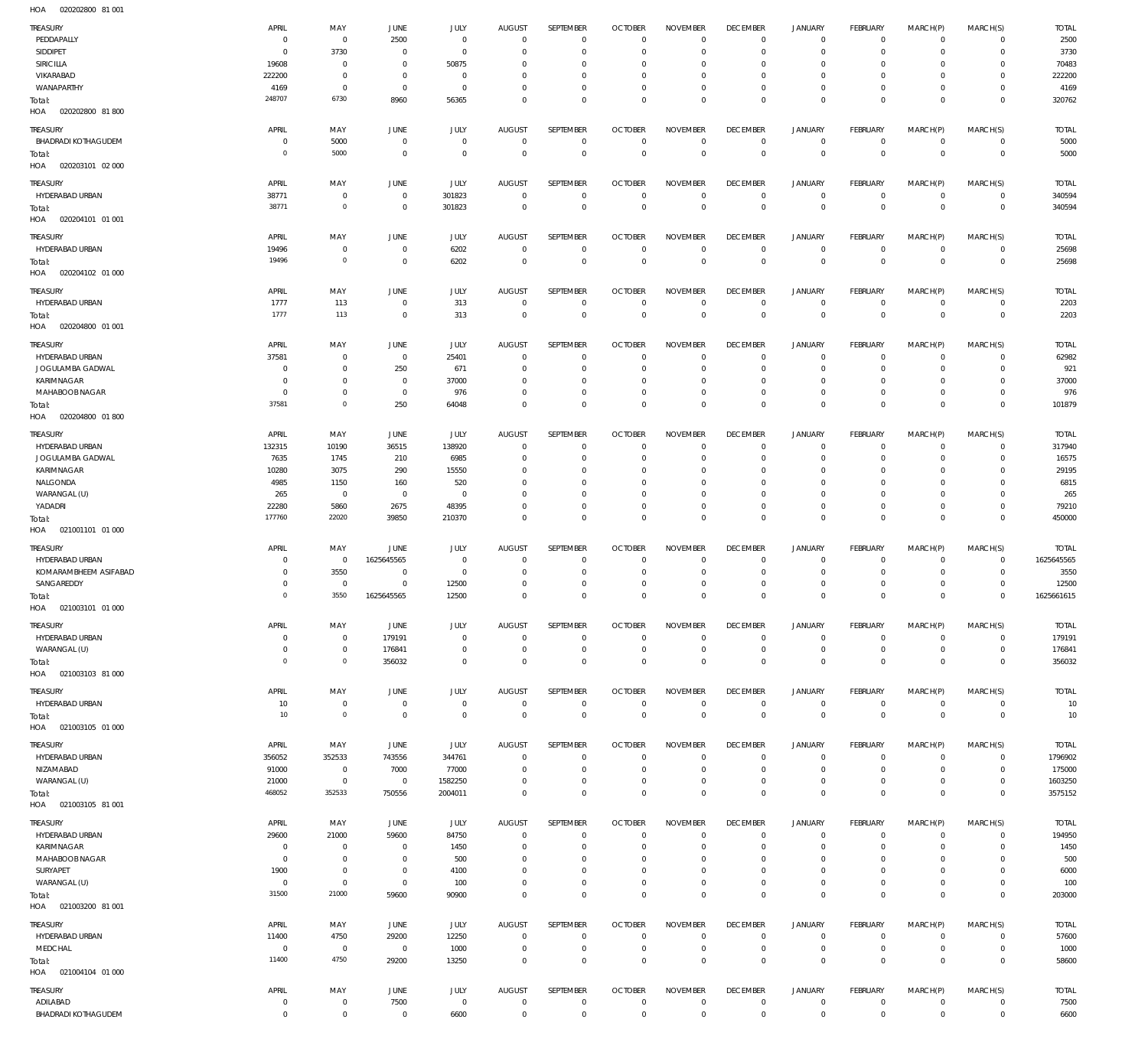020202800 81 001 HOA

| TREASURY<br>PEDDAPALLY<br>SIDDIPET | APRIL<br>$\mathbf 0$<br>$\mathbf 0$ | MAY<br>$\mathbf 0$<br>3730         | JUNE<br>2500<br>$\overline{0}$ | JULY<br>$\mathbf 0$<br>$\mathbf 0$ | <b>AUGUST</b><br>$\overline{0}$<br>$\mathbf 0$ | SEPTEMBER<br>$\mathbf 0$<br>$\mathbf 0$ | <b>OCTOBER</b><br>$\overline{0}$<br>$\overline{0}$ | <b>NOVEMBER</b><br>$\Omega$<br>$\mathbf 0$ | <b>DECEMBER</b><br>$\overline{0}$<br>$\mathbf 0$ | <b>JANUARY</b><br>$\mathbf 0$<br>$\mathbf 0$ | <b>FEBRUARY</b><br>$\mathbf{0}$<br>$^{\circ}$ | MARCH(P)<br>$\mathbf 0$<br>$\mathbf 0$ | MARCH(S)<br>$\mathbf{0}$<br>$\mathbf{0}$ | <b>TOTAL</b><br>2500<br>3730 |
|------------------------------------|-------------------------------------|------------------------------------|--------------------------------|------------------------------------|------------------------------------------------|-----------------------------------------|----------------------------------------------------|--------------------------------------------|--------------------------------------------------|----------------------------------------------|-----------------------------------------------|----------------------------------------|------------------------------------------|------------------------------|
| SIRICILLA                          | 19608                               | $\mathbf 0$                        | $\overline{0}$                 | 50875                              | $\mathbf 0$                                    | $\mathbf 0$                             | $\mathbf 0$                                        | 0                                          | $\mathbf 0$                                      | $\mathbf 0$                                  | $\mathbf 0$                                   | $\Omega$                               | $\mathbf 0$                              | 70483                        |
| VIKARABAD                          | 222200                              | $\mathbf 0$                        | $\overline{0}$                 | $\mathbf 0$                        | $\Omega$                                       | $\mathbf 0$                             | $\mathbf 0$                                        | $\mathbf 0$                                | $\mathbf 0$                                      | $\mathbf 0$                                  | $\mathbf 0$                                   | $\mathbf 0$                            | $\mathbf{0}$                             | 222200                       |
| WANAPARTHY                         | 4169                                | $\mathbf 0$                        | $\overline{0}$                 | $\mathbf 0$                        | $\mathbf 0$                                    | $\mathbf 0$                             | $\mathbf 0$                                        | $\mathbf 0$                                | $\overline{0}$                                   | $\mathbf 0$                                  | $^{\circ}$                                    | $\mathbf 0$                            | $\mathbf{0}$                             | 4169                         |
| Total:<br>020202800 81 800<br>HOA  | 248707                              | 6730                               | 8960                           | 56365                              | $\Omega$                                       | $\mathbf 0$                             | $\mathbf 0$                                        | $\mathbf 0$                                | $\mathbf 0$                                      | $\mathbf 0$                                  | $\overline{0}$                                | $\mathbf 0$                            | $\mathbf 0$                              | 320762                       |
| <b>TREASURY</b>                    | APRIL                               | MAY                                | <b>JUNE</b>                    | JULY                               | <b>AUGUST</b>                                  | SEPTEMBER                               | <b>OCTOBER</b>                                     | <b>NOVEMBER</b>                            | <b>DECEMBER</b>                                  | <b>JANUARY</b>                               | FEBRUARY                                      | MARCH(P)                               | MARCH(S)                                 | <b>TOTAL</b>                 |
| <b>BHADRADI KOTHAGUDEM</b>         | $\mathbf 0$                         | 5000                               | $\overline{0}$                 | $\mathbf 0$                        | $\mathbf 0$                                    | $\mathbf 0$                             | $\overline{0}$                                     | $\mathbf 0$                                | $\overline{0}$                                   | $\mathbf 0$                                  | $\mathbf{0}$                                  | $\mathbf 0$                            | $^{\circ}$                               | 5000                         |
| Total:<br>020203101 02 000<br>HOA  | $\circ$                             | 5000                               | $\overline{0}$                 | $\mathbf 0$                        | $\mathbf 0$                                    | $\mathbf 0$                             | $\overline{0}$                                     | $\mathbf 0$                                | $\overline{0}$                                   | $\overline{0}$                               | $\overline{0}$                                | $\mathbf 0$                            | $\overline{0}$                           | 5000                         |
|                                    |                                     |                                    |                                |                                    |                                                |                                         |                                                    |                                            |                                                  |                                              |                                               |                                        |                                          |                              |
| <b>TREASURY</b><br>HYDERABAD URBAN | APRIL                               | MAY                                | <b>JUNE</b><br>$\overline{0}$  | JULY                               | <b>AUGUST</b><br>$\mathbf 0$                   | <b>SEPTEMBER</b><br>$\mathbf 0$         | <b>OCTOBER</b><br>$\overline{0}$                   | <b>NOVEMBER</b>                            | <b>DECEMBER</b><br>$\overline{0}$                | <b>JANUARY</b>                               | <b>FEBRUARY</b><br>$\mathbf{0}$               | MARCH(P)                               | MARCH(S)                                 | <b>TOTAL</b>                 |
|                                    | 38771<br>38771                      | $\mathbf 0$<br>$\mathbf 0$         | $\overline{0}$                 | 301823<br>301823                   | $\overline{0}$                                 | $\mathbf 0$                             | $\overline{0}$                                     | $\mathbf 0$<br>$\overline{0}$              | $\overline{0}$                                   | $\mathbf 0$<br>$\overline{0}$                | $\overline{0}$                                | $\mathbf 0$<br>$\mathbf 0$             | $\overline{0}$<br>$\overline{0}$         | 340594<br>340594             |
| Total:<br>020204101 01 001<br>HOA  |                                     |                                    |                                |                                    |                                                |                                         |                                                    |                                            |                                                  |                                              |                                               |                                        |                                          |                              |
| TREASURY                           | APRIL                               | MAY                                | <b>JUNE</b>                    | JULY                               | <b>AUGUST</b>                                  | SEPTEMBER                               | <b>OCTOBER</b>                                     | <b>NOVEMBER</b>                            | <b>DECEMBER</b>                                  | JANUARY                                      | <b>FEBRUARY</b>                               | MARCH(P)                               | MARCH(S)                                 | <b>TOTAL</b>                 |
| HYDERABAD URBAN                    | 19496<br>19496                      | $\mathbf 0$<br>$\mathsf{O}\xspace$ | $\mathbf 0$<br>$\mathbf 0$     | 6202                               | $\mathbf 0$<br>$\mathbf 0$                     | $\mathbf 0$<br>$\mathbf 0$              | $\overline{0}$<br>$\overline{0}$                   | $\mathbf 0$<br>$\overline{0}$              | $\overline{0}$<br>$\overline{0}$                 | $\mathbf 0$<br>$\mathbf 0$                   | $\mathbf{0}$<br>$\overline{0}$                | $\mathbf 0$<br>$\mathbf 0$             | $\mathbf{0}$<br>$\overline{0}$           | 25698                        |
| Total:<br>HOA<br>020204102 01 000  |                                     |                                    |                                | 6202                               |                                                |                                         |                                                    |                                            |                                                  |                                              |                                               |                                        |                                          | 25698                        |
| <b>TREASURY</b>                    | APRIL                               | MAY                                | <b>JUNE</b>                    | JULY                               | <b>AUGUST</b>                                  | <b>SEPTEMBER</b>                        | <b>OCTOBER</b>                                     | <b>NOVEMBER</b>                            | <b>DECEMBER</b>                                  | JANUARY                                      | FEBRUARY                                      | MARCH(P)                               | MARCH(S)                                 | <b>TOTAL</b>                 |
| HYDERABAD URBAN                    | 1777                                | 113                                | $\overline{0}$                 | 313                                | $\mathbf 0$                                    | $\mathbf 0$                             | $\overline{0}$                                     | $\mathbf 0$                                | $\overline{0}$                                   | 0                                            | $\circ$                                       | $\mathbf 0$                            | $\mathbf 0$                              | 2203                         |
| Total:<br>020204800 01 001<br>HOA  | 1777                                | 113                                | $\overline{0}$                 | 313                                | $\overline{0}$                                 | $\mathbf 0$                             | $\overline{0}$                                     | $\overline{0}$                             | $\overline{0}$                                   | $\overline{0}$                               | $\overline{0}$                                | $\mathbf 0$                            | $\overline{0}$                           | 2203                         |
| TREASURY                           | APRIL                               | MAY                                | <b>JUNE</b>                    | JULY                               | <b>AUGUST</b>                                  | SEPTEMBER                               | <b>OCTOBER</b>                                     | <b>NOVEMBER</b>                            | <b>DECEMBER</b>                                  | <b>JANUARY</b>                               | FEBRUARY                                      | MARCH(P)                               | MARCH(S)                                 | <b>TOTAL</b>                 |
| HYDERABAD URBAN                    | 37581                               | $\mathbf 0$                        | $\overline{0}$                 | 25401                              | $\mathbf 0$                                    | $\mathbf 0$                             | $\overline{0}$                                     | $\mathbf 0$                                | $\mathbf 0$                                      | $\mathbf 0$                                  | $^{\circ}$                                    | $\mathbf 0$                            | $^{\circ}$                               | 62982                        |
| JOGULAMBA GADWAL                   | 0                                   | $\mathbf 0$                        | 250                            | 671                                | $\mathbf 0$                                    | $\mathbf 0$                             | $\mathbf 0$                                        | $\Omega$                                   | $\mathbf 0$                                      | $\mathbf 0$                                  | $^{\circ}$                                    | $\mathbf 0$                            | $\mathbf 0$<br>$\mathbf 0$               | 921                          |
| KARIMNAGAR<br>MAHABOOB NAGAR       | 0<br>$\mathbf 0$                    | $\mathbf 0$<br>$\mathbf 0$         | $\overline{0}$<br>$^{\circ}$   | 37000<br>976                       | $\mathbf 0$<br>$\mathbf 0$                     | $\mathbf 0$<br>$\mathbf 0$              | $\mathbf 0$<br>$\mathbf 0$                         | $\mathbf 0$<br>$\mathbf 0$                 | $\mathbf 0$<br>$\mathbf 0$                       | $\mathbf 0$<br>$\mathbf 0$                   | $\mathbf 0$<br>$\mathbf 0$                    | $\mathbf 0$<br>$\mathbf 0$             | $\mathbf 0$                              | 37000<br>976                 |
| Total:                             | 37581                               | $\mathsf{O}\xspace$                | 250                            | 64048                              | $\mathbf 0$                                    | $\mathbf 0$                             | $\mathbf 0$                                        | $\mathbf 0$                                | $\mathbf 0$                                      | $\mathbf 0$                                  | $\mathbf 0$                                   | $\mathbf 0$                            | $\mathbf 0$                              | 101879                       |
| HOA<br>020204800 01800             |                                     |                                    |                                |                                    |                                                |                                         |                                                    |                                            |                                                  |                                              |                                               |                                        |                                          |                              |
| TREASURY<br>HYDERABAD URBAN        | APRIL<br>132315                     | MAY<br>10190                       | JUNE<br>36515                  | JULY<br>138920                     | <b>AUGUST</b><br>$\mathbf 0$                   | SEPTEMBER<br>$\mathbf 0$                | <b>OCTOBER</b><br>0                                | <b>NOVEMBER</b><br>$\mathbf 0$             | <b>DECEMBER</b><br>$\mathbf 0$                   | <b>JANUARY</b><br>$\mathbf 0$                | <b>FEBRUARY</b><br>$^{\circ}$                 | MARCH(P)<br>$\mathbf 0$                | MARCH(S)<br>$^{\circ}$                   | <b>TOTAL</b><br>317940       |
| JOGULAMBA GADWAL                   | 7635                                | 1745                               | 210                            | 6985                               | $\mathbf 0$                                    | $\mathbf 0$                             | $\overline{0}$                                     | $\mathbf 0$                                | $\overline{0}$                                   | $\mathbf 0$                                  | $^{\circ}$                                    | $\mathbf 0$                            | $\mathbf{0}$                             | 16575                        |
| KARIMNAGAR                         | 10280                               | 3075                               | 290                            | 15550                              | $\mathbf 0$                                    | $\mathbf 0$                             | $\mathbf 0$                                        | $\mathbf 0$                                | $\mathbf 0$                                      | $\mathbf 0$                                  | $^{\circ}$                                    | $\Omega$                               | $\mathbf 0$                              | 29195                        |
| NALGONDA                           | 4985                                | 1150                               | 160                            | 520                                | $\mathbf 0$                                    | $\mathbf 0$                             | $\mathbf 0$                                        | $\mathbf 0$                                | $\mathbf 0$                                      | $\mathbf 0$                                  | $^{\circ}$                                    | $\mathbf 0$                            | $\mathbf 0$                              | 6815                         |
| WARANGAL (U)                       | 265                                 | $^{\circ}$                         | $\overline{0}$                 | $\mathbf 0$                        | $\mathbf 0$                                    | $\mathbf 0$                             | $\mathbf 0$                                        | $\Omega$                                   | $\mathbf 0$                                      | $\mathbf 0$                                  | $^{\circ}$                                    | $\mathbf 0$                            | $\mathbf 0$                              | 265                          |
| YADADRI                            | 22280                               | 5860                               | 2675                           | 48395                              | $\mathbf 0$                                    | $\mathbf 0$                             | $\mathbf 0$                                        | $\mathbf 0$                                | $\overline{0}$                                   | $\mathbf 0$                                  | $\mathbf{0}$                                  | $\mathbf 0$                            | $\mathbf{0}$                             | 79210                        |
|                                    |                                     |                                    |                                |                                    |                                                |                                         |                                                    |                                            |                                                  |                                              | $\overline{0}$                                |                                        | $\overline{0}$                           | 450000                       |
| Total:<br>HOA<br>021001101 01 000  | 177760                              | 22020                              | 39850                          | 210370                             | $\mathbf 0$                                    | $\mathbf 0$                             | $\overline{0}$                                     | $\mathbf 0$                                | $\overline{0}$                                   | $\mathbf 0$                                  |                                               | $\mathbf 0$                            |                                          |                              |
| TREASURY                           | APRIL                               | MAY                                | <b>JUNE</b>                    | JULY                               | AUGUST                                         | <b>SEPTEMBER</b>                        | <b>OCTOBER</b>                                     | <b>NOVEMBER</b>                            | <b>DECEMBER</b>                                  | JANUARY                                      | <b>FEBRUARY</b>                               | MARCH(P)                               | MARCH(S)                                 | <b>TOTAL</b>                 |
| HYDERABAD URBAN                    | 0                                   | $\mathbf 0$                        | 1625645565                     | $\mathbf 0$                        | $\mathbf 0$                                    | $\mathbf 0$                             | $\mathbf 0$                                        | 0                                          | $\mathbf 0$                                      | $\mathbf 0$                                  | $^{\circ}$                                    | 0                                      | $^{\circ}$                               | 1625645565                   |
| KOMARAMBHEEM ASIFABAD              | 0                                   | 3550                               | $\mathbf 0$                    | $\mathbf 0$                        | $\mathbf 0$                                    | $\mathbf 0$                             | $\mathbf 0$                                        | 0                                          | $\mathbf 0$                                      | $\mathbf 0$                                  | $\mathbf 0$                                   | $\mathbf 0$                            | $^{\circ}$                               | 3550                         |
| SANGAREDDY                         | 0                                   | $\mathbf 0$                        | $\overline{0}$                 | 12500                              | $\mathbf 0$                                    | $\mathbf 0$                             | $\mathbf 0$                                        | $\mathbf 0$                                | $\mathbf 0$                                      | $\mathbf 0$                                  | $\mathbf 0$                                   | $\mathbf 0$                            | $\mathbf{0}$                             | 12500                        |
| Total:<br>HOA<br>021003101 01 000  | $\overline{0}$                      | 3550                               | 1625645565                     | 12500                              | $\mathbf 0$                                    | $\mathbf 0$                             | $\mathbf 0$                                        | $\mathbf 0$                                | $\mathbf 0$                                      | $\mathbf 0$                                  | $\mathbf 0$                                   | $\mathbf 0$                            | $\mathbf 0$                              | 1625661615                   |
| TREASURY                           | APRIL                               | MAY                                | JUNE                           | JULY                               | <b>AUGUST</b>                                  | SEPTEMBER                               | <b>OCTOBER</b>                                     | <b>NOVEMBER</b>                            | <b>DECEMBER</b>                                  | <b>JANUARY</b>                               | <b>FEBRUARY</b>                               | MARCH(P)                               | MARCH(S)                                 | <b>TOTAL</b>                 |
| HYDERABAD URBAN                    | $\mathbf 0$                         | $\bf 0$                            | 179191                         | $\mathbf 0$                        | $\mathbf 0$                                    | $\mathbf 0$                             | $\overline{0}$                                     | $\mathbf 0$                                | $\overline{0}$                                   | $\mathbf 0$                                  | $\mathbf{0}$                                  | $\mathbf 0$                            | $\mathbf{0}$                             | 179191                       |
| WARANGAL (U)                       | $\mathbf 0$                         | $\mathbf 0$                        | 176841                         | $\mathbf 0$                        | $\overline{0}$                                 | $\mathbf 0$                             | $\overline{0}$                                     | $\mathbf 0$                                | $\overline{0}$                                   | $\mathbf 0$                                  | $\overline{0}$                                | $\mathbf 0$                            | $\overline{0}$                           | 176841                       |
| Total:<br>HOA  021003103  81 000   | $\circ$                             | $\mathsf{O}\xspace$                | 356032                         | $\mathbf 0$                        | $\overline{0}$                                 | $\mathbf 0$                             | $\overline{0}$                                     | $\mathbf 0$                                | $\overline{0}$                                   | $\overline{0}$                               | $\overline{0}$                                | $\mathbf 0$                            | $\overline{0}$                           | 356032                       |
| TREASURY                           | APRIL                               | MAY                                | <b>JUNE</b>                    | JULY                               | <b>AUGUST</b>                                  | SEPTEMBER                               | <b>OCTOBER</b>                                     | <b>NOVEMBER</b>                            | <b>DECEMBER</b>                                  | <b>JANUARY</b>                               | FEBRUARY                                      | MARCH(P)                               | MARCH(S)                                 | <b>TOTAL</b>                 |
| HYDERABAD URBAN                    | 10                                  | $\mathbf 0$                        | $\mathbf{0}$                   | $\mathbf 0$                        | $\overline{0}$                                 | $\mathbf 0$                             | $\overline{0}$                                     | $\mathbf 0$                                | $\overline{0}$                                   | $\circ$                                      | $\overline{0}$                                | $\mathbf 0$                            | $\mathbf{0}$                             | 10                           |
| Total:<br>HOA  021003105  01  000  | 10                                  | $\mathbb O$                        | $\overline{0}$                 | $\mathbf 0$                        | $\overline{0}$                                 | $\mathbf 0$                             | $\overline{0}$                                     | $\overline{0}$                             | $\overline{0}$                                   | $\overline{0}$                               | $\overline{0}$                                | $\overline{0}$                         | $\overline{0}$                           | 10                           |
| TREASURY                           | APRIL                               | MAY                                | JUNE                           | JULY                               | <b>AUGUST</b>                                  | <b>SEPTEMBER</b>                        | <b>OCTOBER</b>                                     | <b>NOVEMBER</b>                            | <b>DECEMBER</b>                                  | <b>JANUARY</b>                               | FEBRUARY                                      | MARCH(P)                               | MARCH(S)                                 | <b>TOTAL</b>                 |
| HYDERABAD URBAN                    | 356052                              | 352533                             | 743556                         | 344761                             | $\mathbf 0$                                    | $\mathbf 0$                             | $\overline{0}$                                     | $\mathbf 0$                                | $\overline{0}$                                   | 0                                            | $\mathbf{0}$                                  | $\mathbf 0$                            | $^{\circ}$                               | 1796902                      |
| NIZAMABAD                          | 91000                               | $\mathbf 0$                        | 7000                           | 77000                              | $\mathbf 0$                                    | $\mathbf 0$                             | $\overline{0}$                                     | $\mathbf 0$                                | $\overline{0}$                                   | $\mathbf 0$                                  | $\overline{0}$                                | $\mathbf 0$                            | $\mathbf{0}$                             | 175000                       |
| WARANGAL (U)<br>Total:             | 21000<br>468052                     | $\,0\,$<br>352533                  | $\overline{0}$<br>750556       | 1582250<br>2004011                 | $\mathbf 0$<br>$\mathbf 0$                     | $\mathbf 0$<br>$\mathbf 0$              | $\overline{0}$<br>$\overline{0}$                   | $\mathbf 0$<br>$\mathbf 0$                 | $\overline{0}$<br>$\overline{0}$                 | $\mathbf 0$<br>$\mathbf 0$                   | $\circ$<br>$\overline{0}$                     | $\mathbf 0$<br>$\mathbf 0$             | $\mathbf{0}$<br>$\overline{0}$           | 1603250<br>3575152           |
| HOA  021003105  81  001            |                                     |                                    |                                |                                    |                                                |                                         |                                                    |                                            |                                                  |                                              |                                               |                                        |                                          |                              |
| TREASURY                           | APRIL                               | MAY                                | JUNE                           | JULY                               | <b>AUGUST</b>                                  | SEPTEMBER                               | <b>OCTOBER</b>                                     | <b>NOVEMBER</b>                            | <b>DECEMBER</b>                                  | <b>JANUARY</b>                               | FEBRUARY                                      | MARCH(P)                               | MARCH(S)                                 | <b>TOTAL</b>                 |
| HYDERABAD URBAN                    | 29600<br>$\mathbf 0$                | 21000<br>$\mathbf 0$               | 59600                          | 84750                              | $\mathbf 0$<br>$\mathbf 0$                     | $\mathbf 0$<br>$\mathbf 0$              | $\overline{0}$<br>$\mathbf 0$                      | $\mathbf 0$<br>$\mathbf 0$                 | $\mathbf 0$<br>$\mathbf 0$                       | $\mathbf 0$<br>$\mathbf 0$                   | $\mathbf{0}$<br>$\mathbf{0}$                  | $\mathbf 0$<br>$\mathbf 0$             | $\mathbf{0}$<br>$\mathbf 0$              | 194950                       |
| KARIMNAGAR<br>MAHABOOB NAGAR       | $\mathbf 0$                         | $\mathbf 0$                        | $\mathbf 0$<br>$^{\circ}$      | 1450<br>500                        | $\mathbf 0$                                    | $\mathbf 0$                             | $\mathbf 0$                                        | $\mathbf 0$                                | $\mathbf 0$                                      | $\mathbf 0$                                  | $\mathbf 0$                                   | 0                                      | $\mathbf 0$                              | 1450<br>500                  |
| SURYAPET                           | 1900                                | $\mathbf 0$                        | $\mathbf 0$                    | 4100                               | $\mathbf 0$                                    | $\mathbf 0$                             | $\mathbf 0$                                        | $\mathbf 0$                                | $\mathbf 0$                                      | $\mathbf 0$                                  | $\mathbf 0$                                   | 0                                      | $\mathbf 0$                              | 6000                         |
| WARANGAL (U)                       | $\mathbf 0$                         | $\mathbf 0$                        | $\mathbf 0$                    | 100                                | $\mathbf 0$                                    | $\mathbf 0$                             | $\mathbf 0$                                        | $\mathbf 0$                                | $\mathbf 0$                                      | $\mathbf 0$                                  | $\mathbf{0}$                                  | $\mathbf 0$                            | $\mathbf 0$                              | 100                          |
| Total:<br>HOA  021003200  81  001  | 31500                               | 21000                              | 59600                          | 90900                              | $\mathbf 0$                                    | $\mathbf 0$                             | $\overline{0}$                                     | $\mathbf 0$                                | $\overline{0}$                                   | $\mathbf 0$                                  | $\overline{0}$                                | $\mathbf 0$                            | $\overline{0}$                           | 203000                       |
| <b>TREASURY</b>                    | APRIL                               | MAY                                | JUNE                           | JULY                               | <b>AUGUST</b>                                  | SEPTEMBER                               | <b>OCTOBER</b>                                     | <b>NOVEMBER</b>                            | <b>DECEMBER</b>                                  | <b>JANUARY</b>                               | FEBRUARY                                      | MARCH(P)                               | MARCH(S)                                 | <b>TOTAL</b>                 |
| HYDERABAD URBAN                    | 11400                               | 4750                               | 29200                          | 12250                              | $\mathbf 0$                                    | $\mathbf 0$                             | $\overline{0}$                                     | $\mathbf 0$                                | $\overline{0}$                                   | $\mathbf 0$                                  | $\circ$                                       | $\mathbf 0$                            | $\overline{0}$                           | 57600                        |
| MEDCHAL                            | $\overline{0}$                      | $\mathbf 0$                        | $\overline{0}$                 | 1000                               | $\mathbf 0$                                    | $\mathbf 0$                             | $\overline{0}$                                     | $\mathbf 0$                                | $\overline{0}$                                   | $\mathbf 0$                                  | $\overline{0}$                                | $\mathbf 0$                            | $\overline{0}$                           | 1000                         |
| Total:<br>HOA  021004104  01  000  | 11400                               | 4750                               | 29200                          | 13250                              | $\mathbf 0$                                    | $\mathbf 0$                             | $\overline{0}$                                     | $\mathbf 0$                                | $\overline{0}$                                   | $\mathbf 0$                                  | $\overline{0}$                                | $\mathbf 0$                            | $\overline{0}$                           | 58600                        |
| TREASURY                           | APRIL                               | MAY                                | <b>JUNE</b>                    |                                    | <b>AUGUST</b>                                  | SEPTEMBER                               | <b>OCTOBER</b>                                     | <b>NOVEMBER</b>                            | <b>DECEMBER</b>                                  | <b>JANUARY</b>                               | FEBRUARY                                      |                                        |                                          | <b>TOTAL</b>                 |
| ADILABAD                           | 0                                   | $\mathsf{O}\xspace$                | 7500                           | <b>JULY</b><br>$\bf 0$             | $\mathbf 0$                                    | $\mathbf 0$                             | $\overline{0}$                                     | $\mathbf 0$                                | $\overline{0}$                                   | $\mathbf 0$                                  | $\circ$                                       | MARCH(P)<br>$\mathbf 0$                | MARCH(S)<br>$\circ$                      | 7500                         |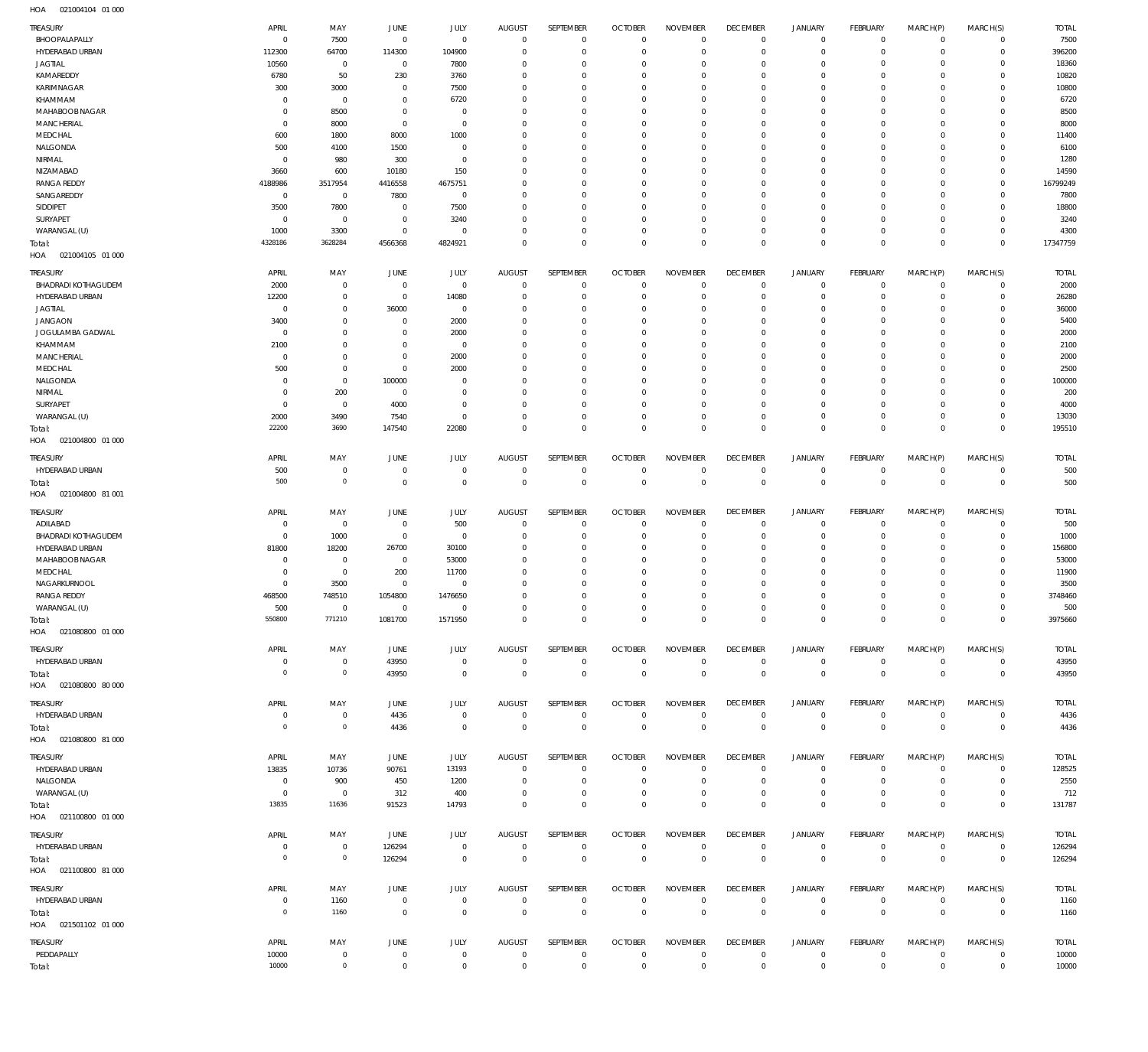| <b>TREASURY</b><br>BHOOPALAPALLY              | APRIL<br>0                       | MAY<br>7500                | JUNE<br>$\mathbf 0$           | JULY<br>$\mathbf 0$        | <b>AUGUST</b><br>$^{\circ}$  | SEPTEMBER<br>$\mathbf 0$     | <b>OCTOBER</b><br>$\circ$        | <b>NOVEMBER</b><br>$\circ$     | <b>DECEMBER</b><br>$\mathbf 0$ | <b>JANUARY</b><br>$\mathsf{O}\xspace$ | <b>FEBRUARY</b><br>$\overline{0}$ | MARCH(P)<br>$\mathbf 0$         | MARCH(S)<br>$\mathbf{0}$    | <b>TOTAL</b><br>7500 |
|-----------------------------------------------|----------------------------------|----------------------------|-------------------------------|----------------------------|------------------------------|------------------------------|----------------------------------|--------------------------------|--------------------------------|---------------------------------------|-----------------------------------|---------------------------------|-----------------------------|----------------------|
| HYDERABAD URBAN<br><b>JAGTIAL</b>             | 112300<br>10560                  | 64700<br>$\,0\,$           | 114300<br>$\,0\,$             | 104900<br>7800             | $\Omega$<br>$\Omega$         | $\mathbf 0$<br>$\mathbf 0$   | $^{\circ}$<br>0                  | $\mathbf 0$<br>$\mathbf 0$     | $^{\circ}$<br>$\overline{0}$   | $\mathsf{O}\xspace$<br>0              | $\mathbf 0$<br>$\mathbf 0$        | $\mathbf 0$<br>0                | $\mathbf{0}$<br>$\mathbf 0$ | 396200<br>18360      |
| KAMAREDDY                                     | 6780                             | 50                         | 230                           | 3760                       | $\Omega$                     | $\mathbf 0$                  | $^{\circ}$                       | $^{\circ}$                     | $^{\circ}$                     | $\mathbf 0$                           | $\mathbf 0$                       | $\Omega$                        | $\mathbf 0$                 | 10820                |
| KARIMNAGAR                                    | 300                              | 3000                       | $\mathbf 0$                   | 7500                       | $\Omega$                     | $\mathbf 0$                  | 0                                | $^{\circ}$                     | $^{\circ}$                     | 0                                     | $^{\circ}$                        | $\Omega$                        | $\mathbf 0$                 | 10800                |
| KHAMMAM<br>MAHABOOB NAGAR                     | $\Omega$<br>$\Omega$             | $\,0\,$<br>8500            | $^{\circ}$<br>$^{\circ}$      | 6720<br>$\mathbf 0$        | $\Omega$<br>$\Omega$         | $\mathbf 0$<br>$\mathbf 0$   | $^{\circ}$<br>0                  | $^{\circ}$<br>$^{\circ}$       | $^{\circ}$<br>$^{\circ}$       | $\mathbf 0$<br>0                      | $\mathbf 0$<br>$^{\circ}$         | $\Omega$<br>$\mathbf 0$         | $\mathbf 0$<br>$\mathbf 0$  | 6720<br>8500         |
| MANCHERIAL                                    | $\Omega$                         | 8000                       | $\overline{0}$                | $\mathbf 0$                | $\Omega$                     | $\mathbf 0$                  | $^{\circ}$                       | $^{\circ}$                     | $^{\circ}$                     | $\mathbf 0$                           | $\mathbf 0$                       | $\Omega$                        | $\mathbf 0$                 | 8000                 |
| MEDCHAL                                       | 600                              | 1800                       | 8000                          | 1000                       | $\Omega$                     | $\mathbf 0$                  | 0                                | $^{\circ}$                     | $^{\circ}$                     | $\mathbf 0$                           | $\mathbf 0$                       | $\Omega$                        | $\mathbf 0$                 | 11400                |
| NALGONDA                                      | 500                              | 4100                       | 1500                          | $\mathbf 0$                | $\Omega$                     | $\mathbf 0$                  | $^{\circ}$                       | $^{\circ}$                     | $^{\circ}$                     | $\mathbf 0$                           | $\mathbf 0$                       | $\Omega$                        | $\mathbf 0$                 | 6100                 |
| NIRMAL<br>NIZAMABAD                           | 0<br>3660                        | 980<br>600                 | 300<br>10180                  | $\mathbf 0$<br>150         | $\Omega$<br>$\Omega$         | $\mathbf 0$<br>$\mathbf 0$   | $\Omega$<br>$^{\circ}$           | $^{\circ}$<br>$^{\circ}$       | $^{\circ}$<br>$^{\circ}$       | $\mathbf 0$<br>$\mathbf 0$            | $\mathbf 0$<br>$\mathbf 0$        | $\Omega$<br>$\mathbf 0$         | $\mathbf 0$<br>$\mathbf{0}$ | 1280<br>14590        |
| <b>RANGA REDDY</b>                            | 4188986                          | 3517954                    | 4416558                       | 4675751                    | $\Omega$                     | $\mathbf 0$                  | 0                                | $^{\circ}$                     | $^{\circ}$                     | $\mathbf 0$                           | $\mathbf 0$                       | 0                               | $\mathbf 0$                 | 16799249             |
| SANGAREDDY                                    | $\overline{0}$                   | $\,0\,$                    | 7800                          | $\mathbf 0$                | $\Omega$                     | $\mathbf 0$                  | $^{\circ}$                       | $^{\circ}$                     | $^{\circ}$                     | 0                                     | $^{\circ}$                        | $\Omega$                        | $\mathbf{0}$                | 7800                 |
| SIDDIPET<br>SURYAPET                          | 3500<br>0                        | 7800<br>$\,0\,$            | $\overline{0}$<br>$\mathbf 0$ | 7500<br>3240               | $\Omega$<br>$\Omega$         | $\mathbf 0$<br>$\mathbf 0$   | 0<br>$^{\circ}$                  | $^{\circ}$<br>$^{\circ}$       | $^{\circ}$<br>$^{\circ}$       | $\mathbf 0$<br>$\mathbf 0$            | $\mathbf 0$<br>$\mathbf 0$        | 0<br>$\mathbf 0$                | $\mathbf 0$<br>$\mathbf{0}$ | 18800<br>3240        |
| WARANGAL (U)                                  | 1000                             | 3300                       | $^{\circ}$                    | $\mathbf 0$                | $\Omega$                     | $\mathbf 0$                  | $^{\circ}$                       | $\mathbf 0$                    | $\overline{0}$                 | $\mathsf{O}\xspace$                   | $\mathbf 0$                       | $\mathbf 0$                     | $\circ$                     | 4300                 |
| Total:                                        | 4328186                          | 3628284                    | 4566368                       | 4824921                    | $\Omega$                     | $\mathbf 0$                  | $^{\circ}$                       | $\mathbf 0$                    | $\overline{0}$                 | $\mathbf 0$                           | $\mathbf 0$                       | $\mathbf 0$                     | $\mathbf 0$                 | 17347759             |
| HOA<br>021004105 01 000                       |                                  |                            |                               |                            |                              |                              |                                  |                                |                                |                                       |                                   |                                 |                             |                      |
| TREASURY                                      | APRIL                            | MAY                        | JUNE                          | JULY                       | <b>AUGUST</b>                | SEPTEMBER                    | <b>OCTOBER</b>                   | <b>NOVEMBER</b>                | <b>DECEMBER</b>                | <b>JANUARY</b>                        | <b>FEBRUARY</b>                   | MARCH(P)                        | MARCH(S)                    | <b>TOTAL</b>         |
| <b>BHADRADI KOTHAGUDEM</b><br>HYDERABAD URBAN | 2000<br>12200                    | $\,0\,$<br>$\,0\,$         | $\mathbf 0$<br>$\overline{0}$ | $\mathbf 0$<br>14080       | $^{\circ}$<br>$\Omega$       | $\mathbf{0}$<br>$\mathbf 0$  | $^{\circ}$<br>$^{\circ}$         | $^{\circ}$<br>$^{\circ}$       | $^{\circ}$<br>$^{\circ}$       | $\mathbf 0$<br>$\mathbf 0$            | $^{\circ}$<br>$^{\circ}$          | $\mathbf 0$<br>$\mathbf 0$      | $^{\circ}$<br>$\mathbf 0$   | 2000<br>26280        |
| <b>JAGTIAL</b>                                | $^{\circ}$                       | $\mathbf 0$                | 36000                         | $\mathbf 0$                | 0                            | $\mathbf{0}$                 | 0                                | $^{\circ}$                     | $^{\circ}$                     | $\mathbf 0$                           | $\mathbf 0$                       | $\Omega$                        | $\mathbf 0$                 | 36000                |
| <b>JANGAON</b>                                | 3400                             | $\mathbf 0$                | $^{\circ}$                    | 2000                       | 0                            | $\mathbf{0}$                 | 0                                | $^{\circ}$                     | 0                              | $\mathbf 0$                           | $\Omega$                          | $\Omega$                        | $\mathbf 0$                 | 5400                 |
| JOGULAMBA GADWAL<br>KHAMMAM                   | $^{\circ}$<br>2100               | $\mathbf 0$<br>$\,0\,$     | $^{\circ}$<br>$^{\circ}$      | 2000<br>$^{\circ}$         | 0<br>$\Omega$                | $\mathbf{0}$<br>$\mathbf{0}$ | $\Omega$<br>0                    | $\Omega$<br>$^{\circ}$         | 0<br>$^{\circ}$                | $\mathbf 0$<br>$\mathbf 0$            | $\mathbf 0$<br>$\Omega$           | $\Omega$<br>$\Omega$            | $\mathbf 0$<br>$\mathbf 0$  | 2000<br>2100         |
| <b>MANCHERIAL</b>                             | $^{\circ}$                       | $\mathbf 0$                | $^{\circ}$                    | 2000                       | 0                            | $^{\circ}$                   | $\Omega$                         | $\Omega$                       | 0                              | $\mathbf 0$                           | $\Omega$                          | $\Omega$                        | $\mathbf 0$                 | 2000                 |
| MEDCHAL                                       | 500                              | $\,0\,$                    | $^{\circ}$                    | 2000                       | $\Omega$                     | $\mathbf{0}$                 | 0                                | $^{\circ}$                     | $^{\circ}$                     | $\mathbf 0$                           | $\Omega$                          | $\Omega$                        | $\mathbf 0$                 | 2500                 |
| NALGONDA                                      | $\Omega$                         | $\mathbf 0$                | 100000                        | $\Omega$                   | 0                            | $\mathbf 0$                  | $\Omega$                         | $\Omega$                       | 0                              | $\mathbf 0$                           | $\mathbf 0$                       | $\Omega$                        | $\mathbf 0$                 | 100000               |
| NIRMAL<br>SURYAPET                            | $\Omega$<br>$\Omega$             | 200<br>$\,0\,$             | $^{\circ}$<br>4000            | $\mathbf{0}$<br>$^{\circ}$ | $\Omega$<br>0                | $\mathbf 0$<br>$\mathbf{0}$  | 0<br>0                           | $\mathbf 0$<br>$^{\circ}$      | $\mathbf 0$<br>0               | $\mathbf 0$<br>$\mathbf 0$            | $\Omega$<br>$\mathbf 0$           | $\Omega$<br>$\Omega$            | $\mathbf 0$<br>$\mathbf 0$  | 200<br>4000          |
| WARANGAL (U)                                  | 2000                             | 3490                       | 7540                          | $\mathbf{0}$               | $\Omega$                     | $\mathbf 0$                  | 0                                | $\mathbf 0$                    | $\mathbf 0$                    | $\mathbf 0$                           | $\mathbf 0$                       | $\mathbf 0$                     | $\mathbf 0$                 | 13030                |
| Total:                                        | 22200                            | 3690                       | 147540                        | 22080                      | $\Omega$                     | $\mathbf 0$                  | $\mathbf 0$                      | $\mathbf 0$                    | $\mathbf 0$                    | $\mathbf 0$                           | $\mathbf 0$                       | $\Omega$                        | $\mathbf 0$                 | 195510               |
| HOA<br>021004800 01 000                       |                                  |                            |                               |                            |                              |                              |                                  |                                |                                |                                       |                                   |                                 |                             |                      |
| TREASURY                                      | APRIL                            | MAY                        | JUNE                          | JULY                       | <b>AUGUST</b>                | SEPTEMBER                    | <b>OCTOBER</b>                   | <b>NOVEMBER</b>                | <b>DECEMBER</b>                | <b>JANUARY</b>                        | <b>FEBRUARY</b>                   | MARCH(P)                        | MARCH(S)                    | <b>TOTAL</b>         |
| HYDERABAD URBAN<br>Total:                     | 500<br>500                       | $\,0\,$<br>$\circ$         | $\overline{0}$<br>$\mathbf 0$ | $\mathbf 0$<br>$\mathbf 0$ | 0<br>$^{\circ}$              | $\mathbf 0$<br>$\mathbf 0$   | $^{\circ}$<br>$\overline{0}$     | 0<br>$\mathbb O$               | $\overline{0}$<br>$\mathbf 0$  | $\mathbf 0$<br>$\mathbb O$            | $\overline{0}$<br>$\overline{0}$  | $\mathbf 0$<br>$\mathbf 0$      | $\circ$<br>$\overline{0}$   | 500<br>500           |
| HOA<br>021004800 81 001                       |                                  |                            |                               |                            |                              |                              |                                  |                                |                                |                                       |                                   |                                 |                             |                      |
| TREASURY                                      | APRIL                            | MAY                        | JUNE                          | JULY                       | <b>AUGUST</b>                | SEPTEMBER                    | <b>OCTOBER</b>                   | <b>NOVEMBER</b>                | <b>DECEMBER</b>                | <b>JANUARY</b>                        | <b>FEBRUARY</b>                   | MARCH(P)                        | MARCH(S)                    | <b>TOTAL</b>         |
| ADILABAD                                      | -C                               | $\,0\,$                    | $^{\circ}$                    | 500                        | 0                            | $\mathbf 0$                  | $^{\circ}$                       | $^{\circ}$                     | $^{\circ}$                     | 0                                     | $\mathbf 0$                       | $\mathbf 0$                     | $\mathbf 0$                 | 500                  |
| <b>BHADRADI KOTHAGUDEM</b>                    | $\Omega$                         | 1000                       | $\mathbf 0$                   | $\mathbf{0}$               | $\Omega$                     | $\mathbf 0$                  | $^{\circ}$                       | $\mathbf 0$                    | $\mathbf 0$                    | $\mathbf 0$                           | $\mathbf 0$                       | $\mathbf 0$                     | $\mathbf{0}$                | 1000                 |
| HYDERABAD URBAN<br>MAHABOOB NAGAR             | 81800<br>$\Omega$                | 18200<br>$\mathbf 0$       | 26700<br>$\,0\,$              | 30100<br>53000             | 0<br>$\Omega$                | $\mathbf{0}$<br>$\mathbf{0}$ | 0<br>0                           | $\mathbf 0$<br>$\mathbf 0$     | 0<br>$\mathbf 0$               | $\mathbf 0$<br>$\mathbf 0$            | $\mathbf 0$<br>$\Omega$           | $\Omega$<br>$\Omega$            | $\mathbf 0$<br>$\mathbf 0$  | 156800<br>53000      |
| MEDCHAL                                       | $\Omega$                         | $\,0\,$                    | 200                           | 11700                      | 0                            | $\mathbf{0}$                 | 0                                | $\mathbf 0$                    | $\mathbf 0$                    | 0                                     | $\mathbf 0$                       | $\Omega$                        | $\mathbf 0$                 | 11900                |
| NAGARKURNOOL                                  | $\Omega$                         | 3500                       | $\Omega$                      | $\Omega$                   | $\Omega$                     | $\mathbf{0}$                 | 0                                | $\mathbf 0$                    | $\mathbf 0$                    | $\Omega$                              | $\Omega$                          | $\Omega$                        | $\mathbf 0$                 | 3500                 |
| <b>RANGA REDDY</b><br>WARANGAL (U)            | 468500<br>500                    | 748510<br>$\Omega$         | 1054800<br>$\Omega$           | 1476650<br>$\Omega$        | $\Omega$<br>$\Omega$         | $\mathbf{0}$<br>$\Omega$     | $\Omega$<br>$\Omega$             | $\Omega$<br>$\Omega$           | $\Omega$<br>$\Omega$           | $\Omega$<br>$\mathsf{O}\xspace$       | $\Omega$<br>$\Omega$              | $\Omega$<br>$\mathsf{O}\xspace$ | $\mathbf{0}$<br>$\mathbf 0$ | 3748460<br>500       |
| Total:                                        | 550800                           | 771210                     | 1081700                       | 1571950                    | $\mathbf 0$                  | $\mathsf 0$                  | $\overline{0}$                   | $\mathsf 0$                    | $\mathbf 0$                    | $\mathbf 0$                           | $\overline{0}$                    | $\mathbb O$                     | $\overline{0}$              | 3975660              |
| HOA  021080800  01 000                        |                                  |                            |                               |                            |                              |                              |                                  |                                |                                |                                       |                                   |                                 |                             |                      |
| TREASURY                                      | APRIL                            | MAY                        | JUNE                          | JULY                       | <b>AUGUST</b>                | SEPTEMBER                    | <b>OCTOBER</b>                   | <b>NOVEMBER</b>                | <b>DECEMBER</b>                | <b>JANUARY</b>                        | <b>FEBRUARY</b>                   | MARCH(P)                        | MARCH(S)                    | <b>TOTAL</b>         |
| HYDERABAD URBAN                               | $\mathbf 0$                      | $\mathbf 0$                | 43950                         | $\mathbf 0$                | $\mathbf 0$                  | $\mathbf 0$                  | $\overline{0}$                   | $\mathbf 0$                    | $\,0\,$                        | $\mathsf{O}\xspace$                   | $\overline{0}$                    | $\overline{0}$                  | $\overline{0}$              | 43950                |
| Total:<br>HOA  021080800  80  000             | $\overline{0}$                   | $\mathbb O$                | 43950                         | $\mathbf 0$                | $\mathbf 0$                  | $\mathsf 0$                  | $\overline{0}$                   | $\,0\,$                        | $\,0\,$                        | $\mathsf 0$                           | $\overline{0}$                    | $\mathbf 0$                     | $\overline{0}$              | 43950                |
|                                               |                                  |                            |                               |                            |                              |                              |                                  |                                |                                |                                       |                                   |                                 |                             |                      |
| TREASURY<br>HYDERABAD URBAN                   | APRIL<br>$\mathbf 0$             | MAY<br>$\,0\,$             | JUNE<br>4436                  | <b>JULY</b><br>$\mathbf 0$ | <b>AUGUST</b><br>$\mathbf 0$ | SEPTEMBER<br>$\mathbf 0$     | <b>OCTOBER</b><br>$\overline{0}$ | <b>NOVEMBER</b><br>$\mathbf 0$ | <b>DECEMBER</b><br>$\,0\,$     | JANUARY<br>$\mathsf{O}\xspace$        | FEBRUARY<br>$\overline{0}$        | MARCH(P)<br>$\overline{0}$      | MARCH(S)<br>$\overline{0}$  | <b>TOTAL</b><br>4436 |
| Total:                                        | $\overline{0}$                   | $\mathbb O$                | 4436                          | $\mathbf 0$                | $\mathbf 0$                  | $\mathsf 0$                  | $\overline{0}$                   | $\mathbf 0$                    | $\overline{0}$                 | $\mathbf 0$                           | $\mathbb O$                       | $\overline{0}$                  | $\overline{0}$              | 4436                 |
| HOA  021080800  81 000                        |                                  |                            |                               |                            |                              |                              |                                  |                                |                                |                                       |                                   |                                 |                             |                      |
| TREASURY                                      | APRIL                            | MAY                        | JUNE                          | JULY                       | <b>AUGUST</b>                | SEPTEMBER                    | <b>OCTOBER</b>                   | <b>NOVEMBER</b>                | <b>DECEMBER</b>                | <b>JANUARY</b>                        | <b>FEBRUARY</b>                   | MARCH(P)                        | MARCH(S)                    | <b>TOTAL</b>         |
| HYDERABAD URBAN                               | 13835                            | 10736                      | 90761                         | 13193                      | $\mathbf 0$<br>$^{\circ}$    | $\mathbf 0$                  | $\mathbf 0$<br>$\overline{0}$    | $\mathbb O$<br>$\mathbf 0$     | $\overline{0}$<br>$\mathbf 0$  | $\mathbf 0$<br>$\mathsf{O}\xspace$    | $\overline{0}$<br>$\overline{0}$  | $\overline{0}$<br>$\mathbf 0$   | $\overline{0}$<br>$\circ$   | 128525               |
| NALGONDA<br>WARANGAL (U)                      | $\overline{0}$<br>$\overline{0}$ | 900<br>$\,0\,$             | 450<br>312                    | 1200<br>400                | $^{\circ}$                   | $\mathbf 0$<br>$\mathbf 0$   | $\overline{0}$                   | $\mathbb O$                    | $\,0\,$                        | $\mathsf{O}\xspace$                   | $\overline{0}$                    | $\overline{0}$                  | $\overline{0}$              | 2550<br>712          |
| Total:                                        | 13835                            | 11636                      | 91523                         | 14793                      | $\mathbf 0$                  | $\mathsf 0$                  | $\mathbf 0$                      | $\mathbf 0$                    | $\,0\,$                        | $\mathsf 0$                           | $\overline{0}$                    | $\mathbf 0$                     | $\overline{0}$              | 131787               |
| HOA  021100800  01  000                       |                                  |                            |                               |                            |                              |                              |                                  |                                |                                |                                       |                                   |                                 |                             |                      |
| TREASURY                                      | APRIL                            | MAY                        | JUNE                          | JULY                       | <b>AUGUST</b>                | SEPTEMBER                    | <b>OCTOBER</b>                   | <b>NOVEMBER</b>                | <b>DECEMBER</b>                | <b>JANUARY</b>                        | <b>FEBRUARY</b>                   | MARCH(P)                        | MARCH(S)                    | <b>TOTAL</b>         |
| HYDERABAD URBAN                               | $\overline{0}$<br>$\overline{0}$ | $\mathbf 0$<br>$\mathbb O$ | 126294                        | $\mathbf 0$                | $\mathbf 0$                  | $\mathbf 0$                  | $\mathbf 0$                      | $\mathbf 0$<br>$\mathbf 0$     | $\,0\,$                        | $\mathbf 0$                           | $\overline{0}$                    | $\mathbf 0$                     | $\overline{0}$              | 126294               |
| Total:<br>HOA  021100800  81 000              |                                  |                            | 126294                        | $\mathbf 0$                | $\mathbf 0$                  | $\mathsf 0$                  | $\overline{0}$                   |                                | $\,0\,$                        | $\mathsf 0$                           | $\overline{0}$                    | $\mathbb O$                     | $\overline{0}$              | 126294               |
| TREASURY                                      | APRIL                            | MAY                        | JUNE                          | <b>JULY</b>                | <b>AUGUST</b>                | SEPTEMBER                    | <b>OCTOBER</b>                   | <b>NOVEMBER</b>                | <b>DECEMBER</b>                | <b>JANUARY</b>                        | <b>FEBRUARY</b>                   | MARCH(P)                        | MARCH(S)                    | <b>TOTAL</b>         |
|                                               |                                  |                            |                               |                            | $\mathbf 0$                  | $\mathbf 0$                  | $\overline{0}$                   | $\mathbf 0$                    | $\,0\,$                        | $\mathbf 0$                           | $\overline{0}$                    | $\overline{0}$                  | $\overline{0}$              | 1160                 |
| HYDERABAD URBAN                               | $\overline{0}$                   | 1160                       | $\,0\,$                       | $\mathbf 0$                |                              |                              |                                  |                                |                                |                                       |                                   |                                 |                             |                      |
| Total:                                        | $\overline{0}$                   | 1160                       | $\,0\,$                       | $\mathbf 0$                | $\mathbf 0$                  | $\mathsf 0$                  | $\overline{0}$                   | $\,0\,$                        | $\mathbf 0$                    | $\mathsf 0$                           | $\overline{0}$                    | $\mathbf 0$                     | $\overline{0}$              | 1160                 |
| HOA  021501102  01  000                       |                                  |                            |                               |                            |                              |                              |                                  |                                |                                |                                       |                                   |                                 |                             |                      |
| TREASURY                                      | APRIL                            | MAY                        | JUNE                          | <b>JULY</b>                | <b>AUGUST</b>                | SEPTEMBER                    | <b>OCTOBER</b>                   | <b>NOVEMBER</b>                | <b>DECEMBER</b>                | JANUARY                               | FEBRUARY                          | MARCH(P)                        | MARCH(S)                    | <b>TOTAL</b>         |
| PEDDAPALLY<br>Total:                          | 10000<br>10000                   | $\,0\,$<br>$\mathbb O$     | $\,0\,$<br>$\mathbf 0$        | $\mathbf 0$<br>$\mathbf 0$ | $\mathbf 0$<br>$\mathbf 0$   | $\mathbf 0$<br>$\mathsf 0$   | $\,0\,$<br>$\mathbf 0$           | $\mathbb O$<br>$\mathbf 0$     | $\,0\,$<br>$\mathbf 0$         | $\mathbf 0$<br>$\mathbf 0$            | $\overline{0}$<br>$\overline{0}$  | $\mathbf 0$<br>$\mathbf 0$      | $\overline{0}$<br>$\,0\,$   | 10000<br>10000       |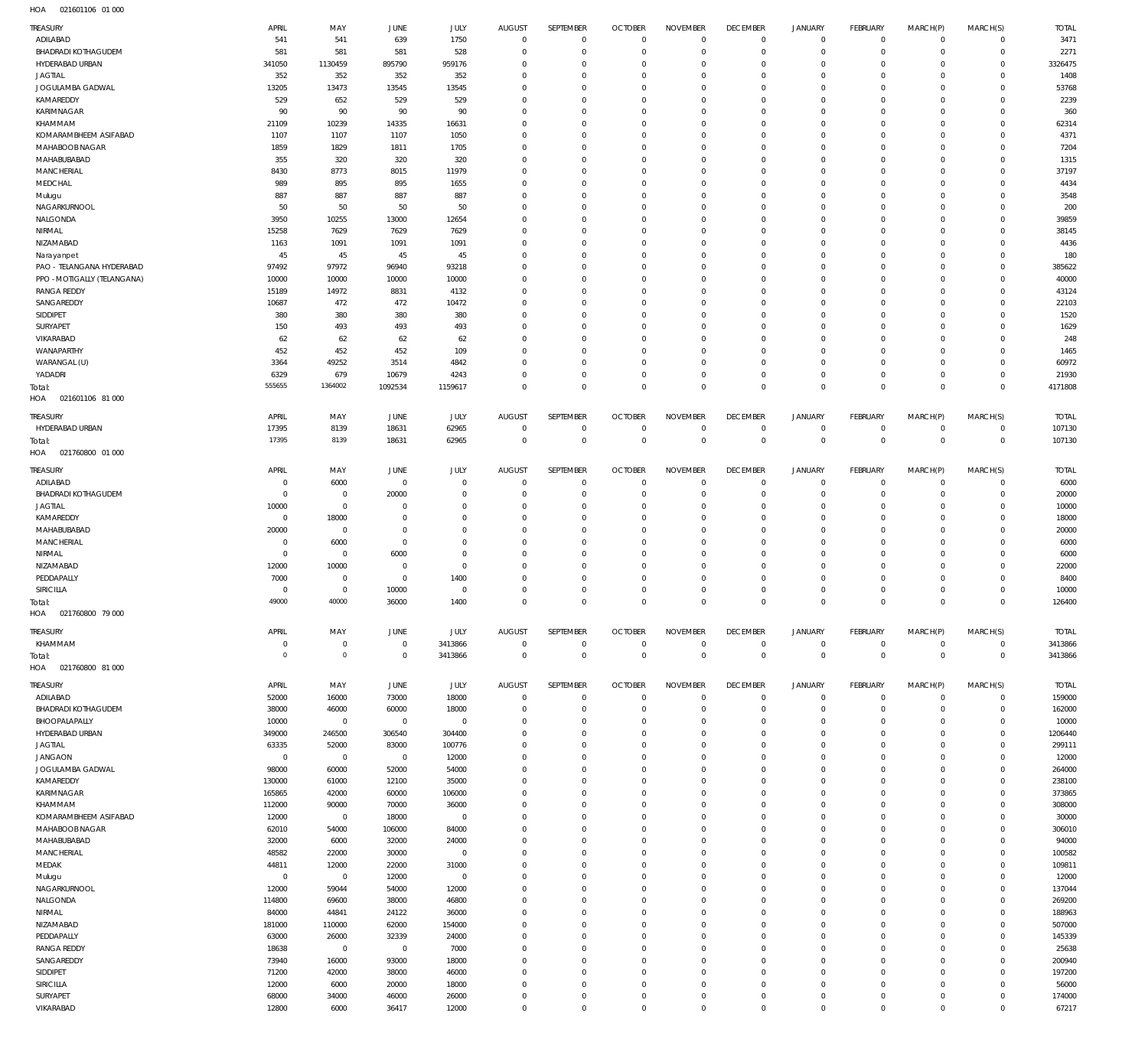| <b>TREASURY</b>                                   | APRIL                         | MAY                        | <b>JUNE</b>                      | JULY                    | <b>AUGUST</b>                    | SEPTEMBER                  | <b>OCTOBER</b>                   | <b>NOVEMBER</b>                  | <b>DECEMBER</b>                   | <b>JANUARY</b>                   | FEBRUARY                          | MARCH(P)                  | MARCH(S)                         | <b>TOTAL</b>       |
|---------------------------------------------------|-------------------------------|----------------------------|----------------------------------|-------------------------|----------------------------------|----------------------------|----------------------------------|----------------------------------|-----------------------------------|----------------------------------|-----------------------------------|---------------------------|----------------------------------|--------------------|
| ADILABAD                                          | 541                           | 541                        | 639                              | 1750                    | $\overline{0}$                   | $\mathbf 0$                | $\overline{0}$                   | $\mathbf 0$                      | $\overline{0}$                    | $\circ$                          | $\overline{0}$                    | $\mathbf{0}$              | $\mathbf{0}$                     | 3471               |
| <b>BHADRADI KOTHAGUDEM</b>                        | 581                           | 581                        | 581                              | 528                     | $\Omega$                         | $\mathbf 0$                | $\Omega$                         | $\Omega$                         | $\mathbf 0$                       | $\mathbf 0$                      | $\mathbf{0}$                      | $\Omega$                  | $\mathbf{0}$                     | 2271               |
| HYDERABAD URBAN<br><b>JAGTIAL</b>                 | 341050<br>352                 | 1130459<br>352             | 895790<br>352                    | 959176<br>352           | $\Omega$<br>$\Omega$             | $\Omega$<br>$\Omega$       | $\mathbf 0$<br>$\Omega$          | $\Omega$<br>$\Omega$             | $\Omega$<br>$\mathbf 0$           | $\mathbf 0$<br>$\mathbf 0$       | $\mathbf{0}$<br>$\Omega$          | $\Omega$<br>$\Omega$      | $\mathbf{0}$<br>$\Omega$         | 3326475<br>1408    |
| JOGULAMBA GADWAL                                  | 13205                         | 13473                      | 13545                            | 13545                   | $\Omega$                         | $\Omega$                   | $\Omega$                         | $\Omega$                         | $\Omega$                          | $\Omega$                         | $\Omega$                          | $\Omega$                  | $\Omega$                         | 53768              |
| KAMAREDDY                                         | 529                           | 652                        | 529                              | 529                     | $\Omega$                         | $\mathbf 0$                | $\mathbf 0$                      | $\Omega$                         | $\mathbf 0$                       | $\mathbf 0$                      | $\mathbf 0$                       | $\Omega$                  | $\Omega$                         | 2239               |
| KARIMNAGAR                                        | 90                            | 90                         | 90                               | 90                      | $\Omega$                         | $\Omega$                   | $\Omega$                         | $\Omega$                         | $\Omega$                          | $\Omega$                         | $\Omega$                          | $\Omega$                  | $\Omega$                         | 360                |
| KHAMMAM                                           | 21109                         | 10239                      | 14335                            | 16631                   | $\Omega$                         | $\Omega$                   | $\Omega$                         | $\Omega$                         | $\Omega$                          | $\Omega$                         | $\Omega$                          | $\Omega$                  | $\Omega$                         | 62314              |
| KOMARAMBHEEM ASIFABAD<br>MAHABOOB NAGAR           | 1107<br>1859                  | 1107<br>1829               | 1107<br>1811                     | 1050<br>1705            | $\Omega$<br>$\Omega$             | $\Omega$<br>$\Omega$       | $\Omega$<br>$\Omega$             | $\Omega$<br>$\Omega$             | $\mathbf 0$<br>$\Omega$           | $\mathbf 0$<br>$\Omega$          | $\Omega$<br>$\Omega$              | $\Omega$<br>$\Omega$      | $\Omega$<br>$\Omega$             | 4371<br>7204       |
| MAHABUBABAD                                       | 355                           | 320                        | 320                              | 320                     | $\Omega$                         | $\Omega$                   | $\Omega$                         | $\Omega$                         | $\Omega$                          | $\mathbf 0$                      | $\mathbf 0$                       | $\Omega$                  | $\mathbf 0$                      | 1315               |
| <b>MANCHERIAL</b>                                 | 8430                          | 8773                       | 8015                             | 11979                   | $\Omega$                         | $\Omega$                   | $\Omega$                         | $\Omega$                         | $\Omega$                          | $\Omega$                         | $\Omega$                          | $\Omega$                  | $\Omega$                         | 37197              |
| MEDCHAL                                           | 989                           | 895                        | 895                              | 1655                    | $\Omega$                         | $\Omega$                   | $\Omega$                         | $\Omega$                         | $\Omega$                          | $\Omega$                         | $\mathbf 0$                       | $\Omega$                  | $\Omega$                         | 4434               |
| Mulugu                                            | 887                           | 887                        | 887                              | 887                     | $\Omega$                         | $\Omega$                   | $\Omega$                         | $\Omega$                         | $\Omega$                          | $\Omega$                         | $\Omega$                          | $\Omega$                  | $\Omega$                         | 3548               |
| NAGARKURNOOL<br>NALGONDA                          | 50<br>3950                    | 50<br>10255                | 50<br>13000                      | 50<br>12654             | $\Omega$<br>$\Omega$             | $\Omega$<br>$\Omega$       | $\Omega$<br>$\mathbf 0$          | $\Omega$<br>$\Omega$             | $\Omega$<br>$\mathbf 0$           | $\Omega$<br>$\mathbf 0$          | $\Omega$<br>$\mathbf 0$           | $\Omega$<br>$\Omega$      | $\Omega$<br>$\mathbf 0$          | 200<br>39859       |
| NIRMAL                                            | 15258                         | 7629                       | 7629                             | 7629                    | $\Omega$                         | $\Omega$                   | $\Omega$                         | $\Omega$                         | $\Omega$                          | $\Omega$                         | $\Omega$                          | $\Omega$                  | $\Omega$                         | 38145              |
| NIZAMABAD                                         | 1163                          | 1091                       | 1091                             | 1091                    | $\Omega$                         | $\Omega$                   | $\Omega$                         | $\Omega$                         | $\Omega$                          | $\Omega$                         | $\Omega$                          | $\Omega$                  | $\Omega$                         | 4436               |
| Narayanpet                                        | 45                            | 45                         | 45                               | 45                      | $\Omega$                         | $\Omega$                   | $\Omega$                         | $\Omega$                         | $\Omega$                          | $\Omega$                         | $\Omega$                          | $\Omega$                  | $\Omega$                         | 180                |
| PAO - TELANGANA HYDERABAD                         | 97492                         | 97972                      | 96940                            | 93218                   | $\Omega$                         | $\Omega$                   | $\Omega$                         | $\Omega$                         | $\Omega$                          | $\Omega$                         | $\Omega$                          | $\Omega$                  | $\Omega$                         | 385622             |
| PPO - MOTIGALLY (TELANGANA)<br><b>RANGA REDDY</b> | 10000<br>15189                | 10000<br>14972             | 10000<br>8831                    | 10000<br>4132           | $\Omega$<br>$\Omega$             | $\Omega$<br>$\Omega$       | $\mathbf 0$<br>$\Omega$          | $\Omega$<br>$\Omega$             | $\mathbf 0$<br>$\Omega$           | $\mathbf 0$<br>$\Omega$          | $\mathbf 0$<br>$\Omega$           | $\Omega$<br>$\Omega$      | $\Omega$<br>$\Omega$             | 40000<br>43124     |
| SANGAREDDY                                        | 10687                         | 472                        | 472                              | 10472                   | $\Omega$                         | $\Omega$                   | $\Omega$                         | $\Omega$                         | $\Omega$                          | $\Omega$                         | $\Omega$                          | $\Omega$                  | $\Omega$                         | 22103              |
| SIDDIPET                                          | 380                           | 380                        | 380                              | 380                     | $\Omega$                         | $\Omega$                   | $\Omega$                         | $\Omega$                         | $\Omega$                          | $\Omega$                         | $\Omega$                          | $\Omega$                  | $\Omega$                         | 1520               |
| SURYAPET                                          | 150                           | 493                        | 493                              | 493                     | $\Omega$                         | $\Omega$                   | $\Omega$                         | $\Omega$                         | $\Omega$                          | $\Omega$                         | $\Omega$                          | $\Omega$                  | $\Omega$                         | 1629               |
| VIKARABAD                                         | 62                            | 62                         | 62                               | 62                      | $\Omega$                         | $\mathbf 0$                | $\mathbf 0$                      | $\Omega$                         | $\mathbf 0$                       | $\mathbf 0$                      | $\mathbf 0$                       | $\Omega$                  | $\Omega$                         | 248                |
| WANAPARTHY<br>WARANGAL (U)                        | 452<br>3364                   | 452<br>49252               | 452<br>3514                      | 109<br>4842             | $\Omega$<br>$\Omega$             | $\Omega$<br>$\Omega$       | $\Omega$<br>$\mathbf 0$          | $\Omega$<br>$\Omega$             | $\Omega$<br>$\mathbf 0$           | $\Omega$<br>$\mathbf 0$          | $\Omega$<br>$\mathbf{0}$          | $\Omega$<br>$\Omega$      | $\Omega$<br>$\Omega$             | 1465<br>60972      |
| YADADRI                                           | 6329                          | 679                        | 10679                            | 4243                    | $\Omega$                         | $\mathbf 0$                | $\mathbf 0$                      | $\Omega$                         | $\mathbf 0$                       | $\mathbf 0$                      | $\mathbf{0}$                      | $\Omega$                  | $\mathbf 0$                      | 21930              |
| Total:                                            | 555655                        | 1364002                    | 1092534                          | 1159617                 | $\Omega$                         | $\Omega$                   | $\Omega$                         | $\Omega$                         | $\Omega$                          | $\Omega$                         | $\Omega$                          | $\Omega$                  | $\Omega$                         | 4171808            |
| HOA<br>021601106 81 000                           |                               |                            |                                  |                         |                                  |                            |                                  |                                  |                                   |                                  |                                   |                           |                                  |                    |
| <b>TREASURY</b>                                   | APRIL                         | MAY                        | <b>JUNE</b>                      | JULY                    | <b>AUGUST</b>                    | SEPTEMBER                  | <b>OCTOBER</b>                   | <b>NOVEMBER</b>                  | <b>DECEMBER</b>                   | <b>JANUARY</b>                   | <b>FEBRUARY</b>                   | MARCH(P)                  | MARCH(S)                         | <b>TOTAL</b>       |
| HYDERABAD URBAN                                   | 17395                         | 8139                       | 18631                            | 62965                   | $\mathbf 0$                      | $\mathbf 0$                | $\overline{0}$                   | $\mathbf 0$                      | $\overline{0}$                    | $\circ$                          | $\overline{0}$                    | $\mathbf 0$               | $\overline{0}$                   | 107130             |
| Total:<br>021760800 01 000                        | 17395                         | 8139                       | 18631                            | 62965                   | $\overline{0}$                   | $\mathbf 0$                | $\overline{0}$                   | $\overline{0}$                   | $\overline{0}$                    | $\overline{0}$                   | $\overline{0}$                    | $\mathbf 0$               | $\overline{0}$                   | 107130             |
| HOA                                               |                               |                            |                                  |                         |                                  |                            |                                  |                                  |                                   |                                  |                                   |                           |                                  |                    |
| <b>TREASURY</b>                                   | <b>APRIL</b><br>$\mathbf 0$   | MAY                        | <b>JUNE</b><br>$\overline{0}$    | JULY<br>$\mathbf 0$     | <b>AUGUST</b><br>$\mathbf 0$     | SEPTEMBER<br>$\mathbf 0$   | <b>OCTOBER</b><br>$\overline{0}$ | <b>NOVEMBER</b><br>$\mathbf 0$   | <b>DECEMBER</b><br>$\overline{0}$ | <b>JANUARY</b><br>$^{\circ}$     | <b>FEBRUARY</b><br>$\overline{0}$ | MARCH(P)<br>$\mathbf 0$   | MARCH(S)<br>$\mathbf{0}$         | <b>TOTAL</b>       |
| ADILABAD<br><b>BHADRADI KOTHAGUDEM</b>            | $\mathbf 0$                   | 6000<br>$\mathbf 0$        | 20000                            | $\Omega$                | $\Omega$                         | $\mathbf 0$                | $\mathbf 0$                      | $\Omega$                         | $\mathbf 0$                       | $\mathbf 0$                      | $\mathbf{0}$                      | $\Omega$                  | $\mathbf 0$                      | 6000<br>20000      |
| <b>JAGTIAL</b>                                    | 10000                         | $\mathbf 0$                | $\overline{0}$                   | $\Omega$                | $\Omega$                         | $\mathbf 0$                | $\mathbf 0$                      | $\Omega$                         | $\mathbf 0$                       | $\mathbf 0$                      | $\mathbf{0}$                      | $\Omega$                  | $\mathbf{0}$                     | 10000              |
| KAMAREDDY                                         | $\mathbf 0$                   | 18000                      | $\overline{0}$                   | $\Omega$                | $\Omega$                         | $\mathbf 0$                | $\mathbf 0$                      | $\Omega$                         | $\mathbf 0$                       | $\mathbf 0$                      | $\mathbf{0}$                      | $\Omega$                  | $\mathbf 0$                      | 18000              |
| MAHABUBABAD                                       | 20000                         | $\mathbf 0$                | $\mathbf 0$                      | $\Omega$                | $\Omega$                         | $\Omega$                   | $\Omega$                         | $\Omega$                         | $\Omega$                          | $\Omega$                         | $\Omega$                          | $\Omega$                  | $\Omega$                         | 20000              |
| <b>MANCHERIAL</b>                                 | $\mathbf 0$<br>$\mathbf 0$    | 6000                       | $\overline{0}$                   | $\Omega$<br>$\Omega$    | $\Omega$<br>$\Omega$             | $\Omega$<br>$\Omega$       | $\Omega$<br>$\Omega$             | $\Omega$<br>$\Omega$             | $\Omega$<br>$\mathbf 0$           | $\Omega$<br>$\Omega$             | $\mathbf 0$<br>$\Omega$           | $\Omega$<br>$\Omega$      | $\mathbf 0$<br>$\Omega$          | 6000               |
| NIRMAL<br>NIZAMABAD                               | 12000                         | $\mathbf 0$<br>10000       | 6000<br>$\overline{0}$           | $\Omega$                | $\Omega$                         | $\Omega$                   | $\Omega$                         | $\Omega$                         | $\Omega$                          | $\Omega$                         | $\Omega$                          | $\Omega$                  | $\Omega$                         | 6000<br>22000      |
| PEDDAPALLY                                        | 7000                          | $\mathbf 0$                | $\overline{0}$                   | 1400                    | $\Omega$                         | $\mathbf 0$                | $\mathbf 0$                      | $\Omega$                         | $\mathbf 0$                       | $\Omega$                         | $\Omega$                          | $\Omega$                  | $\Omega$                         | 8400               |
| <b>SIRICILLA</b>                                  | $\Omega$                      | $\mathbf 0$                | 10000                            | $\Omega$                | $\Omega$                         | $\Omega$                   | $\Omega$                         | $\Omega$                         | $\Omega$                          | $\Omega$                         | $\Omega$                          | $\Omega$                  | $\Omega$                         | 10000              |
| Total:                                            | 49000                         | 40000                      | 36000                            | 1400                    | $\Omega$                         | $\Omega$                   | $\Omega$                         | $\Omega$                         | $\Omega$                          | $\Omega$                         | $\Omega$                          | $\Omega$                  | $\Omega$                         | 126400             |
| 021760800 79 000<br>HOA                           |                               |                            |                                  |                         |                                  |                            |                                  |                                  |                                   |                                  |                                   |                           |                                  |                    |
| <b>TREASURY</b>                                   | APRIL                         | MAY                        | <b>JUNE</b>                      | JULY                    | <b>AUGUST</b>                    | SEPTEMBER                  | <b>OCTOBER</b>                   | <b>NOVEMBER</b>                  | <b>DECEMBER</b>                   | <b>JANUARY</b>                   | FEBRUARY                          | MARCH(P)                  | MARCH(S)                         | <b>TOTAL</b>       |
| KHAMMAM<br>Total:                                 | $\overline{0}$<br>$\mathbf 0$ | $\mathbf 0$<br>$\mathbf 0$ | $\overline{0}$<br>$\overline{0}$ | 3413866<br>3413866      | $\overline{0}$<br>$\overline{0}$ | $\mathbf 0$<br>$\mathbf 0$ | $\overline{0}$<br>$\overline{0}$ | $\overline{0}$<br>$\overline{0}$ | $\overline{0}$<br>$\overline{0}$  | $\overline{0}$<br>$\overline{0}$ | $\overline{0}$<br>$\overline{0}$  | $\circ$<br>$\overline{0}$ | $\overline{0}$<br>$\overline{0}$ | 3413866<br>3413866 |
| 021760800 81 000<br>HOA                           |                               |                            |                                  |                         |                                  |                            |                                  |                                  |                                   |                                  |                                   |                           |                                  |                    |
| <b>TREASURY</b>                                   | APRIL                         | MAY                        | <b>JUNE</b>                      | JULY                    | <b>AUGUST</b>                    | SEPTEMBER                  | <b>OCTOBER</b>                   | <b>NOVEMBER</b>                  | <b>DECEMBER</b>                   | JANUARY                          | <b>FEBRUARY</b>                   | MARCH(P)                  | MARCH(S)                         | <b>TOTAL</b>       |
| ADILABAD                                          | 52000                         | 16000                      | 73000                            | 18000                   | $\mathbf 0$                      | $\mathbf 0$                | $\overline{0}$                   | $\mathbf 0$                      | $\overline{0}$                    | $\circ$                          | $\overline{0}$                    | $\mathbf 0$               | $\overline{0}$                   | 159000             |
| <b>BHADRADI KOTHAGUDEM</b>                        | 38000                         | 46000                      | 60000                            | 18000                   | $\mathbf 0$                      | $\mathbf 0$                | $\mathbf 0$                      | $\Omega$                         | $\mathbf 0$                       | $\mathbf 0$                      | $\mathbf{0}$                      | $\Omega$                  | $\mathbf{0}$                     | 162000             |
| BHOOPALAPALLY                                     | 10000                         | $\overline{0}$             | $\overline{0}$                   | $\mathbf 0$             | $^{\circ}$                       | $\mathbf 0$                | $\mathbf 0$                      | $\mathbf 0$                      | $\mathbf 0$                       | 0                                | $\mathbf{0}$                      | $\Omega$                  | $\mathbf{0}$                     | 10000              |
| HYDERABAD URBAN                                   | 349000                        | 246500                     | 306540                           | 304400                  | $\Omega$                         | $\mathbf 0$                | $\mathbf 0$                      | $\Omega$                         | $\mathbf 0$                       | $\mathbf 0$                      | $\mathbf 0$                       | $\Omega$                  | $\mathbf 0$                      | 1206440            |
| <b>JAGTIAL</b><br><b>JANGAON</b>                  | 63335<br>$\overline{0}$       | 52000<br>$\overline{0}$    | 83000<br>$\overline{0}$          | 100776<br>12000         | $\Omega$<br>$\Omega$             | $\Omega$<br>$\mathbf 0$    | $\mathbf 0$<br>$\mathbf 0$       | $\Omega$<br>$\Omega$             | $\Omega$<br>$\mathbf 0$           | $\Omega$<br>$\mathbf 0$          | $\mathbf{0}$<br>$\mathbf 0$       | $\Omega$<br>$\Omega$      | $\mathbf 0$<br>$\mathbf 0$       | 299111<br>12000    |
| JOGULAMBA GADWAL                                  | 98000                         | 60000                      | 52000                            | 54000                   | $\Omega$                         | $\Omega$                   | $\mathbf 0$                      | $\Omega$                         | $\Omega$                          | $\Omega$                         | $\Omega$                          | $\Omega$                  | $\mathbf 0$                      | 264000             |
| KAMAREDDY                                         | 130000                        | 61000                      | 12100                            | 35000                   | $\Omega$                         | $\mathbf 0$                | $\mathbf 0$                      | $\Omega$                         | $\mathbf 0$                       | 0                                | $\mathbf 0$                       | $\Omega$                  | $\mathbf 0$                      | 238100             |
| KARIMNAGAR                                        | 165865                        | 42000                      | 60000                            | 106000                  | $\Omega$                         | $\mathbf 0$                | $\mathbf 0$                      | $\Omega$                         | $\mathbf 0$                       | $\mathbf 0$                      | $\mathbf 0$                       | $\Omega$                  | $\mathbf 0$                      | 373865             |
| KHAMMAM                                           | 112000                        | 90000                      | 70000                            | 36000                   | $\Omega$                         | $\Omega$                   | $\mathbf 0$                      | $\Omega$                         | $\Omega$                          | $\Omega$                         | $\mathbf 0$                       | $\Omega$                  | $\mathbf 0$                      | 308000             |
| KOMARAMBHEEM ASIFABAD<br>MAHABOOB NAGAR           | 12000<br>62010                | $\overline{0}$<br>54000    | 18000<br>106000                  | $\overline{0}$<br>84000 | $\Omega$<br>$\Omega$             | $\mathbf 0$<br>$\Omega$    | $\mathbf 0$<br>$\mathbf 0$       | $\Omega$<br>$\Omega$             | $\mathbf 0$<br>$\Omega$           | $\mathbf 0$<br>$\Omega$          | $\mathbf{0}$<br>$\mathbf 0$       | $\Omega$<br>$\Omega$      | $\mathbf 0$<br>$\mathbf 0$       | 30000<br>306010    |
| MAHABUBABAD                                       | 32000                         | 6000                       | 32000                            | 24000                   | $\Omega$                         | $\mathbf 0$                | $\mathbf 0$                      | $\Omega$                         | $\mathbf 0$                       | $\mathbf 0$                      | $\mathbf{0}$                      | $\Omega$                  | $\mathbf 0$                      | 94000              |
| <b>MANCHERIAL</b>                                 | 48582                         | 22000                      | 30000                            | $\mathbf 0$             | $\Omega$                         | $\Omega$                   | $\mathbf 0$                      | $\Omega$                         | $\Omega$                          | $\mathbf 0$                      | $\mathbf 0$                       | $\Omega$                  | $\mathbf 0$                      | 100582             |
| MEDAK                                             | 44811                         | 12000                      | 22000                            | 31000                   | $\Omega$                         | $\Omega$                   | $\mathbf 0$                      | $\Omega$                         | $\Omega$                          | $\Omega$                         | $\mathbf{0}$                      | $\Omega$                  | $\mathbf 0$                      | 109811             |
| Mulugu                                            | $\overline{0}$                | $\mathbf 0$                | 12000                            | $\overline{0}$          | $\Omega$                         | $\mathbf 0$                | $\mathbf 0$                      | $\Omega$                         | $\mathbf 0$                       | $\mathbf 0$                      | $\mathbf 0$                       | $\Omega$                  | $\mathbf 0$                      | 12000              |
| NAGARKURNOOL<br>NALGONDA                          | 12000<br>114800               | 59044<br>69600             | 54000<br>38000                   | 12000<br>46800          | $\Omega$<br>$\Omega$             | $\Omega$<br>$\Omega$       | $\Omega$<br>$\mathbf 0$          | $\Omega$<br>$\Omega$             | $\Omega$<br>$\Omega$              | $\Omega$<br>$\mathbf 0$          | $\mathbf 0$<br>$\mathbf 0$        | $\Omega$<br>$\Omega$      | $\Omega$<br>$\mathbf 0$          | 137044<br>269200   |
| NIRMAL                                            | 84000                         | 44841                      | 24122                            | 36000                   | $\Omega$                         | $\mathbf 0$                | $\mathbf 0$                      | $\Omega$                         | $\mathbf 0$                       | $\mathbf 0$                      | $\mathbf 0$                       | $\Omega$                  | $\mathbf 0$                      | 188963             |
| NIZAMABAD                                         | 181000                        | 110000                     | 62000                            | 154000                  | $\Omega$                         | $\Omega$                   | $\mathbf 0$                      | $\Omega$                         | $\Omega$                          | $\Omega$                         | $\mathbf 0$                       | $\Omega$                  | $\Omega$                         | 507000             |
| PEDDAPALLY                                        | 63000                         | 26000                      | 32339                            | 24000                   | $\Omega$                         | $\mathbf 0$                | $\mathbf 0$                      | $\Omega$                         | $\mathbf 0$                       | $\mathbf 0$                      | $\mathbf{0}$                      | $\Omega$                  | $\mathbf 0$                      | 145339             |
| <b>RANGA REDDY</b>                                | 18638                         | $\mathbf 0$                | $\overline{0}$                   | 7000                    | $\Omega$                         | $\Omega$                   | $\Omega$                         | $\Omega$                         | $\Omega$                          | $\Omega$                         | $\mathbf 0$                       | $\Omega$                  | $\mathbf 0$                      | 25638              |
| SANGAREDDY<br>SIDDIPET                            | 73940<br>71200                | 16000<br>42000             | 93000<br>38000                   | 18000<br>46000          | $\Omega$<br>$\Omega$             | $\mathbf 0$<br>$\Omega$    | $\mathbf 0$<br>$\mathbf 0$       | $\Omega$<br>$\Omega$             | $\mathbf 0$<br>$\mathbf 0$        | $\mathbf 0$<br>$\mathbf 0$       | $\mathbf{0}$<br>$\mathbf 0$       | $\Omega$<br>$\Omega$      | $\mathbf{0}$<br>$\mathbf 0$      | 200940<br>197200   |
| SIRICILLA                                         | 12000                         | 6000                       | 20000                            | 18000                   | $\Omega$                         | $\Omega$                   | $\mathbf 0$                      | $\Omega$                         | $\Omega$                          | $\mathbf 0$                      | $\mathbf{0}$                      | $\Omega$                  | $\mathbf{0}$                     | 56000              |
| SURYAPET                                          | 68000                         | 34000                      | 46000                            | 26000                   | $\mathbf 0$                      | $\mathbf 0$                | $\mathbf 0$                      | $\mathbf 0$                      | $\mathbf 0$                       | $\mathbf 0$                      | $\circ$                           | 0                         | $\mathbf 0$                      | 174000             |
| VIKARABAD                                         | 12800                         | 6000                       | 36417                            | 12000                   | $\mathbf 0$                      | $\mathbf 0$                | $\mathbf 0$                      | $\mathbf 0$                      | $\mathbf 0$                       | $\mathbf 0$                      | $\mathbf 0$                       | $\mathbf 0$               | $\mathbb O$                      | 67217              |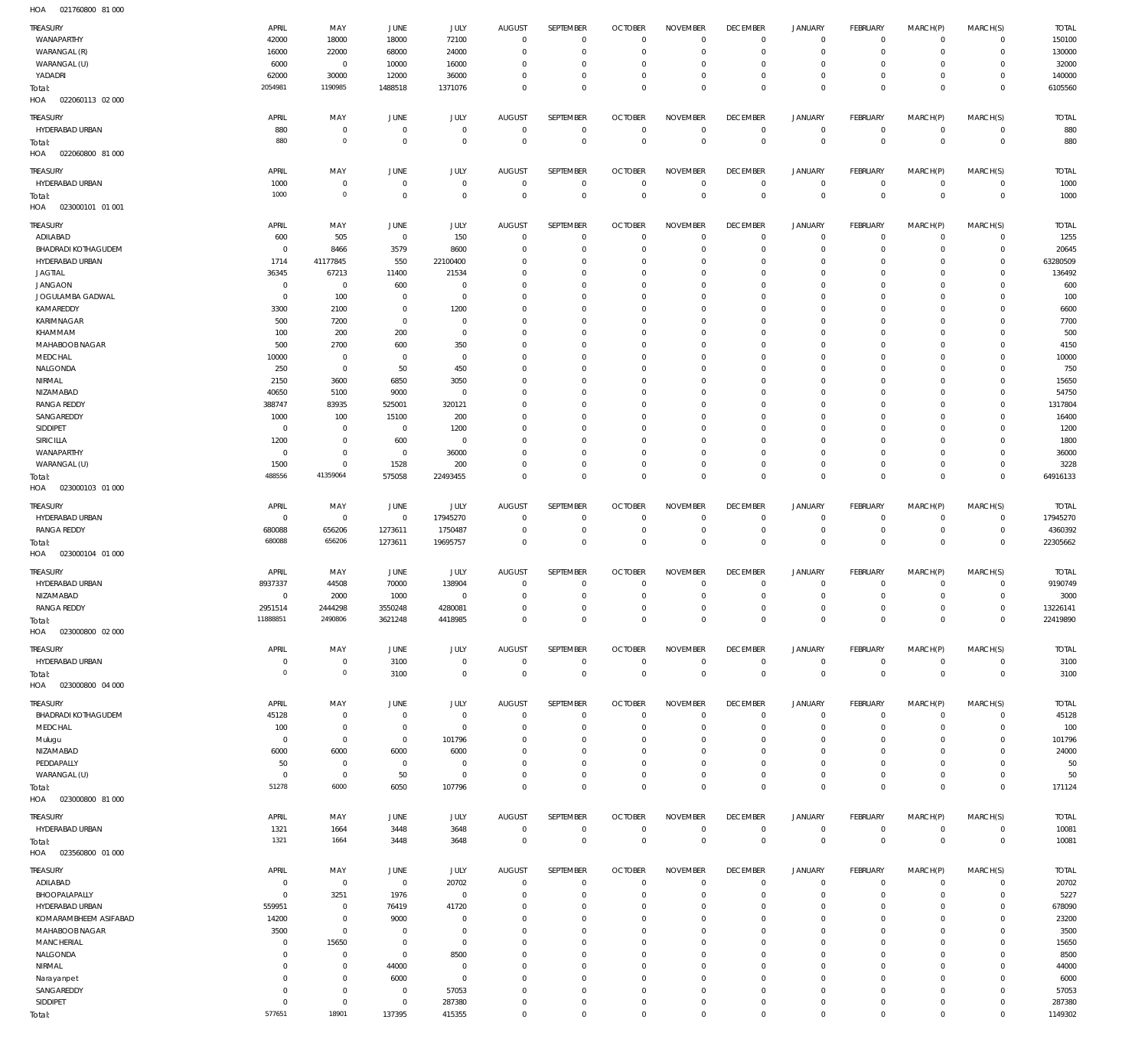021760800 81 000 HOA

| <b>TREASURY</b><br>WANAPARTHY<br>WARANGAL (R) | APRIL<br>42000<br>16000 | MAY<br>18000<br>22000         | <b>JUNE</b><br>18000<br>68000    | JULY<br>72100<br>24000     | <b>AUGUST</b><br>$\overline{0}$<br>$\mathbf 0$ | SEPTEMBER<br>$\mathbf 0$<br>$\mathbf 0$ | <b>OCTOBER</b><br>$\overline{0}$<br>$\overline{0}$ | <b>NOVEMBER</b><br>$\mathbf 0$<br>$\mathbf 0$ | <b>DECEMBER</b><br>$\mathbf 0$<br>$\overline{0}$ | <b>JANUARY</b><br>0<br>$\mathbf 0$ | FEBRUARY<br>$\overline{0}$<br>$\circ$ | MARCH(P)<br>$\mathbf 0$<br>$\mathbf 0$ | MARCH(S)<br>$\circ$<br>$\circ$ | <b>TOTAL</b><br>150100<br>130000 |
|-----------------------------------------------|-------------------------|-------------------------------|----------------------------------|----------------------------|------------------------------------------------|-----------------------------------------|----------------------------------------------------|-----------------------------------------------|--------------------------------------------------|------------------------------------|---------------------------------------|----------------------------------------|--------------------------------|----------------------------------|
| WARANGAL (U)                                  | 6000                    | $\overline{0}$                | 10000                            | 16000                      | $\mathbf 0$                                    | $\mathbf 0$                             | $\overline{0}$                                     | $\mathbf 0$                                   | $\mathbf 0$                                      | 0                                  | $\overline{0}$                        | 0                                      | $\circ$                        | 32000                            |
| YADADRI                                       | 62000                   | 30000                         | 12000                            | 36000                      | $\mathbf 0$                                    | $\mathbf 0$                             | $\mathbf 0$                                        | $\mathbf 0$                                   | $\mathbf 0$                                      | 0                                  | $\mathbf{0}$                          | 0                                      | $\mathbf{0}$                   | 140000                           |
| Total:                                        | 2054981                 | 1190985                       | 1488518                          | 1371076                    | $\Omega$                                       | $\mathbf 0$                             | $\overline{0}$                                     | $\mathbf 0$                                   | $\overline{0}$                                   | $\mathbf 0$                        | $\overline{0}$                        | $\mathbf 0$                            | $\overline{0}$                 | 6105560                          |
| HOA<br>022060113 02 000                       |                         |                               |                                  |                            |                                                |                                         |                                                    |                                               |                                                  |                                    |                                       |                                        |                                |                                  |
| <b>TREASURY</b>                               | APRIL                   | MAY                           | JUNE                             | JULY                       | <b>AUGUST</b>                                  | SEPTEMBER                               | <b>OCTOBER</b>                                     | <b>NOVEMBER</b>                               | <b>DECEMBER</b>                                  | <b>JANUARY</b>                     | FEBRUARY                              | MARCH(P)                               | MARCH(S)                       | <b>TOTAL</b>                     |
| HYDERABAD URBAN                               | 880                     | $\mathbf 0$                   | $\overline{0}$                   | $\mathbf 0$                | $\mathbf 0$                                    | $\mathbf 0$                             | $\mathbf 0$                                        | $\mathbf 0$                                   | $\overline{0}$                                   | $\mathbf 0$                        | $\circ$                               | $\mathbf 0$                            | $\circ$                        | 880                              |
| Total:                                        | 880                     | $\mathbf 0$                   | $\overline{0}$                   | $\mathbf 0$                | $\overline{0}$                                 | $\mathbb O$                             | $\overline{0}$                                     | $\overline{0}$                                | $\overline{0}$                                   | $\mathbf 0$                        | $\overline{0}$                        | $\mathbf 0$                            | $\overline{0}$                 | 880                              |
| HOA<br>022060800 81 000                       |                         |                               |                                  |                            |                                                |                                         |                                                    |                                               |                                                  |                                    |                                       |                                        |                                |                                  |
| <b>TREASURY</b>                               | APRIL                   | MAY                           | <b>JUNE</b>                      | <b>JULY</b>                | <b>AUGUST</b>                                  | SEPTEMBER                               | <b>OCTOBER</b>                                     | <b>NOVEMBER</b>                               | <b>DECEMBER</b>                                  | <b>JANUARY</b>                     | FEBRUARY                              | MARCH(P)                               | MARCH(S)                       | <b>TOTAL</b>                     |
| HYDERABAD URBAN                               | 1000                    | $\mathbf 0$                   | $\overline{0}$                   | $\mathbf 0$                | $\overline{0}$                                 | $\mathbf 0$                             | $\overline{0}$                                     | $\mathbf 0$                                   | $\overline{0}$                                   | $\circ$                            | $\overline{0}$                        | $\mathbf 0$                            | $\overline{0}$                 | 1000                             |
| Total:                                        | 1000                    | $\mathbf 0$                   | $\overline{0}$                   | $\mathbf 0$                | $\overline{0}$                                 | $\mathbf 0$                             | $\overline{0}$                                     | $\mathbf 0$                                   | $\overline{0}$                                   | $\mathbf 0$                        | $\overline{0}$                        | $\mathbf 0$                            | $\overline{0}$                 | 1000                             |
| HOA<br>023000101 01 001                       |                         |                               |                                  |                            |                                                |                                         |                                                    |                                               |                                                  |                                    |                                       |                                        |                                |                                  |
| TREASURY                                      | APRIL                   | MAY                           | <b>JUNE</b>                      | <b>JULY</b>                | <b>AUGUST</b>                                  | SEPTEMBER                               | <b>OCTOBER</b>                                     | <b>NOVEMBER</b>                               | <b>DECEMBER</b>                                  | <b>JANUARY</b>                     | FEBRUARY                              | MARCH(P)                               | MARCH(S)                       | <b>TOTAL</b>                     |
| ADILABAD                                      | 600                     | 505                           | $\overline{0}$                   | 150                        | $\mathbf 0$                                    | $\mathbf 0$                             | $\overline{0}$                                     | $\mathbf 0$                                   | $\mathbf 0$                                      | $\mathbf 0$                        | $\overline{0}$                        | $\mathbf 0$                            | $\circ$                        | 1255                             |
| <b>BHADRADI KOTHAGUDEM</b><br>HYDERABAD URBAN | $^{\circ}$<br>1714      | 8466<br>41177845              | 3579<br>550                      | 8600<br>22100400           | $\mathbf 0$<br>$\mathbf 0$                     | $\mathbf 0$<br>$\mathbf 0$              | $\mathbf 0$<br>$\mathbf 0$                         | $\mathbf 0$<br>$\mathbf 0$                    | $\mathbf 0$<br>$\mathbf 0$                       | $\mathbf 0$<br>0                   | $\mathbf{0}$<br>$^{\circ}$            | $\mathbf 0$<br>$\Omega$                | $\circ$<br>$\mathbf{0}$        | 20645<br>63280509                |
| JAGTIAL                                       | 36345                   | 67213                         | 11400                            | 21534                      | $\mathbf 0$                                    | $\mathbf 0$                             | $\mathbf 0$                                        | $\mathbf 0$                                   | $\mathbf 0$                                      | 0                                  | $\mathbf 0$                           | $\Omega$                               | $\mathbf 0$                    | 136492                           |
| <b>JANGAON</b>                                | $\mathbf 0$             | $\mathbf 0$                   | 600                              | $\mathbf 0$                | $\mathbf 0$                                    | $\mathbf 0$                             | $\mathbf 0$                                        | $\Omega$                                      | $\mathbf 0$                                      | 0                                  | $\mathbf 0$                           | $\Omega$                               | $\mathbf 0$                    | 600                              |
| JOGULAMBA GADWAL                              | $^{\circ}$              | 100                           | $\overline{0}$                   | $\mathbf 0$                | $\mathbf 0$                                    | $\mathbf 0$                             | $\mathbf 0$                                        | $\mathbf 0$                                   | $\mathbf 0$                                      | $\mathbf 0$                        | $^{\circ}$                            | $\Omega$                               | $\mathbf{0}$                   | 100                              |
| KAMAREDDY                                     | 3300                    | 2100                          | $\overline{0}$                   | 1200                       | $\mathbf 0$                                    | $\mathbf 0$                             | $\mathbf 0$                                        | $\Omega$                                      | $\mathbf 0$                                      | 0                                  | $\mathbf 0$                           | $\Omega$                               | $\mathbf 0$                    | 6600                             |
| KARIMNAGAR                                    | 500                     | 7200                          | $\overline{0}$                   | $\mathbf 0$                | $\mathbf 0$                                    | $\mathbf 0$                             | $\mathbf 0$                                        | $\mathbf 0$                                   | $\mathbf 0$                                      | $\mathbf 0$                        | $^{\circ}$                            | $\Omega$                               | $\mathbf 0$                    | 7700                             |
| KHAMMAM                                       | 100                     | 200                           | 200                              | $\mathbf 0$                | $\mathbf 0$                                    | $\mathbf 0$                             | $\mathbf 0$                                        | $\Omega$                                      | $\mathbf 0$                                      | 0                                  | $\mathbf 0$                           | $\Omega$                               | $\mathbf 0$                    | 500                              |
| MAHABOOB NAGAR                                | 500                     | 2700                          | 600                              | 350                        | $\Omega$                                       | $\mathbf 0$                             | $\mathbf 0$                                        | $\mathbf 0$                                   | $\mathbf 0$                                      | $\mathbf 0$                        | $\mathbf 0$                           | $\Omega$                               | $\mathbf 0$                    | 4150                             |
| MEDCHAL<br>NALGONDA                           | 10000<br>250            | $\overline{0}$<br>$\mathbf 0$ | $\overline{0}$<br>50             | $\mathbf 0$<br>450         | $\mathbf 0$<br>$\Omega$                        | $\mathbf 0$<br>$\mathbf 0$              | $\mathbf 0$<br>$\mathbf 0$                         | $\mathbf 0$<br>$\mathbf 0$                    | $\mathbf 0$<br>$\mathbf 0$                       | 0<br>0                             | $\mathbf 0$<br>$\mathbf 0$            | $\Omega$<br>$\Omega$                   | $\mathbf 0$<br>$\mathbf 0$     | 10000<br>750                     |
| NIRMAL                                        | 2150                    | 3600                          | 6850                             | 3050                       | $\Omega$                                       | $\mathbf 0$                             | $\mathbf 0$                                        | $\Omega$                                      | $\mathbf 0$                                      | 0                                  | $\mathbf 0$                           | $\Omega$                               | $\mathbf 0$                    | 15650                            |
| NIZAMABAD                                     | 40650                   | 5100                          | 9000                             | $\mathbf 0$                | $\mathbf 0$                                    | $\mathbf 0$                             | $\mathbf 0$                                        | $\mathbf 0$                                   | $\mathbf 0$                                      | 0                                  | $\mathbf 0$                           | $\Omega$                               | $\mathbf 0$                    | 54750                            |
| <b>RANGA REDDY</b>                            | 388747                  | 83935                         | 525001                           | 320121                     | $\mathbf 0$                                    | $\mathbf 0$                             | $\mathbf 0$                                        | $\Omega$                                      | $\mathbf 0$                                      | 0                                  | $\mathbf 0$                           | $\Omega$                               | $\mathbf 0$                    | 1317804                          |
| SANGAREDDY                                    | 1000                    | 100                           | 15100                            | 200                        | $\mathbf 0$                                    | $\mathbf 0$                             | $\mathbf 0$                                        | $\mathbf 0$                                   | $\mathbf 0$                                      | $\mathbf 0$                        | $^{\circ}$                            | $\Omega$                               | $\mathbf 0$                    | 16400                            |
| SIDDIPET                                      | $\mathbf 0$             | $\mathbf 0$                   | $\overline{0}$                   | 1200                       | $\mathbf 0$                                    | $\mathbf 0$                             | $\mathbf 0$                                        | $\Omega$                                      | $\mathbf 0$                                      | 0                                  | $\mathbf 0$                           | $\Omega$                               | $\mathbf 0$                    | 1200                             |
| <b>SIRICILLA</b>                              | 1200                    | $\mathbf 0$                   | 600                              | $\mathbf 0$                | $\Omega$                                       | $\mathbf 0$                             | $\mathbf 0$                                        | $\mathbf 0$                                   | $\mathbf 0$                                      | $\mathbf 0$                        | $^{\circ}$                            | $\Omega$                               | $\mathbf{0}$                   | 1800                             |
| WANAPARTHY                                    | $^{\circ}$              | $\mathbf 0$<br>$\mathbf 0$    | $\overline{0}$                   | 36000                      | $\mathbf 0$<br>$\mathbf 0$                     | $\mathbf 0$<br>$\mathbf 0$              | $\mathbf 0$                                        | $\mathbf 0$<br>$\mathbf 0$                    | $\mathbf 0$<br>$\mathbf 0$                       | $\mathbf 0$<br>$\mathbf 0$         | $\mathbf 0$<br>$\mathbf{0}$           | $\Omega$<br>$\mathbf 0$                | $\mathbf 0$<br>$\mathbf{0}$    | 36000                            |
| WARANGAL (U)<br>Total:                        | 1500<br>488556          | 41359064                      | 1528<br>575058                   | 200<br>22493455            | $\mathbf 0$                                    | $\mathbf 0$                             | $\mathbf 0$<br>$\overline{0}$                      | $\mathbf 0$                                   | $\mathbf 0$                                      | $\overline{0}$                     | $\overline{0}$                        | $\mathbf 0$                            | $\overline{0}$                 | 3228<br>64916133                 |
| HOA<br>023000103 01 000                       |                         |                               |                                  |                            |                                                |                                         |                                                    |                                               |                                                  |                                    |                                       |                                        |                                |                                  |
|                                               |                         |                               |                                  |                            |                                                |                                         |                                                    |                                               |                                                  |                                    |                                       |                                        |                                |                                  |
| <b>TREASURY</b><br>HYDERABAD URBAN            | APRIL<br>$\overline{0}$ | MAY<br>$\overline{0}$         | <b>JUNE</b><br>$\overline{0}$    | JULY<br>17945270           | <b>AUGUST</b><br>$\mathbf 0$                   | SEPTEMBER<br>$\mathbf 0$                | <b>OCTOBER</b><br>$\overline{0}$                   | <b>NOVEMBER</b><br>$\mathbf 0$                | <b>DECEMBER</b><br>$\mathbf 0$                   | <b>JANUARY</b><br>$\mathbf 0$      | FEBRUARY<br>$\overline{0}$            | MARCH(P)<br>0                          | MARCH(S)<br>$\circ$            | <b>TOTAL</b><br>17945270         |
| <b>RANGA REDDY</b>                            | 680088                  | 656206                        | 1273611                          | 1750487                    | $\overline{0}$                                 | $\mathbf 0$                             | $\overline{0}$                                     | $\mathbf 0$                                   | $\overline{0}$                                   | $\circ$                            | $\overline{0}$                        | $\circ$                                | $\overline{0}$                 | 4360392                          |
| Total:                                        | 680088                  | 656206                        | 1273611                          | 19695757                   | $\overline{0}$                                 | $\mathbf 0$                             | $\overline{0}$                                     | $\mathbf 0$                                   | $\overline{0}$                                   | $\mathbf 0$                        | $\overline{0}$                        | $\mathbf 0$                            | $\overline{0}$                 | 22305662                         |
| HOA<br>023000104 01 000                       |                         |                               |                                  |                            |                                                |                                         |                                                    |                                               |                                                  |                                    |                                       |                                        |                                |                                  |
| <b>TREASURY</b>                               | APRIL                   | MAY                           | <b>JUNE</b>                      | JULY                       | <b>AUGUST</b>                                  | SEPTEMBER                               | <b>OCTOBER</b>                                     | <b>NOVEMBER</b>                               | <b>DECEMBER</b>                                  | <b>JANUARY</b>                     | FEBRUARY                              | MARCH(P)                               | MARCH(S)                       | <b>TOTAL</b>                     |
| HYDERABAD URBAN                               | 8937337                 | 44508                         | 70000                            | 138904                     | $\mathbf 0$                                    | $\mathbf 0$                             | $\mathbf 0$                                        | $\mathbf 0$                                   | $\mathbf 0$                                      | $\mathbf 0$                        | $^{\circ}$                            | $\mathbf 0$                            | $\mathbf{0}$                   | 9190749                          |
| NIZAMABAD                                     | $\overline{0}$          | 2000                          | 1000                             | $\mathbf 0$                | $\overline{0}$                                 | $\mathbf 0$                             | $\overline{0}$                                     | $\mathbf 0$                                   | $\overline{0}$                                   | $\mathbf{0}$                       | $\overline{0}$                        | $\mathbf 0$                            | $\mathbf{0}$                   | 3000                             |
| <b>RANGA REDDY</b>                            | 2951514                 | 2444298                       | 3550248                          | 4280081                    | $\mathbf 0$                                    | $\mathbf 0$                             | $\mathbf 0$                                        | $\mathbf 0$                                   | $\mathbf 0$                                      | $\mathbf 0$                        | $\mathbf 0$                           | $\mathbf 0$                            | $\circ$                        | 13226141                         |
| Total:                                        | 11888851                | 2490806                       | 3621248                          | 4418985                    | $\overline{0}$                                 | $\mathbf 0$                             | $\overline{0}$                                     | $\mathbf 0$                                   | $\overline{0}$                                   | $\,0\,$                            | $\overline{0}$                        | $\mathbf 0$                            | $\mathbf 0$                    | 22419890                         |
| HOA<br>023000800 02 000                       |                         |                               |                                  |                            |                                                |                                         |                                                    |                                               |                                                  |                                    |                                       |                                        |                                |                                  |
| TREASURY                                      | APRIL                   | MAY                           | JUNE                             | JULY                       | <b>AUGUST</b>                                  | SEPTEMBER                               | <b>OCTOBER</b>                                     | <b>NOVEMBER</b>                               | <b>DECEMBER</b>                                  | <b>JANUARY</b>                     | FEBRUARY                              | MARCH(P)                               | MARCH(S)                       | <b>TOTAL</b>                     |
| HYDERABAD URBAN                               | $\overline{0}$          | $\mathbf 0$                   | 3100                             | $\mathbf 0$                | $\overline{0}$                                 | $\mathbf 0$                             | $\overline{0}$                                     | $\mathbf 0$                                   | $\overline{0}$                                   | $\circ$                            | $\overline{0}$                        | $\mathbf 0$                            | $\overline{0}$                 | 3100                             |
| Total:                                        | $\mathbf 0$             | $\circ$                       | 3100                             | $\mathbf 0$                | $\overline{0}$                                 | $\mathbb O$                             | $\overline{0}$                                     | $\mathbf 0$                                   | $\overline{0}$                                   | $\mathbf 0$                        | $\overline{0}$                        | $\mathbf 0$                            | $\overline{0}$                 | 3100                             |
| HOA<br>023000800 04 000                       |                         |                               |                                  |                            |                                                |                                         |                                                    |                                               |                                                  |                                    |                                       |                                        |                                |                                  |
| <b>TREASURY</b>                               | APRIL                   | MAY                           | JUNE                             | JULY                       | <b>AUGUST</b>                                  | SEPTEMBER                               | <b>OCTOBER</b>                                     | <b>NOVEMBER</b>                               | <b>DECEMBER</b>                                  | <b>JANUARY</b>                     | FEBRUARY                              | MARCH(P)                               | MARCH(S)                       | <b>TOTAL</b>                     |
| <b>BHADRADI KOTHAGUDEM</b>                    | 45128                   | $\mathbf 0$                   | $\overline{0}$                   | $\mathbf 0$                | $\overline{0}$                                 | $\mathbf 0$                             | $\overline{0}$                                     | $\mathbf 0$                                   | $\overline{0}$                                   | $\circ$                            | $\overline{0}$                        | $\mathbf 0$                            | $\overline{0}$                 | 45128                            |
| MEDCHAL                                       | 100<br>$\overline{0}$   | $\mathbf 0$<br>$\mathbf 0$    | $\overline{0}$<br>$\overline{0}$ | $\mathbf 0$<br>101796      | $\mathbf 0$<br>$\mathbf 0$                     | $\mathbf 0$<br>$\mathbf 0$              | $\mathbf 0$<br>$\mathbf 0$                         | $\mathbf 0$<br>$\mathbf 0$                    | $\mathbf 0$<br>$\mathbf 0$                       | $\mathbf 0$<br>$\mathbf 0$         | $\mathbf{0}$<br>$\mathbf{0}$          | $\Omega$<br>$\Omega$                   | $\mathbf{0}$<br>$\mathbf{0}$   | 100<br>101796                    |
| Mulugu<br>NIZAMABAD                           | 6000                    | 6000                          | 6000                             | 6000                       | $^{\circ}$                                     | $\mathbf 0$                             | $\mathbf 0$                                        | $\mathbf 0$                                   | $\mathbf 0$                                      | $\mathbf 0$                        | $\mathbf{0}$                          | $\Omega$                               | $\mathbf{0}$                   | 24000                            |
| PEDDAPALLY                                    | 50                      | $\mathbf 0$                   | $\overline{0}$                   | $\mathbf 0$                | $\mathbf 0$                                    | $\mathbf 0$                             | $\mathbf 0$                                        | $\mathbf 0$                                   | $\mathbf 0$                                      | $\mathbf 0$                        | $\mathbf 0$                           | $\Omega$                               | $\mathbf 0$                    | 50                               |
| WARANGAL (U)                                  | $\overline{0}$          | $\,0\,$                       | 50                               | $\mathbf 0$                | $\mathbf 0$                                    | $\mathbf 0$                             | $\mathbf 0$                                        | $\mathbf 0$                                   | $\overline{0}$                                   | $\mathbf 0$                        | $\mathbf{0}$                          | $\mathbf 0$                            | $\circ$                        | 50                               |
| Total:                                        | 51278                   | 6000                          | 6050                             | 107796                     | $\mathbf 0$                                    | $\mathbf 0$                             | $\overline{0}$                                     | $\mathbf 0$                                   | $\overline{0}$                                   | $\mathbf 0$                        | $\overline{0}$                        | $\mathbf 0$                            | $\mathbf 0$                    | 171124                           |
| HOA  023000800 81 000                         |                         |                               |                                  |                            |                                                |                                         |                                                    |                                               |                                                  |                                    |                                       |                                        |                                |                                  |
| <b>TREASURY</b>                               | APRIL                   | MAY                           | JUNE                             | JULY                       | <b>AUGUST</b>                                  | SEPTEMBER                               | <b>OCTOBER</b>                                     | <b>NOVEMBER</b>                               | <b>DECEMBER</b>                                  | <b>JANUARY</b>                     | FEBRUARY                              | MARCH(P)                               | MARCH(S)                       | <b>TOTAL</b>                     |
| HYDERABAD URBAN                               | 1321                    | 1664                          | 3448                             | 3648                       | $\overline{0}$                                 | $\overline{0}$                          | $\overline{0}$                                     | $\mathbf 0$                                   | $\overline{0}$                                   | $\overline{0}$                     | $\overline{0}$                        | $\circ$                                | $\overline{0}$                 | 10081                            |
| Total:                                        | 1321                    | 1664                          | 3448                             | 3648                       | $\overline{0}$                                 | $\mathbf 0$                             | $\overline{0}$                                     | $\mathbf 0$                                   | $\overline{0}$                                   | $\mathbf 0$                        | $\overline{0}$                        | $\mathbf 0$                            | $\overline{0}$                 | 10081                            |
| HOA<br>023560800 01 000                       |                         |                               |                                  |                            |                                                |                                         |                                                    |                                               |                                                  |                                    |                                       |                                        |                                |                                  |
| <b>TREASURY</b>                               | APRIL                   | MAY                           | JUNE                             | JULY                       | AUGUST                                         | SEPTEMBER                               | <b>OCTOBER</b>                                     | <b>NOVEMBER</b>                               | <b>DECEMBER</b>                                  | <b>JANUARY</b>                     | FEBRUARY                              | MARCH(P)                               | MARCH(S)                       | <b>TOTAL</b>                     |
| ADILABAD                                      | $\overline{0}$          | $\mathbf 0$                   | $\overline{0}$                   | 20702                      | $\mathbf 0$                                    | $\mathbf 0$                             | $\overline{0}$                                     | $\mathbf 0$                                   | $\mathbf 0$                                      | $\mathbf 0$                        | $\mathbf{0}$                          | $\mathbf 0$                            | $\circ$                        | 20702                            |
| BHOOPALAPALLY                                 | $\overline{0}$          | 3251                          | 1976                             | $\mathbf 0$                | $\mathbf 0$                                    | $\mathbf 0$                             | $\overline{0}$                                     | $\mathbf 0$                                   | $\mathbf 0$                                      | $\mathbf 0$                        | $\overline{0}$                        | $\mathbf 0$                            | $\mathbf{0}$                   | 5227                             |
| HYDERABAD URBAN                               | 559951                  | $\mathbf 0$                   | 76419                            | 41720                      | $\mathbf 0$                                    | $\mathbf 0$                             | $\mathbf 0$                                        | $\mathbf 0$                                   | $\mathbf 0$                                      | 0                                  | $\mathbf{0}$                          | $\Omega$                               | $\mathbf 0$                    | 678090                           |
| KOMARAMBHEEM ASIFABAD<br>MAHABOOB NAGAR       | 14200<br>3500           | $\mathbf 0$<br>$\mathbf 0$    | 9000<br>$\overline{0}$           | $\mathbf 0$<br>$\mathbf 0$ | $\mathbf 0$<br>$\mathbf 0$                     | $\mathbf 0$<br>$\mathbf 0$              | $\mathbf 0$<br>$\mathbf 0$                         | $\mathbf 0$<br>$\mathbf 0$                    | $\mathbf 0$<br>$\mathbf 0$                       | $\mathbf 0$<br>$\mathbf 0$         | $\mathbf{0}$<br>$\mathbf{0}$          | $\Omega$<br>$\Omega$                   | $\mathbf{0}$<br>$\mathbf 0$    | 23200<br>3500                    |
| <b>MANCHERIAL</b>                             | $\mathbf 0$             | 15650                         | $\overline{0}$                   | $\mathbf 0$                | $\Omega$                                       | $\mathbf 0$                             | $\mathbf 0$                                        | $\mathbf 0$                                   | $\mathbf 0$                                      | $\mathbf 0$                        | $\mathbf{0}$                          | $\Omega$                               | $\mathbf{0}$                   | 15650                            |
| NALGONDA                                      | $\mathbf 0$             | $\mathbf 0$                   | $\overline{0}$                   | 8500                       | $\mathbf 0$                                    | $\mathbf 0$                             | $\mathbf 0$                                        | $\mathbf 0$                                   | $\mathbf 0$                                      | $\mathbf 0$                        | $\mathbf{0}$                          | $\Omega$                               | $\mathbf 0$                    | 8500                             |
| NIRMAL                                        | $\mathbf 0$             | $\mathbf 0$                   | 44000                            | $\mathbf 0$                | $\Omega$                                       | $\mathbf 0$                             | $\mathbf 0$                                        | $\mathbf 0$                                   | $\mathbf 0$                                      | $\mathbf 0$                        | $\mathbf 0$                           | $\Omega$                               | $\mathbf 0$                    | 44000                            |
| Narayanpet                                    | $\mathbf 0$             | $\bf 0$                       | 6000                             | $\mathbf 0$                | $\Omega$                                       | $\mathbf 0$                             | $\mathbf 0$                                        | $\Omega$                                      | $\mathbf 0$                                      | $\mathbf 0$                        | $\mathbf{0}$                          | $\Omega$                               | $\mathbf{0}$                   | 6000                             |
| SANGAREDDY                                    | $\mathbf 0$             | $\bf 0$                       | $\overline{0}$                   | 57053                      | $\mathbf 0$                                    | $\mathbf 0$                             | $\mathbf 0$                                        | $\mathbf 0$                                   | $\mathbf 0$                                      | $\mathbf 0$                        | $\mathbf{0}$                          | 0                                      | $\mathbf{0}$                   | 57053                            |
| SIDDIPET                                      | $\mathbf 0$             | $\mathbf 0$                   | $\overline{0}$                   | 287380                     | $\mathbf 0$                                    | $\mathbf 0$                             | $\mathbf 0$                                        | $\mathbf 0$                                   | $\mathbf 0$                                      | $\mathbf 0$                        | $\circ$                               | $\mathbf 0$                            | $\mathbf 0$                    | 287380                           |
| Total:                                        | 577651                  | 18901                         | 137395                           | 415355                     | $\mathbf 0$                                    | $\mathbf 0$                             | $\mathbf 0$                                        | $\mathbf 0$                                   | $\mathbf 0$                                      | $\mathbf 0$                        | $\mathbf 0$                           | $\mathbf 0$                            | $\mathbf 0$                    | 1149302                          |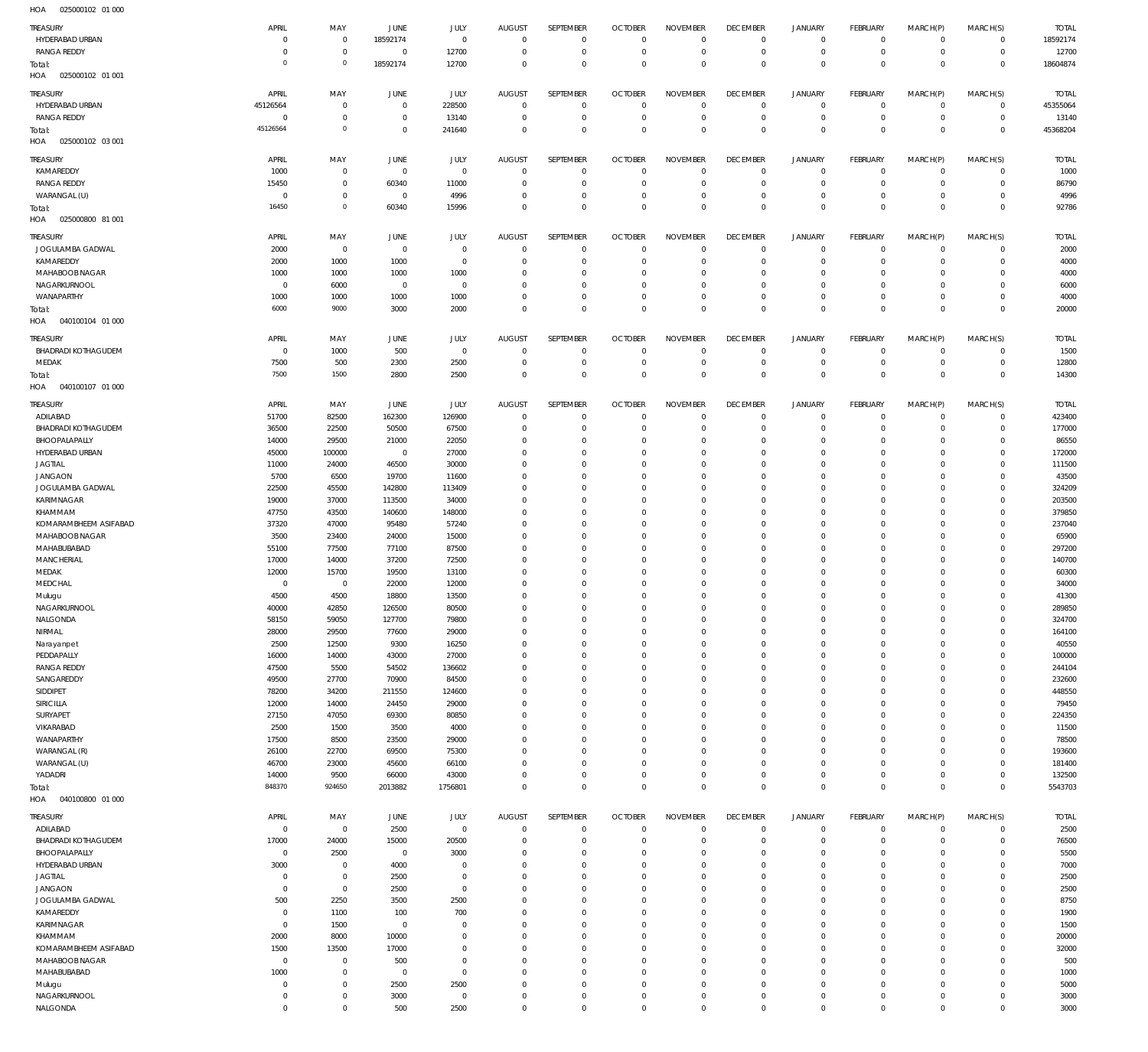| TREASURY                          | APRIL                      | MAY                        | JUNE                | JULY                | <b>AUGUST</b>              | SEPTEMBER                  | <b>OCTOBER</b>                   | <b>NOVEMBER</b>            | <b>DECEMBER</b>               | <b>JANUARY</b>             | <b>FEBRUARY</b>              | MARCH(P)                | MARCH(S)                    | <b>TOTAL</b>    |
|-----------------------------------|----------------------------|----------------------------|---------------------|---------------------|----------------------------|----------------------------|----------------------------------|----------------------------|-------------------------------|----------------------------|------------------------------|-------------------------|-----------------------------|-----------------|
| HYDERABAD URBAN                   | $^{\circ}$                 | $\mathbf 0$                | 18592174            | $\mathbf 0$         | $\mathbf 0$                | $\mathbf 0$                | $\overline{0}$                   | $\mathbf 0$                | $\overline{0}$                | $\mathbf{0}$               | $\mathbf 0$                  | $\mathbf 0$             | $\mathbf 0$                 | 18592174        |
| <b>RANGA REDDY</b>                | $^{\circ}$                 | $\mathbf 0$                | $\overline{0}$      | 12700               | $\mathbf 0$                | $\mathbf 0$                | $\overline{0}$                   | $\mathbf 0$                | $\overline{0}$                | $\mathbf 0$                | $\mathbf 0$                  | $\mathbf 0$             | $\mathbf 0$                 | 12700           |
| Total:                            | $\overline{0}$             | $\mathbf 0$                | 18592174            | 12700               | $\mathbf 0$                | $\mathbf 0$                | $\overline{0}$                   | $\mathbf 0$                | $\overline{0}$                | $\mathbf 0$                | $\overline{0}$               | $\mathbf 0$             | $\overline{0}$              | 18604874        |
| HOA<br>025000102 01 001           |                            |                            |                     |                     |                            |                            |                                  |                            |                               |                            |                              |                         |                             |                 |
| TREASURY                          | APRIL                      | MAY                        | <b>JUNE</b>         | JULY                | <b>AUGUST</b>              | <b>SEPTEMBER</b>           | <b>OCTOBER</b>                   | <b>NOVEMBER</b>            | <b>DECEMBER</b>               | <b>JANUARY</b>             | <b>FEBRUARY</b>              | MARCH(P)                | MARCH(S)                    | <b>TOTAL</b>    |
| HYDERABAD URBAN                   | 45126564                   | $\mathbf 0$                | $\mathbf 0$         | 228500              | $\mathbf 0$                | $\mathbf 0$                | $\overline{0}$                   | $\mathbf 0$                | $\overline{0}$                | $^{\circ}$                 | $\mathbf 0$                  | $\mathbf 0$             | $\mathbf 0$                 | 45355064        |
| <b>RANGA REDDY</b>                | $^{\circ}$                 | $\mathbf 0$                | $^{\circ}$          | 13140               | $\mathbf 0$                | $\mathbf 0$                | $\overline{0}$                   | $\mathbf 0$                | $\overline{0}$                | $\mathbf{0}$               | $\overline{0}$               | $\mathbf 0$             | $\mathsf 0$                 | 13140           |
| Total:                            | 45126564                   | $\mathbf 0$                | $\mathbf 0$         | 241640              | $\mathbf 0$                | $\overline{0}$             | $\overline{0}$                   | $\mathbf 0$                | $\overline{0}$                | $\mathbf 0$                | $\overline{0}$               | $\mathbf 0$             | $\overline{0}$              | 45368204        |
| 025000102 03 001<br>HOA           |                            |                            |                     |                     |                            |                            |                                  |                            |                               |                            |                              |                         |                             |                 |
|                                   |                            |                            |                     |                     |                            |                            |                                  |                            |                               |                            |                              |                         |                             |                 |
| TREASURY                          | APRIL                      | MAY                        | <b>JUNE</b>         | JULY                | <b>AUGUST</b>              | SEPTEMBER                  | <b>OCTOBER</b>                   | <b>NOVEMBER</b>            | <b>DECEMBER</b>               | <b>JANUARY</b>             | FEBRUARY                     | MARCH(P)                | MARCH(S)                    | <b>TOTAL</b>    |
| KAMAREDDY                         | 1000                       | $\mathbf 0$                | $\mathbf{0}$        | $\mathbf 0$         | $\mathbf 0$                | $\mathbf 0$                | $\overline{0}$                   | $\mathbf 0$                | $\overline{0}$                | $^{\circ}$                 | $\mathbf{0}$                 | $\mathbf 0$             | $\mathbf 0$                 | 1000            |
| <b>RANGA REDDY</b>                | 15450<br>$^{\circ}$        | $\mathbf 0$<br>$\mathbf 0$ | 60340<br>$^{\circ}$ | 11000<br>4996       | $\mathbf 0$<br>$\mathbf 0$ | $\mathbf 0$<br>$\mathbf 0$ | $\overline{0}$<br>$\overline{0}$ | $\mathbf 0$<br>$\mathbf 0$ | $\mathbf 0$<br>$\mathbf 0$    | $\mathbf 0$<br>$\mathbf 0$ | $\mathbf{0}$<br>$\mathbf{0}$ | 0<br>0                  | $\mathbf 0$<br>$\mathbf 0$  | 86790           |
| WARANGAL (U)                      | 16450                      | $\mathbb O$                | 60340               | 15996               | $\mathbf 0$                | $\mathbf 0$                | $\overline{0}$                   | $\mathbf 0$                | $\overline{0}$                | $\overline{0}$             | $\overline{0}$               | $\mathbf 0$             | $\overline{0}$              | 4996<br>92786   |
| Total:<br>HOA<br>025000800 81 001 |                            |                            |                     |                     |                            |                            |                                  |                            |                               |                            |                              |                         |                             |                 |
|                                   |                            |                            |                     |                     |                            |                            |                                  |                            |                               |                            |                              |                         |                             |                 |
| TREASURY                          | APRIL                      | MAY                        | <b>JUNE</b>         | JULY                | <b>AUGUST</b>              | SEPTEMBER                  | <b>OCTOBER</b>                   | <b>NOVEMBER</b>            | <b>DECEMBER</b>               | <b>JANUARY</b>             | <b>FEBRUARY</b>              | MARCH(P)                | MARCH(S)                    | <b>TOTAL</b>    |
| JOGULAMBA GADWAL                  | 2000                       | $\mathbf 0$                | $\mathbf{0}$        | $\mathbf 0$         | $\mathbf 0$                | $\mathbf 0$                | $\overline{0}$                   | $\mathbf 0$                | $\overline{0}$                | $^{\circ}$                 | $\mathbf 0$                  | $\mathbf 0$             | $\mathbf 0$                 | 2000            |
| KAMAREDDY                         | 2000                       | 1000                       | 1000                | $\mathbf 0$         | $\mathbf 0$                | $\mathbf 0$                | $\overline{0}$                   | $\mathbf 0$                | $\overline{0}$                | $\mathbf 0$                | $\mathbf 0$                  | $\mathbf 0$             | $\mathbf 0$                 | 4000            |
| MAHABOOB NAGAR                    | 1000                       | 1000                       | 1000                | 1000                | $\mathbf 0$                | $\mathbf 0$                | $\overline{0}$                   | $\mathbf 0$                | $\mathbf 0$                   | $\mathbf 0$                | $\mathbf{0}$                 | 0                       | $\mathbf 0$                 | 4000            |
| NAGARKURNOOL                      | $^{\circ}$                 | 6000                       | $\overline{0}$      | $\mathbf 0$         | $\mathbf 0$                | $\mathbf 0$                | $\overline{0}$                   | $\mathbf 0$                | $\mathbf 0$                   | 0                          | $\mathbf{0}$                 | 0                       | $\mathbf 0$                 | 6000            |
| WANAPARTHY                        | 1000                       | 1000                       | 1000                | 1000                | $\mathbf 0$                | $\mathbf 0$                | $\overline{0}$                   | $\mathbf 0$                | $\mathbf 0$                   | $\mathbf 0$                | $\mathbf{0}$                 | 0                       | $\mathbf 0$                 | 4000            |
| Total:                            | 6000                       | 9000                       | 3000                | 2000                | $\Omega$                   | $\mathbf 0$                | $\overline{0}$                   | $\Omega$                   | $\overline{0}$                | $\overline{0}$             | $\overline{0}$               | $\Omega$                | $\overline{0}$              | 20000           |
| 040100104 01 000<br>HOA           |                            |                            |                     |                     |                            |                            |                                  |                            |                               |                            |                              |                         |                             |                 |
| TREASURY                          | APRIL                      | MAY                        | <b>JUNE</b>         | JULY                | <b>AUGUST</b>              | SEPTEMBER                  | <b>OCTOBER</b>                   | <b>NOVEMBER</b>            | <b>DECEMBER</b>               | <b>JANUARY</b>             | <b>FEBRUARY</b>              | MARCH(P)                | MARCH(S)                    | <b>TOTAL</b>    |
| <b>BHADRADI KOTHAGUDEM</b>        | $^{\circ}$                 | 1000                       | 500                 | $\mathbf 0$         | $\mathbf 0$                | $\mathbf 0$                | $\overline{0}$                   | $\mathbf 0$                | $\mathbf 0$                   | $^{\circ}$                 | $\circ$                      | $\mathbf 0$             | $\mathbf 0$                 | 1500            |
| MEDAK                             | 7500                       | 500                        | 2300                | 2500                | $\mathbf 0$                | $\mathbf 0$                | $\overline{0}$                   | $\mathbf 0$                | $\overline{0}$                | $\mathbf 0$                | $\mathbf 0$                  | $\mathbf 0$             | $\mathbf 0$                 | 12800           |
| Total:                            | 7500                       | 1500                       | 2800                | 2500                | $\mathbf 0$                | $\mathbf 0$                | $\overline{0}$                   | $\mathbf 0$                | $\overline{0}$                | $\mathbf 0$                | $\overline{0}$               | $\mathbf 0$             | $\overline{0}$              | 14300           |
| HOA<br>040100107 01 000           |                            |                            |                     |                     |                            |                            |                                  |                            |                               |                            |                              |                         |                             |                 |
|                                   |                            |                            |                     |                     |                            |                            |                                  |                            |                               |                            |                              |                         |                             |                 |
| TREASURY                          | APRIL                      | MAY                        | JUNE                | JULY                | <b>AUGUST</b>              | SEPTEMBER                  | <b>OCTOBER</b>                   | <b>NOVEMBER</b>            | <b>DECEMBER</b>               | <b>JANUARY</b>             | <b>FEBRUARY</b>              | MARCH(P)                | MARCH(S)                    | <b>TOTAL</b>    |
| ADILABAD                          | 51700                      | 82500                      | 162300              | 126900              | $\mathbf 0$                | $\mathbf 0$                | $\overline{0}$                   | $\mathbf 0$                | $\overline{0}$                | $\mathbf 0$                | $\mathbf{0}$                 | $\mathbf 0$             | $\mathbf 0$                 | 423400          |
| <b>BHADRADI KOTHAGUDEM</b>        | 36500                      | 22500                      | 50500               | 67500               | $\mathbf 0$                | $\mathbf 0$                | $\overline{0}$                   | $\Omega$                   | $\mathbf 0$                   | $\mathbf 0$                | $\mathbf 0$                  | $\mathbf 0$             | $\mathbf 0$                 | 177000          |
| BHOOPALAPALLY                     | 14000                      | 29500                      | 21000               | 22050               | $\mathbf 0$                | $\mathbf 0$                | $\overline{0}$                   | $\mathbf 0$                | $\mathbf 0$                   | 0                          | $\mathbf{0}$                 | 0                       | $\mathbf 0$                 | 86550           |
| HYDERABAD URBAN                   | 45000                      | 100000                     | $\overline{0}$      | 27000               | $\mathbf 0$                | $\mathbf 0$                | $\overline{0}$                   | $\Omega$                   | $\mathbf 0$                   | 0                          | $\mathbf{0}$                 | $\Omega$                | $\mathbf 0$                 | 172000          |
| <b>JAGTIAL</b>                    | 11000                      | 24000                      | 46500               | 30000               | $\mathbf 0$                | $\mathbf 0$                | $\mathbf 0$                      | $\mathbf 0$                | $\mathbf 0$                   | 0                          | $^{\circ}$                   | 0                       | $\mathbf 0$                 | 111500          |
| <b>JANGAON</b>                    | 5700                       | 6500                       | 19700               | 11600               | $\mathbf 0$                | $\mathbf 0$                | $\overline{0}$                   | $\Omega$                   | $\mathbf 0$                   | 0                          | $\mathbf{0}$                 | $\Omega$                | $\mathbf 0$                 | 43500           |
| JOGULAMBA GADWAL                  | 22500                      | 45500                      | 142800              | 113409              | $\Omega$                   | $\mathbf 0$                | $\overline{0}$                   | $\mathbf 0$                | $\mathbf 0$                   | 0                          | $\mathbf{0}$                 | 0                       | $\mathbf 0$                 | 324209          |
| KARIMNAGAR                        | 19000                      | 37000                      | 113500              | 34000               | $\mathbf 0$                | $\mathbf 0$                | $\overline{0}$                   | $\mathbf 0$                | $\mathbf 0$                   | 0                          | $\mathbf{0}$                 | 0                       | $\mathbf 0$                 | 203500          |
| KHAMMAM                           | 47750                      | 43500                      | 140600              | 148000              | $\mathbf 0$                | $\mathbf 0$                | $\overline{0}$                   | $\mathbf 0$                | $\mathbf 0$                   | 0                          | $\mathbf{0}$                 | 0                       | $\mathbf 0$                 | 379850          |
| KOMARAMBHEEM ASIFABAD             | 37320                      | 47000                      | 95480               | 57240               | $\mathbf 0$                | $\mathbf 0$                | $\overline{0}$                   | $\mathbf 0$                | $\mathbf 0$                   | 0                          | $\mathbf{0}$                 | 0                       | $\mathbf 0$                 | 237040          |
| MAHABOOB NAGAR                    | 3500                       | 23400                      | 24000               | 15000               | $\Omega$                   | $\mathbf 0$                | $\overline{0}$                   | $\mathbf 0$                | $\mathbf 0$                   | 0                          | $\mathbf{0}$                 | 0                       | $\mathbf 0$                 | 65900           |
| MAHABUBABAD                       | 55100                      | 77500                      | 77100               | 87500               | $\mathbf 0$                | $\mathbf 0$                | $\overline{0}$                   | $\mathbf 0$                | $\mathbf 0$                   | 0                          | $\mathbf{0}$                 | 0                       | $\mathbf 0$                 | 297200          |
| <b>MANCHERIAL</b>                 | 17000                      | 14000                      | 37200               | 72500               | $\mathbf 0$                | $\mathbf 0$                | $\mathbf 0$                      | $\mathbf 0$                | $\mathbf 0$                   | 0                          | $\mathbf 0$                  | 0                       | $\mathbf 0$                 | 140700          |
| MEDAK                             | 12000                      | 15700                      | 19500               | 13100               | $\mathbf 0$                | $\mathbf 0$                | $\overline{0}$                   | $\mathbf 0$                | $\mathbf 0$                   | 0                          | $\mathbf{0}$                 | 0                       | $\mathbf 0$                 | 60300           |
| MEDCHAL                           | $^{\circ}$                 | $\mathbf 0$                | 22000               | 12000               | $\Omega$                   | $\mathbf 0$                | $\overline{0}$                   | $\mathbf 0$                | $\mathbf 0$                   | $\mathbf 0$                | $\overline{0}$               | 0                       | $\mathbf 0$                 | 34000           |
| Mulugu<br>NAGARKURNOOL            | 4500<br>40000              | 4500<br>42850              | 18800<br>126500     | 13500<br>80500      | $\mathbf 0$                | $\mathbf 0$<br>$\Omega$    | $\overline{0}$<br>$\Omega$       | $\mathbf 0$<br>$\Omega$    | $\overline{0}$                | $\mathbf 0$<br>$\Omega$    | $\mathbf 0$<br>$\Omega$      | $\mathbf 0$<br>$\Omega$ | $\mathbf 0$<br>$\mathbf{0}$ | 41300<br>289850 |
|                                   |                            |                            |                     |                     | $\mathbf{0}$               | $\mathbf 0$                | $\overline{0}$                   |                            | $\overline{0}$                |                            | $\mathbf{0}$                 |                         | $\mathbf 0$                 |                 |
| NALGONDA<br>NIRMAL                | 58150<br>28000             | 59050                      | 127700              | 79800               | $\mathbf 0$<br>$\mathbf 0$ | $\mathbf 0$                | $\overline{0}$                   | $\mathbf 0$<br>$\mathbf 0$ | 0<br>$\mathbf 0$              | 0<br>0                     | $\mathbf{0}$                 | 0<br>0                  | $\mathbf 0$                 | 324700          |
|                                   | 2500                       | 29500<br>12500             | 77600<br>9300       | 29000<br>16250      | $\mathbf 0$                | $\mathbf 0$                | $\overline{0}$                   | $\mathbf 0$                | $\mathbf 0$                   | 0                          | $\mathbf{0}$                 | $\Omega$                | $\mathbf 0$                 | 164100<br>40550 |
| Narayanpet<br>PEDDAPALLY          | 16000                      | 14000                      | 43000               | 27000               | $\mathbf 0$                | $\mathbf 0$                | $\overline{0}$                   | $\mathbf 0$                | $\mathbf 0$                   | 0                          | $\overline{0}$               | 0                       | $\mathbf 0$                 | 100000          |
| RANGA REDDY                       | 47500                      | 5500                       | 54502               | 136602              | $\mathbf 0$                | $\mathbf 0$                | $\overline{0}$                   | $\mathbf 0$                | $\mathbf 0$                   | 0                          | $^{\circ}$                   | 0                       | $\mathbf 0$                 | 244104          |
| SANGAREDDY                        | 49500                      | 27700                      | 70900               | 84500               | $\mathbf 0$                | $\mathbf 0$                | $\overline{0}$                   | $\mathbf 0$                | $\mathbf 0$                   | 0                          | $^{\circ}$                   | 0                       | $\mathbf 0$                 | 232600          |
| SIDDIPET                          | 78200                      | 34200                      | 211550              | 124600              | $\mathbf 0$                | $\mathbf 0$                | $\overline{0}$                   | $\mathbf 0$                | $\mathbf 0$                   | 0                          | $\mathbf{0}$                 | $\Omega$                | $\mathbf 0$                 | 448550          |
| SIRICILLA                         | 12000                      | 14000                      | 24450               | 29000               | $\Omega$                   | $\mathbf 0$                | $\overline{0}$                   | $\mathbf 0$                | $\mathbf 0$                   | 0                          | $\overline{0}$               | 0                       | $\mathbf 0$                 | 79450           |
| SURYAPET                          | 27150                      | 47050                      | 69300               | 80850               | $\mathbf 0$                | $\mathbf 0$                | $\overline{0}$                   | $\mathbf 0$                | $\mathbf 0$                   | 0                          | $\mathbf{0}$                 | 0                       | $\mathbf 0$                 | 224350          |
| VIKARABAD                         | 2500                       | 1500                       | 3500                | 4000                | $\mathbf 0$                | $\mathbf 0$                | $\mathbf 0$                      | $\mathbf 0$                | $\mathbf 0$                   | 0                          | $^{\circ}$                   | 0                       | $\mathbf 0$                 | 11500           |
| WANAPARTHY                        | 17500                      | 8500                       | 23500               | 29000               | $\mathbf 0$                | $\mathbf 0$                | $\overline{0}$                   | $\mathbf 0$                | $\mathbf 0$                   | 0                          | $\mathbf{0}$                 | 0                       | $\mathbf 0$                 | 78500           |
| WARANGAL (R)                      | 26100                      | 22700                      | 69500               | 75300               | $\mathbf 0$                | $\mathbf 0$                | $\mathbf 0$                      | $\mathbf 0$                | $\mathbf 0$                   | 0                          | $\mathbf 0$                  | 0                       | $\mathbf 0$                 | 193600          |
| WARANGAL (U)                      | 46700                      | 23000                      | 45600               | 66100               | $\mathbf 0$                | $\mathbf 0$                | $\overline{0}$                   | $\mathbf 0$                | $\mathbf 0$                   | 0                          | $\mathbf{0}$                 | 0                       | $\mathbf 0$                 | 181400          |
| YADADRI                           | 14000                      | 9500                       | 66000               | 43000               | $\mathbf 0$                | $\mathbf 0$                | $\overline{0}$                   | $\mathbf 0$                | $\mathbf 0$                   | $\mathbf 0$                | $\mathbf{0}$                 | 0                       | $\mathbf 0$                 | 132500          |
| Total:                            | 848370                     | 924650                     | 2013882             | 1756801             | $\mathbf 0$                | $\mathbf 0$                | $\overline{0}$                   | $\mathbf 0$                | $\overline{0}$                | $\overline{0}$             | $\overline{0}$               | $\mathbf 0$             | $\overline{0}$              | 5543703         |
| 040100800 01 000<br>HOA           |                            |                            |                     |                     |                            |                            |                                  |                            |                               |                            |                              |                         |                             |                 |
|                                   |                            |                            |                     |                     |                            |                            |                                  |                            |                               |                            |                              |                         |                             |                 |
| <b>TREASURY</b>                   | APRIL                      | MAY                        | <b>JUNE</b>         | JULY                | <b>AUGUST</b>              | SEPTEMBER                  | <b>OCTOBER</b>                   | <b>NOVEMBER</b>            | <b>DECEMBER</b>               | <b>JANUARY</b>             | <b>FEBRUARY</b>              | MARCH(P)                | MARCH(S)                    | <b>TOTAL</b>    |
| ADILABAD                          | $\mathbf 0$                | $^{\circ}$                 | 2500                | $\mathbf 0$         | $\mathbf 0$                | $\mathbf 0$                | $\overline{0}$                   | $\mathbf 0$                | $\overline{0}$                | $^{\circ}$                 | $\mathbf 0$                  | $\mathbf 0$             | $\mathbf 0$                 | 2500            |
| <b>BHADRADI KOTHAGUDEM</b>        | 17000                      | 24000                      | 15000               | 20500               | $\mathbf 0$                | $\mathbf 0$                | $\overline{0}$                   | $\mathbf 0$                | $\mathbf 0$                   | $\mathbf 0$                | $\mathbf{0}$                 | 0                       | $\mathbf 0$                 | 76500           |
| BHOOPALAPALLY                     | $\mathbf 0$                | 2500                       | $^{\circ}$          | 3000                | $\mathbf 0$                | $\mathbf 0$                | $\mathbf 0$                      | $\mathbf 0$                | $\mathbf 0$                   | 0                          | $^{\circ}$                   | 0                       | 0                           | 5500            |
| HYDERABAD URBAN                   | 3000                       | $\mathbf 0$                | 4000                | $\mathbf 0$         | $\mathbf 0$                | $\mathbf 0$                | $\mathbf 0$                      | $\Omega$                   | $\mathbf 0$                   | 0                          | $^{\circ}$                   | 0                       | $\mathbf 0$                 | 7000            |
| <b>JAGTIAL</b>                    | $^{\circ}$                 | $\mathbf 0$                | 2500                | $\mathbf 0$         | $\mathbf 0$                | $\mathbf 0$                | $\mathbf 0$                      | $\mathbf 0$                | $\mathbf 0$                   | 0                          | $\mathbf 0$                  | $\Omega$                | $\mathbf 0$                 | 2500            |
| <b>JANGAON</b>                    | $\mathbf 0$                | $\mathbf 0$                | 2500                | $\mathbf 0$         | $\mathbf 0$                | $\mathbf 0$                | $\mathbf 0$                      | $\mathbf 0$                | $\mathbf 0$                   | 0                          | $^{\circ}$                   | $\Omega$                | $\mathbf 0$                 | 2500            |
| JOGULAMBA GADWAL                  | 500                        | 2250                       | 3500                | 2500                | $\mathbf 0$                | $\mathbf 0$                | $\mathbf 0$                      | $\Omega$                   | $\mathbf 0$                   | 0                          | $^{\circ}$                   | 0                       | $\mathbf 0$                 | 8750            |
| KAMAREDDY                         | $^{\circ}$                 | 1100                       | 100                 | 700                 | $\mathbf 0$                | $\mathbf 0$                | $\mathbf 0$                      | $\Omega$                   | $\mathbf 0$                   | 0                          | $\mathbf 0$                  | $\Omega$                | $\mathbf 0$                 | 1900            |
| KARIMNAGAR                        | $^{\circ}$                 | 1500                       | $\overline{0}$      | $\mathbf 0$         | $\mathbf 0$                | $\mathbf 0$                | $\mathbf 0$                      | 0                          | $\mathbf 0$                   | 0                          | $\mathbf 0$                  | 0                       | $\mathbf 0$                 | 1500            |
| KHAMMAM                           | 2000                       | 8000                       | 10000               | $\mathbf 0$         | $\mathbf 0$                | $\mathbf 0$                | $\mathbf 0$                      | $\mathbf 0$                | $\mathbf 0$                   | 0                          | $^{\circ}$                   | $\Omega$                | $\mathbf 0$                 | 20000           |
| KOMARAMBHEEM ASIFABAD             | 1500                       | 13500                      | 17000               | $\mathbf 0$         | $\mathbf 0$                | $\mathbf 0$                | $\mathbf 0$                      | $\mathbf 0$                | $\mathbf 0$                   | 0                          | $\mathbf 0$                  | $\Omega$                | $\mathbf 0$                 | 32000           |
| MAHABOOB NAGAR                    | $^{\circ}$                 | $\mathbf 0$                | 500                 | $\mathbf 0$         | $\mathbf 0$                | $\mathbf 0$                | $\mathbf 0$                      | $\Omega$                   | $\mathbf 0$                   | 0                          | $^{\circ}$                   | 0                       | $\mathbf 0$                 | 500             |
| MAHABUBABAD                       | 1000                       | $\mathbf 0$                | $^{\circ}$          | $\mathbf 0$         | $\mathbf 0$                | $\mathbf 0$                | $\mathbf 0$                      | $\mathbf 0$                | $\mathbf 0$                   | 0                          | $^{\circ}$                   | $\Omega$                | $\mathbf 0$                 | 1000            |
| Mulugu                            | $^{\circ}$                 | $\mathbf 0$                | 2500                | 2500                | $\mathbf 0$                | $\mathbf 0$                | $\mathbf 0$                      | $\mathbf 0$                | $\mathbf 0$                   | 0                          | $^{\circ}$                   | 0                       | $\mathbf 0$                 | 5000            |
|                                   |                            |                            |                     |                     |                            |                            |                                  |                            |                               |                            |                              |                         |                             |                 |
| NAGARKURNOOL<br>NALGONDA          | $\mathbf 0$<br>$\mathbf 0$ | $\mathbf 0$<br>$\mathbf 0$ | 3000<br>500         | $\mathbf 0$<br>2500 | $\mathbf 0$<br>$\mathbf 0$ | $\mathbf 0$<br>$\mathbf 0$ | $\mathbf 0$<br>$\mathbf 0$       | $\mathbf 0$<br>$\mathbf 0$ | $\mathbf 0$<br>$\overline{0}$ | 0<br>$\mathbf 0$           | $\mathbf 0$<br>$\circ$       | 0<br>$\mathbf 0$        | $\mathbf 0$<br>$\mathbf 0$  | 3000<br>3000    |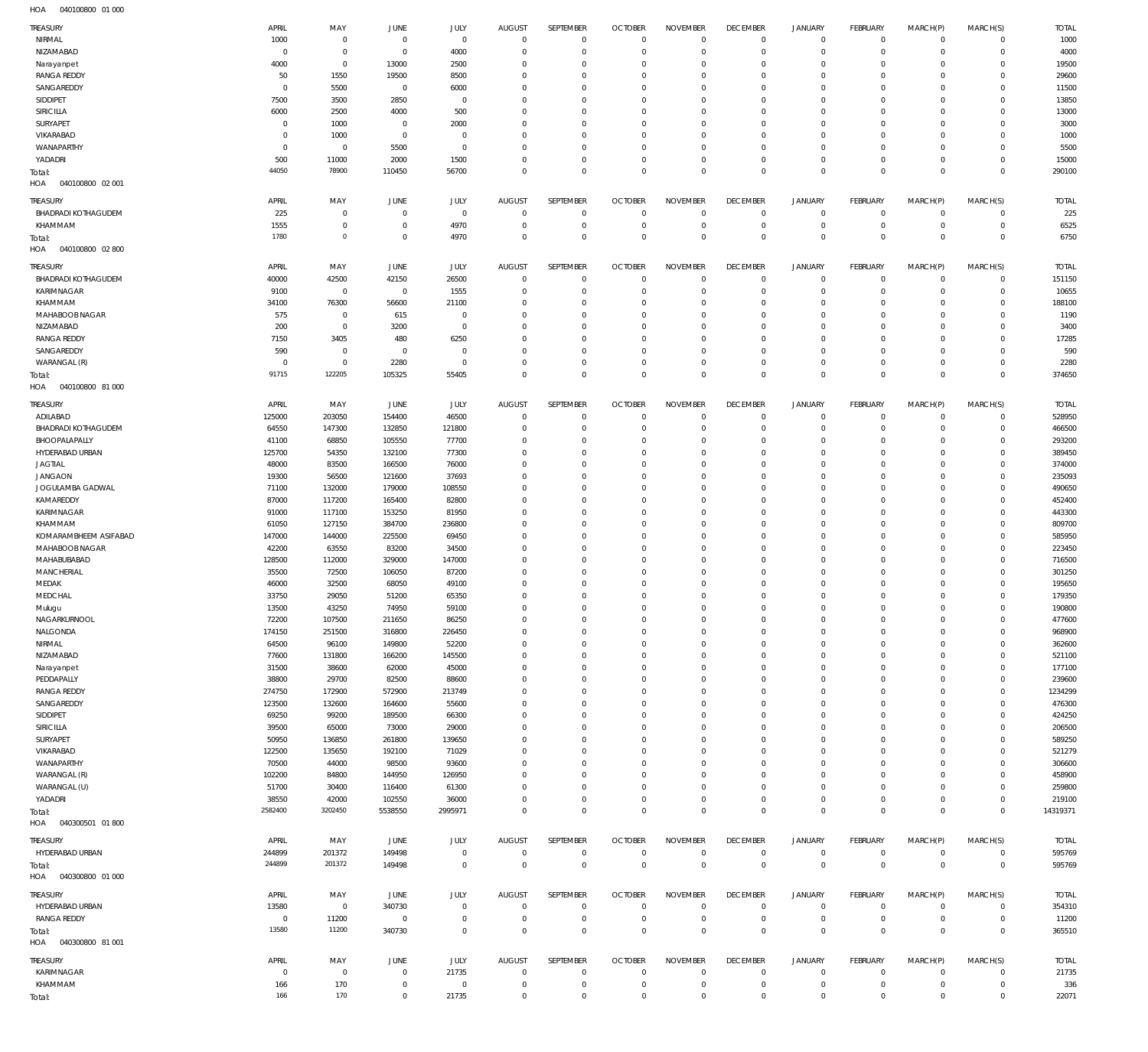| <b>TREASURY</b>                   | APRIL            | MAY         | JUNE         | JULY        | AUGUST         | SEPTEMBER        | <b>OCTOBER</b> | <b>NOVEMBER</b> | <b>DECEMBER</b> | <b>JANUARY</b> | FEBRUARY       | MARCH(P)    | MARCH(S)            | <b>TOTAL</b> |
|-----------------------------------|------------------|-------------|--------------|-------------|----------------|------------------|----------------|-----------------|-----------------|----------------|----------------|-------------|---------------------|--------------|
| NIRMAL                            | 1000             | $\,0\,$     | $\mathbf 0$  | $\mathbf 0$ | $\mathbf{0}$   | $\mathbf 0$      | $\mathbf 0$    | $\mathbb O$     | $\mathbf 0$     | $\mathsf{O}$   | $\circ$        | $\mathbf 0$ | $\mathbf 0$         | 1000         |
| NIZAMABAD                         | $\overline{0}$   | $\,0\,$     | $\mathbf{0}$ | 4000        | $\overline{0}$ | $\mathbf 0$      | $\circ$        | $\mathbf 0$     | $\circ$         | $\mathsf{O}$   | $\mathbf 0$    | $\mathbf 0$ | $\mathbf 0$         | 4000         |
|                                   | 4000             | $\,0\,$     | 13000        | 2500        | $\Omega$       | $\mathbf 0$      | $^{\circ}$     | $\mathbf 0$     | $\mathbf 0$     | $\mathbf 0$    | $^{\circ}$     | $\mathbf 0$ | $\mathbf 0$         | 19500        |
| Narayanpet<br><b>RANGA REDDY</b>  | 50               | 1550        |              | 8500        | $\Omega$       | $\mathbf 0$      | $^{\circ}$     | $\mathbf 0$     | $\mathbf 0$     | $\mathsf{O}$   | $^{\circ}$     | $\mathbf 0$ | $\mathbf 0$         | 29600        |
|                                   |                  |             | 19500        |             |                |                  |                | $\mathbf 0$     |                 | $\mathbf 0$    |                |             |                     |              |
| SANGAREDDY                        | $^{\circ}$       | 5500        | $\mathbf 0$  | 6000        | $\Omega$       | $\mathbf 0$      | $^{\circ}$     |                 | $\mathbf 0$     |                | $^{\circ}$     | $\mathbf 0$ | $^{\circ}$          | 11500        |
| SIDDIPET                          | 7500             | 3500        | 2850         | $\mathbf 0$ | $\Omega$       | $\mathbf 0$      | $^{\circ}$     | $\mathbf 0$     | $\mathbf 0$     | $\mathbf 0$    | $^{\circ}$     | $\mathbf 0$ | $\mathbf 0$         | 13850        |
| SIRICILLA                         | 6000             | 2500        | 4000         | 500         | $\Omega$       | $\mathbf 0$      | $\Omega$       | $\mathbf 0$     | $\mathbf 0$     | $\mathbf 0$    | $^{\circ}$     | $\mathbf 0$ | $\mathbf 0$         | 13000        |
| SURYAPET                          | $^{\circ}$       | 1000        | $\mathbf 0$  | 2000        | $\Omega$       | $\mathbf 0$      | $\Omega$       | $\mathbf 0$     | $\mathbf 0$     | $\mathbf 0$    | $^{\circ}$     | $\mathbf 0$ | $\mathbf 0$         | 3000         |
| VIKARABAD                         | $\Omega$         | 1000        | $\mathbf{0}$ | $\mathbf 0$ | $\Omega$       | $\mathbf 0$      | $^{\circ}$     | $\mathbf 0$     | $\mathbf 0$     | $\mathbf 0$    | $^{\circ}$     | $\mathbf 0$ | $^{\circ}$          | 1000         |
| WANAPARTHY                        | $^{\circ}$       | $\,0\,$     | 5500         | $\mathbf 0$ | $\Omega$       | $\mathbf 0$      | $\Omega$       | $\mathbf 0$     | $\mathbf 0$     | $\mathbf 0$    | $^{\circ}$     | $\mathbf 0$ | $\mathbf 0$         | 5500         |
| YADADRI                           | 500              | 11000       | 2000         | 1500        | $\Omega$       | $\mathbf 0$      | $^{\circ}$     | $\mathbb O$     | $\mathbf 0$     | $\mathsf{O}$   | $\mathbf 0$    | $\mathbf 0$ | $\mathbf 0$         | 15000        |
| Total:                            | 44050            | 78900       | 110450       | 56700       | $\Omega$       | $\mathsf 0$      | $\Omega$       | $\mathbf 0$     | $\mathbf 0$     | $\mathsf 0$    | $\Omega$       | $\mathbf 0$ | $\mathbf 0$         | 290100       |
| HOA<br>040100800 02 001           |                  |             |              |             |                |                  |                |                 |                 |                |                |             |                     |              |
|                                   |                  |             |              |             |                |                  |                |                 |                 |                |                |             |                     |              |
| TREASURY                          | APRIL            | MAY         | JUNE         | JULY        | <b>AUGUST</b>  | <b>SEPTEMBER</b> | <b>OCTOBER</b> | <b>NOVEMBER</b> | <b>DECEMBER</b> | <b>JANUARY</b> | FEBRUARY       | MARCH(P)    | MARCH(S)            | <b>TOTAL</b> |
| <b>BHADRADI KOTHAGUDEM</b>        | 225              | $\,0\,$     | $\mathbf 0$  | $\mathbf 0$ | $^{\circ}$     | 0                | $\mathbf 0$    | $\mathbf 0$     | $\mathbb O$     | 0              | $\overline{0}$ | $^{\circ}$  | $\mathbf 0$         | 225          |
| KHAMMAM                           | 1555             | $\,0\,$     | $^{\circ}$   | 4970        | 0              | $\mathbf 0$      | $^{\circ}$     | $\circ$         | $\mathbf 0$     | $\mathbf 0$    | $\mathbf 0$    | $\mathbf 0$ | $\mathbf 0$         | 6525         |
| Total:                            | 1780             | $\circ$     | $\mathbf 0$  | 4970        | $\Omega$       | $\mathsf 0$      | $\mathbf 0$    | $\mathbf 0$     | $\mathbf 0$     | $\mathbf 0$    | $\mathbf 0$    | $\mathbf 0$ | $\mathbf 0$         | 6750         |
| HOA<br>040100800 02 800           |                  |             |              |             |                |                  |                |                 |                 |                |                |             |                     |              |
|                                   |                  |             |              |             |                |                  |                |                 |                 |                |                |             |                     |              |
| TREASURY                          | APRIL            | MAY         | JUNE         | JULY        | AUGUST         | SEPTEMBER        | <b>OCTOBER</b> | <b>NOVEMBER</b> | <b>DECEMBER</b> | JANUARY        | FEBRUARY       | MARCH(P)    | MARCH(S)            | <b>TOTAL</b> |
| <b>BHADRADI KOTHAGUDEM</b>        | 40000            | 42500       | 42150        | 26500       | $\overline{0}$ | $\mathbf 0$      | $\circ$        | $\mathbf 0$     | $\mathbf 0$     | $\mathbf 0$    | $\mathbf 0$    | $\mathbf 0$ | $\mathbf 0$         | 151150       |
| KARIMNAGAR                        | 9100             | $\,0\,$     | $\mathbf 0$  | 1555        | $\overline{0}$ | $\mathbf 0$      | $^{\circ}$     | $\mathbf 0$     | $\circ$         | $\mathbf 0$    | $^{\circ}$     | $^{\circ}$  | $\mathbf 0$         | 10655        |
| KHAMMAM                           | 34100            | 76300       | 56600        | 21100       | $\Omega$       | $\mathbf 0$      | $^{\circ}$     | $\mathbf 0$     | $\mathbf 0$     | $\mathsf{O}$   | $^{\circ}$     | $\mathbf 0$ | $\mathbf 0$         | 188100       |
| MAHABOOB NAGAR                    | 575              | $\,0\,$     | 615          | $\mathbf 0$ | $\Omega$       | $\mathbf 0$      | $\Omega$       | $\mathbf 0$     | $\mathbf 0$     | $\mathsf{O}$   | $^{\circ}$     | $\mathbf 0$ | $\mathbf 0$         | 1190         |
| NIZAMABAD                         | 200              | $\,0\,$     | 3200         | $\mathbf 0$ | $\Omega$       | $\mathbf 0$      | $^{\circ}$     | $\mathbf 0$     | $\mathbf 0$     | $\mathbf 0$    | $^{\circ}$     | $\mathbf 0$ | $^{\circ}$          | 3400         |
| <b>RANGA REDDY</b>                | 7150             | 3405        | 480          | 6250        | $\Omega$       | $\mathbf 0$      | $\Omega$       | $\mathbf 0$     | $\mathbf 0$     | $\mathbf 0$    | $^{\circ}$     | $\mathbf 0$ | $\mathbf 0$         | 17285        |
| SANGAREDDY                        | 590              | $\,0\,$     | $\mathbf 0$  | $\mathbf 0$ | $\Omega$       | $\mathbf 0$      | $^{\circ}$     | $\mathbf 0$     | $\mathbf 0$     | $\mathbf 0$    | $^{\circ}$     | $\mathbf 0$ | $\mathbf 0$         | 590          |
| WARANGAL (R)                      | $\mathbf 0$      | $\,0\,$     | 2280         | $\mathbf 0$ | $\Omega$       | $\mathbf 0$      | $^{\circ}$     | $\mathbf 0$     | $\mathbf 0$     | $\mathsf{O}$   | $\mathbf 0$    | $\mathbf 0$ | $\mathbf 0$         | 2280         |
|                                   | 91715            | 122205      | 105325       | 55405       | $\Omega$       | $\mathbf 0$      | $\mathbf 0$    | $\mathbf 0$     | $\mathbf 0$     | $\mathsf 0$    | $\mathbf 0$    | $\mathbf 0$ | $\mathbf 0$         | 374650       |
| Total:<br>HOA<br>040100800 81 000 |                  |             |              |             |                |                  |                |                 |                 |                |                |             |                     |              |
|                                   |                  |             |              |             |                |                  |                |                 |                 |                |                |             |                     |              |
| TREASURY                          | APRIL            | MAY         | JUNE         | JULY        | <b>AUGUST</b>  | SEPTEMBER        | <b>OCTOBER</b> | <b>NOVEMBER</b> | <b>DECEMBER</b> | <b>JANUARY</b> | FEBRUARY       | MARCH(P)    | MARCH(S)            | <b>TOTAL</b> |
| ADILABAD                          | 125000           | 203050      | 154400       | 46500       | $\overline{0}$ | $\mathbf{0}$     | $^{\circ}$     | $\mathbf 0$     | $\mathbf 0$     | $\mathbf 0$    | $^{\circ}$     | $^{\circ}$  | $\mathbf 0$         | 528950       |
| BHADRADI KOTHAGUDEM               | 64550            | 147300      | 132850       | 121800      | $\Omega$       | $\mathbf 0$      | $^{\circ}$     | $\mathbf 0$     | $^{\circ}$      | $\mathbf 0$    | $^{\circ}$     | $\mathbf 0$ | $\mathbf 0$         | 466500       |
| BHOOPALAPALLY                     | 41100            | 68850       | 105550       | 77700       | $\Omega$       | $\mathbf{0}$     | $^{\circ}$     | $\mathbf 0$     | $^{\circ}$      | $\mathbf 0$    | $^{\circ}$     | $\Omega$    | $^{\circ}$          | 293200       |
| HYDERABAD URBAN                   | 125700           | 54350       | 132100       | 77300       | $\Omega$       | $\mathbf 0$      | $\Omega$       | $\mathbf 0$     | $^{\circ}$      | $\mathbf 0$    | $\Omega$       | $\Omega$    | $\mathbf 0$         | 389450       |
| <b>JAGTIAL</b>                    | 48000            | 83500       | 166500       | 76000       | $\Omega$       | $\mathbf 0$      | $\Omega$       | $\Omega$        | $^{\circ}$      | $\mathbf 0$    | $^{\circ}$     | $\Omega$    | $\mathbf 0$         | 374000       |
|                                   |                  |             |              |             |                | $\mathbf 0$      | $\Omega$       |                 |                 | $\mathbf 0$    | $\Omega$       | $\Omega$    |                     |              |
| <b>JANGAON</b>                    | 19300            | 56500       | 121600       | 37693       | $\Omega$       |                  |                | $\mathbf 0$     | $^{\circ}$      |                |                |             | $\mathbf 0$         | 235093       |
| JOGULAMBA GADWAL                  | 71100            | 132000      | 179000       | 108550      | $\Omega$       | $\mathbf 0$      | $\Omega$       | $\mathbf 0$     | $^{\circ}$      | $\mathbf 0$    | $\Omega$       | $\Omega$    | $\mathbf 0$         | 490650       |
| KAMAREDDY                         | 87000            | 117200      | 165400       | 82800       | $\Omega$       | $\mathbf 0$      | $^{\circ}$     | $\mathbf 0$     | $^{\circ}$      | $\mathbf 0$    | $^{\circ}$     | $\Omega$    | $\mathbf 0$         | 452400       |
| KARIMNAGAR                        | 91000            | 117100      | 153250       | 81950       | $\Omega$       | $\mathbf 0$      | $\Omega$       | $\Omega$        | $^{\circ}$      | $\mathbf 0$    | $^{\circ}$     | $\Omega$    | $^{\circ}$          | 443300       |
| KHAMMAM                           | 61050            | 127150      | 384700       | 236800      | $\Omega$       | $\mathbf 0$      | $^{\circ}$     | $\mathbf 0$     | $^{\circ}$      | $\mathbf 0$    | $\Omega$       | $\Omega$    | $\mathbf 0$         | 809700       |
| KOMARAMBHEEM ASIFABAD             | 147000           | 144000      | 225500       | 69450       | $\Omega$       | $\mathbf 0$      | $\Omega$       | $\mathbf 0$     | $^{\circ}$      | $\mathbf 0$    | $^{\circ}$     | $\Omega$    | $^{\circ}$          | 585950       |
| MAHABOOB NAGAR                    | 42200            | 63550       | 83200        | 34500       | $\Omega$       | $\mathbf 0$      | $\Omega$       | $\mathbf 0$     | $^{\circ}$      | $\mathbf 0$    | $\Omega$       | $\Omega$    | $\mathbf 0$         | 223450       |
| MAHABUBABAD                       | 128500           | 112000      | 329000       | 147000      | $\Omega$       | $\mathbf 0$      | $\Omega$       | $^{\circ}$      | $^{\circ}$      | $\mathbf 0$    | $^{\circ}$     | $\Omega$    | $^{\circ}$          | 716500       |
| MANCHERIAL                        | 35500            | 72500       | 106050       | 87200       | $\Omega$       | $\mathbf 0$      | $\Omega$       | $\mathbf 0$     | $^{\circ}$      | $\mathbf 0$    | $\Omega$       | $\Omega$    | $\mathbf 0$         | 301250       |
| MEDAK                             | 46000            | 32500       | 68050        | 49100       | $\Omega$       | $\mathbf{0}$     | $^{\circ}$     | $\mathbf 0$     | $^{\circ}$      | $\mathbf 0$    | $^{\circ}$     | $\Omega$    | $\mathbf 0$         | 195650       |
| MEDCHAL                           | 33750            | 29050       | 51200        | 65350       | $\Omega$       | $\mathbf 0$      | $\Omega$       | $\mathbf 0$     | $\Omega$        | $\Omega$       | $\Omega$       | $\Omega$    | $\Omega$            | 179350       |
| Mulugu                            | 13500            | 43250       | 74950        | 59100       | $\mathbf{0}$   | $\mathbf{0}$     | $\Omega$       | $\mathbf{0}$    | $\Omega$        | $\Omega$       | $\Omega$       | $\Omega$    | $\mathbf 0$         | 190800       |
|                                   |                  |             |              |             |                |                  |                |                 |                 |                |                |             |                     |              |
| NAGARKURNOOL                      | 72200            | 107500      | 211650       | 86250       | $\mathbf{0}$   | $\mathbf 0$      | $\mathbf 0$    | $\mathbf 0$     | $\mathbf 0$     | $\mathbf 0$    | $\mathbf 0$    | $\mathbf 0$ | 0                   | 477600       |
| NALGONDA                          | 174150           | 251500      | 316800       | 226450      | $\Omega$       | $\mathbf 0$      | $\mathbf 0$    | $\mathbf 0$     | $\mathbf 0$     | $\mathbf 0$    | $\mathbf 0$    | $\Omega$    | $\mathbf 0$         | 968900       |
| NIRMAL                            | 64500            | 96100       | 149800       | 52200       | $\Omega$       | $\mathbf 0$      | $\mathbf 0$    | $\mathbf 0$     | $\mathbf 0$     | $\mathbf 0$    | $\mathbf 0$    | $\Omega$    | $\mathbf 0$         | 362600       |
| NIZAMABAD                         | 77600            | 131800      | 166200       | 145500      | $\Omega$       | $\mathbf 0$      | $\Omega$       | $\mathbf 0$     | $\mathbf 0$     | $\mathbf 0$    | $^{\circ}$     | $\Omega$    | $\mathbf 0$         | 521100       |
| Narayanpet                        | 31500            | 38600       | 62000        | 45000       | $\Omega$       | $\mathbf 0$      | $\mathbf 0$    | $\mathbf 0$     | $\mathbf 0$     | $\mathbf 0$    | $^{\circ}$     | $\Omega$    | $\mathbf 0$         | 177100       |
| PEDDAPALLY                        | 38800            | 29700       | 82500        | 88600       | $\Omega$       | $\mathbf 0$      | $\Omega$       | $\mathbf 0$     | $\mathbf 0$     | $\mathbf 0$    | $^{\circ}$     | $\Omega$    | $\mathbf 0$         | 239600       |
| <b>RANGA REDDY</b>                | 274750           | 172900      | 572900       | 213749      | $\Omega$       | $\mathbf 0$      | $\mathbf 0$    | $\mathbf 0$     | $\mathbf 0$     | $\mathbf 0$    | $\mathbf 0$    | $\Omega$    | $\mathbf 0$         | 1234299      |
| SANGAREDDY                        | 123500           | 132600      | 164600       | 55600       | $\Omega$       | $\mathbf 0$      | $\mathbf 0$    | $\mathbf 0$     | $\mathbf 0$     | $\mathbf 0$    | $^{\circ}$     | $\Omega$    | $\mathbf 0$         | 476300       |
| SIDDIPET                          | 69250            | 99200       | 189500       | 66300       | $\Omega$       | $\mathbf 0$      | $\mathbf 0$    | $\mathbf 0$     | $\mathbf 0$     | $\mathbf 0$    | $\Omega$       | $\Omega$    | $\mathbf 0$         | 424250       |
| SIRICILLA                         | 39500            | 65000       | 73000        | 29000       | $\Omega$       | $\mathbf 0$      | $^{\circ}$     | $\mathbf 0$     | $\mathbf 0$     | $\mathbf 0$    | $^{\circ}$     | $\Omega$    | $\mathbf 0$         | 206500       |
| SURYAPET                          | 50950            | 136850      | 261800       | 139650      | $\Omega$       | $\mathbf 0$      | $\mathbf 0$    | $\mathbf 0$     | $\mathbf 0$     | $\mathbf 0$    | $^{\circ}$     | $\Omega$    | $\mathbf 0$         | 589250       |
| VIKARABAD                         | 122500           | 135650      | 192100       | 71029       | $\Omega$       | $\mathbf 0$      | $\mathbf 0$    | $\mathbf 0$     | $\mathbf 0$     | $\mathbf 0$    | $^{\circ}$     | $\Omega$    | $\mathbf 0$         | 521279       |
| WANAPARTHY                        | 70500            | 44000       | 98500        | 93600       | $\Omega$       | $\mathbf 0$      | $\mathbf 0$    | $\mathbf 0$     | $\mathbf 0$     | $\mathbf 0$    | $^{\circ}$     | $\Omega$    | $\mathbf 0$         | 306600       |
| WARANGAL (R)                      | 102200           | 84800       | 144950       | 126950      | $\Omega$       | $\mathbf 0$      | $\Omega$       | $\Omega$        | $\mathbf 0$     | $\mathbf 0$    | $^{\circ}$     | $\Omega$    | $\mathbf 0$         | 458900       |
| WARANGAL (U)                      | 51700            | 30400       | 116400       | 61300       | $\Omega$       | $\mathbf 0$      | $\mathbf 0$    | $\mathbf 0$     | $\mathbf 0$     | $\mathbf 0$    | $\mathbf 0$    | $\mathbf 0$ | $\mathbf 0$         | 259800       |
|                                   |                  |             |              |             |                |                  |                |                 |                 |                |                |             |                     |              |
| YADADRI                           | 38550<br>2582400 | 42000       | 102550       | 36000       | $\Omega$       | $\mathbf 0$      | $\mathbf 0$    | $\mathbf 0$     | $\mathbf 0$     | $\mathbf 0$    | $\mathbf 0$    | $\mathbf 0$ | $\mathbf 0$         | 219100       |
| Total:                            |                  | 3202450     | 5538550      | 2995971     | $\mathbf{0}$   | $\mathsf 0$      | $\Omega$       | $\mathbf 0$     | $\mathbf 0$     | $\mathsf 0$    | $\Omega$       | $\mathbf 0$ | $\mathbf 0$         | 14319371     |
| HOA<br>040300501 01800            |                  |             |              |             |                |                  |                |                 |                 |                |                |             |                     |              |
| TREASURY                          | APRIL            | MAY         | JUNE         | JULY        | AUGUST         | SEPTEMBER        | <b>OCTOBER</b> | <b>NOVEMBER</b> | <b>DECEMBER</b> | JANUARY        | FEBRUARY       | MARCH(P)    | MARCH(S)            | <b>TOTAL</b> |
| HYDERABAD URBAN                   | 244899           | 201372      | 149498       | $\mathbf 0$ | $\overline{0}$ | $\mathbf 0$      | $\mathbf 0$    | $\mathbb O$     | $\mathbf 0$     | $\mathsf{O}$   | $\circ$        | $\mathbf 0$ | $\mathbf 0$         | 595769       |
|                                   | 244899           | 201372      | 149498       | $\mathbf 0$ | $\mathbf{0}$   | $\mathsf 0$      | $\mathbf 0$    | $\mathsf 0$     | $\mathbf 0$     | $\mathsf 0$    | $\overline{0}$ | $\mathbf 0$ | $\mathbb O$         | 595769       |
| Total:<br>HOA<br>040300800 01 000 |                  |             |              |             |                |                  |                |                 |                 |                |                |             |                     |              |
|                                   |                  |             |              |             |                |                  |                |                 |                 |                |                |             |                     |              |
| TREASURY                          | APRIL            | MAY         | JUNE         | JULY        | AUGUST         | SEPTEMBER        | <b>OCTOBER</b> | <b>NOVEMBER</b> | <b>DECEMBER</b> | JANUARY        | FEBRUARY       | MARCH(P)    | MARCH(S)            | <b>TOTAL</b> |
| HYDERABAD URBAN                   | 13580            | $\mathbb O$ | 340730       | $^{\circ}$  | $^{\circ}$     | 0                | $\mathbf 0$    | $\mathbf 0$     | $\mathbb O$     | $\mathbf 0$    | $\overline{0}$ | $^{\circ}$  | $\mathbf 0$         | 354310       |
| <b>RANGA REDDY</b>                | $\mathbb O$      | 11200       | $\mathbf 0$  | $\mathbf 0$ | $^{\circ}$     | $\mathbf 0$      | $\mathbf 0$    | $\mathbf 0$     | $\mathbf 0$     | $\mathsf{O}$   | $\mathbf{0}$   | $\mathbf 0$ | $\mathsf{O}\xspace$ | 11200        |
| Total:                            | 13580            | 11200       | 340730       | $\mathbf 0$ | $\mathbf{0}$   | $\mathsf 0$      | $\mathbf 0$    | $\mathbf 0$     | $\mathbf 0$     | $\mathsf 0$    | $\mathbf 0$    | $\mathbf 0$ | $\mathbf 0$         | 365510       |
| HOA<br>040300800 81 001           |                  |             |              |             |                |                  |                |                 |                 |                |                |             |                     |              |
|                                   |                  |             |              |             |                |                  |                |                 |                 |                |                |             |                     |              |
| TREASURY                          | APRIL            | MAY         | JUNE         | JULY        | AUGUST         | SEPTEMBER        | <b>OCTOBER</b> | <b>NOVEMBER</b> | <b>DECEMBER</b> | JANUARY        | FEBRUARY       | MARCH(P)    | MARCH(S)            | <b>TOTAL</b> |
| KARIMNAGAR                        | $\mathbf 0$      | $\mathbb O$ | $\mathbf 0$  | 21735       | $\mathbf 0$    | $\mathbf 0$      | $\mathbf 0$    | $\mathbb O$     | $\mathbb O$     | $\mathsf{O}$   | $\circ$        | $\mathbf 0$ | $\mathbf 0$         | 21735        |
| KHAMMAM                           | 166              | 170         | $\mathbf 0$  | $\mathbf 0$ | $\mathbf 0$    | $\mathbf 0$      | $\mathbf 0$    | $\mathbb O$     | $\mathbf 0$     | $\mathsf{O}$   | $\mathbf 0$    | 0           | $\mathbf 0$         | 336          |
|                                   | 166              | 170         | $\mathbf 0$  | 21735       | $\mathbf 0$    | $\mathsf 0$      | $\mathbb O$    | $\mathsf 0$     | $\mathbb O$     | $\mathsf 0$    | $\mathbb O$    | $\mathbf 0$ | $\mathbb O$         | 22071        |
| Total:                            |                  |             |              |             |                |                  |                |                 |                 |                |                |             |                     |              |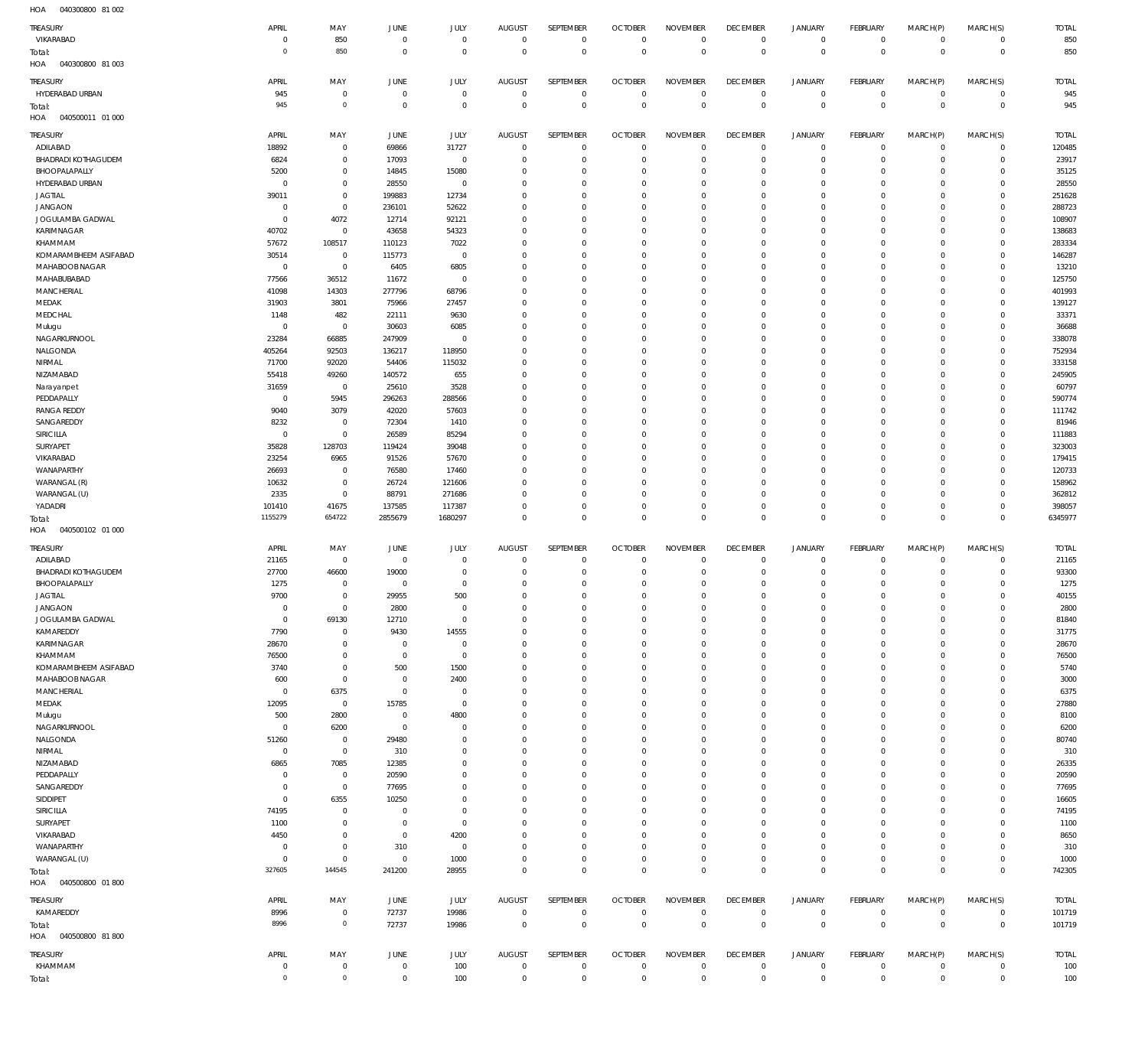040300800 81 002 HOA

| TREASURY                                | APRIL                         | MAY                                | JUNE                    | JULY                       | <b>AUGUST</b>                 | <b>SEPTEMBER</b>           | <b>OCTOBER</b>                   | <b>NOVEMBER</b>                  | <b>DECEMBER</b>                  | <b>JANUARY</b>                | <b>FEBRUARY</b>               | MARCH(P)             | MARCH(S)                   | <b>TOTAL</b>     |
|-----------------------------------------|-------------------------------|------------------------------------|-------------------------|----------------------------|-------------------------------|----------------------------|----------------------------------|----------------------------------|----------------------------------|-------------------------------|-------------------------------|----------------------|----------------------------|------------------|
| VIKARABAD                               | $\mathbf 0$                   | 850                                | $\overline{0}$          | $\mathbf 0$                | $\overline{0}$                | $\mathbf 0$                | $\overline{0}$                   | $\mathbf 0$                      | $\overline{0}$                   | $\circ$                       | $\overline{0}$                | $\mathbf 0$          | $\mathsf 0$                | 850              |
| Total:<br>040300800 81 003<br>HOA       | $\mathbf 0$                   | 850                                | $\overline{0}$          | $\overline{0}$             | $\overline{0}$                | $\mathbf 0$                | $\overline{0}$                   | $\overline{0}$                   | $\overline{0}$                   | $\overline{0}$                | $\overline{0}$                | $\overline{0}$       | $\mathbb O$                | 850              |
| TREASURY                                | APRIL                         | MAY                                | JUNE                    | <b>JULY</b>                | <b>AUGUST</b>                 | SEPTEMBER                  | <b>OCTOBER</b>                   | <b>NOVEMBER</b>                  | <b>DECEMBER</b>                  | <b>JANUARY</b>                | FEBRUARY                      | MARCH(P)             | MARCH(S)                   | <b>TOTAL</b>     |
| HYDERABAD URBAN                         | 945                           | $\mathbf 0$                        | $\overline{0}$          | $\mathbf 0$                | $\mathbf 0$                   | $\mathbf 0$                | $\overline{0}$                   | $\mathbf 0$                      | $\overline{0}$                   | $\mathbf 0$                   | $\mathbf 0$                   | $\mathbf 0$          | $\mathbf 0$                | 945              |
| Total:                                  | 945                           | $\mathbf 0$                        | $\overline{0}$          | $\mathbf 0$                | $\mathbf 0$                   | $\mathbf 0$                | $\overline{0}$                   | $\overline{0}$                   | $\overline{0}$                   | $\overline{0}$                | $\overline{0}$                | $\mathbf{0}$         | $\mathbb O$                | 945              |
| HOA<br>040500011 01 000                 |                               |                                    |                         |                            |                               |                            |                                  |                                  |                                  |                               |                               |                      |                            |                  |
| <b>TREASURY</b>                         | APRIL                         | MAY                                | JUNE                    | JULY                       | <b>AUGUST</b>                 | SEPTEMBER                  | <b>OCTOBER</b>                   | <b>NOVEMBER</b>                  | <b>DECEMBER</b>                  | <b>JANUARY</b>                | <b>FEBRUARY</b>               | MARCH(P)             | MARCH(S)                   | <b>TOTAL</b>     |
| ADILABAD                                | 18892                         | $\mathbf 0$                        | 69866                   | 31727                      | $\mathbf 0$                   | $\mathbf 0$                | $\overline{0}$                   | $\mathbf 0$                      | $\overline{0}$                   | $\mathbf 0$                   | $\mathbf 0$                   | 0                    | $\mathsf 0$                | 120485           |
| <b>BHADRADI KOTHAGUDEM</b>              | 6824                          | $\mathbf 0$                        | 17093                   | $\mathbf{0}$               | $\mathbf 0$                   | $\mathbf 0$                | $\overline{0}$                   | $\circ$                          | $\overline{0}$                   | $\mathbf 0$                   | $\mathbf 0$                   | 0                    | $\mathbf 0$                | 23917            |
| BHOOPALAPALLY<br>HYDERABAD URBAN        | 5200<br>$\mathbf 0$           | $\mathbf 0$<br>$\mathbf 0$         | 14845<br>28550          | 15080<br>$\overline{0}$    | $\mathbf 0$<br>$\mathbf 0$    | $\mathbf 0$<br>$\mathbf 0$ | $\mathbf 0$<br>$\mathbf 0$       | $\mathbf 0$<br>$\mathbf 0$       | $\mathbf 0$<br>$\mathbf 0$       | 0<br>0                        | $\mathbf 0$<br>$\mathbf 0$    | 0<br>$\Omega$        | $\mathbf 0$<br>$\mathbf 0$ | 35125<br>28550   |
| <b>JAGTIAL</b>                          | 39011                         | $\mathbf 0$                        | 199883                  | 12734                      | $\mathbf 0$                   | $\mathbf 0$                | $\mathbf 0$                      | $\mathbf 0$                      | $\mathbf 0$                      | 0                             | $\mathbf 0$                   | 0                    | $\mathbf 0$                | 251628           |
| <b>JANGAON</b>                          | $\mathbf 0$                   | $\mathbf 0$                        | 236101                  | 52622                      | $\mathbf 0$                   | $\mathbf 0$                | $\mathbf 0$                      | $\mathbf 0$                      | $\mathbf 0$                      | 0                             | $\mathbf 0$                   | $\Omega$             | $\mathbf 0$                | 288723           |
| JOGULAMBA GADWAL                        | $\overline{0}$                | 4072                               | 12714                   | 92121                      | $\mathbf 0$                   | $\mathbf 0$                | $\mathbf 0$                      | $\mathbf 0$                      | $\mathbf 0$                      | 0                             | $\mathbf 0$                   | 0                    | $\mathbf 0$                | 108907           |
| KARIMNAGAR                              | 40702                         | $\mathbf 0$                        | 43658                   | 54323                      | $\mathbf 0$                   | $\mathbf 0$                | $\mathbf 0$                      | $\mathbf 0$                      | $\mathbf 0$                      | 0                             | $\mathbf 0$                   | $\Omega$             | $\mathbf 0$                | 138683           |
| KHAMMAM                                 | 57672                         | 108517                             | 110123                  | 7022                       | $\mathbf 0$                   | $\mathbf 0$                | $\mathbf 0$                      | $\mathbf 0$                      | $\mathbf 0$                      | 0                             | $\mathbf 0$                   | 0                    | $\mathbf 0$                | 283334           |
| KOMARAMBHEEM ASIFABAD<br>MAHABOOB NAGAR | 30514<br>$\overline{0}$       | $^{\circ}$<br>$\overline{0}$       | 115773<br>6405          | $\overline{0}$             | $\mathbf 0$<br>$\mathbf 0$    | $\mathbf 0$<br>$\mathbf 0$ | $\mathbf 0$<br>$\mathbf 0$       | $\mathbf 0$<br>$\mathbf 0$       | $\mathbf 0$<br>$\mathbf 0$       | 0<br>0                        | $\mathbf 0$<br>$\mathbf 0$    | $\Omega$<br>0        | $\mathbf 0$<br>$\mathbf 0$ | 146287<br>13210  |
| MAHABUBABAD                             | 77566                         | 36512                              | 11672                   | 6805<br>$\overline{0}$     | $\mathbf 0$                   | $\mathbf 0$                | $\mathbf 0$                      | $\mathbf 0$                      | $\mathbf 0$                      | 0                             | $\mathbf 0$                   | $\Omega$             | $\mathbf 0$                | 125750           |
| <b>MANCHERIAL</b>                       | 41098                         | 14303                              | 277796                  | 68796                      | $\mathbf 0$                   | $\mathbf 0$                | $\mathbf 0$                      | $\mathbf 0$                      | $\mathbf 0$                      | 0                             | $^{\circ}$                    | 0                    | $\mathbf 0$                | 401993           |
| MEDAK                                   | 31903                         | 3801                               | 75966                   | 27457                      | $\mathbf 0$                   | $\mathbf 0$                | $\mathbf 0$                      | $\mathbf 0$                      | $\mathbf 0$                      | 0                             | $\mathbf 0$                   | $\Omega$             | $\mathbf 0$                | 139127           |
| MEDCHAL                                 | 1148                          | 482                                | 22111                   | 9630                       | $\mathbf 0$                   | $\mathbf 0$                | $\mathbf 0$                      | $\mathbf 0$                      | $\mathbf 0$                      | 0                             | $\mathbf 0$                   | 0                    | $\mathbf 0$                | 33371            |
| Mulugu                                  | $\overline{0}$                | $\mathbf{0}$                       | 30603                   | 6085                       | $\mathbf 0$                   | $\mathbf 0$                | $\mathbf 0$                      | $\mathbf 0$                      | $\mathbf 0$                      | 0                             | $\mathbf 0$                   | $\Omega$             | $\mathbf 0$                | 36688            |
| NAGARKURNOOL                            | 23284                         | 66885                              | 247909                  | $\mathbf 0$                | $\mathbf 0$                   | $\mathbf 0$                | $\mathbf 0$                      | $\mathbf 0$                      | $\mathbf 0$                      | 0                             | $\mathbf 0$                   | 0                    | $\mathbf 0$                | 338078           |
| NALGONDA<br>NIRMAL                      | 405264<br>71700               | 92503<br>92020                     | 136217<br>54406         | 118950<br>115032           | $\mathbf 0$<br>$\mathbf 0$    | $\mathbf 0$<br>$\mathbf 0$ | $\mathbf 0$<br>$\mathbf 0$       | $\mathbf 0$<br>$\mathbf 0$       | $\mathbf 0$<br>$\mathbf 0$       | 0<br>0                        | $\mathbf 0$<br>$\mathbf 0$    | $\Omega$<br>0        | $\mathbf 0$<br>$\mathbf 0$ | 752934<br>333158 |
| NIZAMABAD                               | 55418                         | 49260                              | 140572                  | 655                        | $\mathbf 0$                   | $\mathbf 0$                | $\mathbf 0$                      | $\mathbf 0$                      | $\mathbf 0$                      | 0                             | $\mathbf 0$                   | $\Omega$             | $\mathbf 0$                | 245905           |
| Narayanpet                              | 31659                         | $\overline{0}$                     | 25610                   | 3528                       | $\mathbf 0$                   | $\mathbf 0$                | $\mathbf 0$                      | $\mathbf 0$                      | $\mathbf 0$                      | 0                             | $\mathbf 0$                   | 0                    | $\mathbf 0$                | 60797            |
| PEDDAPALLY                              | $\mathbf 0$                   | 5945                               | 296263                  | 288566                     | $\mathbf 0$                   | $\mathbf 0$                | $\mathbf 0$                      | $\mathbf 0$                      | $\mathbf 0$                      | 0                             | $\mathbf 0$                   | $\Omega$             | $\mathbf 0$                | 590774           |
| <b>RANGA REDDY</b>                      | 9040                          | 3079                               | 42020                   | 57603                      | $\Omega$                      | $\mathbf 0$                | $\mathbf 0$                      | $\mathbf 0$                      | $\mathbf 0$                      | 0                             | $\mathbf 0$                   | 0                    | $\mathbf 0$                | 111742           |
| SANGAREDDY                              | 8232                          | $\mathbf{0}$                       | 72304                   | 1410                       | $\mathbf 0$                   | $\mathbf 0$                | $\mathbf 0$                      | $\mathbf 0$                      | $\mathbf 0$                      | 0                             | $\mathbf 0$                   | $\Omega$             | $\mathbf 0$                | 81946            |
| SIRICILLA                               | $\mathbf 0$                   | $\mathbf 0$                        | 26589                   | 85294                      | $\mathbf 0$                   | $\mathbf 0$                | $\mathbf 0$                      | $\mathbf 0$                      | $\mathbf 0$                      | 0                             | $^{\circ}$                    | 0                    | $\mathbf 0$                | 111883           |
| SURYAPET<br>VIKARABAD                   | 35828                         | 128703                             | 119424                  | 39048                      | $\mathbf 0$<br>$\mathbf 0$    | $\mathbf 0$                | $\mathbf 0$<br>$\mathbf 0$       | $\mathbf 0$                      | $\mathbf 0$<br>$\mathbf 0$       | 0                             | $\mathbf 0$<br>$\mathbf 0$    | $\Omega$             | $\mathbf 0$<br>$\mathbf 0$ | 323003           |
| WANAPARTHY                              | 23254<br>26693                | 6965<br>$\mathbf 0$                | 91526<br>76580          | 57670<br>17460             | $\mathbf 0$                   | $\mathbf 0$<br>$\mathbf 0$ | $\mathbf 0$                      | $\mathbf 0$<br>$\mathbf 0$       | $\mathbf 0$                      | 0<br>0                        | $\mathbf 0$                   | 0<br>$\Omega$        | $\mathbf 0$                | 179415<br>120733 |
| WARANGAL (R)                            | 10632                         | $\mathbf 0$                        | 26724                   | 121606                     | $\mathbf 0$                   | $\mathbf 0$                | $\mathbf 0$                      | $\mathbf 0$                      | $\mathbf 0$                      | 0                             | $\mathbf 0$                   | 0                    | $\mathbf 0$                | 158962           |
| WARANGAL (U)                            | 2335                          | $\mathbf 0$                        | 88791                   | 271686                     | $\mathbf 0$                   | $\mathbf 0$                | $\mathbf 0$                      | $\mathbf 0$                      | $\mathbf 0$                      | 0                             | $\mathbf 0$                   | 0                    | $\mathbf 0$                | 362812           |
|                                         |                               |                                    |                         |                            |                               | $\mathbf 0$                | $\mathbf 0$                      | $\mathbf 0$                      | $\overline{0}$                   | $\mathbf 0$                   | $\mathbf 0$                   | 0                    |                            |                  |
| YADADRI                                 | 101410                        | 41675                              | 137585                  | 117387                     | $\mathbf 0$                   |                            |                                  |                                  |                                  |                               |                               |                      | $\mathbf 0$                | 398057           |
| Total:                                  | 1155279                       | 654722                             | 2855679                 | 1680297                    | $\mathbf 0$                   | $\mathbf 0$                | $\overline{0}$                   | $\mathbf 0$                      | $\overline{0}$                   | $\overline{0}$                | $\overline{0}$                | $\mathbf 0$          | $\overline{0}$             | 6345977          |
| 040500102 01 000<br>HOA                 |                               |                                    |                         |                            |                               |                            |                                  |                                  |                                  |                               |                               |                      |                            |                  |
| TREASURY                                | APRIL                         | MAY                                | JUNE                    | JULY                       | <b>AUGUST</b>                 | SEPTEMBER                  | <b>OCTOBER</b>                   | <b>NOVEMBER</b>                  | <b>DECEMBER</b>                  | <b>JANUARY</b>                | FEBRUARY                      | MARCH(P)             | MARCH(S)                   | <b>TOTAL</b>     |
| ADILABAD                                | 21165                         | $\mathbf 0$                        | $\overline{0}$          | $\mathbf 0$                | $\mathbf 0$                   | $\mathbf 0$                | $^{\circ}$                       | $\mathbf 0$                      | $^{\circ}$                       | $\mathbf 0$                   | $\mathbf 0$                   | 0                    | $\mathbf 0$                | 21165            |
| <b>BHADRADI KOTHAGUDEM</b>              | 27700                         | 46600                              | 19000                   | $\mathbf 0$                | $\mathbf 0$                   | $\mathbf 0$                | $\mathbf 0$                      | $\mathbf 0$                      | $\mathbf 0$                      | 0                             | $\mathbf 0$                   | 0                    | $\mathbf 0$                | 93300            |
| BHOOPALAPALLY                           | 1275                          | $\mathbf 0$                        | $\overline{0}$          | $\mathbf 0$                | $\mathbf 0$                   | $\mathbf 0$                | $\mathbf 0$                      | $\mathbf 0$                      | $\mathbf 0$                      | 0                             | $^{\circ}$                    | 0                    | $\mathbf 0$                | 1275             |
| <b>JAGTIAL</b>                          | 9700<br>$\Omega$              | $\mathbf 0$<br>$\Omega$            | 29955                   | 500<br>$\Omega$            | $\mathbf 0$<br>$\Omega$       | $\mathbf 0$<br>$\Omega$    | $\mathbf 0$<br>$\Omega$          | $\mathbf 0$<br>$\Omega$          | $\mathbf 0$<br>$\Omega$          | 0<br>$\Omega$                 | $\mathbf 0$<br>$\Omega$       | $\Omega$<br>$\Omega$ | $\mathbf 0$<br>$\Omega$    | 40155            |
| <b>JANGAON</b><br>JOGULAMBA GADWAL      | $\mathbf{0}$                  | 69130                              | 2800<br>12710           | $\mathbf 0$                | $^{\circ}$                    | $\mathbf 0$                | $\overline{0}$                   | $\mathbf 0$                      | $^{\circ}$                       | $\mathbf 0$                   | $\mathbf 0$                   | 0                    | $\mathbf 0$                | 2800<br>81840    |
| KAMAREDDY                               | 7790                          | $\mathbf 0$                        | 9430                    | 14555                      | $\mathbf 0$                   | $\mathbf 0$                | $\mathbf 0$                      | $\mathbf 0$                      | $^{\circ}$                       | 0                             | $\mathbf 0$                   | 0                    | $\mathbf 0$                | 31775            |
| KARIMNAGAR                              | 28670                         | $\mathbf 0$                        | $\overline{0}$          | $\mathbf 0$                | $\mathbf 0$                   | $\mathbf 0$                | $\mathbf 0$                      | $\mathbf 0$                      | $^{\circ}$                       | 0                             | $\mathbf 0$                   | 0                    | 0                          | 28670            |
| KHAMMAM                                 | 76500                         | $\mathbf 0$                        | $\overline{0}$          | $\mathbf 0$                | $\mathbf 0$                   | $\mathbf 0$                | $^{\circ}$                       | $\mathbf 0$                      | $^{\circ}$                       | 0                             | $\mathbf 0$                   | 0                    | $\mathbf 0$                | 76500            |
| KOMARAMBHEEM ASIFABAD                   | 3740                          | $\mathbf 0$                        | 500                     | 1500                       | $\Omega$                      | $\mathbf 0$                | $\mathbf 0$                      | $\mathbf 0$                      | $\mathbf 0$                      | 0                             | $^{\circ}$                    | $\Omega$             | $\mathbf 0$                | 5740             |
| MAHABOOB NAGAR                          | 600                           | $\mathbf 0$                        | $\overline{0}$          | 2400                       | $\mathbf 0$                   | $\mathbf 0$                | $\mathbf 0$                      | $\mathbf 0$                      | $\mathbf 0$                      | 0                             | $\mathbf 0$                   | $\Omega$             | 0                          | 3000             |
| MANCHERIAL                              | $\overline{0}$                | 6375<br>$\mathbf 0$                | $\overline{0}$          | $\mathbf 0$<br>$\mathbf 0$ | $\Omega$<br>$\mathbf 0$       | $\mathbf 0$<br>$\mathbf 0$ | $\mathbf 0$<br>$\mathbf 0$       | $\Omega$<br>$\mathbf 0$          | $\mathbf 0$<br>$\mathbf 0$       | 0<br>0                        | $^{\circ}$<br>$\mathbf 0$     | 0<br>$\Omega$        | $\mathbf 0$<br>$\mathbf 0$ | 6375             |
| MEDAK<br>Mulugu                         | 12095<br>500                  | 2800                               | 15785<br>$\overline{0}$ | 4800                       | $\mathbf 0$                   | $\mathbf 0$                | $\mathbf 0$                      | $\mathbf 0$                      | $\mathbf 0$                      | 0                             | $\mathbf 0$                   | $\Omega$             | $\mathbf 0$                | 27880<br>8100    |
| NAGARKURNOOL                            | $\mathbf 0$                   | 6200                               | $\overline{0}$          | $\mathbf 0$                | $\Omega$                      | $\mathbf 0$                | $\mathbf 0$                      | $\mathbf 0$                      | $\mathbf 0$                      | 0                             | $\mathbf 0$                   | $\Omega$             | 0                          | 6200             |
| NALGONDA                                | 51260                         | $\mathbf 0$                        | 29480                   | $\mathbf 0$                | $\mathbf 0$                   | $\mathbf 0$                | $\mathbf 0$                      | $\mathbf 0$                      | $\mathbf 0$                      | 0                             | $\mathbf 0$                   | $\Omega$             | $\mathbf 0$                | 80740            |
| NIRMAL                                  | $\mathbf 0$                   | $\mathbf 0$                        | 310                     | $\Omega$                   | $\Omega$                      | $\mathbf 0$                | $\mathbf 0$                      | $\mathbf 0$                      | $\mathbf 0$                      | 0                             | $\mathbf 0$                   | $\Omega$             | $\mathbf 0$                | 310              |
| NIZAMABAD                               | 6865                          | 7085                               | 12385                   | $\Omega$                   | $\mathbf 0$                   | $\mathbf 0$                | $\mathbf 0$                      | $\mathbf 0$                      | $\mathbf 0$                      | 0                             | $\mathbf 0$                   | $\Omega$             | 0                          | 26335            |
| PEDDAPALLY                              | $\mathbf 0$                   | $\mathbf 0$                        | 20590                   | $\Omega$                   | $\Omega$                      | $\mathbf 0$                | $\mathbf 0$                      | $\mathbf 0$                      | $\mathbf 0$                      | 0                             | $\mathbf 0$                   | $\Omega$             | $\mathbf 0$                | 20590            |
| SANGAREDDY                              | $\mathbf 0$<br>$\mathbf 0$    | $\mathbf 0$                        | 77695                   | $\Omega$<br>0              | $\Omega$<br>$\mathbf 0$       | $\mathbf 0$<br>$\mathbf 0$ | $\mathbf 0$<br>$\mathbf 0$       | $\mathbf 0$<br>$\mathbf 0$       | $\mathbf 0$<br>$\mathbf 0$       | 0<br>0                        | $\mathbf 0$<br>$\mathbf 0$    | $\Omega$<br>$\Omega$ | $\mathbf 0$<br>$\mathbf 0$ | 77695            |
| SIDDIPET<br>SIRICILLA                   | 74195                         | 6355<br>$\mathbf 0$                | 10250<br>$\overline{0}$ | $\Omega$                   | $\Omega$                      | $\mathbf 0$                | $\mathbf 0$                      | $\mathbf 0$                      | $\mathbf 0$                      | 0                             | $^{\circ}$                    | $\Omega$             | $\mathbf 0$                | 16605<br>74195   |
| SURYAPET                                | 1100                          | $\mathbf 0$                        | $\overline{0}$          | $\mathbf 0$                | $\mathbf 0$                   | $\mathbf 0$                | $\mathbf 0$                      | $\mathbf 0$                      | $\mathbf 0$                      | 0                             | $\mathbf 0$                   | 0                    | $\mathbf 0$                | 1100             |
| VIKARABAD                               | 4450                          | $\mathbf 0$                        | $\overline{0}$          | 4200                       | $\Omega$                      | $\mathbf 0$                | $\mathbf 0$                      | $\Omega$                         | $\mathbf 0$                      | 0                             | $^{\circ}$                    | 0                    | $\mathbf 0$                | 8650             |
| WANAPARTHY                              | $\mathbf 0$                   | $\mathbf 0$                        | 310                     | $\mathbf 0$                | $\mathbf 0$                   | $\mathbf 0$                | $\mathbf 0$                      | $\mathbf 0$                      | $\mathbf 0$                      | 0                             | $\mathbf 0$                   | 0                    | $\mathbf 0$                | 310              |
| WARANGAL (U)                            | $\mathbf 0$                   | $\mathbf 0$                        | $\overline{0}$          | 1000                       | $\mathbf 0$                   | $\mathbf 0$                | $\mathbf 0$                      | $\mathbf 0$                      | $\overline{0}$                   | $\mathbf 0$                   | $\mathbf 0$                   | 0                    | $\mathbf 0$                | 1000             |
| Total:<br>040500800 01800               | 327605                        | 144545                             | 241200                  | 28955                      | $\mathbf 0$                   | $\mathbf 0$                | $\overline{0}$                   | $\mathbf 0$                      | $\overline{0}$                   | $\overline{0}$                | $\overline{0}$                | $\mathbf 0$          | $\overline{0}$             | 742305           |
| HOA                                     |                               |                                    |                         |                            |                               |                            |                                  |                                  |                                  |                               |                               |                      |                            |                  |
| <b>TREASURY</b>                         | APRIL                         | MAY                                | JUNE                    | JULY                       | <b>AUGUST</b>                 | SEPTEMBER                  | <b>OCTOBER</b>                   | <b>NOVEMBER</b>                  | <b>DECEMBER</b>                  | <b>JANUARY</b>                | FEBRUARY                      | MARCH(P)             | MARCH(S)                   | <b>TOTAL</b>     |
| KAMAREDDY                               | 8996<br>8996                  | $\mathbf 0$<br>$\mathbf 0$         | 72737<br>72737          | 19986<br>19986             | $\mathbf 0$<br>$\overline{0}$ | $\mathbf 0$<br>$\mathbf 0$ | $\overline{0}$<br>$\overline{0}$ | $\overline{0}$<br>$\overline{0}$ | $\overline{0}$<br>$\overline{0}$ | $\mathbf 0$<br>$\overline{0}$ | $\mathbf 0$<br>$\overline{0}$ | 0<br>$\overline{0}$  | $\mathsf 0$<br>$\mathbb O$ | 101719<br>101719 |
| Total:<br>HOA  040500800  81 800        |                               |                                    |                         |                            |                               |                            |                                  |                                  |                                  |                               |                               |                      |                            |                  |
| <b>TREASURY</b>                         | APRIL                         | MAY                                | JUNE                    | JULY                       | <b>AUGUST</b>                 | SEPTEMBER                  | <b>OCTOBER</b>                   | <b>NOVEMBER</b>                  | <b>DECEMBER</b>                  | <b>JANUARY</b>                | FEBRUARY                      | MARCH(P)             | MARCH(S)                   | <b>TOTAL</b>     |
| KHAMMAM                                 | $\mathbf 0$<br>$\overline{0}$ | $\mathbf 0$<br>$\mathsf{O}\xspace$ | $\overline{0}$          | 100                        | $\mathbf 0$                   | $\mathbf 0$                | $^{\circ}$                       | $\mathbf 0$                      | $\overline{0}$                   | $^{\circ}$                    | $\circ$                       | 0                    | $\mathbf 0$                | 100              |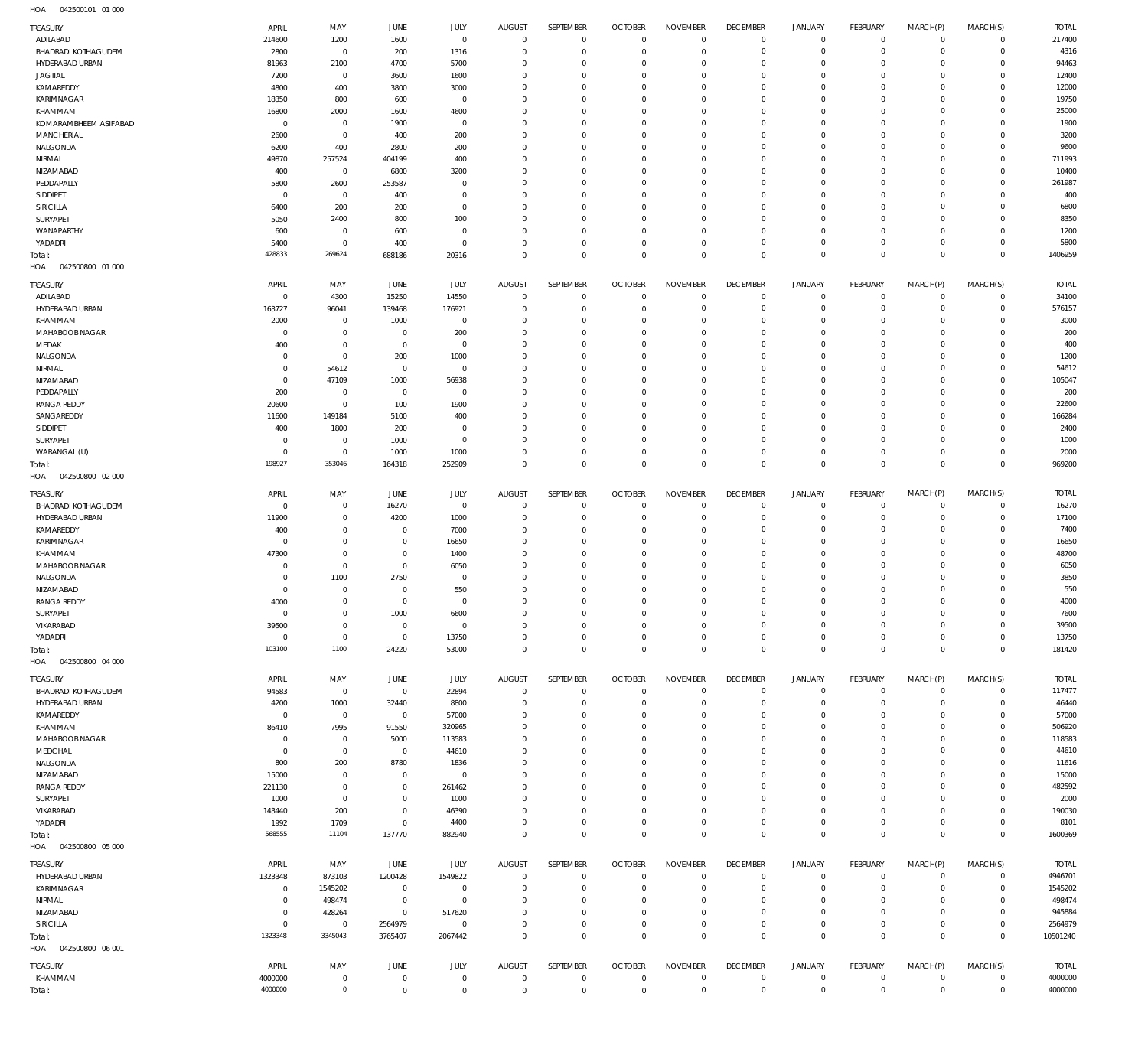| TREASURY                               | APRIL                      | MAY                        | <b>JUNE</b>                | <b>JULY</b>                | <b>AUGUST</b>               | SEPTEMBER                  | <b>OCTOBER</b>           | <b>NOVEMBER</b>            | <b>DECEMBER</b>                   | <b>JANUARY</b>             | <b>FEBRUARY</b>                | MARCH(P)                   | MARCH(S)                   | <b>TOTAL</b>      |
|----------------------------------------|----------------------------|----------------------------|----------------------------|----------------------------|-----------------------------|----------------------------|--------------------------|----------------------------|-----------------------------------|----------------------------|--------------------------------|----------------------------|----------------------------|-------------------|
| ADILABAD                               | 214600                     | 1200                       | 1600                       | $\mathbb O$                | $\mathbf 0$                 | $\mathbb O$                | $\circ$                  | $\circ$                    | $\mathbf 0$                       | $\mathbf 0$                | $\overline{0}$                 | $\mathbf 0$                | $\mathbf 0$                | 217400            |
| BHADRADI KOTHAGUDEM                    | 2800                       | $\mathbb O$                | 200                        | 1316                       | $\mathbf 0$                 | $\mathbb O$                | $^{\circ}$               | $\mathbf 0$                | $\mathbf 0$                       | $\mathsf{O}$               | $\mathbf 0$                    | $\mathbf 0$                | $\mathbf 0$                | 4316              |
| HYDERABAD URBAN                        | 81963                      | 2100                       | 4700                       | 5700                       | 0                           | $\mathbf 0$                | $^{\circ}$               | $\mathbf 0$                | $\overline{0}$                    | $\mathbf 0$                | $\mathbf 0$                    | $^{\circ}$                 | $\mathbf 0$                | 94463             |
| <b>JAGTIAL</b><br>KAMAREDDY            | 7200<br>4800               | $\mathbb O$<br>400         | 3600<br>3800               | 1600<br>3000               | $\Omega$<br>$\mathbf 0$     | $\mathbf 0$<br>$\mathbb O$ | $^{\circ}$<br>$^{\circ}$ | $\mathbf 0$<br>$\mathbf 0$ | $^{\circ}$<br>$^{\circ}$          | $\mathbf 0$<br>$\mathbf 0$ | $^{\circ}$<br>$^{\circ}$       | $^{\circ}$<br>$\mathbf 0$  | $\mathbf 0$<br>$\mathbf 0$ | 12400<br>12000    |
| KARIMNAGAR                             | 18350                      | 800                        | 600                        | $\mathbf 0$                | 0                           | $\mathbf 0$                | $^{\circ}$               | $\mathbf 0$                | $^{\circ}$                        | $\mathbf 0$                | $^{\circ}$                     | $^{\circ}$                 | $\mathbf 0$                | 19750             |
| KHAMMAM                                | 16800                      | 2000                       | 1600                       | 4600                       | $\mathbf 0$                 | $\mathbf 0$                | $^{\circ}$               | $\mathbf 0$                | $^{\circ}$                        | $\mathbf 0$                | $^{\circ}$                     | $^{\circ}$                 | $\mathbf 0$                | 25000             |
| KOMARAMBHEEM ASIFABAD                  | $\mathbf 0$                | $\mathbf 0$                | 1900                       | $\mathbf 0$                | $\mathbf 0$                 | $\mathbf 0$                | $^{\circ}$               | $\mathbf 0$                | $^{\circ}$                        | $\mathbf 0$                | $^{\circ}$                     | $^{\circ}$                 | $\mathbf 0$                | 1900              |
| MANCHERIAL                             | 2600                       | $\mathbf 0$                | 400                        | 200                        | $\mathbf 0$                 | $\mathbf 0$                | $^{\circ}$               | $\mathbf 0$                | $^{\circ}$                        | $\mathbf 0$                | $^{\circ}$                     | $^{\circ}$                 | $\mathbf 0$                | 3200              |
| NALGONDA<br>NIRMAL                     | 6200<br>49870              | 400<br>257524              | 2800<br>404199             | 200<br>400                 | $\mathbf 0$<br>$\mathbf 0$  | $\mathbf 0$<br>$\mathbb O$ | $^{\circ}$<br>$^{\circ}$ | $\mathbf 0$<br>$\mathbf 0$ | $^{\circ}$<br>$^{\circ}$          | $\mathbf 0$<br>$\mathbf 0$ | $^{\circ}$<br>$^{\circ}$       | $\mathbf 0$<br>$^{\circ}$  | $\mathbf 0$<br>$\mathbf 0$ | 9600<br>711993    |
| NIZAMABAD                              | 400                        | $\mathbf 0$                | 6800                       | 3200                       | $\Omega$                    | $\mathbf 0$                | $^{\circ}$               | $\mathbf 0$                | $^{\circ}$                        | $\mathbf 0$                | $^{\circ}$                     | $^{\circ}$                 | $\mathbf 0$                | 10400             |
| PEDDAPALLY                             | 5800                       | 2600                       | 253587                     | $\mathbf 0$                | $\mathbf 0$                 | $\mathbb O$                | $^{\circ}$               | $\mathbf 0$                | $^{\circ}$                        | $\mathbf 0$                | $^{\circ}$                     | $^{\circ}$                 | $\mathsf{O}\xspace$        | 261987            |
| SIDDIPET                               | 0                          | $\mathbb O$                | 400                        | $\mathbb O$                | $^{\circ}$                  | $\mathbf 0$                | $^{\circ}$               | $\mathbf 0$                | $^{\circ}$                        | $\mathbf 0$                | $^{\circ}$                     | $^{\circ}$                 | $\mathbf 0$                | 400               |
| SIRICILLA                              | 6400                       | 200                        | 200                        | $\mathbf 0$                | $\mathbf 0$                 | $\mathbb O$                | $^{\circ}$               | $\mathbf 0$                | $^{\circ}$                        | $\mathbf 0$                | $^{\circ}$                     | $^{\circ}$                 | $\mathbf 0$                | 6800              |
| SURYAPET<br>WANAPARTHY                 | 5050<br>600                | 2400<br>$\mathbb O$        | 800<br>600                 | 100<br>$\mathbf 0$         | $^{\circ}$<br>$\mathbf 0$   | $\mathbf 0$<br>$\mathbf 0$ | $^{\circ}$<br>$^{\circ}$ | $\mathbf 0$<br>$\mathbf 0$ | $^{\circ}$<br>$^{\circ}$          | $\mathbf 0$<br>$\mathbf 0$ | $^{\circ}$<br>$^{\circ}$       | $^{\circ}$<br>$\mathbf 0$  | $\mathbf 0$<br>$\mathbf 0$ | 8350<br>1200      |
| YADADRI                                | 5400                       | $\mathbf 0$                | 400                        | $\mathbb O$                | $\mathbf 0$                 | $\mathbb O$                | 0                        | $\mathbf 0$                | $\mathbf 0$                       | $\mathsf{O}$               | $\mathbf 0$                    | 0                          | 0                          | 5800              |
| Total:                                 | 428833                     | 269624                     | 688186                     | 20316                      | $\mathbf 0$                 | $\mathbf 0$                | $\mathbf 0$              | $\mathbf 0$                | $\mathbf 0$                       | $\mathbf 0$                | $^{\circ}$                     | $\mathbf 0$                | $\mathbf 0$                | 1406959           |
| 042500800 01 000<br>HOA                |                            |                            |                            |                            |                             |                            |                          |                            |                                   |                            |                                |                            |                            |                   |
| TREASURY                               | APRIL                      | MAY                        | JUNE                       | <b>JULY</b>                | <b>AUGUST</b>               | SEPTEMBER                  | <b>OCTOBER</b>           | <b>NOVEMBER</b>            | <b>DECEMBER</b>                   | <b>JANUARY</b>             | <b>FEBRUARY</b>                | MARCH(P)                   | MARCH(S)                   | <b>TOTAL</b>      |
| ADILABAD                               | $\mathbf 0$                | 4300                       | 15250                      | 14550                      | $\mathbf 0$                 | $\mathbf 0$                | $\mathbf 0$              | $\mathbf 0$                | $\mathbf 0$                       | $\mathbf 0$                | $\mathbf 0$                    | $^{\circ}$                 | $\mathbf 0$                | 34100             |
| HYDERABAD URBAN                        | 163727                     | 96041                      | 139468                     | 176921                     | 0                           | $\mathbf 0$                | $^{\circ}$               | $\circ$                    | $^{\circ}$                        | $\mathbf 0$                | $\mathbf 0$                    | $\mathbf 0$                | 0                          | 576157            |
| KHAMMAM<br>MAHABOOB NAGAR              | 2000<br>$\mathbf 0$        | $\mathbf 0$<br>$\mathbb O$ | 1000<br>$\mathbf 0$        | $\mathbf 0$<br>200         | 0<br>0                      | $\mathbf 0$<br>$\mathbf 0$ | $^{\circ}$<br>$^{\circ}$ | $\mathbf 0$<br>$^{\circ}$  | $\mathbf 0$<br>$^{\circ}$         | $\mathbf 0$<br>$\mathbf 0$ | $^{\circ}$<br>$^{\circ}$       | $\Omega$<br>$\Omega$       | 0<br>$\mathbf 0$           | 3000<br>200       |
| MEDAK                                  | 400                        | $\mathbb O$                | $\mathbf 0$                | $^{\circ}$                 | $\Omega$                    | $\mathbf 0$                | $^{\circ}$               | $\mathbf 0$                | $\mathbf 0$                       | $\mathbf 0$                | $^{\circ}$                     | $\Omega$                   | 0                          | 400               |
| NALGONDA                               | 0                          | $\mathbf 0$                | 200                        | 1000                       | 0                           | $\mathbf 0$                | $^{\circ}$               | $\mathbf 0$                | $\mathbf 0$                       | $\mathbf 0$                | $^{\circ}$                     | $\Omega$                   | $\mathbf 0$                | 1200              |
| NIRMAL                                 | 0                          | 54612                      | 0                          | $^{\circ}$                 | $\Omega$                    | $\mathbf 0$                | $^{\circ}$               | $\mathbf 0$                | $\mathbf 0$                       | $\mathbf 0$                | $^{\circ}$                     | $\Omega$                   | 0                          | 54612             |
| NIZAMABAD                              | 0                          | 47109                      | 1000                       | 56938                      | $\Omega$                    | $\mathbf 0$                | $^{\circ}$               | $\Omega$                   | $^{\circ}$                        | $\mathbf 0$                | $^{\circ}$                     | $\Omega$                   | 0                          | 105047            |
| PEDDAPALLY                             | 200                        | $\mathbf 0$                | $\mathbf 0$                | $\mathbf 0$                | 0                           | $\mathbf 0$                | $^{\circ}$               | $\mathbf 0$                | $\mathbf 0$                       | $\mathbf 0$                | $^{\circ}$                     | $\Omega$                   | 0                          | 200               |
| <b>RANGA REDDY</b><br>SANGAREDDY       | 20600<br>11600             | $\mathbb O$<br>149184      | 100<br>5100                | 1900<br>400                | $\Omega$<br>$\mathbf 0$     | $\mathbf 0$<br>$\mathbf 0$ | $^{\circ}$<br>$^{\circ}$ | $^{\circ}$<br>$\mathbf 0$  | 0<br>$\mathbf 0$                  | $^{\circ}$<br>$\mathbf 0$  | $^{\circ}$<br>$^{\circ}$       | $\Omega$<br>$\Omega$       | $\mathbf 0$<br>0           | 22600<br>166284   |
| SIDDIPET                               | 400                        | 1800                       | 200                        | 0                          | $\Omega$                    | $\mathbf 0$                | $^{\circ}$               | $^{\circ}$                 | $^{\circ}$                        | $^{\circ}$                 | $^{\circ}$                     | $\Omega$                   | $\mathbf 0$                | 2400              |
| SURYAPET                               | $\mathbf 0$                | $\mathbf 0$                | 1000                       | $\mathbf 0$                | $\Omega$                    | $\mathbf 0$                | $^{\circ}$               | $\mathbf 0$                | $\mathbf 0$                       | $\mathbf 0$                | $^{\circ}$                     | $\Omega$                   | $\mathbf 0$                | 1000              |
| WARANGAL (U)                           | $\mathbf 0$                | $\mathbf 0$                | 1000                       | 1000                       | $\mathbf 0$                 | $\mathbf 0$                | $^{\circ}$               | $\mathbf 0$                | $\mathbf 0$                       | $\mathbf 0$                | $^{\circ}$                     | $\mathbf 0$                | 0                          | 2000              |
| Total:<br>HOA<br>042500800 02 000      | 198927                     | 353046                     | 164318                     | 252909                     | $\mathbf 0$                 | $\mathbf 0$                | $\mathbf 0$              | $\mathbf 0$                | $\mathbf 0$                       | $\mathbf 0$                | $^{\circ}$                     | $\mathbf 0$                | $\mathbf 0$                | 969200            |
|                                        |                            |                            |                            |                            |                             | SEPTEMBER                  | <b>OCTOBER</b>           |                            |                                   |                            |                                |                            |                            | <b>TOTAL</b>      |
| TREASURY<br><b>BHADRADI KOTHAGUDEM</b> | APRIL<br>$^{\circ}$        | MAY<br>$\mathbf 0$         | JUNE<br>16270              | <b>JULY</b><br>$\mathbf 0$ | <b>AUGUST</b><br>$^{\circ}$ | $\mathbf 0$                | $\circ$                  | <b>NOVEMBER</b><br>$\circ$ | <b>DECEMBER</b><br>$\overline{0}$ | <b>JANUARY</b><br>0        | <b>FEBRUARY</b><br>$\mathbf 0$ | MARCH(P)<br>$\mathbf 0$    | MARCH(S)<br>$\overline{0}$ | 16270             |
| HYDERABAD URBAN                        | 11900                      | $\mathbf 0$                | 4200                       | 1000                       | 0                           | $\mathbb O$                | 0                        | 0                          | $\overline{0}$                    | $\mathbf 0$                | $\mathbf 0$                    | $\mathbf 0$                | $\mathbf 0$                | 17100             |
| KAMAREDDY                              | 400                        | $\mathbf 0$                | $\mathbf 0$                | 7000                       | 0                           | $\mathbb O$                | $^{\circ}$               | $\mathbf 0$                | $^{\circ}$                        | $\mathsf{O}$               | $^{\circ}$                     | $\mathbf 0$                | $\mathbf 0$                | 7400              |
| KARIMNAGAR                             | 0                          | $\mathbf 0$                | $\mathbf 0$                | 16650                      | $\mathbf 0$                 | $\mathbb O$                | $^{\circ}$               | $\mathbf 0$                | $\overline{0}$                    | 0                          | $^{\circ}$                     | $^{\circ}$                 | $\mathbf 0$                | 16650             |
| KHAMMAM                                | 47300                      | $\mathbf 0$                | $\mathbf 0$                | 1400                       | $\Omega$                    | $\mathbf 0$                | $^{\circ}$               | $\mathbf 0$                | $^{\circ}$                        | $\mathbf 0$                | $^{\circ}$                     | $^{\circ}$                 | $\mathbf 0$                | 48700             |
| MAHABOOB NAGAR<br>NALGONDA             | 0<br>0                     | $\mathbf 0$<br>1100        | $\mathbf 0$<br>2750        | 6050<br>$\mathbf 0$        | $\mathbf 0$<br>0            | $\mathbb O$<br>$\mathbb O$ | $^{\circ}$<br>$^{\circ}$ | $\mathbf 0$<br>$\mathbf 0$ | $\mathbf 0$<br>$^{\circ}$         | $\mathbf 0$<br>$\mathbf 0$ | $^{\circ}$<br>$^{\circ}$       | $\mathbf 0$<br>$^{\circ}$  | $\mathbf 0$<br>$\mathbf 0$ | 6050<br>3850      |
| NIZAMABAD                              | $^{\circ}$                 | $\mathbb O$                | $^{\circ}$                 | 550                        | $\mathbf 0$                 | $\mathbb O$                | $^{\circ}$               | $\mathbf 0$                | $^{\circ}$                        | $\mathbf 0$                | $^{\circ}$                     | $\mathbf 0$                | $\mathbf 0$                | 550               |
| <b>RANGA REDDY</b>                     | 4000                       | $\mathbf 0$                | $\mathbf 0$                | $\mathbf 0$                | $\mathbf 0$                 | $\mathbf 0$                | $\mathbf 0$              | $\mathbf 0$                | $\mathbf 0$                       | $\mathbf 0$                | $\mathbf 0$                    | $\mathbf 0$                | $\mathbf 0$                | 4000              |
| SURYAPET                               | 0                          | $\mathbf 0$                | 1000                       | 6600                       | 0                           | 0                          | 0                        | 0                          | 0                                 | 0                          | 0                              | $\Omega$                   | 0                          | 7600              |
| VIKARABAD                              | 39500                      | $\mathbf 0$                | $\,0\,$                    | $\mathbf 0$                | $\mathbf 0$                 | $\mathbf 0$                | $\mathbf 0$              | $\mathbb O$                | $\mathbf 0$                       | $\mathsf{O}$               | $\circ$                        | $\mathbf 0$                | $\mathbf 0$                | 39500             |
| YADADRI                                | $\mathbf 0$                | $\mathbf 0$                | $\,0\,$                    | 13750                      | $\mathbf 0$                 | $\mathbf 0$                | $\mathbf 0$              | $\mathbb O$                | $\mathbf 0$                       | $\mathbf 0$                | $\circ$                        | $\mathsf{O}$               | $\mathbf 0$                | 13750             |
| Total:<br>042500800 04 000<br>HOA      | 103100                     | 1100                       | 24220                      | 53000                      | $\mathbf 0$                 | $\mathbf 0$                | $\mathbf 0$              | $\mathbf 0$                | $\mathbb O$                       | $\mathsf{O}\xspace$        | $\overline{0}$                 | $\mathbf 0$                | $\mathbf 0$                | 181420            |
| TREASURY                               | APRIL                      | MAY                        | JUNE                       | JULY                       | <b>AUGUST</b>               | SEPTEMBER                  | <b>OCTOBER</b>           | <b>NOVEMBER</b>            | <b>DECEMBER</b>                   | <b>JANUARY</b>             | FEBRUARY                       | MARCH(P)                   | MARCH(S)                   | <b>TOTAL</b>      |
| <b>BHADRADI KOTHAGUDEM</b>             | 94583                      | $\mathbf 0$                | $\,0\,$                    | 22894                      | $\mathbf 0$                 | $\mathbb O$                | $\overline{0}$           | $\mathbf 0$                | $\mathbf 0$                       | $\mathbf 0$                | $\mathbf 0$                    | $\mathbf 0$                | $\mathbf 0$                | 117477            |
| HYDERABAD URBAN                        | 4200                       | 1000                       | 32440                      | 8800                       | $\mathbf 0$                 | $\mathbf 0$                | $^{\circ}$               | $\mathbf 0$                | $\mathbf 0$                       | $\mathbf 0$                | $\mathbf 0$                    | $\mathbf 0$                | $\mathbf 0$                | 46440             |
| KAMAREDDY<br>KHAMMAM                   | $\mathbf 0$<br>86410       | $\mathbf 0$<br>7995        | $\overline{0}$<br>91550    | 57000<br>320965            | 0<br>$\Omega$               | $\mathbf 0$<br>$\mathbf 0$ | $^{\circ}$<br>$^{\circ}$ | $\mathbf 0$<br>$\mathbf 0$ | $\mathbf 0$<br>$\mathbf 0$        | $\mathbf 0$<br>$\mathbf 0$ | $^{\circ}$<br>0                | $^{\circ}$<br>$\Omega$     | 0<br>0                     | 57000<br>506920   |
| MAHABOOB NAGAR                         | 0                          | $\mathbf 0$                | 5000                       | 113583                     | $\Omega$                    | $\mathbf 0$                | $^{\circ}$               | $\Omega$                   | $\mathbf 0$                       | $\mathbf 0$                | $^{\circ}$                     | $\Omega$                   | 0                          | 118583            |
| MEDCHAL                                | 0                          | $\mathbf 0$                | $\,0\,$                    | 44610                      | $\Omega$                    | $\mathbf 0$                | $\mathbf 0$              | $\mathbf 0$                | $\mathbf 0$                       | $\mathbf 0$                | $^{\circ}$                     | $\mathbf 0$                | 0                          | 44610             |
| NALGONDA                               | 800                        | 200                        | 8780                       | 1836                       | 0                           | $\mathbf 0$                | $^{\circ}$               | $\mathbf 0$                | $\mathbf 0$                       | $\mathbf 0$                | $^{\circ}$                     | $\Omega$                   | $\mathbf 0$                | 11616             |
| NIZAMABAD                              | 15000                      | 0                          | $\mathbf 0$                | $\mathbf 0$                | $\mathbf 0$                 | $\mathbf 0$                | $\mathbf 0$              | $\mathbf 0$                | $\mathbf 0$                       | $\mathbf 0$                | $^{\circ}$                     | $\Omega$                   | 0                          | 15000             |
| <b>RANGA REDDY</b>                     | 221130                     | $\mathbf 0$                | $\mathbf 0$                | 261462                     | $\Omega$                    | $\mathbf 0$                | 0                        | $\mathbf 0$                | $\mathbf 0$                       | $\mathbf 0$                | $^{\circ}$                     | $\Omega$                   | $\mathbf 0$                | 482592            |
| SURYAPET<br>VIKARABAD                  | 1000<br>143440             | $\mathbf 0$<br>200         | $\mathbf 0$<br>$\mathbf 0$ | 1000<br>46390              | $\Omega$<br>0               | $\mathbf 0$<br>$\mathbf 0$ | $\mathbf 0$<br>0         | $\mathbf 0$<br>$\mathbf 0$ | $\mathbf 0$<br>$\mathbf 0$        | $\mathbf 0$<br>$\mathbf 0$ | $^{\circ}$<br>$^{\circ}$       | $\mathbf 0$<br>$\mathbf 0$ | 0<br>$\mathbf 0$           | 2000<br>190030    |
| YADADRI                                | 1992                       | 1709                       | $\mathbf 0$                | 4400                       | $\mathbf 0$                 | $\mathbf 0$                | $\mathbf 0$              | $\mathbf 0$                | $\mathbb O$                       | $\mathsf{O}$               | $^{\circ}$                     | $\mathbf 0$                | $\mathbf 0$                | 8101              |
| Total:                                 | 568555                     | 11104                      | 137770                     | 882940                     | $\mathbf 0$                 | $\mathsf 0$                | $\mathbf 0$              | $\mathbf 0$                | $\mathbf 0$                       | $\mathbf 0$                | $\mathbf 0$                    | $\mathbf 0$                | $\mathbf 0$                | 1600369           |
| HOA<br>042500800 05 000                |                            |                            |                            |                            |                             |                            |                          |                            |                                   |                            |                                |                            |                            |                   |
| TREASURY                               | APRIL                      | MAY                        | JUNE                       | JULY                       | <b>AUGUST</b>               | SEPTEMBER                  | <b>OCTOBER</b>           | <b>NOVEMBER</b>            | <b>DECEMBER</b>                   | <b>JANUARY</b>             | <b>FEBRUARY</b>                | MARCH(P)                   | MARCH(S)                   | <b>TOTAL</b>      |
| HYDERABAD URBAN                        | 1323348                    | 873103                     | 1200428                    | 1549822                    | $\mathbf 0$                 | $\mathbb O$                | $\circ$                  | $\circ$                    | $\mathbf 0$                       | 0                          | $\overline{0}$                 | $^{\circ}$                 | $\mathsf{O}\xspace$        | 4946701           |
| KARIMNAGAR<br>NIRMAL                   | $\mathbf 0$<br>$\mathbf 0$ | 1545202<br>498474          | $\,0\,$<br>$\mathbb O$     | $\mathbf 0$<br>$\mathbb O$ | $^{\circ}$<br>$^{\circ}$    | $\mathbb O$<br>$\mathbb O$ | $^{\circ}$<br>0          | $\mathbf 0$<br>$\mathbf 0$ | $^{\circ}$<br>$\mathbf 0$         | $\mathsf{O}$<br>0          | $\mathbf 0$<br>$\mathbf 0$     | $\mathbf 0$<br>$^{\circ}$  | $\mathbf 0$<br>0           | 1545202<br>498474 |
| NIZAMABAD                              | $^{\circ}$                 | 428264                     | $\mathbb O$                | 517620                     | $^{\circ}$                  | $\mathbb O$                | $^{\circ}$               | $\mathbf 0$                | $^{\circ}$                        | $\mathsf{O}$               | $^{\circ}$                     | $\mathbf 0$                | $\mathbf 0$                | 945884            |
| SIRICILLA                              | $\mathbf 0$                | $\overline{0}$             | 2564979                    | $\mathbf 0$                | $\mathbf 0$                 | $\mathbf 0$                | $\mathbf 0$              | $\mathbb O$                | $\mathbf 0$                       | $\mathbf 0$                | $\mathbf 0$                    | $\mathsf{O}$               | $\mathbf 0$                | 2564979           |
| Total:<br>042500800 06 001<br>HOA      | 1323348                    | 3345043                    | 3765407                    | 2067442                    | $\mathbf 0$                 | $\mathbf 0$                | $^{\circ}$               | $\mathbf 0$                | $\mathbf 0$                       | $\mathbf 0$                | $\mathbf 0$                    | $\mathbf 0$                | $\mathbf 0$                | 10501240          |
| TREASURY                               | APRIL                      | MAY                        | JUNE                       | JULY                       | AUGUST                      | SEPTEMBER                  | <b>OCTOBER</b>           | <b>NOVEMBER</b>            | <b>DECEMBER</b>                   | <b>JANUARY</b>             | FEBRUARY                       | MARCH(P)                   | MARCH(S)                   | <b>TOTAL</b>      |
| KHAMMAM                                | 4000000                    | $\mathbf 0$                | $\mathbb O$                | $\mathbf 0$                | $\mathbf 0$                 | $\mathbb O$                | $\overline{0}$           | $\mathbf 0$                | $\mathbf 0$                       | $\mathsf{O}$               | $\circ$                        | $\mathbf 0$                | $\mathbf 0$                | 4000000           |
| Total:                                 | 4000000                    | $\mathsf{O}\xspace$        | $\mathbf 0$                | $\mathbf 0$                | $\mathbb O$                 | $\mathsf 0$                | $\mathbb O$              | $\mathsf{O}\xspace$        | $\mathbb O$                       | $\mathsf{O}\xspace$        | $\mathbb O$                    | $\mathsf{O}\xspace$        | $\mathbf 0$                | 4000000           |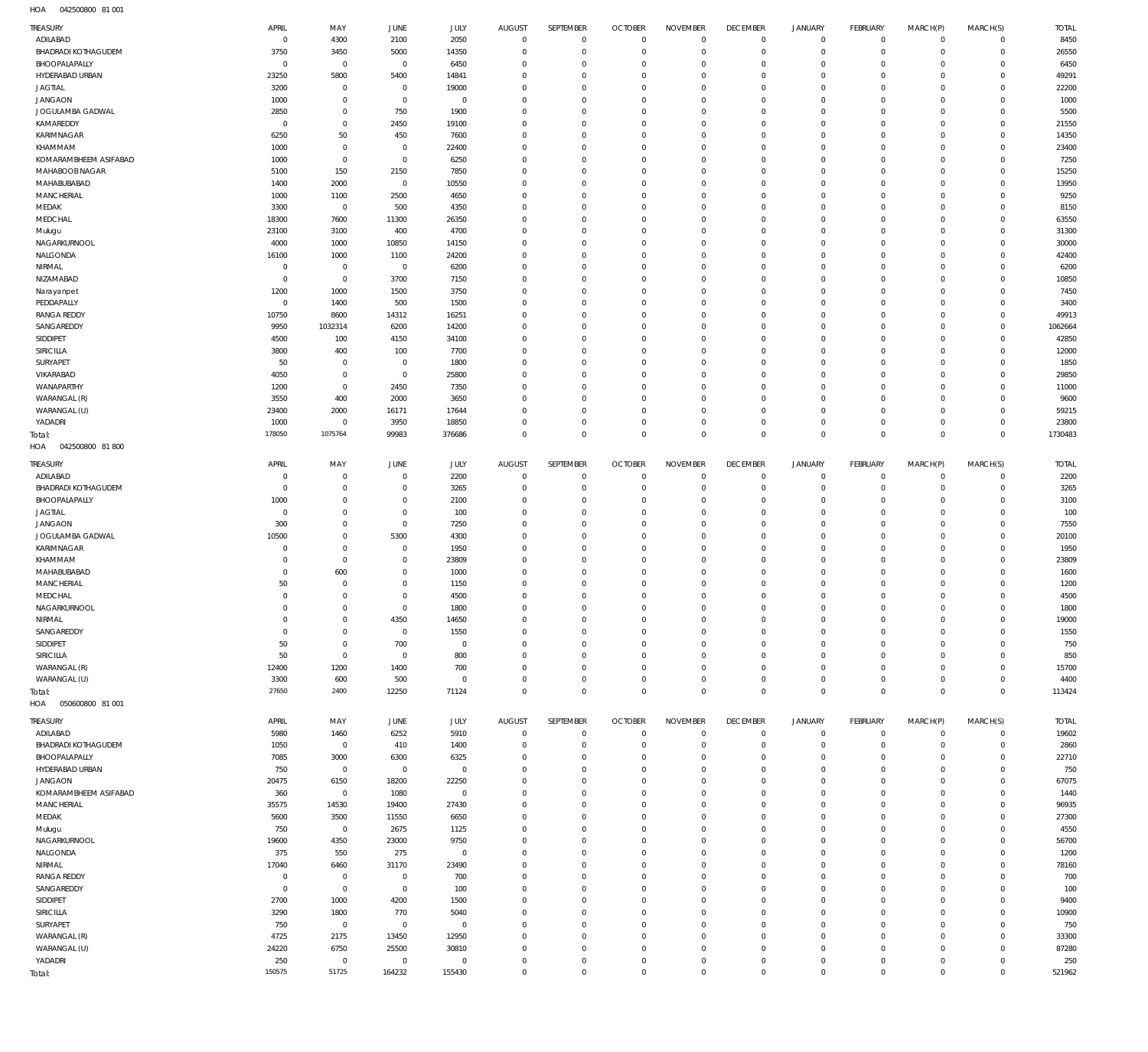042500800 81 001 HOA

| TREASURY                                | APRIL                    | MAY                        | <b>JUNE</b>             | JULY                  | <b>AUGUST</b>                      | SEPTEMBER                  | <b>OCTOBER</b>                   | <b>NOVEMBER</b>            | <b>DECEMBER</b>              | <b>JANUARY</b>                | FEBRUARY                   | MARCH(P)                  | MARCH(S)                   | <b>TOTAL</b>     |
|-----------------------------------------|--------------------------|----------------------------|-------------------------|-----------------------|------------------------------------|----------------------------|----------------------------------|----------------------------|------------------------------|-------------------------------|----------------------------|---------------------------|----------------------------|------------------|
| ADILABAD                                | $\mathbf 0$              | 4300                       | 2100                    | 2050                  | $\bf 0$                            | $\overline{0}$             | $\overline{0}$                   | $\overline{0}$             | $\overline{0}$               | $\mathsf 0$                   | $\overline{0}$             | $^{\circ}$                | $\Omega$                   | 8450             |
| <b>BHADRADI KOTHAGUDEM</b>              | 3750                     | 3450                       | 5000                    | 14350                 | $\mathbf 0$                        | $\mathbf 0$                | $\overline{0}$                   | $\mathbf 0$                | $\mathbf 0$                  | $\mathsf 0$                   | $\overline{0}$             | $^{\circ}$                | $\circ$                    | 26550            |
| BHOOPALAPALLY                           | $\overline{0}$           | $\mathbf 0$                | $\mathbf 0$             | 6450                  | $\mathbf 0$                        | $\mathbf 0$                | $\overline{0}$                   | $\mathbf 0$                | $\mathbf 0$                  | $\mathsf 0$                   | $\mathbf 0$                | $\Omega$                  | $\Omega$                   | 6450             |
| HYDERABAD URBAN                         | 23250                    | 5800                       | 5400                    | 14841                 | $\mathbf 0$                        | $\mathbf 0$                | $\overline{0}$                   | $\mathbf 0$                | $\mathbf 0$                  | $\overline{0}$                | $\mathbf 0$                | $\Omega$                  | $\Omega$                   | 49291            |
| <b>JAGTIAL</b>                          | 3200                     | $\mathbf 0$                | $\mathbf 0$             | 19000                 | $\mathbf 0$                        | $\mathbf 0$                | $\overline{0}$                   | $\mathbf 0$                | $\mathbf 0$                  | $\mathbf 0$                   | $\mathbf 0$                | $\Omega$                  | $\circ$                    | 22200            |
| <b>JANGAON</b>                          | 1000                     | $\mathbf 0$                | $\overline{0}$          | $\mathbb O$           | $\mathbf 0$                        | $\mathbf 0$                | $\overline{0}$                   | $\mathbf 0$                | $\mathbf 0$                  | $\mathbf 0$                   | $\mathbf 0$                | $\Omega$                  | $\Omega$                   | 1000             |
| JOGULAMBA GADWAL                        | 2850                     | $\mathbf 0$                | 750                     | 1900                  | $\mathbf 0$                        | $\mathbf 0$                | $\overline{0}$                   | $\mathbf 0$                | $\mathbf{0}$                 | $\mathbf 0$                   | $\mathbf 0$                | $\Omega$                  | $\Omega$                   | 5500             |
| KAMAREDDY                               | $\mathbf 0$              | $\mathbf 0$                | 2450                    | 19100                 | $\mathbf 0$                        | $\mathbf 0$                | $\mathbf 0$                      | $\mathbf 0$                | $\mathbf 0$                  | $\mathbf 0$                   | $\mathbf 0$                | $\Omega$                  | $\Omega$                   | 21550            |
| KARIMNAGAR                              | 6250                     | 50                         | 450                     | 7600                  | $\mathbf 0$                        | $\mathbf 0$                | $\overline{0}$                   | $\mathbf 0$                | $\mathbf{0}$                 | $\mathbf 0$                   | $\mathbf 0$                | $\Omega$                  | $\Omega$                   | 14350            |
| KHAMMAM                                 | 1000                     | $\mathbf 0$                | $\mathbf 0$             | 22400                 | $\mathbf 0$<br>$\mathbf 0$         | $\mathbf 0$<br>$\mathbf 0$ | $\mathbf 0$                      | $\mathbf 0$<br>$\mathbf 0$ | $\mathbf{0}$<br>$\mathbf{0}$ | $\mathbf 0$<br>$\mathbf 0$    | $\mathbf 0$                | $\Omega$<br>$\Omega$      | $\Omega$<br>$\circ$        | 23400            |
| KOMARAMBHEEM ASIFABAD<br>MAHABOOB NAGAR | 1000<br>5100             | $\mathbf 0$<br>150         | $\mathbf 0$<br>2150     | 6250<br>7850          | $\mathbf 0$                        | $\mathbf 0$                | $\overline{0}$<br>$\mathbf 0$    | $\mathbf 0$                | $\mathbf{0}$                 | $\mathbf 0$                   | $\mathbf 0$<br>$\mathbf 0$ | $\Omega$                  | $\Omega$                   | 7250<br>15250    |
| MAHABUBABAD                             | 1400                     | 2000                       | $\overline{0}$          | 10550                 | $\mathbf 0$                        | $\mathbf 0$                | $\overline{0}$                   | $\mathbf 0$                | $\mathbf{0}$                 | $\mathbf 0$                   | $\mathbf 0$                | $\Omega$                  | $\circ$                    | 13950            |
| MANCHERIAL                              | 1000                     | 1100                       | 2500                    | 4650                  | $\mathbf 0$                        | $\mathbf 0$                | $\overline{0}$                   | $\mathbf 0$                | $\mathbf{0}$                 | $\mathbf 0$                   | $\mathbf 0$                | $\Omega$                  | $\Omega$                   | 9250             |
| MEDAK                                   | 3300                     | $\mathbf 0$                | 500                     | 4350                  | $\mathbf 0$                        | $\mathbf 0$                | $\mathbf 0$                      | $\Omega$                   | $\mathbf{0}$                 | $\mathbf 0$                   | $\mathbf 0$                | $\Omega$                  | $\Omega$                   | 8150             |
| MEDCHAL                                 | 18300                    | 7600                       | 11300                   | 26350                 | $\mathbf 0$                        | $\mathbf 0$                | $\overline{0}$                   | $\mathbf 0$                | $\mathbf{0}$                 | $\mathbf 0$                   | $\mathbf 0$                | $\Omega$                  | $\Omega$                   | 63550            |
| Mulugu                                  | 23100                    | 3100                       | 400                     | 4700                  | $\mathbf 0$                        | $\mathbf 0$                | $\mathbf 0$                      | $\mathbf 0$                | $\mathbf{0}$                 | $\mathbf 0$                   | $\mathbf 0$                | $\Omega$                  | $\Omega$                   | 31300            |
| NAGARKURNOOL                            | 4000                     | 1000                       | 10850                   | 14150                 | $\mathbf 0$                        | $\mathbf 0$                | $\overline{0}$                   | $\mathbf 0$                | $\mathbf{0}$                 | $\mathbf 0$                   | $\mathbf 0$                | $\Omega$                  | $\Omega$                   | 30000            |
| NALGONDA                                | 16100                    | 1000                       | 1100                    | 24200                 | $\mathbf 0$                        | $\mathbf 0$                | $\mathbf 0$                      | $\mathbf 0$                | $\mathbf 0$                  | $\mathbf 0$                   | $\mathbf 0$                | $\Omega$                  | $\Omega$                   | 42400            |
| NIRMAL                                  | $\overline{0}$           | $\mathbf 0$                | $\overline{0}$          | 6200                  | $\mathbf 0$                        | $\mathbf 0$                | $\overline{0}$                   | $\mathbf 0$                | $\mathbf{0}$                 | $\mathbf 0$                   | $\mathbf 0$                | $\Omega$                  | $\Omega$                   | 6200             |
| NIZAMABAD                               | $\overline{0}$           | $\mathbf 0$                | 3700                    | 7150                  | $\mathbf 0$                        | $\mathbf 0$                | $\mathbf 0$                      | $\mathbf 0$                | $\mathbf{0}$                 | $\mathbf 0$                   | $\mathbf 0$                | $\Omega$                  | $\Omega$                   | 10850            |
| Narayanpet                              | 1200                     | 1000                       | 1500                    | 3750                  | $\mathbf 0$                        | $\mathbf 0$                | $\overline{0}$                   | $\mathbf 0$                | $\mathbf{0}$                 | $\mathbf 0$                   | $\mathbf 0$                | $\Omega$                  | $\Omega$                   | 7450             |
| PEDDAPALLY                              | $\mathbf 0$              | 1400                       | 500                     | 1500                  | $\mathbf 0$                        | $\mathbf 0$                | $\overline{0}$                   | $\mathbf 0$                | $\mathbf{0}$                 | $\mathbf 0$                   | $\mathbf 0$                | $\Omega$                  | $\Omega$                   | 3400             |
| <b>RANGA REDDY</b>                      | 10750                    | 8600                       | 14312                   | 16251                 | $\mathbf 0$<br>$\mathbf 0$         | $\mathbf 0$<br>$\mathbf 0$ | $\mathbf 0$                      | $\Omega$<br>$\mathbf 0$    | $\mathbf 0$<br>$\mathbf{0}$  | $\mathbf 0$<br>$\mathbf 0$    | $\mathbf 0$                | $\Omega$                  | $\circ$<br>$\circ$         | 49913            |
| SANGAREDDY<br>SIDDIPET                  | 9950<br>4500             | 1032314<br>100             | 6200<br>4150            | 14200<br>34100        | $\mathbf 0$                        | $\mathbf 0$                | $\overline{0}$<br>$\mathbf 0$    | $\mathbf 0$                | $\mathbf{0}$                 | $\mathbf 0$                   | $\mathbf 0$<br>$\mathbf 0$ | $\Omega$<br>$\Omega$      | $\Omega$                   | 1062664<br>42850 |
| SIRICILLA                               | 3800                     | 400                        | 100                     | 7700                  | $\mathbf 0$                        | $\mathbf 0$                | $\overline{0}$                   | $\mathbf 0$                | $\mathbf{0}$                 | $\mathbf 0$                   | $\mathbf 0$                | $\Omega$                  | $\circ$                    | 12000            |
| SURYAPET                                | 50                       | $\mathbf 0$                | $\mathbf 0$             | 1800                  | $\mathbf 0$                        | $\mathbf 0$                | $\mathbf 0$                      | $\mathbf 0$                | $\mathbf 0$                  | $\mathbf 0$                   | $\mathbf 0$                | $\Omega$                  | $\Omega$                   | 1850             |
| VIKARABAD                               | 4050                     | $\mathbf 0$                | $\overline{0}$          | 25800                 | $\mathbf 0$                        | $\mathbf 0$                | $\overline{0}$                   | $\mathbf 0$                | $\mathbf{0}$                 | $\mathbf 0$                   | $\mathbf 0$                | $\Omega$                  | $\Omega$                   | 29850            |
| WANAPARTHY                              | 1200                     | $\mathbf 0$                | 2450                    | 7350                  | $\mathbf 0$                        | $\mathbf 0$                | $\mathbf 0$                      | $\mathbf 0$                | $\mathbf{0}$                 | $\mathbf 0$                   | $\mathbf 0$                | $\Omega$                  | $\Omega$                   | 11000            |
| WARANGAL (R)                            | 3550                     | 400                        | 2000                    | 3650                  | $\mathbf 0$                        | $\mathbf 0$                | $\mathbf 0$                      | $\mathbf 0$                | $\mathbf{0}$                 | $\mathbf 0$                   | $\mathbf 0$                | $\Omega$                  | $\circ$                    | 9600             |
| WARANGAL (U)                            | 23400                    | 2000                       | 16171                   | 17644                 | $\mathbf 0$                        | $\mathbf 0$                | $\overline{0}$                   | $\mathbf 0$                | $\mathbf{0}$                 | $\mathbf 0$                   | $\mathbf 0$                | $\Omega$                  | $\circ$                    | 59215            |
| YADADRI                                 | 1000                     | $\mathbf 0$                | 3950                    | 18850                 | $\mathbf 0$                        | $\mathbf 0$                | $\mathbf 0$                      | $\mathbf 0$                | $\mathbf{0}$                 | $\overline{0}$                | $\mathbb O$                | $\Omega$                  | $\circ$                    | 23800            |
| Total:                                  | 178050                   | 1075764                    | 99983                   | 376686                | $\mathbf 0$                        | $\mathbf 0$                | $\overline{0}$                   | $\mathbf 0$                | $\overline{0}$               | $\overline{0}$                | $\,0\,$                    | $\mathbf 0$               | $\mathbf 0$                | 1730483          |
| HOA<br>042500800 81800                  |                          |                            |                         |                       |                                    |                            |                                  |                            |                              |                               |                            |                           |                            |                  |
| <b>TREASURY</b>                         | APRIL                    | MAY                        | JUNE                    | JULY                  | <b>AUGUST</b>                      | SEPTEMBER                  | <b>OCTOBER</b>                   | <b>NOVEMBER</b>            | <b>DECEMBER</b>              | JANUARY                       | FEBRUARY                   | MARCH(P)                  | MARCH(S)                   | <b>TOTAL</b>     |
| ADILABAD                                | $\overline{0}$           | $\overline{0}$             | 0                       | 2200                  | $\mathbf 0$                        | $\mathbf 0$                | $\overline{0}$                   | $\Omega$                   | $\mathbf 0$                  | $\mathsf 0$                   | $^{\circ}$                 | $\Omega$                  | $\mathbf 0$                | 2200             |
| <b>BHADRADI KOTHAGUDEM</b>              | $^{\circ}$               | $\mathbf 0$                | $\mathbf 0$             | 3265                  | $\mathbf 0$                        | $\mathbf 0$                | $\overline{0}$                   | $\mathbf 0$                | $\overline{0}$               | $\overline{0}$                | $\overline{0}$             | $^{\circ}$                | $\mathbf 0$                | 3265             |
|                                         |                          |                            |                         |                       |                                    |                            |                                  |                            |                              |                               |                            |                           |                            |                  |
| BHOOPALAPALLY                           | 1000                     | $\mathbf 0$                | $\mathbf 0$             | 2100                  | $\mathbf 0$                        | $\mathbf 0$                | $\mathbf 0$                      | $\mathbf 0$                | $\mathbf 0$                  | $\mathbf 0$                   | $\mathbf{0}$               | $\Omega$                  | $\Omega$                   | 3100             |
| <b>JAGTIAL</b>                          | $^{\circ}$               | $\mathbf 0$                | $\mathbf 0$             | 100                   | $\mathbf 0$                        | $\mathbf 0$                | $\mathbf 0$                      | $\mathbf 0$                | $\mathbf{0}$                 | $\overline{0}$                | $\mathbf 0$                | $\Omega$                  | $\Omega$                   | 100              |
| <b>JANGAON</b>                          | 300                      | $\mathbf 0$                | $\circ$                 | 7250                  | $\mathbf 0$                        | $\mathbf 0$                | $\mathbf 0$                      | $\Omega$                   | $\mathbf 0$                  | $\mathbf 0$                   | $\mathbf 0$                | $\Omega$                  | $\Omega$                   | 7550             |
| JOGULAMBA GADWAL                        | 10500                    | $\mathbf 0$                | 5300                    | 4300                  | $\Omega$                           | $\mathbf 0$                | $\mathbf 0$                      | $\mathbf 0$                | $\mathbf{0}$                 | $\mathbf 0$                   | $\mathbf 0$                | $\Omega$                  | $\circ$                    | 20100            |
| KARIMNAGAR                              | $^{\circ}$               | $\mathbf 0$                | $\mathbf 0$             | 1950                  | $\mathbf 0$                        | $\mathbf 0$                | $\mathbf 0$                      | $\mathbf 0$                | $\mathbf{0}$                 | $\mathbf 0$                   | $\mathbf 0$                | $\Omega$                  | $\circ$                    | 1950             |
| KHAMMAM                                 | $\Omega$                 | $\mathbf 0$                | $\mathbf 0$             | 23809                 | $\Omega$                           | $\mathbf 0$                | $\mathbf 0$                      | $\Omega$                   | $\mathbf{0}$                 | $\mathbf 0$                   | $\circ$                    | $\Omega$                  | $\Omega$                   | 23809            |
| MAHABUBABAD                             | $^{\circ}$               | 600                        | $\mathbf 0$             | 1000                  | $\mathbf 0$                        | $\mathbf 0$                | $\mathbf 0$                      | $\Omega$                   | $\mathbf{0}$                 | $\mathbf 0$                   | $\mathbf 0$                | $\Omega$                  | $\mathbf 0$                | 1600             |
| MANCHERIAL                              | 50                       | $\mathbf 0$                | $^{\circ}$              | 1150                  | $\Omega$                           | $\mathbf 0$                | $\mathbf 0$                      | $\Omega$                   | $\mathbf{0}$                 | $\Omega$                      | $\circ$                    | $\Omega$                  | $\Omega$                   | 1200             |
| MEDCHAL                                 | $\mathbf{0}$<br>$\Omega$ | $\mathbf 0$                | $\mathbf 0$             | 4500                  | $\Omega$                           | $\mathbf 0$                | $\overline{0}$                   | $\Omega$                   | $\mathbf{0}$                 | $\mathbf 0$                   | $\circ$                    | $\circ$                   | $\circ$                    | 4500             |
| NAGARKURNOOL                            | $^{\circ}$               | $\mathbf{0}$               | $\Omega$                | 1800                  | $\mathsf{O}\xspace$<br>$\mathbf 0$ | $\Omega$<br>$\mathbf 0$    | $\Omega$<br>$\overline{0}$       | $\Omega$<br>$\mathbf 0$    | $\mathbf 0$<br>$\mathbf{0}$  | $\mathbf 0$                   | $\mathbb O$                | $\mathbf 0$<br>$\Omega$   | $\mathsf{O}\xspace$        | 1800             |
| NIRMAL<br>SANGAREDDY                    | $^{\circ}$               | $\mathbf 0$<br>$\mathbf 0$ | 4350<br>$\overline{0}$  | 14650                 | $\mathbf 0$                        | $\mathbf 0$                | $\mathbf 0$                      | $\mathbf 0$                | $\mathbf 0$                  | $\overline{0}$<br>$\mathbf 0$ | $\mathbf 0$<br>$\mathbf 0$ | $\mathbf{0}$              | $\mathbf 0$<br>$\mathbf 0$ | 19000            |
| SIDDIPET                                | 50                       | $\mathbf 0$                | 700                     | 1550<br>$\mathbf 0$   | $\mathbf 0$                        | $\mathbf 0$                | $\mathbf 0$                      | $\mathbf 0$                | $\mathbf{0}$                 | $\mathbf 0$                   | $\mathbf 0$                | $\Omega$                  | $\circ$                    | 1550<br>750      |
| SIRICILLA                               | 50                       | $\mathbf 0$                | $\overline{0}$          | 800                   | $\mathbf 0$                        | $\mathbf 0$                | $\mathbf 0$                      | $\mathbf 0$                | $\mathbf 0$                  | $\mathbf 0$                   | $\mathbf 0$                | $\Omega$                  | $\circ$                    | 850              |
| WARANGAL (R)                            | 12400                    | 1200                       | 1400                    | 700                   | $\mathbf 0$                        | $\mathbf 0$                | $\mathbf 0$                      | $\Omega$                   | $\mathbf{0}$                 | $\mathbf 0$                   | $\mathbf 0$                | $\Omega$                  | $\circ$                    | 15700            |
| WARANGAL (U)                            | 3300                     | 600                        | 500                     | $\mathbf 0$           | $\mathbf 0$                        | $\mathbf 0$                | $\overline{0}$                   | $\mathbf 0$                | $\overline{0}$               | $\overline{0}$                | $\mathbf 0$                | $\mathbf{0}$              | $\circ$                    | 4400             |
| Total:                                  | 27650                    | 2400                       | 12250                   | 71124                 | $\mathbf 0$                        | $\mathbf 0$                | $\overline{0}$                   | $\mathbf 0$                | $\overline{0}$               | $\overline{0}$                | $\,0\,$                    | $\overline{0}$            | $\mathbf 0$                | 113424           |
| HOA<br>050600800 81 001                 |                          |                            |                         |                       |                                    |                            |                                  |                            |                              |                               |                            |                           |                            |                  |
| <b>TREASURY</b>                         | APRIL                    | MAY                        | <b>JUNE</b>             | JULY                  | <b>AUGUST</b>                      | SEPTEMBER                  | <b>OCTOBER</b>                   | <b>NOVEMBER</b>            | <b>DECEMBER</b>              | JANUARY                       | FEBRUARY                   | MARCH(P)                  | MARCH(S)                   | <b>TOTAL</b>     |
| ADILABAD                                | 5980                     | 1460                       | 6252                    | 5910                  | $\mathbf 0$                        | $\mathbf 0$                | $\overline{0}$                   | $\overline{0}$             | $\overline{0}$               | $\mathsf 0$                   | $\overline{0}$             | $^{\circ}$                | $\mathbf 0$                | 19602            |
| <b>BHADRADI KOTHAGUDEM</b>              | 1050                     | $\mathbf 0$                | 410                     | 1400                  | $\mathbf 0$                        | $\mathbf 0$                | $\overline{0}$                   | $\mathbf 0$                | $\mathbf{0}$                 | $\mathsf 0$                   | $\mathbb O$                | $^{\circ}$                | $\circ$                    | 2860             |
| BHOOPALAPALLY                           | 7085                     | 3000                       | 6300                    | 6325                  | $\mathbf 0$                        | $\bf 0$                    | $\overline{0}$                   | $\mathbf 0$                | $\mathbf 0$                  | $\mathsf 0$                   | $\mathbb O$                | $\Omega$                  | $\mathbf 0$                | 22710            |
| HYDERABAD URBAN                         | 750                      | $\mathbf 0$                | $\overline{0}$          | $\mathbb O$           | $\mathbf 0$                        | $\mathbf 0$                | $\overline{0}$                   | $\mathbf 0$                | $\mathbf{0}$                 | $\mathbf 0$                   | $\mathbf 0$                | $\Omega$                  | $\Omega$                   | 750              |
| <b>JANGAON</b>                          | 20475                    | 6150                       | 18200                   | 22250                 | $\mathbf 0$                        | $\mathbf 0$                | $\overline{0}$                   | $\mathbf 0$                | $\mathbf{0}$                 | $\mathbf 0$                   | $\mathbf 0$                | $\Omega$                  | $\circ$                    | 67075            |
| KOMARAMBHEEM ASIFABAD                   | 360                      | $\mathbf 0$                | 1080                    | $\mathbb O$           | $\mathbf 0$                        | $\mathbf 0$                | $\overline{0}$                   | $\mathbf 0$                | $\mathbf{0}$                 | $\mathbf 0$                   | $\mathbf 0$                | $\Omega$                  | $\Omega$                   | 1440             |
| MANCHERIAL                              | 35575                    | 14530                      | 19400                   | 27430                 | $\mathbf 0$                        | $\mathbf 0$                | $\overline{0}$                   | $\mathbf 0$                | $\mathbf{0}$                 | $\mathbf 0$                   | $\mathbf 0$                | $\Omega$                  | $\circ$                    | 96935            |
| MEDAK                                   | 5600                     | 3500                       | 11550                   | 6650                  | $\mathbf 0$                        | $\mathbf 0$                | $\overline{0}$                   | $\mathbf 0$                | $\mathbf{0}$                 | $\mathbf 0$                   | $\mathbf 0$                | $\Omega$                  | $\circ$                    | 27300            |
| Mulugu                                  | 750                      | $\mathbf 0$                | 2675                    | 1125                  | $\mathbf 0$                        | $\mathbf 0$                | $\overline{0}$                   | $\mathbf 0$                | $\mathbf{0}$                 | $\mathbf 0$                   | $\mathbf 0$                | $\Omega$                  | $\circ$                    | 4550             |
| NAGARKURNOOL                            | 19600                    | 4350                       | 23000                   | 9750                  | $\mathbf 0$<br>$\mathbf 0$         | $\mathbf 0$<br>$\mathbf 0$ | $\overline{0}$                   | $\mathbf 0$<br>$\mathbf 0$ | $\mathbf{0}$                 | $\mathbf 0$                   | $\mathbf 0$                | $\Omega$<br>$\Omega$      | $\Omega$<br>$\circ$        | 56700            |
| NALGONDA                                | 375                      | 550                        | 275                     | $\mathbb O$           | $\mathbf 0$                        | $\mathbf 0$                | $\overline{0}$<br>$\overline{0}$ | $\mathbf 0$                | $\mathbf 0$<br>$\mathbf{0}$  | $\mathbf 0$<br>$\mathbf 0$    | $\mathbf 0$<br>$\mathbf 0$ | $\Omega$                  | $\circ$                    | 1200             |
| NIRMAL<br><b>RANGA REDDY</b>            | 17040<br>$\mathbf 0$     | 6460<br>$\mathbf 0$        | 31170<br>$\overline{0}$ | 23490<br>700          | $\mathbf 0$                        | $\mathbf 0$                | $\overline{0}$                   | $\mathbf 0$                | $\mathbf 0$                  | $\mathbf 0$                   | $\mathbf 0$                | $\Omega$                  | $\circ$                    | 78160<br>700     |
| SANGAREDDY                              | $^{\circ}$               | $\mathbf 0$                | $\overline{0}$          | 100                   | $\mathbf 0$                        | $\mathbf 0$                | $\overline{0}$                   | $\mathbf 0$                | $\mathbf 0$                  | $\mathbf 0$                   | $\mathbf 0$                | $\Omega$                  | $\circ$                    | 100              |
| SIDDIPET                                | 2700                     | 1000                       | 4200                    | 1500                  | $\mathbf 0$                        | $\mathbf 0$                | $\overline{0}$                   | $\mathbf 0$                | $\mathbf 0$                  | $\mathbf 0$                   | $\mathbf 0$                | $\Omega$                  | $\mathbf 0$                | 9400             |
| SIRICILLA                               | 3290                     | 1800                       | 770                     | 5040                  | $\mathbf 0$                        | $\mathbf 0$                | $\overline{0}$                   | $\mathbf 0$                | $\mathbf 0$                  | $\mathbf 0$                   | $\mathbf 0$                | $\Omega$                  | $\circ$                    | 10900            |
| SURYAPET                                | 750                      | $\mathbf 0$                | $\overline{0}$          | $\mathbb O$           | $\mathbf 0$                        | $\mathbf 0$                | $\overline{0}$                   | $\mathbf 0$                | $\mathbf 0$                  | $\mathsf 0$                   | $\mathbf 0$                | $\Omega$                  | $\circ$                    | 750              |
| WARANGAL (R)                            | 4725                     | 2175                       | 13450                   | 12950                 | $\mathbf 0$                        | $\mathbf 0$                | $\overline{0}$                   | $\mathbf 0$                | $\mathbf{0}$                 | $\mathbf 0$                   | $\mathbf 0$                | $\Omega$                  | $\Omega$                   | 33300            |
| WARANGAL (U)                            | 24220                    | 6750                       | 25500                   | 30810                 | $\mathbf 0$                        | $\mathbf 0$                | $\overline{0}$                   | $\mathbf 0$                | $\overline{0}$               | $\mathsf 0$                   | $\mathbf 0$                | $\Omega$                  | $\mathbf 0$                | 87280            |
| YADADRI<br>Total:                       | 250<br>150575            | $\mathbf 0$<br>51725       | $\mathbf 0$<br>164232   | $\mathbf 0$<br>155430 | $\bf 0$<br>$\mathbf 0$             | $\mathbf 0$<br>$\mathbf 0$ | $\mathbf 0$<br>$\overline{0}$    | $\mathbf 0$<br>$\mathbb O$ | $\mathbf 0$<br>$\mathbf 0$   | $\mathbf 0$<br>$\mathbf 0$    | $\mathbb O$<br>$\mathbb O$ | $^{\circ}$<br>$\mathbf 0$ | $\mathbf 0$<br>$\mathbb O$ | 250<br>521962    |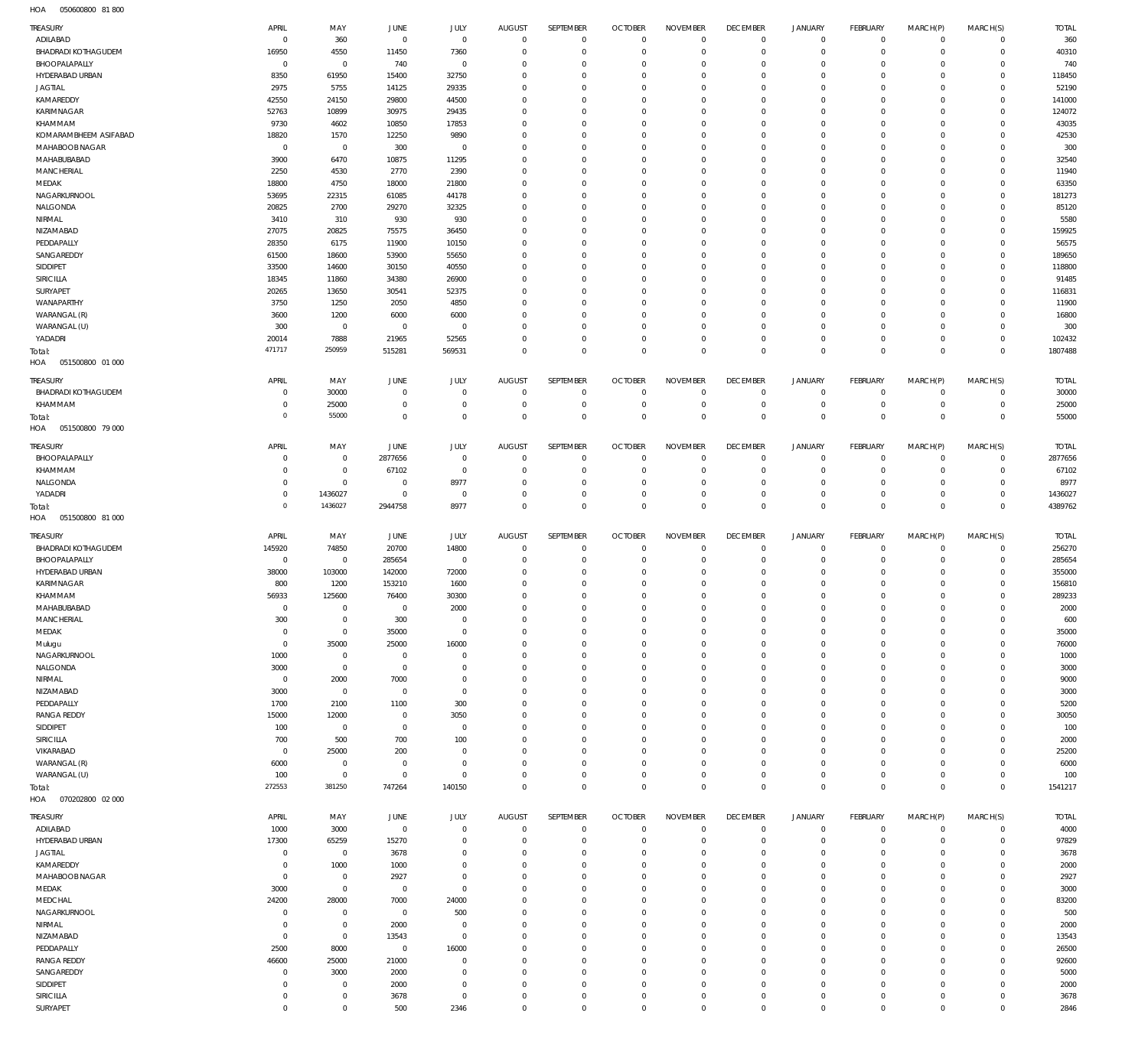050600800 81 800 HOA

| TREASURY                   | APRIL                  | MAY                        | JUNE           | <b>JULY</b>         | <b>AUGUST</b>              | SEPTEMBER                  | <b>OCTOBER</b>            | <b>NOVEMBER</b>                    | <b>DECEMBER</b>          | <b>JANUARY</b>                             | FEBRUARY                   | MARCH(P)                           | MARCH(S)                   | <b>TOTAL</b> |
|----------------------------|------------------------|----------------------------|----------------|---------------------|----------------------------|----------------------------|---------------------------|------------------------------------|--------------------------|--------------------------------------------|----------------------------|------------------------------------|----------------------------|--------------|
| ADILABAD                   | $\mathbf{0}$           | 360                        | $\mathbf{0}$   | $\mathbf 0$         | $\mathbf 0$                | $\mathbf 0$                | $\overline{0}$            | $\Omega$                           | $\mathbf 0$              | $\overline{0}$                             | $\overline{0}$             | $\mathbf 0$                        | $\circ$                    | 360          |
| <b>BHADRADI KOTHAGUDEM</b> | 16950                  | 4550                       | 11450          | 7360                | $\mathbf 0$                | $\mathbf 0$                | $\overline{0}$            | $\overline{0}$                     | $\mathbf 0$              | $\mathbf 0$                                | $\overline{0}$             | $\mathbf 0$                        | $\circ$                    | 40310        |
| BHOOPALAPALLY              | $^{\circ}$             | $\mathbf 0$                | 740            | $\mathbf 0$         | $\Omega$                   | $\mathbf 0$                | $^{\circ}$                | $\Omega$                           | $\mathbf 0$              | $\mathbf 0$                                | $\mathbf 0$                | $\Omega$                           | $\mathbf 0$                | 740          |
| HYDERABAD URBAN            | 8350                   | 61950                      | 15400          | 32750               | $\Omega$                   | $\mathbf 0$                | $^{\circ}$                | $\mathbf{0}$                       | $\mathbf 0$              | $\mathbf 0$                                | $\mathbf 0$                | $\Omega$                           | $\mathbf{0}$               | 118450       |
| <b>JAGTIAL</b>             | 2975                   | 5755                       | 14125          | 29335               | $\Omega$                   | $\mathbf 0$                | $^{\circ}$                | $\Omega$                           | $\mathbf 0$              | $\mathbf 0$                                | $\mathbf 0$                | $\Omega$                           | $\mathbf 0$                | 52190        |
| KAMAREDDY                  | 42550                  | 24150                      | 29800          | 44500               | $\Omega$                   | $\mathbf 0$                | $^{\circ}$                | $\Omega$                           | $\mathbf 0$              | $\mathbf 0$                                | $\mathbf 0$                | $\Omega$                           | $\mathbf 0$                | 141000       |
| KARIMNAGAR                 |                        |                            |                |                     |                            | $\mathbf 0$                | $^{\circ}$                | $\Omega$                           | $\mathbf 0$              | $\mathbf 0$                                | $\mathbf 0$                | $\Omega$                           | $\mathbf 0$                | 124072       |
|                            | 52763                  | 10899                      | 30975          | 29435               | 0                          |                            |                           |                                    |                          |                                            |                            |                                    |                            |              |
| KHAMMAM                    | 9730                   | 4602                       | 10850          | 17853               | $\Omega$                   | $\mathbf 0$                | $^{\circ}$                | $\Omega$                           | $\mathbf 0$              | $\mathbf 0$                                | $\Omega$                   | $\Omega$                           | $\mathbf 0$                | 43035        |
| KOMARAMBHEEM ASIFABAD      | 18820                  | 1570                       | 12250          | 9890                | $\mathbf 0$                | $\mathbf 0$                | $^{\circ}$                | $\Omega$                           | $\mathbf 0$              | $\mathbf 0$                                | $\mathbf 0$                | $\Omega$                           | $\mathbf 0$                | 42530        |
| MAHABOOB NAGAR             | $^{\circ}$             | $\mathbf 0$                | 300            | $\mathbf 0$         | $\mathbf 0$                | $\mathbf 0$                | $^{\circ}$                | $\mathbf 0$                        | $\mathbf 0$              | $\mathbf 0$                                | $\Omega$                   | $\Omega$                           | $\mathbf 0$                | 300          |
| MAHABUBABAD                | 3900                   | 6470                       | 10875          | 11295               | $\mathbf 0$                | $\mathbf 0$                | $\Omega$                  | $\Omega$                           | $\mathbf 0$              | $\mathbf 0$                                | $\mathbf 0$                | $\Omega$                           | $\mathbf 0$                | 32540        |
| MANCHERIAL                 | 2250                   | 4530                       | 2770           | 2390                | $\Omega$                   | $\mathbf 0$                | $^{\circ}$                | $\mathbf 0$                        | $\mathbf 0$              | $\mathbf 0$                                | $\mathbf 0$                | $\Omega$                           | $\mathbf 0$                | 11940        |
| MEDAK                      | 18800                  | 4750                       | 18000          | 21800               | $\Omega$                   | $\mathbf 0$                | $^{\circ}$                | $\Omega$                           | $\mathbf 0$              | $\mathbf 0$                                | $\mathbf 0$                | $\Omega$                           | $\mathbf 0$                | 63350        |
| NAGARKURNOOL               | 53695                  | 22315                      | 61085          | 44178               | $\mathbf 0$                | $\mathbf 0$                | $^{\circ}$                | $\mathbf 0$                        | $\mathbf 0$              | $\mathbf 0$                                | $\mathbf 0$                | $\Omega$                           | $\mathbf 0$                | 181273       |
| NALGONDA                   | 20825                  | 2700                       | 29270          | 32325               | $\Omega$                   | $\mathbf 0$                | $^{\circ}$                | $\Omega$                           | $\mathbf 0$              | $\mathbf 0$                                | $\mathbf 0$                | $\Omega$                           | $\mathbf 0$                | 85120        |
|                            |                        |                            |                |                     |                            |                            |                           |                                    |                          |                                            |                            |                                    |                            |              |
| NIRMAL                     | 3410                   | 310                        | 930            | 930                 | $\Omega$                   | $\mathbf 0$                | $^{\circ}$                | $\mathbf 0$                        | $\mathbf 0$              | $\mathbf 0$                                | $\mathbf 0$                | $\Omega$                           | $\mathbf 0$                | 5580         |
| NIZAMABAD                  | 27075                  | 20825                      | 75575          | 36450               | 0                          | $\mathbf 0$                | $^{\circ}$                | $\Omega$                           | $\mathbf 0$              | $\mathbf 0$                                | $\mathbf 0$                | $\Omega$                           | $\mathbf 0$                | 159925       |
| PEDDAPALLY                 | 28350                  | 6175                       | 11900          | 10150               | $\Omega$                   | $\mathbf 0$                | $^{\circ}$                | $\Omega$                           | $\mathbf 0$              | $\mathbf 0$                                | $\mathbf 0$                | $\Omega$                           | $\mathbf 0$                | 56575        |
| SANGAREDDY                 | 61500                  | 18600                      | 53900          | 55650               | 0                          | $\mathbf 0$                | $^{\circ}$                | $\Omega$                           | $\mathbf 0$              | $\mathbf 0$                                | $\mathbf 0$                | $\Omega$                           | $\mathbf 0$                | 189650       |
| SIDDIPET                   | 33500                  | 14600                      | 30150          | 40550               | $\Omega$                   | $\mathbf 0$                | $^{\circ}$                | $\Omega$                           | $\mathbf 0$              | $\mathbf 0$                                | $\Omega$                   | $\Omega$                           | $\mathbf 0$                | 118800       |
| SIRICILLA                  | 18345                  | 11860                      | 34380          | 26900               | 0                          | $\mathbf 0$                | $^{\circ}$                | $\Omega$                           | $\mathbf 0$              | $\mathbf 0$                                | $\mathbf 0$                | $\Omega$                           | $\mathbf 0$                | 91485        |
| SURYAPET                   | 20265                  | 13650                      | 30541          | 52375               | $\Omega$                   | $\mathbf 0$                | $^{\circ}$                | $\mathbf 0$                        | $\mathbf 0$              | $\mathbf 0$                                | $\Omega$                   | $\Omega$                           | $\mathbf 0$                | 116831       |
| WANAPARTHY                 | 3750                   | 1250                       | 2050           | 4850                | $\mathbf 0$                | $\mathbf 0$                | $\Omega$                  | $\Omega$                           | $\mathbf 0$              | $\mathbf 0$                                | $\mathbf 0$                | $\Omega$                           | $\mathbf 0$                | 11900        |
| WARANGAL (R)               | 3600                   |                            |                | 6000                | $\Omega$                   | $\mathbf 0$                | $^{\circ}$                | $\mathbf{0}$                       | $\mathbf 0$              | $\mathbf 0$                                | $\Omega$                   | $\Omega$                           | $\mathbf 0$                | 16800        |
|                            |                        | 1200                       | 6000           |                     |                            |                            |                           |                                    |                          |                                            |                            |                                    |                            |              |
| WARANGAL (U)               | 300                    | $\mathbf 0$                | $\mathbf 0$    | $\mathbf 0$         | $\Omega$                   | $\mathbf 0$                | $^{\circ}$                | $\Omega$                           | $\mathbf 0$              | $\mathbf 0$                                | $\mathbf 0$                | $\Omega$                           | $\mathbf 0$                | 300          |
| YADADRI                    | 20014                  | 7888                       | 21965          | 52565               | $\mathbf 0$                | $\mathbf 0$                | $^{\circ}$                | $\mathbf{0}$                       | $\mathbf 0$              | $\mathbf 0$                                | $\mathbf 0$                | $\mathbf 0$                        | $\circ$                    | 102432       |
| Total:                     | 471717                 | 250959                     | 515281         | 569531              | $\mathbf 0$                | $\mathbf 0$                | $\mathbf 0$               | $\mathbf 0$                        | $\mathbf 0$              | $\mathbf 0$                                | $\overline{0}$             | $\Omega$                           | $\mathbf 0$                | 1807488      |
| HOA<br>051500800 01 000    |                        |                            |                |                     |                            |                            |                           |                                    |                          |                                            |                            |                                    |                            |              |
|                            |                        |                            |                |                     |                            |                            |                           |                                    |                          |                                            |                            |                                    |                            |              |
| TREASURY                   | APRIL                  | MAY                        | JUNE           | JULY                | <b>AUGUST</b>              | SEPTEMBER                  | <b>OCTOBER</b>            | <b>NOVEMBER</b>                    | <b>DECEMBER</b>          | <b>JANUARY</b>                             | <b>FEBRUARY</b>            | MARCH(P)                           | MARCH(S)                   | <b>TOTAL</b> |
| BHADRADI KOTHAGUDEM        | $\overline{0}$         | 30000                      | $\overline{0}$ | $\mathbb O$         | $\mathbf 0$                | $\mathbb O$                | $\overline{0}$            | $\overline{0}$                     | 0                        | $\overline{0}$                             | $\overline{0}$             | 0                                  | $\overline{0}$             | 30000        |
| KHAMMAM                    | 0                      | 25000                      | $\overline{0}$ | $\mathbb O$         | $\mathbf 0$                | $\mathbb O$                | $\mathbf 0$               | $\mathbf 0$                        | $\mathbf 0$              | $\mathbf 0$                                | $\overline{0}$             | $\mathbf 0$                        | $\overline{0}$             | 25000        |
| Total:                     | $\circ$                | 55000                      | $\mathbf{0}$   | $\mathbf 0$         | $\mathbf 0$                | $\mathbf 0$                | $\overline{0}$            | $\mathbf 0$                        | $\mathbf 0$              | $\mathsf{O}\xspace$                        | $\overline{0}$             | $\mathbf 0$                        | $\overline{0}$             | 55000        |
| HOA<br>051500800 79 000    |                        |                            |                |                     |                            |                            |                           |                                    |                          |                                            |                            |                                    |                            |              |
|                            |                        |                            |                |                     |                            |                            |                           |                                    |                          |                                            |                            |                                    |                            |              |
| TREASURY                   | APRIL                  | MAY                        | JUNE           | JULY                | <b>AUGUST</b>              | SEPTEMBER                  | <b>OCTOBER</b>            | <b>NOVEMBER</b>                    | <b>DECEMBER</b>          | <b>JANUARY</b>                             | <b>FEBRUARY</b>            | MARCH(P)                           | MARCH(S)                   | <b>TOTAL</b> |
| BHOOPALAPALLY              | $\circ$                | $\mathbf 0$                | 2877656        | $\mathbf 0$         | $\mathbf 0$                | $\mathbf 0$                | $^{\circ}$                | $^{\circ}$                         | $\mathbf 0$              | $\mathbf 0$                                | $\mathbf 0$                | $\mathbf 0$                        | $\mathbf{0}$               | 2877656      |
| KHAMMAM                    | $\circ$                | $\mathbf 0$                | 67102          | $\mathbf 0$         | 0                          | $\mathbb O$                | $\overline{0}$            | $\overline{0}$                     | $\mathbf 0$              | $\mathbf 0$                                | $\overline{0}$             | $\mathbf 0$                        | $\circ$                    | 67102        |
| NALGONDA                   | $\overline{0}$         | $\mathbf 0$                | $\overline{0}$ | 8977                | 0                          | $\mathbb O$                | $^{\circ}$                | $\mathbf{0}$                       | $\mathbf 0$              | $\mathbf 0$                                | $\mathbf 0$                | $\mathbf 0$                        | $\mathbf{0}$               | 8977         |
| YADADRI                    | $^{\circ}$             | 1436027                    | $\overline{0}$ | $\mathbf 0$         | $\mathbf 0$                | $\mathbf 0$                | $^{\circ}$                | $\overline{0}$                     | $\mathbf 0$              | $\mathsf{O}\xspace$                        | $\mathbf 0$                | $\mathbf 0$                        | $\mathbf 0$                | 1436027      |
| Total:                     | $\mathbf 0$            | 1436027                    | 2944758        | 8977                | $\Omega$                   | $\mathsf 0$                | $\mathbf 0$               | $\mathbf 0$                        | $\mathbf 0$              | $\mathbf 0$                                | $\overline{0}$             | $\mathbf 0$                        | $\mathbf 0$                | 4389762      |
|                            |                        |                            |                |                     |                            |                            |                           |                                    |                          |                                            |                            |                                    |                            |              |
|                            |                        |                            |                |                     |                            |                            |                           |                                    |                          |                                            |                            |                                    |                            |              |
| HOA<br>051500800 81 000    |                        |                            |                |                     |                            |                            |                           |                                    |                          |                                            |                            |                                    |                            |              |
| TREASURY                   | APRIL                  | MAY                        | JUNE           | JULY                | <b>AUGUST</b>              | SEPTEMBER                  | <b>OCTOBER</b>            | <b>NOVEMBER</b>                    | <b>DECEMBER</b>          | JANUARY                                    | FEBRUARY                   | MARCH(P)                           | MARCH(S)                   | <b>TOTAL</b> |
|                            |                        |                            |                |                     | $^{\circ}$                 | $\mathbf 0$                | $\overline{0}$            | $\mathbf 0$                        | 0                        | $\mathbf 0$                                | $\overline{0}$             | $\mathbf 0$                        |                            |              |
| <b>BHADRADI KOTHAGUDEM</b> | 145920                 | 74850                      | 20700          | 14800               |                            |                            |                           |                                    |                          |                                            |                            |                                    | $\overline{0}$             | 256270       |
| BHOOPALAPALLY              | $\mathbf 0$            | $\mathbf 0$                | 285654         | $\mathbb O$         | $^{\circ}$                 | $\mathbb O$                | $^{\circ}$                | $^{\circ}$                         | 0                        | $\mathbf 0$                                | $\overline{0}$             | $\circ$                            | $\circ$                    | 285654       |
| HYDERABAD URBAN            | 38000                  | 103000                     | 142000         | 72000               | $^{\circ}$                 | $\mathbb O$                | $^{\circ}$                | $\mathbf 0$                        | 0                        | $\mathbf 0$                                | $\overline{0}$             | $\circ$                            | $\mathbf{0}$               | 355000       |
| KARIMNAGAR                 | 800                    | 1200                       | 153210         | 1600                | $^{\circ}$                 | $\mathbb O$                | $^{\circ}$                | $\mathbf{0}$                       | $\mathbf 0$              | $\mathbf 0$                                | $\mathbf 0$                | $\circ$                            | $\mathbf{0}$               | 156810       |
| KHAMMAM                    | 56933                  | 125600                     | 76400          | 30300               | $\Omega$                   | $\mathbf 0$                | $\overline{0}$            | $\mathbf 0$                        | $\mathbf 0$              | $\mathbf 0$                                | $\mathbf 0$                | $\mathbf 0$                        | $\mathbf{0}$               | 289233       |
| MAHABUBABAD                | $\Omega$               | $\mathbf{0}$               | $\Omega$       | 2000                | $\Omega$                   | $\Omega$                   | $\Omega$                  | $\Omega$                           | $\Omega$                 | $\Omega$                                   | $\Omega$                   | $\Omega$                           | $\overline{0}$             | 2000         |
| MANCHERIAL                 | 300                    | $\mathbf 0$                | 300            | $\mathbf 0$         | $\mathbb O$                | $\mathbf 0$                | $\mathbf 0$               | $\mathbf 0$                        | $\bf 0$                  | $\mathsf{O}\xspace$                        | $\overline{0}$             | $\mathbf 0$                        | $\circ$                    | 600          |
| MEDAK                      | $\mathbf 0$            | $\mathbf 0$                | 35000          | $\mathbf 0$         | $^{\circ}$                 | $\mathbf 0$                | $\overline{0}$            | $\mathbf 0$                        | $\mathbf 0$              | $\mathsf{O}\xspace$                        | $\overline{0}$             | $\mathbf 0$                        | $\circ$                    | 35000        |
|                            | $\mathbf 0$            | 35000                      | 25000          | 16000               | $^{\circ}$                 | $\mathbf 0$                | $\overline{0}$            | $\mathbf 0$                        | $\mathbf 0$              | $\mathbf 0$                                | $\overline{0}$             | $\mathbf 0$                        | $\mathbf{0}$               | 76000        |
| Mulugu                     |                        |                            |                |                     | $\mathbf 0$                |                            | $^{\circ}$                | $\mathbf 0$                        |                          |                                            | $\mathbf 0$                | $\circ$                            | $\mathbf{0}$               |              |
| NAGARKURNOOL               | 1000                   | $\mathbf 0$                | $\overline{0}$ | $\mathbb O$         |                            | $\mathbf 0$                |                           |                                    | 0                        | $\mathbf 0$                                |                            |                                    |                            | 1000         |
| NALGONDA                   | 3000                   | $\mathbf 0$                | $\mathbf 0$    | $\mathbf 0$         | $\mathbf 0$                | $\mathbf 0$                | $\overline{0}$            | $\mathbf 0$                        | $\mathbf 0$              | $\mathbf 0$                                | $\mathbf 0$                | $\circ$                            | $\mathbf{0}$               | 3000         |
| NIRMAL                     | $\mathbf 0$            | 2000                       | 7000           | $\mathbb O$         | $\mathbf 0$                | $\mathbf 0$                | $\overline{0}$            | $\mathbf 0$                        | 0                        | $\mathsf{O}\xspace$                        | $\mathbf 0$                | $\circ$                            | $\mathbf{0}$               | 9000         |
| NIZAMABAD                  | 3000                   | $\mathbf 0$                | $\mathbf 0$    | $\mathbf 0$         | $\mathbf 0$                | $\mathbf 0$                | $\overline{0}$            | $\mathbf 0$                        | $\mathbf 0$              | $\mathbf 0$                                | $\mathbf 0$                | $\Omega$                           | $\mathbf{0}$               | 3000         |
| PEDDAPALLY                 | 1700                   | 2100                       | 1100           | 300                 | $\mathbf 0$                | $\mathbf 0$                | $\overline{0}$            | $\mathbf 0$                        | $\mathbf 0$              | $\mathsf{O}\xspace$                        | $\mathbf 0$                | $\mathbf 0$                        | $\mathbf{0}$               | 5200         |
| <b>RANGA REDDY</b>         | 15000                  | 12000                      | $\mathbf 0$    | 3050                | $\mathbf 0$                | $\mathbb O$                | $\overline{0}$            | $\mathbf 0$                        | 0                        | $\mathbf 0$                                | $\mathbf 0$                | $\Omega$                           | $\mathbf{0}$               | 30050        |
| SIDDIPET                   | 100                    | $\mathbf 0$                | $\mathbf 0$    | $\mathbf 0$         | $\mathbf 0$                | $\mathbf 0$                | $\overline{0}$            | $\mathbf 0$                        | $\mathbf 0$              | $\mathbf 0$                                | $\overline{0}$             | $\mathbf 0$                        | $\mathbf{0}$               | 100          |
| SIRICILLA                  | 700                    | 500                        | 700            | 100                 | $\mathbf 0$                | $\mathbf 0$                | $\overline{0}$            | $\mathbf 0$                        | $\mathbf 0$              | $\mathbf 0$                                | $\mathbf 0$                | $\mathbf 0$                        | $\mathbf{0}$               | 2000         |
| VIKARABAD                  | $\mathbf 0$            | 25000                      | 200            | $\mathbb O$         | $\mathbf 0$                | $\mathbf 0$                | $^{\circ}$                | $\mathbf 0$                        | $\mathbf 0$              | $\mathbf 0$                                | $\mathbf 0$                | $\Omega$                           | $\mathbf{0}$               | 25200        |
|                            |                        |                            | $\mathbf 0$    |                     | $\mathbf 0$                |                            | $\overline{0}$            | $\mathbb O$                        | 0                        | $\mathsf{O}\xspace$                        | $\mathbf 0$                | $\mathbf 0$                        | $\mathbf{0}$               |              |
| WARANGAL (R)               | 6000                   | $\mathbf 0$                | $\overline{0}$ | $\mathbf 0$         | $\mathbf 0$                | $\mathbf 0$                | $\overline{0}$            |                                    |                          |                                            | $\mathbf 0$                | $\mathbf 0$                        |                            | 6000         |
| WARANGAL (U)               | 100                    | $\mathbf 0$                |                | $\mathbf 0$         |                            | $\mathbb O$                |                           | $\mathbf 0$                        | $\bf 0$                  | $\mathsf{O}\xspace$                        |                            |                                    | $\circ$                    | 100          |
| Total:                     | 272553                 | 381250                     | 747264         | 140150              | $\mathbf 0$                | $\mathsf 0$                | $\mathbf 0$               | $\mathbf 0$                        | $\mathbf 0$              | $\mathsf{O}\xspace$                        | $\overline{0}$             | $\mathbf 0$                        | $\overline{0}$             | 1541217      |
| HOA  070202800  02  000    |                        |                            |                |                     |                            |                            |                           |                                    |                          |                                            |                            |                                    |                            |              |
| TREASURY                   | APRIL                  | MAY                        | JUNE           | JULY                | AUGUST                     | SEPTEMBER                  | <b>OCTOBER</b>            | <b>NOVEMBER</b>                    | <b>DECEMBER</b>          | JANUARY                                    | FEBRUARY                   | MARCH(P)                           | MARCH(S)                   | <b>TOTAL</b> |
| ADILABAD                   | 1000                   | 3000                       | $\mathbf 0$    | $\mathbf 0$         | $\mathbf 0$                | $\mathbb O$                | $\overline{0}$            | $\overline{0}$                     | $\bf 0$                  | $\mathbf 0$                                | $\overline{0}$             | $\mathbf 0$                        | $\circ$                    | 4000         |
| HYDERABAD URBAN            | 17300                  | 65259                      | 15270          | $\mathbf 0$         | $\mathbf 0$                | $\mathbf 0$                | $\overline{0}$            | $\Omega$                           | $\mathbf 0$              | $\mathbf 0$                                | $\overline{0}$             | $\mathbf 0$                        | $\circ$                    | 97829        |
| <b>JAGTIAL</b>             | $^{\circ}$             | $\mathbf 0$                | 3678           | $\mathbf 0$         | 0                          | $\mathbf 0$                | $^{\circ}$                | $\overline{0}$                     | $\mathbf 0$              | $\mathbf 0$                                | $\mathbf 0$                | $\mathbf 0$                        | $\mathbf 0$                | 3678         |
|                            | $^{\circ}$             |                            |                | $\mathbf 0$         | $\Omega$                   | $\mathbf 0$                | $^{\circ}$                | $\mathbf 0$                        | $\mathbf 0$              | $\mathbf 0$                                | $\mathbf 0$                | $\Omega$                           | $\mathbf 0$                |              |
| KAMAREDDY                  |                        | 1000                       | 1000           |                     |                            |                            |                           | $\Omega$                           |                          |                                            |                            | $\Omega$                           |                            | 2000         |
| MAHABOOB NAGAR             | $\mathbf{0}$           | $\mathbf 0$                | 2927           | $\mathbf 0$         | $^{\circ}$                 | $\mathbf 0$                | $^{\circ}$                |                                    | $\mathbf 0$              | $\mathbf 0$                                | $\mathbf 0$                |                                    | $\mathbf 0$                | 2927         |
| MEDAK                      | 3000                   | $\mathbf 0$                | $\mathbf 0$    | $\mathbf 0$         | $\Omega$                   | $\mathbf 0$                | $^{\circ}$                | $\mathbf 0$                        | $\mathbf 0$              | $\mathbf 0$                                | $\Omega$                   | $\Omega$                           | $\mathbf 0$                | 3000         |
| MEDCHAL                    | 24200                  | 28000                      | 7000           | 24000               | $\Omega$                   | $\mathbf 0$                | $\overline{0}$            | $\Omega$                           | $\mathbf 0$              | $\mathbf 0$                                | $\mathbf 0$                | $\Omega$                           | $\mathbf 0$                | 83200        |
| NAGARKURNOOL               | $^{\circ}$             | $\mathbf 0$                | $\mathbf 0$    | 500                 | $\mathbf 0$                | $\mathbf 0$                | $^{\circ}$                | $\mathbf 0$                        | $\mathbf 0$              | $\mathbf 0$                                | $\mathbf 0$                | $\Omega$                           | $\mathbf 0$                | 500          |
| NIRMAL                     | $^{\circ}$             | $\mathbf 0$                | 2000           | $\mathbf 0$         | $\mathbf 0$                | $\mathbf 0$                | $\overline{0}$            | $\Omega$                           | $\mathbf 0$              | $\mathbf 0$                                | $\mathbf 0$                | $\Omega$                           | $\mathbf 0$                | 2000         |
| NIZAMABAD                  | $\mathbf{0}$           | $\mathbf 0$                | 13543          | $\mathbf 0$         | $\mathbf 0$                | $\mathbf 0$                | $^{\circ}$                | $\mathbf 0$                        | $\mathbf 0$              | $\mathbf 0$                                | $\mathbf 0$                | $\Omega$                           | $\mathbf 0$                | 13543        |
| PEDDAPALLY                 | 2500                   | 8000                       | $\mathbf 0$    | 16000               | $\Omega$                   | $\mathbf 0$                | $^{\circ}$                | $\Omega$                           | $\mathbf 0$              | $\mathbf 0$                                | $\mathbf 0$                | $\Omega$                           | $\mathbf 0$                | 26500        |
|                            |                        |                            |                | $\mathbf 0$         | $\mathbf 0$                | $\mathbf 0$                | $\mathbf 0$               | $\mathbf 0$                        | $\mathbf 0$              | $\mathbf 0$                                | $\mathbf 0$                | $\mathbf 0$                        | $\mathbf{0}$               |              |
| <b>RANGA REDDY</b>         | 46600                  | 25000                      | 21000          |                     |                            |                            |                           |                                    |                          |                                            |                            |                                    |                            | 92600        |
| SANGAREDDY                 | $\circ$                | 3000                       | 2000           | $\mathbf 0$         | $\mathbf 0$                | $\mathbf 0$                | $^{\circ}$                | $\mathbf 0$                        | $\mathbf 0$              | $\mathbf 0$                                | $\mathbf 0$                | $\Omega$                           | $\mathbf 0$                | 5000         |
| SIDDIPET                   | $^{\circ}$             | $\mathbf 0$                | 2000           | $\mathbf 0$         | $\mathbf 0$                | $\mathbf 0$                | $\mathbf 0$               | $\mathbf 0$                        | $\mathbf 0$              | $\mathbf 0$                                | $\mathbf 0$                | $\mathbf 0$                        | $\mathbf{0}$               | 2000         |
| SIRICILLA<br>SURYAPET      | $\circ$<br>$\mathbf 0$ | $\mathbf 0$<br>$\mathbf 0$ | 3678<br>500    | $\mathbb O$<br>2346 | $\mathbf 0$<br>$\mathbf 0$ | $\mathbb O$<br>$\mathsf 0$ | $^{\circ}$<br>$\mathbb O$ | $\mathbf 0$<br>$\mathsf{O}\xspace$ | 0<br>$\mathsf{O}\xspace$ | $\mathsf{O}\xspace$<br>$\mathsf{O}\xspace$ | $\mathbf 0$<br>$\mathbf 0$ | $\mathbf 0$<br>$\mathsf{O}\xspace$ | $\mathbf 0$<br>$\mathsf 0$ | 3678<br>2846 |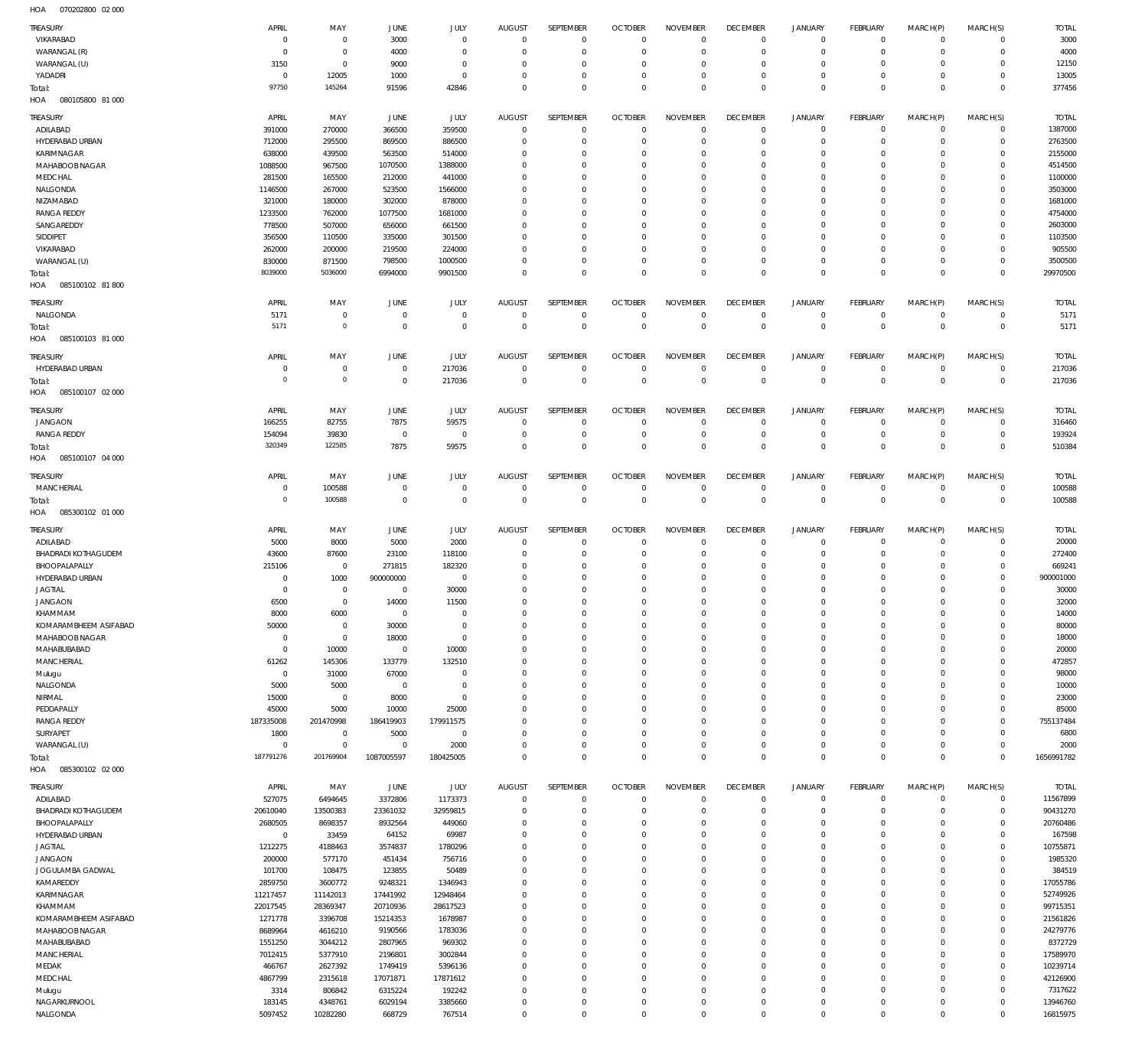070202800 02 000 HOA

| TREASURY                          | APRIL                  | MAY                  | <b>JUNE</b>        | JULY                 | <b>AUGUST</b>         | SEPTEMBER                   | <b>OCTOBER</b>             | <b>NOVEMBER</b>            | <b>DECEMBER</b>            | <b>JANUARY</b>             | FEBRUARY                      | MARCH(P)                   | MARCH(S)                       | <b>TOTAL</b>         |
|-----------------------------------|------------------------|----------------------|--------------------|----------------------|-----------------------|-----------------------------|----------------------------|----------------------------|----------------------------|----------------------------|-------------------------------|----------------------------|--------------------------------|----------------------|
| VIKARABAD                         | C                      | $\mathbb O$          | 3000               | $\mathbf 0$          | $\overline{0}$        | $\mathbf 0$                 | $\mathbf 0$                | $\mathbf 0$                | $^{\circ}$                 | 0                          | $\mathbf 0$                   | $\mathbf 0$                | $\mathbf{0}$                   | 3000                 |
| WARANGAL (R)                      | 0                      | $\mathbb O$          | 4000               | $\mathbf{0}$         | 0                     | $\mathbf 0$                 | $^{\circ}$                 | $^{\circ}$                 | $^{\circ}$                 | $\mathbf 0$                | $\overline{0}$                | $\mathbf 0$                | $\mathbf{0}$                   | 4000                 |
| WARANGAL (U)                      | 3150                   | $\mathbb O$          | 9000               | $^{\circ}$           | 0                     | $\mathbf{0}$                | 0                          | $\mathbf 0$                | 0                          | $\mathbf 0$                | $\mathbf 0$                   | $\mathbf 0$                | $\mathbf 0$                    | 12150                |
| YADADRI                           | $^{\circ}$<br>97750    | 12005<br>145264      | 1000<br>91596      | $\mathbf 0$<br>42846 | $\Omega$<br>$\Omega$  | $\mathbf 0$<br>$\mathbf 0$  | $\mathbf 0$<br>$\mathbf 0$ | $\mathbf 0$<br>$\mathbf 0$ | $\mathbf 0$<br>$\mathbf 0$ | $\mathbf 0$<br>$\mathbf 0$ | $\mathbf 0$<br>$\overline{0}$ | $\mathbf 0$<br>$\mathbf 0$ | $\mathbf{0}$<br>$\mathbf 0$    | 13005<br>377456      |
| Total:<br>080105800 81 000<br>HOA |                        |                      |                    |                      |                       |                             |                            |                            |                            |                            |                               |                            |                                |                      |
| TREASURY                          | APRIL                  | MAY                  | JUNE               | JULY                 | <b>AUGUST</b>         | SEPTEMBER                   | <b>OCTOBER</b>             | <b>NOVEMBER</b>            | <b>DECEMBER</b>            | JANUARY                    | FEBRUARY                      | MARCH(P)                   | MARCH(S)                       | <b>TOTAL</b>         |
| ADILABAD                          | 391000                 | 270000               | 366500             | 359500               | $^{\circ}$            | $\mathbf{0}$                | $\circ$                    | $\mathbf 0$                | $\mathbf 0$                | $\mathbf 0$                | $\overline{0}$                | $\mathbf 0$                | $\mathbf{0}$                   | 1387000              |
| HYDERABAD URBAN                   | 712000                 | 295500               | 869500             | 886500               | 0                     | $\mathbf 0$                 | $^{\circ}$                 | $\mathbf 0$                | $\mathbf 0$                | $\mathbf 0$                | $\overline{0}$                | $\mathbf 0$                | $\mathbf{0}$                   | 2763500              |
| KARIMNAGAR                        | 638000                 | 439500               | 563500             | 514000               | 0                     | $\mathbf 0$                 | 0                          | $\mathbf 0$                | 0                          | $\mathbf 0$                | $\mathbf 0$                   | $\Omega$                   | $\mathbf 0$                    | 2155000              |
| MAHABOOB NAGAR                    | 1088500                | 967500               | 1070500            | 1388000              | $\Omega$              | $\mathbf{0}$                | 0                          | $\mathbf 0$                | $\mathbf 0$                | $\mathbf 0$                | $\mathbf 0$                   | $\Omega$                   | $^{\circ}$                     | 4514500              |
| MEDCHAL                           | 281500                 | 165500               | 212000             | 441000               | 0                     | $\mathbf{0}$                | 0                          | $\mathbf 0$                | 0                          | $\mathbf 0$                | $\mathbf 0$                   | 0                          | $\mathbf 0$                    | 1100000              |
| NALGONDA                          | 1146500                | 267000               | 523500             | 1566000              | $\Omega$              | $\mathbf 0$                 | $\mathbf 0$                | $\mathbf 0$                | $\mathbf 0$                | $\mathbf 0$                | $\mathbf 0$                   | $\Omega$                   | $\mathbf 0$                    | 3503000              |
| NIZAMABAD                         | 321000                 | 180000               | 302000             | 878000               | 0                     | $\mathbf{0}$                | 0                          | $\mathbf 0$                | 0                          | $\mathbf 0$                | $\mathbf 0$                   | $\Omega$                   | $\mathbf 0$                    | 1681000              |
| <b>RANGA REDDY</b>                | 1233500                | 762000               | 1077500            | 1681000              | $\Omega$              | $\mathbf 0$                 | 0                          | $\mathbf 0$                | $\mathbf 0$                | $\mathbf 0$                | $\mathbf 0$                   | $\Omega$                   | $\mathbf 0$                    | 4754000              |
| SANGAREDDY<br>SIDDIPET            | 778500<br>356500       | 507000<br>110500     | 656000<br>335000   | 661500<br>301500     | 0<br>$\Omega$         | $\mathbf{0}$<br>$\mathbf 0$ | 0<br>0                     | $\mathbf 0$<br>$\mathbf 0$ | $^{\circ}$<br>$^{\circ}$   | $\mathbf 0$<br>$\mathbf 0$ | $\mathbf 0$<br>$\mathbf 0$    | $\Omega$<br>$\Omega$       | $\mathbf 0$<br>$\mathbf 0$     | 2603000<br>1103500   |
| VIKARABAD                         | 262000                 | 200000               | 219500             | 224000               | $\Omega$              | $\mathbf{0}$                | 0                          | $\mathbf 0$                | $^{\circ}$                 | $\mathbf 0$                | $\mathbf 0$                   | $\Omega$                   | $\mathbf 0$                    | 905500               |
| WARANGAL (U)                      | 830000                 | 871500               | 798500             | 1000500              | 0                     | $\mathbf 0$                 | 0                          | $\mathbf 0$                | $^{\circ}$                 | $\mathbf 0$                | $\mathbf 0$                   | $\mathbf 0$                | $\mathbf 0$                    | 3500500              |
| Total:                            | 8039000                | 5036000              | 6994000            | 9901500              | $\mathbf 0$           | $\mathsf 0$                 | $\mathbf 0$                | $\mathbf 0$                | $\mathbf 0$                | $\mathbf 0$                | $\mathbf 0$                   | $\Omega$                   | $\mathbf 0$                    | 29970500             |
| HOA<br>085100102 81 800           |                        |                      |                    |                      |                       |                             |                            |                            |                            |                            |                               |                            |                                |                      |
| TREASURY                          | APRIL                  | MAY                  | JUNE               | JULY                 | <b>AUGUST</b>         | <b>SEPTEMBER</b>            | <b>OCTOBER</b>             | <b>NOVEMBER</b>            | <b>DECEMBER</b>            | <b>JANUARY</b>             | <b>FEBRUARY</b>               | MARCH(P)                   | MARCH(S)                       | <b>TOTAL</b>         |
| NALGONDA                          | 5171                   | $\mathbb O$          | $\mathbf{0}$       | $\mathbf 0$          | $\overline{0}$        | $\mathbf{0}$                | $^{\circ}$                 | $^{\circ}$                 | $\overline{0}$             | 0                          | $\overline{0}$                | $\mathbf 0$                | $\mathbf{0}$                   | 5171                 |
| Total:                            | 5171                   | $\mathbb O$          | $\mathbf 0$        | $\mathbf 0$          | $\mathbf 0$           | $\mathsf 0$                 | $\overline{0}$             | $\mathbf 0$                | $\mathbf 0$                | $\mathbf 0$                | $\overline{0}$                | $\mathbf 0$                | $\overline{0}$                 | 5171                 |
| HOA<br>085100103 81 000           |                        |                      |                    |                      |                       |                             |                            |                            |                            |                            |                               |                            |                                |                      |
|                                   |                        |                      |                    |                      |                       |                             |                            |                            |                            |                            |                               |                            |                                |                      |
| TREASURY                          | APRIL                  | MAY                  | JUNE               | JULY                 | <b>AUGUST</b>         | SEPTEMBER                   | <b>OCTOBER</b>             | <b>NOVEMBER</b>            | <b>DECEMBER</b>            | <b>JANUARY</b>             | FEBRUARY                      | MARCH(P)                   | MARCH(S)                       | <b>TOTAL</b>         |
| HYDERABAD URBAN                   | 0<br>$\Omega$          | $\,0\,$              | $\mathbb O$        | 217036               | $\overline{0}$        | $\mathbf{0}$                | $^{\circ}$                 | $^{\circ}$                 | $^{\circ}$                 | $\mathbf 0$                | $\overline{0}$                | $\mathbf 0$                | $\mathbf{0}$                   | 217036               |
| Total:<br>HOA<br>085100107 02 000 |                        | $\mathbb O$          | $\mathbb O$        | 217036               | $\overline{0}$        | $\mathsf 0$                 | $\mathbf 0$                | $\mathbf 0$                | $\mathbf 0$                | $\mathbf 0$                | $\overline{0}$                | $\mathbf 0$                | $\overline{0}$                 | 217036               |
|                                   |                        |                      |                    |                      |                       |                             |                            |                            |                            |                            |                               |                            |                                |                      |
| TREASURY                          | APRIL                  | MAY                  | JUNE               | <b>JULY</b>          | <b>AUGUST</b>         | SEPTEMBER                   | <b>OCTOBER</b>             | <b>NOVEMBER</b>            | <b>DECEMBER</b>            | <b>JANUARY</b>             | FEBRUARY                      | MARCH(P)                   | MARCH(S)                       | <b>TOTAL</b>         |
| <b>JANGAON</b>                    | 166255                 | 82755                | 7875               | 59575                | $^{\circ}$            | $\mathbf{0}$                | $^{\circ}$                 | $^{\circ}$                 | $^{\circ}$                 | 0                          | $\overline{0}$                | $\mathbf 0$                | $\mathbf{0}$                   | 316460               |
| <b>RANGA REDDY</b>                | 154094<br>320349       | 39830<br>122585      | $\mathbf 0$        | $\mathbf 0$          | 0                     | $\mathbf 0$                 | $^{\circ}$                 | $^{\circ}$                 | $\overline{0}$             | $\bf 0$                    | $\overline{0}$                | $\mathbf 0$                | $\mathbf{0}$                   | 193924               |
| Total:<br>HOA<br>085100107 04 000 |                        |                      | 7875               | 59575                | $\mathbf 0$           | $\mathsf 0$                 | $\mathbf 0$                | $\mathbf 0$                | $\mathbf 0$                | $\mathbf 0$                | $\overline{0}$                | $\mathbf 0$                | $\overline{0}$                 | 510384               |
|                                   |                        |                      |                    |                      |                       |                             |                            |                            |                            |                            |                               |                            |                                |                      |
| TREASURY                          | APRIL                  | MAY                  | JUNE               | JULY                 | <b>AUGUST</b>         | SEPTEMBER                   | <b>OCTOBER</b>             | <b>NOVEMBER</b>            | <b>DECEMBER</b>            | <b>JANUARY</b>             | FEBRUARY                      | MARCH(P)                   | MARCH(S)                       | <b>TOTAL</b>         |
| MANCHERIAL                        | $^{\circ}$             | 100588               | $\mathbf 0$        | $\mathbf 0$          | $\overline{0}$        | $\mathbf{0}$                | $\mathbf 0$                | $\mathbf 0$                | $\mathbf 0$                | 0                          | $\overline{0}$                | $\mathbf 0$                | $\mathbf{0}$                   | 100588               |
| Total:                            | $\Omega$               | 100588               | $\mathbb O$        | $\mathbf 0$          | $^{\circ}$            | $\mathsf 0$                 | $\overline{0}$             | $\mathbf 0$                | $\mathbf 0$                | $\mathbf 0$                | $\overline{0}$                | $\mathbf 0$                | $\overline{0}$                 | 100588               |
| HOA<br>085300102 01 000           |                        |                      |                    |                      |                       |                             |                            |                            |                            |                            |                               |                            |                                |                      |
|                                   |                        |                      |                    |                      |                       |                             |                            |                            |                            |                            |                               |                            |                                |                      |
| TREASURY                          | APRIL                  | MAY                  | JUNE               | JULY                 | <b>AUGUST</b>         | SEPTEMBER                   | <b>OCTOBER</b>             | <b>NOVEMBER</b>            | <b>DECEMBER</b>            | <b>JANUARY</b>             | FEBRUARY                      | MARCH(P)                   | MARCH(S)                       | <b>TOTAL</b>         |
| ADILABAD                          | 5000                   | 8000                 | 5000               | 2000                 | $\mathbf 0$           | $\mathbf{0}$                | $^{\circ}$                 | $^{\circ}$                 | 0                          | 0                          | $\mathbf 0$                   | $\mathbf 0$                | $\mathbf{0}$                   | 20000                |
| <b>BHADRADI KOTHAGUDEM</b>        | 43600                  | 87600                | 23100              | 118100               | 0                     | $\mathbf 0$                 | $^{\circ}$                 | $\mathbf 0$                | $^{\circ}$                 | 0                          | $\overline{0}$                | $\mathbf 0$                | $\mathbf 0$                    | 272400               |
| BHOOPALAPALLY                     | 215106                 | $\,0\,$              | 271815             | 182320               | 0                     | $\mathbf{0}$                | 0                          | $\mathbf 0$                | 0                          | $\mathbf 0$                | 0                             | 0                          | $^{\circ}$                     | 669241               |
| HYDERABAD URBAN                   | C                      | 1000                 | 900000000          | $\mathbf 0$          | 0                     | $\mathbf{0}$                | 0                          | $\mathbf 0$                | 0                          | $\mathbf 0$                | 0                             | 0                          | $\mathbf 0$                    | 900001000            |
| <b>JAGTIAL</b>                    | $\Omega$               | $\mathbb O$          | $^{\circ}$         | 30000                | $\Omega$              | $\mathbf 0$                 | 0                          | $\mathbf 0$                | $^{\circ}$                 | $\mathbf 0$                | $\mathbf 0$                   | $\Omega$                   | $\mathbf 0$                    | 30000                |
| <b>JANGAON</b>                    | 6500                   | $\mathbb O$          | 14000<br>C         | 11500<br>$\cap$      | $\mathbf 0$<br>$\cap$ | $\mathbf 0$<br>$\cap$       | $\mathbf 0$<br>$\Omega$    | $\mathbf 0$<br>$\cap$      | $\mathbf 0$<br>$\cap$      | $\mathbf 0$<br>$\cap$      | $\mathbf 0$<br>$\Omega$       | $\mathbf 0$<br>$\Omega$    | $\mathbf{0}$<br>$\cap$         | 32000                |
| KHAMMAM<br>KOMARAMBHEEM ASIFABAD  | 8000<br>50000          | 6000<br>$\,0\,$      | 30000              | $^{\circ}$           | 0                     | $\mathbf 0$                 | $^{\circ}$                 | $\mathbf 0$                | $^{\circ}$                 | $\mathbb O$                | $\mathbf 0$                   | $\mathbf 0$                | $\mathbf 0$                    | 14000<br>80000       |
| MAHABOOB NAGAR                    | $^{\circ}$             | $\,0\,$              | 18000              | $\mathbf 0$          | 0                     | $\mathbf 0$                 | $\mathbf 0$                | $\mathbf 0$                | $^{\circ}$                 | $\mathbf 0$                | $\mathbf 0$                   | $\mathbf 0$                | $\mathbf 0$                    | 18000                |
| MAHABUBABAD                       | $^{\circ}$             | 10000                | $\mathbf{0}$       | 10000                | 0                     | $\mathbf 0$                 | $^{\circ}$                 | $\mathbf 0$                | $\mathbf 0$                | $\mathbf 0$                | $\mathbf 0$                   | $\Omega$                   | $\mathbf 0$                    | 20000                |
| MANCHERIAL                        | 61262                  | 145306               | 133779             | 132510               | $\Omega$              | $\mathbf 0$                 | $^{\circ}$                 | $\mathbf 0$                | $\mathbf 0$                | $\mathbf 0$                | $\mathbf 0$                   | $\Omega$                   | $\mathbf 0$                    | 472857               |
| Mulugu                            | $\mathbf 0$            | 31000                | 67000              | $\mathbf 0$          | $\Omega$              | $\mathbf 0$                 | $^{\circ}$                 | $\mathbf 0$                | $\mathbf 0$                | $\mathbf 0$                | $\mathbf 0$                   | $\Omega$                   | $\mathbf 0$                    | 98000                |
| NALGONDA                          | 5000                   | 5000                 | $\mathbf 0$        | $\mathbf 0$          | 0                     | $\mathbf 0$                 | $\mathbf 0$                | $\mathbf 0$                | 0                          | $\mathbf 0$                | $\mathbf 0$                   | $\Omega$                   | $\mathbf 0$                    | 10000                |
| NIRMAL                            | 15000                  | $\,0\,$              | 8000               | $\mathbf 0$          | $\Omega$              | $\mathbf 0$                 | $^{\circ}$                 | $\mathbf 0$                | $\mathbf 0$                | $\mathbf 0$                | $\mathbf 0$                   | $\Omega$                   | $\mathbf 0$                    | 23000                |
| PEDDAPALLY                        | 45000                  | 5000                 | 10000              | 25000                | $\Omega$              | $\mathbf 0$                 | $^{\circ}$                 | $\mathbf 0$                | 0                          | $\mathbf 0$                | $\mathbf 0$                   | $\Omega$                   | $\mathbf 0$                    | 85000                |
| <b>RANGA REDDY</b>                | 187335008              | 201470998            | 186419903          | 179911575            | 0                     | $\mathbf 0$                 | $^{\circ}$                 | $\mathbf 0$                | $\mathbf 0$                | $\mathbf 0$                | $\mathbf 0$                   | $\Omega$                   | $\circ$                        | 755137484            |
| SURYAPET                          | 1800                   | $\,0\,$              | 5000               | $\mathbf 0$          | $\Omega$              | $\mathbf 0$                 | $\mathbf 0$                | $\mathbf 0$                | $\mathbf 0$                | $\mathbf 0$                | $\mathbf 0$                   | $\Omega$                   | $\mathbf{0}$                   | 6800                 |
| WARANGAL (U)                      | 0<br>187791276         | $\,0\,$<br>201769904 | $\mathbf{0}$       | 2000                 | 0<br>$\Omega$         | $\mathbf 0$                 | $^{\circ}$<br>$\mathbf 0$  | $\mathbf 0$<br>$\mathbf 0$ | $\mathbf 0$<br>$\mathbf 0$ | $\mathbb O$<br>$\mathbf 0$ | $\mathbf 0$<br>$\mathbf 0$    | $\mathbf 0$<br>$\mathbf 0$ | $\mathbf{0}$<br>$\overline{0}$ | 2000                 |
| Total:<br>HOA<br>085300102 02 000 |                        |                      | 1087005597         | 180425005            |                       | $\mathsf 0$                 |                            |                            |                            |                            |                               |                            |                                | 1656991782           |
|                                   |                        |                      |                    |                      |                       |                             |                            |                            |                            |                            |                               |                            |                                |                      |
| TREASURY                          | APRIL                  | MAY                  | JUNE               | JULY                 | <b>AUGUST</b>         | SEPTEMBER                   | <b>OCTOBER</b>             | <b>NOVEMBER</b>            | <b>DECEMBER</b>            | <b>JANUARY</b>             | FEBRUARY                      | MARCH(P)                   | MARCH(S)                       | <b>TOTAL</b>         |
| ADILABAD                          | 527075                 | 6494645              | 3372806            | 1173373              | $^{\circ}$            | $\mathbf{0}$                | $^{\circ}$                 | $\mathbf 0$                | $\mathbf 0$                | $\mathbf 0$                | $\overline{0}$                | $\mathbf 0$                | $\mathbf{0}$                   | 11567899             |
| <b>BHADRADI KOTHAGUDEM</b>        | 20610040               | 13500383             | 23361032           | 32959815             | 0<br>0                | $\mathbf 0$                 | $^{\circ}$<br>$^{\circ}$   | $\mathbf 0$<br>$\mathbf 0$ | $^{\circ}$<br>$^{\circ}$   | $\mathbf 0$<br>$\mathbf 0$ | $\mathbf 0$<br>$\mathbf 0$    | $\mathbf 0$<br>$\Omega$    | $\mathbf{0}$<br>$\mathbf 0$    | 90431270             |
| BHOOPALAPALLY<br>HYDERABAD URBAN  | 2680505<br>$\mathbf 0$ | 8698357<br>33459     | 8932564<br>64152   | 449060<br>69987      | $\mathbf 0$           | $\mathbf{0}$<br>$\mathbf 0$ | $^{\circ}$                 | $\mathbf 0$                | $\mathbf 0$                | $\mathbf 0$                | $\mathbf 0$                   | $\Omega$                   | $\mathbf 0$                    | 20760486<br>167598   |
| <b>JAGTIAL</b>                    | 1212275                | 4188463              | 3574837            | 1780296              | 0                     | $\mathbf 0$                 | $^{\circ}$                 | $\mathbf 0$                | $^{\circ}$                 | $\mathbf 0$                | $\mathbf 0$                   | $\Omega$                   | $\mathbf 0$                    | 10755871             |
| <b>JANGAON</b>                    | 200000                 | 577170               | 451434             | 756716               | 0                     | $\mathbf 0$                 | $^{\circ}$                 | $\mathbf 0$                | $^{\circ}$                 | $\mathbf 0$                | $\mathbf 0$                   | $\Omega$                   | $\mathbf 0$                    | 1985320              |
| JOGULAMBA GADWAL                  | 101700                 | 108475               | 123855             | 50489                | 0                     | $\mathbf 0$                 | $^{\circ}$                 | $\mathbf 0$                | $^{\circ}$                 | $\mathbf 0$                | $\mathbf 0$                   | $\Omega$                   | $\mathbf 0$                    | 384519               |
| KAMAREDDY                         | 2859750                | 3600772              | 9248321            | 1346943              | $\mathbf 0$           | $\mathbf 0$                 | $^{\circ}$                 | $\mathbf 0$                | $^{\circ}$                 | $\mathbf 0$                | $\mathbf 0$                   | $\mathbf 0$                | $\mathbf 0$                    | 17055786             |
| KARIMNAGAR                        | 11217457               | 11142013             | 17441992           | 12948464             | 0                     | $\mathbf 0$                 | $^{\circ}$                 | $^{\circ}$                 | $^{\circ}$                 | $\mathbf 0$                | $\mathbf 0$                   | $\Omega$                   | $\mathbf 0$                    | 52749926             |
| KHAMMAM                           | 22017545               | 28369347             | 20710936           | 28617523             | $\mathbf 0$           | $\mathbf 0$                 | $\mathbf 0$                | $\mathbf 0$                | $\mathbf 0$                | $\mathbf 0$                | $\mathbf 0$                   | $\Omega$                   | $\mathbf 0$                    | 99715351             |
| KOMARAMBHEEM ASIFABAD             | 1271778                | 3396708              | 15214353           | 1678987              | 0                     | $\mathbf 0$                 | $^{\circ}$                 | $\mathbf 0$                | $^{\circ}$                 | $\mathbf 0$                | $\mathbf 0$                   | $\Omega$                   | $\mathbf 0$                    | 21561826             |
| MAHABOOB NAGAR                    | 8689964                | 4616210              | 9190566            | 1783036              | $\Omega$              | $\mathbf 0$                 | $\mathbf 0$                | $\mathbf 0$                | $\mathbf 0$                | $\mathbf 0$                | $\mathbf 0$                   | $\Omega$                   | $\mathbf 0$                    | 24279776             |
| MAHABUBABAD                       | 1551250                | 3044212              | 2807965            | 969302               | 0                     | $\mathbf{0}$                | $^{\circ}$                 | $\mathbf 0$                | $\mathbf 0$                | $\mathbf 0$                | $\mathbf 0$                   | $\Omega$                   | $\mathbf 0$                    | 8372729              |
| MANCHERIAL                        | 7012415                | 5377910              | 2196801<br>1749419 | 3002844              | $\mathbf 0$<br>0      | $\mathbf 0$<br>$\mathbf 0$  | $^{\circ}$<br>$^{\circ}$   | $\mathbf 0$<br>$\mathbf 0$ | $\mathbf 0$<br>$\mathbf 0$ | $\mathbf 0$<br>$\mathbf 0$ | $\mathbf 0$<br>$\mathbf 0$    | $\Omega$<br>$\Omega$       | $\mathbf 0$<br>$\mathbf 0$     | 17589970             |
| MEDAK<br>MEDCHAL                  | 466767<br>4867799      | 2627392<br>2315618   | 17071871           | 5396136<br>17871612  | $\mathbf 0$           | $\mathbf 0$                 | $^{\circ}$                 | $\mathbf 0$                | $\mathbf 0$                | $\mathbf 0$                | $\mathbf 0$                   | $\Omega$                   | $\mathbf 0$                    | 10239714<br>42126900 |
| Mulugu                            | 3314                   | 806842               | 6315224            | 192242               | 0                     | $\mathbf 0$                 | $^{\circ}$                 | $\mathbf 0$                | $\mathbf 0$                | $\mathbf 0$                | $\mathbf 0$                   | $\Omega$                   | $\mathbf 0$                    | 7317622              |
| NAGARKURNOOL                      | 183145                 | 4348761              | 6029194            | 3385660              | 0                     | $\mathbf{0}$                | 0                          | $\mathbf 0$                | $\mathbf 0$                | 0                          | $\mathbf 0$                   | $\mathbf 0$                | $\mathbf 0$                    | 13946760             |
| NALGONDA                          | 5097452                | 10282280             | 668729             | 767514               | $\mathbf 0$           | $\mathsf 0$                 | $\mathbf 0$                | $\mathbf 0$                | $\mathbf 0$                | $\mathbf 0$                | $\mathbf 0$                   | $\mathbf 0$                | $\mathbf 0$                    | 16815975             |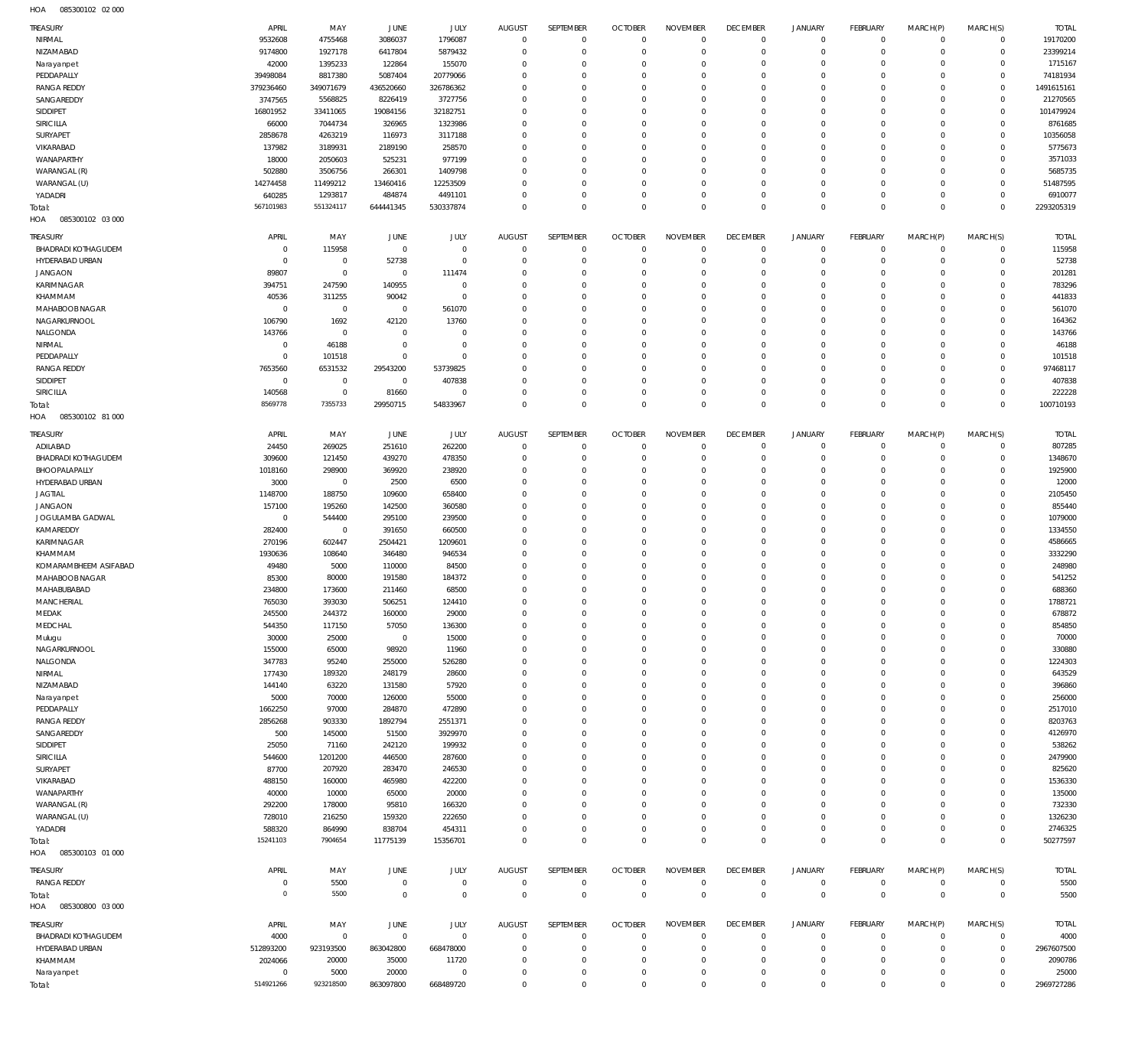085300102 02 000 HOA

| TREASURY                         | APRIL                    | MAY                           | JUNE                 | JULY                     | <b>AUGUST</b>           | SEPTEMBER               | <b>OCTOBER</b>             | <b>NOVEMBER</b>        | <b>DECEMBER</b>               | <b>JANUARY</b>       | <b>FEBRUARY</b>      | MARCH(P)             | MARCH(S)                   | <b>TOTAL</b>        |
|----------------------------------|--------------------------|-------------------------------|----------------------|--------------------------|-------------------------|-------------------------|----------------------------|------------------------|-------------------------------|----------------------|----------------------|----------------------|----------------------------|---------------------|
| NIRMAL                           | 9532608                  | 4755468                       | 3086037              | 1796087                  | $^{\circ}$              | $\mathbf 0$             | $\mathbf 0$                | $\Omega$               | $\overline{0}$                | $\overline{0}$       | $\circ$              | $\circ$              | $\mathbf 0$                | 19170200            |
| NIZAMABAD                        | 9174800                  | 1927178                       | 6417804              | 5879432                  | $\Omega$                | $\Omega$                | $\overline{0}$             | $\Omega$               | $\Omega$                      | $\Omega$             | $\mathbf 0$          | $\Omega$             | $\mathbf 0$                | 23399214            |
| Narayanpet                       | 42000                    | 1395233                       | 122864               | 155070                   | $\Omega$<br>$\Omega$    | $\Omega$                | $\Omega$<br>$\Omega$       | $\Omega$<br>$\Omega$   | $\Omega$<br>$\Omega$          | $\Omega$             | $\Omega$<br>$\Omega$ | $\Omega$             | $\Omega$<br>$\mathbf 0$    | 1715167<br>74181934 |
| PEDDAPALLY<br><b>RANGA REDDY</b> | 39498084<br>379236460    | 8817380<br>349071679          | 5087404<br>436520660 | 20779066<br>326786362    | $\Omega$                | $\Omega$<br>$\Omega$    | $\Omega$                   | $\Omega$               | $\Omega$                      | $\Omega$<br>$\Omega$ | $\Omega$             | $\Omega$<br>$\Omega$ | $\mathbf 0$                | 1491615161          |
| SANGAREDDY                       | 3747565                  | 5568825                       | 8226419              | 3727756                  | $\Omega$                | $\Omega$                | $\Omega$                   | $\Omega$               | $\Omega$                      | $\Omega$             | $\Omega$             | $\Omega$             | $\Omega$                   | 21270565            |
| SIDDIPET                         | 16801952                 | 33411065                      | 19084156             | 32182751                 | $\Omega$                | $\Omega$                | $\Omega$                   | $\Omega$               | $\Omega$                      | $\Omega$             | $\Omega$             | $\Omega$             | $\Omega$                   | 101479924           |
| <b>SIRICILLA</b>                 | 66000                    | 7044734                       | 326965               | 1323986                  | $\Omega$                | $\Omega$                | $\Omega$                   | $\Omega$               | $\Omega$                      | $\Omega$             | $\Omega$             | $\Omega$             | $\Omega$                   | 8761685             |
| SURYAPET                         | 2858678                  | 4263219                       | 116973               | 3117188                  | $\Omega$                | $\Omega$                | $\Omega$                   | $\Omega$               | $\Omega$                      | $\Omega$             | $\Omega$             | $\Omega$             | $\Omega$                   | 10356058            |
| VIKARABAD                        | 137982                   | 3189931                       | 2189190              | 258570                   | $\Omega$                | $\Omega$                | $\Omega$                   | $\Omega$               | $\Omega$                      | $\Omega$             | $\Omega$             | $\Omega$             | $\Omega$                   | 5775673             |
| WANAPARTHY                       | 18000                    | 2050603                       | 525231               | 977199                   | $\Omega$                | $\Omega$                | $\Omega$                   | $\Omega$               | $\Omega$                      | $\Omega$             | $\Omega$             | $\Omega$             | $\Omega$                   | 3571033             |
| WARANGAL (R)                     | 502880                   | 3506756                       | 266301               | 1409798                  | $\Omega$                | $\Omega$                | $\Omega$                   | $\Omega$               | $\Omega$                      | $\Omega$             | $\Omega$             | $\Omega$             | $\Omega$                   | 5685735             |
| WARANGAL (U)                     | 14274458                 | 11499212                      | 13460416             | 12253509                 | $\Omega$                | $\Omega$                | $\Omega$                   | $\Omega$               | $\Omega$                      | $\Omega$             | $\Omega$             | $\Omega$             | $\Omega$                   | 51487595            |
| YADADRI                          | 640285                   | 1293817                       | 484874               | 4491101                  | $\Omega$                | $\Omega$                | $\Omega$                   | $\Omega$               | $\Omega$                      | $\Omega$             | $\Omega$             | $\Omega$             | $\Omega$                   | 6910077             |
| Total:                           | 567101983                | 551324117                     | 644441345            | 530337874                | $\Omega$                | $\Omega$                | $\Omega$                   | $\Omega$               | $\Omega$                      | $\Omega$             | $\Omega$             | $\Omega$             | $\Omega$                   | 2293205319          |
| 085300102 03 000<br>HOA          |                          |                               |                      |                          |                         |                         |                            |                        |                               |                      |                      |                      |                            |                     |
|                                  |                          |                               |                      |                          |                         |                         |                            |                        |                               |                      |                      |                      |                            |                     |
| TREASURY                         | APRIL                    | MAY                           | JUNE                 | JULY                     | <b>AUGUST</b>           | SEPTEMBER               | <b>OCTOBER</b>             | <b>NOVEMBER</b>        | <b>DECEMBER</b>               | <b>JANUARY</b>       | <b>FEBRUARY</b>      | MARCH(P)             | MARCH(S)                   | <b>TOTAL</b>        |
| BHADRADI KOTHAGUDEM              | $\overline{0}$           | 115958                        | $\overline{0}$       | $\mathbf 0$              | $\Omega$                | $\mathbf{0}$            | $\overline{0}$             | $\Omega$               | $^{\circ}$                    | $\Omega$             | $\circ$              | $\Omega$             | $\mathbf 0$                | 115958              |
| HYDERABAD URBAN                  | $\overline{0}$           | $\overline{0}$                | 52738                | $^{\circ}$               | $\Omega$                | $\mathbf{0}$            | $\overline{0}$             | $\Omega$               | $\mathbf 0$                   | $\Omega$             | $\mathbf 0$          | $\Omega$             | $\mathbf 0$                | 52738               |
| <b>JANGAON</b>                   | 89807                    | $\overline{0}$                | $\overline{0}$       | 111474                   | $\Omega$                | $\Omega$                | $\overline{0}$             | $\Omega$               | $^{\circ}$                    | $\Omega$             | $\Omega$             | $\Omega$             | $\mathbf 0$                | 201281              |
| KARIMNAGAR                       | 394751                   | 247590                        | 140955               | $\mathbf 0$              | $\Omega$                | $\Omega$                | $\Omega$                   | $\Omega$               | $\Omega$                      | $\Omega$             | $\Omega$             | $\Omega$             | $\Omega$                   | 783296              |
| KHAMMAM                          | 40536                    | 311255                        | 90042                | $^{\circ}$               | $\Omega$                | $\Omega$                | $\Omega$                   | $\Omega$               | $\Omega$                      | $\Omega$             | $\Omega$             | $\Omega$             | $\Omega$                   | 441833              |
| MAHABOOB NAGAR                   | $\overline{0}$           | $\overline{0}$                | $\overline{0}$       | 561070                   | $\Omega$                | $\Omega$                | $\Omega$                   | $\Omega$               | $\Omega$                      | $\Omega$             | $\Omega$             | $\Omega$             | $\Omega$                   | 561070              |
| NAGARKURNOOL                     | 106790                   | 1692                          | 42120                | 13760                    | $\Omega$                | $\Omega$                | $\Omega$<br>$\Omega$       | $\Omega$               | $\Omega$                      | $\Omega$             | $\Omega$<br>$\Omega$ | $\Omega$             | $\Omega$<br>$\Omega$       | 164362              |
| NALGONDA                         | 143766                   | $\overline{0}$                | $\overline{0}$       | $\Omega$                 | $\Omega$                | $\Omega$                |                            | $\Omega$               | $\Omega$                      | $\Omega$             |                      | $\Omega$             |                            | 143766              |
| NIRMAL                           | $\overline{0}$           | 46188                         | $\overline{0}$       | $\mathbf 0$              | $\Omega$                | $\Omega$                | $\Omega$                   | $\Omega$               | $\Omega$                      | $\Omega$             | $\Omega$             | $\Omega$             | $\Omega$                   | 46188               |
| PEDDAPALLY                       | $\overline{0}$           | 101518                        | $\overline{0}$       | $\Omega$                 | $\Omega$                | $\Omega$                | $\Omega$<br>$\Omega$       | $\Omega$               | $\Omega$                      | $\Omega$             | $\Omega$             | ſ                    | $\mathbf 0$                | 101518              |
| <b>RANGA REDDY</b>               | 7653560                  | 6531532                       | 29543200             | 53739825                 | $\Omega$                | $\Omega$                |                            | $\Omega$               | $\Omega$                      | $\Omega$             | $\Omega$<br>$\Omega$ | $\Omega$             | $\mathbf 0$                | 97468117            |
| SIDDIPET<br><b>SIRICILLA</b>     | $\overline{0}$<br>140568 | $\overline{0}$<br>$\mathbf 0$ | $\overline{0}$       | 407838<br>$\mathbf 0$    | $\Omega$<br>$\Omega$    | $\Omega$<br>$\Omega$    | $\overline{0}$<br>$\Omega$ | $\Omega$<br>$\Omega$   | $^{\circ}$<br>$\Omega$        | $\Omega$<br>$\Omega$ | $\Omega$             | $\Omega$<br>$\Omega$ | $\mathbf 0$<br>$\mathbf 0$ | 407838              |
|                                  | 8569778                  | 7355733                       | 81660                |                          | $\Omega$                | $\Omega$                | $\Omega$                   | $\Omega$               | $\mathbf{0}$                  | $\Omega$             | $\Omega$             | $\Omega$             | $\mathbf 0$                | 222228              |
| Total:                           |                          |                               | 29950715             | 54833967                 |                         |                         |                            |                        |                               |                      |                      |                      |                            | 100710193           |
| 085300102 81 000<br>HOA          |                          |                               |                      |                          |                         |                         |                            |                        |                               |                      |                      |                      |                            |                     |
| TREASURY                         | APRIL                    | MAY                           | JUNE                 | <b>JULY</b>              | <b>AUGUST</b>           | SEPTEMBER               | <b>OCTOBER</b>             | <b>NOVEMBER</b>        | <b>DECEMBER</b>               | <b>JANUARY</b>       | <b>FEBRUARY</b>      | MARCH(P)             | MARCH(S)                   | <b>TOTAL</b>        |
| ADILABAD                         | 24450                    | 269025                        | 251610               | 262200                   | $\mathbf 0$             | $\mathbf{0}$            | $\Omega$                   | $\Omega$               | $^{\circ}$                    | $\Omega$             | $\circ$              | $\Omega$             | $\mathbf 0$                | 807285              |
| <b>BHADRADI KOTHAGUDEM</b>       | 309600                   | 121450                        | 439270               | 478350                   | $\Omega$                | $\Omega$                | $\Omega$                   | $\Omega$               | $\Omega$                      | $\Omega$             | $\mathbf 0$          | $\Omega$             | $\mathbf 0$                | 1348670             |
| BHOOPALAPALLY                    | 1018160                  | 298900                        | 369920               | 238920                   | $\Omega$                | $\Omega$                | $\Omega$                   | $\Omega$               | $\Omega$                      | $\Omega$             | $\Omega$             | $\Omega$             | $\Omega$                   | 1925900             |
| HYDERABAD URBAN                  | 3000                     | $\overline{0}$                | 2500                 | 6500                     | $\Omega$                | $\Omega$                | $\Omega$                   | $\Omega$               | $\Omega$                      | $\Omega$             | $\Omega$             | $\Omega$             | $\Omega$                   | 12000               |
| <b>JAGTIAL</b>                   | 1148700                  | 188750                        | 109600               | 658400                   | $\Omega$                | $\Omega$                | $\Omega$                   | $\Omega$               | $\Omega$                      | $\Omega$             | $\Omega$             | $\Omega$             | $\Omega$                   | 2105450             |
| <b>JANGAON</b>                   | 157100                   | 195260                        | 142500               | 360580                   | $\Omega$                | $\Omega$                | $\Omega$                   | $\Omega$               | $\Omega$                      | $\Omega$             | $\Omega$             | $\Omega$             | $\Omega$                   | 855440              |
| JOGULAMBA GADWAL                 | $\overline{0}$           | 544400                        | 295100               | 239500                   | $\Omega$                | $\Omega$                | $\Omega$                   | $\Omega$               | $\Omega$                      | $\Omega$             | $\Omega$             | $\Omega$             | $\Omega$                   | 1079000             |
| KAMAREDDY                        | 282400                   | $\overline{0}$                | 391650               | 660500                   | $\Omega$                | $\Omega$                | $\Omega$                   | $\Omega$               | $\Omega$                      | $\Omega$             | $\Omega$             | $\Omega$             | $\Omega$                   | 1334550             |
| <b>KARIMNAGAR</b>                | 270196                   | 602447                        | 2504421              | 1209601                  | $\Omega$                | $\Omega$                | $\Omega$                   | $\Omega$               | $\Omega$                      | $\Omega$             | $\Omega$             | $\Omega$             | $\Omega$                   | 4586665             |
| KHAMMAM                          | 1930636                  | 108640                        | 346480               | 946534                   | $\Omega$                | $\Omega$                | $\Omega$                   | $\Omega$               | $\Omega$                      | $\Omega$             | $\Omega$             | $\Omega$             | $\Omega$                   | 3332290             |
| KOMARAMBHEEM ASIFABAD            | 49480                    | 5000                          | 110000               | 84500                    | $\Omega$                | $\Omega$                | $\Omega$                   | $\Omega$               | $\Omega$                      | $\Omega$             | $\Omega$             | $\Omega$             | $\Omega$                   | 248980              |
| MAHABOOB NAGAR                   | 85300                    | 80000                         | 191580               | 184372                   | $\Omega$                | $\Omega$                | $\Omega$                   | $\Omega$               | $\Omega$                      | $\Omega$             | $\Omega$             | $\Omega$             | $\Omega$                   | 541252              |
| MAHABUBABAD                      | 234800                   | 173600                        | 211460               | 68500                    | $\Omega$                | $\Omega$                | $\Omega$                   | $\Omega$               | $\Omega$                      | $\Omega$             | $\Omega$             | $\Omega$             | $\Omega$                   | 688360              |
| MANCHERIAL                       | 765030                   | 393030                        | 506251               | 124410                   | $\Omega$                | $\Omega$                | $\Omega$                   | $\Omega$               | $\Omega$                      | $\Omega$             | $\Omega$             | $\Omega$             | $\Omega$                   | 1788721             |
| MEDAK                            | 245500                   | 244372                        | 160000               |                          | $^{\circ}$              | $\mathbf{0}$            | $\overline{0}$             | $\overline{0}$         | $\overline{0}$                | $\Omega$             |                      |                      |                            |                     |
| MEDCHAL                          |                          |                               |                      | 29000                    |                         |                         |                            |                        |                               |                      | $\circ$              | $\Omega$             | $\mathbf 0$                | 678872              |
| Mulugu                           | 544350                   | 117150                        | 57050                | 136300                   | $\Omega$                | $\Omega$                | $\overline{0}$             | $\Omega$               | $\Omega$                      | $\Omega$             | $\Omega$             | $\Omega$             | $\Omega$                   | 854850              |
|                                  | 30000                    | 25000                         | $\overline{0}$       | 15000                    | $\Omega$                | $\Omega$                | $\mathbf 0$                | $\Omega$               | $\Omega$                      | $\Omega$             | $\Omega$             | $\Omega$             | $\Omega$                   | 70000               |
| NAGARKURNOOL                     | 155000                   | 65000                         | 98920                | 11960                    | $\Omega$                | $\Omega$                | $\overline{0}$             | $\Omega$               | $\Omega$                      | $\Omega$             | $\Omega$             | $\Omega$             | $\Omega$                   | 330880              |
| NALGONDA                         | 347783                   | 95240                         | 255000               | 526280                   | $\Omega$                | $\Omega$                | $\overline{0}$             | $\Omega$               | $\mathbf{0}$                  | $\Omega$             | $\Omega$             | $\Omega$             | $\Omega$                   | 1224303             |
| NIRMAL                           | 177430                   | 189320                        | 248179               | 28600                    | $\Omega$                | $\Omega$                | $^{\circ}$                 | $\Omega$               | $\Omega$                      | $\Omega$             | $\Omega$             | $\Omega$             | $\Omega$                   | 643529              |
| NIZAMABAD                        | 144140                   | 63220                         | 131580               | 57920                    | $\Omega$                | $\Omega$                | $\overline{0}$             | $\Omega$               | $\Omega$                      | $\Omega$             | $\Omega$             | $\Omega$             | $\Omega$                   | 396860              |
| Narayanpet                       | 5000                     | 70000                         | 126000               | 55000                    | $\Omega$                | $\Omega$                | $^{\circ}$                 | $\Omega$               | $\Omega$                      | $\Omega$             | $\Omega$             | $\Omega$             | $\Omega$                   | 256000              |
| PEDDAPALLY                       | 1662250                  | 97000                         | 284870               | 472890                   | $\Omega$                | $\Omega$                | $\overline{0}$             | $\Omega$               | $\Omega$                      | $\Omega$             | $\Omega$             | $\Omega$             | $\Omega$                   | 2517010             |
| <b>RANGA REDDY</b>               | 2856268                  | 903330                        | 1892794              | 2551371                  | $\Omega$                | $\Omega$                | $\Omega$                   | $\Omega$               | $\Omega$                      | $\Omega$             | $\Omega$             | $\Omega$             | $\Omega$                   | 8203763             |
| SANGAREDDY                       | 500                      | 145000                        | 51500                | 3929970                  | $\Omega$                | $\Omega$                | $\overline{0}$             | $\Omega$               | $\mathbf{0}$                  | $\Omega$             | $\Omega$             | $\Omega$             | $\Omega$                   | 4126970             |
| SIDDIPET                         | 25050                    | 71160                         | 242120               | 199932                   | $\Omega$                | $\Omega$                | $\Omega$                   | $\Omega$               | $\Omega$                      | $\Omega$             | $\Omega$             | $\Omega$             | $\Omega$                   | 538262              |
| SIRICILLA                        | 544600                   | 1201200                       | 446500               | 287600                   | $\Omega$                | $\Omega$                | $\mathbf 0$                | $\Omega$               | $\mathbf{0}$                  | $\Omega$             | $\Omega$             | $\Omega$             | $\Omega$                   | 2479900             |
| SURYAPET                         | 87700                    | 207920                        | 283470               | 246530                   | $\Omega$                | $\Omega$                | $\Omega$                   | $\Omega$               | $\Omega$                      | $\Omega$             | $\Omega$             | $\Omega$             | $\Omega$                   | 825620              |
| VIKARABAD                        | 488150                   | 160000                        | 465980               | 422200                   | $\Omega$                | $\Omega$                | $\mathbf 0$                | $\Omega$               | $\mathbf{0}$                  | $\Omega$             | $\Omega$             | $\Omega$             | $\Omega$                   | 1536330             |
| WANAPARTHY                       | 40000                    | 10000                         | 65000                | 20000                    | $\Omega$                | $\Omega$                | $\Omega$                   | $\Omega$               | $\Omega$                      | $\Omega$             | $\Omega$             |                      | $\Omega$                   | 135000              |
| WARANGAL (R)                     | 292200                   | 178000                        | 95810                | 166320                   | $\Omega$                | $\Omega$                | $\mathbf 0$                | $\Omega$               | $\mathbf{0}$                  | $\Omega$             | $\Omega$             | $\Omega$             | $\Omega$                   | 732330              |
| WARANGAL (U)                     | 728010                   | 216250                        | 159320               | 222650                   | $\Omega$                | $\Omega$                | $\Omega$                   | $\Omega$               | $\Omega$                      | $\Omega$             | $\Omega$             | $\Omega$             | $\Omega$                   | 1326230             |
| YADADRI                          | 588320                   | 864990                        | 838704               | 454311                   | $\Omega$                | $\Omega$                | $\mathbf 0$                | $\Omega$               | $\mathbb O$                   | $\Omega$             | $\circ$              | $\Omega$             | $\mathbf 0$                | 2746325             |
| Total:                           | 15241103                 | 7904654                       | 11775139             | 15356701                 | $\Omega$                | $\Omega$                | $\overline{0}$             | $\Omega$               | $\mathbb O$                   | $\circ$              | $\Omega$             | $\Omega$             | $\Omega$                   | 50277597            |
| 085300103 01 000<br>HOA          |                          |                               |                      |                          |                         |                         |                            |                        |                               |                      |                      |                      |                            |                     |
| TREASURY                         | APRIL                    | MAY                           | JUNE                 | <b>JULY</b>              | <b>AUGUST</b>           | SEPTEMBER               | <b>OCTOBER</b>             | <b>NOVEMBER</b>        | <b>DECEMBER</b>               | JANUARY              | <b>FEBRUARY</b>      | MARCH(P)             | MARCH(S)                   | TOTAL               |
| <b>RANGA REDDY</b>               | $\mathbf 0$              | 5500                          | $\overline{0}$       | $\mathbf 0$              | $\mathbf{0}$            | $\overline{0}$          | $\overline{0}$             | $^{\circ}$             | $^{\circ}$                    | $\Omega$             | $\mathbf 0$          | $\Omega$             | $\mathbf 0$                | 5500                |
| Total:                           | $\mathbf 0$              | 5500                          | $\mathbf 0$          | $\mathbf 0$              | $\mathbf 0$             | $\,0\,$                 | $\mathbb O$                | $\overline{0}$         | $\,0\,$                       | $\mathbb O$          | $\mathbb O$          | $\mathbf 0$          | $\overline{0}$             | 5500                |
| 085300800 03 000<br>HOA          |                          |                               |                      |                          |                         |                         |                            |                        |                               |                      |                      |                      |                            |                     |
|                                  |                          |                               |                      |                          |                         |                         |                            |                        |                               |                      |                      |                      |                            |                     |
| <b>TREASURY</b>                  | APRIL                    | MAY                           | JUNE                 | <b>JULY</b>              | <b>AUGUST</b>           | SEPTEMBER               | <b>OCTOBER</b>             | <b>NOVEMBER</b>        | <b>DECEMBER</b>               | <b>JANUARY</b>       | <b>FEBRUARY</b>      | MARCH(P)             | MARCH(S)                   | <b>TOTAL</b>        |
| BHADRADI KOTHAGUDEM              | 4000                     | $\overline{0}$                | $\overline{0}$       | $\mathbf{0}$             | $\mathbf{0}$            | $\mathbf{0}$            | $\overline{0}$             | $\Omega$               | $^{\circ}$                    | $\Omega$             | $\circ$              | $\Omega$             | $\mathbf 0$                | 4000                |
| HYDERABAD URBAN                  | 512893200                | 923193500                     | 863042800            | 668478000                | $\mathbf 0$             | $\mathbf 0$             | $\overline{0}$             | $\Omega$               | $^{\circ}$                    | $\Omega$             | $\Omega$             | $\Omega$             | $\mathbf 0$                | 2967607500          |
| KHAMMAM                          | 2024066                  | 20000                         | 35000                | 11720                    | $\Omega$                | $\Omega$                | $\mathbf 0$                | $\Omega$               | $\Omega$                      | $\Omega$<br>$\Omega$ | $\Omega$             | $\Omega$<br>$\Omega$ | $\Omega$                   | 2090786             |
| Narayanpet<br>Total:             | $^{\circ}$<br>514921266  | 5000<br>923218500             | 20000<br>863097800   | $\mathbf 0$<br>668489720 | $\mathbf 0$<br>$\Omega$ | $\mathbf 0$<br>$\Omega$ | $\mathbf 0$<br>$\mathbf 0$ | $^{\circ}$<br>$\Omega$ | $\overline{0}$<br>$\mathbf 0$ | $\overline{0}$       | $\circ$<br>$\Omega$  | $\Omega$             | $\mathbf 0$<br>$\Omega$    | 25000<br>2969727286 |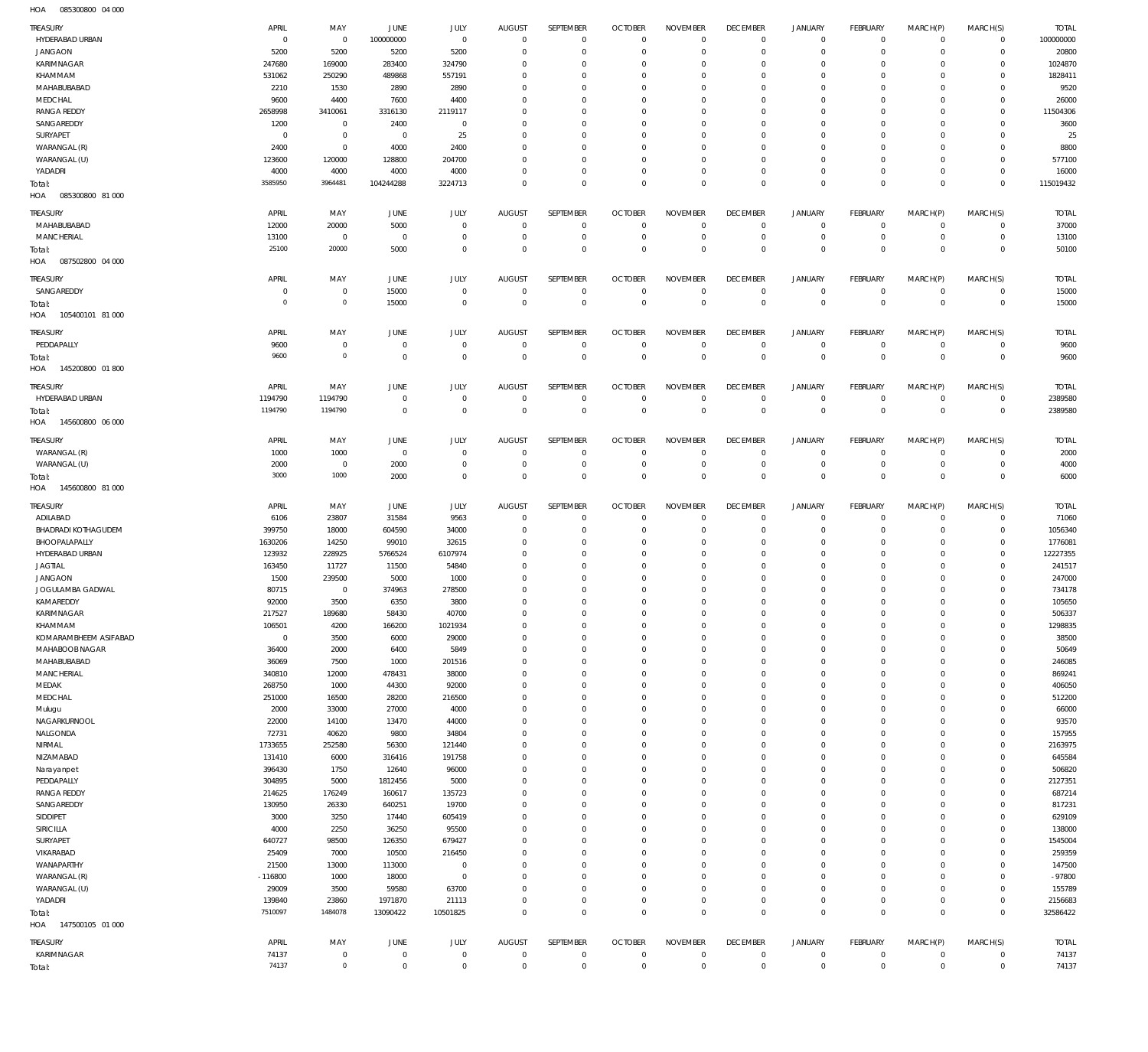085300800 04 000 HOA

| TREASURY                                    | APRIL               | MAY                        | <b>JUNE</b>                 | JULY                               | <b>AUGUST</b>                    | SEPTEMBER                     | <b>OCTOBER</b>                   | <b>NOVEMBER</b>               | <b>DECEMBER</b>                   | <b>JANUARY</b>             | <b>FEBRUARY</b>               | MARCH(P)                   | MARCH(S)                   | <b>TOTAL</b>         |
|---------------------------------------------|---------------------|----------------------------|-----------------------------|------------------------------------|----------------------------------|-------------------------------|----------------------------------|-------------------------------|-----------------------------------|----------------------------|-------------------------------|----------------------------|----------------------------|----------------------|
| HYDERABAD URBAN<br><b>JANGAON</b>           | $\mathbf 0$<br>5200 | $\overline{0}$<br>5200     | 100000000<br>5200           | $\mathbf 0$<br>5200                | $\overline{0}$<br>$\mathbf 0$    | $\mathbf 0$<br>$\mathbf 0$    | $\overline{0}$<br>$\overline{0}$ | $\mathbf{0}$<br>0             | $\overline{0}$<br>$\overline{0}$  | 0<br>$\circ$               | $^{\circ}$<br>$\mathbf{0}$    | $\circ$<br>$\Omega$        | $\mathbf 0$<br>$\mathbf 0$ | 100000000<br>20800   |
| KARIMNAGAR                                  | 247680              | 169000                     | 283400                      | 324790                             | $\mathbf 0$                      | $\mathbf 0$                   | $^{\circ}$                       | 0                             | $\overline{0}$                    | $\mathbf 0$                | $^{\circ}$                    | $\Omega$                   | $\Omega$                   | 1024870              |
| KHAMMAM                                     | 531062              | 250290                     | 489868                      | 557191                             | $\mathbf 0$                      | $\mathbf 0$                   | $^{\circ}$                       | 0                             | $\mathbf 0$                       | $^{\circ}$                 | $^{\circ}$                    |                            | $\Omega$                   | 1828411              |
| MAHABUBABAD                                 | 2210                | 1530                       | 2890                        | 2890                               | $\mathbf 0$                      | $\mathbf 0$                   | $\mathbf 0$                      | 0                             | $\overline{0}$                    | $\mathbf 0$                | $^{\circ}$                    | $\Omega$                   | $\Omega$                   | 9520                 |
| MEDCHAL                                     | 9600                | 4400                       | 7600                        | 4400                               | $\mathbf 0$                      | $\mathbf 0$                   | $^{\circ}$                       | 0                             | $\mathbf 0$                       | $^{\circ}$                 | $^{\circ}$                    |                            | $\Omega$                   | 26000                |
| <b>RANGA REDDY</b><br>SANGAREDDY            | 2658998<br>1200     | 3410061<br>$\mathbf 0$     | 3316130<br>2400             | 2119117<br>$\mathbf 0$             | $\mathbf 0$<br>$\mathbf 0$       | $\mathbf 0$<br>$\mathbf 0$    | $\mathbf 0$<br>$^{\circ}$        | 0<br>0                        | $\mathbf 0$<br>$\mathbf 0$        | $\mathbf 0$<br>$^{\circ}$  | $^{\circ}$<br>$^{\circ}$      | $\Omega$                   | $\Omega$<br>$\Omega$       | 11504306<br>3600     |
| SURYAPET                                    | $^{\circ}$          | $\mathbf 0$                | $\overline{0}$              | 25                                 | $\mathbf 0$                      | $\mathbf 0$                   | $^{\circ}$                       | 0                             | $\mathbf 0$                       | $\mathbf 0$                | $^{\circ}$                    |                            | $\Omega$                   | 25                   |
| WARANGAL (R)                                | 2400                | $\mathbf 0$                | 4000                        | 2400                               | $\mathbf 0$                      | $\mathbf 0$                   | $^{\circ}$                       | 0                             | $\mathbf 0$                       | $^{\circ}$                 | $^{\circ}$                    | $\Omega$                   | $\Omega$                   | 8800                 |
| WARANGAL (U)                                | 123600              | 120000                     | 128800                      | 204700                             | $\mathbf 0$                      | $\mathbf 0$                   | $^{\circ}$                       | 0                             | $\mathbf{0}$                      | $\mathbf 0$                | $^{\circ}$                    | $\Omega$                   | $\Omega$                   | 577100               |
| YADADRI                                     | 4000                | 4000                       | 4000                        | 4000                               | $\mathbf 0$                      | $\mathbf 0$                   | $\mathbf 0$                      | $\mathbf 0$                   | $\mathbf{0}$                      | $\mathbf 0$                | $\mathbf{0}$                  | $\Omega$                   | $\mathbf 0$                | 16000                |
| Total:<br>HOA<br>085300800 81 000           | 3585950             | 3964481                    | 104244288                   | 3224713                            | $\mathbf 0$                      | $\mathbf 0$                   | $\overline{0}$                   | $\mathbf 0$                   | $\overline{0}$                    | $\mathbf 0$                | $\overline{0}$                | $^{\circ}$                 | $\mathbb O$                | 115019432            |
| TREASURY                                    | APRIL               | MAY                        | <b>JUNE</b>                 | JULY                               | <b>AUGUST</b>                    | SEPTEMBER                     | <b>OCTOBER</b>                   | <b>NOVEMBER</b>               | <b>DECEMBER</b>                   | <b>JANUARY</b>             | <b>FEBRUARY</b>               | MARCH(P)                   | MARCH(S)                   | <b>TOTAL</b>         |
| MAHABUBABAD                                 | 12000               | 20000                      | 5000                        | $\mathbf 0$                        | $\overline{0}$                   | $\mathbf 0$                   | $\overline{0}$                   | $\mathbf 0$                   | $\overline{0}$                    | $\circ$                    | $^{\circ}$                    | $\circ$                    | $\mathbf 0$                | 37000                |
| <b>MANCHERIAL</b>                           | 13100               | $\overline{0}$             | $\overline{0}$              | $\mathbf 0$                        | $\overline{0}$                   | $\mathbf 0$                   | $\overline{0}$                   | $\mathbf 0$                   | $\overline{0}$                    | $\circ$                    | $\mathbf{0}$                  | $^{\circ}$                 | $\mathbf 0$                | 13100                |
| Total:<br>HOA<br>087502800 04 000           | 25100               | 20000                      | 5000                        | $\mathbf 0$                        | $\overline{0}$                   | $\mathbf 0$                   | $\overline{0}$                   | $\mathbf 0$                   | $\overline{0}$                    | $\overline{0}$             | $\overline{0}$                | $\overline{0}$             | $\mathbf 0$                | 50100                |
| <b>TREASURY</b>                             | APRIL               | MAY                        | <b>JUNE</b>                 | JULY                               | AUGUST                           | SEPTEMBER                     | <b>OCTOBER</b>                   | <b>NOVEMBER</b>               | <b>DECEMBER</b>                   | <b>JANUARY</b>             | <b>FEBRUARY</b>               | MARCH(P)                   | MARCH(S)                   | <b>TOTAL</b>         |
| SANGAREDDY                                  | 0                   | $\mathbf 0$                | 15000                       | $\mathbf 0$                        | $\overline{0}$                   | $\mathbf 0$                   | $\overline{0}$                   | $\mathbf 0$                   | $\overline{0}$                    | 0                          | $\mathbf{0}$                  | $^{\circ}$                 | $\mathbf 0$                | 15000                |
| Total:<br>HOA<br>105400101 81 000           | $\circ$             | $\mathbb O$                | 15000                       | $\mathbf 0$                        | $\overline{0}$                   | $\overline{0}$                | $\overline{0}$                   | $\mathbf{0}$                  | $\mathbb O$                       | $\,0\,$                    | $\mathbb O$                   | $\overline{0}$             | $\mathbf{0}$               | 15000                |
|                                             |                     |                            |                             |                                    |                                  |                               |                                  |                               |                                   |                            |                               |                            |                            |                      |
| TREASURY<br>PEDDAPALLY                      | APRIL<br>9600       | MAY<br>$\mathbf 0$         | <b>JUNE</b><br>$\mathbf 0$  | JULY<br>$\mathbf 0$                | AUGUST<br>$\overline{0}$         | SEPTEMBER<br>$\mathbf 0$      | <b>OCTOBER</b><br>$\overline{0}$ | <b>NOVEMBER</b><br>$^{\circ}$ | <b>DECEMBER</b><br>$\overline{0}$ | <b>JANUARY</b><br>$\circ$  | <b>FEBRUARY</b><br>$^{\circ}$ | MARCH(P)<br>$^{\circ}$     | MARCH(S)<br>$\mathbf 0$    | <b>TOTAL</b><br>9600 |
| Total:                                      | 9600                | $\mathbb O$                | $\mathbf{0}$                | $\mathbf 0$                        | $\overline{0}$                   | $\overline{0}$                | $\overline{0}$                   | $\overline{0}$                | $\mathbb O$                       | $\,0\,$                    | $\mathbb O$                   | $\mathbf 0$                | $\mathbb O$                | 9600                 |
| 145200800 01 800<br>HOA                     |                     |                            |                             |                                    |                                  |                               |                                  |                               |                                   |                            |                               |                            |                            |                      |
| TREASURY                                    | APRIL               | MAY                        | <b>JUNE</b>                 | JULY                               | <b>AUGUST</b>                    | SEPTEMBER                     | <b>OCTOBER</b>                   | <b>NOVEMBER</b>               | <b>DECEMBER</b>                   | <b>JANUARY</b>             | <b>FEBRUARY</b>               | MARCH(P)                   | MARCH(S)                   | <b>TOTAL</b>         |
| HYDERABAD URBAN                             | 1194790             | 1194790                    | $\mathbf 0$                 | $\mathbf 0$                        | $\overline{0}$                   | 0                             | $\overline{0}$                   | $\mathbf 0$                   | $\mathbf 0$                       | $\mathbf 0$                | $\mathbf 0$                   | $\circ$                    | $\mathbf 0$                | 2389580              |
| Total:<br>HOA<br>145600800 06 000           | 1194790             | 1194790                    | $\overline{0}$              | $\mathbf 0$                        | $\overline{0}$                   | $\overline{0}$                | $\overline{0}$                   | $\overline{0}$                | $\mathbb O$                       | $\mathbb O$                | $\mathbb O$                   | $\overline{0}$             | $\mathbb O$                | 2389580              |
| TREASURY                                    | APRIL               | MAY                        | <b>JUNE</b>                 | JULY                               | <b>AUGUST</b>                    | SEPTEMBER                     | <b>OCTOBER</b>                   | <b>NOVEMBER</b>               | <b>DECEMBER</b>                   | <b>JANUARY</b>             | <b>FEBRUARY</b>               | MARCH(P)                   | MARCH(S)                   | <b>TOTAL</b>         |
| WARANGAL (R)                                | 1000                | 1000                       | $\overline{0}$              | $\mathbf 0$                        | $\overline{0}$                   | $^{\circ}$                    | $\overline{0}$                   | $\mathbf 0$                   | $\overline{0}$                    | $^{\circ}$                 | $^{\circ}$                    | $\circ$                    | $\mathbf 0$                | 2000                 |
| WARANGAL (U)                                | 2000                | $\mathbf 0$                | 2000                        | $\mathbf 0$                        | $\overline{0}$                   | $\mathbf 0$                   | $\overline{0}$                   | $\mathbf 0$                   | $\overline{0}$                    | $\mathbf 0$                | $\mathbf{0}$                  | $^{\circ}$                 | $\mathbf 0$                | 4000                 |
| Total:                                      | 3000                | 1000                       | 2000                        | $\mathbf 0$                        | $\overline{0}$                   | $\overline{0}$                | $\overline{0}$                   | $\overline{0}$                | $\mathbb O$                       | $\mathbf 0$                | $\mathbb O$                   | $\overline{0}$             | $\mathbb O$                | 6000                 |
| HOA<br>145600800 81 000                     |                     |                            |                             |                                    |                                  |                               |                                  |                               |                                   |                            |                               |                            |                            |                      |
| TREASURY                                    | APRIL               | MAY                        | JUNE                        | JULY                               | AUGUST                           | SEPTEMBER                     | <b>OCTOBER</b>                   | <b>NOVEMBER</b>               | <b>DECEMBER</b>                   | <b>JANUARY</b>             | <b>FEBRUARY</b>               | MARCH(P)                   | MARCH(S)                   | <b>TOTAL</b>         |
| ADILABAD                                    | 6106                | 23807                      | 31584                       | 9563                               | $\mathbf 0$                      | $\mathbf 0$                   | $\overline{0}$                   | $\mathbf 0$                   | $\overline{0}$                    | $\mathbf 0$                | $^{\circ}$                    | $\circ$                    | $\Omega$                   | 71060                |
| <b>BHADRADI KOTHAGUDEM</b><br>BHOOPALAPALLY | 399750<br>1630206   | 18000<br>14250             | 604590<br>99010             | 34000<br>32615                     | $\overline{0}$<br>$\mathbf 0$    | $\mathbf 0$<br>$\mathbf 0$    | $\overline{0}$<br>$^{\circ}$     | $\mathbf 0$<br>0              | $\mathbf{0}$<br>$\overline{0}$    | $\circ$<br>$\mathbf 0$     | $^{\circ}$<br>$^{\circ}$      | $\circ$                    | $\mathbf 0$<br>$\mathbf 0$ | 1056340<br>1776081   |
| HYDERABAD URBAN                             | 123932              | 228925                     | 5766524                     | 6107974                            | $\mathbf 0$                      | $\mathbf 0$                   | $^{\circ}$                       | 0                             | $\overline{0}$                    | $\mathbf 0$                | $^{\circ}$                    | $\Omega$                   | $\Omega$                   | 12227355             |
| <b>JAGTIAL</b>                              | 163450              | 11727                      | 11500                       | 54840                              | $\mathbf 0$                      | $\mathbf 0$                   | $^{\circ}$                       | 0                             | $\overline{0}$                    | $\mathbf 0$                | $^{\circ}$                    |                            | $\mathbf 0$                | 241517               |
| <b>JANGAON</b>                              | 1500                | 239500                     | 5000                        | 1000                               | $\mathbf 0$                      | $\mathbf 0$                   | $^{\circ}$                       | 0                             | $\mathbf 0$                       | $\mathbf 0$                | $^{\circ}$                    | $\Omega$                   | $\Omega$                   | 247000               |
| JOGULAMBA GADWAL                            | 80715               | $\mathbf 0$                | 374963                      | 278500                             | $\mathbf 0$                      | $\mathbf 0$                   | $^{\circ}$                       | 0                             | $^{\circ}$                        | $\mathbf 0$                | $^{\circ}$                    | $\Omega$                   | $\mathbf 0$                | 734178               |
| KAMAREDDY                                   | 92000               | 3500                       | 6350                        | 3800                               | $\Omega$                         | $\Omega$                      | $\overline{0}$                   | $\mathbf 0$                   | $\overline{0}$                    | $\mathbf 0$                | $\mathbf{0}$                  | $\Omega$                   | $\Omega$                   | 105650               |
| KARIMNAGAR<br>KHAMMAM                       | 217527<br>106501    | 189680<br>4200             | 58430<br>166200             | 40700<br>1021934                   | 0<br>$\overline{0}$              | 0<br>$\mathbf 0$              | - 0<br>$\overline{0}$            | 0<br>$\mathbf 0$              | 0<br>$\overline{0}$               | 0<br>$\mathbf 0$           | $\circ$<br>$\mathbf{0}$       | $\Omega$<br>$\Omega$       | $\circ$<br>$\Omega$        | 506337<br>1298835    |
| KOMARAMBHEEM ASIFABAD                       | $\overline{0}$      | 3500                       | 6000                        | 29000                              | $\overline{0}$                   | $\mathbf 0$                   | $\overline{0}$                   | $\mathbf 0$                   | $\overline{0}$                    | $\mathbf 0$                | $\mathbf 0$                   | $\Omega$                   | $\mathbf 0$                | 38500                |
| MAHABOOB NAGAR                              | 36400               | 2000                       | 6400                        | 5849                               | $\mathbf 0$                      | $\mathbf 0$                   | $\overline{0}$                   | $\mathbf 0$                   | $\mathbf{0}$                      | $\mathbf 0$                | $\mathbf{0}$                  | $\Omega$                   | $\Omega$                   | 50649                |
| MAHABUBABAD                                 | 36069               | 7500                       | 1000                        | 201516                             | $\mathbf 0$                      | $\mathbf 0$                   | $\overline{0}$                   | $\mathbf 0$                   | $\mathbf{0}$                      | $\mathbf 0$                | $\mathbf{0}$                  | $\Omega$                   | $\Omega$                   | 246085               |
| MANCHERIAL                                  | 340810              | 12000                      | 478431                      | 38000                              | $\mathbf 0$                      | $\mathbf 0$                   | $\overline{0}$                   | $\mathbf 0$                   | $\mathbf{0}$                      | $\mathbf 0$                | $\mathbf{0}$                  | $\Omega$                   | $\Omega$                   | 869241               |
| MEDAK<br>MEDCHAL                            | 268750<br>251000    | 1000<br>16500              | 44300<br>28200              | 92000<br>216500                    | $\mathbf 0$<br>$\mathbf 0$       | $\mathbf 0$<br>$\mathbf 0$    | $\overline{0}$<br>$\overline{0}$ | $\mathbf 0$<br>$\mathbf 0$    | $\mathbf{0}$<br>$\mathbf{0}$      | $\mathbf 0$<br>$\mathbf 0$ | $\mathbf{0}$<br>$\mathbf{0}$  | $\Omega$<br>$\Omega$       | $\Omega$<br>$\Omega$       | 406050<br>512200     |
| Mulugu                                      | 2000                | 33000                      | 27000                       | 4000                               | $\mathbf 0$                      | $\mathbf 0$                   | $\overline{0}$                   | $\mathbf 0$                   | $\mathbf{0}$                      | $\mathbf 0$                | $\mathbf{0}$                  | $\Omega$                   | $\Omega$                   | 66000                |
| NAGARKURNOOL                                | 22000               | 14100                      | 13470                       | 44000                              | $\mathbf 0$                      | $\mathbf 0$                   | $\overline{0}$                   | $\mathbf 0$                   | $\mathbf{0}$                      | $\mathbf 0$                | $\mathbf{0}$                  | $\Omega$                   | $\Omega$                   | 93570                |
| NALGONDA                                    | 72731               | 40620                      | 9800                        | 34804                              | $\mathbf 0$                      | $\mathbf 0$                   | $\overline{0}$                   | $\mathbf 0$                   | $\mathbf{0}$                      | $\mathbf 0$                | $\mathbf{0}$                  | $\Omega$                   | $\Omega$                   | 157955               |
| NIRMAL                                      | 1733655             | 252580                     | 56300                       | 121440                             | $\mathbf 0$                      | $\mathbf 0$                   | $\overline{0}$                   | $\mathbf 0$                   | $\mathbf{0}$                      | $\mathbf 0$                | $\mathbf{0}$                  | $\Omega$                   | $\Omega$                   | 2163975              |
| NIZAMABAD                                   | 131410              | 6000                       | 316416                      | 191758                             | $\mathbf 0$                      | $\mathbf 0$                   | $\overline{0}$                   | $\mathbf 0$                   | $\mathbf{0}$                      | $\mathbf 0$                | $\mathbf{0}$                  | $\Omega$                   | $\Omega$                   | 645584               |
| Narayanpet<br>PEDDAPALLY                    | 396430<br>304895    | 1750<br>5000               | 12640<br>1812456            | 96000<br>5000                      | $\mathbf 0$<br>$\mathbf 0$       | $\mathbf 0$<br>$\mathbf 0$    | $\overline{0}$<br>$\overline{0}$ | $\mathbf 0$<br>$\mathbf 0$    | $\mathbf{0}$<br>$\mathbf{0}$      | $\mathbf 0$<br>$\mathbf 0$ | $\mathbf{0}$<br>$\mathbf{0}$  | $\Omega$<br>$\Omega$       | $\Omega$<br>$\mathbf 0$    | 506820<br>2127351    |
| <b>RANGA REDDY</b>                          | 214625              | 176249                     | 160617                      | 135723                             | $\mathbf 0$                      | $\mathbf 0$                   | $\overline{0}$                   | $\mathbf 0$                   | $\mathbf{0}$                      | $\mathbf 0$                | $\mathbf{0}$                  | $\Omega$                   | $\Omega$                   | 687214               |
| SANGAREDDY                                  | 130950              | 26330                      | 640251                      | 19700                              | $\mathbf 0$                      | $\mathbf 0$                   | $\overline{0}$                   | $\mathbf 0$                   | $\mathbf{0}$                      | $\mathbf 0$                | $\mathbf{0}$                  | $\Omega$                   | $\mathbf 0$                | 817231               |
| SIDDIPET                                    | 3000                | 3250                       | 17440                       | 605419                             | $\mathbf 0$                      | $\mathbf 0$                   | $\overline{0}$                   | $\mathbf 0$                   | $\mathbf{0}$                      | $\mathbf 0$                | $\mathbf{0}$                  | $\Omega$                   | $\Omega$                   | 629109               |
| SIRICILLA                                   | 4000                | 2250                       | 36250                       | 95500                              | $\mathbf 0$                      | $\mathbf 0$                   | $\overline{0}$                   | $\mathbf 0$                   | $\mathbf{0}$                      | $\mathbf 0$                | $\mathbf{0}$                  | $\Omega$                   | $\Omega$                   | 138000               |
| SURYAPET                                    | 640727              | 98500                      | 126350                      | 679427                             | $\mathbf 0$                      | $\mathbf 0$                   | $\overline{0}$                   | $\mathbf 0$                   | $\mathbf 0$                       | $\mathbf 0$                | $\mathbf{0}$                  | $\Omega$                   | $\Omega$                   | 1545004              |
| VIKARABAD                                   | 25409               | 7000                       | 10500                       | 216450                             | $\mathbf 0$                      | $\mathbf 0$                   | $\overline{0}$                   | $\mathbf 0$                   | $\mathbf 0$                       | $\mathbf 0$                | $\mathbf{0}$                  | $\Omega$                   | $\Omega$                   | 259359               |
| WANAPARTHY<br>WARANGAL (R)                  | 21500               | 13000<br>1000              | 113000<br>18000             | $\bf 0$<br>$\bf 0$                 | $\mathbf 0$<br>$\mathbf 0$       | $\mathbf 0$<br>$\mathbf 0$    | $\overline{0}$<br>$\overline{0}$ | $\mathbf 0$<br>$\mathbf 0$    | $\mathbf 0$<br>$\mathbf 0$        | $\mathbf 0$<br>$\mathbf 0$ | $\mathbf{0}$<br>$\mathbf{0}$  | $\Omega$<br>$\Omega$       | $\Omega$<br>$\Omega$       | 147500<br>$-97800$   |
| WARANGAL (U)                                |                     |                            |                             |                                    |                                  |                               |                                  |                               |                                   |                            |                               |                            |                            | 155789               |
|                                             | $-116800$<br>29009  | 3500                       | 59580                       | 63700                              | $\mathbf 0$                      | $\mathbf 0$                   | $\overline{0}$                   | $\mathbf 0$                   | $\mathbf 0$                       | $\mathbf 0$                | $\mathbf{0}$                  | $\Omega$                   | $\mathbf 0$                |                      |
| YADADRI                                     | 139840              | 23860                      | 1971870                     | 21113                              | $\mathbf 0$                      | $\mathbf 0$                   | $\overline{0}$                   | $\mathbf 0$                   | $\mathbb O$                       | $\mathbf 0$                | $\mathbf 0$                   | $\Omega$                   | $\mathbf 0$                | 2156683              |
| Total:                                      | 7510097             | 1484078                    | 13090422                    | 10501825                           | $\overline{0}$                   | $\mathbf 0$                   | $\overline{0}$                   | $\mathbf 0$                   | $\mathbb O$                       | $\mathbb O$                | $\mathbb O$                   | $\mathbf 0$                | $\mathbb O$                | 32586422             |
| 147500105 01 000<br>HOA                     |                     |                            |                             |                                    |                                  |                               |                                  |                               |                                   |                            |                               |                            |                            |                      |
| TREASURY                                    | APRIL               | MAY                        | JUNE                        | JULY                               | <b>AUGUST</b>                    | SEPTEMBER                     | <b>OCTOBER</b>                   | <b>NOVEMBER</b>               | <b>DECEMBER</b>                   | <b>JANUARY</b>             | FEBRUARY                      | MARCH(P)                   | MARCH(S)                   | <b>TOTAL</b>         |
| KARIMNAGAR<br>Total:                        | 74137<br>74137      | $\mathbb O$<br>$\mathbb O$ | $\mathbf 0$<br>$\mathbf{0}$ | $\mathsf{O}\xspace$<br>$\mathbf 0$ | $\overline{0}$<br>$\overline{0}$ | $\mathbf 0$<br>$\overline{0}$ | $\mathbf 0$<br>$\overline{0}$    | $\overline{0}$<br>$\mathbf 0$ | $\mathbf 0$<br>$\mathbb O$        | $\mathbb O$<br>$\mathbb O$ | $\overline{0}$<br>$\mathbb O$ | $\mathbf 0$<br>$\mathbf 0$ | $\mathbf 0$<br>$\mathbb O$ | 74137<br>74137       |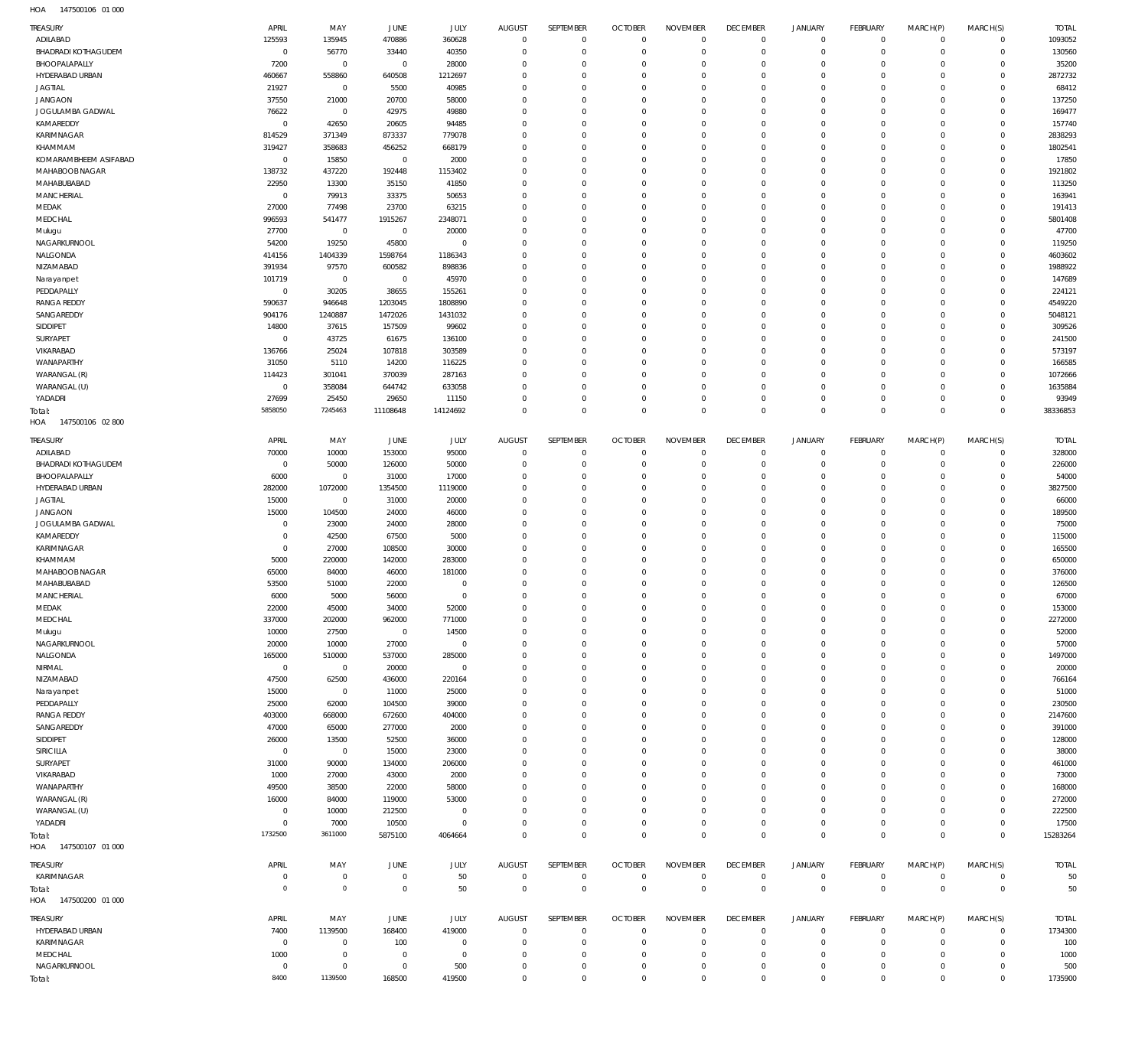| TREASURY                                    | APRIL                  | MAY                      | JUNE                     | JULY                  | <b>AUGUST</b>                    | SEPTEMBER                        | <b>OCTOBER</b>               | <b>NOVEMBER</b>      | <b>DECEMBER</b>                  | <b>JANUARY</b>             | FEBRUARY                    | MARCH(P)                     | MARCH(S)                   | <b>TOTAL</b>      |
|---------------------------------------------|------------------------|--------------------------|--------------------------|-----------------------|----------------------------------|----------------------------------|------------------------------|----------------------|----------------------------------|----------------------------|-----------------------------|------------------------------|----------------------------|-------------------|
| ADILABAD                                    | 125593                 | 135945                   | 470886                   | 360628                | $\mathbf 0$                      | $\mathbf 0$                      | $\overline{0}$               | $\Omega$             | $\overline{0}$                   | $\mathbf 0$                | $\mathsf{O}$                | $\circ$                      | $\mathbf 0$                | 1093052           |
| <b>BHADRADI KOTHAGUDEM</b><br>BHOOPALAPALLY | $\overline{0}$<br>7200 | 56770<br>$\overline{0}$  | 33440<br>$\overline{0}$  | 40350<br>28000        | $\mathbf 0$<br>$\overline{0}$    | $\mathbf 0$<br>$^{\circ}$        | $\mathbf{0}$<br>$\mathbf{0}$ | $\Omega$<br>$\Omega$ | $\mathbf 0$<br>$\mathbf 0$       | $\mathbf 0$<br>$\mathbf 0$ | $\mathbf 0$<br>$\mathsf{O}$ | $\overline{0}$<br>$^{\circ}$ | $\mathbf 0$<br>$\mathbf 0$ | 130560<br>35200   |
| HYDERABAD URBAN                             | 460667                 | 558860                   | 640508                   | 1212697               | $\overline{0}$                   | $\Omega$                         | $\mathbf{0}$                 | $\Omega$             | $\mathbf 0$                      | $\mathbf 0$                | $\mathbf 0$                 | $^{\circ}$                   | $\mathbf 0$                | 2872732           |
| <b>JAGTIAL</b>                              | 21927                  | $\overline{0}$           | 5500                     | 40985                 | $\Omega$                         | $^{\circ}$                       | $\mathbf{0}$                 | $\Omega$             | $\mathbf 0$                      | $\mathbf 0$                | $\mathsf{O}$                | $^{\circ}$                   | $\mathbf 0$                | 68412             |
| <b>JANGAON</b>                              | 37550                  | 21000                    | 20700                    | 58000                 | $\Omega$                         | $\Omega$                         | $\mathbf{0}$                 | $\Omega$             | $\mathbf 0$                      | $\Omega$                   | $\mathbf 0$                 | $\mathbf 0$                  | $\mathbf 0$                | 137250            |
| JOGULAMBA GADWAL                            | 76622                  | $\overline{0}$           | 42975                    | 49880                 | $\overline{0}$                   | $\mathbf 0$                      | $\mathbf{0}$                 | $\Omega$             | $\mathbf 0$                      | $\mathbf 0$                | $\mathsf{O}$                | $^{\circ}$                   | $\mathbf 0$                | 169477            |
| KAMAREDDY                                   | $\overline{0}$         | 42650                    | 20605                    | 94485                 | $\overline{0}$                   | $\Omega$                         | $\Omega$                     | $\Omega$             | $\overline{0}$                   | $\Omega$                   | $\mathbf 0$                 | $\mathbf 0$                  | $\mathbf 0$                | 157740            |
| KARIMNAGAR                                  | 814529                 | 371349                   | 873337                   | 779078                | $\overline{0}$                   | $^{\circ}$                       | $\mathbf 0$                  | $\Omega$             | $\mathbf 0$                      | $\mathbf 0$                | $\mathsf{O}$                | $^{\circ}$                   | $\mathbf 0$                | 2838293           |
| KHAMMAM<br>KOMARAMBHEEM ASIFABAD            | 319427<br>$\mathbf 0$  | 358683                   | 456252                   | 668179                | $\Omega$<br>$\mathbf 0$          | $\Omega$<br>$^{\circ}$           | $\mathbf 0$<br>$\mathbf 0$   | $\Omega$<br>$\Omega$ | $\mathbf 0$<br>$\mathbf 0$       | $\Omega$<br>$\mathbf 0$    | $\mathbf 0$<br>$\mathsf{O}$ | $\mathbf 0$<br>$^{\circ}$    | $\mathbf 0$<br>$\mathbf 0$ | 1802541<br>17850  |
| MAHABOOB NAGAR                              | 138732                 | 15850<br>437220          | $\overline{0}$<br>192448 | 2000<br>1153402       | $\overline{0}$                   | $\Omega$                         | $\Omega$                     | $\Omega$             | $\overline{0}$                   | $\Omega$                   | $\mathbf 0$                 | $\mathbf 0$                  | $\mathbf 0$                | 1921802           |
| MAHABUBABAD                                 | 22950                  | 13300                    | 35150                    | 41850                 | $\overline{0}$                   | $^{\circ}$                       | $\mathbf 0$                  | $\Omega$             | $\mathbf 0$                      | $\mathbf 0$                | $\mathsf{O}$                | $^{\circ}$                   | $\mathbf 0$                | 113250            |
| MANCHERIAL                                  | $\overline{0}$         | 79913                    | 33375                    | 50653                 | $\Omega$                         | $\Omega$                         | $\Omega$                     | $\Omega$             | $\mathbf 0$                      | $\Omega$                   | $\mathbf 0$                 | $^{\circ}$                   | $\mathbf 0$                | 163941            |
| MEDAK                                       | 27000                  | 77498                    | 23700                    | 63215                 | $\mathbf 0$                      | $^{\circ}$                       | $\mathbf{0}$                 | $\Omega$             | $\mathbf 0$                      | $\mathbf 0$                | $\mathbf 0$                 | $^{\circ}$                   | $\mathbf 0$                | 191413            |
| MEDCHAL                                     | 996593                 | 541477                   | 1915267                  | 2348071               | $\Omega$                         | $\Omega$                         | $\Omega$                     | $\Omega$             | $\overline{0}$                   | $\Omega$                   | $\mathbf 0$                 | $\mathbf 0$                  | $\mathbf 0$                | 5801408           |
| Mulugu                                      | 27700                  | $\overline{0}$           | $\overline{0}$           | 20000                 | $\mathbf 0$                      | $^{\circ}$                       | $\mathbf{0}$                 | $\Omega$             | $\mathbf 0$                      | $\mathbf 0$                | $\mathbf 0$                 | $^{\circ}$                   | $\mathbf 0$                | 47700             |
| NAGARKURNOOL<br>NALGONDA                    | 54200                  | 19250                    | 45800                    | $\bf 0$               | $\Omega$<br>$\overline{0}$       | $\Omega$<br>$\Omega$             | $\mathbf{0}$<br>$\mathbf{0}$ | $\Omega$<br>$\Omega$ | $\mathbf 0$<br>$\mathbf 0$       | $\Omega$<br>$\mathbf 0$    | $\mathbf 0$<br>$\mathbf 0$  | $^{\circ}$<br>$^{\circ}$     | $\mathbf 0$<br>$\mathbf 0$ | 119250<br>4603602 |
| NIZAMABAD                                   | 414156<br>391934       | 1404339<br>97570         | 1598764<br>600582        | 1186343<br>898836     | $\Omega$                         | $\Omega$                         | $\Omega$                     | $\Omega$             | $\mathbf 0$                      | $\Omega$                   | $\mathbf 0$                 | $^{\circ}$                   | $\mathbf 0$                | 1988922           |
| Narayanpet                                  | 101719                 | $\overline{0}$           | $\overline{0}$           | 45970                 | $\overline{0}$                   | $\Omega$                         | $\mathbf{0}$                 | $\Omega$             | $\mathbf 0$                      | $\mathbf 0$                | $\mathbf 0$                 | $^{\circ}$                   | $\mathbf 0$                | 147689            |
| PEDDAPALLY                                  | $\overline{0}$         | 30205                    | 38655                    | 155261                | $\Omega$                         | $\Omega$                         | $\mathbf{0}$                 | $\Omega$             | $\mathbf 0$                      | $\mathbf 0$                | $\mathbf 0$                 | $^{\circ}$                   | $\mathbf 0$                | 224121            |
| <b>RANGA REDDY</b>                          | 590637                 | 946648                   | 1203045                  | 1808890               | $\overline{0}$                   | $\Omega$                         | $\mathbf{0}$                 | $\Omega$             | $\mathbf 0$                      | $\Omega$                   | $\mathbf 0$                 | $^{\circ}$                   | $\mathbf 0$                | 4549220           |
| SANGAREDDY                                  | 904176                 | 1240887                  | 1472026                  | 1431032               | $\overline{0}$                   | $\Omega$                         | $\Omega$                     | $\Omega$             | $\mathbf 0$                      | $\mathbf 0$                | $\mathbf 0$                 | $^{\circ}$                   | $\mathbf 0$                | 5048121           |
| SIDDIPET                                    | 14800                  | 37615                    | 157509                   | 99602                 | $\overline{0}$                   | $\Omega$                         | $\mathbf{0}$                 | $\Omega$             | $\mathbf 0$                      | $^{\circ}$                 | $\mathbf 0$                 | $^{\circ}$                   | $\Omega$                   | 309526            |
| SURYAPET                                    | $\overline{0}$         | 43725                    | 61675                    | 136100                | $\overline{0}$                   | $\Omega$                         | $\mathbf{0}$                 | $\Omega$             | $\mathbf 0$                      | $\mathbf 0$                | $\mathbf 0$                 | $^{\circ}$                   | $\mathbf 0$                | 241500            |
| VIKARABAD<br>WANAPARTHY                     | 136766                 | 25024                    | 107818                   | 303589                | $\overline{0}$<br>$\overline{0}$ | $\Omega$<br>$\Omega$             | $\mathbf{0}$<br>$\Omega$     | $\Omega$<br>$\Omega$ | $\mathbf 0$<br>$\mathbf 0$       | $^{\circ}$<br>$\Omega$     | $\mathbf 0$<br>$\mathbf 0$  | $^{\circ}$<br>$^{\circ}$     | $\mathbf 0$<br>$\mathbf 0$ | 573197<br>166585  |
| WARANGAL (R)                                | 31050<br>114423        | 5110<br>301041           | 14200<br>370039          | 116225<br>287163      | $\overline{0}$                   | $^{\circ}$                       | $\mathbf{0}$                 | $\Omega$             | $\mathbf 0$                      | $\mathbf 0$                | $\mathsf{O}$                | $^{\circ}$                   | $\mathbf 0$                | 1072666           |
| WARANGAL (U)                                | $\overline{0}$         | 358084                   | 644742                   | 633058                | $\overline{0}$                   | $\Omega$                         | $\mathbf 0$                  | $\Omega$             | $\mathbf 0$                      | $\mathbf 0$                | $\mathbf 0$                 | $\mathbf 0$                  | $\mathbf 0$                | 1635884           |
| YADADRI                                     | 27699                  | 25450                    | 29650                    | 11150                 | $\mathbf 0$                      | $^{\circ}$                       | $\mathbf{0}$                 | $\Omega$             | $\mathbf 0$                      | $\mathbf 0$                | $\mathsf{O}$                | $^{\circ}$                   | $\mathbf 0$                | 93949             |
| Total:                                      | 5858050                | 7245463                  | 11108648                 | 14124692              | $\mathbf{0}$                     | $\mathbf 0$                      | $\overline{0}$               | $\Omega$             | $\mathbf 0$                      | $\mathbf 0$                | $\mathsf 0$                 | $\mathbf 0$                  | $\mathbf 0$                | 38336853          |
| HOA<br>147500106 02 800                     |                        |                          |                          |                       |                                  |                                  |                              |                      |                                  |                            |                             |                              |                            |                   |
| TREASURY                                    | APRIL                  | MAY                      | JUNE                     | JULY                  | AUGUST                           | SEPTEMBER                        | <b>OCTOBER</b>               | <b>NOVEMBER</b>      | <b>DECEMBER</b>                  | <b>JANUARY</b>             | FEBRUARY                    | MARCH(P)                     | MARCH(S)                   | <b>TOTAL</b>      |
| ADILABAD                                    | 70000                  | 10000                    | 153000                   | 95000                 | $\mathbf 0$                      | $\overline{0}$                   | $\Omega$                     | $\Omega$             | $\mathbf 0$                      | $\mathbf 0$                | 0                           | $\overline{0}$               | $\mathbf 0$                | 328000            |
| <b>BHADRADI KOTHAGUDEM</b>                  | $\overline{0}$         | 50000                    | 126000                   | 50000                 | $\mathbf 0$                      | $\mathbf 0$                      | $\mathbf{0}$                 | $\Omega$             | $\mathbf 0$                      | $\mathbf 0$                | $\mathbf 0$                 | $\mathbf 0$                  | $\mathbf 0$                | 226000            |
| BHOOPALAPALLY                               | 6000                   | $\mathbf 0$              | 31000                    | 17000                 | $\Omega$                         | $^{\circ}$                       | $\mathbf{0}$                 | $\Omega$             | $\mathbf 0$                      | $\mathbf 0$                | $\mathbf 0$                 | $^{\circ}$                   | $\mathbf 0$                | 54000             |
| HYDERABAD URBAN                             | 282000                 | 1072000                  | 1354500                  | 1119000               | $\overline{0}$                   | $^{\circ}$                       | $\Omega$                     | $\Omega$             | $\mathbf 0$                      | $\Omega$                   | $\mathbf 0$                 | $\Omega$                     | $\Omega$                   | 3827500           |
| <b>JAGTIAL</b><br><b>JANGAON</b>            | 15000<br>15000         | $\overline{0}$<br>104500 | 31000<br>24000           | 20000<br>46000        | $\overline{0}$<br>$\overline{0}$ | $\Omega$<br>$\Omega$             | $\mathbf{0}$<br>$\Omega$     | $\Omega$<br>$\Omega$ | $\mathbf 0$<br>$\overline{0}$    | 0<br>$\Omega$              | $\mathbf 0$<br>$\mathbf 0$  | $^{\circ}$<br>$\Omega$       | $\mathbf 0$<br>$\Omega$    | 66000<br>189500   |
| JOGULAMBA GADWAL                            | $\overline{0}$         | 23000                    | 24000                    | 28000                 | $\overline{0}$                   | $\Omega$                         | $\mathbf{0}$                 | $\Omega$             | $\Omega$                         | $\Omega$                   | $\mathbf 0$                 | $^{\circ}$                   | $\Omega$                   | 75000             |
| KAMAREDDY                                   | $\mathbf 0$            | 42500                    | 67500                    | 5000                  | $\overline{0}$                   | $\Omega$                         | $\Omega$                     | $\Omega$             | $\overline{0}$                   | $\Omega$                   | $\mathbf 0$                 | $\Omega$                     | $\Omega$                   | 115000            |
| KARIMNAGAR                                  | $\mathbf 0$            | 27000                    | 108500                   | 30000                 | $\overline{0}$                   | $\Omega$                         | $\mathbf 0$                  | $\Omega$             | $\mathbf 0$                      | $\mathbf 0$                | $\mathbf 0$                 | $^{\circ}$                   | $\mathbf 0$                | 165500            |
| KHAMMAM                                     | 5000                   | 220000                   | 142000                   | 283000                | $\overline{0}$                   | $\Omega$                         | $\Omega$                     | $\Omega$             | $\overline{0}$                   | $\Omega$                   | $\mathbf 0$                 | $\Omega$                     | $\mathbf 0$                | 650000            |
| MAHABOOB NAGAR                              | 65000                  | 84000                    | 46000                    | 181000                | $\overline{0}$                   | $\Omega$                         | $\mathbf 0$                  | $\Omega$             | $\overline{0}$                   | $\Omega$                   | $\mathbf 0$                 | $^{\circ}$                   | $\mathbf 0$                | 376000            |
| MAHABUBABAD                                 | 53500                  | 51000                    | 22000                    | $\Omega$              | $\overline{0}$                   | $\Omega$                         | $\Omega$                     | $\Omega$<br>$\Omega$ | $\Omega$                         | $\Omega$                   | $\mathbf 0$                 | $\Omega$                     | $\Omega$                   | 126500            |
| MANCHERIAL<br>MEDAK                         | 6000<br>22000          | 5000<br>45000            | 56000<br>34000           | $\mathbf{0}$<br>52000 | $\overline{0}$<br>$\,0\,$        | $\overline{0}$<br>$\overline{0}$ | $\overline{0}$<br>$\,0\,$    | $\Omega$             | $\overline{0}$<br>$\overline{0}$ | $\circ$<br>$\circ$         | $\circ$<br>$\Omega$         | $\Omega$<br>$\Omega$         | $\Omega$<br>0              | 67000<br>153000   |
| MEDCHAL                                     | 337000                 | 202000                   | 962000                   | 771000                | $\mathbf 0$                      | $\mathbf 0$                      | $\mathbf{0}$                 | $\Omega$             | $\Omega$                         | $\mathbf 0$                | $\mathbf 0$                 | $\mathbf 0$                  | $\mathbf 0$                | 2272000           |
| Mulugu                                      | 10000                  | 27500                    | $\overline{0}$           | 14500                 | $\overline{0}$                   | $\mathbf 0$                      | $\mathbf{0}$                 | $\Omega$             | $\mathbf 0$                      | $\circ$                    | $\mathbf 0$                 | $\mathbf 0$                  | $\mathbf 0$                | 52000             |
| NAGARKURNOOL                                | 20000                  | 10000                    | 27000                    | $\overline{0}$        | $\overline{0}$                   | $\Omega$                         | $\mathbf{0}$                 | $\Omega$             | $\overline{0}$                   | $\Omega$                   | $\mathbf 0$                 | $^{\circ}$                   | $\mathbf 0$                | 57000             |
| NALGONDA                                    | 165000                 | 510000                   | 537000                   | 285000                | $\overline{0}$                   | $\Omega$                         | $\mathbf{0}$                 | $\Omega$             | $\mathbf 0$                      | $\circ$                    | $\mathbf 0$                 | $^{\circ}$                   | $\mathbf 0$                | 1497000           |
| NIRMAL                                      | $\mathbf 0$            | $\overline{0}$           | 20000                    | $\overline{0}$        | $\Omega$                         | $\Omega$                         | $^{\circ}$                   | $\Omega$             | $\overline{0}$                   | $\Omega$                   | $\mathbf 0$                 | $^{\circ}$                   | $\Omega$                   | 20000             |
| NIZAMABAD                                   | 47500                  | 62500                    | 436000                   | 220164                | $\Omega$                         | $\Omega$                         | $^{\circ}$                   | $\Omega$             | $\mathbf 0$                      | $\mathbf 0$                | $\mathbf 0$                 | $^{\circ}$                   | $\Omega$                   | 766164            |
| Narayanpet<br>PEDDAPALLY                    | 15000<br>25000         | $\overline{0}$<br>62000  | 11000<br>104500          | 25000<br>39000        | $\Omega$<br>$\overline{0}$       | $\Omega$<br>$\Omega$             | $\Omega$<br>$\mathbf{0}$     | $\Omega$<br>$\Omega$ | $\Omega$<br>$\mathbf 0$          | $\Omega$<br>$\mathbf 0$    | $\mathbf 0$<br>$\mathbf 0$  | $^{\circ}$<br>$^{\circ}$     | $\Omega$<br>$\mathbf 0$    | 51000<br>230500   |
| <b>RANGA REDDY</b>                          | 403000                 | 668000                   | 672600                   | 404000                | $\Omega$                         | $\Omega$                         | $\Omega$                     | $\Omega$             | $\Omega$                         | $\Omega$                   | $\mathbf 0$                 | $^{\circ}$                   | $\Omega$                   | 2147600           |
| SANGAREDDY                                  | 47000                  | 65000                    | 277000                   | 2000                  | $\overline{0}$                   | $\Omega$                         | $\mathbf{0}$                 | $\Omega$             | $\mathbf 0$                      | $\mathbf 0$                | $\mathbf 0$                 | $^{\circ}$                   | $\mathbf 0$                | 391000            |
| SIDDIPET                                    | 26000                  | 13500                    | 52500                    | 36000                 | $\Omega$                         | $\Omega$                         | $\Omega$                     | $\Omega$             | $\Omega$                         | $\Omega$                   | $\mathbf 0$                 | $^{\circ}$                   | $\Omega$                   | 128000            |
| SIRICILLA                                   | $\overline{0}$         | $\overline{0}$           | 15000                    | 23000                 | $\overline{0}$                   | $^{\circ}$                       | $\mathbf 0$                  | $\Omega$             | $\mathbf 0$                      | $\mathbf 0$                | $\mathbf 0$                 | $^{\circ}$                   | $\mathbf 0$                | 38000             |
| SURYAPET                                    | 31000                  | 90000                    | 134000                   | 206000                | $\Omega$                         | $\Omega$                         | $^{\circ}$                   | $\Omega$             | $\mathbf 0$                      | 0                          | $\mathbf 0$                 | $^{\circ}$                   | $\Omega$                   | 461000            |
| VIKARABAD                                   | 1000                   | 27000                    | 43000                    | 2000                  | $\overline{0}$                   | $\Omega$                         | $\Omega$                     | $\Omega$             | $\mathbf 0$                      | $\mathbf 0$                | $\mathbf 0$                 | $^{\circ}$                   | $\mathbf 0$                | 73000             |
| WANAPARTHY<br>WARANGAL (R)                  | 49500<br>16000         | 38500<br>84000           | 22000<br>119000          | 58000<br>53000        | $\Omega$<br>$\overline{0}$       | $\Omega$<br>$^{\circ}$           | $^{\circ}$<br>$\Omega$       | $\Omega$<br>$\Omega$ | $\mathbf 0$<br>$\mathbf 0$       | 0<br>$\Omega$              | $\mathbf 0$<br>$\mathbf 0$  | $^{\circ}$<br>$^{\circ}$     | $\mathbf 0$<br>$\mathbf 0$ | 168000<br>272000  |
| WARANGAL (U)                                | $\overline{0}$         | 10000                    | 212500                   | $\mathbf 0$           | $\Omega$                         | $\mathbf 0$                      | $^{\circ}$                   | $\Omega$             | $\mathbf 0$                      | $\circ$                    | $\mathbf 0$                 | $^{\circ}$                   | $\mathbf 0$                | 222500            |
| YADADRI                                     | $\mathbf 0$            | 7000                     | 10500                    | $\mathbf 0$           | $\overline{0}$                   | $^{\circ}$                       | $\mathbf 0$                  | $\Omega$             | $\mathbf 0$                      | $\circ$                    | $\mathbf 0$                 | $\mathbf 0$                  | $\mathbf 0$                | 17500             |
| Total:                                      | 1732500                | 3611000                  | 5875100                  | 4064664               | $\mathbf 0$                      | $\mathbf 0$                      | $\overline{0}$               | $\Omega$             | $\mathbf 0$                      | $\mathbf 0$                | $\mathbf 0$                 | $\mathbf 0$                  | $\mathbf 0$                | 15283264          |
| HOA<br>147500107 01 000                     |                        |                          |                          |                       |                                  |                                  |                              |                      |                                  |                            |                             |                              |                            |                   |
| <b>TREASURY</b>                             | APRIL                  | MAY                      | JUNE                     | JULY                  | <b>AUGUST</b>                    | SEPTEMBER                        | <b>OCTOBER</b>               | <b>NOVEMBER</b>      | <b>DECEMBER</b>                  | <b>JANUARY</b>             | FEBRUARY                    | MARCH(P)                     | MARCH(S)                   | <b>TOTAL</b>      |
| KARIMNAGAR                                  | 0                      | $\mathbf 0$              | $\overline{0}$           | 50                    | $\mathbf 0$                      | $\overline{0}$                   | $\mathbf 0$                  | $\overline{0}$       | $\mathbf 0$                      | $\mathbf 0$                | $\mathsf{O}$                | $\circ$                      | $\mathbf 0$                | 50                |
| Total:                                      | $\overline{0}$         | $\mathbf 0$              | $\mathbf 0$              | 50                    | $\mathbf 0$                      | $\mathbf 0$                      | $\mathbf 0$                  | $\mathbf 0$          | $\mathbf 0$                      | $\mathbf 0$                | $\mathsf 0$                 | $\overline{0}$               | $\mathsf{O}\xspace$        | 50                |
| HOA<br>147500200 01 000                     |                        |                          |                          |                       |                                  |                                  |                              |                      |                                  |                            |                             |                              |                            |                   |
| <b>TREASURY</b>                             | APRIL                  | MAY                      | JUNE                     | JULY                  | AUGUST                           | SEPTEMBER                        | <b>OCTOBER</b>               | <b>NOVEMBER</b>      | <b>DECEMBER</b>                  | <b>JANUARY</b>             | FEBRUARY                    | MARCH(P)                     | MARCH(S)                   | <b>TOTAL</b>      |
| HYDERABAD URBAN                             | 7400                   | 1139500                  | 168400                   | 419000                | $\mathbf 0$                      | $\mathbf 0$                      | $\Omega$                     | $\Omega$             | $\mathbf 0$                      | $\mathbf 0$                | 0                           | $\mathbf 0$                  | $\mathbf 0$                | 1734300           |
| KARIMNAGAR                                  | $\overline{0}$         | $\mathbf 0$              | 100                      | $\mathbf 0$           | $\mathbf 0$                      | $\mathbf 0$                      | $\mathbf 0$                  | $\Omega$             | $\mathbf 0$                      | $\circ$                    | $\mathsf{O}$                | $\mathbf 0$                  | $\mathbf 0$                | 100               |
| MEDCHAL                                     | 1000                   | $\mathbf 0$              | $\overline{0}$           | $\mathbf 0$           | $^{\circ}$                       | $^{\circ}$                       | $^{\circ}$                   | $\Omega$             | $\mathbf 0$                      | $\circ$                    | $\mathbf 0$                 | $^{\circ}$                   | $\mathbf 0$                | 1000              |
| NAGARKURNOOL                                | $\mathbf 0$            | $\mathbf 0$              | $\overline{0}$           | 500                   | $\overline{0}$                   | $\mathbf 0$                      | $^{\circ}$                   | $\Omega$             | $\overline{0}$                   | 0                          | 0                           | 0                            | $\mathbf 0$                | 500               |
| Total:                                      | 8400                   | 1139500                  | 168500                   | 419500                | $\mathbf 0$                      | $\mathbf 0$                      | $\mathbf 0$                  | $\Omega$             | $\overline{0}$                   | $\overline{0}$             | $\mathbf 0$                 | $\Omega$                     | $\mathbf 0$                | 1735900           |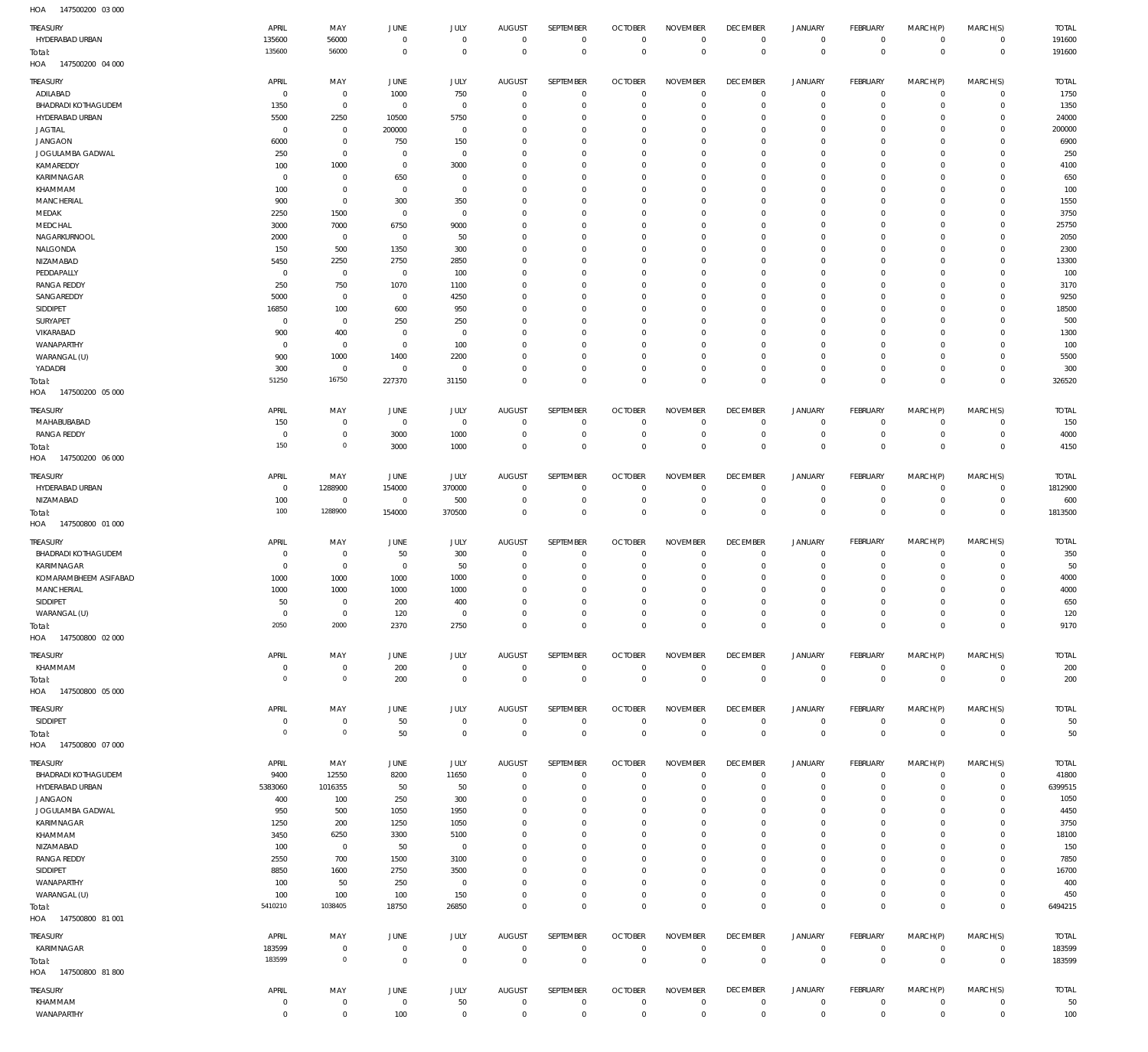147500200 03 000 HOA

| TREASURY                                      | APRIL                  | MAY                              | JUNE                          | JULY                       | <b>AUGUST</b>                 | SEPTEMBER                       | <b>OCTOBER</b>                   | <b>NOVEMBER</b>                | <b>DECEMBER</b>                | <b>JANUARY</b>                | FEBRUARY                       | MARCH(P)                   | MARCH(S)                      | <b>TOTAL</b>           |
|-----------------------------------------------|------------------------|----------------------------------|-------------------------------|----------------------------|-------------------------------|---------------------------------|----------------------------------|--------------------------------|--------------------------------|-------------------------------|--------------------------------|----------------------------|-------------------------------|------------------------|
| HYDERABAD URBAN                               | 135600<br>135600       | 56000<br>56000                   | $^{\circ}$<br>$^{\circ}$      | $\mathbf 0$<br>$\mathbf 0$ | $^{\circ}$<br>$\Omega$        | $\mathbf 0$<br>$\mathbf 0$      | $\overline{0}$<br>$^{\circ}$     | $^{\circ}$<br>$\mathbf 0$      | $^{\circ}$<br>$\mathbf 0$      | $\mathbf 0$<br>$\mathbf 0$    | $\mathbf 0$<br>$\mathbf 0$     | $\mathbf 0$<br>$\mathbf 0$ | $\mathbf 0$<br>$\overline{0}$ | 191600<br>191600       |
| Total:<br>147500200 04 000<br>HOA             |                        |                                  |                               |                            |                               |                                 |                                  |                                |                                |                               |                                |                            |                               |                        |
| <b>TREASURY</b>                               | APRIL                  | MAY                              | JUNE                          | JULY                       | AUGUST                        | SEPTEMBER                       | <b>OCTOBER</b>                   | <b>NOVEMBER</b>                | <b>DECEMBER</b>                | <b>JANUARY</b>                | <b>FEBRUARY</b>                | MARCH(P)                   | MARCH(S)                      | <b>TOTAL</b>           |
| ADILABAD<br><b>BHADRADI KOTHAGUDEM</b>        | $\Omega$<br>1350       | $\overline{0}$<br>$\overline{0}$ | 1000<br>$^{\circ}$            | 750<br>$\mathbf 0$         | $\overline{0}$<br>$\mathbf 0$ | $^{\circ}$<br>$\mathbf{0}$      | 0<br>0                           | $^{\circ}$<br>$^{\circ}$       | $^{\circ}$<br>$^{\circ}$       | $^{\circ}$<br>$\mathbf 0$     | $^{\circ}$<br>$^{\circ}$       | $\mathbf 0$<br>$\mathbf 0$ | $\mathbf 0$<br>$\mathbf{0}$   | 1750<br>1350           |
| HYDERABAD URBAN                               | 5500                   | 2250                             | 10500                         | 5750                       | 0                             | $\mathbf{0}$                    | - 0                              | $^{\circ}$                     | 0                              | $\mathbf 0$                   | $\mathbf 0$                    | $\Omega$                   | $\mathbf 0$                   | 24000                  |
| <b>JAGTIAL</b>                                | $\Omega$               | $\overline{0}$                   | 200000                        | $^{\circ}$                 | $\Omega$                      | $\mathbf 0$                     | 0                                | $^{\circ}$                     | $^{\circ}$                     | $\mathbf 0$                   | $\mathbf 0$                    | $\Omega$                   | $\mathbf 0$                   | 200000                 |
| <b>JANGAON</b><br>JOGULAMBA GADWAL            | 6000<br>250            | $\overline{0}$<br>$\overline{0}$ | 750<br>0                      | 150<br>$^{\circ}$          | 0<br>$\Omega$                 | $\mathbf{0}$<br>$\mathbf 0$     | - 0<br>0                         | $^{\circ}$<br>$^{\circ}$       | $^{\circ}$<br>$^{\circ}$       | $\mathbf 0$<br>$\mathbf 0$    | $\mathbf 0$<br>$\mathbf 0$     | $\Omega$<br>$\Omega$       | $\mathbf 0$<br>$\mathbf 0$    | 6900<br>250            |
| KAMAREDDY                                     | 100                    | 1000                             | $^{\circ}$                    | 3000                       | 0                             | $\mathbf{0}$                    | - 0                              | $\mathbf 0$                    | 0                              | $\mathbf 0$                   | $\mathbf 0$                    | $\Omega$                   | $\mathbf 0$                   | 4100                   |
| KARIMNAGAR                                    | $^{\circ}$             | $\overline{0}$                   | 650                           | $^{\circ}$                 | $\Omega$                      | $\mathbf 0$                     | 0                                | $\mathbf 0$                    | $^{\circ}$                     | $\mathbf 0$                   | $\mathbf 0$                    | $\Omega$                   | $\mathbf 0$                   | 650                    |
| KHAMMAM<br><b>MANCHERIAL</b>                  | 100<br>900             | $\overline{0}$<br>$\overline{0}$ | $^{\circ}$<br>300             | $\mathbf 0$<br>350         | $\Omega$<br>$\Omega$          | $\mathbf{0}$<br>$^{\circ}$      | - 0<br>0                         | $\mathbf 0$<br>$\mathbf 0$     | $^{\circ}$<br>$^{\circ}$       | $\mathbf 0$<br>$\mathbf 0$    | $\mathbf 0$<br>$\mathbf 0$     | $\Omega$<br>0              | $\mathbf 0$<br>$\mathbf 0$    | 100<br>1550            |
| MEDAK                                         | 2250                   | 1500                             | 0                             | $\mathbf 0$                | $\Omega$                      | $^{\circ}$                      | 0                                | $\mathbf 0$                    | $^{\circ}$                     | $\mathbf 0$                   | $\mathbf 0$                    | $\Omega$                   | $\mathbf 0$                   | 3750                   |
| MEDCHAL                                       | 3000                   | 7000                             | 6750                          | 9000                       | $\Omega$                      | $\mathbf{0}$                    | - 0                              | $\mathbf 0$                    | 0                              | $\mathbf 0$                   | $\mathbf 0$                    | 0                          | $\mathbf 0$                   | 25750                  |
| NAGARKURNOOL<br>NALGONDA                      | 2000<br>150            | $\overline{0}$<br>500            | $^{\circ}$<br>1350            | 50<br>300                  | $\Omega$<br>$\Omega$          | $^{\circ}$<br>$\mathbf{0}$      | 0<br>- 0                         | $\mathbf 0$<br>$\mathbf 0$     | $^{\circ}$<br>$^{\circ}$       | $\mathbf 0$<br>$\mathbf 0$    | $\mathbf 0$<br>$\mathbf 0$     | $\Omega$<br>$\mathbf 0$    | $\circ$<br>$\mathbf 0$        | 2050<br>2300           |
| NIZAMABAD                                     | 5450                   | 2250                             | 2750                          | 2850                       | $\Omega$                      | $^{\circ}$                      | 0                                | $\mathbf 0$                    | $^{\circ}$                     | $^{\circ}$                    | $\mathbf 0$                    | $\Omega$                   | $\circ$                       | 13300                  |
| PEDDAPALLY                                    | $^{\circ}$             | $\overline{0}$                   | $^{\circ}$                    | 100                        | $\Omega$                      | $\mathbf{0}$                    | - 0                              | $\mathbf 0$                    | $^{\circ}$                     | $\mathbf 0$                   | $\mathbf 0$                    | 0                          | $\circ$                       | 100                    |
| <b>RANGA REDDY</b><br>SANGAREDDY              | 250<br>5000            | 750<br>$\overline{0}$            | 1070<br>$^{\circ}$            | 1100<br>4250               | $\Omega$<br>$\Omega$          | $^{\circ}$<br>$\mathbf{0}$      | 0<br>- 0                         | $\mathbf 0$<br>$\mathbf 0$     | $^{\circ}$<br>$^{\circ}$       | $\mathbf 0$<br>$\mathbf 0$    | $\mathbf 0$<br>$\mathbf 0$     | $\Omega$<br>$\Omega$       | $\circ$<br>$\mathbf 0$        | 3170<br>9250           |
| SIDDIPET                                      | 16850                  | 100                              | 600                           | 950                        | 0                             | $^{\circ}$                      | 0                                | $\mathbf 0$                    | 0                              | $\mathbf 0$                   | $\mathbf 0$                    | $\Omega$                   | $\circ$                       | 18500                  |
| SURYAPET                                      | $\overline{0}$         | $\overline{0}$                   | 250                           | 250                        | $\Omega$                      | $\mathbf 0$                     | - 0                              | $\mathbf 0$                    | $^{\circ}$                     | $\mathbf 0$                   | $\mathbf 0$                    | $\Omega$                   | $\circ$                       | 500                    |
| VIKARABAD<br>WANAPARTHY                       | 900<br>$\Omega$        | 400<br>$\overline{0}$            | 0<br>$^{\circ}$               | $^{\circ}$<br>100          | $\Omega$<br>$\Omega$          | $\mathbf{0}$<br>$\mathbf 0$     | 0<br>0                           | $\mathbf 0$<br>$\mathbf 0$     | 0<br>$^{\circ}$                | $\mathbf 0$<br>$\mathbf 0$    | $\mathbf 0$<br>$\mathbf 0$     | $\Omega$<br>$\Omega$       | $\circ$<br>$\circ$            | 1300<br>100            |
| WARANGAL (U)                                  | 900                    | 1000                             | 1400                          | 2200                       | 0                             | $\mathbf{0}$                    | - 0                              | $\mathbf 0$                    | $^{\circ}$                     | $\mathbf 0$                   | $\mathbf 0$                    | $\mathbf 0$                | $\mathbf 0$                   | 5500                   |
| YADADRI                                       | 300                    | $\overline{0}$                   | 0                             | $^{\circ}$                 | $\Omega$                      | $^{\circ}$                      | - 0                              | $\mathbf 0$                    | $^{\circ}$                     | $\mathbf 0$                   | $\mathbf 0$                    | $\mathbf 0$                | $\mathbf 0$                   | 300                    |
| Total:<br>147500200 05 000<br>HOA             | 51250                  | 16750                            | 227370                        | 31150                      | $\Omega$                      | $\mathbf 0$                     | $\overline{0}$                   | $\mathbf 0$                    | $\mathbf 0$                    | $\mathbf 0$                   | $\mathbf 0$                    | $\mathbf 0$                | $\overline{0}$                | 326520                 |
| TREASURY                                      | APRIL                  | MAY                              | JUNE                          | JULY                       | <b>AUGUST</b>                 | SEPTEMBER                       | <b>OCTOBER</b>                   | <b>NOVEMBER</b>                | <b>DECEMBER</b>                | <b>JANUARY</b>                | <b>FEBRUARY</b>                | MARCH(P)                   | MARCH(S)                      | <b>TOTAL</b>           |
| MAHABUBABAD                                   | 150                    | $\overline{0}$                   | $^{\circ}$                    | $^{\circ}$                 | $^{\circ}$                    | $^{\circ}$                      | 0                                | $^{\circ}$                     | $\mathbf 0$                    | $^{\circ}$                    | $\mathbf 0$                    | 0                          | $\mathbf 0$                   | 150                    |
| <b>RANGA REDDY</b>                            | $^{\circ}$<br>150      | $\overline{0}$<br>$\mathbb O$    | 3000<br>3000                  | 1000<br>1000               | 0<br>$\mathbf 0$              | $\mathbf{0}$<br>$\mathbf 0$     | $\overline{0}$<br>$\overline{0}$ | $\mathbf 0$<br>$\mathbf 0$     | $\mathbf 0$<br>$\mathbf 0$     | $\mathbf 0$<br>$\mathbf 0$    | $\mathbf 0$<br>$\mathbf 0$     | $\mathbf 0$<br>$\mathbf 0$ | $\mathbf 0$<br>$\mathbf 0$    | 4000<br>4150           |
| Total:<br>147500200 06 000<br>HOA             |                        |                                  |                               |                            |                               |                                 |                                  |                                |                                |                               |                                |                            |                               |                        |
| <b>TREASURY</b>                               | APRIL                  | MAY                              | JUNE                          | <b>JULY</b>                | <b>AUGUST</b>                 | SEPTEMBER                       | <b>OCTOBER</b>                   | <b>NOVEMBER</b>                | <b>DECEMBER</b>                | <b>JANUARY</b>                | <b>FEBRUARY</b>                | MARCH(P)                   | MARCH(S)                      | <b>TOTAL</b>           |
| HYDERABAD URBAN                               | $\overline{0}$         | 1288900                          | 154000                        | 370000                     | $\overline{0}$                | $\mathbf{0}$                    | 0                                | $\mathbf 0$                    | $^{\circ}$                     | $\mathbf 0$                   | $\mathbf 0$                    | $\mathbf 0$                | $\mathbf{0}$                  | 1812900                |
| NIZAMABAD                                     | 100<br>100             | $\overline{0}$<br>1288900        | $^{\circ}$                    | 500                        | 0                             | $\mathbf{0}$                    | 0                                | $\mathbf 0$                    | $^{\circ}$                     | $\mathbf 0$                   | $\mathbf 0$                    | $\mathbf 0$                | $\mathbf{0}$                  | 600                    |
| Total:<br>HOA<br>147500800 01 000             |                        |                                  | 154000                        | 370500                     | $\Omega$                      | $\mathbf 0$                     | $\overline{0}$                   | $\mathbf 0$                    | $\mathbf 0$                    | $\mathbf 0$                   | $\overline{0}$                 | $\mathbf 0$                | $\overline{0}$                | 1813500                |
| <b>TREASURY</b>                               | APRIL                  | MAY                              | JUNE                          | JULY                       | <b>AUGUST</b>                 | <b>SEPTEMBER</b>                | <b>OCTOBER</b>                   | <b>NOVEMBER</b>                | <b>DECEMBER</b>                | <b>JANUARY</b>                | <b>FEBRUARY</b>                | MARCH(P)                   | MARCH(S)                      | <b>TOTAL</b>           |
| <b>BHADRADI KOTHAGUDEM</b>                    | - 0                    | $\overline{0}$                   | 50                            | 300                        | $\overline{0}$                | $^{\circ}$                      | 0                                | $^{\circ}$                     | 0                              | $^{\circ}$                    | $\mathbf 0$                    | $\mathbf 0$                | $\mathbf 0$                   | 350                    |
| KARIMNAGAR                                    | $\Omega$               | $\overline{0}$                   | $^{\circ}$                    | 50                         | $\Omega$                      | $^{\circ}$                      | 0                                | $^{\circ}$                     | $^{\circ}$                     | $^{\circ}$                    | $\mathbf 0$                    | 0                          | $\circ$                       | 50                     |
| KOMARAMBHEEM ASIFABAD<br><b>MANCHERIAL</b>    | 1000<br>1000           | 1000<br>1000                     | 1000<br>1000                  | 1000<br>1000               | -C<br>C                       | $^{\circ}$<br>$^{\circ}$        | - 0<br>0                         | 0<br>$\overline{0}$            | 0<br>$^{\circ}$                | $^{\circ}$<br>$^{\circ}$      | 0<br>C                         | 0<br>0                     | $\mathbf 0$<br>$\mathbf 0$    | 4000<br>4000           |
| SIDDIPET                                      | 50                     | $\overline{0}$                   | 200                           | 400                        | $\Omega$                      | $\mathbf 0$                     | $\Omega$                         | $\mathbf 0$                    | $\mathbf 0$                    | $\mathbf 0$                   | $\mathbf 0$                    | $\Omega$                   | $\mathbf 0$                   | 650                    |
| WARANGAL (U)                                  | $\mathbf{0}$           | $\mathbf{0}$                     | 120                           | $\overline{0}$             | $\overline{0}$                | $\mathbf{0}$                    | $^{\circ}$                       | $\mathbf{0}$                   | $\mathbf 0$                    | 0                             | $\mathbf 0$                    | 0                          | $\mathbf 0$                   | 120                    |
| Total:<br>HOA 147500800 02 000                | 2050                   | 2000                             | 2370                          | 2750                       | $\mathbf 0$                   | $\mathbb O$                     | $\mathbf 0$                      | $\mathbf 0$                    | $\mathbf 0$                    | $\mathbf 0$                   | $\mathbf 0$                    | $\mathbf 0$                | $\mathbf 0$                   | 9170                   |
| TREASURY                                      | APRIL                  | MAY                              | <b>JUNE</b>                   | <b>JULY</b>                | AUGUST                        | SEPTEMBER                       | <b>OCTOBER</b>                   | <b>NOVEMBER</b>                | <b>DECEMBER</b>                | <b>JANUARY</b>                | <b>FEBRUARY</b>                | MARCH(P)                   | MARCH(S)                      | <b>TOTAL</b>           |
| KHAMMAM                                       | $\circ$                | $\overline{0}$                   | 200                           | $\mathbf 0$                | $\mathbf 0$                   | $\mathbf 0$                     | $\overline{0}$                   | $\mathbf 0$                    | $\mathbf 0$                    | $\mathbf 0$                   | $\overline{0}$                 | $\mathbf 0$                | $\mathbf{0}$                  | 200                    |
| Total:<br>HOA  147500800  05  000             | $\Omega$               | $\,0\,$                          | 200                           | $\mathbf 0$                | $\mathbf 0$                   | $\mathbb O$                     | $\mathbf 0$                      | $\mathbf 0$                    | $\mathbf 0$                    | $\mathbf 0$                   | $\mathbb O$                    | $\mathbf 0$                | $\,0\,$                       | 200                    |
|                                               |                        |                                  |                               |                            |                               |                                 |                                  |                                |                                |                               |                                |                            |                               |                        |
| TREASURY<br>SIDDIPET                          | APRIL<br>$\Omega$      | MAY<br>$\mathbf 0$               | JUNE<br>50                    | <b>JULY</b><br>$\mathbf 0$ | <b>AUGUST</b><br>$\mathbf{0}$ | <b>SEPTEMBER</b><br>$\mathbf 0$ | <b>OCTOBER</b><br>$\mathbf{0}$   | <b>NOVEMBER</b><br>$\mathbf 0$ | <b>DECEMBER</b><br>$\mathbf 0$ | <b>JANUARY</b><br>$\mathbf 0$ | <b>FEBRUARY</b><br>$\mathbf 0$ | MARCH(P)<br>$\mathbf 0$    | MARCH(S)<br>$\circ$           | <b>TOTAL</b><br>50     |
| Total:                                        | $\circ$                | $\,0\,$                          | 50                            | $\mathbf 0$                | $^{\circ}$                    | $\mathbb O$                     | $\mathbf{0}$                     | $\mathbf 0$                    | $\mathbf 0$                    | $\mathbf 0$                   | $\overline{0}$                 | $\mathbf 0$                | $\,0\,$                       | 50                     |
| HOA  147500800  07 000                        |                        |                                  |                               |                            |                               |                                 |                                  |                                |                                |                               |                                |                            |                               |                        |
| <b>TREASURY</b>                               | APRIL                  | MAY                              | JUNE                          | JULY                       | <b>AUGUST</b>                 | SEPTEMBER                       | <b>OCTOBER</b>                   | <b>NOVEMBER</b>                | <b>DECEMBER</b>                | <b>JANUARY</b>                | <b>FEBRUARY</b>                | MARCH(P)                   | MARCH(S)                      | <b>TOTAL</b>           |
| <b>BHADRADI KOTHAGUDEM</b><br>HYDERABAD URBAN | 9400<br>5383060        | 12550<br>1016355                 | 8200<br>50                    | 11650<br>50                | $^{\circ}$<br>$^{\circ}$      | $\mathbf{0}$<br>$\mathbf 0$     | $\overline{0}$<br>0              | $\mathbf 0$<br>$\mathbf 0$     | $\mathbf 0$<br>$^{\circ}$      | 0<br>$\mathbf 0$              | $\overline{0}$<br>$\mathbf 0$  | $\mathbf 0$<br>$\mathbf 0$ | $\circ$<br>$\mathbf{0}$       | 41800<br>6399515       |
| <b>JANGAON</b>                                | 400                    | 100                              | 250                           | 300                        | $\mathbf 0$                   | $\mathbf{0}$                    | 0                                | $\mathbf 0$                    | $^{\circ}$                     | $\mathbf 0$                   | $\mathbf 0$                    | $\mathbf 0$                | $\mathbf 0$                   | 1050                   |
| JOGULAMBA GADWAL                              | 950                    | 500                              | 1050                          | 1950                       | $\mathbf 0$                   | $\mathbf{0}$                    | $\overline{0}$                   | $\mathbf 0$                    | $\mathbf 0$                    | $\mathbf 0$                   | $\mathbf 0$                    | $\mathbf 0$                | $\mathbf 0$                   | 4450                   |
| KARIMNAGAR<br>KHAMMAM                         | 1250<br>3450           | 200<br>6250                      | 1250<br>3300                  | 1050<br>5100               | $\Omega$<br>$\Omega$          | $\mathbf{0}$<br>$\mathbf{0}$    | $\overline{0}$<br>0              | $\mathbf 0$<br>$\mathbf 0$     | $\mathbf 0$<br>$\mathbf 0$     | $\mathbf 0$<br>$\mathbf 0$    | $\mathbf 0$<br>$\mathbf 0$     | $\mathbf 0$<br>$\Omega$    | $\mathbf 0$<br>$\mathbf 0$    | 3750<br>18100          |
| NIZAMABAD                                     | 100                    | $\mathbf{0}$                     | 50                            | $\overline{0}$             | $\Omega$                      | $\mathbf{0}$                    | $\overline{0}$                   | $\mathbf 0$                    | $\mathbf 0$                    | $\mathbf 0$                   | $\mathbf 0$                    | $\mathbf 0$                | $\mathbf 0$                   | 150                    |
| <b>RANGA REDDY</b>                            | 2550                   | 700                              | 1500                          | 3100                       | 0                             | $\mathbf{0}$                    | - 0                              | $\mathbf 0$                    | $\mathbf 0$                    | $\mathbf 0$                   | $\mathbf 0$                    | $\Omega$                   | $\mathbf 0$                   | 7850                   |
| SIDDIPET<br>WANAPARTHY                        | 8850<br>100            | 1600<br>50                       | 2750<br>250                   | 3500<br>$\overline{0}$     | $\mathbf 0$<br>$\mathbf 0$    | $\mathbf{0}$<br>$\mathbf{0}$    | $\overline{0}$<br>- 0            | $\mathbf 0$<br>$\mathbf 0$     | $\mathbf 0$<br>$\mathbf 0$     | $\mathbf 0$<br>$\mathbf 0$    | $\mathbf 0$<br>$\mathbf 0$     | $\mathbf 0$<br>$\mathbf 0$ | $\mathbf 0$<br>$\mathbf 0$    | 16700<br>400           |
| WARANGAL (U)                                  | 100                    | 100                              | 100                           | 150                        | $\mathbf 0$                   | $\mathbf 0$                     | $\overline{0}$                   | $\mathbf 0$                    | $\mathbf 0$                    | $\mathbf 0$                   | $\mathbf 0$                    | $\mathbf 0$                | $\mathbf{0}$                  | 450                    |
| Total:                                        | 5410210                | 1038405                          | 18750                         | 26850                      | $\Omega$                      | $\mathbf 0$                     | $^{\circ}$                       | $\mathbf 0$                    | $\mathbf 0$                    | $\mathbf 0$                   | $\mathbf{0}$                   | $\mathbf 0$                | $\overline{0}$                | 6494215                |
| HOA  147500800  81 001                        |                        |                                  |                               |                            |                               |                                 |                                  |                                |                                |                               |                                |                            |                               |                        |
| TREASURY<br>KARIMNAGAR                        | APRIL<br>183599        | MAY<br>$\overline{0}$            | <b>JUNE</b><br>$\overline{0}$ | JULY<br>$\overline{0}$     | <b>AUGUST</b><br>$^{\circ}$   | SEPTEMBER<br>$\mathbf{0}$       | <b>OCTOBER</b><br>$\overline{0}$ | <b>NOVEMBER</b><br>$\mathbf 0$ | <b>DECEMBER</b><br>$\mathbf 0$ | <b>JANUARY</b><br>$\mathbf 0$ | <b>FEBRUARY</b><br>$\mathbf 0$ | MARCH(P)<br>$\mathbf 0$    | MARCH(S)<br>$\mathbf{0}$      | <b>TOTAL</b><br>183599 |
| Total:                                        | 183599                 | $\mathbb O$                      | $\mathbf 0$                   | $\mathbb O$                | $\mathbf{0}$                  | $\mathbb O$                     | $\mathbf{0}$                     | $\mathbf 0$                    | $\mathbf 0$                    | $\mathbf 0$                   | $\overline{0}$                 | $\mathbf 0$                | $\,0\,$                       | 183599                 |
| HOA  147500800  81 800                        |                        |                                  |                               |                            |                               |                                 |                                  |                                |                                |                               |                                |                            |                               |                        |
| TREASURY                                      | APRIL                  | MAY                              | JUNE                          | JULY                       | AUGUST                        | SEPTEMBER                       | <b>OCTOBER</b>                   | <b>NOVEMBER</b>                | <b>DECEMBER</b>                | <b>JANUARY</b>                | <b>FEBRUARY</b>                | MARCH(P)                   | MARCH(S)                      | <b>TOTAL</b>           |
| KHAMMAM<br>WANAPARTHY                         | $\Omega$<br>$^{\circ}$ | $\overline{0}$<br>$\overline{0}$ | $\mathbf 0$<br>100            | 50<br>$\mathbf 0$          | $^{\circ}$<br>$\overline{0}$  | $\mathbf{0}$<br>$\mathbf 0$     | $\overline{0}$<br>$^{\circ}$     | $\mathbf 0$<br>$\mathbf 0$     | $\mathbf 0$<br>$\mathbf 0$     | $\mathbf 0$<br>$\mathbf 0$    | $\mathbf 0$<br>$\overline{0}$  | $\mathbf 0$<br>$\mathbf 0$ | $\mathbf{0}$<br>$\circ$       | 50<br>100              |
|                                               |                        |                                  |                               |                            |                               |                                 |                                  |                                |                                |                               |                                |                            |                               |                        |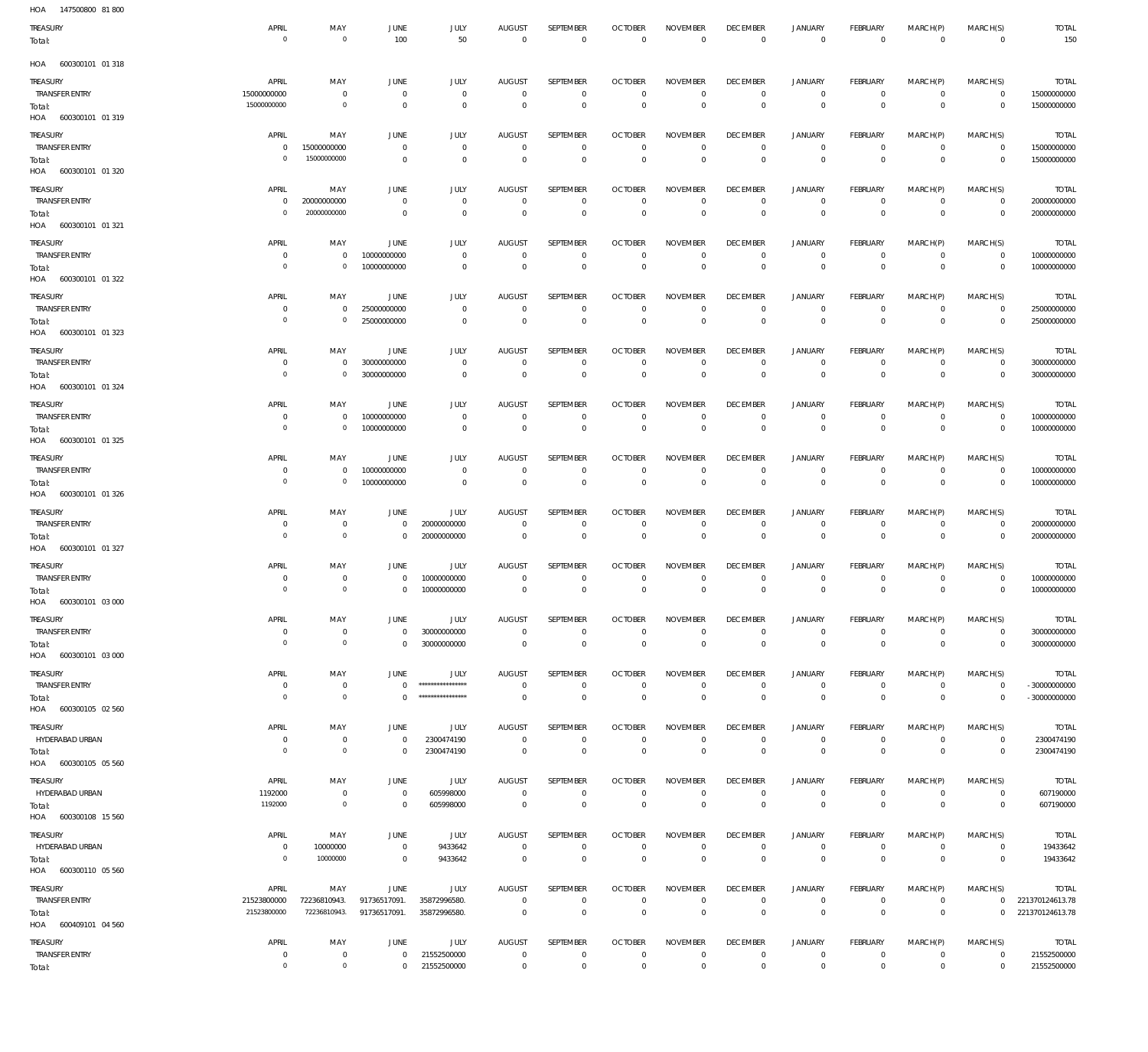| HOA<br>147500800 81800            |                                  |                                     |                                  |                                        |                                  |                                  |                                  |                                   |                                   |                                  |                                  |                               |                               |                                    |
|-----------------------------------|----------------------------------|-------------------------------------|----------------------------------|----------------------------------------|----------------------------------|----------------------------------|----------------------------------|-----------------------------------|-----------------------------------|----------------------------------|----------------------------------|-------------------------------|-------------------------------|------------------------------------|
| TREASURY<br>Total:                | APRIL<br>$\overline{0}$          | MAY<br>$\mathbf 0$                  | JUNE<br>100                      | JULY<br>50                             | <b>AUGUST</b><br>$\overline{0}$  | SEPTEMBER<br>$\overline{0}$      | <b>OCTOBER</b><br>$\overline{0}$ | <b>NOVEMBER</b><br>$\overline{0}$ | <b>DECEMBER</b><br>$\overline{0}$ | <b>JANUARY</b><br>$\overline{0}$ | FEBRUARY<br>$\overline{0}$       | MARCH(P)<br>$\overline{0}$    | MARCH(S)<br>$\overline{0}$    | <b>TOTAL</b><br>150                |
| 600300101 01 318<br>HOA           |                                  |                                     |                                  |                                        |                                  |                                  |                                  |                                   |                                   |                                  |                                  |                               |                               |                                    |
| TREASURY                          | APRIL                            | MAY                                 | JUNE                             | <b>JULY</b>                            | <b>AUGUST</b>                    | <b>SEPTEMBER</b>                 | <b>OCTOBER</b>                   | <b>NOVEMBER</b>                   | <b>DECEMBER</b>                   | <b>JANUARY</b>                   | FEBRUARY                         | MARCH(P)                      | MARCH(S)                      | <b>TOTAL</b>                       |
| <b>TRANSFER ENTRY</b>             | 15000000000                      | $\bf 0$                             | $\overline{0}$                   | $\overline{0}$                         | $\overline{0}$                   | $\overline{0}$                   | $\overline{0}$                   | $\overline{0}$                    | $\overline{0}$                    | $\circ$                          | $\overline{0}$                   | $\mathbf 0$                   | $\mathsf 0$                   | 15000000000                        |
| Total:<br>HOA<br>600300101 01 319 | 15000000000                      | $\circ$                             | $\overline{0}$                   | $\mathbf 0$                            | $\overline{0}$                   | $\,0\,$                          | $\overline{0}$                   | $\overline{0}$                    | $\overline{0}$                    | $\overline{0}$                   | $\overline{0}$                   | $\mathbf{0}$                  | $\mathbf 0$                   | 15000000000                        |
| TREASURY                          | APRIL                            | MAY                                 | JUNE                             | <b>JULY</b>                            | <b>AUGUST</b>                    | SEPTEMBER                        | <b>OCTOBER</b>                   | <b>NOVEMBER</b>                   | <b>DECEMBER</b>                   | <b>JANUARY</b>                   | FEBRUARY                         | MARCH(P)                      | MARCH(S)                      | <b>TOTAL</b>                       |
| <b>TRANSFER ENTRY</b><br>Total:   | $\mathbf{0}$<br>$\overline{0}$   | 15000000000<br>15000000000          | $\mathbf 0$<br>$\overline{0}$    | $\mathbf 0$<br>$\overline{0}$          | $\overline{0}$<br>$\overline{0}$ | $\mathbf 0$<br>$\mathbb O$       | $\overline{0}$<br>$\overline{0}$ | $\overline{0}$<br>$\overline{0}$  | $\overline{0}$<br>$\overline{0}$  | $\circ$<br>$\overline{0}$        | $\overline{0}$<br>$\overline{0}$ | $\mathbf 0$<br>$\overline{0}$ | $\overline{0}$<br>$\mathbf 0$ | 15000000000<br>15000000000         |
| HOA 600300101 01 320              |                                  |                                     |                                  |                                        |                                  |                                  |                                  |                                   |                                   |                                  |                                  |                               |                               |                                    |
| TREASURY                          | APRIL                            | MAY                                 | JUNE                             | JULY                                   | <b>AUGUST</b>                    | SEPTEMBER                        | <b>OCTOBER</b>                   | <b>NOVEMBER</b>                   | <b>DECEMBER</b>                   | <b>JANUARY</b>                   | FEBRUARY                         | MARCH(P)                      | MARCH(S)                      | <b>TOTAL</b>                       |
| <b>TRANSFER ENTRY</b><br>Total:   | $\mathbf 0$<br>$\overline{0}$    | 20000000000<br>20000000000          | $\overline{0}$<br>$\overline{0}$ | $\overline{0}$<br>$\overline{0}$       | $\overline{0}$<br>$\overline{0}$ | $\mathbf 0$<br>$\mathbb O$       | $\overline{0}$<br>$\overline{0}$ | $\mathbf 0$<br>$\overline{0}$     | $\overline{0}$<br>$\overline{0}$  | $\circ$<br>$\overline{0}$        | $\overline{0}$<br>$\overline{0}$ | $\mathbf 0$<br>$\mathbf{0}$   | $\mathsf 0$<br>$\mathbf 0$    | 20000000000<br>20000000000         |
| HOA 600300101 01 321              |                                  |                                     |                                  |                                        |                                  |                                  |                                  |                                   |                                   |                                  |                                  |                               |                               |                                    |
| TREASURY                          | APRIL                            | MAY                                 | <b>JUNE</b>                      | JULY                                   | <b>AUGUST</b>                    | SEPTEMBER                        | <b>OCTOBER</b>                   | <b>NOVEMBER</b>                   | <b>DECEMBER</b>                   | <b>JANUARY</b>                   | FEBRUARY                         | MARCH(P)                      | MARCH(S)                      | <b>TOTAL</b>                       |
| <b>TRANSFER ENTRY</b><br>Total:   | $\overline{0}$<br>$\overline{0}$ | $\mathbf 0$<br>$\mathbf 0$          | 10000000000<br>10000000000       | $\mathbf{0}$<br>$\mathbf 0$            | $\overline{0}$<br>$\overline{0}$ | $\overline{0}$<br>$\overline{0}$ | $\overline{0}$<br>$\overline{0}$ | $\overline{0}$<br>$\overline{0}$  | $\overline{0}$<br>$\overline{0}$  | $\overline{0}$<br>$\overline{0}$ | $\overline{0}$<br>$\overline{0}$ | $\mathbf 0$<br>$\Omega$       | $\mathsf 0$<br>$\mathbf 0$    | 10000000000<br>10000000000         |
| HOA 600300101 01 322              |                                  |                                     |                                  |                                        |                                  |                                  |                                  |                                   |                                   |                                  |                                  |                               |                               |                                    |
| TREASURY<br><b>TRANSFER ENTRY</b> | APRIL                            | MAY                                 | JUNE<br>25000000000              | <b>JULY</b>                            | <b>AUGUST</b>                    | <b>SEPTEMBER</b>                 | <b>OCTOBER</b>                   | <b>NOVEMBER</b>                   | <b>DECEMBER</b>                   | <b>JANUARY</b>                   | FEBRUARY                         | MARCH(P)                      | MARCH(S)                      | <b>TOTAL</b>                       |
| Total:                            | $\overline{0}$<br>$\overline{0}$ | $\mathbf 0$<br>$\mathsf{O}\xspace$  | 25000000000                      | $\mathbf 0$<br>$\mathbf 0$             | $\overline{0}$<br>$\overline{0}$ | $\overline{0}$<br>$\,0\,$        | $\overline{0}$<br>$\overline{0}$ | $\overline{0}$<br>$\overline{0}$  | $\overline{0}$<br>$\overline{0}$  | $\overline{0}$<br>$\mathbf 0$    | $\overline{0}$<br>$\overline{0}$ | $\mathbf 0$<br>$\mathbf{0}$   | $\mathsf 0$<br>$\mathbf 0$    | 25000000000<br>25000000000         |
| HOA 600300101 01 323              |                                  |                                     |                                  |                                        |                                  |                                  |                                  |                                   |                                   |                                  |                                  |                               |                               |                                    |
| TREASURY                          | APRIL                            | MAY                                 | JUNE                             | <b>JULY</b>                            | <b>AUGUST</b>                    | SEPTEMBER                        | <b>OCTOBER</b>                   | <b>NOVEMBER</b>                   | <b>DECEMBER</b>                   | <b>JANUARY</b>                   | FEBRUARY                         | MARCH(P)                      | MARCH(S)                      | <b>TOTAL</b>                       |
| <b>TRANSFER ENTRY</b><br>Total:   | $\overline{0}$<br>$\overline{0}$ | $\mathbf{0}$<br>$\mathsf{O}\xspace$ | 30000000000<br>30000000000       | $\mathbf 0$<br>$\mathbf{0}$            | $\overline{0}$<br>$\overline{0}$ | $\overline{0}$<br>$\mathbb O$    | $\overline{0}$<br>$\overline{0}$ | $\overline{0}$<br>$\overline{0}$  | $\overline{0}$<br>$\overline{0}$  | $\overline{0}$<br>$\overline{0}$ | $\overline{0}$<br>$\overline{0}$ | $\mathbf 0$<br>$\overline{0}$ | $\overline{0}$<br>$\mathbf 0$ | 30000000000<br>30000000000         |
| HOA 600300101 01 324              |                                  |                                     |                                  |                                        |                                  |                                  |                                  |                                   |                                   |                                  |                                  |                               |                               |                                    |
| TREASURY                          | APRIL                            | MAY                                 | JUNE                             | <b>JULY</b>                            | <b>AUGUST</b>                    | SEPTEMBER                        | <b>OCTOBER</b>                   | <b>NOVEMBER</b>                   | <b>DECEMBER</b>                   | <b>JANUARY</b>                   | FEBRUARY                         | MARCH(P)                      | MARCH(S)                      | <b>TOTAL</b>                       |
| <b>TRANSFER ENTRY</b><br>Total:   | $\mathbf 0$<br>$\overline{0}$    | $\mathbf 0$<br>$\mathsf{O}\xspace$  | 10000000000<br>10000000000       | $\overline{0}$<br>$\mathbf 0$          | $\overline{0}$<br>$\overline{0}$ | $\overline{0}$<br>$\mathbb O$    | $\overline{0}$<br>$\overline{0}$ | $\overline{0}$<br>$\overline{0}$  | $\overline{0}$<br>$\mathbf 0$     | $\overline{0}$<br>$\mathbf 0$    | $\overline{0}$<br>$\overline{0}$ | $\mathbf 0$<br>$\mathbf 0$    | $\mathsf 0$<br>$\mathbf 0$    | 10000000000<br>10000000000         |
| HOA 600300101 01 325              |                                  |                                     |                                  |                                        |                                  |                                  |                                  |                                   |                                   |                                  |                                  |                               |                               |                                    |
| TREASURY                          | APRIL                            | MAY                                 | JUNE                             | <b>JULY</b>                            | <b>AUGUST</b>                    | SEPTEMBER                        | <b>OCTOBER</b>                   | <b>NOVEMBER</b>                   | <b>DECEMBER</b>                   | <b>JANUARY</b>                   | FEBRUARY                         | MARCH(P)                      | MARCH(S)                      | <b>TOTAL</b>                       |
| <b>TRANSFER ENTRY</b>             | $\overline{0}$                   | $\mathbf{0}$                        | 10000000000                      | $\overline{0}$                         | $\overline{0}$                   | $\overline{0}$                   | $\overline{0}$<br>$\overline{0}$ | $\overline{0}$<br>$\overline{0}$  | $\overline{0}$<br>$\overline{0}$  | $\overline{0}$<br>$\overline{0}$ | $\overline{0}$<br>$\overline{0}$ | $\mathbf 0$<br>$\mathbf 0$    | $\mathsf 0$<br>$\mathbf 0$    | 10000000000<br>10000000000         |
|                                   | $\overline{0}$                   | $\mathbf 0$                         | 10000000000                      | $\mathbf 0$                            | $\overline{0}$                   | $\mathbb O$                      |                                  |                                   |                                   |                                  |                                  |                               |                               |                                    |
| Total:<br>HOA 600300101 01 326    |                                  |                                     |                                  |                                        |                                  |                                  |                                  |                                   |                                   |                                  |                                  |                               |                               |                                    |
| TREASURY                          | APRIL                            | MAY                                 | JUNE                             | JULY                                   | <b>AUGUST</b>                    | SEPTEMBER                        | <b>OCTOBER</b>                   | <b>NOVEMBER</b>                   | <b>DECEMBER</b>                   | <b>JANUARY</b>                   | FEBRUARY                         | MARCH(P)                      | MARCH(S)                      | <b>TOTAL</b>                       |
| <b>TRANSFER ENTRY</b>             | $\overline{0}$<br>$\overline{0}$ | $\mathbf 0$<br>$\overline{0}$       | $\overline{0}$<br>$\overline{0}$ | 20000000000                            | $\overline{0}$<br>$\overline{0}$ | $\overline{0}$                   | $\overline{0}$<br>$\overline{0}$ | $\overline{0}$<br>$\overline{0}$  | $\overline{0}$                    | $\overline{0}$<br>$\overline{0}$ | $\overline{0}$<br>$\overline{0}$ | $\mathbf 0$<br>$\mathbf 0$    | $\mathsf 0$                   | 20000000000                        |
| Total:<br>HOA 600300101 01 327    |                                  |                                     |                                  | 20000000000                            |                                  | $\,0\,$                          |                                  |                                   | $\mathbf 0$                       |                                  |                                  |                               | $\mathbf 0$                   | 20000000000                        |
| TREASURY                          | APRIL                            | MAY                                 | JUNE                             | JULY                                   | <b>AUGUST</b>                    | SEPTEMBER                        | <b>OCTOBER</b>                   | <b>NOVEMBER</b>                   | <b>DECEMBER</b>                   | <b>JANUARY</b>                   | FEBRUARY                         | MARCH(P)                      | MARCH(S)                      | <b>TOTAL</b>                       |
| <b>TRANSFER ENTRY</b>             | $\overline{0}$<br>$\overline{0}$ | $\mathbf 0$<br>$\circ$              | $\overline{0}$                   | 10000000000                            | $\overline{0}$<br>$\overline{0}$ | $\mathbf 0$                      | $\overline{0}$                   | $\mathbf 0$<br>$\overline{0}$     | $\overline{0}$                    | $\mathbf 0$<br>$\overline{0}$    | $\overline{0}$                   | $\mathbf 0$<br>$\mathbf 0$    | $\overline{0}$                | 10000000000<br>10000000000         |
| Total:<br>HOA 600300101 03 000    |                                  |                                     | $\overline{0}$                   | 10000000000                            |                                  | $\mathbf 0$                      | $\overline{0}$                   |                                   | $\overline{0}$                    |                                  | $\overline{0}$                   |                               | $\overline{0}$                |                                    |
| TREASURY                          | APRIL                            | MAY                                 | JUNE                             | JULY                                   | <b>AUGUST</b>                    | SEPTEMBER                        | <b>OCTOBER</b>                   | <b>NOVEMBER</b>                   | <b>DECEMBER</b>                   | <b>JANUARY</b>                   | <b>FEBRUARY</b>                  | MARCH(P)                      | MARCH(S)                      | <b>TOTAL</b>                       |
| <b>TRANSFER ENTRY</b>             | $\overline{0}$<br>$\overline{0}$ | $\mathbf 0$<br>$\circ$              | $\overline{0}$<br>$\overline{0}$ | 30000000000<br>30000000000             | $\overline{0}$<br>$\overline{0}$ | $\overline{0}$<br>$\,0\,$        | $\overline{0}$<br>$\overline{0}$ | $\mathbf 0$<br>$\overline{0}$     | $\overline{0}$<br>$\overline{0}$  | $\circ$<br>$\overline{0}$        | $\mathsf 0$<br>$\overline{0}$    | $\mathbf 0$<br>$\overline{0}$ | $\mathsf 0$<br>$\mathbf 0$    | 30000000000<br>30000000000         |
| Total:<br>HOA 600300101 03 000    |                                  |                                     |                                  |                                        |                                  |                                  |                                  |                                   |                                   |                                  |                                  |                               |                               |                                    |
| TREASURY                          | APRIL                            | MAY                                 | JUNE                             | JULY                                   | <b>AUGUST</b>                    | <b>SEPTEMBER</b>                 | <b>OCTOBER</b>                   | <b>NOVEMBER</b>                   | <b>DECEMBER</b>                   | <b>JANUARY</b>                   | FEBRUARY                         | MARCH(P)                      | MARCH(S)                      | TOTAL                              |
| <b>TRANSFER ENTRY</b>             | $\mathbf 0$<br>$\overline{0}$    | $\mathbf 0$<br>$\circ$              | $\overline{0}$<br>$\mathbf{0}$   | *****************<br>***************** | $\overline{0}$<br>$\Omega$       | $\overline{0}$<br>$\mathbf{0}$   | $\overline{0}$<br>$\overline{0}$ | $\overline{0}$<br>$\overline{0}$  | $\overline{0}$<br>$\overline{0}$  | $\overline{0}$<br>$\overline{0}$ | $\overline{0}$<br>$\overline{0}$ | $\mathbf 0$<br>$\overline{0}$ | $\mathsf 0$<br>$\mathbb O$    | $-300000000000$<br>$-300000000000$ |
| Total:<br>HOA 600300105 02 560    |                                  |                                     |                                  |                                        |                                  |                                  |                                  |                                   |                                   |                                  |                                  |                               |                               |                                    |
| TREASURY                          | APRIL                            | MAY                                 | JUNE                             | JULY                                   | <b>AUGUST</b>                    | SEPTEMBER                        | <b>OCTOBER</b>                   | <b>NOVEMBER</b>                   | <b>DECEMBER</b>                   | <b>JANUARY</b>                   | FEBRUARY                         | MARCH(P)                      | MARCH(S)                      | <b>TOTAL</b>                       |
| HYDERABAD URBAN                   | $\overline{0}$<br>$\overline{0}$ | $\mathbf 0$<br>$\mathsf{O}\xspace$  | $\,0\,$<br>$\,0\,$               | 2300474190                             | $\overline{0}$<br>$\overline{0}$ | $\overline{0}$                   | $\overline{0}$<br>$\overline{0}$ | $\overline{0}$<br>$\overline{0}$  | $\mathbf 0$                       | $\overline{0}$<br>$\mathbf 0$    | $\mathsf 0$<br>$\overline{0}$    | $\mathbf 0$<br>$\overline{0}$ | $\mathsf 0$                   | 2300474190                         |
| Total:<br>HOA 600300105 05 560    |                                  |                                     |                                  | 2300474190                             |                                  | $\,0\,$                          |                                  |                                   | $\mathbf 0$                       |                                  |                                  |                               | $\mathbf 0$                   | 2300474190                         |
| TREASURY                          | APRIL                            | MAY                                 | JUNE                             | JULY                                   | <b>AUGUST</b>                    | SEPTEMBER                        | <b>OCTOBER</b>                   | <b>NOVEMBER</b>                   | <b>DECEMBER</b>                   | <b>JANUARY</b>                   | FEBRUARY                         | MARCH(P)                      | MARCH(S)                      | <b>TOTAL</b>                       |
| HYDERABAD URBAN                   | 1192000<br>1192000               | $\mathbf 0$<br>$\mathbf 0$          | $\overline{0}$                   | 605998000                              | $\overline{0}$<br>$\overline{0}$ | $\mathbf 0$                      | $\overline{0}$<br>$\overline{0}$ | $\overline{0}$<br>$\overline{0}$  | $\overline{0}$                    | $\overline{0}$<br>$\overline{0}$ | $\overline{0}$                   | $\mathbf 0$<br>$\overline{0}$ | $\overline{0}$                | 607190000                          |
| Total:<br>HOA 600300108 15 560    |                                  |                                     | $\overline{0}$                   | 605998000                              |                                  | $\,0\,$                          |                                  |                                   | $\mathbf 0$                       |                                  | $\mathbf 0$                      |                               | $\mathbf 0$                   | 607190000                          |
| TREASURY                          | APRIL                            | MAY                                 | JUNE                             | JULY                                   | <b>AUGUST</b>                    | SEPTEMBER                        | <b>OCTOBER</b>                   | <b>NOVEMBER</b>                   | <b>DECEMBER</b>                   | <b>JANUARY</b>                   | FEBRUARY                         | MARCH(P)                      | MARCH(S)                      | TOTAL                              |
| HYDERABAD URBAN                   | $\overline{0}$<br>$\overline{0}$ | 10000000<br>10000000                | $\overline{0}$<br>$\overline{0}$ | 9433642<br>9433642                     | $\overline{0}$<br>$\overline{0}$ | $\overline{0}$<br>$\,0\,$        | $\overline{0}$<br>$\overline{0}$ | $\overline{0}$<br>$\overline{0}$  | $\overline{0}$<br>$\mathbf 0$     | $\overline{0}$<br>$\mathbf 0$    | $\overline{0}$<br>$\mathbf 0$    | $\mathbf 0$<br>$\overline{0}$ | $\mathsf 0$<br>$\mathbf 0$    | 19433642<br>19433642               |
| Total:<br>HOA 600300110 05 560    |                                  |                                     |                                  |                                        |                                  |                                  |                                  |                                   |                                   |                                  |                                  |                               |                               |                                    |
| TREASURY                          | APRIL                            | MAY                                 | JUNE                             | JULY                                   | <b>AUGUST</b>                    | SEPTEMBER                        | <b>OCTOBER</b>                   | <b>NOVEMBER</b>                   | <b>DECEMBER</b>                   | <b>JANUARY</b>                   | <b>FEBRUARY</b>                  | MARCH(P)                      | MARCH(S)                      | <b>TOTAL</b>                       |
| <b>TRANSFER ENTRY</b><br>Total:   | 21523800000<br>21523800000       | 72236810943.<br>72236810943.        | 91736517091.<br>91736517091.     | 35872996580.<br>35872996580.           | $\overline{0}$<br>$\overline{0}$ | $\mathbf 0$<br>$\mathbf 0$       | $\overline{0}$<br>$\overline{0}$ | $\overline{0}$<br>$\overline{0}$  | $\overline{0}$<br>$\overline{0}$  | $\overline{0}$<br>$\overline{0}$ | $\mathsf 0$<br>$\overline{0}$    | $\mathbf 0$<br>$\mathbf{0}$   | $\circ$<br>$\mathbf 0$        | 221370124613.78<br>221370124613.78 |
| HOA 600409101 04 560              |                                  |                                     |                                  |                                        |                                  |                                  |                                  |                                   |                                   |                                  |                                  |                               |                               |                                    |
| TREASURY                          | APRIL                            | MAY                                 | JUNE                             | JULY                                   | <b>AUGUST</b>                    | SEPTEMBER                        | <b>OCTOBER</b>                   | <b>NOVEMBER</b>                   | <b>DECEMBER</b>                   | <b>JANUARY</b>                   | FEBRUARY                         | MARCH(P)                      | MARCH(S)                      | <b>TOTAL</b>                       |
| <b>TRANSFER ENTRY</b><br>Total:   | $\overline{0}$<br>$\overline{0}$ | $\mathbf 0$<br>$\mathsf{O}\xspace$  | $\overline{0}$<br>$\overline{0}$ | 21552500000<br>21552500000             | $\overline{0}$<br>$\overline{0}$ | $\overline{0}$<br>$\,0\,$        | $\overline{0}$<br>$\overline{0}$ | $\overline{0}$<br>$\overline{0}$  | $\overline{0}$<br>$\mathbf 0$     | $\overline{0}$<br>$\,0\,$        | $\overline{0}$<br>$\mathbf 0$    | $\overline{0}$<br>$\mathbf 0$ | $\mathsf 0$<br>$\overline{0}$ | 21552500000<br>21552500000         |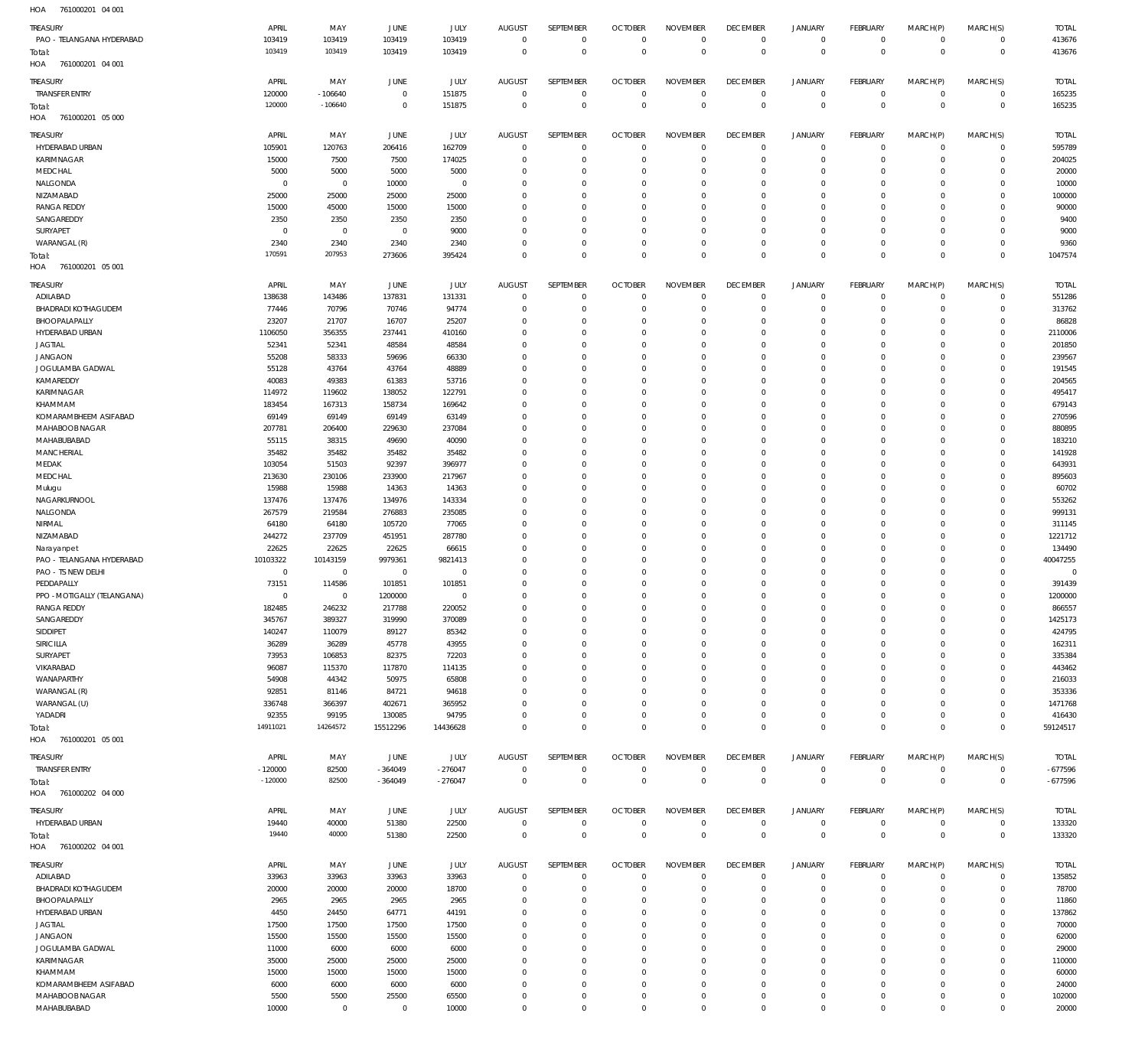761000201 04 001 HOA

| TREASURY                         | APRIL             | MAY               | JUNE                    | JULY           | <b>AUGUST</b>           | SEPTEMBER                  | <b>OCTOBER</b>              | <b>NOVEMBER</b>         | <b>DECEMBER</b>             | <b>JANUARY</b>        | FEBRUARY                   | MARCH(P)                | MARCH(S)                | <b>TOTAL</b>    |
|----------------------------------|-------------------|-------------------|-------------------------|----------------|-------------------------|----------------------------|-----------------------------|-------------------------|-----------------------------|-----------------------|----------------------------|-------------------------|-------------------------|-----------------|
| PAO - TELANGANA HYDERABAD        | 103419            | 103419            | 103419                  | 103419         | $\overline{0}$          | $\overline{0}$             | $\overline{0}$              | $\mathbf{0}$            | $\,0\,$                     | $\mathbb O$           | $\mathbf 0$                | $\mathbf 0$             | $\mathbf 0$             | 413676          |
| Total:                           | 103419            | 103419            | 103419                  | 103419         | $\mathbf 0$             | $\mathbf 0$                | $\mathbb O$                 | $\overline{0}$          | $\mathbb O$                 | $\mathbf 0$           | $\mathbf 0$                | $\mathbf{0}$            | $\mathbb O$             | 413676          |
| HOA<br>761000201 04 001          |                   |                   |                         |                |                         |                            |                             |                         |                             |                       |                            |                         |                         |                 |
| TREASURY                         | APRIL             | MAY               | JUNE                    | JULY           | <b>AUGUST</b>           | SEPTEMBER                  | <b>OCTOBER</b>              | <b>NOVEMBER</b>         | <b>DECEMBER</b>             | <b>JANUARY</b>        | FEBRUARY                   | MARCH(P)                | MARCH(S)                | <b>TOTAL</b>    |
| <b>TRANSFER ENTRY</b>            | 120000            | $-106640$         | $\overline{0}$          | 151875         | $\overline{0}$          | $\mathbf 0$                | $\mathbf 0$                 | 0                       | $\overline{0}$              | $\mathbf 0$           | $\mathbf 0$                | $\circ$                 | $\mathbf 0$             | 165235          |
| Total:                           | 120000            | $-106640$         | $\overline{0}$          | 151875         | $\overline{0}$          | $\mathbf 0$                | $\mathbb O$                 | $\mathbf{0}$            | $\mathbb O$                 | $\mathbf 0$           | $\mathbb O$                | $^{\circ}$              | $\mathbb O$             | 165235          |
| HOA<br>761000201 05 000          |                   |                   |                         |                |                         |                            |                             |                         |                             |                       |                            |                         |                         |                 |
| TREASURY                         | APRIL             | MAY               | JUNE                    | JULY           | <b>AUGUST</b>           | SEPTEMBER                  | <b>OCTOBER</b>              | <b>NOVEMBER</b>         | <b>DECEMBER</b>             | <b>JANUARY</b>        | FEBRUARY                   | MARCH(P)                | MARCH(S)                | <b>TOTAL</b>    |
| HYDERABAD URBAN                  | 105901            | 120763            | 206416                  | 162709         | $\overline{0}$          | $\overline{0}$             | $\overline{0}$              | $\mathbf{0}$            | $\mathbf 0$                 | 0                     | $^{\circ}$                 | $\Omega$                | $\mathbf 0$             | 595789          |
| <b>KARIMNAGAR</b>                | 15000             | 7500              | 7500                    | 174025         | $\Omega$                | $\mathbf 0$                | $\mathbf{0}$                | $\mathbf 0$             | $\mathbf 0$                 | $\circ$               | $\mathbf{0}$               | $\Omega$                | $\Omega$                | 204025          |
| MEDCHAL                          | 5000              | 5000              | 5000                    | 5000           | $\Omega$                | $\mathbf 0$                | $\mathbf{0}$                | 0                       | $^{\circ}$                  | $^{\circ}$            | $^{\circ}$                 | $\Omega$                | $\Omega$                | 20000           |
| NALGONDA                         | $\mathbf 0$       | $\mathbf 0$       | 10000                   | $\mathbf 0$    | $\Omega$                | $\Omega$                   | $\mathbf 0$                 | $\Omega$                | $\mathbf{0}$                | $^{\circ}$            | $\Omega$                   | $\Omega$                | $\Omega$                | 10000           |
| NIZAMABAD                        | 25000             | 25000             | 25000                   | 25000          | $\Omega$                | $\Omega$                   | $\mathbf 0$                 | $\Omega$                | $\mathbf{0}$                | $^{\circ}$            | $^{\circ}$                 | $\Omega$                | $\Omega$                | 100000          |
| <b>RANGA REDDY</b>               | 15000             | 45000             | 15000                   | 15000          | $\Omega$                | $\Omega$                   | $\mathbf 0$                 | $\Omega$                | $\mathbf{0}$                | $\mathbf 0$           | $\Omega$                   | $\Omega$                | $\Omega$                | 90000           |
| SANGAREDDY                       | 2350              | 2350              | 2350                    | 2350           | $\Omega$                | $\Omega$                   | $\mathbf 0$                 | $\Omega$                | $\Omega$                    | $^{\circ}$            | $^{\circ}$                 | $\Omega$                | $\Omega$                | 9400            |
| SURYAPET                         | $\mathbf 0$       | $\mathbf 0$       | $\overline{0}$          | 9000           | $\Omega$                | $\Omega$                   | $\mathbf 0$                 | 0                       | $\mathbf 0$                 | $^{\circ}$            | $^{\circ}$                 | $\Omega$                | $\Omega$                | 9000            |
| WARANGAL (R)                     | 2340              | 2340              | 2340                    | 2340           | $\Omega$                | $\mathbf 0$                | $\mathbf 0$                 | 0                       | $\mathbf 0$                 | $\circ$               | $\mathbf{0}$               | $\Omega$                | $\Omega$                | 9360            |
| Total:                           | 170591            | 207953            | 273606                  | 395424         | $\Omega$                | $\Omega$                   | $\mathbf{0}$                | $\mathbf 0$             | $\mathbf 0$                 | $\mathbf 0$           | $\mathbf 0$                | $\Omega$                | $\Omega$                | 1047574         |
| HOA<br>761000201 05 001          |                   |                   |                         |                |                         |                            |                             |                         |                             |                       |                            |                         |                         |                 |
| TREASURY                         | APRIL             | MAY               | JUNE                    | JULY           | <b>AUGUST</b>           | SEPTEMBER                  | <b>OCTOBER</b>              | <b>NOVEMBER</b>         | <b>DECEMBER</b>             | <b>JANUARY</b>        | FEBRUARY                   | MARCH(P)                | MARCH(S)                | <b>TOTAL</b>    |
| ADILABAD                         | 138638            | 143486            | 137831                  | 131331         | $\overline{0}$          | $\mathbf 0$                | $\overline{0}$              | $\mathbf{0}$            | $\mathbf 0$                 | $^{\circ}$            | $\mathbf{0}$               | $\Omega$                | $\Omega$                | 551286          |
| <b>BHADRADI KOTHAGUDEM</b>       | 77446             | 70796             | 70746                   | 94774          | $\mathbf 0$             | 0                          | $\mathbf 0$                 | $\mathbf 0$             | $\mathbf 0$                 | $\mathbf 0$           | $\mathbf 0$                | $\Omega$                | $\mathbf 0$             | 313762          |
| BHOOPALAPALLY                    | 23207             | 21707             | 16707                   | 25207          | $\Omega$                | $\mathbf 0$                | $\mathbf 0$                 | 0                       | $\overline{0}$              | $^{\circ}$            | $^{\circ}$                 | $\Omega$                | $\Omega$                | 86828           |
| HYDERABAD URBAN                  | 1106050           | 356355            | 237441                  | 410160         | $\mathbf 0$             | $\mathbf 0$                | $\mathbf{0}$                | 0                       | $\mathbf 0$                 | $^{\circ}$            | $^{\circ}$                 | $\Omega$                | $\Omega$                | 2110006         |
| <b>JAGTIAL</b>                   | 52341             | 52341             | 48584                   | 48584          | $\Omega$                | $\Omega$                   | $\mathbf 0$                 | $\Omega$                | $\overline{0}$              | $\Omega$              | $\mathbf{0}$               |                         | $\Omega$                | 201850          |
| <b>JANGAON</b>                   | 55208             | 58333             | 59696                   | 66330          | $\mathbf 0$             | $\mathbf 0$                | $\mathbf{0}$                | 0                       | $\mathbf{0}$                | $^{\circ}$            | $^{\circ}$                 | $\Omega$                | $\Omega$                | 239567          |
| JOGULAMBA GADWAL                 | 55128             | 43764             | 43764                   | 48889          | $\Omega$                | $\mathbf 0$                | $\mathbf 0$                 | 0                       | $\overline{0}$              | $\mathbf 0$           | $^{\circ}$                 |                         | $\Omega$                | 191545          |
| KAMAREDDY                        | 40083             | 49383             | 61383                   | 53716          | $\mathbf 0$             | $\mathbf 0$                | $\mathbf{0}$                | $\Omega$                | $\mathbf{0}$                | $^{\circ}$            | $\mathbf{0}$               | $\Omega$                | $\Omega$                | 204565          |
| KARIMNAGAR                       | 114972            | 119602            | 138052                  | 122791         | $\Omega$                | $\mathbf 0$                | $\mathbf 0$                 | 0                       | $\overline{0}$              | $\mathbf 0$           | $\mathbf{0}$               | $\Omega$                | $\Omega$                | 495417          |
| KHAMMAM                          | 183454            | 167313            | 158734                  | 169642         | $\mathbf 0$             | $\mathbf 0$                | $\mathbf{0}$                | 0                       | $\mathbf{0}$                | $^{\circ}$            | $\mathbf{0}$               | $\Omega$                | $\Omega$                | 679143          |
| KOMARAMBHEEM ASIFABAD            | 69149             | 69149             | 69149                   | 63149          | $\mathbf 0$             | $\mathbf 0$                | $\mathbf{0}$                | 0                       | $\overline{0}$              | $^{\circ}$            | $^{\circ}$                 | $\Omega$                | $\Omega$                | 270596          |
| MAHABOOB NAGAR                   | 207781            | 206400            | 229630                  | 237084         | $\mathbf 0$             | $\mathbf 0$                | $\mathbf 0$                 | $\Omega$                | $\mathbf{0}$                | $^{\circ}$            | $\mathbf{0}$               |                         | $\Omega$                | 880895          |
| MAHABUBABAD                      | 55115             | 38315             | 49690                   | 40090          | $\mathbf 0$             | $\mathbf 0$                | $\mathbf{0}$                | 0                       | $\overline{0}$              | $^{\circ}$            | $\mathbf{0}$               | $\Omega$                | $\Omega$                | 183210          |
| MANCHERIAL                       | 35482             | 35482             | 35482                   | 35482          | $\mathbf 0$             | $\mathbf 0$                | $\mathbf 0$                 | 0                       | $\mathbf{0}$                | $\circ$               | $^{\circ}$                 |                         | $\Omega$                | 141928          |
| MEDAK                            | 103054            | 51503             | 92397                   | 396977         | $\mathbf 0$             | $\mathbf 0$                | $\mathbf{0}$                | 0                       | $\overline{0}$              | $^{\circ}$            | $^{\circ}$                 | $\Omega$                | $\Omega$                | 643931          |
| MEDCHAL                          | 213630            | 230106            | 233900                  | 217967         | $\mathbf 0$             | $\mathbf 0$                | $\mathbf 0$                 | 0                       | $\mathbf 0$                 | $^{\circ}$            | $^{\circ}$                 | $\Omega$                | $\Omega$                | 895603          |
| Mulugu                           | 15988             | 15988             | 14363                   | 14363          | $\Omega$                | $\Omega$                   | $\mathbf 0$                 | $\Omega$                | $\overline{0}$              | $\Omega$              | $\mathbf{0}$               | $\Omega$                | $\Omega$                | 60702           |
| NAGARKURNOOL                     | 137476            | 137476            | 134976                  | 143334         | $\mathbf 0$             | $\mathbf 0$                | $\mathbf 0$                 | 0                       | $\mathbf 0$                 | $^{\circ}$            | $^{\circ}$                 | $\Omega$                | $\Omega$                | 553262          |
| NALGONDA                         | 267579            | 219584            | 276883                  | 235085         | $\Omega$                | $\Omega$                   | $\mathbf 0$                 | 0                       | $\overline{0}$              | $\mathbf 0$           | $\mathbf{0}$               | $\Omega$                | $\Omega$                | 999131          |
| NIRMAL                           | 64180             | 64180             | 105720                  | 77065          | $\mathbf 0$             | $\mathbf 0$                | $\mathbf 0$                 | 0                       | $\mathbf 0$                 | $^{\circ}$            | $\mathbf{0}$               | $\Omega$                | $\Omega$                | 311145          |
| NIZAMABAD                        | 244272            | 237709            | 451951                  | 287780         | $\Omega$                | $\Omega$                   | $\mathbf 0$                 | $\Omega$                | $\overline{0}$              | $\Omega$              | $\mathbf{0}$               |                         | $\Omega$                | 1221712         |
| Narayanpet                       | 22625             | 22625             | 22625                   | 66615          | $\mathbf 0$             | $\mathbf 0$                | $\mathbf{0}$                | 0                       | $\mathbf 0$                 | $^{\circ}$            | $^{\circ}$                 | $\Omega$                | $\Omega$                | 134490          |
| PAO - TELANGANA HYDERABAD        | 10103322          | 10143159          | 9979361                 | 9821413        | $\mathbf 0$             | $\mathbf 0$                | $\mathbf 0$                 | 0                       | $\overline{0}$              | $\mathbf 0$           | $^{\circ}$                 |                         | $\Omega$                | 40047255        |
| PAO - TS NEW DELHI               | $\mathbf 0$       | $\mathbf 0$       |                         | $\mathbf 0$    | $\mathbf 0$             | $\mathbf 0$                | $\mathbf{0}$                | 0                       | $\mathbf{0}$                | $^{\circ}$            | $^{\circ}$                 | $\Omega$                | $\Omega$                | $\overline{0}$  |
|                                  |                   |                   | $\overline{0}$          |                |                         |                            |                             | 0                       | $\overline{0}$              | $\mathbf 0$           |                            | $\Omega$                | $\Omega$                |                 |
| PEDDAPALLY                       | 73151             | 114586            | 101851                  | 101851         | $\mathbf 0$             | $\mathbf 0$                | $\mathbf 0$                 |                         |                             |                       | $\mathbf{0}$               |                         |                         | 391439          |
| PPO - MOTIGALLY (TELANGANA)      | 0                 | 0                 | 1200000                 | $\mathbf 0$    | $\overline{0}$          | $\mathbf 0$                | $\mathbf{0}$                | $\mathbf 0$             | $\mathbf 0$                 | $\mathbf 0$           | $\mathbf{0}$               | $\Omega$                | $\Omega$                | 1200000         |
| RANGA REDDY                      | 182485            | 246232            | 217788                  | 220052         | $\cap$                  |                            | $\Omega$                    | $\Omega$                | $\cap$                      |                       | $\cap$                     |                         | $\Omega$                | 866557          |
| SANGAREDDY                       | 345767            | 389327            | 319990                  | 370089         | $\mathbf 0$             | $\mathbf 0$                | $\mathbf 0$                 | 0                       | $\overline{0}$              | $^{\circ}$            | $\mathbf{0}$               | $\Omega$                | $\Omega$                | 1425173         |
| SIDDIPET                         | 140247            | 110079            | 89127                   | 85342          | $\mathbf 0$             | $\mathbf 0$                | $\mathbf 0$                 | $\mathbf 0$             | $\overline{0}$              | $^{\circ}$            | $\mathbf{0}$               | $\Omega$                | $\Omega$                | 424795          |
| SIRICILLA                        | 36289             | 36289             | 45778                   | 43955          | $\mathbf 0$             | $\mathbf 0$                | $\mathbf{0}$                | 0                       | $\mathbf{0}$                | $^{\circ}$            | $\mathbf{0}$               | $\Omega$                | $\Omega$                | 162311          |
| SURYAPET                         | 73953             | 106853            | 82375                   | 72203          | $\mathbf 0$             | $\mathbf 0$                | $\mathbf{0}$                | 0                       | $\mathbf{0}$                | $^{\circ}$            | $\mathbf{0}$               | $\Omega$                | $\Omega$                | 335384          |
| VIKARABAD                        | 96087             | 115370            | 117870                  | 114135         | $\mathbf 0$             | $\mathbf 0$                | $\mathbf{0}$                | 0                       | $\mathbf{0}$                | $^{\circ}$            | $^{\circ}$                 | $\Omega$                | $\Omega$                | 443462          |
| WANAPARTHY                       | 54908             | 44342             | 50975                   | 65808          | $\Omega$                | $\mathbf 0$                | $\mathbf{0}$                | 0                       | $\mathbf{0}$                | $^{\circ}$            | $^{\circ}$                 | $\Omega$                | $\Omega$                | 216033          |
| WARANGAL (R)                     | 92851             | 81146             | 84721                   | 94618          | $\mathbf 0$             | $\mathbf 0$                | $\mathbf{0}$                | 0                       | $\mathbf{0}$                | $^{\circ}$            | $^{\circ}$                 | $\Omega$                | $\Omega$                | 353336          |
| WARANGAL (U)                     | 336748            | 366397            | 402671                  | 365952         | $\Omega$<br>$\mathbf 0$ | $\mathbf 0$<br>$\mathbf 0$ | $\mathbf 0$                 | 0<br>$\mathbf 0$        | $\mathbf 0$                 | $^{\circ}$            | $\mathbf{0}$               | $\Omega$<br>$\Omega$    | $\Omega$<br>$\mathbf 0$ | 1471768         |
| YADADRI                          | 92355<br>14911021 | 99195<br>14264572 | 130085                  | 94795          | $\mathbf 0$             | $\mathbf 0$                | $\mathbf 0$<br>$\mathbf{0}$ | $\mathbf 0$             | $\,0\,$                     | 0                     | $\mathbf 0$                | $^{\circ}$              |                         | 416430          |
| Total:<br>HOA 761000201 05 001   |                   |                   | 15512296                | 14436628       |                         |                            |                             |                         | $\mathbb O$                 | $\mathbf 0$           | $\mathbf 0$                |                         | $\mathbb O$             | 59124517        |
|                                  |                   |                   |                         |                |                         |                            |                             |                         |                             |                       |                            |                         |                         |                 |
| <b>TREASURY</b>                  | APRIL             | MAY               | JUNE                    | JULY           | <b>AUGUST</b>           | SEPTEMBER                  | <b>OCTOBER</b>              | <b>NOVEMBER</b>         | <b>DECEMBER</b>             | <b>JANUARY</b>        | FEBRUARY                   | MARCH(P)                | MARCH(S)                | <b>TOTAL</b>    |
| <b>TRANSFER ENTRY</b>            | $-120000$         | 82500             | $-364049$               | $-276047$      | $\overline{0}$          | $\overline{0}$             | $\overline{0}$              | $\mathbf 0$             | $\,0\,$                     | 0                     | $\mathbf 0$                | $\mathbf 0$             | $\mathbf 0$             | $-677596$       |
| Total:                           | $-120000$         | 82500             | $-364049$               | $-276047$      | $\overline{0}$          | $\overline{0}$             | $\mathbb O$                 | $\overline{0}$          | $\mathbb O$                 | $\mathbb O$           | $\mathbb O$                | $\mathbb O$             | $\mathbb O$             | $-677596$       |
| HOA 761000202 04 000             |                   |                   |                         |                |                         |                            |                             |                         |                             |                       |                            |                         |                         |                 |
| TREASURY                         | APRIL             | MAY               | JUNE                    | JULY           | <b>AUGUST</b>           | SEPTEMBER                  | <b>OCTOBER</b>              | <b>NOVEMBER</b>         | <b>DECEMBER</b>             | <b>JANUARY</b>        | FEBRUARY                   | MARCH(P)                | MARCH(S)                | <b>TOTAL</b>    |
| HYDERABAD URBAN                  | 19440             | 40000             | 51380                   | 22500          | $\overline{0}$          | $\overline{0}$             | $\overline{0}$              | $\overline{0}$          | $\,0\,$                     | 0                     | $\mathbf 0$                | $\mathbf 0$             | $\mathbf 0$             | 133320          |
| Total:                           | 19440             | 40000             | 51380                   | 22500          | $\overline{0}$          | $\mathbf 0$                | $\mathbf 0$                 | $\mathbf 0$             | $\,0\,$                     | $\,0\,$               | $\mathbb O$                | $\mathbf{0}$            | $\mathbf{0}$            | 133320          |
| HOA<br>761000202 04 001          |                   |                   |                         |                |                         |                            |                             |                         |                             |                       |                            |                         |                         |                 |
|                                  |                   |                   |                         |                |                         |                            |                             |                         |                             |                       |                            |                         |                         |                 |
| TREASURY                         | APRIL             | MAY               | JUNE                    | JULY           | <b>AUGUST</b>           | SEPTEMBER                  | <b>OCTOBER</b>              | <b>NOVEMBER</b>         | <b>DECEMBER</b>             | <b>JANUARY</b>        | FEBRUARY                   | MARCH(P)                | MARCH(S)                | <b>TOTAL</b>    |
| ADILABAD                         | 33963             | 33963             | 33963                   | 33963          | $\overline{0}$          | $\overline{0}$             | $\overline{0}$              | $\mathbf{0}$            | $\mathbf 0$                 | $\mathbb O$           | $\mathbf 0$                | $\mathbf 0$<br>$\Omega$ | $\mathbf 0$             | 135852          |
| <b>BHADRADI KOTHAGUDEM</b>       | 20000             | 20000             | 20000                   | 18700          | $\mathbf 0$             | $\mathbf 0$                | $\mathbf 0$                 | $\mathbf 0$             | $\mathbf 0$                 | $^{\circ}$            | $\mathbf{0}$               |                         | $\mathbf 0$             | 78700           |
| BHOOPALAPALLY                    | 2965              | 2965              | 2965                    | 2965           | $\mathbf 0$<br>$\Omega$ | $\mathbf 0$                | $\mathbf{0}$                | $\mathbf 0$<br>$\Omega$ | $\mathbf 0$                 | $\circ$               | $^{\circ}$                 | $\Omega$<br>$\Omega$    | $\Omega$<br>$\Omega$    | 11860           |
| HYDERABAD URBAN                  | 4450              | 24450             | 64771                   | 44191          | $\Omega$                | $\mathbf 0$<br>$\Omega$    | $\mathbf 0$<br>$\mathbf{0}$ | $\mathbf 0$             | $\mathbf{0}$                | $^{\circ}$            | $^{\circ}$<br>$\mathbf{0}$ | $\Omega$                | $\Omega$                | 137862          |
| <b>JAGTIAL</b>                   | 17500             | 17500             | 17500                   | 17500          | $\mathbf 0$             | $\mathbf 0$                | $\mathbf 0$                 | 0                       | $\mathbf 0$<br>$\mathbf{0}$ | $\circ$<br>$^{\circ}$ | $^{\circ}$                 | $\Omega$                | $\Omega$                | 70000           |
| <b>JANGAON</b>                   | 15500             | 15500             | 15500                   | 15500          | $\Omega$                | $\Omega$                   | $\mathbf{0}$                | 0                       | $\mathbf 0$                 | $\circ$               | $^{\circ}$                 | $\Omega$                | $\Omega$                | 62000           |
| JOGULAMBA GADWAL                 | 11000             | 6000              | 6000                    | 6000           | $\Omega$                | $\mathbf 0$                | $\mathbf{0}$                | 0                       | $\mathbf{0}$                | $^{\circ}$            | $^{\circ}$                 | $\Omega$                | $\Omega$                | 29000           |
| KARIMNAGAR                       | 35000             | 25000             | 25000                   | 25000          | $\Omega$                | $\Omega$                   | $\mathbf 0$                 | 0                       | $\mathbf 0$                 | $\circ$               | $\Omega$                   | $\Omega$                | $\Omega$                | 110000          |
| KHAMMAM<br>KOMARAMBHEEM ASIFABAD | 15000<br>6000     | 15000<br>6000     | 15000<br>6000           | 15000<br>6000  | $\mathbf 0$             | $\mathbf 0$                | $\mathbf 0$                 | $\mathbf 0$             | $\mathbf 0$                 | $\circ$               | $^{\circ}$                 | $\Omega$                | $\mathbf 0$             | 60000<br>24000  |
|                                  |                   |                   |                         |                | $\mathbf 0$             | $\mathbf 0$                | $\bf 0$                     | $\bf 0$                 |                             |                       | $^{\circ}$                 | $\Omega$                | $\mathbf 0$             |                 |
| MAHABOOB NAGAR<br>MAHABUBABAD    | 5500<br>10000     | 5500<br>$\bf 0$   | 25500<br>$\overline{0}$ | 65500<br>10000 | $\mathbf 0$             | $\mathbf 0$                | $\mathbf{0}$                | $\mathbf 0$             | $\,0\,$<br>$\mathbb O$      | 0<br>$\mathbf 0$      | $\mathbf 0$                | $\Omega$                | $\mathbf 0$             | 102000<br>20000 |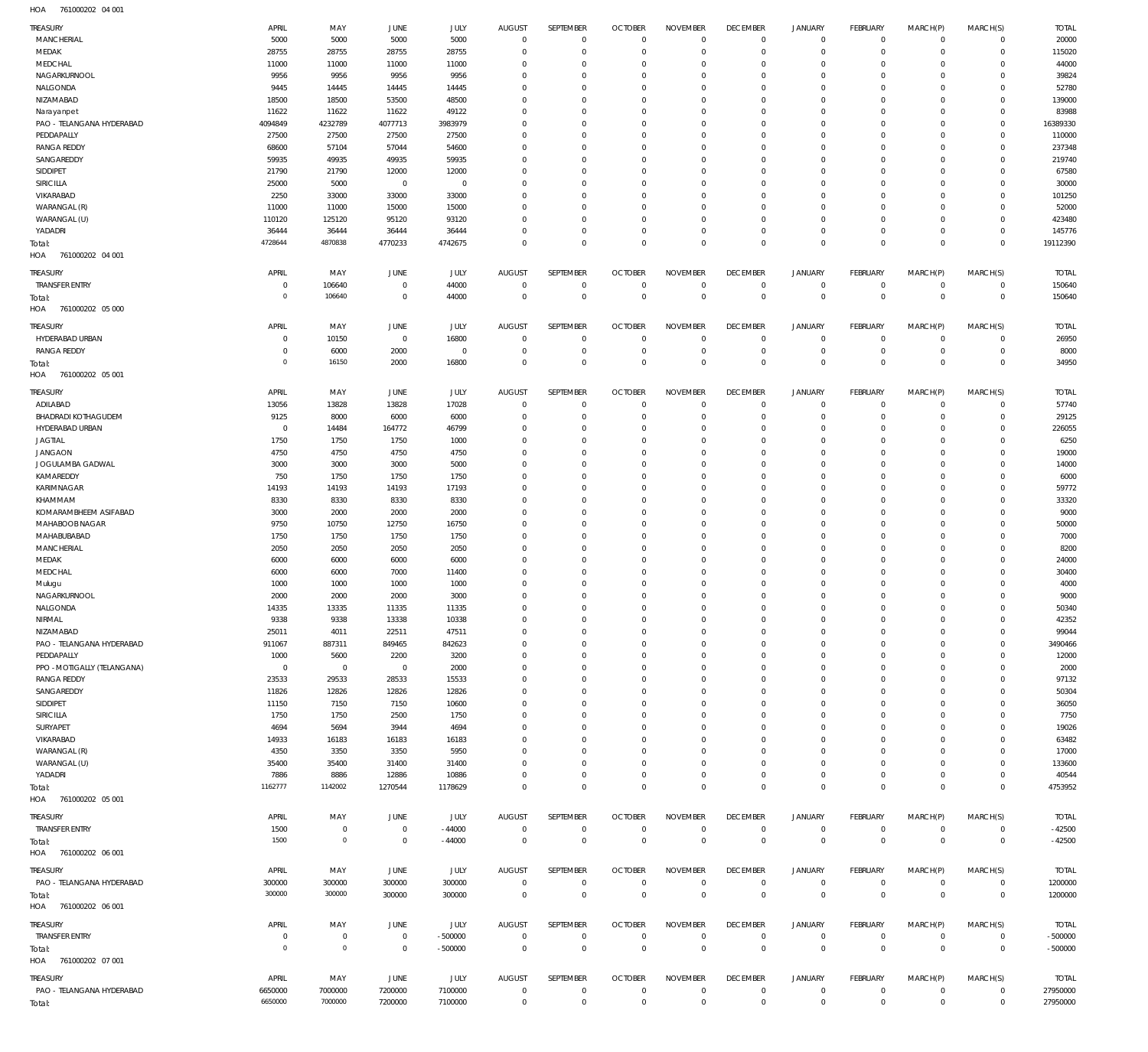761000202 04 001 HOA

| <b>TREASURY</b><br>MANCHERIAL           | APRIL<br>5000                 | MAY<br>5000        | JUNE<br>5000     | JULY<br>5000      | <b>AUGUST</b><br>$\mathbf 0$ | SEPTEMBER<br>$\mathbf 0$    | <b>OCTOBER</b><br>$\overline{0}$ | <b>NOVEMBER</b><br>$\Omega$   | <b>DECEMBER</b><br>$\Omega$    | JANUARY<br>$\overline{0}$ | <b>FEBRUARY</b><br>$\mathbf 0$ | MARCH(P)<br>$\circ$  | MARCH(S)<br>$\mathbf 0$    | <b>TOTAL</b><br>20000     |
|-----------------------------------------|-------------------------------|--------------------|------------------|-------------------|------------------------------|-----------------------------|----------------------------------|-------------------------------|--------------------------------|---------------------------|--------------------------------|----------------------|----------------------------|---------------------------|
| MEDAK                                   | 28755                         | 28755              | 28755            | 28755             | $\Omega$                     | $\mathbf 0$                 | $\overline{0}$                   | $\Omega$                      | $\Omega$                       | $\Omega$                  | $\mathbf 0$                    | $\Omega$             | $\mathbf 0$                | 115020                    |
| MEDCHAL                                 | 11000                         | 11000              | 11000            | 11000             | $\Omega$                     | $\Omega$                    | $\overline{0}$                   | $\Omega$                      | $\Omega$                       | $\Omega$                  | $\mathbf 0$                    | $\Omega$             | $\Omega$                   | 44000                     |
| NAGARKURNOOL                            | 9956                          | 9956               | 9956             | 9956              | $\Omega$                     | $^{\circ}$                  | $\overline{0}$                   | $\Omega$                      | $\Omega$                       | $\Omega$                  | $\mathbf 0$                    | $\Omega$             | $\mathbf 0$                | 39824                     |
| NALGONDA                                | 9445                          | 14445              | 14445            | 14445             | $\Omega$                     | $\Omega$                    | $\overline{0}$                   | $\Omega$                      | $\Omega$                       | $\Omega$                  | $\mathbf 0$                    | $\Omega$             | $\Omega$                   | 52780                     |
| NIZAMABAD                               | 18500                         | 18500              | 53500            | 48500             | $\Omega$                     | $\Omega$                    | $\overline{0}$                   | $\Omega$                      | $\Omega$                       | $\Omega$                  | $\circ$                        | $\Omega$             | $\circ$                    | 139000                    |
| Narayanpet                              | 11622                         | 11622              | 11622            | 49122             | $\Omega$<br>$\Omega$         | $\Omega$                    | $\overline{0}$<br>$\Omega$       | $\Omega$                      | $\Omega$<br>$\Omega$           | $\Omega$<br>$\Omega$      | $\mathbf 0$                    | $\Omega$<br>$\Omega$ | $\mathbf 0$                | 83988                     |
| PAO - TELANGANA HYDERABAD<br>PEDDAPALLY | 4094849<br>27500              | 4232789<br>27500   | 4077713<br>27500 | 3983979<br>27500  | $\Omega$                     | $\Omega$<br>$\Omega$        | $\overline{0}$                   | $\Omega$<br>$\Omega$          | $\Omega$                       | $\Omega$                  | $\circ$<br>$\mathbf 0$         | $\Omega$             | $\circ$<br>$\mathbf 0$     | 16389330<br>110000        |
| <b>RANGA REDDY</b>                      | 68600                         | 57104              | 57044            | 54600             | $\Omega$                     | $\Omega$                    | $\Omega$                         | $\Omega$                      | $\Omega$                       | $\Omega$                  | $\Omega$                       | $\Omega$             | $\Omega$                   | 237348                    |
| SANGAREDDY                              | 59935                         | 49935              | 49935            | 59935             | $\Omega$                     | $\Omega$                    | $\overline{0}$                   | $\Omega$                      | $\Omega$                       | $\Omega$                  | $\mathbf 0$                    | $\Omega$             | $\Omega$                   | 219740                    |
| SIDDIPET                                | 21790                         | 21790              | 12000            | 12000             | $\Omega$                     | $\Omega$                    | $\overline{0}$                   | $\Omega$                      | $\Omega$                       | $\Omega$                  | $\Omega$                       | $\Omega$             | $\Omega$                   | 67580                     |
| SIRICILLA                               | 25000                         | 5000               | $\,0\,$          | $\mathbf 0$       | $\Omega$                     | $\Omega$                    | $\Omega$                         | $\Omega$                      | $\Omega$                       | $\Omega$                  | $\Omega$                       | $\Omega$             | $\Omega$                   | 30000                     |
| VIKARABAD                               | 2250                          | 33000              | 33000            | 33000             | $\Omega$                     | $\Omega$                    | $\overline{0}$                   | $\Omega$                      | $\Omega$                       | $\Omega$                  | $\mathbf 0$                    | $\Omega$             | $\mathbf 0$                | 101250                    |
| WARANGAL (R)                            | 11000                         | 11000              | 15000            | 15000             | $\Omega$                     | $\Omega$                    | $\Omega$                         | $\Omega$                      | $\Omega$                       | $\Omega$                  | $\Omega$                       | $\Omega$             | $\Omega$                   | 52000                     |
| WARANGAL (U)<br>YADADRI                 | 110120<br>36444               | 125120<br>36444    | 95120<br>36444   | 93120<br>36444    | $\overline{0}$<br>$\Omega$   | $^{\circ}$<br>$\mathbf 0$   | $\overline{0}$<br>$\overline{0}$ | $\Omega$<br>$\Omega$          | $\Omega$<br>$^{\circ}$         | $\Omega$<br>$\Omega$      | $\mathbf 0$<br>$\mathbf 0$     | $\Omega$<br>$\Omega$ | $\mathbf 0$<br>$\mathbf 0$ | 423480<br>145776          |
| Total:                                  | 4728644                       | 4870838            | 4770233          | 4742675           | $\overline{0}$               | $\overline{0}$              | $\Omega$                         | $\Omega$                      | $\Omega$                       | $\Omega$                  | $\overline{0}$                 | $\Omega$             | $\mathbf 0$                | 19112390                  |
| HOA<br>761000202 04 001                 |                               |                    |                  |                   |                              |                             |                                  |                               |                                |                           |                                |                      |                            |                           |
| TREASURY                                | APRIL                         | MAY                | JUNE             | JULY              | <b>AUGUST</b>                | SEPTEMBER                   | <b>OCTOBER</b>                   | <b>NOVEMBER</b>               | <b>DECEMBER</b>                | JANUARY                   | <b>FEBRUARY</b>                | MARCH(P)             | MARCH(S)                   | <b>TOTAL</b>              |
| <b>TRANSFER ENTRY</b>                   | $\mathbf 0$<br>$\overline{0}$ | 106640             | $\,0\,$          | 44000             | $\overline{0}$               | $^{\circ}$                  | $\overline{0}$                   | $^{\circ}$                    | $^{\circ}$                     | $\mathbf 0$               | $\mathbf 0$                    | $\mathbf{0}$         | $\mathbf 0$                | 150640                    |
| Total:<br>761000202 05 000<br>HOA       |                               | 106640             | $\,0\,$          | 44000             | $\mathbf 0$                  | $\mathbf 0$                 | $\overline{0}$                   | $\mathbf 0$                   | $\mathbf 0$                    | $\Omega$                  | $\,0\,$                        | $\mathbf 0$          | $\mathbf 0$                | 150640                    |
| <b>TREASURY</b>                         | <b>APRIL</b>                  | MAY                | JUNE             | JULY              | <b>AUGUST</b>                | SEPTEMBER                   | <b>OCTOBER</b>                   | <b>NOVEMBER</b>               | <b>DECEMBER</b>                | <b>JANUARY</b>            | <b>FEBRUARY</b>                | MARCH(P)             | MARCH(S)                   | <b>TOTAL</b>              |
| HYDERABAD URBAN                         | $\mathbf 0$                   | 10150              | $\,0\,$          | 16800             | $^{\circ}$                   | $\mathbf 0$                 | $^{\circ}$                       | $^{\circ}$                    | $^{\circ}$                     | $\mathbf 0$               | $\circ$                        | $\Omega$             | $\mathbf 0$                | 26950                     |
| <b>RANGA REDDY</b>                      | $\mathbf 0$                   | 6000               | 2000             | $\overline{0}$    | $^{\circ}$                   | $^{\circ}$                  | $\overline{0}$                   | $\Omega$                      | $\mathbf 0$                    | $\Omega$                  | $\mathbf 0$                    | $\mathbf 0$          | $\mathbf 0$                | 8000                      |
| Total:<br>HOA<br>761000202 05 001       | $\mathbf 0$                   | 16150              | 2000             | 16800             | $\overline{0}$               | $\overline{0}$              | $\mathbb O$                      | $\Omega$                      | $\Omega$                       | $\Omega$                  | $\overline{0}$                 | $\Omega$             | $\mathbf 0$                | 34950                     |
| <b>TREASURY</b>                         | APRIL                         | MAY                | JUNE             | JULY              | <b>AUGUST</b>                | SEPTEMBER                   | <b>OCTOBER</b>                   | <b>NOVEMBER</b>               | <b>DECEMBER</b>                | JANUARY                   | <b>FEBRUARY</b>                | MARCH(P)             | MARCH(S)                   | <b>TOTAL</b>              |
| ADILABAD                                | 13056                         | 13828              | 13828            | 17028             | $\overline{0}$               | $^{\circ}$                  | $\overline{0}$                   | $^{\circ}$                    | $^{\circ}$                     | $^{\circ}$                | $\mathbf 0$                    | $^{\circ}$           | $\mathbf 0$                | 57740                     |
| <b>BHADRADI KOTHAGUDEM</b>              | 9125                          | 8000               | 6000             | 6000              | $\overline{0}$               | $^{\circ}$                  | $\overline{0}$                   | $\Omega$                      | $^{\circ}$                     | $\Omega$                  | $\mathbf 0$                    | $\Omega$             | $\mathbf 0$                | 29125                     |
| HYDERABAD URBAN                         | $\overline{0}$                | 14484              | 164772           | 46799             | $\Omega$                     | $^{\circ}$                  | $\overline{0}$                   | $\Omega$                      | $\Omega$                       | $\Omega$                  | $\mathbf 0$                    | $\Omega$             | $\mathbf 0$                | 226055                    |
| <b>JAGTIAL</b>                          | 1750                          | 1750               | 1750             | 1000              | $\Omega$                     | $^{\circ}$                  | $\overline{0}$                   | $\Omega$                      | $\Omega$                       | $\Omega$                  | $\mathbf 0$                    | $\Omega$             | $\mathbf 0$                | 6250                      |
| <b>JANGAON</b>                          | 4750                          | 4750               | 4750             | 4750              | $\Omega$                     | $^{\circ}$                  | $\overline{0}$                   | $\Omega$                      | $\Omega$                       | $\Omega$                  | $\mathbf 0$                    | $\Omega$             | $\mathbf 0$                | 19000                     |
| JOGULAMBA GADWAL<br>KAMAREDDY           | 3000<br>750                   | 3000<br>1750       | 3000<br>1750     | 5000<br>1750      | $\Omega$<br>$\Omega$         | $^{\circ}$<br>$\Omega$      | $\overline{0}$<br>$\overline{0}$ | $\Omega$<br>$\Omega$          | $\Omega$<br>$\Omega$           | $\Omega$<br>$\Omega$      | $\mathbf 0$<br>$\mathbf 0$     | $\Omega$<br>$\Omega$ | $\mathbf 0$<br>$\mathbf 0$ | 14000<br>6000             |
| KARIMNAGAR                              | 14193                         | 14193              | 14193            | 17193             | $\Omega$                     | $^{\circ}$                  | $\overline{0}$                   | $\Omega$                      | $\Omega$                       | $\Omega$                  | $\mathbf 0$                    | $\Omega$             | $\mathbf 0$                | 59772                     |
| KHAMMAM                                 | 8330                          | 8330               | 8330             | 8330              | $\Omega$                     | $\Omega$                    | $\overline{0}$                   | $\Omega$                      | $\Omega$                       | $\Omega$                  | $\mathbf 0$                    | $\Omega$             | $\mathbf 0$                | 33320                     |
| KOMARAMBHEEM ASIFABAD                   | 3000                          | 2000               | 2000             | 2000              | $\overline{0}$               | $\mathbf 0$                 | $\overline{0}$                   | $\Omega$                      | $\Omega$                       | $\Omega$                  | $\mathbf 0$                    | $\Omega$             | $\mathbf 0$                | 9000                      |
| MAHABOOB NAGAR                          | 9750                          | 10750              | 12750            | 16750             | $\Omega$                     | $\Omega$                    | $\overline{0}$                   | $\Omega$                      | $\Omega$                       | $\Omega$                  | $\Omega$                       | $\Omega$             | $\mathbf 0$                | 50000                     |
| MAHABUBABAD                             | 1750                          | 1750               | 1750             | 1750              | $\overline{0}$               | $\mathbf 0$                 | $\overline{0}$                   | $\Omega$                      | $^{\circ}$                     | $\Omega$                  | $\mathbf 0$                    | $\Omega$             | $\mathbf 0$                | 7000                      |
| MANCHERIAL                              | 2050                          | 2050               | 2050             | 2050              | $\Omega$                     | $\Omega$                    | $\overline{0}$                   | $\Omega$                      | $\Omega$                       | $\Omega$                  | $\Omega$                       | $\Omega$             | $\mathbf 0$                | 8200                      |
| MEDAK                                   | 6000                          | 6000               | 6000             | 6000              | $\overline{0}$               | $^{\circ}$                  | $\overline{0}$                   | $\Omega$                      | $\Omega$                       | $\Omega$                  | $\mathbf 0$                    | $\Omega$             | $\mathbf 0$                | 24000                     |
| MEDCHAL                                 | 6000                          | 6000               | 7000             | 11400             | $\Omega$<br>$\Omega$         | $\Omega$<br>$\mathbf 0$     | $\overline{0}$<br>$\overline{0}$ | $\Omega$<br>$\Omega$          | $\Omega$<br>$\Omega$           | $\Omega$<br>$\Omega$      | $\Omega$<br>$\mathbf 0$        | $\Omega$<br>$\Omega$ | $\mathbf 0$<br>$\mathbf 0$ | 30400                     |
| Mulugu<br>NAGARKURNOOL                  | 1000<br>2000                  | 1000<br>2000       | 1000<br>2000     | 1000<br>3000      | $\Omega$                     | $\Omega$                    | $\overline{0}$                   | $\Omega$                      | $\Omega$                       | $\Omega$                  | $\Omega$                       | $\Omega$             | $\mathbf 0$                | 4000<br>9000              |
| NALGONDA                                | 14335                         | 13335              | 11335            | 11335             | $\Omega$                     | $\Omega$                    | $\Omega$                         | $\Omega$                      | $\Omega$                       | $\Omega$                  | $\Omega$                       | $\Omega$             | $\Omega$                   | 50340                     |
| NIRMAL                                  | 9338                          | 9338               | 13338            | 10338             | $\mathbf 0$                  | $\mathbf 0$                 | $\mathbf 0$                      | $^{\circ}$                    | $\mathbf 0$                    | $\Omega$                  | $\mathbf 0$                    | $\circ$              | $\mathbf 0$                | 42352                     |
| NIZAMABAD                               | 25011                         | 4011               | 22511            | 47511             | $\overline{0}$               | $^{\circ}$                  | $\overline{0}$                   | $\circ$                       | $\mathbf 0$                    | $\Omega$                  | $\mathbf 0$                    | $\Omega$             | $\mathbf 0$                | 99044                     |
| PAO - TELANGANA HYDERABAD               | 911067                        | 887311             | 849465           | 842623            | $\Omega$                     | $\mathbf 0$                 | $\overline{0}$                   | $\Omega$                      | $\Omega$                       | $\Omega$                  | $\mathbf 0$                    | $\Omega$             | $\mathbf 0$                | 3490466                   |
| PEDDAPALLY                              | 1000                          | 5600               | 2200             | 3200              | $\overline{0}$               | $\mathbf 0$                 | $\overline{0}$                   | $\Omega$                      | $^{\circ}$                     | $\Omega$                  | $\mathbf 0$                    | $\Omega$             | $\mathbf 0$                | 12000                     |
| PPO - MOTIGALLY (TELANGANA)             | $\overline{0}$                | $\overline{0}$     | $\,0\,$          | 2000              | $\overline{0}$               | $\Omega$                    | $\overline{0}$                   | $\Omega$                      | $\Omega$                       | $\Omega$                  | $\mathbf 0$                    | $\Omega$             | $\Omega$                   | 2000                      |
| <b>RANGA REDDY</b>                      | 23533                         | 29533              | 28533            | 15533             | $\Omega$<br>$\Omega$         | $\mathbf 0$                 | $\overline{0}$                   | $\Omega$                      | $^{\circ}$                     | $\Omega$                  | $\mathbf 0$<br>$\Omega$        | $\Omega$             | $\mathbf 0$                | 97132                     |
| SANGAREDDY<br>SIDDIPET                  | 11826<br>11150                | 12826<br>7150      | 12826<br>7150    | 12826<br>10600    | $\Omega$                     | $\Omega$<br>$\mathbf 0$     | $\overline{0}$<br>$\overline{0}$ | $\Omega$<br>$\Omega$          | $\Omega$<br>$^{\circ}$         | $\Omega$<br>$\Omega$      | $\mathbf 0$                    | $\Omega$<br>$\Omega$ | $\mathbf 0$<br>$\mathbf 0$ | 50304<br>36050            |
| SIRICILLA                               | 1750                          | 1750               | 2500             | 1750              | $\Omega$                     | $\Omega$                    | $\overline{0}$                   | $\Omega$                      | $\Omega$                       | $\Omega$                  | $\mathbf 0$                    | $\Omega$             | $\mathbf 0$                | 7750                      |
| SURYAPET                                | 4694                          | 5694               | 3944             | 4694              | $\Omega$                     | $\mathbf 0$                 | $\overline{0}$                   | $\Omega$                      | $^{\circ}$                     | $\Omega$                  | $\mathbf 0$                    | $\Omega$             | $\mathbf 0$                | 19026                     |
| VIKARABAD                               | 14933                         | 16183              | 16183            | 16183             | $\Omega$                     | $\Omega$                    | $\overline{0}$                   | $\Omega$                      | $\Omega$                       | $\Omega$                  | $\Omega$                       | $\Omega$             | $\mathbf 0$                | 63482                     |
| WARANGAL (R)                            | 4350                          | 3350               | 3350             | 5950              | $\Omega$                     | $\mathbf 0$                 | $\overline{0}$                   | $\Omega$                      | $\Omega$                       | $\Omega$                  | $\mathbf 0$                    | $\Omega$             | $\mathbf 0$                | 17000                     |
| WARANGAL (U)                            | 35400                         | 35400              | 31400            | 31400             | $\Omega$                     | 0                           | $\overline{0}$                   | $\Omega$                      | $\Omega$                       | $\Omega$                  | $\mathbf 0$                    | $\Omega$             | $\mathbf 0$                | 133600                    |
| YADADRI                                 | 7886                          | 8886               | 12886            | 10886             | $\overline{0}$               | $\mathbf 0$                 | $\mathbf 0$                      | $\circ$                       | $\mathbf{0}$                   | $\Omega$                  | $\mathbf 0$                    | $\Omega$             | $\mathbf 0$                | 40544                     |
| Total:<br>HOA 761000202 05 001          | 1162777                       | 1142002            | 1270544          | 1178629           | $\overline{0}$               | $\mathbf 0$                 | $\mathbf 0$                      | $^{\circ}$                    | $\mathbb O$                    | $\Omega$                  | $\mathbf 0$                    | $\Omega$             | $\mathbf 0$                | 4753952                   |
| <b>TREASURY</b>                         | APRIL                         | MAY                | JUNE             | JULY              | AUGUST                       | SEPTEMBER                   | <b>OCTOBER</b>                   | <b>NOVEMBER</b>               | <b>DECEMBER</b>                | JANUARY                   | <b>FEBRUARY</b>                | MARCH(P)             | MARCH(S)                   | <b>TOTAL</b>              |
| <b>TRANSFER ENTRY</b>                   | 1500                          | $\mathbf 0$        | $\,0\,$          | $-44000$          | $\mathbf 0$                  | $\overline{0}$              | $\overline{0}$                   | $\mathbf{0}$                  | $^{\circ}$                     | $\circ$                   | $\mathbf 0$                    | $\mathbf 0$          | $\mathbf 0$                | $-42500$                  |
| Total:<br>761000202 06 001<br>HOA       | 1500                          | $\circ$            | $\mathbf 0$      | $-44000$          | $\mathbf 0$                  | $\mathbf 0$                 | $\mathbb O$                      | $\mathbf{0}$                  | $\Omega$                       | $\Omega$                  | $\mathbf{0}$                   | $\overline{0}$       | $\mathbf 0$                | $-42500$                  |
| <b>TREASURY</b>                         | APRIL                         | MAY                | JUNE             | JULY              | AUGUST                       | SEPTEMBER                   | <b>OCTOBER</b>                   | <b>NOVEMBER</b>               | <b>DECEMBER</b>                | <b>JANUARY</b>            | <b>FEBRUARY</b>                | MARCH(P)             | MARCH(S)                   | <b>TOTAL</b>              |
| PAO - TELANGANA HYDERABAD               | 300000                        | 300000             | 300000           | 300000            | $\overline{0}$               | $^{\circ}$                  | $\overline{0}$                   | $^{\circ}$                    | $\mathbf{0}$                   | $\circ$                   | $\mathbf 0$                    | $\mathbf 0$          | $\mathbf 0$                | 1200000                   |
| Total:<br>761000202 06 001<br>HOA       | 300000                        | 300000             | 300000           | 300000            | $\mathbf 0$                  | $\mathbf 0$                 | $\mathbb O$                      | $\mathbf{0}$                  | $\mathbf{0}$                   | $\mathbf{0}$              | $\mathbb O$                    | $\mathbf 0$          | $\overline{0}$             | 1200000                   |
|                                         |                               |                    |                  |                   |                              |                             |                                  |                               |                                |                           |                                |                      |                            |                           |
| TREASURY<br><b>TRANSFER ENTRY</b>       | APRIL<br>$\mathbf 0$          | MAY<br>$\mathbf 0$ | JUNE<br>$\,0\,$  | JULY<br>$-500000$ | AUGUST<br>$^{\circ}$         | SEPTEMBER<br>$\overline{0}$ | <b>OCTOBER</b><br>$\overline{0}$ | <b>NOVEMBER</b><br>$^{\circ}$ | <b>DECEMBER</b><br>$\mathbf 0$ | <b>JANUARY</b><br>$\circ$ | <b>FEBRUARY</b><br>0           | MARCH(P)<br>$\circ$  | MARCH(S)<br>0              | <b>TOTAL</b><br>$-500000$ |
| Total:                                  | $\mathbf 0$                   | $\mathbf 0$        | $\,0\,$          | $-500000$         | $\mathbf 0$                  | $\mathbf 0$                 | $\mathbb O$                      | $\mathbf{0}$                  | $\mathbf 0$                    | $\mathbf{0}$              | $\mathbf 0$                    | $\mathbf 0$          | $\mathbf 0$                | $-500000$                 |
| HOA 761000202 07 001                    |                               |                    |                  |                   |                              |                             |                                  |                               |                                |                           |                                |                      |                            |                           |
| TREASURY                                | APRIL                         | MAY                | JUNE             | JULY              | AUGUST                       | SEPTEMBER                   | <b>OCTOBER</b>                   | <b>NOVEMBER</b>               | <b>DECEMBER</b>                | <b>JANUARY</b>            | <b>FEBRUARY</b>                | MARCH(P)             | MARCH(S)                   | <b>TOTAL</b>              |
| PAO - TELANGANA HYDERABAD               | 6650000                       | 7000000            | 7200000          | 7100000           | $\overline{0}$               | $\mathbf 0$                 | $\overline{0}$                   | $^{\circ}$                    | $^{\circ}$                     | $\circ$                   | $\mathbb O$                    | $^{\circ}$           | $\mathbf 0$                | 27950000                  |
| Total:                                  | 6650000                       | 7000000            | 7200000          | 7100000           | $\,0\,$                      | $\overline{0}$              | $\,0\,$                          | $\,0\,$                       | $\mathbf 0$                    | $\mathbf 0$               | $\mathbf 0$                    | $\mathbf 0$          | $\mathbb O$                | 27950000                  |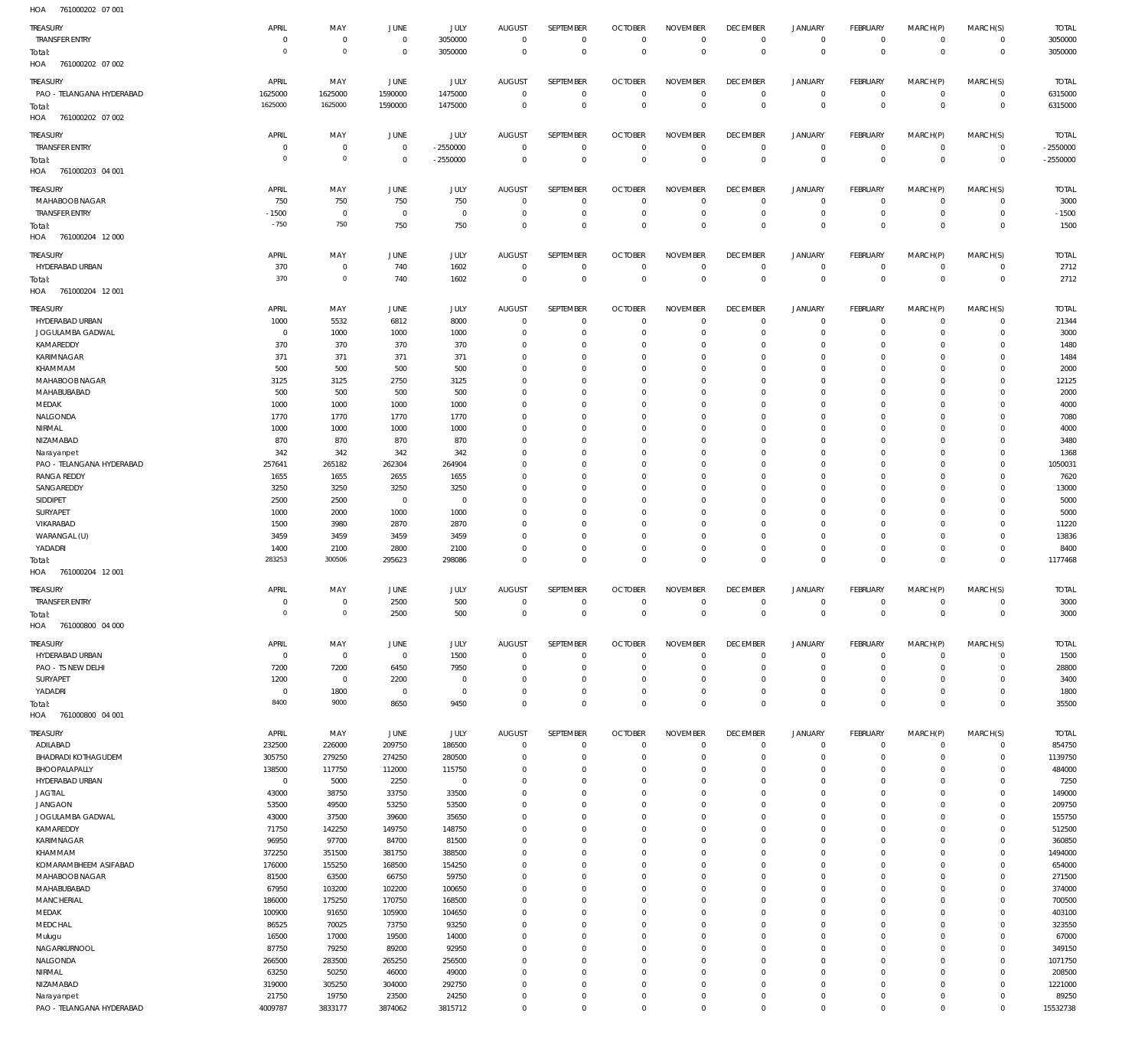| HOA<br>761000202 07 001                 |                  |                  |                  |                  |                  |                            |                           |                            |                            |                            |                            |                            |                             |                   |
|-----------------------------------------|------------------|------------------|------------------|------------------|------------------|----------------------------|---------------------------|----------------------------|----------------------------|----------------------------|----------------------------|----------------------------|-----------------------------|-------------------|
| TREASURY                                | APRIL            | MAY              | JUNE             | <b>JULY</b>      | <b>AUGUST</b>    | SEPTEMBER                  | <b>OCTOBER</b>            | <b>NOVEMBER</b>            | <b>DECEMBER</b>            | <b>JANUARY</b>             | FEBRUARY                   | MARCH(P)                   | MARCH(S)                    | <b>TOTAL</b>      |
| <b>TRANSFER ENTRY</b>                   | $^{\circ}$       | $\mathbf 0$      | $\mathbf{0}$     | 3050000          | $\mathbf 0$      | $\mathbf 0$                | $\overline{0}$            | $\mathbf 0$                | $\mathbf 0$                | $\mathbf 0$                | $\overline{0}$             | $\mathbf 0$                | $\circ$                     | 3050000           |
| Total:                                  | $^{\circ}$       | $\mathbf 0$      | $\mathbf 0$      | 3050000          | $\mathbf 0$      | $\mathsf 0$                | $\mathbf 0$               | $\mathbf 0$                | $\mathbf{0}$               | $\mathbf 0$                | $\overline{0}$             | $\mathbf{0}$               | $\overline{0}$              | 3050000           |
| HOA<br>761000202 07 002                 |                  |                  |                  |                  |                  |                            |                           |                            |                            |                            |                            |                            |                             |                   |
|                                         |                  |                  |                  |                  |                  |                            |                           |                            |                            |                            |                            |                            |                             |                   |
| TREASURY                                | APRIL            | MAY              | JUNE             | JULY             | <b>AUGUST</b>    | SEPTEMBER                  | <b>OCTOBER</b>            | <b>NOVEMBER</b>            | <b>DECEMBER</b>            | <b>JANUARY</b>             | FEBRUARY                   | MARCH(P)                   | MARCH(S)                    | <b>TOTAL</b>      |
| PAO - TELANGANA HYDERABAD               | 1625000          | 1625000          | 1590000          | 1475000          | $^{\circ}$       | $\mathbb O$                | $\overline{0}$            | $\mathbf 0$                | $\overline{0}$             | $\overline{0}$             | $\overline{0}$             | $\circ$                    | $\overline{0}$              | 6315000           |
| Total:                                  | 1625000          | 1625000          | 1590000          | 1475000          | $\mathbf 0$      | $\mathbb O$                | $\overline{0}$            | $\mathbf 0$                | $\mathbf 0$                | $\bf 0$                    | $\overline{0}$             | $\mathbf 0$                | $\overline{0}$              | 6315000           |
| HOA<br>761000202 07 002                 |                  |                  |                  |                  |                  |                            |                           |                            |                            |                            |                            |                            |                             |                   |
| TREASURY                                | APRIL            | MAY              | JUNE             | JULY             | <b>AUGUST</b>    | SEPTEMBER                  | <b>OCTOBER</b>            | <b>NOVEMBER</b>            | <b>DECEMBER</b>            | <b>JANUARY</b>             | FEBRUARY                   | MARCH(P)                   | MARCH(S)                    | <b>TOTAL</b>      |
| <b>TRANSFER ENTRY</b>                   | 0                | $\mathbf 0$      | $\overline{0}$   | $-2550000$       | $\mathbf 0$      | $\mathbf 0$                | $\mathbf 0$               | $\overline{0}$             | $\bf 0$                    | $\mathbf 0$                | $\overline{0}$             | $\mathbf 0$                | $\overline{0}$              | $-2550000$        |
| Total:                                  | $^{\circ}$       | $\mathbf 0$      | $\mathbf 0$      | $-2550000$       | $\mathbf 0$      | $\mathbf 0$                | $\overline{0}$            | $\overline{0}$             | $\mathbf 0$                | $\mathbf 0$                | $\overline{0}$             | $\mathbf 0$                | $\overline{0}$              | $-2550000$        |
| HOA<br>761000203 04 001                 |                  |                  |                  |                  |                  |                            |                           |                            |                            |                            |                            |                            |                             |                   |
|                                         |                  |                  |                  |                  |                  |                            |                           |                            |                            |                            |                            |                            |                             |                   |
| TREASURY                                | APRIL            | MAY              | JUNE             | JULY             | <b>AUGUST</b>    | SEPTEMBER                  | <b>OCTOBER</b>            | <b>NOVEMBER</b>            | <b>DECEMBER</b>            | <b>JANUARY</b>             | FEBRUARY                   | MARCH(P)                   | MARCH(S)                    | <b>TOTAL</b>      |
| MAHABOOB NAGAR                          | 750              | 750              | 750              | 750              | 0                | $\mathbf 0$                | $\overline{0}$            | $\overline{0}$             | 0                          | 0                          | $\overline{0}$             | $\mathbf 0$                | $\circ$                     | 3000              |
| <b>TRANSFER ENTRY</b>                   | $-1500$          | $\mathbf 0$      | $\mathbf 0$      | $\mathbb O$      | $\mathbf 0$      | $\mathbb O$                | $\overline{0}$            | $\mathbf 0$                | $\mathbf 0$                | $\mathsf{O}\xspace$        | $\overline{0}$             | $\circ$                    | $\overline{0}$              | $-1500$           |
| Total:                                  | $-750$           | 750              | 750              | 750              | $\mathbf 0$      | $\mathbf 0$                | $\overline{0}$            | $\mathbf 0$                | $\mathbf 0$                | $\mathsf{O}\xspace$        | $\overline{0}$             | $\mathbf 0$                | $\overline{0}$              | 1500              |
| HOA<br>761000204 12 000                 |                  |                  |                  |                  |                  |                            |                           |                            |                            |                            |                            |                            |                             |                   |
| <b>TREASURY</b>                         | APRIL            | MAY              | JUNE             | JULY             | <b>AUGUST</b>    | SEPTEMBER                  | <b>OCTOBER</b>            | <b>NOVEMBER</b>            | <b>DECEMBER</b>            | <b>JANUARY</b>             | FEBRUARY                   | MARCH(P)                   | MARCH(S)                    | <b>TOTAL</b>      |
| HYDERABAD URBAN                         | 370              | $\mathbf 0$      | 740              | 1602             | $^{\circ}$       | $\mathbf 0$                | $^{\circ}$                | $^{\circ}$                 | $\bf 0$                    | 0                          | $\overline{0}$             | $\mathbf 0$                | $\circ$                     | 2712              |
| Total:                                  | 370              | $\mathbf 0$      | 740              | 1602             | $\mathbf 0$      | $\mathbb O$                | $\overline{0}$            | $\overline{0}$             | $\mathbf 0$                | $\mathbf 0$                | $\overline{0}$             | $\mathbf 0$                | $\overline{0}$              | 2712              |
| HOA<br>761000204 12 001                 |                  |                  |                  |                  |                  |                            |                           |                            |                            |                            |                            |                            |                             |                   |
|                                         |                  |                  |                  |                  |                  |                            |                           |                            |                            |                            |                            |                            |                             |                   |
| TREASURY                                | APRIL            | MAY              | JUNE             | JULY             | <b>AUGUST</b>    | SEPTEMBER                  | <b>OCTOBER</b>            | <b>NOVEMBER</b>            | <b>DECEMBER</b>            | <b>JANUARY</b>             | FEBRUARY                   | MARCH(P)                   | MARCH(S)                    | <b>TOTAL</b>      |
| HYDERABAD URBAN                         | 1000             | 5532             | 6812             | 8000             | $\mathbf 0$      | $\mathbf 0$                | $\overline{0}$            | $^{\circ}$                 | 0                          | $\mathbf 0$                | $\overline{0}$             | $\mathbf 0$                | $\circ$                     | 21344             |
| JOGULAMBA GADWAL                        | $\mathbf 0$      | 1000             | 1000             | 1000             | 0                | $\mathbf 0$                | $^{\circ}$                | $\mathbf{0}$               | $\mathbf 0$                | $\mathsf{O}\xspace$        | $\overline{0}$             | $\mathbf 0$                | $\overline{0}$              | 3000              |
| KAMAREDDY                               | 370              | 370              | 370              | 370              | 0                | $\mathbf 0$                | $^{\circ}$                | $\mathbf{0}$               | 0                          | $\mathbf 0$                | $\overline{0}$             | $\mathbf 0$                | $\mathbf{0}$                | 1480              |
| KARIMNAGAR                              | 371              | 371              | 371              | 371              | $\mathbf 0$      | $\mathbf 0$                | $^{\circ}$                | $\mathbf{0}$               | $\mathbf 0$                | $\mathbf 0$                | $\mathbf 0$                | $\mathbf 0$                | $\mathbf{0}$                | 1484              |
| KHAMMAM                                 | 500              | 500              | 500              | 500              | $\mathbf 0$      | $\mathbb O$                | $^{\circ}$                | $\mathbf{0}$               | $\mathbf 0$                | $\mathbf 0$                | $\mathbf 0$                | $\mathbf 0$                | $\mathbf{0}$                | 2000              |
| MAHABOOB NAGAR                          | 3125             | 3125             | 2750             | 3125             | $\mathbf 0$      | $\mathbf 0$                | $^{\circ}$                | $\mathbf{0}$               | $\mathbf 0$                | $\mathbf 0$                | $\mathbf 0$                | $\Omega$                   | $\mathbf{0}$                | 12125             |
| MAHABUBABAD                             | 500              | 500              | 500              | 500              | $\mathbf 0$      | $\mathbf 0$                | $^{\circ}$                | $\mathbf{0}$               | $\mathbf 0$                | $\mathbf 0$                | $\overline{0}$             | $\mathbf 0$                | $\mathbf{0}$                | 2000              |
| MEDAK                                   | 1000             | 1000             | 1000             | 1000             | $\Omega$         | $\mathbf 0$                | $^{\circ}$                | $\mathbf{0}$               | $\mathbf 0$                | $\mathbf 0$                | $\mathbf 0$                | $\Omega$                   | $\mathbf{0}$                | 4000              |
| NALGONDA                                | 1770             | 1770             | 1770             | 1770             | $\mathbf 0$      | $\mathbf 0$                | $^{\circ}$                | $\mathbf{0}$               | $\mathbf 0$                | $\mathbf 0$                | $\mathbf 0$                | $\mathbf 0$                | $\mathbf{0}$                | 7080              |
| NIRMAL                                  | 1000             | 1000             | 1000             | 1000             | $\mathbf 0$      | $\mathbf 0$                | $^{\circ}$                | $\mathbf{0}$               | $\mathbf 0$                | $\mathbf 0$                | $\mathbf 0$                | $\mathbf 0$                | $\mathbf 0$                 | 4000              |
| NIZAMABAD                               | 870              | 870              | 870              | 870              | $\mathbf 0$      | $\mathbf 0$                | $^{\circ}$                | $\mathbf{0}$               | $\mathbf 0$                | $\mathbf 0$                | $\mathbf 0$                | $\Omega$                   | $\mathbf{0}$                | 3480              |
| Narayanpet                              | 342              | 342              | 342              | 342              | $\mathbf 0$      | $\mathbf 0$                | $^{\circ}$                | $\mathbf{0}$               | $\mathbf 0$                | $\mathbf 0$                | $\mathbf 0$                | $\mathbf 0$                | $\mathbf{0}$                | 1368              |
| PAO - TELANGANA HYDERABAD               | 257641           | 265182           | 262304           | 264904           | $\mathbf 0$      | $\mathbf 0$                | $^{\circ}$                | $\mathbf{0}$               | $\mathbf 0$                | $\mathbf 0$                | $\mathbf 0$                | $\Omega$                   | $\mathbf{0}$                | 1050031           |
| <b>RANGA REDDY</b>                      | 1655             | 1655             | 2655             | 1655             | $\mathbf 0$      | $\mathbf 0$                | $^{\circ}$                | $\mathbf{0}$               | $\mathbf 0$                | $\mathbf 0$                | $\mathbf 0$                | $\mathbf 0$                | $\mathbf{0}$                | 7620              |
| SANGAREDDY                              | 3250             | 3250             | 3250             | 3250             | $\mathbf 0$      | $\mathbf 0$                | $^{\circ}$                | $\mathbf{0}$               | $\mathbf 0$                | $\mathbf 0$                | $\mathbf 0$                | $\Omega$                   | $\mathbf{0}$                | 13000             |
| SIDDIPET                                | 2500             | 2500             | $\mathbf 0$      | $\mathbb O$      | $\Omega$         | $\mathbf 0$                | $^{\circ}$                | $\mathbf{0}$               | $\mathbf 0$                | $\mathbf 0$                | $\mathbf 0$                | $\mathbf 0$                | $\mathbf{0}$                | 5000              |
| SURYAPET                                | 1000             | 2000             | 1000             | 1000             | $\mathbf 0$      | $\mathbb O$                | $^{\circ}$                | $\mathbf{0}$               | 0                          | $\mathbf 0$                | $\mathbf 0$                | $\mathbf 0$                | $\mathbf 0$                 | 5000              |
| VIKARABAD                               | 1500             | 3980             | 2870             | 2870             | $\mathbf 0$      | $\mathbf 0$                | $^{\circ}$                | $\mathbf{0}$               | $\mathbf 0$                | $\mathbf 0$                | $\mathbf 0$                | $\mathbf 0$                | $\mathbf{0}$                | 11220             |
| WARANGAL (U)                            | 3459             | 3459             | 3459             | 3459             | $\mathbf 0$      | $\mathbf 0$                | $^{\circ}$                | $\mathbf{0}$               | $\mathbf 0$                | $\mathbf 0$                | $\overline{0}$             | $\mathbf 0$                | $\mathbf{0}$                | 13836             |
| YADADRI                                 | 1400             | 2100             | 2800             | 2100             | $\mathbf 0$      | $\mathbf 0$                | $\overline{0}$            | $\mathbf 0$                | $\mathbf 0$                | $\mathbf 0$                | $\overline{0}$             | $\mathbf 0$                | $\mathbf{0}$                | 8400              |
| Total:                                  | 283253           | 300506           | 295623           | 298086           | $\mathbf 0$      | $\mathbf 0$                | $\Omega$                  | $\mathbf 0$                | $\mathbf 0$                | $\mathbf 0$                | $\overline{0}$             | $\mathbf 0$                | $\overline{0}$              | 1177468           |
| HOA<br>761000204 12 001                 |                  |                  |                  |                  |                  |                            |                           |                            |                            |                            |                            |                            |                             |                   |
| TREASURY                                | APRIL            | MAY              | JUNE             | JULY             | AUGUST           | SEPTEMBER                  | <b>OCTOBER</b>            | <b>NOVEMBER</b>            | <b>DECEMBER</b>            | <b>JANUARY</b>             | FEBRUARY                   | MARCH(P)                   | MARCH(S)                    | <b>TOTAL</b>      |
| <b>TRANSFER ENTRY</b>                   | $\Omega$         | $\mathbf{0}$     | 2500             | 500              | $\Omega$         | $\mathbf 0$                | $\mathbb O$               | $\mathbf 0$                | $\mathsf{O}\xspace$        | 0                          | $\overline{0}$             | $\mathbf 0$                | $\circ$                     | 3000              |
| Total:                                  | $\mathbf 0$      | $\mathbf 0$      | 2500             | 500              | $\mathbf 0$      | $\mathbf 0$                | $\mathbf 0$               | $\mathbf 0$                | $\,0\,$                    | $\mathbf 0$                | $\overline{0}$             | $\mathbf 0$                | $\overline{0}$              | 3000              |
| HOA<br>761000800 04 000                 |                  |                  |                  |                  |                  |                            |                           |                            |                            |                            |                            |                            |                             |                   |
|                                         |                  |                  |                  |                  |                  |                            |                           |                            |                            |                            |                            |                            |                             |                   |
| TREASURY                                | APRIL            | MAY              | JUNE             | JULY             | <b>AUGUST</b>    | SEPTEMBER                  | <b>OCTOBER</b>            | <b>NOVEMBER</b>            | <b>DECEMBER</b>            | <b>JANUARY</b>             | <b>FEBRUARY</b>            | MARCH(P)                   | MARCH(S)                    | <b>TOTAL</b>      |
| HYDERABAD URBAN                         | $\mathbf 0$      | $\mathbf 0$      | $\mathbf 0$      | 1500             | $\mathbf 0$      | $\mathbb O$                | $\overline{0}$            | $\mathbf 0$                | $\bf 0$                    | $\overline{0}$             | $\overline{0}$             | $\mathbf 0$                | $\circ$                     | 1500              |
| PAO - TS NEW DELHI                      | 7200             | 7200             | 6450             | 7950             | $\mathbf 0$      | $\mathbf 0$                | $\overline{0}$            | $\mathbf 0$                | $\bf 0$                    | $\mathsf{O}\xspace$        | $\overline{0}$             | $\mathbf 0$                | $\overline{0}$              | 28800             |
| SURYAPET                                | 1200             | $\mathbf 0$      | 2200             | $\mathbf 0$      | $\mathbf 0$      | $\mathbb O$                | $^{\circ}$                | $\mathbf{0}$               | 0                          | $\mathsf{O}\xspace$        | $\overline{0}$             | $\mathbf 0$                | $\circ$                     | 3400              |
| YADADRI                                 | $\mathbf 0$      | 1800             | $\overline{0}$   | $\mathbf 0$      | $\mathbf 0$      | $\mathbb O$                | $\overline{0}$            | $\mathbf 0$                | $\bf 0$                    | $\mathsf{O}\xspace$        | $\overline{0}$             | $\mathbf 0$                | $\circ$                     | 1800              |
| Total:                                  | 8400             | 9000             | 8650             | 9450             | $\mathbf 0$      | $\mathbf 0$                | $\mathbf 0$               | $\mathbf 0$                | $\mathbf 0$                | $\mathbf 0$                | $\overline{0}$             | $\mathbf 0$                | $\overline{0}$              | 35500             |
| HOA<br>761000800 04 001                 |                  |                  |                  |                  |                  |                            |                           |                            |                            |                            |                            |                            |                             |                   |
| TREASURY                                | APRIL            | MAY              | JUNE             | JULY             | <b>AUGUST</b>    | SEPTEMBER                  | <b>OCTOBER</b>            | <b>NOVEMBER</b>            | <b>DECEMBER</b>            | <b>JANUARY</b>             | <b>FEBRUARY</b>            | MARCH(P)                   | MARCH(S)                    | <b>TOTAL</b>      |
| ADILABAD                                | 232500           | 226000           | 209750           | 186500           | $\mathbf 0$      | $\mathbf 0$                | $\overline{0}$            | $\overline{0}$             | $\bf 0$                    | $\mathbf 0$                | $\overline{0}$             | $\mathbf 0$                | $\mathbf{0}$                | 854750            |
| <b>BHADRADI KOTHAGUDEM</b>              | 305750           | 279250           | 274250           | 280500           | 0                | $\mathbf 0$                | $\overline{0}$            | $\Omega$                   | $\mathbf 0$                | $\mathbf 0$                | $\overline{0}$             | $\mathbf 0$                | $\circ$                     | 1139750           |
| BHOOPALAPALLY                           | 138500           | 117750           | 112000           | 115750           | 0                | $\mathbf 0$                | $^{\circ}$                | $\mathbf 0$                | $\mathbf 0$                | $\mathbf 0$                | $\mathbf 0$                | $\Omega$                   | $\mathbf 0$                 | 484000            |
| HYDERABAD URBAN                         | $\mathbf 0$      | 5000             | 2250             | $\mathbf 0$      | $\Omega$         | $\mathbf 0$                | $^{\circ}$                | $\Omega$                   | $\mathbf 0$                | $\mathbf 0$                | $\mathbf 0$                | $\Omega$                   | $\mathbf 0$                 | 7250              |
| <b>JAGTIAL</b>                          | 43000            | 38750            | 33750            | 33500            | $\Omega$         | $\mathbf 0$                | $^{\circ}$                | $\mathbf 0$                | $\mathbf 0$                | $\mathbf 0$                | $\mathbf 0$                | $\Omega$                   | $\mathbf 0$                 | 149000            |
| <b>JANGAON</b>                          | 53500            | 49500            | 53250            | 53500            | $\Omega$         | $\mathbf 0$                | $^{\circ}$                | $\Omega$                   | $\mathbf 0$                | $\mathbf 0$                | $\mathbf 0$                | $\Omega$                   | $\mathbf 0$                 | 209750            |
|                                         |                  |                  | 39600            | 35650            | $\Omega$         | $\mathbf 0$                | $^{\circ}$                | $\Omega$                   | $\mathbf 0$                | $\mathbf 0$                | $\mathbf 0$                | $\Omega$                   | $\mathbf 0$                 | 155750            |
|                                         |                  |                  |                  |                  |                  |                            |                           |                            |                            |                            |                            |                            |                             | 512500            |
| JOGULAMBA GADWAL                        | 43000            | 37500            |                  |                  | $\Omega$         | $\mathbf 0$                | $^{\circ}$                | $\Omega$                   | $\mathbf 0$                | $\mathbf 0$                | $\mathbf 0$                | $\Omega$                   | $\mathbf 0$                 |                   |
| KAMAREDDY                               | 71750            | 142250           | 149750           | 148750           | $\Omega$         | $\mathbf 0$                | $^{\circ}$                | $\Omega$                   | $\mathbf 0$                | $\mathbf 0$                | $\mathbf 0$                | $\Omega$                   | $\mathbf 0$                 |                   |
| KARIMNAGAR                              | 96950            | 97700            | 84700            | 81500            |                  |                            |                           | $\Omega$                   |                            |                            |                            | $\Omega$                   |                             | 360850            |
| KHAMMAM                                 | 372250           | 351500           | 381750           | 388500           | 0<br>$\Omega$    | $\mathbf 0$<br>$\mathbf 0$ | $^{\circ}$<br>$^{\circ}$  | $\Omega$                   | $\mathbf 0$<br>$\mathbf 0$ | $\mathbf 0$<br>$\mathbf 0$ | $\mathbf 0$<br>$\Omega$    | $\Omega$                   | $^{\circ}$<br>$\mathbf 0$   | 1494000           |
| KOMARAMBHEEM ASIFABAD                   | 176000           | 155250           | 168500           | 154250           | $\Omega$         | $\mathbf 0$                | $^{\circ}$                | $\Omega$                   | $\mathbf 0$                | $\mathbf 0$                | $\mathbf 0$                | $\Omega$                   | $\mathbf 0$                 | 654000            |
| MAHABOOB NAGAR                          | 81500            | 63500            | 66750            | 59750            | $\Omega$         | $\mathbf 0$                | $^{\circ}$                | $\Omega$                   | $\mathbf 0$                | $\mathbf 0$                | $\Omega$                   | $\Omega$                   | $\mathbf 0$                 | 271500            |
| MAHABUBABAD                             | 67950            | 103200           | 102200           | 100650           | $\Omega$         | $\mathbf 0$                | $\Omega$                  | $\Omega$                   | $\mathbf 0$                | $\mathbf 0$                | $\mathbf 0$                | $\Omega$                   | $\mathbf 0$                 | 374000            |
| MANCHERIAL                              | 186000           | 175250           | 170750           | 168500           | $\Omega$         | $\mathbf 0$                | $^{\circ}$                | $\mathbf 0$                | $\mathbf 0$                | $\mathbf 0$                | $\Omega$                   | $\Omega$                   | $\mathbf 0$                 | 700500            |
| MEDAK                                   | 100900           | 91650            | 105900           | 104650           | $\Omega$         |                            | $\Omega$                  | $\Omega$                   |                            |                            |                            | $\Omega$                   |                             | 403100            |
| MEDCHAL                                 | 86525            | 70025            | 73750            | 93250            | $\Omega$         | $\mathbf 0$                |                           |                            | $\mathbf 0$                | $\mathbf 0$                | $\mathbf 0$                | $\Omega$                   | $\mathbf 0$                 | 323550            |
| Mulugu                                  | 16500            | 17000            | 19500            | 14000            | $\Omega$         | $\mathbf 0$                | $^{\circ}$                | $\mathbf 0$<br>$\Omega$    | $\mathbf 0$                | $\mathbf 0$                | $\mathbf 0$                | $\Omega$                   | $\mathbf 0$                 | 67000             |
| NAGARKURNOOL                            | 87750            | 79250            | 89200            | 92950            | $\Omega$         | $\mathbf 0$                | $^{\circ}$                |                            | $\mathbf 0$                | $\mathbf 0$                | $\mathbf 0$                | $\Omega$                   | $\mathbf 0$                 | 349150            |
| NALGONDA                                | 266500           | 283500           | 265250           | 256500           | $\Omega$         | $\mathbf 0$                | $^{\circ}$<br>$\Omega$    | $\mathbf 0$<br>$\Omega$    | $\mathbf 0$                | $\mathbf 0$                | $^{\circ}$                 | $\Omega$                   | $\mathbf 0$                 | 1071750           |
| NIRMAL                                  | 63250            | 50250            | 46000            | 49000            | $\Omega$         | $\mathbf 0$                |                           |                            | $\mathbf 0$                | $\mathbf 0$                | $\mathbf 0$<br>$\Omega$    | $\Omega$                   | $\mathbf 0$                 | 208500            |
| NIZAMABAD                               | 319000           | 305250           | 304000           | 292750           |                  | $\mathbf 0$                | $\mathbf 0$               | $\mathbf 0$                | $\mathbf 0$                | $\mathbf 0$                |                            |                            | $\mathbf{0}$                | 1221000           |
| Narayanpet<br>PAO - TELANGANA HYDERABAD | 21750<br>4009787 | 19750<br>3833177 | 23500<br>3874062 | 24250<br>3815712 | 0<br>$\mathbf 0$ | $\mathbb O$<br>$\mathbf 0$ | $^{\circ}$<br>$\mathbf 0$ | $\mathbf 0$<br>$\mathbf 0$ | 0<br>$\mathbf 0$           | $\mathbf 0$<br>$\mathbf 0$ | $\mathbf 0$<br>$\mathbf 0$ | $\mathbf 0$<br>$\mathbf 0$ | $\mathbf 0$<br>$\mathbf{0}$ | 89250<br>15532738 |